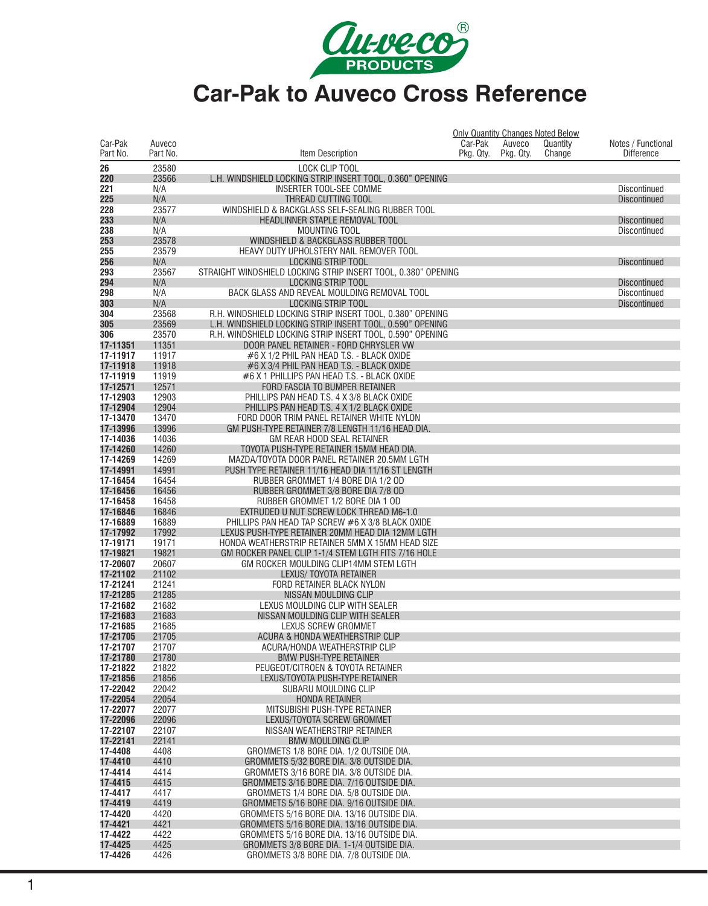

|                      |                    |                                                                                        |                      |                     | <b>Only Quantity Changes Noted Below</b> |                                         |
|----------------------|--------------------|----------------------------------------------------------------------------------------|----------------------|---------------------|------------------------------------------|-----------------------------------------|
| Car-Pak<br>Part No.  | Auveco<br>Part No. | <b>Item Description</b>                                                                | Car-Pak<br>Pkg. Qty. | Auveco<br>Pkg. Qty. | Quantity<br>Change                       | Notes / Functional<br><b>Difference</b> |
|                      |                    |                                                                                        |                      |                     |                                          |                                         |
| 26                   | 23580              | LOCK CLIP TOOL                                                                         |                      |                     |                                          |                                         |
| 220                  | 23566              | L.H. WINDSHIELD LOCKING STRIP INSERT TOOL, 0.360" OPENING                              |                      |                     |                                          |                                         |
| 221                  | N/A                | INSERTER TOOL-SEE COMME                                                                |                      |                     |                                          | Discontinued                            |
| 225<br>228           | N/A<br>23577       | THREAD CUTTING TOOL<br>WINDSHIELD & BACKGLASS SELF-SEALING RUBBER TOOL                 |                      |                     |                                          | <b>Discontinued</b>                     |
| 233                  | N/A                | HEADLINNER STAPLE REMOVAL TOOL                                                         |                      |                     |                                          | <b>Discontinued</b>                     |
| 238                  | N/A                | <b>MOUNTING TOOL</b>                                                                   |                      |                     |                                          | Discontinued                            |
| 253                  | 23578              | WINDSHIELD & BACKGLASS RUBBER TOOL                                                     |                      |                     |                                          |                                         |
| 255                  | 23579              | HEAVY DUTY UPHOLSTERY NAIL REMOVER TOOL                                                |                      |                     |                                          |                                         |
| 256                  | N/A                | <b>LOCKING STRIP TOOL</b>                                                              |                      |                     |                                          | <b>Discontinued</b>                     |
| 293                  | 23567              | STRAIGHT WINDSHIELD LOCKING STRIP INSERT TOOL, 0.380" OPENING                          |                      |                     |                                          |                                         |
| 294                  | N/A                | LOCKING STRIP TOOL                                                                     |                      |                     |                                          | <b>Discontinued</b>                     |
| 298                  | N/A                | BACK GLASS AND REVEAL MOULDING REMOVAL TOOL                                            |                      |                     |                                          | Discontinued                            |
| 303                  | N/A                | <b>LOCKING STRIP TOOL</b>                                                              |                      |                     |                                          | <b>Discontinued</b>                     |
| 304                  | 23568              | R.H. WINDSHIELD LOCKING STRIP INSERT TOOL, 0.380" OPENING                              |                      |                     |                                          |                                         |
| 305                  | 23569              | L.H. WINDSHIELD LOCKING STRIP INSERT TOOL, 0.590" OPENING                              |                      |                     |                                          |                                         |
| 306                  | 23570              | R.H. WINDSHIELD LOCKING STRIP INSERT TOOL, 0.590" OPENING                              |                      |                     |                                          |                                         |
| 17-11351             | 11351              | DOOR PANEL RETAINER - FORD CHRYSLER VW                                                 |                      |                     |                                          |                                         |
| 17-11917<br>17-11918 | 11917<br>11918     | #6 X 1/2 PHIL PAN HEAD T.S. - BLACK OXIDE<br>#6 X 3/4 PHIL PAN HEAD T.S. - BLACK OXIDE |                      |                     |                                          |                                         |
| 17-11919             | 11919              | #6 X 1 PHILLIPS PAN HEAD T.S. - BLACK OXIDE                                            |                      |                     |                                          |                                         |
| 17-12571             | 12571              | FORD FASCIA TO BUMPER RETAINER                                                         |                      |                     |                                          |                                         |
| 17-12903             | 12903              | PHILLIPS PAN HEAD T.S. 4 X 3/8 BLACK OXIDE                                             |                      |                     |                                          |                                         |
| 17-12904             | 12904              | PHILLIPS PAN HEAD T.S. 4 X 1/2 BLACK OXIDE                                             |                      |                     |                                          |                                         |
| 17-13470             | 13470              | FORD DOOR TRIM PANEL RETAINER WHITE NYLON                                              |                      |                     |                                          |                                         |
| 17-13996             | 13996              | GM PUSH-TYPE RETAINER 7/8 LENGTH 11/16 HEAD DIA.                                       |                      |                     |                                          |                                         |
| 17-14036             | 14036              | GM REAR HOOD SEAL RETAINER                                                             |                      |                     |                                          |                                         |
| 17-14260             | 14260              | TOYOTA PUSH-TYPE RETAINER 15MM HEAD DIA.                                               |                      |                     |                                          |                                         |
| 17-14269             | 14269              | MAZDA/TOYOTA DOOR PANEL RETAINER 20.5MM LGTH                                           |                      |                     |                                          |                                         |
| 17-14991             | 14991              | PUSH TYPE RETAINER 11/16 HEAD DIA 11/16 ST LENGTH                                      |                      |                     |                                          |                                         |
| 17-16454             | 16454              | RUBBER GROMMET 1/4 BORE DIA 1/2 OD                                                     |                      |                     |                                          |                                         |
| 17-16456             | 16456              | RUBBER GROMMET 3/8 BORE DIA 7/8 OD                                                     |                      |                     |                                          |                                         |
| 17-16458<br>17-16846 | 16458<br>16846     | RUBBER GROMMET 1/2 BORE DIA 1 OD<br>EXTRUDED U NUT SCREW LOCK THREAD M6-1.0            |                      |                     |                                          |                                         |
| 17-16889             | 16889              | PHILLIPS PAN HEAD TAP SCREW #6 X 3/8 BLACK OXIDE                                       |                      |                     |                                          |                                         |
| 17-17992             | 17992              | LEXUS PUSH-TYPE RETAINER 20MM HEAD DIA 12MM LGTH                                       |                      |                     |                                          |                                         |
| 17-19171             | 19171              | HONDA WEATHERSTRIP RETAINER 5MM X 15MM HEAD SIZE                                       |                      |                     |                                          |                                         |
| 17-19821             | 19821              | GM ROCKER PANEL CLIP 1-1/4 STEM LGTH FITS 7/16 HOLE                                    |                      |                     |                                          |                                         |
| 17-20607             | 20607              | GM ROCKER MOULDING CLIP14MM STEM LGTH                                                  |                      |                     |                                          |                                         |
| 17-21102             | 21102              | LEXUS/ TOYOTA RETAINER                                                                 |                      |                     |                                          |                                         |
| 17-21241             | 21241              | FORD RETAINER BLACK NYLON                                                              |                      |                     |                                          |                                         |
| 17-21285             | 21285              | NISSAN MOULDING CLIP                                                                   |                      |                     |                                          |                                         |
| 17-21682             | 21682              | LEXUS MOULDING CLIP WITH SEALER                                                        |                      |                     |                                          |                                         |
| 17-21683             | 21683              | NISSAN MOULDING CLIP WITH SEALER                                                       |                      |                     |                                          |                                         |
| 17-21685<br>17-21705 | 21685<br>21705     | LEXUS SCREW GROMMET<br>ACURA & HONDA WEATHERSTRIP CLIP                                 |                      |                     |                                          |                                         |
| 17-21707             | 21707              | ACURA/HONDA WEATHERSTRIP CLIP                                                          |                      |                     |                                          |                                         |
| 17-21780             | 21780              | <b>BMW PUSH-TYPE RETAINER</b>                                                          |                      |                     |                                          |                                         |
| 17-21822             | 21822              | PEUGEOT/CITROEN & TOYOTA RETAINER                                                      |                      |                     |                                          |                                         |
| 17-21856             | 21856              | LEXUS/TOYOTA PUSH-TYPE RETAINER                                                        |                      |                     |                                          |                                         |
| 17-22042             | 22042              | SUBARU MOULDING CLIP                                                                   |                      |                     |                                          |                                         |
| 17-22054             | 22054              | <b>HONDA RETAINER</b>                                                                  |                      |                     |                                          |                                         |
| 17-22077             | 22077              | MITSUBISHI PUSH-TYPE RETAINER                                                          |                      |                     |                                          |                                         |
| 17-22096             | 22096              | LEXUS/TOYOTA SCREW GROMMET                                                             |                      |                     |                                          |                                         |
| 17-22107             | 22107              | NISSAN WEATHERSTRIP RETAINER                                                           |                      |                     |                                          |                                         |
| 17-22141             | 22141              | <b>BMW MOULDING CLIP</b>                                                               |                      |                     |                                          |                                         |
| 17-4408<br>17-4410   | 4408<br>4410       | GROMMETS 1/8 BORE DIA. 1/2 OUTSIDE DIA.<br>GROMMETS 5/32 BORE DIA. 3/8 OUTSIDE DIA.    |                      |                     |                                          |                                         |
| 17-4414              | 4414               | GROMMETS 3/16 BORE DIA. 3/8 OUTSIDE DIA.                                               |                      |                     |                                          |                                         |
| 17-4415              | 4415               | GROMMETS 3/16 BORE DIA, 7/16 OUTSIDE DIA.                                              |                      |                     |                                          |                                         |
| 17-4417              | 4417               | GROMMETS 1/4 BORE DIA. 5/8 OUTSIDE DIA.                                                |                      |                     |                                          |                                         |
| 17-4419              | 4419               | GROMMETS 5/16 BORE DIA. 9/16 OUTSIDE DIA.                                              |                      |                     |                                          |                                         |
| 17-4420              | 4420               | GROMMETS 5/16 BORE DIA. 13/16 OUTSIDE DIA.                                             |                      |                     |                                          |                                         |
| 17-4421              | 4421               | GROMMETS 5/16 BORE DIA. 13/16 OUTSIDE DIA.                                             |                      |                     |                                          |                                         |
| 17-4422              | 4422               | GROMMETS 5/16 BORE DIA. 13/16 OUTSIDE DIA.                                             |                      |                     |                                          |                                         |
| 17-4425              | 4425               | GROMMETS 3/8 BORE DIA. 1-1/4 OUTSIDE DIA.                                              |                      |                     |                                          |                                         |
| 17-4426              | 4426               | GROMMETS 3/8 BORE DIA. 7/8 OUTSIDE DIA.                                                |                      |                     |                                          |                                         |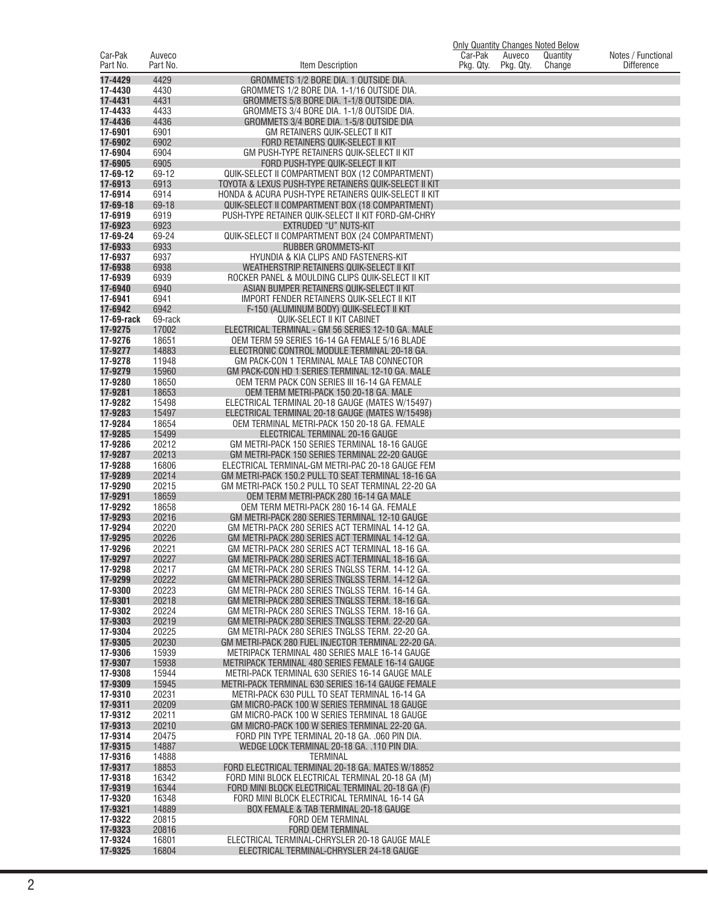|                     |                    |                                                                                                          | Only Quantity Changes Noted Below |                     |                    |                                         |
|---------------------|--------------------|----------------------------------------------------------------------------------------------------------|-----------------------------------|---------------------|--------------------|-----------------------------------------|
| Car-Pak<br>Part No. | Auveco<br>Part No. | Item Description                                                                                         | Car-Pak<br>Pkg. Qty.              | Auveco<br>Pkg. Qty. | Quantity<br>Change | Notes / Functional<br><b>Difference</b> |
| 17-4429             | 4429               | GROMMETS 1/2 BORE DIA. 1 OUTSIDE DIA.                                                                    |                                   |                     |                    |                                         |
| 17-4430             | 4430               | GROMMETS 1/2 BORE DIA. 1-1/16 OUTSIDE DIA.                                                               |                                   |                     |                    |                                         |
| 17-4431             | 4431               | GROMMETS 5/8 BORE DIA. 1-1/8 OUTSIDE DIA.                                                                |                                   |                     |                    |                                         |
| 17-4433<br>17-4436  | 4433<br>4436       | GROMMETS 3/4 BORE DIA. 1-1/8 OUTSIDE DIA.<br>GROMMETS 3/4 BORE DIA. 1-5/8 OUTSIDE DIA                    |                                   |                     |                    |                                         |
| 17-6901             | 6901               | GM RETAINERS QUIK-SELECT II KIT                                                                          |                                   |                     |                    |                                         |
| 17-6902             | 6902               | FORD RETAINERS QUIK-SELECT II KIT                                                                        |                                   |                     |                    |                                         |
| 17-6904<br>17-6905  | 6904<br>6905       | GM PUSH-TYPE RETAINERS QUIK-SELECT II KIT<br>FORD PUSH-TYPE QUIK-SELECT II KIT                           |                                   |                     |                    |                                         |
| 17-69-12            | 69-12              | QUIK-SELECT II COMPARTMENT BOX (12 COMPARTMENT)                                                          |                                   |                     |                    |                                         |
| 17-6913             | 6913               | TOYOTA & LEXUS PUSH-TYPE RETAINERS QUIK-SELECT II KIT                                                    |                                   |                     |                    |                                         |
| 17-6914<br>17-69-18 | 6914<br>69-18      | HONDA & ACURA PUSH-TYPE RETAINERS QUIK-SELECT II KIT                                                     |                                   |                     |                    |                                         |
| 17-6919             | 6919               | QUIK-SELECT II COMPARTMENT BOX (18 COMPARTMENT)<br>PUSH-TYPE RETAINER QUIK-SELECT II KIT FORD-GM-CHRY    |                                   |                     |                    |                                         |
| 17-6923             | 6923               | EXTRUDED "U" NUTS-KIT                                                                                    |                                   |                     |                    |                                         |
| 17-69-24            | 69-24              | QUIK-SELECT II COMPARTMENT BOX (24 COMPARTMENT)                                                          |                                   |                     |                    |                                         |
| 17-6933<br>17-6937  | 6933<br>6937       | RUBBER GROMMETS-KIT<br>HYUNDIA & KIA CLIPS AND FASTENERS-KIT                                             |                                   |                     |                    |                                         |
| 17-6938             | 6938               | WEATHERSTRIP RETAINERS QUIK-SELECT II KIT                                                                |                                   |                     |                    |                                         |
| 17-6939             | 6939               | ROCKER PANEL & MOULDING CLIPS QUIK-SELECT II KIT                                                         |                                   |                     |                    |                                         |
| 17-6940<br>17-6941  | 6940<br>6941       | ASIAN BUMPER RETAINERS QUIK-SELECT II KIT<br><b>IMPORT FENDER RETAINERS QUIK-SELECT II KIT</b>           |                                   |                     |                    |                                         |
| 17-6942             | 6942               | F-150 (ALUMINUM BODY) QUIK-SELECT II KIT                                                                 |                                   |                     |                    |                                         |
| 17-69-rack          | 69-rack            | <b>QUIK-SELECT II KIT CABINET</b>                                                                        |                                   |                     |                    |                                         |
| 17-9275             | 17002              | ELECTRICAL TERMINAL - GM 56 SERIES 12-10 GA. MALE                                                        |                                   |                     |                    |                                         |
| 17-9276<br>17-9277  | 18651<br>14883     | OEM TERM 59 SERIES 16-14 GA FEMALE 5/16 BLADE<br>ELECTRONIC CONTROL MODULE TERMINAL 20-18 GA.            |                                   |                     |                    |                                         |
| 17-9278             | 11948              | GM PACK-CON 1 TERMINAL MALE TAB CONNECTOR                                                                |                                   |                     |                    |                                         |
| 17-9279             | 15960              | GM PACK-CON HD 1 SERIES TERMINAL 12-10 GA. MALE                                                          |                                   |                     |                    |                                         |
| 17-9280<br>17-9281  | 18650<br>18653     | OEM TERM PACK CON SERIES III 16-14 GA FEMALE<br>OEM TERM METRI-PACK 150 20-18 GA. MALE                   |                                   |                     |                    |                                         |
| 17-9282             | 15498              | ELECTRICAL TERMINAL 20-18 GAUGE (MATES W/15497)                                                          |                                   |                     |                    |                                         |
| 17-9283             | 15497              | ELECTRICAL TERMINAL 20-18 GAUGE (MATES W/15498)                                                          |                                   |                     |                    |                                         |
| 17-9284             | 18654              | OEM TERMINAL METRI-PACK 150 20-18 GA. FEMALE                                                             |                                   |                     |                    |                                         |
| 17-9285<br>17-9286  | 15499<br>20212     | ELECTRICAL TERMINAL 20-16 GAUGE<br>GM METRI-PACK 150 SERIES TERMINAL 18-16 GAUGE                         |                                   |                     |                    |                                         |
| 17-9287             | 20213              | GM METRI-PACK 150 SERIES TERMINAL 22-20 GAUGE                                                            |                                   |                     |                    |                                         |
| 17-9288             | 16806              | ELECTRICAL TERMINAL-GM METRI-PAC 20-18 GAUGE FEM                                                         |                                   |                     |                    |                                         |
| 17-9289<br>17-9290  | 20214<br>20215     | GM METRI-PACK 150.2 PULL TO SEAT TERMINAL 18-16 GA<br>GM METRI-PACK 150.2 PULL TO SEAT TERMINAL 22-20 GA |                                   |                     |                    |                                         |
| 17-9291             | 18659              | OEM TERM METRI-PACK 280 16-14 GA MALE                                                                    |                                   |                     |                    |                                         |
| 17-9292             | 18658              | OEM TERM METRI-PACK 280 16-14 GA. FEMALE                                                                 |                                   |                     |                    |                                         |
| 17-9293<br>17-9294  | 20216<br>20220     | GM METRI-PACK 280 SERIES TERMINAL 12-10 GAUGE<br>GM METRI-PACK 280 SERIES ACT TERMINAL 14-12 GA.         |                                   |                     |                    |                                         |
| 17-9295             | 20226              | GM METRI-PACK 280 SERIES ACT TERMINAL 14-12 GA.                                                          |                                   |                     |                    |                                         |
| 17-9296             | 20221              | GM METRI-PACK 280 SERIES ACT TERMINAL 18-16 GA.                                                          |                                   |                     |                    |                                         |
| 17-9297<br>17-9298  | 20227<br>20217     | GM METRI-PACK 280 SERIES ACT TERMINAL 18-16 GA.<br>GM METRI-PACK 280 SERIES TNGLSS TERM. 14-12 GA.       |                                   |                     |                    |                                         |
| 17-9299             | 20222              | GM METRI-PACK 280 SERIES TNGLSS TERM. 14-12 GA.                                                          |                                   |                     |                    |                                         |
| 17-9300             | 20223              | GM METRI-PACK 280 SERIES TNGLSS TERM, 16-14 GA.                                                          |                                   |                     |                    |                                         |
| 17-9301<br>17-9302  | 20218<br>20224     | GM METRI-PACK 280 SERIES TNGLSS TERM, 18-16 GA.<br>GM METRI-PACK 280 SERIES TNGLSS TERM, 18-16 GA.       |                                   |                     |                    |                                         |
| 17-9303             | 20219              | GM METRI-PACK 280 SERIES TNGLSS TERM, 22-20 GA.                                                          |                                   |                     |                    |                                         |
| 17-9304             | 20225              | GM METRI-PACK 280 SERIES TNGLSS TERM. 22-20 GA.                                                          |                                   |                     |                    |                                         |
| 17-9305             | 20230              | GM METRI-PACK 280 FUEL INJECTOR TERMINAL 22-20 GA.                                                       |                                   |                     |                    |                                         |
| 17-9306<br>17-9307  | 15939<br>15938     | METRIPACK TERMINAL 480 SERIES MALE 16-14 GAUGE<br>METRIPACK TERMINAL 480 SERIES FEMALE 16-14 GAUGE       |                                   |                     |                    |                                         |
| 17-9308             | 15944              | METRI-PACK TERMINAL 630 SERIES 16-14 GAUGE MALE                                                          |                                   |                     |                    |                                         |
| 17-9309             | 15945              | METRI-PACK TERMINAL 630 SERIES 16-14 GAUGE FEMALE                                                        |                                   |                     |                    |                                         |
| 17-9310<br>17-9311  | 20231<br>20209     | METRI-PACK 630 PULL TO SEAT TERMINAL 16-14 GA<br>GM MICRO-PACK 100 W SERIES TERMINAL 18 GAUGE            |                                   |                     |                    |                                         |
| 17-9312             | 20211              | GM MICRO-PACK 100 W SERIES TERMINAL 18 GAUGE                                                             |                                   |                     |                    |                                         |
| 17-9313             | 20210              | GM MICRO-PACK 100 W SERIES TERMINAL 22-20 GA.                                                            |                                   |                     |                    |                                         |
| 17-9314<br>17-9315  | 20475<br>14887     | FORD PIN TYPE TERMINAL 20-18 GA. .060 PIN DIA.<br>WEDGE LOCK TERMINAL 20-18 GA. .110 PIN DIA.            |                                   |                     |                    |                                         |
| 17-9316             | 14888              | <b>TERMINAL</b>                                                                                          |                                   |                     |                    |                                         |
| 17-9317             | 18853              | FORD ELECTRICAL TERMINAL 20-18 GA. MATES W/18852                                                         |                                   |                     |                    |                                         |
| 17-9318             | 16342              | FORD MINI BLOCK ELECTRICAL TERMINAL 20-18 GA (M)                                                         |                                   |                     |                    |                                         |
| 17-9319<br>17-9320  | 16344<br>16348     | FORD MINI BLOCK ELECTRICAL TERMINAL 20-18 GA (F)<br>FORD MINI BLOCK ELECTRICAL TERMINAL 16-14 GA         |                                   |                     |                    |                                         |
| 17-9321             | 14889              | BOX FEMALE & TAB TERMINAL 20-18 GAUGE                                                                    |                                   |                     |                    |                                         |
| 17-9322             | 20815              | FORD OEM TERMINAL                                                                                        |                                   |                     |                    |                                         |
| 17-9323<br>17-9324  | 20816<br>16801     | FORD OEM TERMINAL<br>ELECTRICAL TERMINAL-CHRYSLER 20-18 GAUGE MALE                                       |                                   |                     |                    |                                         |
| 17-9325             | 16804              | ELECTRICAL TERMINAL-CHRYSLER 24-18 GAUGE                                                                 |                                   |                     |                    |                                         |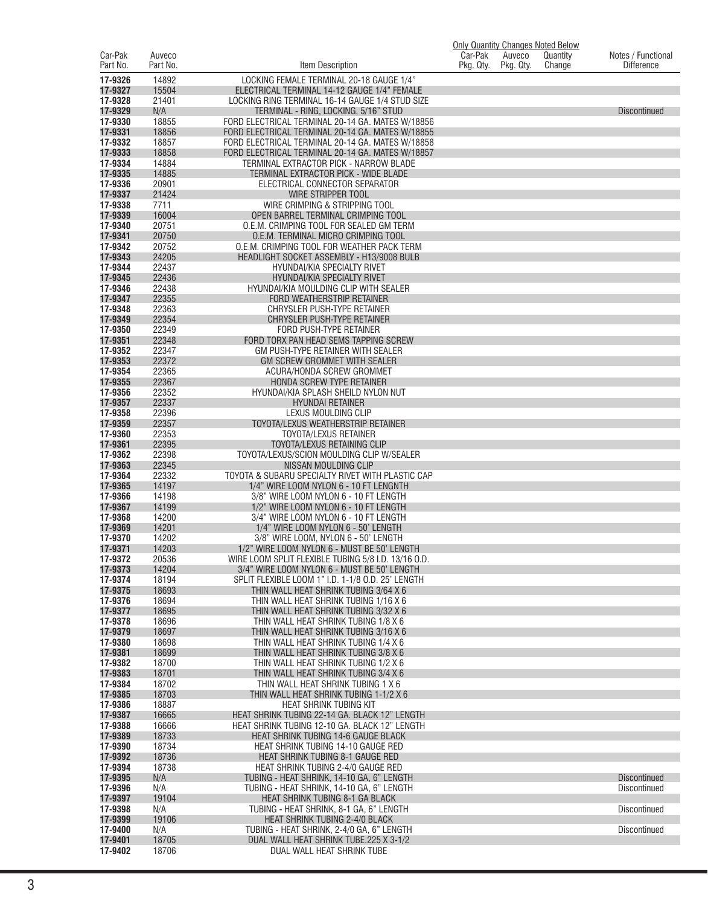|                     |                    |                                                                                                    | <b>Only Quantity Changes Noted Below</b> |                     |                    |                                         |
|---------------------|--------------------|----------------------------------------------------------------------------------------------------|------------------------------------------|---------------------|--------------------|-----------------------------------------|
| Car-Pak<br>Part No. | Auveco<br>Part No. | Item Description                                                                                   | Car-Pak<br>Pkg. Qty.                     | Auveco<br>Pkg. Qty. | Quantity<br>Change | Notes / Functional<br><b>Difference</b> |
| 17-9326             | 14892              | LOCKING FEMALE TERMINAL 20-18 GAUGE 1/4"                                                           |                                          |                     |                    |                                         |
| 17-9327             | 15504              | ELECTRICAL TERMINAL 14-12 GAUGE 1/4" FEMALE                                                        |                                          |                     |                    |                                         |
| 17-9328<br>17-9329  | 21401<br>N/A       | LOCKING RING TERMINAL 16-14 GAUGE 1/4 STUD SIZE<br>TERMINAL - RING, LOCKING, 5/16" STUD            |                                          |                     |                    | <b>Discontinued</b>                     |
| 17-9330             | 18855              | FORD ELECTRICAL TERMINAL 20-14 GA. MATES W/18856                                                   |                                          |                     |                    |                                         |
| 17-9331             | 18856              | FORD ELECTRICAL TERMINAL 20-14 GA. MATES W/18855                                                   |                                          |                     |                    |                                         |
| 17-9332             | 18857              | FORD ELECTRICAL TERMINAL 20-14 GA. MATES W/18858                                                   |                                          |                     |                    |                                         |
| 17-9333<br>17-9334  | 18858<br>14884     | FORD ELECTRICAL TERMINAL 20-14 GA, MATES W/18857<br>TERMINAL EXTRACTOR PICK - NARROW BLADE         |                                          |                     |                    |                                         |
| 17-9335             | 14885              | TERMINAL EXTRACTOR PICK - WIDE BLADE                                                               |                                          |                     |                    |                                         |
| 17-9336             | 20901              | ELECTRICAL CONNECTOR SEPARATOR                                                                     |                                          |                     |                    |                                         |
| 17-9337             | 21424              | <b>WIRE STRIPPER TOOL</b>                                                                          |                                          |                     |                    |                                         |
| 17-9338<br>17-9339  | 7711<br>16004      | WIRE CRIMPING & STRIPPING TOOL<br>OPEN BARREL TERMINAL CRIMPING TOOL                               |                                          |                     |                    |                                         |
| 17-9340             | 20751              | O.E.M. CRIMPING TOOL FOR SEALED GM TERM                                                            |                                          |                     |                    |                                         |
| 17-9341             | 20750              | O.E.M. TERMINAL MICRO CRIMPING TOOL                                                                |                                          |                     |                    |                                         |
| 17-9342             | 20752              | O.E.M. CRIMPING TOOL FOR WEATHER PACK TERM                                                         |                                          |                     |                    |                                         |
| 17-9343<br>17-9344  | 24205<br>22437     | HEADLIGHT SOCKET ASSEMBLY - H13/9008 BULB<br>HYUNDAI/KIA SPECIALTY RIVET                           |                                          |                     |                    |                                         |
| 17-9345             | 22436              | HYUNDAI/KIA SPECIALTY RIVET                                                                        |                                          |                     |                    |                                         |
| 17-9346             | 22438              | HYUNDAI/KIA MOULDING CLIP WITH SEALER                                                              |                                          |                     |                    |                                         |
| 17-9347             | 22355              | FORD WEATHERSTRIP RETAINER                                                                         |                                          |                     |                    |                                         |
| 17-9348<br>17-9349  | 22363<br>22354     | CHRYSLER PUSH-TYPE RETAINER<br>CHRYSLER PUSH-TYPE RETAINER                                         |                                          |                     |                    |                                         |
| 17-9350             | 22349              | FORD PUSH-TYPE RETAINER                                                                            |                                          |                     |                    |                                         |
| 17-9351             | 22348              | FORD TORX PAN HEAD SEMS TAPPING SCREW                                                              |                                          |                     |                    |                                         |
| 17-9352             | 22347              | GM PUSH-TYPE RETAINER WITH SEALER                                                                  |                                          |                     |                    |                                         |
| 17-9353<br>17-9354  | 22372<br>22365     | GM SCREW GROMMET WITH SEALER<br><b>ACURA/HONDA SCREW GROMMET</b>                                   |                                          |                     |                    |                                         |
| 17-9355             | 22367              | HONDA SCREW TYPE RETAINER                                                                          |                                          |                     |                    |                                         |
| 17-9356             | 22352              | HYUNDAI/KIA SPLASH SHEILD NYLON NUT                                                                |                                          |                     |                    |                                         |
| 17-9357             | 22337              | <b>HYUNDAI RETAINER</b>                                                                            |                                          |                     |                    |                                         |
| 17-9358<br>17-9359  | 22396<br>22357     | LEXUS MOULDING CLIP<br>TOYOTA/LEXUS WEATHERSTRIP RETAINER                                          |                                          |                     |                    |                                         |
| 17-9360             | 22353              | TOYOTA/LEXUS RETAINER                                                                              |                                          |                     |                    |                                         |
| 17-9361             | 22395              | TOYOTA/LEXUS RETAINING CLIP                                                                        |                                          |                     |                    |                                         |
| 17-9362             | 22398              | TOYOTA/LEXUS/SCION MOULDING CLIP W/SEALER                                                          |                                          |                     |                    |                                         |
| 17-9363<br>17-9364  | 22345<br>22332     | NISSAN MOULDING CLIP<br>TOYOTA & SUBARU SPECIALTY RIVET WITH PLASTIC CAP                           |                                          |                     |                    |                                         |
| 17-9365             | 14197              | 1/4" WIRE LOOM NYLON 6 - 10 FT LENGNTH                                                             |                                          |                     |                    |                                         |
| 17-9366             | 14198              | 3/8" WIRE LOOM NYLON 6 - 10 FT LENGTH                                                              |                                          |                     |                    |                                         |
| 17-9367<br>17-9368  | 14199<br>14200     | 1/2" WIRE LOOM NYLON 6 - 10 FT LENGTH<br>3/4" WIRE LOOM NYLON 6 - 10 FT LENGTH                     |                                          |                     |                    |                                         |
| 17-9369             | 14201              | 1/4" WIRE LOOM NYLON 6 - 50' LENGTH                                                                |                                          |                     |                    |                                         |
| 17-9370             | 14202              | 3/8" WIRE LOOM, NYLON 6 - 50' LENGTH                                                               |                                          |                     |                    |                                         |
| 17-9371             | 14203              | 1/2" WIRE LOOM NYLON 6 - MUST BE 50' LENGTH                                                        |                                          |                     |                    |                                         |
| 17-9372<br>17-9373  | 20536<br>14204     | WIRE LOOM SPLIT FLEXIBLE TUBING 5/8 I.D. 13/16 O.D.<br>3/4" WIRE LOOM NYLON 6 - MUST BE 50' LENGTH |                                          |                     |                    |                                         |
| 17-9374             | 18194              | SPLIT FLEXIBLE LOOM 1" I.D. 1-1/8 O.D. 25' LENGTH                                                  |                                          |                     |                    |                                         |
| 17-9375             | 18693              | THIN WALL HEAT SHRINK TUBING 3/64 X 6                                                              |                                          |                     |                    |                                         |
| 17-9376             | 18694              | THIN WALL HEAT SHRINK TUBING 1/16 X 6                                                              |                                          |                     |                    |                                         |
| 17-9377<br>17-9378  | 18695<br>18696     | THIN WALL HEAT SHRINK TUBING 3/32 X 6<br>THIN WALL HEAT SHRINK TUBING 1/8 X 6                      |                                          |                     |                    |                                         |
| 17-9379             | 18697              | THIN WALL HEAT SHRINK TUBING 3/16 X 6                                                              |                                          |                     |                    |                                         |
| 17-9380             | 18698              | THIN WALL HEAT SHRINK TUBING 1/4 X 6                                                               |                                          |                     |                    |                                         |
| 17-9381<br>17-9382  | 18699<br>18700     | THIN WALL HEAT SHRINK TUBING 3/8 X 6<br>THIN WALL HEAT SHRINK TUBING 1/2 X 6                       |                                          |                     |                    |                                         |
| 17-9383             | 18701              | THIN WALL HEAT SHRINK TUBING 3/4 X 6                                                               |                                          |                     |                    |                                         |
| 17-9384             | 18702              | THIN WALL HEAT SHRINK TUBING 1 X 6                                                                 |                                          |                     |                    |                                         |
| 17-9385             | 18703              | THIN WALL HEAT SHRINK TUBING 1-1/2 X 6                                                             |                                          |                     |                    |                                         |
| 17-9386<br>17-9387  | 18887<br>16665     | HEAT SHRINK TUBING KIT<br>HEAT SHRINK TUBING 22-14 GA. BLACK 12" LENGTH                            |                                          |                     |                    |                                         |
| 17-9388             | 16666              | HEAT SHRINK TUBING 12-10 GA. BLACK 12" LENGTH                                                      |                                          |                     |                    |                                         |
| 17-9389             | 18733              | <b>HEAT SHRINK TUBING 14-6 GAUGE BLACK</b>                                                         |                                          |                     |                    |                                         |
| 17-9390             | 18734              | HEAT SHRINK TUBING 14-10 GAUGE RED                                                                 |                                          |                     |                    |                                         |
| 17-9392<br>17-9394  | 18736<br>18738     | HEAT SHRINK TUBING 8-1 GAUGE RED<br>HEAT SHRINK TUBING 2-4/0 GAUGE RED                             |                                          |                     |                    |                                         |
| 17-9395             | N/A                | TUBING - HEAT SHRINK, 14-10 GA, 6" LENGTH                                                          |                                          |                     |                    | <b>Discontinued</b>                     |
| 17-9396             | N/A                | TUBING - HEAT SHRINK, 14-10 GA, 6" LENGTH                                                          |                                          |                     |                    | <b>Discontinued</b>                     |
| 17-9397             | 19104              | HEAT SHRINK TUBING 8-1 GA BLACK                                                                    |                                          |                     |                    |                                         |
| 17-9398<br>17-9399  | N/A<br>19106       | TUBING - HEAT SHRINK, 8-1 GA, 6" LENGTH<br><b>HEAT SHRINK TUBING 2-4/0 BLACK</b>                   |                                          |                     |                    | Discontinued                            |
| 17-9400             | N/A                | TUBING - HEAT SHRINK, 2-4/0 GA, 6" LENGTH                                                          |                                          |                     |                    | Discontinued                            |
| 17-9401             | 18705              | DUAL WALL HEAT SHRINK TUBE.225 X 3-1/2                                                             |                                          |                     |                    |                                         |
| 17-9402             | 18706              | DUAL WALL HEAT SHRINK TUBE                                                                         |                                          |                     |                    |                                         |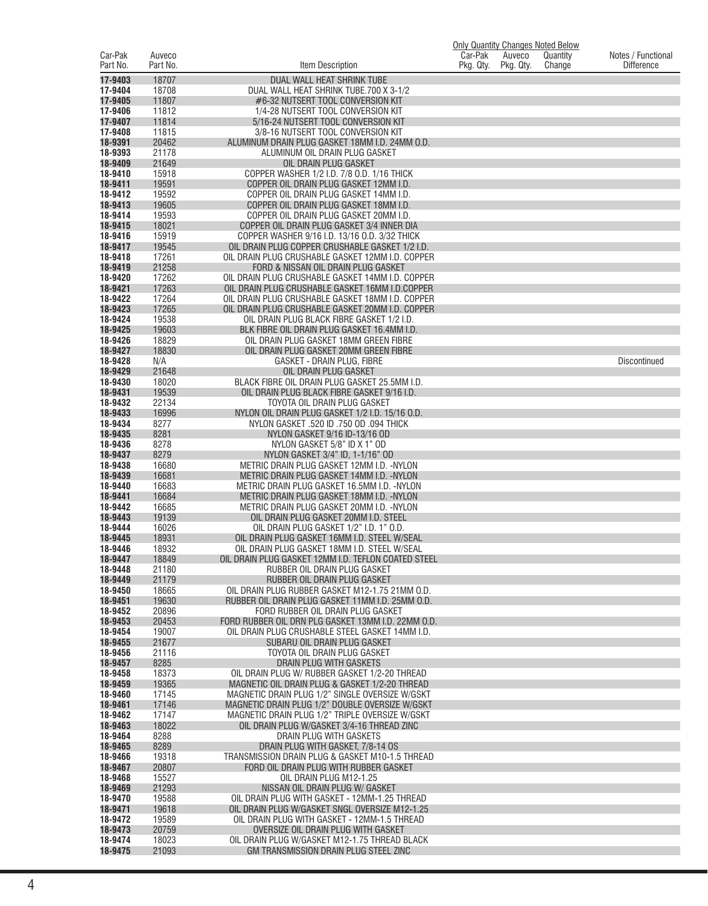|                     |                    |                                                                                                   | <b>Only Quantity Changes Noted Below</b> |                     |                    |                                         |
|---------------------|--------------------|---------------------------------------------------------------------------------------------------|------------------------------------------|---------------------|--------------------|-----------------------------------------|
| Car-Pak<br>Part No. | Auveco<br>Part No. | Item Description                                                                                  | Car-Pak<br>Pkg. Qty.                     | Auveco<br>Pkg. Qty. | Quantity<br>Change | Notes / Functional<br><b>Difference</b> |
| 17-9403             | 18707              | DUAL WALL HEAT SHRINK TUBE                                                                        |                                          |                     |                    |                                         |
| 17-9404             | 18708              | DUAL WALL HEAT SHRINK TUBE.700 X 3-1/2                                                            |                                          |                     |                    |                                         |
| 17-9405<br>17-9406  | 11807              | #6-32 NUTSERT TOOL CONVERSION KIT                                                                 |                                          |                     |                    |                                         |
| 17-9407             | 11812<br>11814     | 1/4-28 NUTSERT TOOL CONVERSION KIT<br>5/16-24 NUTSERT TOOL CONVERSION KIT                         |                                          |                     |                    |                                         |
| 17-9408             | 11815              | 3/8-16 NUTSERT TOOL CONVERSION KIT                                                                |                                          |                     |                    |                                         |
| 18-9391             | 20462              | ALUMINUM DRAIN PLUG GASKET 18MM I.D. 24MM O.D.                                                    |                                          |                     |                    |                                         |
| 18-9393             | 21178              | ALUMINUM OIL DRAIN PLUG GASKET                                                                    |                                          |                     |                    |                                         |
| 18-9409<br>18-9410  | 21649<br>15918     | OIL DRAIN PLUG GASKET<br>COPPER WASHER 1/2 I.D. 7/8 O.D. 1/16 THICK                               |                                          |                     |                    |                                         |
| 18-9411             | 19591              | COPPER OIL DRAIN PLUG GASKET 12MM I.D.                                                            |                                          |                     |                    |                                         |
| 18-9412             | 19592              | COPPER OIL DRAIN PLUG GASKET 14MM I.D.                                                            |                                          |                     |                    |                                         |
| 18-9413             | 19605              | COPPER OIL DRAIN PLUG GASKET 18MM I.D.                                                            |                                          |                     |                    |                                         |
| 18-9414<br>18-9415  | 19593<br>18021     | COPPER OIL DRAIN PLUG GASKET 20MM I.D.<br>COPPER OIL DRAIN PLUG GASKET 3/4 INNER DIA              |                                          |                     |                    |                                         |
| 18-9416             | 15919              | COPPER WASHER 9/16 I.D. 13/16 O.D. 3/32 THICK                                                     |                                          |                     |                    |                                         |
| 18-9417             | 19545              | OIL DRAIN PLUG COPPER CRUSHABLE GASKET 1/2 I.D.                                                   |                                          |                     |                    |                                         |
| 18-9418             | 17261              | OIL DRAIN PLUG CRUSHABLE GASKET 12MM I.D. COPPER                                                  |                                          |                     |                    |                                         |
| 18-9419<br>18-9420  | 21258<br>17262     | FORD & NISSAN OIL DRAIN PLUG GASKET<br>OIL DRAIN PLUG CRUSHABLE GASKET 14MM I.D. COPPER           |                                          |                     |                    |                                         |
| 18-9421             | 17263              | OIL DRAIN PLUG CRUSHABLE GASKET 16MM I.D.COPPER                                                   |                                          |                     |                    |                                         |
| 18-9422             | 17264              | OIL DRAIN PLUG CRUSHABLE GASKET 18MM I.D. COPPER                                                  |                                          |                     |                    |                                         |
| 18-9423             | 17265              | OIL DRAIN PLUG CRUSHABLE GASKET 20MM I.D. COPPER                                                  |                                          |                     |                    |                                         |
| 18-9424<br>18-9425  | 19538<br>19603     | OIL DRAIN PLUG BLACK FIBRE GASKET 1/2 I.D.<br>BLK FIBRE OIL DRAIN PLUG GASKET 16.4MM I.D          |                                          |                     |                    |                                         |
| 18-9426             | 18829              | OIL DRAIN PLUG GASKET 18MM GREEN FIBRE                                                            |                                          |                     |                    |                                         |
| 18-9427             | 18830              | OIL DRAIN PLUG GASKET 20MM GREEN FIBRE                                                            |                                          |                     |                    |                                         |
| 18-9428             | N/A                | <b>GASKET - DRAIN PLUG. FIBRE</b>                                                                 |                                          |                     |                    | Discontinued                            |
| 18-9429<br>18-9430  | 21648              | OIL DRAIN PLUG GASKET                                                                             |                                          |                     |                    |                                         |
| 18-9431             | 18020<br>19539     | BLACK FIBRE OIL DRAIN PLUG GASKET 25.5MM I.D.<br>OIL DRAIN PLUG BLACK FIBRE GASKET 9/16 I.D.      |                                          |                     |                    |                                         |
| 18-9432             | 22134              | TOYOTA OIL DRAIN PLUG GASKET                                                                      |                                          |                     |                    |                                         |
| 18-9433             | 16996              | NYLON OIL DRAIN PLUG GASKET 1/2 I.D. 15/16 O.D.                                                   |                                          |                     |                    |                                         |
| 18-9434<br>18-9435  | 8277<br>8281       | NYLON GASKET .520 ID .750 OD .094 THICK                                                           |                                          |                     |                    |                                         |
| 18-9436             | 8278               | NYLON GASKET 9/16 ID-13/16 OD<br>NYLON GASKET 5/8" ID X 1" OD                                     |                                          |                     |                    |                                         |
| 18-9437             | 8279               | NYLON GASKET 3/4" ID, 1-1/16" OD                                                                  |                                          |                     |                    |                                         |
| 18-9438             | 16680              | METRIC DRAIN PLUG GASKET 12MM I.D. - NYLON                                                        |                                          |                     |                    |                                         |
| 18-9439<br>18-9440  | 16681<br>16683     | METRIC DRAIN PLUG GASKET 14MM I.D. - NYLON<br>METRIC DRAIN PLUG GASKET 16.5MM I.D. - NYLON        |                                          |                     |                    |                                         |
| 18-9441             | 16684              | METRIC DRAIN PLUG GASKET 18MM I.D. - NYLON                                                        |                                          |                     |                    |                                         |
| 18-9442             | 16685              | METRIC DRAIN PLUG GASKET 20MM I.D. - NYLON                                                        |                                          |                     |                    |                                         |
| 18-9443             | 19139              | OIL DRAIN PLUG GASKET 20MM I.D. STEEL                                                             |                                          |                     |                    |                                         |
| 18-9444<br>18-9445  | 16026<br>18931     | OIL DRAIN PLUG GASKET 1/2" I.D. 1" O.D.<br>OIL DRAIN PLUG GASKET 16MM I.D. STEEL W/SEAL           |                                          |                     |                    |                                         |
| 18-9446             | 18932              | OIL DRAIN PLUG GASKET 18MM I.D. STEEL W/SEAL                                                      |                                          |                     |                    |                                         |
| 18-9447             | 18849              | OIL DRAIN PLUG GASKET 12MM I.D. TEFLON COATED STEEL                                               |                                          |                     |                    |                                         |
| 18-9448             | 21180              | RUBBER OIL DRAIN PLUG GASKET                                                                      |                                          |                     |                    |                                         |
| 18-9449<br>18-9450  | 21179<br>18665     | RUBBER OIL DRAIN PLUG GASKET<br>OIL DRAIN PLUG RUBBER GASKET M12-1.75 21MM O.D.                   |                                          |                     |                    |                                         |
| 18-9451             | 19630              | RUBBER OIL DRAIN PLUG GASKET 11MM I.D. 25MM O.D.                                                  |                                          |                     |                    |                                         |
| 18-9452             | 20896              | FORD RUBBER OIL DRAIN PLUG GASKET                                                                 |                                          |                     |                    |                                         |
| 18-9453             | 20453              | FORD RUBBER OIL DRN PLG GASKET 13MM I.D. 22MM O.D.                                                |                                          |                     |                    |                                         |
| 18-9454<br>18-9455  | 19007<br>21677     | OIL DRAIN PLUG CRUSHABLE STEEL GASKET 14MM I.D.<br>SUBARU OIL DRAIN PLUG GASKET                   |                                          |                     |                    |                                         |
| 18-9456             | 21116              | TOYOTA OIL DRAIN PLUG GASKET                                                                      |                                          |                     |                    |                                         |
| 18-9457             | 8285               | DRAIN PLUG WITH GASKETS                                                                           |                                          |                     |                    |                                         |
| 18-9458             | 18373              | OIL DRAIN PLUG W/ RUBBER GASKET 1/2-20 THREAD                                                     |                                          |                     |                    |                                         |
| 18-9459<br>18-9460  | 19365<br>17145     | MAGNETIC OIL DRAIN PLUG & GASKET 1/2-20 THREAD<br>MAGNETIC DRAIN PLUG 1/2" SINGLE OVERSIZE W/GSKT |                                          |                     |                    |                                         |
| 18-9461             | 17146              | MAGNETIC DRAIN PLUG 1/2" DOUBLE OVERSIZE W/GSKT                                                   |                                          |                     |                    |                                         |
| 18-9462             | 17147              | MAGNETIC DRAIN PLUG 1/2" TRIPLE OVERSIZE W/GSKT                                                   |                                          |                     |                    |                                         |
| 18-9463             | 18022              | OIL DRAIN PLUG W/GASKET 3/4-16 THREAD ZINC                                                        |                                          |                     |                    |                                         |
| 18-9464<br>18-9465  | 8288<br>8289       | DRAIN PLUG WITH GASKETS<br>DRAIN PLUG WITH GASKET, 7/8-14 OS                                      |                                          |                     |                    |                                         |
| 18-9466             | 19318              | TRANSMISSION DRAIN PLUG & GASKET M10-1.5 THREAD                                                   |                                          |                     |                    |                                         |
| 18-9467             | 20807              | FORD OIL DRAIN PLUG WITH RUBBER GASKET                                                            |                                          |                     |                    |                                         |
| 18-9468             | 15527              | OIL DRAIN PLUG M12-1.25                                                                           |                                          |                     |                    |                                         |
| 18-9469<br>18-9470  | 21293<br>19588     | NISSAN OIL DRAIN PLUG W/ GASKET<br>OIL DRAIN PLUG WITH GASKET - 12MM-1.25 THREAD                  |                                          |                     |                    |                                         |
| 18-9471             | 19618              | OIL DRAIN PLUG W/GASKET SNGL OVERSIZE M12-1.25                                                    |                                          |                     |                    |                                         |
| 18-9472             | 19589              | OIL DRAIN PLUG WITH GASKET - 12MM-1.5 THREAD                                                      |                                          |                     |                    |                                         |
| 18-9473<br>18-9474  | 20759<br>18023     | OVERSIZE OIL DRAIN PLUG WITH GASKET<br>OIL DRAIN PLUG W/GASKET M12-1.75 THREAD BLACK              |                                          |                     |                    |                                         |
| 18-9475             | 21093              | GM TRANSMISSION DRAIN PLUG STEEL ZINC                                                             |                                          |                     |                    |                                         |
|                     |                    |                                                                                                   |                                          |                     |                    |                                         |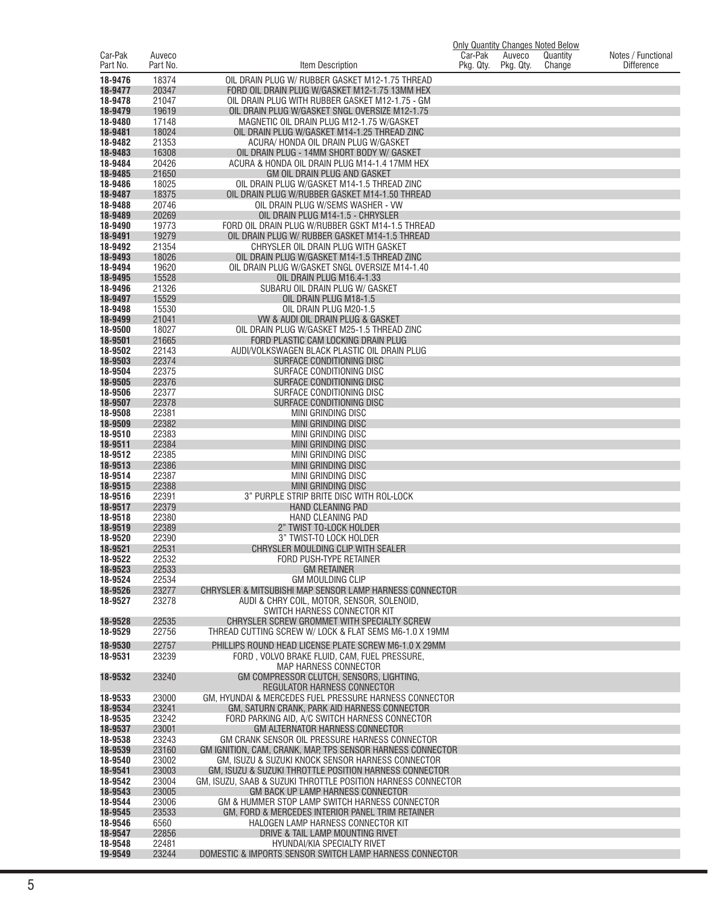|                     |                    |                                                                                                              | <b>Only Quantity Changes Noted Below</b> |                     |                    |                                         |
|---------------------|--------------------|--------------------------------------------------------------------------------------------------------------|------------------------------------------|---------------------|--------------------|-----------------------------------------|
| Car-Pak<br>Part No. | Auveco<br>Part No. | Item Description                                                                                             | Car-Pak<br>Pkg. Qty.                     | Auveco<br>Pkg. Qty. | Quantity<br>Change | Notes / Functional<br><b>Difference</b> |
| 18-9476             | 18374              | OIL DRAIN PLUG W/ RUBBER GASKET M12-1.75 THREAD                                                              |                                          |                     |                    |                                         |
| 18-9477             | 20347              | FORD OIL DRAIN PLUG W/GASKET M12-1.75 13MM HEX                                                               |                                          |                     |                    |                                         |
| 18-9478<br>18-9479  | 21047<br>19619     | OIL DRAIN PLUG WITH RUBBER GASKET M12-1.75 - GM<br>OIL DRAIN PLUG W/GASKET SNGL OVERSIZE M12-1.75            |                                          |                     |                    |                                         |
| 18-9480             | 17148              | MAGNETIC OIL DRAIN PLUG M12-1.75 W/GASKET                                                                    |                                          |                     |                    |                                         |
| 18-9481             | 18024              | OIL DRAIN PLUG W/GASKET M14-1.25 THREAD ZINC                                                                 |                                          |                     |                    |                                         |
| 18-9482<br>18-9483  | 21353<br>16308     | ACURA/ HONDA OIL DRAIN PLUG W/GASKET<br>OIL DRAIN PLUG - 14MM SHORT BODY W/ GASKET                           |                                          |                     |                    |                                         |
| 18-9484             | 20426              | ACURA & HONDA OIL DRAIN PLUG M14-1.4 17MM HEX                                                                |                                          |                     |                    |                                         |
| 18-9485             | 21650              | GM OIL DRAIN PLUG AND GASKET                                                                                 |                                          |                     |                    |                                         |
| 18-9486<br>18-9487  | 18025<br>18375     | OIL DRAIN PLUG W/GASKET M14-1.5 THREAD ZINC<br>OIL DRAIN PLUG W/RUBBER GASKET M14-1.50 THREAD                |                                          |                     |                    |                                         |
| 18-9488             | 20746              | OIL DRAIN PLUG W/SEMS WASHER - VW                                                                            |                                          |                     |                    |                                         |
| 18-9489             | 20269              | OIL DRAIN PLUG M14-1.5 - CHRYSLER                                                                            |                                          |                     |                    |                                         |
| 18-9490<br>18-9491  | 19773<br>19279     | FORD OIL DRAIN PLUG W/RUBBER GSKT M14-1.5 THREAD<br>OIL DRAIN PLUG W/ RUBBER GASKET M14-1.5 THREAD           |                                          |                     |                    |                                         |
| 18-9492             | 21354              | CHRYSLER OIL DRAIN PLUG WITH GASKET                                                                          |                                          |                     |                    |                                         |
| 18-9493             | 18026              | OIL DRAIN PLUG W/GASKET M14-1.5 THREAD ZINC                                                                  |                                          |                     |                    |                                         |
| 18-9494             | 19620              | OIL DRAIN PLUG W/GASKET SNGL OVERSIZE M14-1.40                                                               |                                          |                     |                    |                                         |
| 18-9495<br>18-9496  | 15528<br>21326     | OIL DRAIN PLUG M16.4-1.33<br>SUBARU OIL DRAIN PLUG W/ GASKET                                                 |                                          |                     |                    |                                         |
| 18-9497             | 15529              | OIL DRAIN PLUG M18-1.5                                                                                       |                                          |                     |                    |                                         |
| 18-9498             | 15530              | OIL DRAIN PLUG M20-1.5                                                                                       |                                          |                     |                    |                                         |
| 18-9499             | 21041              | VW & AUDI OIL DRAIN PLUG & GASKET                                                                            |                                          |                     |                    |                                         |
| 18-9500<br>18-9501  | 18027<br>21665     | OIL DRAIN PLUG W/GASKET M25-1.5 THREAD ZINC<br>FORD PLASTIC CAM LOCKING DRAIN PLUG                           |                                          |                     |                    |                                         |
| 18-9502             | 22143              | AUDI/VOLKSWAGEN BLACK PLASTIC OIL DRAIN PLUG                                                                 |                                          |                     |                    |                                         |
| 18-9503             | 22374              | SURFACE CONDITIONING DISC                                                                                    |                                          |                     |                    |                                         |
| 18-9504<br>18-9505  | 22375<br>22376     | SURFACE CONDITIONING DISC<br>SURFACE CONDITIONING DISC                                                       |                                          |                     |                    |                                         |
| 18-9506             | 22377              | SURFACE CONDITIONING DISC                                                                                    |                                          |                     |                    |                                         |
| 18-9507             | 22378              | SURFACE CONDITIONING DISC                                                                                    |                                          |                     |                    |                                         |
| 18-9508             | 22381              | <b>MINI GRINDING DISC</b>                                                                                    |                                          |                     |                    |                                         |
| 18-9509<br>18-9510  | 22382<br>22383     | MINI GRINDING DISC<br><b>MINI GRINDING DISC</b>                                                              |                                          |                     |                    |                                         |
| 18-9511             | 22384              | MINI GRINDING DISC                                                                                           |                                          |                     |                    |                                         |
| 18-9512             | 22385              | MINI GRINDING DISC                                                                                           |                                          |                     |                    |                                         |
| 18-9513<br>18-9514  | 22386<br>22387     | <b>MINI GRINDING DISC</b><br><b>MINI GRINDING DISC</b>                                                       |                                          |                     |                    |                                         |
| 18-9515             | 22388              | <b>MINI GRINDING DISC</b>                                                                                    |                                          |                     |                    |                                         |
| 18-9516             | 22391              | 3" PURPLE STRIP BRITE DISC WITH ROL-LOCK                                                                     |                                          |                     |                    |                                         |
| 18-9517<br>18-9518  | 22379<br>22380     | <b>HAND CLEANING PAD</b><br><b>HAND CLEANING PAD</b>                                                         |                                          |                     |                    |                                         |
| 18-9519             | 22389              | 2" TWIST TO-LOCK HOLDER                                                                                      |                                          |                     |                    |                                         |
| 18-9520             | 22390              | 3" TWIST-TO LOCK HOLDER                                                                                      |                                          |                     |                    |                                         |
| 18-9521             | 22531              | CHRYSLER MOULDING CLIP WITH SEALER                                                                           |                                          |                     |                    |                                         |
| 18-9522<br>18-9523  | 22532<br>22533     | FORD PUSH-TYPE RETAINER<br><b>GM RETAINER</b>                                                                |                                          |                     |                    |                                         |
| 18-9524             | 22534              | <b>GM MOULDING CLIP</b>                                                                                      |                                          |                     |                    |                                         |
| 18-9526<br>18-9527  | 23277<br>23278     | CHRYSLER & MITSUBISHI MAP SENSOR LAMP HARNESS CONNECTOR<br>AUDI & CHRY COIL, MOTOR, SENSOR, SOLENOID.        |                                          |                     |                    |                                         |
|                     |                    | SWITCH HARNESS CONNECTOR KIT                                                                                 |                                          |                     |                    |                                         |
| 18-9528             | 22535              | CHRYSLER SCREW GROMMET WITH SPECIALTY SCREW                                                                  |                                          |                     |                    |                                         |
| 18-9529             | 22756              | THREAD CUTTING SCREW W/ LOCK & FLAT SEMS M6-1.0 X 19MM                                                       |                                          |                     |                    |                                         |
| 18-9530<br>18-9531  | 22757<br>23239     | PHILLIPS ROUND HEAD LICENSE PLATE SCREW M6-1.0 X 29MM<br>FORD, VOLVO BRAKE FLUID, CAM, FUEL PRESSURE,        |                                          |                     |                    |                                         |
|                     |                    | <b>MAP HARNESS CONNECTOR</b>                                                                                 |                                          |                     |                    |                                         |
| 18-9532             | 23240              | GM COMPRESSOR CLUTCH, SENSORS, LIGHTING,                                                                     |                                          |                     |                    |                                         |
| 18-9533             | 23000              | REGULATOR HARNESS CONNECTOR<br>GM, HYUNDAI & MERCEDES FUEL PRESSURE HARNESS CONNECTOR                        |                                          |                     |                    |                                         |
| 18-9534             | 23241              | GM, SATURN CRANK, PARK AID HARNESS CONNECTOR                                                                 |                                          |                     |                    |                                         |
| 18-9535             | 23242              | FORD PARKING AID, A/C SWITCH HARNESS CONNECTOR                                                               |                                          |                     |                    |                                         |
| 18-9537             | 23001              | <b>GM ALTERNATOR HARNESS CONNECTOR</b>                                                                       |                                          |                     |                    |                                         |
| 18-9538<br>18-9539  | 23243<br>23160     | GM CRANK SENSOR OIL PRESSURE HARNESS CONNECTOR<br>GM IGNITION, CAM, CRANK, MAP, TPS SENSOR HARNESS CONNECTOR |                                          |                     |                    |                                         |
| 18-9540             | 23002              | GM, ISUZU & SUZUKI KNOCK SENSOR HARNESS CONNECTOR                                                            |                                          |                     |                    |                                         |
| 18-9541             | 23003              | GM, ISUZU & SUZUKI THROTTLE POSITION HARNESS CONNECTOR                                                       |                                          |                     |                    |                                         |
| 18-9542<br>18-9543  | 23004<br>23005     | GM, ISUZU, SAAB & SUZUKI THROTTLE POSITION HARNESS CONNECTOR<br>GM BACK UP LAMP HARNESS CONNECTOR            |                                          |                     |                    |                                         |
| 18-9544             | 23006              | GM & HUMMER STOP LAMP SWITCH HARNESS CONNECTOR                                                               |                                          |                     |                    |                                         |
| 18-9545             | 23533              | GM, FORD & MERCEDES INTERIOR PANEL TRIM RETAINER                                                             |                                          |                     |                    |                                         |
| 18-9546<br>18-9547  | 6560<br>22856      | HALOGEN LAMP HARNESS CONNECTOR KIT<br>DRIVE & TAIL LAMP MOUNTING RIVET                                       |                                          |                     |                    |                                         |
| 18-9548             | 22481              | HYUNDAI/KIA SPECIALTY RIVET                                                                                  |                                          |                     |                    |                                         |
| 19-9549             | 23244              | DOMESTIC & IMPORTS SENSOR SWITCH LAMP HARNESS CONNECTOR                                                      |                                          |                     |                    |                                         |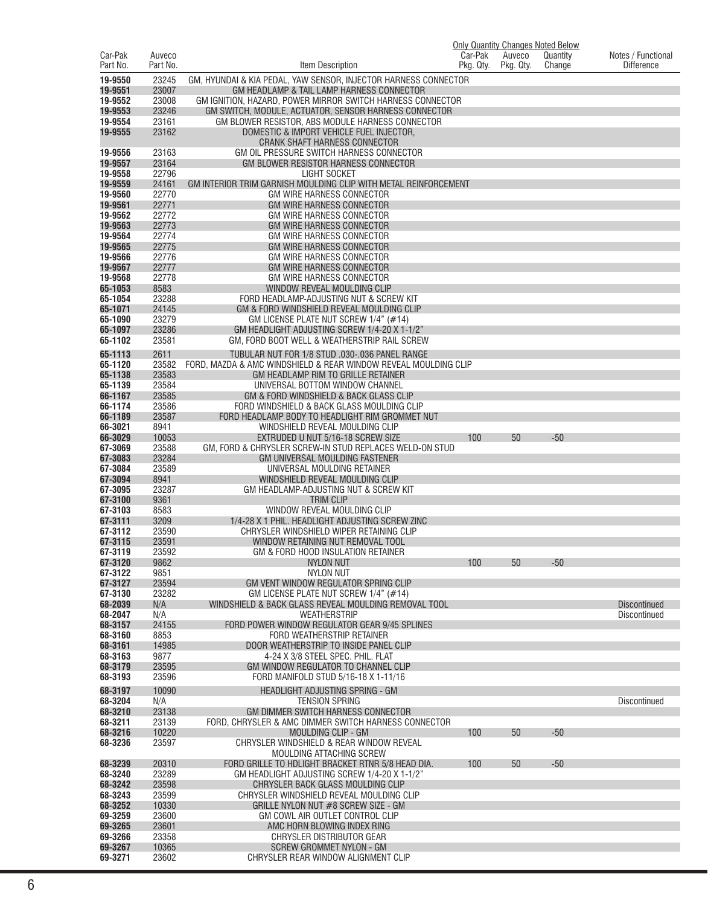| Car-Pak            | Auveco         |                                                                                                                     | <b>Only Quantity Changes Noted Below</b><br>Car-Pak | Auveco    | Quantity | Notes / Functional  |
|--------------------|----------------|---------------------------------------------------------------------------------------------------------------------|-----------------------------------------------------|-----------|----------|---------------------|
| Part No.           | Part No.       | Item Description                                                                                                    | Pkg. Qty.                                           | Pkg. Qty. | Change   | <b>Difference</b>   |
| 19-9550            | 23245          | GM. HYUNDAI & KIA PEDAL. YAW SENSOR. INJECTOR HARNESS CONNECTOR                                                     |                                                     |           |          |                     |
| 19-9551            | 23007          | GM HEADLAMP & TAIL LAMP HARNESS CONNECTOR                                                                           |                                                     |           |          |                     |
| 19-9552<br>19-9553 | 23008<br>23246 | GM IGNITION, HAZARD, POWER MIRROR SWITCH HARNESS CONNECTOR<br>GM SWITCH, MODULE, ACTUATOR, SENSOR HARNESS CONNECTOR |                                                     |           |          |                     |
| 19-9554            | 23161          | GM BLOWER RESISTOR, ABS MODULE HARNESS CONNECTOR                                                                    |                                                     |           |          |                     |
| 19-9555            | 23162          | DOMESTIC & IMPORT VEHICLE FUEL INJECTOR,<br>CRANK SHAFT HARNESS CONNECTOR                                           |                                                     |           |          |                     |
| 19-9556            | 23163          | GM OIL PRESSURE SWITCH HARNESS CONNECTOR                                                                            |                                                     |           |          |                     |
| 19-9557<br>19-9558 | 23164<br>22796 | GM BLOWER RESISTOR HARNESS CONNECTOR<br><b>LIGHT SOCKET</b>                                                         |                                                     |           |          |                     |
| 19-9559            | 24161          | GM INTERIOR TRIM GARNISH MOULDING CLIP WITH METAL REINFORCEMENT                                                     |                                                     |           |          |                     |
| 19-9560            | 22770          | <b>GM WIRE HARNESS CONNECTOR</b>                                                                                    |                                                     |           |          |                     |
| 19-9561            | 22771          | <b>GM WIRE HARNESS CONNECTOR</b>                                                                                    |                                                     |           |          |                     |
| 19-9562<br>19-9563 | 22772<br>22773 | <b>GM WIRE HARNESS CONNECTOR</b><br><b>GM WIRE HARNESS CONNECTOR</b>                                                |                                                     |           |          |                     |
| 19-9564            | 22774          | GM WIRE HARNESS CONNECTOR                                                                                           |                                                     |           |          |                     |
| 19-9565            | 22775          | <b>GM WIRE HARNESS CONNECTOR</b>                                                                                    |                                                     |           |          |                     |
| 19-9566            | 22776          | GM WIRE HARNESS CONNECTOR                                                                                           |                                                     |           |          |                     |
| 19-9567<br>19-9568 | 22777<br>22778 | <b>GM WIRE HARNESS CONNECTOR</b><br><b>GM WIRE HARNESS CONNECTOR</b>                                                |                                                     |           |          |                     |
| 65-1053            | 8583           | WINDOW REVEAL MOULDING CLIP                                                                                         |                                                     |           |          |                     |
| 65-1054            | 23288          | FORD HEADLAMP-ADJUSTING NUT & SCREW KIT                                                                             |                                                     |           |          |                     |
| 65-1071            | 24145          | GM & FORD WINDSHIELD REVEAL MOULDING CLIP                                                                           |                                                     |           |          |                     |
| 65-1090<br>65-1097 | 23279<br>23286 | GM LICENSE PLATE NUT SCREW 1/4" (#14)<br>GM HEADLIGHT ADJUSTING SCREW 1/4-20 X 1-1/2"                               |                                                     |           |          |                     |
| 65-1102            | 23581          | GM. FORD BOOT WELL & WEATHERSTRIP RAIL SCREW                                                                        |                                                     |           |          |                     |
| 65-1113            | 2611           | TUBULAR NUT FOR 1/8 STUD .030-.036 PANEL RANGE                                                                      |                                                     |           |          |                     |
| 65-1120            | 23582          | FORD, MAZDA & AMC WINDSHIELD & REAR WINDOW REVEAL MOULDING CLIP                                                     |                                                     |           |          |                     |
| 65-1138            | 23583          | GM HEADLAMP RIM TO GRILLE RETAINER                                                                                  |                                                     |           |          |                     |
| 65-1139<br>66-1167 | 23584<br>23585 | UNIVERSAL BOTTOM WINDOW CHANNEL<br>GM & FORD WINDSHIELD & BACK GLASS CLIP                                           |                                                     |           |          |                     |
| 66-1174            | 23586          | FORD WINDSHIELD & BACK GLASS MOULDING CLIP                                                                          |                                                     |           |          |                     |
| 66-1189            | 23587          | FORD HEADLAMP BODY TO HEADLIGHT RIM GROMMET NUT                                                                     |                                                     |           |          |                     |
| 66-3021            | 8941           | WINDSHIELD REVEAL MOULDING CLIP                                                                                     |                                                     |           |          |                     |
| 66-3029<br>67-3069 | 10053<br>23588 | EXTRUDED U NUT 5/16-18 SCREW SIZE<br>GM, FORD & CHRYSLER SCREW-IN STUD REPLACES WELD-ON STUD                        | 100                                                 | 50        | $-50$    |                     |
| 67-3083            | 23284          | GM UNIVERSAL MOULDING FASTENER                                                                                      |                                                     |           |          |                     |
| 67-3084            | 23589          | UNIVERSAL MOULDING RETAINER                                                                                         |                                                     |           |          |                     |
| 67-3094<br>67-3095 | 8941<br>23287  | WINDSHIELD REVEAL MOULDING CLIP<br>GM HEADLAMP-ADJUSTING NUT & SCREW KIT                                            |                                                     |           |          |                     |
| 67-3100            | 9361           | <b>TRIM CLIP</b>                                                                                                    |                                                     |           |          |                     |
| 67-3103            | 8583           | WINDOW REVEAL MOULDING CLIP                                                                                         |                                                     |           |          |                     |
| 67-3111            | 3209           | 1/4-28 X 1 PHIL. HEADLIGHT ADJUSTING SCREW ZINC                                                                     |                                                     |           |          |                     |
| 67-3112<br>67-3115 | 23590<br>23591 | CHRYSLER WINDSHIELD WIPER RETAINING CLIP<br>WINDOW RETAINING NUT REMOVAL TOOL                                       |                                                     |           |          |                     |
| 67-3119            | 23592          | GM & FORD HOOD INSULATION RETAINER                                                                                  |                                                     |           |          |                     |
| 67-3120            | 9862           | <b>NYLON NUT</b>                                                                                                    | 100                                                 | 50        | $-50$    |                     |
| 67-3122<br>67-3127 | 9851<br>23594  | NYLON NUT<br>GM VENT WINDOW REGULATOR SPRING CLIP                                                                   |                                                     |           |          |                     |
| 67-3130            | 23282          | GM LICENSE PLATE NUT SCREW $1/4$ " (#14)                                                                            |                                                     |           |          |                     |
| 68-2039            | N/A            | WINDSHIELD & BACK GLASS REVEAL MOULDING REMOVAL TOOL                                                                |                                                     |           |          | <b>Discontinued</b> |
| 68-2047            | N/A            | WEATHERSTRIP                                                                                                        |                                                     |           |          | Discontinued        |
| 68-3157<br>68-3160 | 24155<br>8853  | FORD POWER WINDOW REGULATOR GEAR 9/45 SPLINES<br>FORD WEATHERSTRIP RETAINER                                         |                                                     |           |          |                     |
| 68-3161            | 14985          | DOOR WEATHERSTRIP TO INSIDE PANEL CLIP                                                                              |                                                     |           |          |                     |
| 68-3163            | 9877           | 4-24 X 3/8 STEEL SPEC, PHIL, FLAT                                                                                   |                                                     |           |          |                     |
| 68-3179<br>68-3193 | 23595<br>23596 | GM WINDOW REGULATOR TO CHANNEL CLIP<br>FORD MANIFOLD STUD 5/16-18 X 1-11/16                                         |                                                     |           |          |                     |
| 68-3197            | 10090          | HEADLIGHT ADJUSTING SPRING - GM                                                                                     |                                                     |           |          |                     |
| 68-3204            | N/A            | <b>TENSION SPRING</b>                                                                                               |                                                     |           |          | <b>Discontinued</b> |
| 68-3210            | 23138          | GM DIMMER SWITCH HARNESS CONNECTOR                                                                                  |                                                     |           |          |                     |
| 68-3211            | 23139          | FORD, CHRYSLER & AMC DIMMER SWITCH HARNESS CONNECTOR                                                                |                                                     |           |          |                     |
| 68-3216<br>68-3236 | 10220<br>23597 | MOULDING CLIP - GM<br>CHRYSLER WINDSHIELD & REAR WINDOW REVEAL                                                      | 100                                                 | 50        | $-50$    |                     |
|                    |                | MOULDING ATTACHING SCREW                                                                                            |                                                     |           |          |                     |
| 68-3239            | 20310          | FORD GRILLE TO HDLIGHT BRACKET RTNR 5/8 HEAD DIA.                                                                   | 100                                                 | 50        | $-50$    |                     |
| 68-3240            | 23289          | GM HEADLIGHT ADJUSTING SCREW 1/4-20 X 1-1/2"                                                                        |                                                     |           |          |                     |
| 68-3242<br>68-3243 | 23598<br>23599 | CHRYSLER BACK GLASS MOULDING CLIP<br>CHRYSLER WINDSHIELD REVEAL MOULDING CLIP                                       |                                                     |           |          |                     |
| 68-3252            | 10330          | GRILLE NYLON NUT #8 SCREW SIZE - GM                                                                                 |                                                     |           |          |                     |
| 69-3259            | 23600          | GM COWL AIR OUTLET CONTROL CLIP                                                                                     |                                                     |           |          |                     |
| 69-3265<br>69-3266 | 23601<br>23358 | AMC HORN BLOWING INDEX RING<br>CHRYSLER DISTRIBUTOR GEAR                                                            |                                                     |           |          |                     |
| 69-3267            | 10365          | <b>SCREW GROMMET NYLON - GM</b>                                                                                     |                                                     |           |          |                     |
| 69-3271            | 23602          | CHRYSLER REAR WINDOW ALIGNMENT CLIP                                                                                 |                                                     |           |          |                     |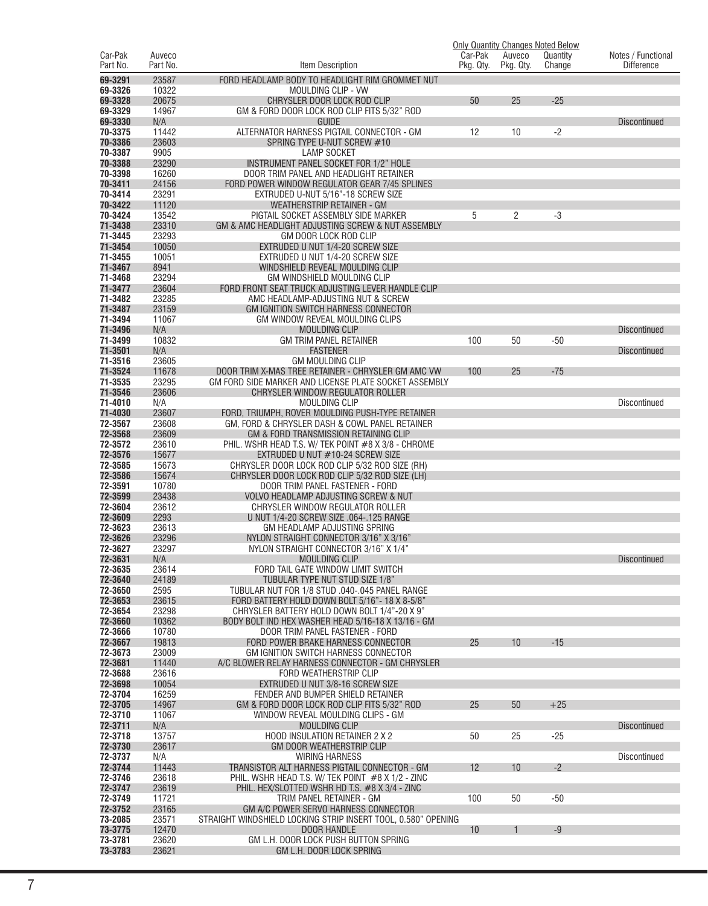|                    |                |                                                                                                       |           |           | <b>Only Quantity Changes Noted Below</b> |                     |
|--------------------|----------------|-------------------------------------------------------------------------------------------------------|-----------|-----------|------------------------------------------|---------------------|
| Car-Pak            | Auveco         |                                                                                                       | Car-Pak   | Auveco    | Quantity                                 | Notes / Functional  |
| Part No.           | Part No.       | Item Description                                                                                      | Pkg. Qty. | Pkg. Qty. | Change                                   | <b>Difference</b>   |
| 69-3291<br>69-3326 | 23587<br>10322 | FORD HEADLAMP BODY TO HEADLIGHT RIM GROMMET NUT<br><b>MOULDING CLIP - VW</b>                          |           |           |                                          |                     |
| 69-3328            | 20675          | CHRYSLER DOOR LOCK ROD CLIP                                                                           | 50        | 25        | $-25$                                    |                     |
| 69-3329            | 14967          | GM & FORD DOOR LOCK ROD CLIP FITS 5/32" ROD                                                           |           |           |                                          |                     |
| 69-3330            | N/A            | <b>GUIDE</b>                                                                                          |           |           |                                          | <b>Discontinued</b> |
| 70-3375            | 11442          | ALTERNATOR HARNESS PIGTAIL CONNECTOR - GM                                                             | 12        | 10        | $-2$                                     |                     |
| 70-3386<br>70-3387 | 23603<br>9905  | SPRING TYPE U-NUT SCREW #10<br><b>LAMP SOCKET</b>                                                     |           |           |                                          |                     |
| 70-3388            | 23290          | <b>INSTRUMENT PANEL SOCKET FOR 1/2" HOLE</b>                                                          |           |           |                                          |                     |
| 70-3398            | 16260          | DOOR TRIM PANEL AND HEADLIGHT RETAINER                                                                |           |           |                                          |                     |
| 70-3411            | 24156          | FORD POWER WINDOW REGULATOR GEAR 7/45 SPLINES                                                         |           |           |                                          |                     |
| 70-3414            | 23291          | EXTRUDED U-NUT 5/16"-18 SCREW SIZE                                                                    |           |           |                                          |                     |
| 70-3422<br>70-3424 | 11120<br>13542 | <b>WEATHERSTRIP RETAINER - GM</b><br>PIGTAIL SOCKET ASSEMBLY SIDE MARKER                              | 5         | 2         | $-3$                                     |                     |
| 71-3438            | 23310          | GM & AMC HEADLIGHT ADJUSTING SCREW & NUT ASSEMBLY                                                     |           |           |                                          |                     |
| 71-3445            | 23293          | GM DOOR LOCK ROD CLIP                                                                                 |           |           |                                          |                     |
| 71-3454            | 10050          | EXTRUDED U NUT 1/4-20 SCREW SIZE                                                                      |           |           |                                          |                     |
| 71-3455            | 10051          | EXTRUDED U NUT 1/4-20 SCREW SIZE                                                                      |           |           |                                          |                     |
| 71-3467<br>71-3468 | 8941<br>23294  | WINDSHIELD REVEAL MOULDING CLIP<br>GM WINDSHIELD MOULDING CLIP                                        |           |           |                                          |                     |
| 71-3477            | 23604          | FORD FRONT SEAT TRUCK ADJUSTING LEVER HANDLE CLIP                                                     |           |           |                                          |                     |
| 71-3482            | 23285          | AMC HEADLAMP-ADJUSTING NUT & SCREW                                                                    |           |           |                                          |                     |
| 71-3487            | 23159          | <b>GM IGNITION SWITCH HARNESS CONNECTOR</b>                                                           |           |           |                                          |                     |
| 71-3494            | 11067          | GM WINDOW REVEAL MOULDING CLIPS<br><b>MOULDING CLIP</b>                                               |           |           |                                          |                     |
| 71-3496<br>71-3499 | N/A<br>10832   | <b>GM TRIM PANEL RETAINER</b>                                                                         | 100       | 50        | $-50$                                    | <b>Discontinued</b> |
| 71-3501            | N/A            | <b>FASTENER</b>                                                                                       |           |           |                                          | <b>Discontinued</b> |
| 71-3516            | 23605          | <b>GM MOULDING CLIP</b>                                                                               |           |           |                                          |                     |
| 71-3524            | 11678          | DOOR TRIM X-MAS TREE RETAINER - CHRYSLER GM AMC VW                                                    | 100       | 25        | $-75$                                    |                     |
| 71-3535<br>71-3546 | 23295<br>23606 | GM FORD SIDE MARKER AND LICENSE PLATE SOCKET ASSEMBLY<br>CHRYSLER WINDOW REGULATOR ROLLER             |           |           |                                          |                     |
| 71-4010            | N/A            | <b>MOULDING CLIP</b>                                                                                  |           |           |                                          | Discontinued        |
| 71-4030            | 23607          | FORD, TRIUMPH, ROVER MOULDING PUSH-TYPE RETAINER                                                      |           |           |                                          |                     |
| 72-3567            | 23608          | GM, FORD & CHRYSLER DASH & COWL PANEL RETAINER                                                        |           |           |                                          |                     |
| 72-3568<br>72-3572 | 23609          | GM & FORD TRANSMISSION RETAINING CLIP                                                                 |           |           |                                          |                     |
| 72-3576            | 23610<br>15677 | PHIL. WSHR HEAD T.S. W/ TEK POINT #8 X 3/8 - CHROME<br>EXTRUDED U NUT #10-24 SCREW SIZE               |           |           |                                          |                     |
| 72-3585            | 15673          | CHRYSLER DOOR LOCK ROD CLIP 5/32 ROD SIZE (RH)                                                        |           |           |                                          |                     |
| 72-3586            | 15674          | CHRYSLER DOOR LOCK ROD CLIP 5/32 ROD SIZE (LH)                                                        |           |           |                                          |                     |
| 72-3591            | 10780          | DOOR TRIM PANEL FASTENER - FORD                                                                       |           |           |                                          |                     |
| 72-3599<br>72-3604 | 23438<br>23612 | <b>VOLVO HEADLAMP ADJUSTING SCREW &amp; NUT</b><br>CHRYSLER WINDOW REGULATOR ROLLER                   |           |           |                                          |                     |
| 72-3609            | 2293           | U NUT 1/4-20 SCREW SIZE .064-.125 RANGE                                                               |           |           |                                          |                     |
| 72-3623            | 23613          | GM HEADLAMP ADJUSTING SPRING                                                                          |           |           |                                          |                     |
| 72-3626            | 23296          | NYLON STRAIGHT CONNECTOR 3/16" X 3/16"                                                                |           |           |                                          |                     |
| 72-3627            | 23297          | NYLON STRAIGHT CONNECTOR 3/16" X 1/4"                                                                 |           |           |                                          |                     |
| 72-3631<br>72-3635 | N/A<br>23614   | <b>MOULDING CLIP</b><br>FORD TAIL GATE WINDOW LIMIT SWITCH                                            |           |           |                                          | <b>Discontinued</b> |
| 72-3640            | 24189          | TUBULAR TYPE NUT STUD SIZE 1/8"                                                                       |           |           |                                          |                     |
| 72-3650            | 2595           | TUBULAR NUT FOR 1/8 STUD .040-.045 PANEL RANGE                                                        |           |           |                                          |                     |
| 72-3653            | 23615          | FORD BATTERY HOLD DOWN BOLT 5/16" - 18 X 8-5/8"                                                       |           |           |                                          |                     |
| 72-3654<br>72-3660 | 23298<br>10362 | CHRYSLER BATTERY HOLD DOWN BOLT 1/4"-20 X 9"<br>BODY BOLT IND HEX WASHER HEAD 5/16-18 X 13/16 - GM    |           |           |                                          |                     |
| 72-3666            | 10780          | DOOR TRIM PANEL FASTENER - FORD                                                                       |           |           |                                          |                     |
| 72-3667            | 19813          | FORD POWER BRAKE HARNESS CONNECTOR                                                                    | 25        | 10        | $-15$                                    |                     |
| 72-3673            | 23009          | GM IGNITION SWITCH HARNESS CONNECTOR                                                                  |           |           |                                          |                     |
| 72-3681<br>72-3688 | 11440<br>23616 | A/C BLOWER RELAY HARNESS CONNECTOR - GM CHRYSLER<br>FORD WEATHERSTRIP CLIP                            |           |           |                                          |                     |
| 72-3698            | 10054          | EXTRUDED U NUT 3/8-16 SCREW SIZE                                                                      |           |           |                                          |                     |
| 72-3704            | 16259          | FENDER AND BUMPER SHIELD RETAINER                                                                     |           |           |                                          |                     |
| 72-3705            | 14967          | GM & FORD DOOR LOCK ROD CLIP FITS 5/32" ROD                                                           | 25        | 50        | $+25$                                    |                     |
| 72-3710<br>72-3711 | 11067          | WINDOW REVEAL MOULDING CLIPS - GM                                                                     |           |           |                                          |                     |
| 72-3718            | N/A<br>13757   | <b>MOULDING CLIP</b><br>HOOD INSULATION RETAINER 2 X 2                                                | 50        | 25        | $-25$                                    | <b>Discontinued</b> |
| 72-3730            | 23617          | GM DOOR WEATHERSTRIP CLIP                                                                             |           |           |                                          |                     |
| 72-3737            | N/A            | <b>WIRING HARNESS</b>                                                                                 |           |           |                                          | <b>Discontinued</b> |
| 72-3744            | 11443          | TRANSISTOR ALT HARNESS PIGTAIL CONNECTOR - GM                                                         | 12        | 10        | $-2$                                     |                     |
| 72-3746<br>72-3747 | 23618<br>23619 | PHIL. WSHR HEAD T.S. W/ TEK POINT $#8$ X 1/2 - ZINC<br>PHIL. HEX/SLOTTED WSHR HD T.S. #8 X 3/4 - ZINC |           |           |                                          |                     |
| 72-3749            | 11721          | TRIM PANEL RETAINER - GM                                                                              | 100       | 50        | $-50$                                    |                     |
| 72-3752            | 23165          | GM A/C POWER SERVO HARNESS CONNECTOR                                                                  |           |           |                                          |                     |
| 73-2085            | 23571          | STRAIGHT WINDSHIELD LOCKING STRIP INSERT TOOL, 0.580" OPENING                                         |           |           |                                          |                     |
| 73-3775<br>73-3781 | 12470<br>23620 | DOOR HANDLE<br>GM L.H. DOOR LOCK PUSH BUTTON SPRING                                                   | 10        |           | $-9$                                     |                     |
| 73-3783            | 23621          | GM L.H. DOOR LOCK SPRING                                                                              |           |           |                                          |                     |
|                    |                |                                                                                                       |           |           |                                          |                     |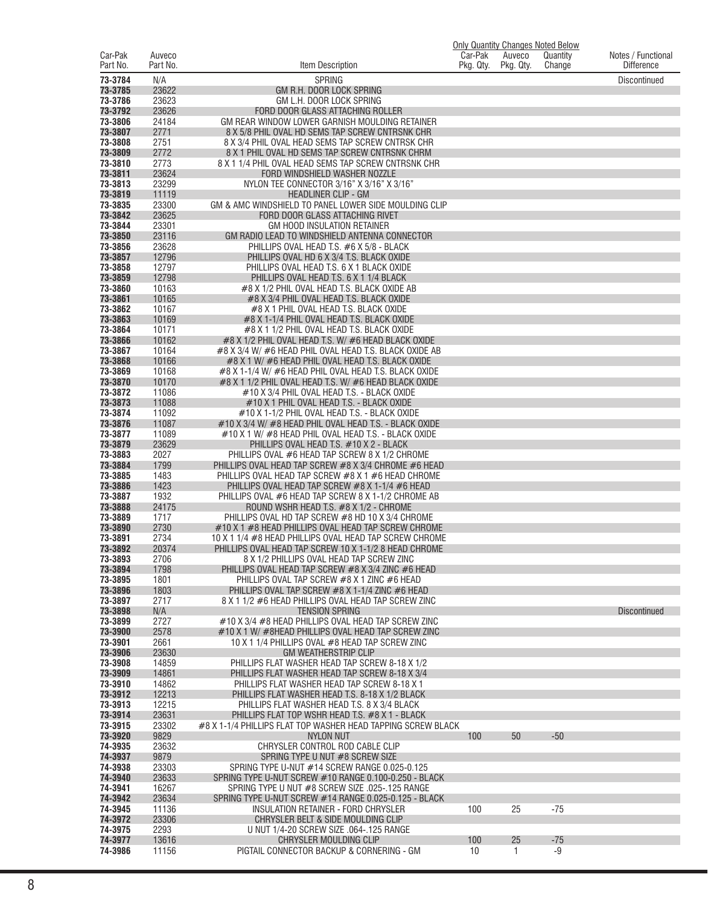|                     |                    |                                                                                                                 |                      |                     | <b>Only Quantity Changes Noted Below</b> |                                         |
|---------------------|--------------------|-----------------------------------------------------------------------------------------------------------------|----------------------|---------------------|------------------------------------------|-----------------------------------------|
| Car-Pak<br>Part No. | Auveco<br>Part No. | Item Description                                                                                                | Car-Pak<br>Pkg. Qty. | Auveco<br>Pkg. Qty. | Quantity<br>Change                       | Notes / Functional<br><b>Difference</b> |
| 73-3784             | N/A                | <b>SPRING</b>                                                                                                   |                      |                     |                                          | <b>Discontinued</b>                     |
| 73-3785<br>73-3786  | 23622<br>23623     | GM R.H. DOOR LOCK SPRING<br>GM L.H. DOOR LOCK SPRING                                                            |                      |                     |                                          |                                         |
| 73-3792             | 23626              | FORD DOOR GLASS ATTACHING ROLLER                                                                                |                      |                     |                                          |                                         |
| 73-3806             | 24184              | GM REAR WINDOW LOWER GARNISH MOULDING RETAINER                                                                  |                      |                     |                                          |                                         |
| 73-3807<br>73-3808  | 2771<br>2751       | 8 X 5/8 PHIL OVAL HD SEMS TAP SCREW CNTRSNK CHR<br>8 X 3/4 PHIL OVAL HEAD SEMS TAP SCREW CNTRSK CHR             |                      |                     |                                          |                                         |
| 73-3809             | 2772               | 8 X 1 PHIL OVAL HD SEMS TAP SCREW CNTRSNK CHRM                                                                  |                      |                     |                                          |                                         |
| 73-3810             | 2773               | 8 X 1 1/4 PHIL OVAL HEAD SEMS TAP SCREW CNTRSNK CHR                                                             |                      |                     |                                          |                                         |
| 73-3811<br>73-3813  | 23624<br>23299     | FORD WINDSHIELD WASHER NOZZLE<br>NYLON TEE CONNECTOR 3/16" X 3/16" X 3/16"                                      |                      |                     |                                          |                                         |
| 73-3819             | 11119              | <b>HEADLINER CLIP - GM</b>                                                                                      |                      |                     |                                          |                                         |
| 73-3835             | 23300              | GM & AMC WINDSHIELD TO PANEL LOWER SIDE MOULDING CLIP                                                           |                      |                     |                                          |                                         |
| 73-3842<br>73-3844  | 23625<br>23301     | FORD DOOR GLASS ATTACHING RIVET<br><b>GM HOOD INSULATION RETAINER</b>                                           |                      |                     |                                          |                                         |
| 73-3850             | 23116              | GM RADIO LEAD TO WINDSHIELD ANTENNA CONNECTOR                                                                   |                      |                     |                                          |                                         |
| 73-3856             | 23628              | PHILLIPS OVAL HEAD T.S. #6 X 5/8 - BLACK                                                                        |                      |                     |                                          |                                         |
| 73-3857<br>73-3858  | 12796<br>12797     | PHILLIPS OVAL HD 6 X 3/4 T.S. BLACK OXIDE<br>PHILLIPS OVAL HEAD T.S. 6 X 1 BLACK OXIDE                          |                      |                     |                                          |                                         |
| 73-3859             | 12798              | PHILLIPS OVAL HEAD T.S. 6 X 1 1/4 BLACK                                                                         |                      |                     |                                          |                                         |
| 73-3860             | 10163              | #8 X 1/2 PHIL OVAL HEAD T.S. BLACK OXIDE AB                                                                     |                      |                     |                                          |                                         |
| 73-3861<br>73-3862  | 10165<br>10167     | #8 X 3/4 PHIL OVAL HEAD T.S. BLACK OXIDE<br>#8 X 1 PHIL OVAL HEAD T.S. BLACK OXIDE                              |                      |                     |                                          |                                         |
| 73-3863             | 10169              | #8 X 1-1/4 PHIL OVAL HEAD T.S. BLACK OXIDE                                                                      |                      |                     |                                          |                                         |
| 73-3864             | 10171              | #8 X 1 1/2 PHIL OVAL HEAD T.S. BLACK OXIDE                                                                      |                      |                     |                                          |                                         |
| 73-3866<br>73-3867  | 10162<br>10164     | #8 X 1/2 PHIL OVAL HEAD T.S. W/ #6 HEAD BLACK OXIDE<br>#8 X 3/4 W/ #6 HEAD PHIL OVAL HEAD T.S. BLACK OXIDE AB   |                      |                     |                                          |                                         |
| 73-3868             | 10166              | #8 X 1 W/ #6 HEAD PHIL OVAL HEAD T.S. BLACK OXIDE                                                               |                      |                     |                                          |                                         |
| 73-3869             | 10168              | #8 X 1-1/4 W/ #6 HEAD PHIL OVAL HEAD T.S. BLACK OXIDE                                                           |                      |                     |                                          |                                         |
| 73-3870<br>73-3872  | 10170<br>11086     | #8 X 1 1/2 PHIL OVAL HEAD T.S. W/ #6 HEAD BLACK OXIDE<br>#10 X 3/4 PHIL OVAL HEAD T.S. - BLACK OXIDE            |                      |                     |                                          |                                         |
| 73-3873             | 11088              | #10 X 1 PHIL OVAL HEAD T.S. - BLACK OXIDE                                                                       |                      |                     |                                          |                                         |
| 73-3874<br>73-3876  | 11092<br>11087     | #10 X 1-1/2 PHIL OVAL HEAD T.S. - BLACK OXIDE<br>#10 X 3/4 W/ #8 HEAD PHIL OVAL HEAD T.S. - BLACK OXIDE         |                      |                     |                                          |                                         |
| 73-3877             | 11089              | #10 X 1 W/ #8 HEAD PHIL OVAL HEAD T.S. - BLACK OXIDE                                                            |                      |                     |                                          |                                         |
| 73-3879             | 23629              | PHILLIPS OVAL HEAD T.S. #10 X 2 - BLACK                                                                         |                      |                     |                                          |                                         |
| 73-3883<br>73-3884  | 2027<br>1799       | PHILLIPS OVAL #6 HEAD TAP SCREW 8 X 1/2 CHROME<br>PHILLIPS OVAL HEAD TAP SCREW #8 X 3/4 CHROME #6 HEAD          |                      |                     |                                          |                                         |
| 73-3885             | 1483               | PHILLIPS OVAL HEAD TAP SCREW #8 X 1 #6 HEAD CHROME                                                              |                      |                     |                                          |                                         |
| 73-3886             | 1423               | PHILLIPS OVAL HEAD TAP SCREW #8 X 1-1/4 #6 HEAD                                                                 |                      |                     |                                          |                                         |
| 73-3887<br>73-3888  | 1932<br>24175      | PHILLIPS OVAL #6 HEAD TAP SCREW 8 X 1-1/2 CHROME AB<br>ROUND WSHR HEAD T.S. #8 X 1/2 - CHROME                   |                      |                     |                                          |                                         |
| 73-3889             | 1717               | PHILLIPS OVAL HD TAP SCREW #8 HD 10 X 3/4 CHROME                                                                |                      |                     |                                          |                                         |
| 73-3890             | 2730               | #10 X 1 #8 HEAD PHILLIPS OVAL HEAD TAP SCREW CHROME                                                             |                      |                     |                                          |                                         |
| 73-3891<br>73-3892  | 2734<br>20374      | 10 X 1 1/4 #8 HEAD PHILLIPS OVAL HEAD TAP SCREW CHROME<br>PHILLIPS OVAL HEAD TAP SCREW 10 X 1-1/2 8 HEAD CHROME |                      |                     |                                          |                                         |
| 73-3893             | 2706               | 8 X 1/2 PHILLIPS OVAL HEAD TAP SCREW ZINC                                                                       |                      |                     |                                          |                                         |
| 73-3894             | 1798               | PHILLIPS OVAL HEAD TAP SCREW #8 X 3/4 ZINC #6 HEAD                                                              |                      |                     |                                          |                                         |
| 73-3895<br>73-3896  | 1801<br>1803       | PHILLIPS OVAL TAP SCREW #8 X 1 ZINC #6 HEAD<br>PHILLIPS OVAL TAP SCREW #8 X 1-1/4 ZINC #6 HEAD                  |                      |                     |                                          |                                         |
| 73-3897             | 2717               | 8 X 1 1/2 #6 HEAD PHILLIPS OVAL HEAD TAP SCREW ZINC                                                             |                      |                     |                                          |                                         |
| 73-3898             | N/A                | <b>TENSION SPRING</b>                                                                                           |                      |                     |                                          | <b>Discontinued</b>                     |
| 73-3899<br>73-3900  | 2727<br>2578       | #10 X 3/4 #8 HEAD PHILLIPS OVAL HEAD TAP SCREW ZINC<br>#10 X 1 W/ #8HEAD PHILLIPS OVAL HEAD TAP SCREW ZINC      |                      |                     |                                          |                                         |
| 73-3901             | 2661               | 10 X 1 1/4 PHILLIPS OVAL #8 HEAD TAP SCREW ZINC                                                                 |                      |                     |                                          |                                         |
| 73-3906<br>73-3908  | 23630<br>14859     | <b>GM WEATHERSTRIP CLIP</b><br>PHILLIPS FLAT WASHER HEAD TAP SCREW 8-18 X 1/2                                   |                      |                     |                                          |                                         |
| 73-3909             | 14861              | PHILLIPS FLAT WASHER HEAD TAP SCREW 8-18 X 3/4                                                                  |                      |                     |                                          |                                         |
| 73-3910             | 14862              | PHILLIPS FLAT WASHER HEAD TAP SCREW 8-18 X 1                                                                    |                      |                     |                                          |                                         |
| 73-3912<br>73-3913  | 12213<br>12215     | PHILLIPS FLAT WASHER HEAD T.S. 8-18 X 1/2 BLACK<br>PHILLIPS FLAT WASHER HEAD T.S. 8 X 3/4 BLACK                 |                      |                     |                                          |                                         |
| 73-3914             | 23631              | PHILLIPS FLAT TOP WSHR HEAD T.S. #8 X 1 - BLACK                                                                 |                      |                     |                                          |                                         |
| 73-3915             | 23302              | #8 X 1-1/4 PHILLIPS FLAT TOP WASHER HEAD TAPPING SCREW BLACK                                                    |                      |                     |                                          |                                         |
| 73-3920<br>74-3935  | 9829<br>23632      | <b>NYLON NUT</b><br>CHRYSLER CONTROL ROD CABLE CLIP                                                             | 100                  | 50                  | $-50$                                    |                                         |
| 74-3937             | 9879               | SPRING TYPE U NUT #8 SCREW SIZE                                                                                 |                      |                     |                                          |                                         |
| 74-3938             | 23303              | SPRING TYPE U-NUT #14 SCREW RANGE 0.025-0.125                                                                   |                      |                     |                                          |                                         |
| 74-3940<br>74-3941  | 23633<br>16267     | SPRING TYPE U-NUT SCREW #10 RANGE 0.100-0.250 - BLACK<br>SPRING TYPE U NUT #8 SCREW SIZE .025-.125 RANGE        |                      |                     |                                          |                                         |
| 74-3942             | 23634              | SPRING TYPE U-NUT SCREW #14 RANGE 0.025-0.125 - BLACK                                                           |                      |                     |                                          |                                         |
| 74-3945             | 11136              | INSULATION RETAINER - FORD CHRYSLER                                                                             | 100                  | 25                  | $-75$                                    |                                         |
| 74-3972<br>74-3975  | 23306<br>2293      | CHRYSLER BELT & SIDE MOULDING CLIP<br>U NUT 1/4-20 SCREW SIZE .064-.125 RANGE                                   |                      |                     |                                          |                                         |
| 74-3977             | 13616              | CHRYSLER MOULDING CLIP                                                                                          | 100                  | 25                  | $-75$                                    |                                         |
| 74-3986             | 11156              | PIGTAIL CONNECTOR BACKUP & CORNERING - GM                                                                       | 10                   | $\mathbf{1}$        | $-9$                                     |                                         |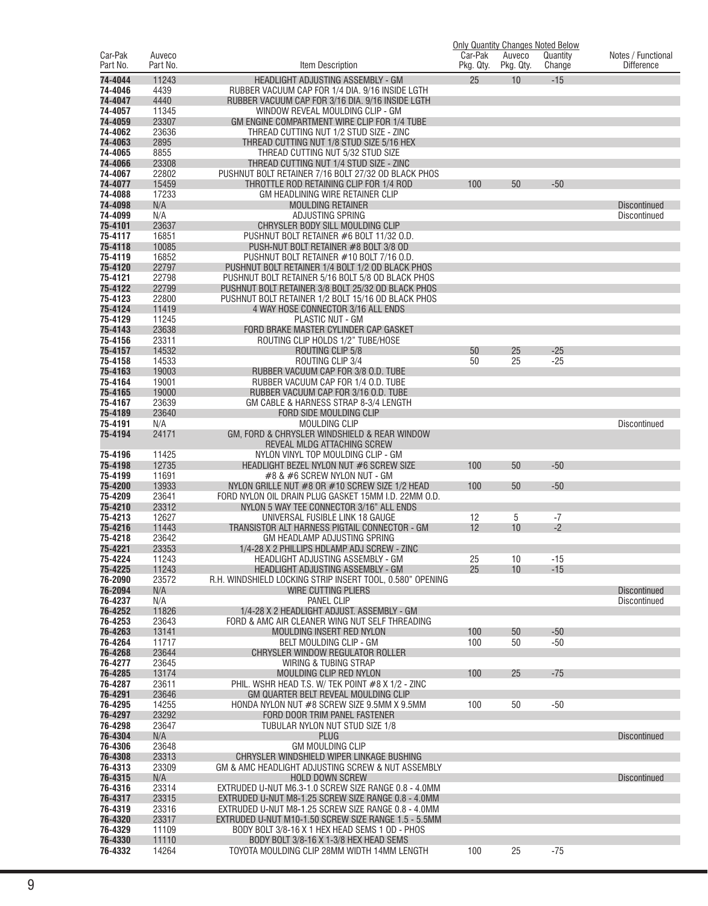|                     |                    |                                                                                                            | <b>Only Quantity Changes Noted Below</b> |                     |                    |                                         |
|---------------------|--------------------|------------------------------------------------------------------------------------------------------------|------------------------------------------|---------------------|--------------------|-----------------------------------------|
| Car-Pak<br>Part No. | Auveco<br>Part No. | Item Description                                                                                           | Car-Pak<br>Pkg. Qty.                     | Auveco<br>Pkg. Qty. | Quantity<br>Change | Notes / Functional<br><b>Difference</b> |
|                     |                    |                                                                                                            |                                          |                     |                    |                                         |
| 74-4044<br>74-4046  | 11243<br>4439      | HEADLIGHT ADJUSTING ASSEMBLY - GM<br>RUBBER VACUUM CAP FOR 1/4 DIA. 9/16 INSIDE LGTH                       | 25                                       | 10                  | $-15$              |                                         |
| 74-4047             | 4440               | RUBBER VACUUM CAP FOR 3/16 DIA. 9/16 INSIDE LGTH                                                           |                                          |                     |                    |                                         |
| 74-4057             | 11345              | WINDOW REVEAL MOULDING CLIP - GM                                                                           |                                          |                     |                    |                                         |
| 74-4059             | 23307              | GM ENGINE COMPARTMENT WIRE CLIP FOR 1/4 TUBE                                                               |                                          |                     |                    |                                         |
| 74-4062             | 23636              | THREAD CUTTING NUT 1/2 STUD SIZE - ZINC                                                                    |                                          |                     |                    |                                         |
| 74-4063             | 2895               | THREAD CUTTING NUT 1/8 STUD SIZE 5/16 HEX                                                                  |                                          |                     |                    |                                         |
| 74-4065             | 8855               | THREAD CUTTING NUT 5/32 STUD SIZE                                                                          |                                          |                     |                    |                                         |
| 74-4066             | 23308              | THREAD CUTTING NUT 1/4 STUD SIZE - ZINC                                                                    |                                          |                     |                    |                                         |
| 74-4067             | 22802              | PUSHNUT BOLT RETAINER 7/16 BOLT 27/32 OD BLACK PHOS                                                        |                                          |                     |                    |                                         |
| 74-4077<br>74-4088  | 15459<br>17233     | THROTTLE ROD RETAINING CLIP FOR 1/4 ROD<br>GM HEADLINING WIRE RETAINER CLIP                                | 100                                      | 50                  | $-50$              |                                         |
| 74-4098             | N/A                | <b>MOULDING RETAINER</b>                                                                                   |                                          |                     |                    | <b>Discontinued</b>                     |
| 74-4099             | N/A                | ADJUSTING SPRING                                                                                           |                                          |                     |                    | Discontinued                            |
| 75-4101             | 23637              | CHRYSLER BODY SILL MOULDING CLIP                                                                           |                                          |                     |                    |                                         |
| 75-4117             | 16851              | PUSHNUT BOLT RETAINER #6 BOLT 11/32 O.D.                                                                   |                                          |                     |                    |                                         |
| 75-4118             | 10085              | PUSH-NUT BOLT RETAINER #8 BOLT 3/8 OD                                                                      |                                          |                     |                    |                                         |
| 75-4119             | 16852              | PUSHNUT BOLT RETAINER #10 BOLT 7/16 O.D.                                                                   |                                          |                     |                    |                                         |
| 75-4120             | 22797              | PUSHNUT BOLT RETAINER 1/4 BOLT 1/2 OD BLACK PHOS                                                           |                                          |                     |                    |                                         |
| 75-4121<br>75-4122  | 22798<br>22799     | PUSHNUT BOLT RETAINER 5/16 BOLT 5/8 OD BLACK PHOS<br>PUSHNUT BOLT RETAINER 3/8 BOLT 25/32 OD BLACK PHOS    |                                          |                     |                    |                                         |
| 75-4123             | 22800              | PUSHNUT BOLT RETAINER 1/2 BOLT 15/16 OD BLACK PHOS                                                         |                                          |                     |                    |                                         |
| 75-4124             | 11419              | 4 WAY HOSE CONNECTOR 3/16 ALL ENDS                                                                         |                                          |                     |                    |                                         |
| 75-4129             | 11245              | <b>PLASTIC NUT - GM</b>                                                                                    |                                          |                     |                    |                                         |
| 75-4143             | 23638              | FORD BRAKE MASTER CYLINDER CAP GASKET                                                                      |                                          |                     |                    |                                         |
| 75-4156             | 23311              | ROUTING CLIP HOLDS 1/2" TUBE/HOSE                                                                          |                                          |                     |                    |                                         |
| 75-4157             | 14532              | ROUTING CLIP 5/8                                                                                           | 50                                       | 25                  | $-25$              |                                         |
| 75-4158             | 14533              | ROUTING CLIP 3/4                                                                                           | 50                                       | 25                  | $-25$              |                                         |
| 75-4163<br>75-4164  | 19003<br>19001     | RUBBER VACUUM CAP FOR 3/8 O.D. TUBE<br>RUBBER VACUUM CAP FOR 1/4 O.D. TUBE                                 |                                          |                     |                    |                                         |
| 75-4165             | 19000              | RUBBER VACUUM CAP FOR 3/16 O.D. TUBE                                                                       |                                          |                     |                    |                                         |
| 75-4167             | 23639              | GM CABLE & HARNESS STRAP 8-3/4 LENGTH                                                                      |                                          |                     |                    |                                         |
| 75-4189             | 23640              | FORD SIDE MOULDING CLIP                                                                                    |                                          |                     |                    |                                         |
| 75-4191             | N/A                | <b>MOULDING CLIP</b>                                                                                       |                                          |                     |                    | Discontinued                            |
| 75-4194             | 24171              | GM, FORD & CHRYSLER WINDSHIELD & REAR WINDOW                                                               |                                          |                     |                    |                                         |
|                     |                    | REVEAL MLDG ATTACHING SCREW                                                                                |                                          |                     |                    |                                         |
| 75-4196<br>75-4198  | 11425<br>12735     | NYLON VINYL TOP MOULDING CLIP - GM<br>HEADLIGHT BEZEL NYLON NUT #6 SCREW SIZE                              | 100                                      | 50                  | $-50$              |                                         |
| 75-4199             | 11691              | #8 & #6 SCREW NYLON NUT - GM                                                                               |                                          |                     |                    |                                         |
| 75-4200             | 13933              | NYLON GRILLE NUT $#8$ OR $#10$ SCREW SIZE 1/2 HEAD                                                         | 100                                      | 50                  | $-50$              |                                         |
| 75-4209             | 23641              | FORD NYLON OIL DRAIN PLUG GASKET 15MM I.D. 22MM O.D.                                                       |                                          |                     |                    |                                         |
| 75-4210             | 23312              | NYLON 5 WAY TEE CONNECTOR 3/16" ALL ENDS                                                                   |                                          |                     |                    |                                         |
| 75-4213             | 12627              | UNIVERSAL FUSIBLE LINK 18 GAUGE                                                                            | 12                                       | 5                   | $-7$               |                                         |
| 75-4216             | 11443              | TRANSISTOR ALT HARNESS PIGTAIL CONNECTOR - GM                                                              | 12                                       | 10                  | $-2$               |                                         |
| 75-4218<br>75-4221  | 23642<br>23353     | GM HEADLAMP ADJUSTING SPRING<br>1/4-28 X 2 PHILLIPS HDLAMP ADJ SCREW - ZINC                                |                                          |                     |                    |                                         |
| 75-4224             | 11243              | HEADLIGHT ADJUSTING ASSEMBLY - GM                                                                          | 25                                       | 10                  | -15                |                                         |
| 75-4225             | 11243              | HEADLIGHT ADJUSTING ASSEMBLY - GM                                                                          | 25                                       | 10                  | $-15$              |                                         |
| 76-2090             | 23572              | R.H. WINDSHIELD LOCKING STRIP INSERT TOOL, 0.580" OPENING                                                  |                                          |                     |                    |                                         |
| 76-2094             | N/A                | <b>WIRE CUTTING PLIERS</b>                                                                                 |                                          |                     |                    | <b>Discontinued</b>                     |
| 76-4237             | N/A                | <b>PANEL CLIP</b>                                                                                          |                                          |                     |                    | Discontinued                            |
| 76-4252             | 11826              | 1/4-28 X 2 HEADLIGHT ADJUST. ASSEMBLY - GM                                                                 |                                          |                     |                    |                                         |
| 76-4253<br>76-4263  | 23643<br>13141     | FORD & AMC AIR CLEANER WING NUT SELF THREADING                                                             | 100                                      | 50                  | $-50$              |                                         |
| 76-4264             | 11717              | MOULDING INSERT RED NYLON<br>BELT MOULDING CLIP - GM                                                       | 100                                      | 50                  | $-50$              |                                         |
| 76-4268             | 23644              | CHRYSLER WINDOW REGULATOR ROLLER                                                                           |                                          |                     |                    |                                         |
| 76-4277             | 23645              | WIRING & TUBING STRAP                                                                                      |                                          |                     |                    |                                         |
| 76-4285             | 13174              | MOULDING CLIP RED NYLON                                                                                    | 100                                      | 25                  | $-75$              |                                         |
| 76-4287             | 23611              | PHIL. WSHR HEAD T.S. W/ TEK POINT #8 X 1/2 - ZINC                                                          |                                          |                     |                    |                                         |
| 76-4291             | 23646              | GM QUARTER BELT REVEAL MOULDING CLIP                                                                       |                                          |                     |                    |                                         |
| 76-4295<br>76-4297  | 14255<br>23292     | HONDA NYLON NUT #8 SCREW SIZE 9.5MM X 9.5MM<br>FORD DOOR TRIM PANEL FASTENER                               | 100                                      | 50                  | $-50$              |                                         |
| 76-4298             | 23647              | TUBULAR NYLON NUT STUD SIZE 1/8                                                                            |                                          |                     |                    |                                         |
| 76-4304             | N/A                | <b>PLUG</b>                                                                                                |                                          |                     |                    | <b>Discontinued</b>                     |
| 76-4306             | 23648              | <b>GM MOULDING CLIP</b>                                                                                    |                                          |                     |                    |                                         |
| 76-4308             | 23313              | CHRYSLER WINDSHIELD WIPER LINKAGE BUSHING                                                                  |                                          |                     |                    |                                         |
| 76-4313             | 23309              | GM & AMC HEADLIGHT ADJUSTING SCREW & NUT ASSEMBLY                                                          |                                          |                     |                    |                                         |
| 76-4315             | N/A                | <b>HOLD DOWN SCREW</b>                                                                                     |                                          |                     |                    | <b>Discontinued</b>                     |
| 76-4316             | 23314              | EXTRUDED U-NUT M6.3-1.0 SCREW SIZE RANGE 0.8 - 4.0MM                                                       |                                          |                     |                    |                                         |
| 76-4317<br>76-4319  | 23315<br>23316     | EXTRUDED U-NUT M8-1.25 SCREW SIZE RANGE 0.8 - 4.0MM<br>EXTRUDED U-NUT M8-1.25 SCREW SIZE RANGE 0.8 - 4.0MM |                                          |                     |                    |                                         |
| 76-4320             | 23317              | EXTRUDED U-NUT M10-1.50 SCREW SIZE RANGE 1.5 - 5.5MM                                                       |                                          |                     |                    |                                         |
| 76-4329             | 11109              | BODY BOLT 3/8-16 X 1 HEX HEAD SEMS 1 OD - PHOS                                                             |                                          |                     |                    |                                         |
| 76-4330             | 11110              | BODY BOLT 3/8-16 X 1-3/8 HEX HEAD SEMS                                                                     |                                          |                     |                    |                                         |
| 76-4332             | 14264              | TOYOTA MOULDING CLIP 28MM WIDTH 14MM LENGTH                                                                | 100                                      | 25                  | $-75$              |                                         |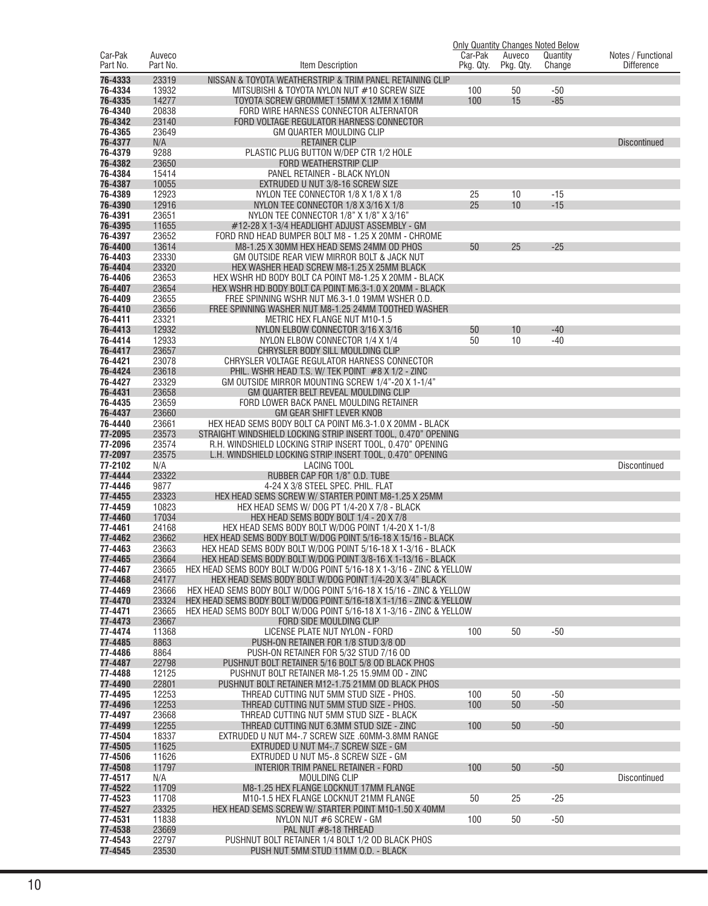|                     |                    |                                                                                                                             |                      |                     | <b>Only Quantity Changes Noted Below</b> |                                         |
|---------------------|--------------------|-----------------------------------------------------------------------------------------------------------------------------|----------------------|---------------------|------------------------------------------|-----------------------------------------|
| Car-Pak<br>Part No. | Auveco<br>Part No. | Item Description                                                                                                            | Car-Pak<br>Pkg. Qty. | Auveco<br>Pkg. Qty. | Quantity<br>Change                       | Notes / Functional<br><b>Difference</b> |
| 76-4333             | 23319              |                                                                                                                             |                      |                     |                                          |                                         |
| 76-4334             | 13932              | NISSAN & TOYOTA WEATHERSTRIP & TRIM PANEL RETAINING CLIP<br>MITSUBISHI & TOYOTA NYLON NUT #10 SCREW SIZE                    | 100                  | 50                  | -50                                      |                                         |
| 76-4335             | 14277              | TOYOTA SCREW GROMMET 15MM X 12MM X 16MM                                                                                     | 100                  | 15                  | $-85$                                    |                                         |
| 76-4340             | 20838              | FORD WIRE HARNESS CONNECTOR ALTERNATOR                                                                                      |                      |                     |                                          |                                         |
| 76-4342             | 23140              | FORD VOLTAGE REGULATOR HARNESS CONNECTOR                                                                                    |                      |                     |                                          |                                         |
| 76-4365             | 23649              | GM QUARTER MOULDING CLIP                                                                                                    |                      |                     |                                          |                                         |
| 76-4377             | N/A                | <b>RETAINER CLIP</b>                                                                                                        |                      |                     |                                          | <b>Discontinued</b>                     |
| 76-4379             | 9288               | PLASTIC PLUG BUTTON W/DEP CTR 1/2 HOLE                                                                                      |                      |                     |                                          |                                         |
| 76-4382             | 23650              | FORD WEATHERSTRIP CLIP                                                                                                      |                      |                     |                                          |                                         |
| 76-4384<br>76-4387  | 15414<br>10055     | PANEL RETAINER - BLACK NYLON<br>EXTRUDED U NUT 3/8-16 SCREW SIZE                                                            |                      |                     |                                          |                                         |
| 76-4389             | 12923              | NYLON TEE CONNECTOR 1/8 X 1/8 X 1/8                                                                                         | 25                   | 10                  | $-15$                                    |                                         |
| 76-4390             | 12916              | NYLON TEE CONNECTOR 1/8 X 3/16 X 1/8                                                                                        | 25                   | 10                  | $-15$                                    |                                         |
| 76-4391             | 23651              | NYLON TEE CONNECTOR 1/8" X 1/8" X 3/16"                                                                                     |                      |                     |                                          |                                         |
| 76-4395             | 11655              | #12-28 X 1-3/4 HEADLIGHT ADJUST ASSEMBLY - GM                                                                               |                      |                     |                                          |                                         |
| 76-4397             | 23652              | FORD RND HEAD BUMPER BOLT M8 - 1.25 X 20MM - CHROME                                                                         |                      |                     |                                          |                                         |
| 76-4400             | 13614              | M8-1.25 X 30MM HEX HEAD SEMS 24MM OD PHOS                                                                                   | 50                   | 25                  | $-25$                                    |                                         |
| 76-4403             | 23330              | GM OUTSIDE REAR VIEW MIRROR BOLT & JACK NUT                                                                                 |                      |                     |                                          |                                         |
| 76-4404             | 23320              | HEX WASHER HEAD SCREW M8-1.25 X 25MM BLACK                                                                                  |                      |                     |                                          |                                         |
| 76-4406<br>76-4407  | 23653<br>23654     | HEX WSHR HD BODY BOLT CA POINT M8-1.25 X 20MM - BLACK<br>HEX WSHR HD BODY BOLT CA POINT M6.3-1.0 X 20MM - BLACK             |                      |                     |                                          |                                         |
| 76-4409             | 23655              | FREE SPINNING WSHR NUT M6.3-1.0 19MM WSHER O.D.                                                                             |                      |                     |                                          |                                         |
| 76-4410             | 23656              | FREE SPINNING WASHER NUT M8-1.25 24MM TOOTHED WASHER                                                                        |                      |                     |                                          |                                         |
| 76-4411             | 23321              | METRIC HEX FLANGE NUT M10-1.5                                                                                               |                      |                     |                                          |                                         |
| 76-4413             | 12932              | NYLON ELBOW CONNECTOR 3/16 X 3/16                                                                                           | 50                   | 10                  | $-40$                                    |                                         |
| 76-4414             | 12933              | NYLON ELBOW CONNECTOR 1/4 X 1/4                                                                                             | 50                   | 10                  | $-40$                                    |                                         |
| 76-4417             | 23657              | CHRYSLER BODY SILL MOULDING CLIP                                                                                            |                      |                     |                                          |                                         |
| 76-4421             | 23078              | CHRYSLER VOLTAGE REGULATOR HARNESS CONNECTOR                                                                                |                      |                     |                                          |                                         |
| 76-4424<br>76-4427  | 23618<br>23329     | PHIL. WSHR HEAD T.S. W/ TEK POINT #8 X 1/2 - ZINC<br>GM OUTSIDE MIRROR MOUNTING SCREW 1/4"-20 X 1-1/4"                      |                      |                     |                                          |                                         |
| 76-4431             | 23658              | GM QUARTER BELT REVEAL MOULDING CLIP                                                                                        |                      |                     |                                          |                                         |
| 76-4435             | 23659              | FORD LOWER BACK PANEL MOULDING RETAINER                                                                                     |                      |                     |                                          |                                         |
| 76-4437             | 23660              | <b>GM GEAR SHIFT LEVER KNOB</b>                                                                                             |                      |                     |                                          |                                         |
| 76-4440             | 23661              | HEX HEAD SEMS BODY BOLT CA POINT M6.3-1.0 X 20MM - BLACK                                                                    |                      |                     |                                          |                                         |
| 77-2095             | 23573              | STRAIGHT WINDSHIELD LOCKING STRIP INSERT TOOL, 0.470" OPENING                                                               |                      |                     |                                          |                                         |
| 77-2096             | 23574              | R.H. WINDSHIELD LOCKING STRIP INSERT TOOL, 0.470" OPENING                                                                   |                      |                     |                                          |                                         |
| 77-2097<br>77-2102  | 23575<br>N/A       | L.H. WINDSHIELD LOCKING STRIP INSERT TOOL, 0.470" OPENING<br><b>LACING TOOL</b>                                             |                      |                     |                                          |                                         |
| 77-4444             | 23322              | RUBBER CAP FOR 1/8" O.D. TUBE                                                                                               |                      |                     |                                          | Discontinued                            |
| 77-4446             | 9877               | 4-24 X 3/8 STEEL SPEC. PHIL. FLAT                                                                                           |                      |                     |                                          |                                         |
| 77-4455             | 23323              | HEX HEAD SEMS SCREW W/ STARTER POINT M8-1.25 X 25MM                                                                         |                      |                     |                                          |                                         |
| 77-4459             | 10823              | HEX HEAD SEMS W/ DOG PT 1/4-20 X 7/8 - BLACK                                                                                |                      |                     |                                          |                                         |
| 77-4460             | 17034              | HEX HEAD SEMS BODY BOLT 1/4 - 20 X 7/8                                                                                      |                      |                     |                                          |                                         |
| 77-4461             | 24168              | HEX HEAD SEMS BODY BOLT W/DOG POINT 1/4-20 X 1-1/8                                                                          |                      |                     |                                          |                                         |
| 77-4462<br>77-4463  | 23662<br>23663     | HEX HEAD SEMS BODY BOLT W/DOG POINT 5/16-18 X 15/16 - BLACK<br>HEX HEAD SEMS BODY BOLT W/DOG POINT 5/16-18 X 1-3/16 - BLACK |                      |                     |                                          |                                         |
| 77-4465             | 23664              | HEX HEAD SEMS BODY BOLT W/DOG POINT 3/8-16 X 1-13/16 - BLACK                                                                |                      |                     |                                          |                                         |
| 77-4467             | 23665              | HEX HEAD SEMS BODY BOLT W/DOG POINT 5/16-18 X 1-3/16 - ZINC & YELLOW                                                        |                      |                     |                                          |                                         |
| 77-4468             | 24177              | HEX HEAD SEMS BODY BOLT W/DOG POINT 1/4-20 X 3/4" BLACK                                                                     |                      |                     |                                          |                                         |
| 77-4469             | 23666              | HEX HEAD SEMS BODY BOLT W/DOG POINT 5/16-18 X 15/16 - ZINC & YELLOW                                                         |                      |                     |                                          |                                         |
| 77-4470             | 23324              | HEX HEAD SEMS BODY BOLT W/DOG POINT 5/16-18 X 1-1/16 - ZINC & YELLOW                                                        |                      |                     |                                          |                                         |
| 77-4471             | 23665              | HEX HEAD SEMS BODY BOLT W/DOG POINT 5/16-18 X 1-3/16 - ZINC & YELLOW<br>FORD SIDE MOULDING CLIP                             |                      |                     |                                          |                                         |
| 77-4473<br>77-4474  | 23667<br>11368     | LICENSE PLATE NUT NYLON - FORD                                                                                              | 100                  | 50                  | $-50$                                    |                                         |
| 77-4485             | 8863               | PUSH-ON RETAINER FOR 1/8 STUD 3/8 OD                                                                                        |                      |                     |                                          |                                         |
| 77-4486             | 8864               | PUSH-ON RETAINER FOR 5/32 STUD 7/16 OD                                                                                      |                      |                     |                                          |                                         |
| 77-4487             | 22798              | PUSHNUT BOLT RETAINER 5/16 BOLT 5/8 OD BLACK PHOS                                                                           |                      |                     |                                          |                                         |
| 77-4488             | 12125              | PUSHNUT BOLT RETAINER M8-1.25 15.9MM OD - ZINC                                                                              |                      |                     |                                          |                                         |
| 77-4490             | 22801              | PUSHNUT BOLT RETAINER M12-1.75 21MM OD BLACK PHOS                                                                           |                      |                     |                                          |                                         |
| 77-4495<br>77-4496  | 12253<br>12253     | THREAD CUTTING NUT 5MM STUD SIZE - PHOS.<br>THREAD CUTTING NUT 5MM STUD SIZE - PHOS.                                        | 100                  | 50<br>50            | $-50$<br>$-50$                           |                                         |
| 77-4497             | 23668              | THREAD CUTTING NUT 5MM STUD SIZE - BLACK                                                                                    | 100                  |                     |                                          |                                         |
| 77-4499             | 12255              | THREAD CUTTING NUT 6.3MM STUD SIZE - ZINC                                                                                   | 100                  | 50                  | $-50$                                    |                                         |
| 77-4504             | 18337              | EXTRUDED U NUT M4-.7 SCREW SIZE .60MM-3.8MM RANGE                                                                           |                      |                     |                                          |                                         |
| 77-4505             | 11625              | EXTRUDED U NUT M4-.7 SCREW SIZE - GM                                                                                        |                      |                     |                                          |                                         |
| 77-4506             | 11626              | EXTRUDED U NUT M5-.8 SCREW SIZE - GM                                                                                        |                      |                     |                                          |                                         |
| 77-4508             | 11797              | INTERIOR TRIM PANEL RETAINER - FORD                                                                                         | 100                  | 50                  | $-50$                                    |                                         |
| 77-4517             | N/A                | MOULDING CLIP                                                                                                               |                      |                     |                                          | <b>Discontinued</b>                     |
| 77-4522<br>77-4523  | 11709<br>11708     | M8-1.25 HEX FLANGE LOCKNUT 17MM FLANGE<br>M10-1.5 HEX FLANGE LOCKNUT 21MM FLANGE                                            | 50                   | 25                  | $-25$                                    |                                         |
| 77-4527             | 23325              | HEX HEAD SEMS SCREW W/ STARTER POINT M10-1.50 X 40MM                                                                        |                      |                     |                                          |                                         |
| 77-4531             | 11838              | NYLON NUT #6 SCREW - GM                                                                                                     | 100                  | 50                  | -50                                      |                                         |
| 77-4538             | 23669              | PAL NUT #8-18 THREAD                                                                                                        |                      |                     |                                          |                                         |
| 77-4543             | 22797              | PUSHNUT BOLT RETAINER 1/4 BOLT 1/2 OD BLACK PHOS                                                                            |                      |                     |                                          |                                         |
| 77-4545             | 23530              | PUSH NUT 5MM STUD 11MM O.D. - BLACK                                                                                         |                      |                     |                                          |                                         |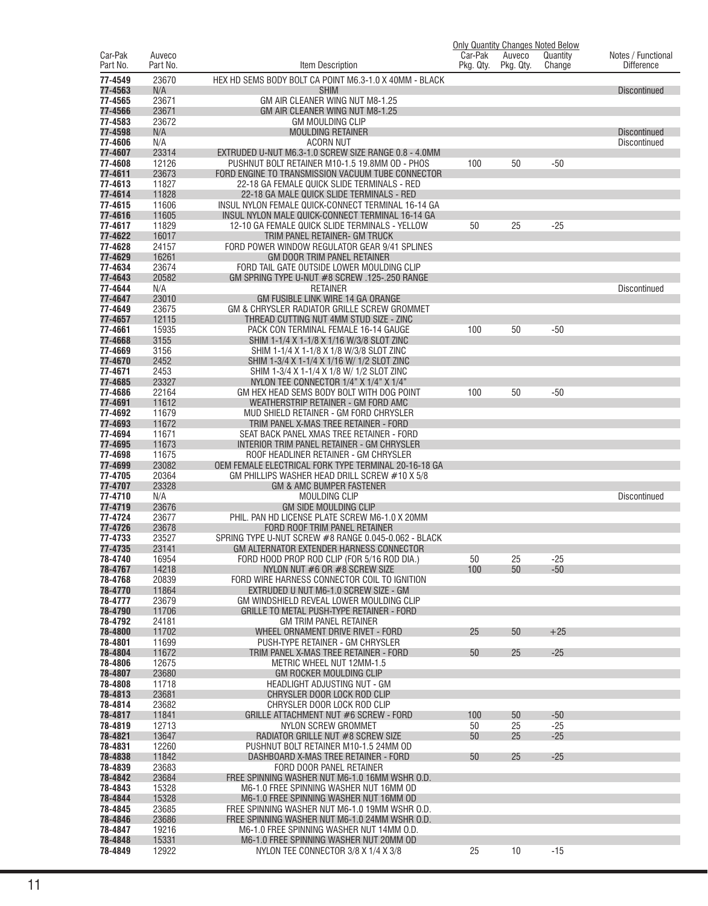|                     |                    |                                                                                                    | Car-Pak   |                     | <b>Only Quantity Changes Noted Below</b> |                                         |
|---------------------|--------------------|----------------------------------------------------------------------------------------------------|-----------|---------------------|------------------------------------------|-----------------------------------------|
| Car-Pak<br>Part No. | Auveco<br>Part No. | Item Description                                                                                   | Pkg. Qty. | Auveco<br>Pkg. Qty. | Quantity<br>Change                       | Notes / Functional<br><b>Difference</b> |
| 77-4549             | 23670              | HEX HD SEMS BODY BOLT CA POINT M6.3-1.0 X 40MM - BLACK                                             |           |                     |                                          |                                         |
| 77-4563             | N/A                | <b>SHIM</b>                                                                                        |           |                     |                                          | <b>Discontinued</b>                     |
| 77-4565             | 23671              | GM AIR CLEANER WING NUT M8-1.25                                                                    |           |                     |                                          |                                         |
| 77-4566             | 23671              | GM AIR CLEANER WING NUT M8-1.25                                                                    |           |                     |                                          |                                         |
| 77-4583             | 23672              | <b>GM MOULDING CLIP</b>                                                                            |           |                     |                                          |                                         |
| 77-4598             | N/A                | <b>MOULDING RETAINER</b>                                                                           |           |                     |                                          | <b>Discontinued</b>                     |
| 77-4606<br>77-4607  | N/A<br>23314       | <b>ACORN NUT</b><br>EXTRUDED U-NUT M6.3-1.0 SCREW SIZE RANGE 0.8 - 4.0MM                           |           |                     |                                          | <b>Discontinued</b>                     |
| 77-4608             | 12126              | PUSHNUT BOLT RETAINER M10-1.5 19.8MM OD - PHOS                                                     | 100       | 50                  | $-50$                                    |                                         |
| 77-4611             | 23673              | FORD ENGINE TO TRANSMISSION VACUUM TUBE CONNECTOR                                                  |           |                     |                                          |                                         |
| 77-4613             | 11827              | 22-18 GA FEMALE QUICK SLIDE TERMINALS - RED                                                        |           |                     |                                          |                                         |
| 77-4614             | 11828              | 22-18 GA MALE QUICK SLIDE TERMINALS - RED                                                          |           |                     |                                          |                                         |
| 77-4615             | 11606              | INSUL NYLON FEMALE QUICK-CONNECT TERMINAL 16-14 GA                                                 |           |                     |                                          |                                         |
| 77-4616<br>77-4617  | 11605<br>11829     | INSUL NYLON MALE QUICK-CONNECT TERMINAL 16-14 GA<br>12-10 GA FEMALE QUICK SLIDE TERMINALS - YELLOW | 50        | 25                  | $-25$                                    |                                         |
| 77-4622             | 16017              | TRIM PANEL RETAINER- GM TRUCK                                                                      |           |                     |                                          |                                         |
| 77-4628             | 24157              | FORD POWER WINDOW REGULATOR GEAR 9/41 SPLINES                                                      |           |                     |                                          |                                         |
| 77-4629             | 16261              | GM DOOR TRIM PANEL RETAINER                                                                        |           |                     |                                          |                                         |
| 77-4634             | 23674              | FORD TAIL GATE OUTSIDE LOWER MOULDING CLIP                                                         |           |                     |                                          |                                         |
| 77-4643             | 20582              | GM SPRING TYPE U-NUT #8 SCREW .125-.250 RANGE                                                      |           |                     |                                          |                                         |
| 77-4644<br>77-4647  | N/A<br>23010       | <b>RETAINER</b><br>GM FUSIBLE LINK WIRE 14 GA ORANGE                                               |           |                     |                                          | <b>Discontinued</b>                     |
| 77-4649             | 23675              | GM & CHRYSLER RADIATOR GRILLE SCREW GROMMET                                                        |           |                     |                                          |                                         |
| 77-4657             | 12115              | THREAD CUTTING NUT 4MM STUD SIZE - ZINC                                                            |           |                     |                                          |                                         |
| 77-4661             | 15935              | PACK CON TERMINAL FEMALE 16-14 GAUGE                                                               | 100       | 50                  | $-50$                                    |                                         |
| 77-4668             | 3155               | SHIM 1-1/4 X 1-1/8 X 1/16 W/3/8 SLOT ZINC                                                          |           |                     |                                          |                                         |
| 77-4669             | 3156               | SHIM 1-1/4 X 1-1/8 X 1/8 W/3/8 SLOT ZINC                                                           |           |                     |                                          |                                         |
| 77-4670             | 2452               | SHIM 1-3/4 X 1-1/4 X 1/16 W/ 1/2 SLOT ZINC                                                         |           |                     |                                          |                                         |
| 77-4671<br>77-4685  | 2453<br>23327      | SHIM 1-3/4 X 1-1/4 X 1/8 W/ 1/2 SLOT ZINC<br>NYLON TEE CONNECTOR $1/4$ " X $1/4$ " X $1/4$ "       |           |                     |                                          |                                         |
| 77-4686             | 22164              | GM HEX HEAD SEMS BODY BOLT WITH DOG POINT                                                          | 100       | 50                  | $-50$                                    |                                         |
| 77-4691             | 11612              | WEATHERSTRIP RETAINER - GM FORD AMC                                                                |           |                     |                                          |                                         |
| 77-4692             | 11679              | MUD SHIELD RETAINER - GM FORD CHRYSLER                                                             |           |                     |                                          |                                         |
| 77-4693             | 11672              | TRIM PANEL X-MAS TREE RETAINER - FORD                                                              |           |                     |                                          |                                         |
| 77-4694             | 11671              | SEAT BACK PANEL XMAS TREE RETAINER - FORD                                                          |           |                     |                                          |                                         |
| 77-4695<br>77-4698  | 11673<br>11675     | INTERIOR TRIM PANEL RETAINER - GM CHRYSLER<br>ROOF HEADLINER RETAINER - GM CHRYSLER                |           |                     |                                          |                                         |
| 77-4699             | 23082              | OEM FEMALE ELECTRICAL FORK TYPE TERMINAL 20-16-18 GA                                               |           |                     |                                          |                                         |
| 77-4705             | 20364              | GM PHILLIPS WASHER HEAD DRILL SCREW #10 X 5/8                                                      |           |                     |                                          |                                         |
| 77-4707             | 23328              | <b>GM &amp; AMC BUMPER FASTENER</b>                                                                |           |                     |                                          |                                         |
| 77-4710             | N/A                | <b>MOULDING CLIP</b>                                                                               |           |                     |                                          | <b>Discontinued</b>                     |
| 77-4719             | 23676              | <b>GM SIDE MOULDING CLIP</b>                                                                       |           |                     |                                          |                                         |
| 77-4724<br>77-4726  | 23677<br>23678     | PHIL. PAN HD LICENSE PLATE SCREW M6-1.0 X 20MM<br>FORD ROOF TRIM PANEL RETAINER                    |           |                     |                                          |                                         |
| 77-4733             | 23527              | SPRING TYPE U-NUT SCREW #8 RANGE 0.045-0.062 - BLACK                                               |           |                     |                                          |                                         |
| 77-4735             | 23141              | GM ALTERNATOR EXTENDER HARNESS CONNECTOR                                                           |           |                     |                                          |                                         |
| 78-4740             | 16954              | FORD HOOD PROP ROD CLIP (FOR 5/16 ROD DIA.)                                                        | 50        | 25                  | -25                                      |                                         |
| 78-4767             | 14218              | NYLON NUT #6 OR #8 SCREW SIZE                                                                      | 100       | 50                  | $-50$                                    |                                         |
| 78-4768<br>78-4770  | 20839<br>11864     | FORD WIRE HARNESS CONNECTOR COIL TO IGNITION<br>EXTRUDED U NUT M6-1.0 SCREW SIZE - GM              |           |                     |                                          |                                         |
| 78-4777             | 23679              | GM WINDSHIELD REVEAL LOWER MOULDING CLIP                                                           |           |                     |                                          |                                         |
| 78-4790             | 11706              | GRILLE TO METAL PUSH-TYPE RETAINER - FORD                                                          |           |                     |                                          |                                         |
| 78-4792             | 24181              | <b>GM TRIM PANEL RETAINER</b>                                                                      |           |                     |                                          |                                         |
| 78-4800             | 11702              | WHEEL ORNAMENT DRIVE RIVET - FORD                                                                  | 25        | 50                  | $+25$                                    |                                         |
| 78-4801             | 11699              | PUSH-TYPE RETAINER - GM CHRYSLER                                                                   |           |                     |                                          |                                         |
| 78-4804<br>78-4806  | 11672<br>12675     | TRIM PANEL X-MAS TREE RETAINER - FORD                                                              | 50        | 25                  | $-25$                                    |                                         |
| 78-4807             | 23680              | METRIC WHEEL NUT 12MM-1.5<br>GM ROCKER MOULDING CLIP                                               |           |                     |                                          |                                         |
| 78-4808             | 11718              | HEADLIGHT ADJUSTING NUT - GM                                                                       |           |                     |                                          |                                         |
| 78-4813             | 23681              | CHRYSLER DOOR LOCK ROD CLIP                                                                        |           |                     |                                          |                                         |
| 78-4814             | 23682              | CHRYSLER DOOR LOCK ROD CLIP                                                                        |           |                     |                                          |                                         |
| 78-4817             | 11841              | GRILLE ATTACHMENT NUT #6 SCREW - FORD                                                              | 100       | 50                  | $-50$                                    |                                         |
| 78-4819<br>78-4821  | 12713<br>13647     | NYLON SCREW GROMMET<br>RADIATOR GRILLE NUT #8 SCREW SIZE                                           | 50<br>50  | 25<br>25            | $-25$<br>$-25$                           |                                         |
| 78-4831             | 12260              | PUSHNUT BOLT RETAINER M10-1.5 24MM OD                                                              |           |                     |                                          |                                         |
| 78-4838             | 11842              | DASHBOARD X-MAS TREE RETAINER - FORD                                                               | 50        | 25                  | $-25$                                    |                                         |
| 78-4839             | 23683              | FORD DOOR PANEL RETAINER                                                                           |           |                     |                                          |                                         |
| 78-4842             | 23684              | FREE SPINNING WASHER NUT M6-1.0 16MM WSHR O.D.                                                     |           |                     |                                          |                                         |
| 78-4843             | 15328              | M6-1.0 FREE SPINNING WASHER NUT 16MM OD                                                            |           |                     |                                          |                                         |
| 78-4844             | 15328              | M6-1.0 FREE SPINNING WASHER NUT 16MM OD                                                            |           |                     |                                          |                                         |
| 78-4845<br>78-4846  | 23685<br>23686     | FREE SPINNING WASHER NUT M6-1.0 19MM WSHR O.D.<br>FREE SPINNING WASHER NUT M6-1.0 24MM WSHR O.D.   |           |                     |                                          |                                         |
| 78-4847             | 19216              | M6-1.0 FREE SPINNING WASHER NUT 14MM O.D.                                                          |           |                     |                                          |                                         |
| 78-4848             | 15331              | M6-1.0 FREE SPINNING WASHER NUT 20MM OD                                                            |           |                     |                                          |                                         |
| 78-4849             | 12922              | NYLON TEE CONNECTOR 3/8 X 1/4 X 3/8                                                                | 25        | 10                  | -15                                      |                                         |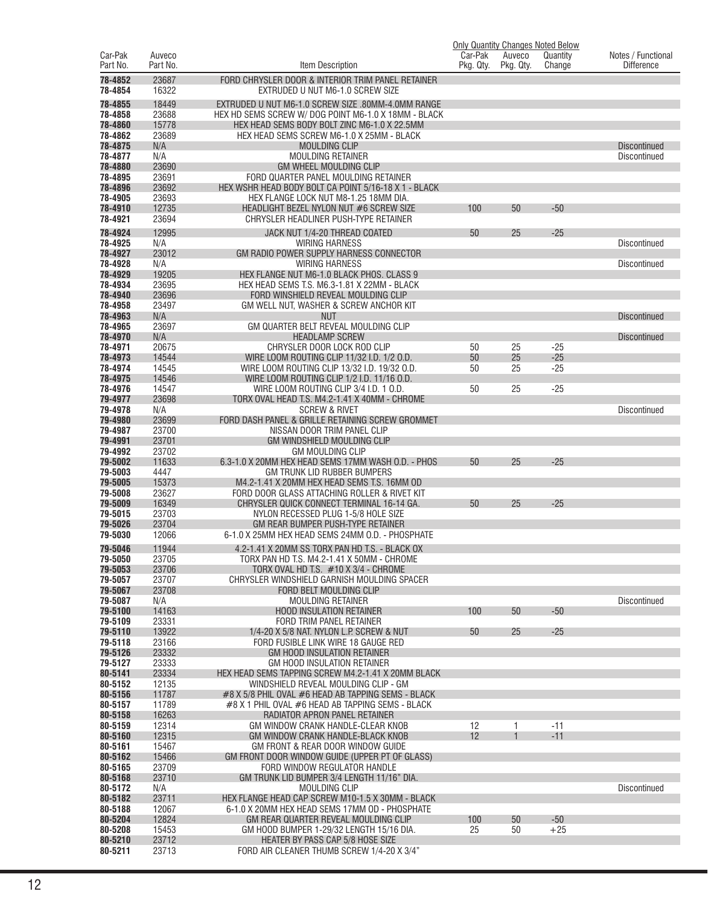|                     |                    |                                                                                              | Car-Pak   |                     | <b>Only Quantity Changes Noted Below</b> |                                         |
|---------------------|--------------------|----------------------------------------------------------------------------------------------|-----------|---------------------|------------------------------------------|-----------------------------------------|
| Car-Pak<br>Part No. | Auveco<br>Part No. | Item Description                                                                             | Pkg. Qty. | Auveco<br>Pkg. Qty. | Quantity<br>Change                       | Notes / Functional<br><b>Difference</b> |
| 78-4852<br>78-4854  | 23687<br>16322     | FORD CHRYSLER DOOR & INTERIOR TRIM PANEL RETAINER<br>EXTRUDED U NUT M6-1.0 SCREW SIZE        |           |                     |                                          |                                         |
| 78-4855             | 18449              | EXTRUDED U NUT M6-1.0 SCREW SIZE .80MM-4.0MM RANGE                                           |           |                     |                                          |                                         |
| 78-4858             | 23688              | HEX HD SEMS SCREW W/ DOG POINT M6-1.0 X 18MM - BLACK                                         |           |                     |                                          |                                         |
| 78-4860             | 15778              | HEX HEAD SEMS BODY BOLT ZINC M6-1.0 X 22.5MM                                                 |           |                     |                                          |                                         |
| 78-4862             | 23689              | HEX HEAD SEMS SCREW M6-1.0 X 25MM - BLACK                                                    |           |                     |                                          |                                         |
| 78-4875             | N/A                | <b>MOULDING CLIP</b>                                                                         |           |                     |                                          | <b>Discontinued</b>                     |
| 78-4877<br>78-4880  | N/A<br>23690       | <b>MOULDING RETAINER</b><br><b>GM WHEEL MOULDING CLIP</b>                                    |           |                     |                                          | Discontinued                            |
| 78-4895             | 23691              | FORD QUARTER PANEL MOULDING RETAINER                                                         |           |                     |                                          |                                         |
| 78-4896             | 23692              | HEX WSHR HEAD BODY BOLT CA POINT 5/16-18 X 1 - BLACK                                         |           |                     |                                          |                                         |
| 78-4905             | 23693              | HEX FLANGE LOCK NUT M8-1.25 18MM DIA.                                                        |           |                     |                                          |                                         |
| 78-4910             | 12735              | HEADLIGHT BEZEL NYLON NUT #6 SCREW SIZE                                                      | 100       | 50                  | $-50$                                    |                                         |
| 78-4921             | 23694              | CHRYSLER HEADLINER PUSH-TYPE RETAINER                                                        |           |                     |                                          |                                         |
| 78-4924             | 12995              | JACK NUT 1/4-20 THREAD COATED                                                                | 50        | 25                  | $-25$                                    |                                         |
| 78-4925             | N/A                | <b>WIRING HARNESS</b>                                                                        |           |                     |                                          | Discontinued                            |
| 78-4927<br>78-4928  | 23012<br>N/A       | GM RADIO POWER SUPPLY HARNESS CONNECTOR<br><b>WIRING HARNESS</b>                             |           |                     |                                          | Discontinued                            |
| 78-4929             | 19205              | HEX FLANGE NUT M6-1.0 BLACK PHOS. CLASS 9                                                    |           |                     |                                          |                                         |
| 78-4934             | 23695              | HEX HEAD SEMS T.S. M6.3-1.81 X 22MM - BLACK                                                  |           |                     |                                          |                                         |
| 78-4940             | 23696              | FORD WINSHIELD REVEAL MOULDING CLIP                                                          |           |                     |                                          |                                         |
| 78-4958             | 23497              | GM WELL NUT, WASHER & SCREW ANCHOR KIT                                                       |           |                     |                                          |                                         |
| 78-4963             | N/A                | <b>NUT</b>                                                                                   |           |                     |                                          | <b>Discontinued</b>                     |
| 78-4965<br>78-4970  | 23697<br>N/A       | GM QUARTER BELT REVEAL MOULDING CLIP<br><b>HEADLAMP SCREW</b>                                |           |                     |                                          | <b>Discontinued</b>                     |
| 78-4971             | 20675              | CHRYSLER DOOR LOCK ROD CLIP                                                                  | 50        | 25                  | $-25$                                    |                                         |
| 78-4973             | 14544              | WIRE LOOM ROUTING CLIP 11/32 I.D. 1/2 O.D.                                                   | 50        | 25                  | $-25$                                    |                                         |
| 78-4974             | 14545              | WIRE LOOM ROUTING CLIP 13/32 I.D. 19/32 O.D.                                                 | 50        | 25                  | $-25$                                    |                                         |
| 78-4975             | 14546              | WIRE LOOM ROUTING CLIP 1/2 I.D. 11/16 O.D.                                                   |           |                     |                                          |                                         |
| 78-4976             | 14547              | WIRE LOOM ROUTING CLIP 3/4 I.D. 1 O.D.                                                       | 50        | 25                  | $-25$                                    |                                         |
| 79-4977<br>79-4978  | 23698<br>N/A       | TORX OVAL HEAD T.S. M4.2-1.41 X 40MM - CHROME<br><b>SCREW &amp; RIVET</b>                    |           |                     |                                          | Discontinued                            |
| 79-4980             | 23699              | FORD DASH PANEL & GRILLE RETAINING SCREW GROMMET                                             |           |                     |                                          |                                         |
| 79-4987             | 23700              | NISSAN DOOR TRIM PANEL CLIP                                                                  |           |                     |                                          |                                         |
| 79-4991             | 23701              | GM WINDSHIELD MOULDING CLIP                                                                  |           |                     |                                          |                                         |
| 79-4992             | 23702              | <b>GM MOULDING CLIP</b>                                                                      |           |                     |                                          |                                         |
| 79-5002<br>79-5003  | 11633<br>4447      | 6.3-1.0 X 20MM HEX HEAD SEMS 17MM WASH O.D. - PHOS<br>GM TRUNK LID RUBBER BUMPERS            | 50        | 25                  | $-25$                                    |                                         |
| 79-5005             | 15373              | M4.2-1.41 X 20MM HEX HEAD SEMS T.S. 16MM OD                                                  |           |                     |                                          |                                         |
| 79-5008             | 23627              | FORD DOOR GLASS ATTACHING ROLLER & RIVET KIT                                                 |           |                     |                                          |                                         |
| 79-5009             | 16349              | CHRYSLER QUICK CONNECT TERMINAL 16-14 GA.                                                    | 50        | 25                  | $-25$                                    |                                         |
| 79-5015             | 23703              | NYLON RECESSED PLUG 1-5/8 HOLE SIZE                                                          |           |                     |                                          |                                         |
| 79-5026<br>79-5030  | 23704<br>12066     | GM REAR BUMPER PUSH-TYPE RETAINER<br>6-1.0 X 25MM HEX HEAD SEMS 24MM O.D. - PHOSPHATE        |           |                     |                                          |                                         |
|                     |                    |                                                                                              |           |                     |                                          |                                         |
| 79-5046<br>79-5050  | 11944<br>23705     | 4.2-1.41 X 20MM SS TORX PAN HD T.S. - BLACK OX<br>TORX PAN HD T.S. M4.2-1.41 X 50MM - CHROME |           |                     |                                          |                                         |
| 79-5053             | 23706              | TORX OVAL HD T.S. #10 X 3/4 - CHROME                                                         |           |                     |                                          |                                         |
| 79-5057             | 23707              | CHRYSLER WINDSHIELD GARNISH MOULDING SPACER                                                  |           |                     |                                          |                                         |
| 79-5067             | 23708              | FORD BELT MOULDING CLIP                                                                      |           |                     |                                          |                                         |
| 79-5087             | N/A                | <b>MOULDING RETAINER</b>                                                                     |           |                     |                                          | <b>Discontinued</b>                     |
| 79-5100<br>79-5109  | 14163<br>23331     | <b>HOOD INSULATION RETAINER</b><br>FORD TRIM PANEL RETAINER                                  | 100       | 50                  | $-50$                                    |                                         |
| 79-5110             | 13922              | 1/4-20 X 5/8 NAT. NYLON L.P. SCREW & NUT                                                     | 50        | 25                  | $-25$                                    |                                         |
| 79-5118             | 23166              | FORD FUSIBLE LINK WIRE 18 GAUGE RED                                                          |           |                     |                                          |                                         |
| 79-5126             | 23332              | <b>GM HOOD INSULATION RETAINER</b>                                                           |           |                     |                                          |                                         |
| 79-5127             | 23333              | <b>GM HOOD INSULATION RETAINER</b>                                                           |           |                     |                                          |                                         |
| 80-5141<br>80-5152  | 23334<br>12135     | HEX HEAD SEMS TAPPING SCREW M4.2-1.41 X 20MM BLACK<br>WINDSHIELD REVEAL MOULDING CLIP - GM   |           |                     |                                          |                                         |
| 80-5156             | 11787              | #8 X 5/8 PHIL OVAL #6 HEAD AB TAPPING SEMS - BLACK                                           |           |                     |                                          |                                         |
| 80-5157             | 11789              | #8 X 1 PHIL OVAL #6 HEAD AB TAPPING SEMS - BLACK                                             |           |                     |                                          |                                         |
| 80-5158             | 16263              | RADIATOR APRON PANEL RETAINER                                                                |           |                     |                                          |                                         |
| 80-5159             | 12314              | GM WINDOW CRANK HANDLE-CLEAR KNOB                                                            | 12        | 1                   | $-11$                                    |                                         |
| 80-5160<br>80-5161  | 12315<br>15467     | GM WINDOW CRANK HANDLE-BLACK KNOB<br>GM FRONT & REAR DOOR WINDOW GUIDE                       | 12        |                     | $-11$                                    |                                         |
| 80-5162             | 15466              | GM FRONT DOOR WINDOW GUIDE (UPPER PT OF GLASS)                                               |           |                     |                                          |                                         |
| 80-5165             | 23709              | FORD WINDOW REGULATOR HANDLE                                                                 |           |                     |                                          |                                         |
| 80-5168             | 23710              | GM TRUNK LID BUMPER 3/4 LENGTH 11/16" DIA.                                                   |           |                     |                                          |                                         |
| 80-5172             | N/A                | MOULDING CLIP                                                                                |           |                     |                                          | <b>Discontinued</b>                     |
| 80-5182<br>80-5188  | 23711              | HEX FLANGE HEAD CAP SCREW M10-1.5 X 30MM - BLACK                                             |           |                     |                                          |                                         |
| 80-5204             | 12067<br>12824     | 6-1.0 X 20MM HEX HEAD SEMS 17MM OD - PHOSPHATE<br>GM REAR QUARTER REVEAL MOULDING CLIP       | 100       | 50                  | $-50$                                    |                                         |
| 80-5208             | 15453              | GM HOOD BUMPER 1-29/32 LENGTH 15/16 DIA.                                                     | 25        | 50                  | $+25$                                    |                                         |
| 80-5210             | 23712              | HEATER BY PASS CAP 5/8 HOSE SIZE                                                             |           |                     |                                          |                                         |
| 80-5211             | 23713              | FORD AIR CLEANER THUMB SCREW 1/4-20 X 3/4"                                                   |           |                     |                                          |                                         |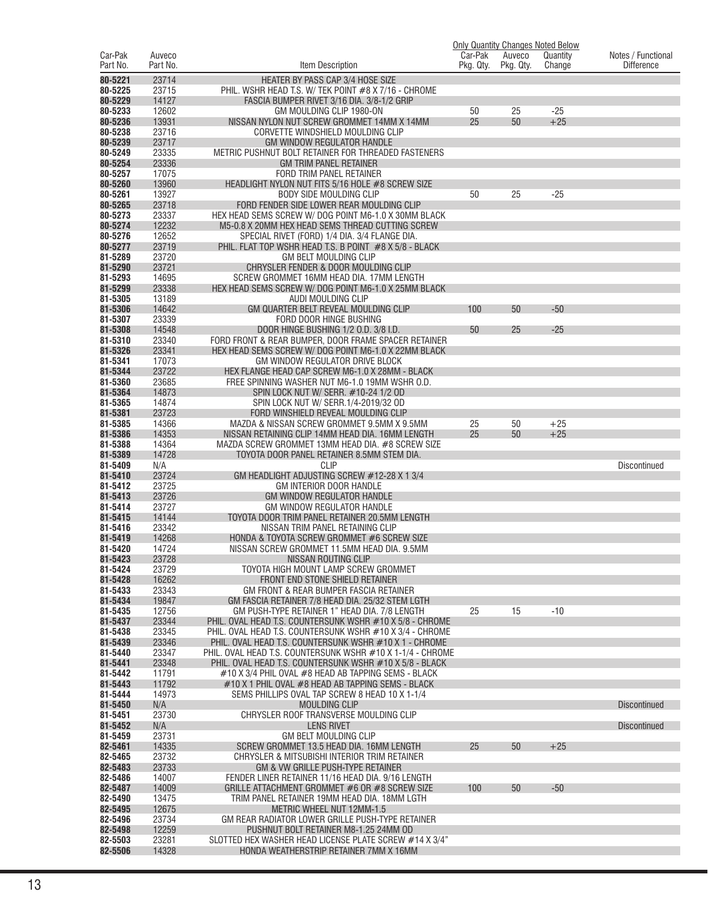|                     |                    |                                                                                                                       |                      |                     | <b>Only Quantity Changes Noted Below</b> |                                         |
|---------------------|--------------------|-----------------------------------------------------------------------------------------------------------------------|----------------------|---------------------|------------------------------------------|-----------------------------------------|
| Car-Pak<br>Part No. | Auveco<br>Part No. | Item Description                                                                                                      | Car-Pak<br>Pkg. Qty. | Auveco<br>Pkg. Qty. | Quantity<br>Change                       | Notes / Functional<br><b>Difference</b> |
| 80-5221             | 23714              | <b>HEATER BY PASS CAP 3/4 HOSE SIZE</b>                                                                               |                      |                     |                                          |                                         |
| 80-5225             | 23715              | PHIL. WSHR HEAD T.S. W/ TEK POINT #8 X 7/16 - CHROME                                                                  |                      |                     |                                          |                                         |
| 80-5229             | 14127              | FASCIA BUMPER RIVET 3/16 DIA. 3/8-1/2 GRIP                                                                            |                      |                     |                                          |                                         |
| 80-5233             | 12602              | GM MOULDING CLIP 1980-ON                                                                                              | 50                   | 25                  | $-25$                                    |                                         |
| 80-5236             | 13931              | NISSAN NYLON NUT SCREW GROMMET 14MM X 14MM                                                                            | 25                   | 50                  | $+25$                                    |                                         |
| 80-5238<br>80-5239  | 23716<br>23717     | CORVETTE WINDSHIELD MOULDING CLIP<br><b>GM WINDOW REGULATOR HANDLE</b>                                                |                      |                     |                                          |                                         |
| 80-5249             | 23335              | METRIC PUSHNUT BOLT RETAINER FOR THREADED FASTENERS                                                                   |                      |                     |                                          |                                         |
| 80-5254             | 23336              | <b>GM TRIM PANEL RETAINER</b>                                                                                         |                      |                     |                                          |                                         |
| 80-5257             | 17075              | FORD TRIM PANEL RETAINER                                                                                              |                      |                     |                                          |                                         |
| 80-5260             | 13960              | HEADLIGHT NYLON NUT FITS 5/16 HOLE #8 SCREW SIZE                                                                      |                      |                     |                                          |                                         |
| 80-5261             | 13927              | <b>BODY SIDE MOULDING CLIP</b>                                                                                        | 50                   | 25                  | $-25$                                    |                                         |
| 80-5265<br>80-5273  | 23718<br>23337     | FORD FENDER SIDE LOWER REAR MOULDING CLIP<br>HEX HEAD SEMS SCREW W/DOG POINT M6-1.0 X 30MM BLACK                      |                      |                     |                                          |                                         |
| 80-5274             | 12232              | M5-0.8 X 20MM HEX HEAD SEMS THREAD CUTTING SCREW                                                                      |                      |                     |                                          |                                         |
| 80-5276             | 12652              | SPECIAL RIVET (FORD) 1/4 DIA. 3/4 FLANGE DIA.                                                                         |                      |                     |                                          |                                         |
| 80-5277             | 23719              | PHIL. FLAT TOP WSHR HEAD T.S. B POINT #8 X 5/8 - BLACK                                                                |                      |                     |                                          |                                         |
| 81-5289             | 23720              | <b>GM BELT MOULDING CLIP</b>                                                                                          |                      |                     |                                          |                                         |
| 81-5290<br>81-5293  | 23721<br>14695     | CHRYSLER FENDER & DOOR MOULDING CLIP<br>SCREW GROMMET 16MM HEAD DIA. 17MM LENGTH                                      |                      |                     |                                          |                                         |
| 81-5299             | 23338              | HEX HEAD SEMS SCREW W/ DOG POINT M6-1.0 X 25MM BLACK                                                                  |                      |                     |                                          |                                         |
| 81-5305             | 13189              | AUDI MOULDING CLIP                                                                                                    |                      |                     |                                          |                                         |
| 81-5306             | 14642              | GM QUARTER BELT REVEAL MOULDING CLIP                                                                                  | 100                  | 50                  | $-50$                                    |                                         |
| 81-5307             | 23339              | FORD DOOR HINGE BUSHING                                                                                               |                      |                     |                                          |                                         |
| 81-5308             | 14548              | DOOR HINGE BUSHING 1/2 O.D. 3/8 I.D.                                                                                  | 50                   | 25                  | $-25$                                    |                                         |
| 81-5310<br>81-5326  | 23340<br>23341     | FORD FRONT & REAR BUMPER, DOOR FRAME SPACER RETAINER<br>HEX HEAD SEMS SCREW W/ DOG POINT M6-1.0 X 22MM BLACK          |                      |                     |                                          |                                         |
| 81-5341             | 17073              | GM WINDOW REGULATOR DRIVE BLOCK                                                                                       |                      |                     |                                          |                                         |
| 81-5344             | 23722              | HEX FLANGE HEAD CAP SCREW M6-1.0 X 28MM - BLACK                                                                       |                      |                     |                                          |                                         |
| 81-5360             | 23685              | FREE SPINNING WASHER NUT M6-1.0 19MM WSHR O.D.                                                                        |                      |                     |                                          |                                         |
| 81-5364             | 14873              | SPIN LOCK NUT W/ SERR. #10-24 1/2 OD                                                                                  |                      |                     |                                          |                                         |
| 81-5365<br>81-5381  | 14874<br>23723     | SPIN LOCK NUT W/ SERR.1/4-2019/32 OD<br>FORD WINSHIELD REVEAL MOULDING CLIP                                           |                      |                     |                                          |                                         |
| 81-5385             | 14366              | MAZDA & NISSAN SCREW GROMMET 9.5MM X 9.5MM                                                                            | 25                   | 50                  | $+25$                                    |                                         |
| 81-5386             | 14353              | NISSAN RETAINING CLIP 14MM HEAD DIA. 16MM LENGTH                                                                      | 25                   | 50                  | $+25$                                    |                                         |
| 81-5388             | 14364              | MAZDA SCREW GROMMET 13MM HEAD DIA. #8 SCREW SIZE                                                                      |                      |                     |                                          |                                         |
| 81-5389             | 14728              | TOYOTA DOOR PANEL RETAINER 8.5MM STEM DIA.                                                                            |                      |                     |                                          |                                         |
| 81-5409<br>81-5410  | N/A<br>23724       | <b>CLIP</b><br>GM HEADLIGHT ADJUSTING SCREW #12-28 X 1 3/4                                                            |                      |                     |                                          | Discontinued                            |
| 81-5412             | 23725              | GM INTERIOR DOOR HANDLE                                                                                               |                      |                     |                                          |                                         |
| 81-5413             | 23726              | <b>GM WINDOW REGULATOR HANDLE</b>                                                                                     |                      |                     |                                          |                                         |
| 81-5414             | 23727              | GM WINDOW REGULATOR HANDLE                                                                                            |                      |                     |                                          |                                         |
| 81-5415             | 14144              | TOYOTA DOOR TRIM PANEL RETAINER 20.5MM LENGTH                                                                         |                      |                     |                                          |                                         |
| 81-5416<br>81-5419  | 23342<br>14268     | NISSAN TRIM PANEL RETAINING CLIP<br>HONDA & TOYOTA SCREW GROMMET #6 SCREW SIZE                                        |                      |                     |                                          |                                         |
| 81-5420             | 14724              | NISSAN SCREW GROMMET 11.5MM HEAD DIA. 9.5MM                                                                           |                      |                     |                                          |                                         |
| 81-5423             | 23728              | NISSAN ROUTING CLIP                                                                                                   |                      |                     |                                          |                                         |
| 81-5424             | 23729              | TOYOTA HIGH MOUNT LAMP SCREW GROMMET                                                                                  |                      |                     |                                          |                                         |
| 81-5428             | 16262              | FRONT END STONE SHIELD RETAINER                                                                                       |                      |                     |                                          |                                         |
| 81-5433             | 23343              | GM FRONT & REAR BUMPER FASCIA RETAINER                                                                                |                      |                     |                                          |                                         |
| 81-5434<br>81-5435  | 19847<br>12756     | GM FASCIA RETAINER 7/8 HEAD DIA. 25/32 STEM LGTH<br>GM PUSH-TYPE RETAINER 1" HEAD DIA, 7/8 LENGTH                     | 25                   | 15                  | $-10$                                    |                                         |
| 81-5437             | 23344              | PHIL. OVAL HEAD T.S. COUNTERSUNK WSHR #10 X 5/8 - CHROME                                                              |                      |                     |                                          |                                         |
| 81-5438             | 23345              | PHIL. OVAL HEAD T.S. COUNTERSUNK WSHR #10 X 3/4 - CHROME                                                              |                      |                     |                                          |                                         |
| 81-5439             | 23346              | PHIL. OVAL HEAD T.S. COUNTERSUNK WSHR #10 X 1 - CHROME                                                                |                      |                     |                                          |                                         |
| 81-5440<br>81-5441  | 23347<br>23348     | PHIL. OVAL HEAD T.S. COUNTERSUNK WSHR #10 X 1-1/4 - CHROME<br>PHIL. OVAL HEAD T.S. COUNTERSUNK WSHR #10 X 5/8 - BLACK |                      |                     |                                          |                                         |
| 81-5442             | 11791              | #10 X 3/4 PHIL OVAL #8 HEAD AB TAPPING SEMS - BLACK                                                                   |                      |                     |                                          |                                         |
| 81-5443             | 11792              | #10 X 1 PHIL OVAL #8 HEAD AB TAPPING SEMS - BLACK                                                                     |                      |                     |                                          |                                         |
| 81-5444             | 14973              | SEMS PHILLIPS OVAL TAP SCREW 8 HEAD 10 X 1-1/4                                                                        |                      |                     |                                          |                                         |
| 81-5450             | N/A                | <b>MOULDING CLIP</b>                                                                                                  |                      |                     |                                          | <b>Discontinued</b>                     |
| 81-5451             | 23730              | CHRYSLER ROOF TRANSVERSE MOULDING CLIP                                                                                |                      |                     |                                          |                                         |
| 81-5452<br>81-5459  | N/A<br>23731       | <b>LENS RIVET</b><br><b>GM BELT MOULDING CLIP</b>                                                                     |                      |                     |                                          | <b>Discontinued</b>                     |
| 82-5461             | 14335              | SCREW GROMMET 13.5 HEAD DIA. 16MM LENGTH                                                                              | 25                   | 50                  | $+25$                                    |                                         |
| 82-5465             | 23732              | CHRYSLER & MITSUBISHI INTERIOR TRIM RETAINER                                                                          |                      |                     |                                          |                                         |
| 82-5483             | 23733              | GM & VW GRILLE PUSH-TYPE RETAINER                                                                                     |                      |                     |                                          |                                         |
| 82-5486             | 14007              | FENDER LINER RETAINER 11/16 HEAD DIA. 9/16 LENGTH                                                                     |                      |                     |                                          |                                         |
| 82-5487<br>82-5490  | 14009<br>13475     | GRILLE ATTACHMENT GROMMET #6 OR #8 SCREW SIZE<br>TRIM PANEL RETAINER 19MM HEAD DIA. 18MM LGTH                         | 100                  | 50                  | $-50$                                    |                                         |
| 82-5495             | 12675              | METRIC WHEEL NUT 12MM-1.5                                                                                             |                      |                     |                                          |                                         |
| 82-5496             | 23734              | GM REAR RADIATOR LOWER GRILLE PUSH-TYPE RETAINER                                                                      |                      |                     |                                          |                                         |
| 82-5498             | 12259              | PUSHNUT BOLT RETAINER M8-1.25 24MM OD                                                                                 |                      |                     |                                          |                                         |
| 82-5503             | 23281              | SLOTTED HEX WASHER HEAD LICENSE PLATE SCREW #14 X 3/4"                                                                |                      |                     |                                          |                                         |
| 82-5506             | 14328              | HONDA WEATHERSTRIP RETAINER 7MM X 16MM                                                                                |                      |                     |                                          |                                         |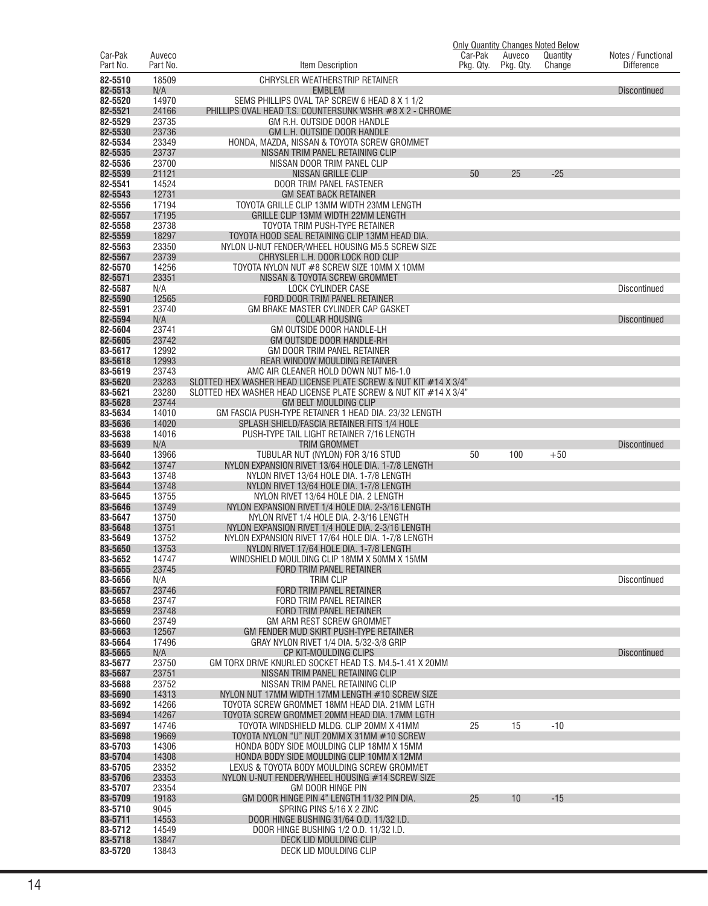|                     |                    |                                                                                                         |                      |                     | <b>Only Quantity Changes Noted Below</b> |                                         |
|---------------------|--------------------|---------------------------------------------------------------------------------------------------------|----------------------|---------------------|------------------------------------------|-----------------------------------------|
| Car-Pak<br>Part No. | Auveco<br>Part No. | Item Description                                                                                        | Car-Pak<br>Pkg. Qty. | Auveco<br>Pkg. Qty. | Quantity<br>Change                       | Notes / Functional<br><b>Difference</b> |
|                     |                    |                                                                                                         |                      |                     |                                          |                                         |
| 82-5510<br>82-5513  | 18509<br>N/A       | CHRYSLER WEATHERSTRIP RETAINER<br><b>EMBLEM</b>                                                         |                      |                     |                                          | <b>Discontinued</b>                     |
| 82-5520             | 14970              | SEMS PHILLIPS OVAL TAP SCREW 6 HEAD 8 X 1 1/2                                                           |                      |                     |                                          |                                         |
| 82-5521             | 24166              | PHILLIPS OVAL HEAD T.S. COUNTERSUNK WSHR #8 X 2 - CHROME                                                |                      |                     |                                          |                                         |
| 82-5529             | 23735              | GM R.H. OUTSIDE DOOR HANDLE                                                                             |                      |                     |                                          |                                         |
| 82-5530             | 23736              | GM L.H. OUTSIDE DOOR HANDLE                                                                             |                      |                     |                                          |                                         |
| 82-5534<br>82-5535  | 23349<br>23737     | HONDA, MAZDA, NISSAN & TOYOTA SCREW GROMMET<br>NISSAN TRIM PANEL RETAINING CLIP                         |                      |                     |                                          |                                         |
| 82-5536             | 23700              | NISSAN DOOR TRIM PANEL CLIP                                                                             |                      |                     |                                          |                                         |
| 82-5539             | 21121              | <b>NISSAN GRILLE CLIP</b>                                                                               | 50                   | 25                  | $-25$                                    |                                         |
| 82-5541             | 14524              | DOOR TRIM PANEL FASTENER                                                                                |                      |                     |                                          |                                         |
| 82-5543             | 12731              | <b>GM SEAT BACK RETAINER</b>                                                                            |                      |                     |                                          |                                         |
| 82-5556<br>82-5557  | 17194<br>17195     | TOYOTA GRILLE CLIP 13MM WIDTH 23MM LENGTH<br>GRILLE CLIP 13MM WIDTH 22MM LENGTH                         |                      |                     |                                          |                                         |
| 82-5558             | 23738              | TOYOTA TRIM PUSH-TYPE RETAINER                                                                          |                      |                     |                                          |                                         |
| 82-5559             | 18297              | TOYOTA HOOD SEAL RETAINING CLIP 13MM HEAD DIA.                                                          |                      |                     |                                          |                                         |
| 82-5563             | 23350              | NYLON U-NUT FENDER/WHEEL HOUSING M5.5 SCREW SIZE                                                        |                      |                     |                                          |                                         |
| 82-5567             | 23739              | CHRYSLER L.H. DOOR LOCK ROD CLIP                                                                        |                      |                     |                                          |                                         |
| 82-5570             | 14256              | TOYOTA NYLON NUT #8 SCREW SIZE 10MM X 10MM                                                              |                      |                     |                                          |                                         |
| 82-5571<br>82-5587  | 23351<br>N/A       | NISSAN & TOYOTA SCREW GROMMET<br>LOCK CYLINDER CASE                                                     |                      |                     |                                          | <b>Discontinued</b>                     |
| 82-5590             | 12565              | FORD DOOR TRIM PANEL RETAINER                                                                           |                      |                     |                                          |                                         |
| 82-5591             | 23740              | GM BRAKE MASTER CYLINDER CAP GASKET                                                                     |                      |                     |                                          |                                         |
| 82-5594             | N/A                | <b>COLLAR HOUSING</b>                                                                                   |                      |                     |                                          | <b>Discontinued</b>                     |
| 82-5604             | 23741              | GM OUTSIDE DOOR HANDLE-LH                                                                               |                      |                     |                                          |                                         |
| 82-5605<br>83-5617  | 23742<br>12992     | GM OUTSIDE DOOR HANDLE-RH<br>GM DOOR TRIM PANEL RETAINER                                                |                      |                     |                                          |                                         |
| 83-5618             | 12993              | REAR WINDOW MOULDING RETAINER                                                                           |                      |                     |                                          |                                         |
| 83-5619             | 23743              | AMC AIR CLEANER HOLD DOWN NUT M6-1.0                                                                    |                      |                     |                                          |                                         |
| 83-5620             | 23283              | SLOTTED HEX WASHER HEAD LICENSE PLATE SCREW & NUT KIT #14 X 3/4"                                        |                      |                     |                                          |                                         |
| 83-5621             | 23280              | SLOTTED HEX WASHER HEAD LICENSE PLATE SCREW & NUT KIT #14 X 3/4"                                        |                      |                     |                                          |                                         |
| 83-5628<br>83-5634  | 23744<br>14010     | <b>GM BELT MOULDING CLIP</b><br>GM FASCIA PUSH-TYPE RETAINER 1 HEAD DIA. 23/32 LENGTH                   |                      |                     |                                          |                                         |
| 83-5636             | 14020              | SPLASH SHIELD/FASCIA RETAINER FITS 1/4 HOLE                                                             |                      |                     |                                          |                                         |
| 83-5638             | 14016              | PUSH-TYPE TAIL LIGHT RETAINER 7/16 LENGTH                                                               |                      |                     |                                          |                                         |
| 83-5639             | N/A                | TRIM GROMMET                                                                                            |                      |                     |                                          | <b>Discontinued</b>                     |
| 83-5640             | 13966              | TUBULAR NUT (NYLON) FOR 3/16 STUD                                                                       | 50                   | 100                 | $+50$                                    |                                         |
| 83-5642<br>83-5643  | 13747<br>13748     | NYLON EXPANSION RIVET 13/64 HOLE DIA. 1-7/8 LENGTH<br>NYLON RIVET 13/64 HOLE DIA. 1-7/8 LENGTH          |                      |                     |                                          |                                         |
| 83-5644             | 13748              | NYLON RIVET 13/64 HOLE DIA. 1-7/8 LENGTH                                                                |                      |                     |                                          |                                         |
| 83-5645             | 13755              | NYLON RIVET 13/64 HOLE DIA, 2 LENGTH                                                                    |                      |                     |                                          |                                         |
| 83-5646             | 13749              | NYLON EXPANSION RIVET 1/4 HOLE DIA, 2-3/16 LENGTH                                                       |                      |                     |                                          |                                         |
| 83-5647             | 13750              | NYLON RIVET 1/4 HOLE DIA. 2-3/16 LENGTH                                                                 |                      |                     |                                          |                                         |
| 83-5648<br>83-5649  | 13751<br>13752     | NYLON EXPANSION RIVET 1/4 HOLE DIA. 2-3/16 LENGTH<br>NYLON EXPANSION RIVET 17/64 HOLE DIA. 1-7/8 LENGTH |                      |                     |                                          |                                         |
| 83-5650             | 13753              | NYLON RIVET 17/64 HOLE DIA, 1-7/8 LENGTH                                                                |                      |                     |                                          |                                         |
| 83-5652             | 14747              | WINDSHIELD MOULDING CLIP 18MM X 50MM X 15MM                                                             |                      |                     |                                          |                                         |
| 83-5655             | 23745              | FORD TRIM PANEL RETAINER                                                                                |                      |                     |                                          |                                         |
| 83-5656             | N/A                | <b>TRIM CLIP</b>                                                                                        |                      |                     |                                          | <b>Discontinued</b>                     |
| 83-5657<br>83-5658  | 23746<br>23747     | FORD TRIM PANEL RETAINER<br>FORD TRIM PANEL RETAINER                                                    |                      |                     |                                          |                                         |
| 83-5659             | 23748              | FORD TRIM PANEL RETAINER                                                                                |                      |                     |                                          |                                         |
| 83-5660             | 23749              | GM ARM REST SCREW GROMMET                                                                               |                      |                     |                                          |                                         |
| 83-5663             | 12567              | GM FENDER MUD SKIRT PUSH-TYPE RETAINER                                                                  |                      |                     |                                          |                                         |
| 83-5664<br>83-5665  | 17496<br>N/A       | GRAY NYLON RIVET 1/4 DIA. 5/32-3/8 GRIP<br>CP KIT-MOULDING CLIPS                                        |                      |                     |                                          |                                         |
| 83-5677             | 23750              | GM TORX DRIVE KNURLED SOCKET HEAD T.S. M4.5-1.41 X 20MM                                                 |                      |                     |                                          | <b>Discontinued</b>                     |
| 83-5687             | 23751              | NISSAN TRIM PANEL RETAINING CLIP                                                                        |                      |                     |                                          |                                         |
| 83-5688             | 23752              | NISSAN TRIM PANEL RETAINING CLIP                                                                        |                      |                     |                                          |                                         |
| 83-5690             | 14313              | NYLON NUT 17MM WIDTH 17MM LENGTH #10 SCREW SIZE                                                         |                      |                     |                                          |                                         |
| 83-5692<br>83-5694  | 14266<br>14267     | TOYOTA SCREW GROMMET 18MM HEAD DIA, 21MM LGTH<br>TOYOTA SCREW GROMMET 20MM HEAD DIA. 17MM LGTH          |                      |                     |                                          |                                         |
| 83-5697             | 14746              | TOYOTA WINDSHIELD MLDG. CLIP 20MM X 41MM                                                                | 25                   | 15                  | $-10$                                    |                                         |
| 83-5698             | 19669              | TOYOTA NYLON "U" NUT 20MM X 31MM #10 SCREW                                                              |                      |                     |                                          |                                         |
| 83-5703             | 14306              | HONDA BODY SIDE MOULDING CLIP 18MM X 15MM                                                               |                      |                     |                                          |                                         |
| 83-5704             | 14308              | HONDA BODY SIDE MOULDING CLIP 10MM X 12MM                                                               |                      |                     |                                          |                                         |
| 83-5705<br>83-5706  | 23352<br>23353     | LEXUS & TOYOTA BODY MOULDING SCREW GROMMET<br>NYLON U-NUT FENDER/WHEEL HOUSING #14 SCREW SIZE           |                      |                     |                                          |                                         |
| 83-5707             | 23354              | GM DOOR HINGE PIN                                                                                       |                      |                     |                                          |                                         |
| 83-5709             | 19183              | GM DOOR HINGE PIN 4" LENGTH 11/32 PIN DIA.                                                              | 25                   | 10                  | $-15$                                    |                                         |
| 83-5710             | 9045               | SPRING PINS 5/16 X 2 ZINC                                                                               |                      |                     |                                          |                                         |
| 83-5711             | 14553              | DOOR HINGE BUSHING 31/64 O.D. 11/32 I.D.                                                                |                      |                     |                                          |                                         |
| 83-5712<br>83-5718  | 14549<br>13847     | DOOR HINGE BUSHING 1/2 O.D. 11/32 I.D.<br>DECK LID MOULDING CLIP                                        |                      |                     |                                          |                                         |
| 83-5720             | 13843              | DECK LID MOULDING CLIP                                                                                  |                      |                     |                                          |                                         |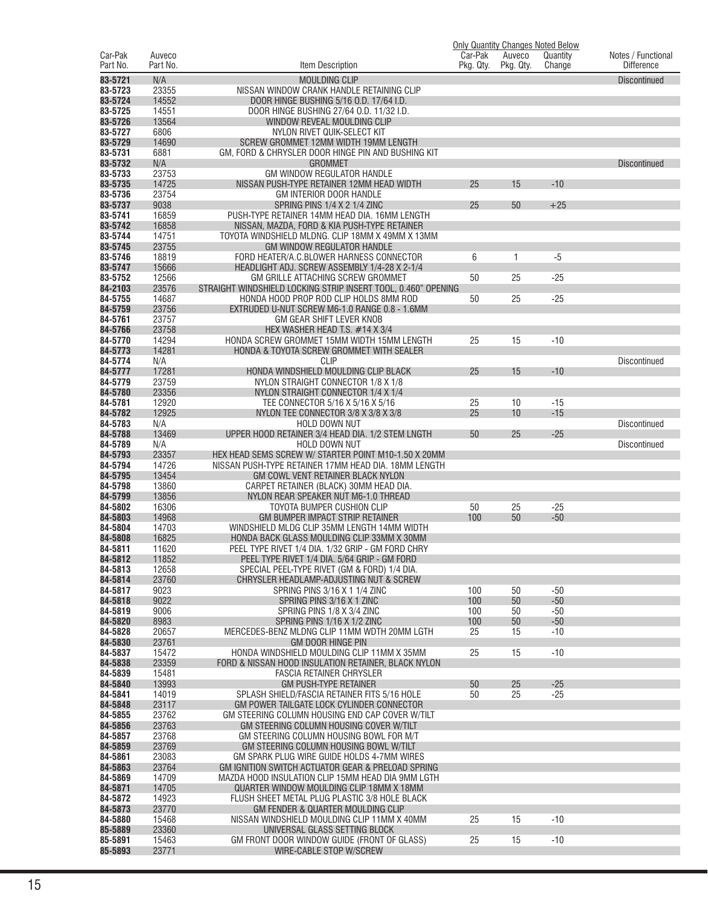|                     |                    |                                                                                                              |                      |                     | <b>Only Quantity Changes Noted Below</b> |                                         |
|---------------------|--------------------|--------------------------------------------------------------------------------------------------------------|----------------------|---------------------|------------------------------------------|-----------------------------------------|
| Car-Pak<br>Part No. | Auveco<br>Part No. | Item Description                                                                                             | Car-Pak<br>Pkg. Qty. | Auveco<br>Pkg. Qty. | Quantity<br>Change                       | Notes / Functional<br><b>Difference</b> |
|                     |                    |                                                                                                              |                      |                     |                                          |                                         |
| 83-5721             | N/A                | <b>MOULDING CLIP</b>                                                                                         |                      |                     |                                          | <b>Discontinued</b>                     |
| 83-5723<br>83-5724  | 23355<br>14552     | NISSAN WINDOW CRANK HANDLE RETAINING CLIP<br>DOOR HINGE BUSHING 5/16 O.D. 17/64 I.D.                         |                      |                     |                                          |                                         |
| 83-5725             | 14551              | DOOR HINGE BUSHING 27/64 O.D. 11/32 I.D.                                                                     |                      |                     |                                          |                                         |
| 83-5726             | 13564              | WINDOW REVEAL MOULDING CLIP                                                                                  |                      |                     |                                          |                                         |
| 83-5727             | 6806               | NYLON RIVET QUIK-SELECT KIT                                                                                  |                      |                     |                                          |                                         |
| 83-5729             | 14690              | SCREW GROMMET 12MM WIDTH 19MM LENGTH                                                                         |                      |                     |                                          |                                         |
| 83-5731             | 6881               | GM, FORD & CHRYSLER DOOR HINGE PIN AND BUSHING KIT                                                           |                      |                     |                                          |                                         |
| 83-5732             | N/A                | <b>GROMMET</b>                                                                                               |                      |                     |                                          | <b>Discontinued</b>                     |
| 83-5733             | 23753              | GM WINDOW REGULATOR HANDLE                                                                                   |                      |                     |                                          |                                         |
| 83-5735             | 14725              | NISSAN PUSH-TYPE RETAINER 12MM HEAD WIDTH                                                                    | 25                   | 15                  | $-10$                                    |                                         |
| 83-5736             | 23754              | GM INTERIOR DOOR HANDLE                                                                                      |                      |                     |                                          |                                         |
| 83-5737             | 9038               | SPRING PINS 1/4 X 2 1/4 ZINC                                                                                 | 25                   | 50                  | $+25$                                    |                                         |
| 83-5741             | 16859              | PUSH-TYPE RETAINER 14MM HEAD DIA. 16MM LENGTH                                                                |                      |                     |                                          |                                         |
| 83-5742             | 16858              | NISSAN, MAZDA, FORD & KIA PUSH-TYPE RETAINER                                                                 |                      |                     |                                          |                                         |
| 83-5744             | 14751              | TOYOTA WINDSHIELD MLDNG. CLIP 18MM X 49MM X 13MM                                                             |                      |                     |                                          |                                         |
| 83-5745<br>83-5746  | 23755<br>18819     | <b>GM WINDOW REGULATOR HANDLE</b><br>FORD HEATER/A.C.BLOWER HARNESS CONNECTOR                                | 6                    | 1                   | -5                                       |                                         |
| 83-5747             | 15666              | HEADLIGHT ADJ. SCREW ASSEMBLY 1/4-28 X 2-1/4                                                                 |                      |                     |                                          |                                         |
| 83-5752             | 12566              | GM GRILLE ATTACHING SCREW GROMMET                                                                            | 50                   | 25                  | $-25$                                    |                                         |
| 84-2103             | 23576              | STRAIGHT WINDSHIELD LOCKING STRIP INSERT TOOL, 0.460" OPENING                                                |                      |                     |                                          |                                         |
| 84-5755             | 14687              | HONDA HOOD PROP ROD CLIP HOLDS 8MM ROD                                                                       | 50                   | 25                  | $-25$                                    |                                         |
| 84-5759             | 23756              | EXTRUDED U-NUT SCREW M6-1.0 RANGE 0.8 - 1.6MM                                                                |                      |                     |                                          |                                         |
| 84-5761             | 23757              | GM GEAR SHIFT LEVER KNOB                                                                                     |                      |                     |                                          |                                         |
| 84-5766             | 23758              | HEX WASHER HEAD T.S. #14 X 3/4                                                                               |                      |                     |                                          |                                         |
| 84-5770             | 14294              | HONDA SCREW GROMMET 15MM WIDTH 15MM LENGTH                                                                   | 25                   | 15                  | $-10$                                    |                                         |
| 84-5773             | 14281              | HONDA & TOYOTA SCREW GROMMET WITH SEALER                                                                     |                      |                     |                                          |                                         |
| 84-5774             | N/A                | <b>CLIP</b>                                                                                                  |                      |                     |                                          | <b>Discontinued</b>                     |
| 84-5777             | 17281              | HONDA WINDSHIELD MOULDING CLIP BLACK                                                                         | 25                   | 15                  | $-10$                                    |                                         |
| 84-5779             | 23759              | NYLON STRAIGHT CONNECTOR 1/8 X 1/8                                                                           |                      |                     |                                          |                                         |
| 84-5780             | 23356              | NYLON STRAIGHT CONNECTOR 1/4 X 1/4                                                                           |                      |                     |                                          |                                         |
| 84-5781             | 12920              | TEE CONNECTOR 5/16 X 5/16 X 5/16                                                                             | 25                   | 10                  | $-15$                                    |                                         |
| 84-5782             | 12925              | NYLON TEE CONNECTOR 3/8 X 3/8 X 3/8                                                                          | 25                   | 10                  | $-15$                                    |                                         |
| 84-5783             | N/A                | HOLD DOWN NUT                                                                                                |                      |                     |                                          | <b>Discontinued</b>                     |
| 84-5788             | 13469              | UPPER HOOD RETAINER 3/4 HEAD DIA. 1/2 STEM LNGTH                                                             | 50                   | 25                  | $-25$                                    |                                         |
| 84-5789             | N/A                | <b>HOLD DOWN NUT</b>                                                                                         |                      |                     |                                          | <b>Discontinued</b>                     |
| 84-5793<br>84-5794  | 23357<br>14726     | HEX HEAD SEMS SCREW W/ STARTER POINT M10-1.50 X 20MM<br>NISSAN PUSH-TYPE RETAINER 17MM HEAD DIA. 18MM LENGTH |                      |                     |                                          |                                         |
| 84-5795             | 13454              | GM COWL VENT RETAINER BLACK NYLON                                                                            |                      |                     |                                          |                                         |
| 84-5798             | 13860              | CARPET RETAINER (BLACK) 30MM HEAD DIA.                                                                       |                      |                     |                                          |                                         |
| 84-5799             | 13856              | NYLON REAR SPEAKER NUT M6-1.0 THREAD                                                                         |                      |                     |                                          |                                         |
| 84-5802             | 16306              | TOYOTA BUMPER CUSHION CLIP                                                                                   | 50                   | 25                  | $-25$                                    |                                         |
| 84-5803             | 14968              | <b>GM BUMPER IMPACT STRIP RETAINER</b>                                                                       | 100                  | 50                  | $-50$                                    |                                         |
| 84-5804             | 14703              | WINDSHIELD MLDG CLIP 35MM LENGTH 14MM WIDTH                                                                  |                      |                     |                                          |                                         |
| 84-5808             | 16825              | HONDA BACK GLASS MOULDING CLIP 33MM X 30MM                                                                   |                      |                     |                                          |                                         |
| 84-5811             | 11620              | PEEL TYPE RIVET 1/4 DIA. 1/32 GRIP - GM FORD CHRY                                                            |                      |                     |                                          |                                         |
| 84-5812             | 11852              | PEEL TYPE RIVET 1/4 DIA, 5/64 GRIP - GM FORD                                                                 |                      |                     |                                          |                                         |
| 84-5813             | 12658              | SPECIAL PEEL-TYPE RIVET (GM & FORD) 1/4 DIA.                                                                 |                      |                     |                                          |                                         |
| 84-5814             | 23760              | CHRYSLER HEADLAMP-ADJUSTING NUT & SCREW                                                                      |                      |                     |                                          |                                         |
| 84-5817             | 9023               | SPRING PINS 3/16 X 1 1/4 ZINC                                                                                | 100                  | 50                  | $-50$                                    |                                         |
| 84-5818<br>84-5819  | 9022<br>9006       | SPRING PINS 3/16 X 1 ZINC<br>SPRING PINS 1/8 X 3/4 ZINC                                                      | 100<br>100           | 50                  | $-50$<br>$-50$                           |                                         |
| 84-5820             | 8983               | SPRING PINS 1/16 X 1/2 ZINC                                                                                  | 100                  | 50<br>50            | $-50$                                    |                                         |
| 84-5828             | 20657              | MERCEDES-BENZ MLDNG CLIP 11MM WDTH 20MM LGTH                                                                 | 25                   | 15                  | $-10$                                    |                                         |
| 84-5830             | 23761              | GM DOOR HINGE PIN                                                                                            |                      |                     |                                          |                                         |
| 84-5837             | 15472              | HONDA WINDSHIELD MOULDING CLIP 11MM X 35MM                                                                   | 25                   | 15                  | $-10$                                    |                                         |
| 84-5838             | 23359              | FORD & NISSAN HOOD INSULATION RETAINER, BLACK NYLON                                                          |                      |                     |                                          |                                         |
| 84-5839             | 15481              | <b>FASCIA RETAINER CHRYSLER</b>                                                                              |                      |                     |                                          |                                         |
| 84-5840             | 13993              | <b>GM PUSH-TYPE RETAINER</b>                                                                                 | 50                   | 25                  | $-25$                                    |                                         |
| 84-5841             | 14019              | SPLASH SHIELD/FASCIA RETAINER FITS 5/16 HOLE                                                                 | 50                   | 25                  | $-25$                                    |                                         |
| 84-5848             | 23117              | GM POWER TAILGATE LOCK CYLINDER CONNECTOR                                                                    |                      |                     |                                          |                                         |
| 84-5855             | 23762              | GM STEERING COLUMN HOUSING END CAP COVER W/TILT                                                              |                      |                     |                                          |                                         |
| 84-5856             | 23763              | GM STEERING COLUMN HOUSING COVER W/TILT                                                                      |                      |                     |                                          |                                         |
| 84-5857             | 23768              | GM STEERING COLUMN HOUSING BOWL FOR M/T                                                                      |                      |                     |                                          |                                         |
| 84-5859             | 23769              | GM STEERING COLUMN HOUSING BOWL W/TILT                                                                       |                      |                     |                                          |                                         |
| 84-5861             | 23083              | GM SPARK PLUG WIRE GUIDE HOLDS 4-7MM WIRES                                                                   |                      |                     |                                          |                                         |
| 84-5863<br>84-5869  | 23764<br>14709     | GM IGNITION SWITCH ACTUATOR GEAR & PRELOAD SPRING<br>MAZDA HOOD INSULATION CLIP 15MM HEAD DIA 9MM LGTH       |                      |                     |                                          |                                         |
| 84-5871             | 14705              | QUARTER WINDOW MOULDING CLIP 18MM X 18MM                                                                     |                      |                     |                                          |                                         |
| 84-5872             | 14923              | FLUSH SHEET METAL PLUG PLASTIC 3/8 HOLE BLACK                                                                |                      |                     |                                          |                                         |
| 84-5873             | 23770              | GM FENDER & QUARTER MOULDING CLIP                                                                            |                      |                     |                                          |                                         |
| 84-5880             | 15468              | NISSAN WINDSHIELD MOULDING CLIP 11MM X 40MM                                                                  | 25                   | 15                  | $-10$                                    |                                         |
| 85-5889             | 23360              | UNIVERSAL GLASS SETTING BLOCK                                                                                |                      |                     |                                          |                                         |
| 85-5891             | 15463              | GM FRONT DOOR WINDOW GUIDE (FRONT OF GLASS)                                                                  | 25                   | 15                  | $-10$                                    |                                         |
| 85-5893             | 23771              | WIRE-CABLE STOP W/SCREW                                                                                      |                      |                     |                                          |                                         |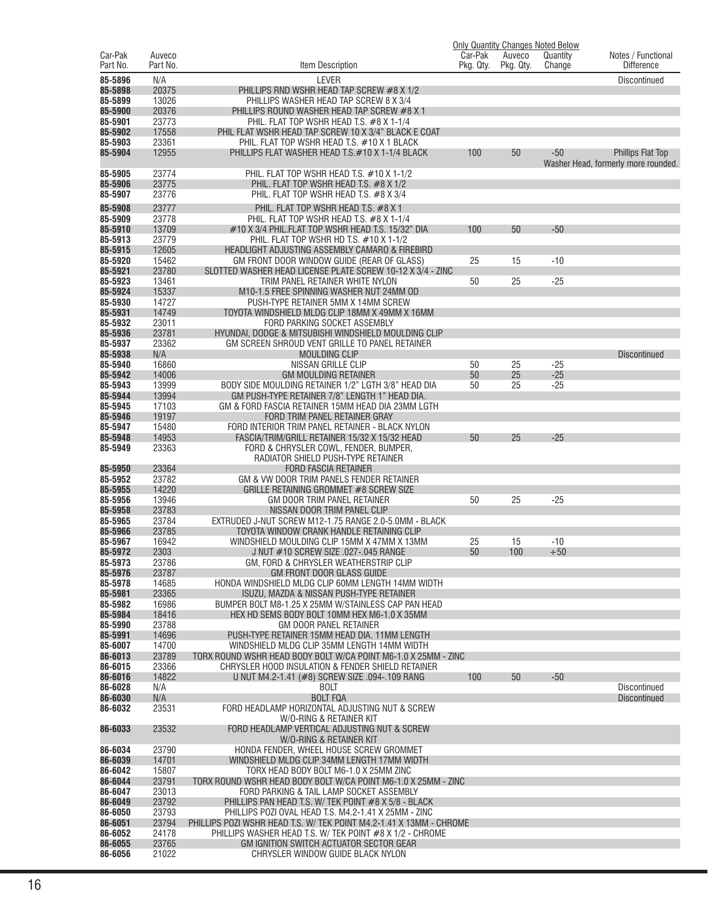|                     |                    |                                                                                                            |                      |                     | <b>Only Quantity Changes Noted Below</b> |                                         |
|---------------------|--------------------|------------------------------------------------------------------------------------------------------------|----------------------|---------------------|------------------------------------------|-----------------------------------------|
| Car-Pak<br>Part No. | Auveco<br>Part No. | Item Description                                                                                           | Car-Pak<br>Pkg. Qty. | Auveco<br>Pkg. Qty. | Quantity<br>Change                       | Notes / Functional<br><b>Difference</b> |
|                     |                    |                                                                                                            |                      |                     |                                          |                                         |
| 85-5896<br>85-5898  | N/A<br>20375       | <b>LEVER</b><br>PHILLIPS RND WSHR HEAD TAP SCREW #8 X 1/2                                                  |                      |                     |                                          | Discontinued                            |
| 85-5899             | 13026              | PHILLIPS WASHER HEAD TAP SCREW 8 X 3/4                                                                     |                      |                     |                                          |                                         |
| 85-5900             | 20376              | PHILLIPS ROUND WASHER HEAD TAP SCREW #8 X 1                                                                |                      |                     |                                          |                                         |
| 85-5901             | 23773              | PHIL. FLAT TOP WSHR HEAD T.S. #8 X 1-1/4                                                                   |                      |                     |                                          |                                         |
| 85-5902             | 17558              | PHIL FLAT WSHR HEAD TAP SCREW 10 X 3/4" BLACK E COAT                                                       |                      |                     |                                          |                                         |
| 85-5903             | 23361              | PHIL. FLAT TOP WSHR HEAD T.S. #10 X 1 BLACK                                                                |                      |                     |                                          |                                         |
| 85-5904             | 12955              | PHILLIPS FLAT WASHER HEAD T.S.#10 X 1-1/4 BLACK                                                            | 100                  | 50                  | $-50$                                    | <b>Phillips Flat Top</b>                |
|                     |                    |                                                                                                            |                      |                     |                                          | Washer Head, formerly more rounded.     |
| 85-5905             | 23774              | PHIL. FLAT TOP WSHR HEAD T.S. #10 X 1-1/2                                                                  |                      |                     |                                          |                                         |
| 85-5906             | 23775              | PHIL. FLAT TOP WSHR HEAD T.S. #8 X 1/2                                                                     |                      |                     |                                          |                                         |
| 85-5907             | 23776              | PHIL. FLAT TOP WSHR HEAD T.S. #8 X 3/4                                                                     |                      |                     |                                          |                                         |
| 85-5908             | 23777              | PHIL. FLAT TOP WSHR HEAD T.S. #8 X 1                                                                       |                      |                     |                                          |                                         |
| 85-5909             | 23778              | PHIL. FLAT TOP WSHR HEAD T.S. #8 X 1-1/4                                                                   |                      |                     |                                          |                                         |
| 85-5910             | 13709              | $\#10$ X 3/4 PHIL.FLAT TOP WSHR HEAD T.S. 15/32" DIA                                                       | 100                  | 50                  | $-50$                                    |                                         |
| 85-5913             | 23779              | PHIL. FLAT TOP WSHR HD T.S. #10 X 1-1/2                                                                    |                      |                     |                                          |                                         |
| 85-5915<br>85-5920  | 12605<br>15462     | HEADLIGHT ADJUSTING ASSEMBLY CAMARO & FIREBIRD<br>GM FRONT DOOR WINDOW GUIDE (REAR OF GLASS)               |                      |                     | $-10$                                    |                                         |
| 85-5921             | 23780              | SLOTTED WASHER HEAD LICENSE PLATE SCREW 10-12 X 3/4 - ZINC                                                 | 25                   | 15                  |                                          |                                         |
| 85-5923             | 13461              | TRIM PANEL RETAINER WHITE NYLON                                                                            | 50                   | 25                  | $-25$                                    |                                         |
| 85-5924             | 15337              | M10-1.5 FREE SPINNING WASHER NUT 24MM OD                                                                   |                      |                     |                                          |                                         |
| 85-5930             | 14727              | PUSH-TYPE RETAINER 5MM X 14MM SCREW                                                                        |                      |                     |                                          |                                         |
| 85-5931             | 14749              | TOYOTA WINDSHIELD MLDG CLIP 18MM X 49MM X 16MM                                                             |                      |                     |                                          |                                         |
| 85-5932             | 23011              | FORD PARKING SOCKET ASSEMBLY                                                                               |                      |                     |                                          |                                         |
| 85-5936             | 23781              | HYUNDAI, DODGE & MITSUBISHI WINDSHIELD MOULDING CLIP                                                       |                      |                     |                                          |                                         |
| 85-5937             | 23362              | GM SCREEN SHROUD VENT GRILLE TO PANEL RETAINER                                                             |                      |                     |                                          |                                         |
| 85-5938             | N/A                | <b>MOULDING CLIP</b>                                                                                       |                      |                     |                                          | <b>Discontinued</b>                     |
| 85-5940             | 16860              | NISSAN GRILLE CLIP                                                                                         | 50                   | 25                  | $-25$<br>$-25$                           |                                         |
| 85-5942<br>85-5943  | 14006<br>13999     | <b>GM MOULDING RETAINER</b><br>BODY SIDE MOULDING RETAINER 1/2" LGTH 3/8" HEAD DIA                         | 50<br>50             | 25<br>25            | $-25$                                    |                                         |
| 85-5944             | 13994              | GM PUSH-TYPE RETAINER 7/8" LENGTH 1" HEAD DIA.                                                             |                      |                     |                                          |                                         |
| 85-5945             | 17103              | GM & FORD FASCIA RETAINER 15MM HEAD DIA 23MM LGTH                                                          |                      |                     |                                          |                                         |
| 85-5946             | 19197              | FORD TRIM PANEL RETAINER GRAY                                                                              |                      |                     |                                          |                                         |
| 85-5947             | 15480              | FORD INTERIOR TRIM PANEL RETAINER - BLACK NYLON                                                            |                      |                     |                                          |                                         |
| 85-5948             | 14953              | FASCIA/TRIM/GRILL RETAINER 15/32 X 15/32 HEAD                                                              | 50                   | 25                  | $-25$                                    |                                         |
| 85-5949             | 23363              | FORD & CHRYSLER COWL, FENDER, BUMPER,                                                                      |                      |                     |                                          |                                         |
|                     |                    | RADIATOR SHIELD PUSH-TYPE RETAINER                                                                         |                      |                     |                                          |                                         |
| 85-5950             | 23364              | <b>FORD FASCIA RETAINER</b>                                                                                |                      |                     |                                          |                                         |
| 85-5952<br>85-5955  | 23782<br>14220     | GM & VW DOOR TRIM PANELS FENDER RETAINER<br>GRILLE RETAINING GROMMET #8 SCREW SIZE                         |                      |                     |                                          |                                         |
| 85-5956             | 13946              | GM DOOR TRIM PANEL RETAINER                                                                                | 50                   | 25                  | $-25$                                    |                                         |
| 85-5958             | 23783              | NISSAN DOOR TRIM PANEL CLIP                                                                                |                      |                     |                                          |                                         |
| 85-5965             | 23784              | EXTRUDED J-NUT SCREW M12-1.75 RANGE 2.0-5.0MM - BLACK                                                      |                      |                     |                                          |                                         |
| 85-5966             | 23785              | TOYOTA WINDOW CRANK HANDLE RETAINING CLIP                                                                  |                      |                     |                                          |                                         |
| 85-5967             | 16942              | WINDSHIELD MOULDING CLIP 15MM X 47MM X 13MM                                                                | 25                   | 15                  | $-10$                                    |                                         |
| 85-5972             | 2303               | J NUT #10 SCREW SIZE .027-.045 RANGE                                                                       | 50                   | 100                 | $+50$                                    |                                         |
| 85-5973             | 23786              | GM, FORD & CHRYSLER WEATHERSTRIP CLIP                                                                      |                      |                     |                                          |                                         |
| 85-5976<br>85-5978  | 23787<br>14685     | <b>GM FRONT DOOR GLASS GUIDE</b><br>HONDA WINDSHIELD MLDG CLIP 60MM LENGTH 14MM WIDTH                      |                      |                     |                                          |                                         |
| 85-5981             | 23365              | <b>ISUZU. MAZDA &amp; NISSAN PUSH-TYPE RETAINER</b>                                                        |                      |                     |                                          |                                         |
| 85-5982             | 16986              | BUMPER BOLT M8-1.25 X 25MM W/STAINLESS CAP PAN HEAD                                                        |                      |                     |                                          |                                         |
| 85-5984             | 18416              | HEX HD SEMS BODY BOLT 10MM HEX M6-1.0 X 35MM                                                               |                      |                     |                                          |                                         |
| 85-5990             | 23788              | GM DOOR PANEL RETAINER                                                                                     |                      |                     |                                          |                                         |
| 85-5991             | 14696              | PUSH-TYPE RETAINER 15MM HEAD DIA. 11MM LENGTH                                                              |                      |                     |                                          |                                         |
| 85-6007             | 14700              | WINDSHIELD MLDG CLIP 35MM LENGTH 14MM WIDTH                                                                |                      |                     |                                          |                                         |
| 86-6013             | 23789              | TORX ROUND WSHR HEAD BODY BOLT W/CA POINT M6-1.0 X 25MM - ZINC                                             |                      |                     |                                          |                                         |
| 86-6015<br>86-6016  | 23366<br>14822     | CHRYSLER HOOD INSULATION & FENDER SHIELD RETAINER<br>U NUT M4.2-1.41 (#8) SCREW SIZE .094-.109 RANG        | 100                  | 50                  | $-50$                                    |                                         |
| 86-6028             | N/A                | <b>BOLT</b>                                                                                                |                      |                     |                                          | Discontinued                            |
| 86-6030             | N/A                | <b>BOLT FQA</b>                                                                                            |                      |                     |                                          | <b>Discontinued</b>                     |
| 86-6032             | 23531              | FORD HEADLAMP HORIZONTAL ADJUSTING NUT & SCREW                                                             |                      |                     |                                          |                                         |
|                     |                    | W/O-RING & RETAINER KIT                                                                                    |                      |                     |                                          |                                         |
| 86-6033             | 23532              | FORD HEADLAMP VERTICAL ADJUSTING NUT & SCREW                                                               |                      |                     |                                          |                                         |
|                     |                    | W/O-RING & RETAINER KIT                                                                                    |                      |                     |                                          |                                         |
| 86-6034             | 23790              | HONDA FENDER, WHEEL HOUSE SCREW GROMMET                                                                    |                      |                     |                                          |                                         |
| 86-6039             | 14701              | WINDSHIELD MLDG CLIP 34MM LENGTH 17MM WIDTH                                                                |                      |                     |                                          |                                         |
| 86-6042             | 15807              | TORX HEAD BODY BOLT M6-1.0 X 25MM ZINC                                                                     |                      |                     |                                          |                                         |
| 86-6044<br>86-6047  | 23791<br>23013     | TORX ROUND WSHR HEAD BODY BOLT W/CA POINT M6-1.0 X 25MM - ZINC<br>FORD PARKING & TAIL LAMP SOCKET ASSEMBLY |                      |                     |                                          |                                         |
| 86-6049             | 23792              | PHILLIPS PAN HEAD T.S. W/ TEK POINT #8 X 5/8 - BLACK                                                       |                      |                     |                                          |                                         |
| 86-6050             | 23793              | PHILLIPS POZI OVAL HEAD T.S. M4.2-1.41 X 25MM - ZINC                                                       |                      |                     |                                          |                                         |
| 86-6051             | 23794              | PHILLIPS POZI WSHR HEAD T.S. W/ TEK POINT M4.2-1.41 X 13MM - CHROME                                        |                      |                     |                                          |                                         |
| 86-6052             | 24178              | PHILLIPS WASHER HEAD T.S. W/ TEK POINT #8 X 1/2 - CHROME                                                   |                      |                     |                                          |                                         |
| 86-6055             | 23765              | GM IGNITION SWITCH ACTUATOR SECTOR GEAR                                                                    |                      |                     |                                          |                                         |
| 86-6056             | 21022              | CHRYSLER WINDOW GUIDE BLACK NYLON                                                                          |                      |                     |                                          |                                         |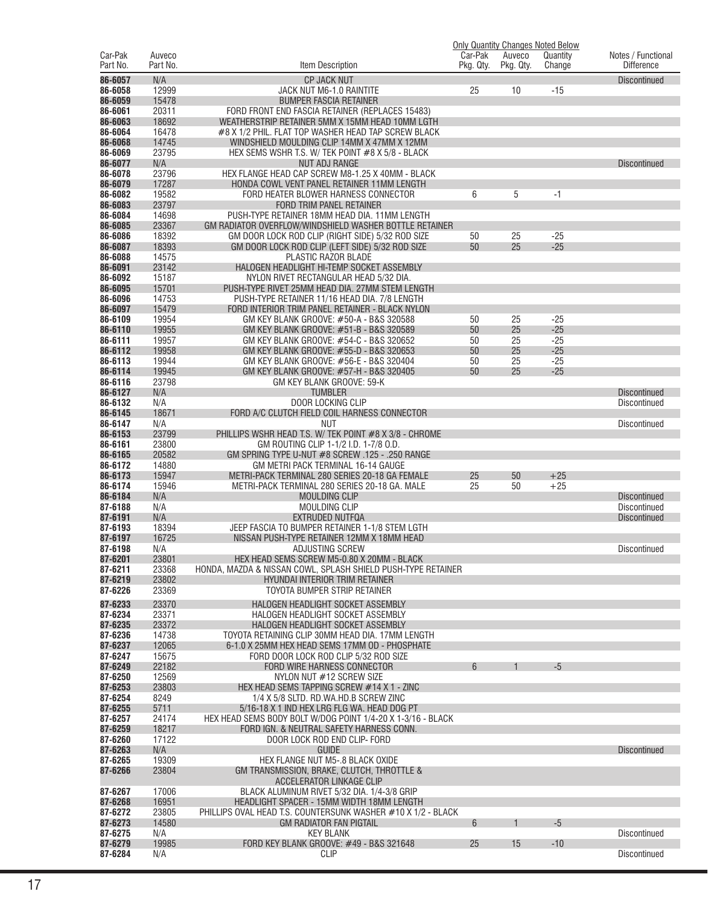|                     |                    |                                                                                         |                      |                     | Only Quantity Changes Noted Below |                                         |
|---------------------|--------------------|-----------------------------------------------------------------------------------------|----------------------|---------------------|-----------------------------------|-----------------------------------------|
| Car-Pak<br>Part No. | Auveco<br>Part No. | Item Description                                                                        | Car-Pak<br>Pkg. Qty. | Auveco<br>Pkg. Qty. | Quantity<br>Change                | Notes / Functional<br><b>Difference</b> |
|                     |                    |                                                                                         |                      |                     |                                   |                                         |
| 86-6057             | N/A                | <b>CP JACK NUT</b>                                                                      |                      |                     |                                   | <b>Discontinued</b>                     |
| 86-6058             | 12999              | JACK NUT M6-1.0 RAINTITE                                                                | 25                   | 10                  | $-15$                             |                                         |
| 86-6059             | 15478              | <b>BUMPER FASCIA RETAINER</b>                                                           |                      |                     |                                   |                                         |
| 86-6061             | 20311              | FORD FRONT END FASCIA RETAINER (REPLACES 15483)                                         |                      |                     |                                   |                                         |
| 86-6063             | 18692              | WEATHERSTRIP RETAINER 5MM X 15MM HEAD 10MM LGTH                                         |                      |                     |                                   |                                         |
| 86-6064             | 16478              | #8 X 1/2 PHIL. FLAT TOP WASHER HEAD TAP SCREW BLACK                                     |                      |                     |                                   |                                         |
| 86-6068             | 14745              | WINDSHIELD MOULDING CLIP 14MM X 47MM X 12MM                                             |                      |                     |                                   |                                         |
| 86-6069<br>86-6077  | 23795<br>N/A       | HEX SEMS WSHR T.S. W/ TEK POINT #8 X 5/8 - BLACK<br><b>NUT ADJ RANGE</b>                |                      |                     |                                   |                                         |
| 86-6078             | 23796              | HEX FLANGE HEAD CAP SCREW M8-1.25 X 40MM - BLACK                                        |                      |                     |                                   | <b>Discontinued</b>                     |
| 86-6079             | 17287              | HONDA COWL VENT PANEL RETAINER 11MM LENGTH                                              |                      |                     |                                   |                                         |
| 86-6082             | 19582              | FORD HEATER BLOWER HARNESS CONNECTOR                                                    | 6                    | 5                   | $-1$                              |                                         |
| 86-6083             | 23797              | <b>FORD TRIM PANEL RETAINER</b>                                                         |                      |                     |                                   |                                         |
| 86-6084             | 14698              | PUSH-TYPE RETAINER 18MM HEAD DIA. 11MM LENGTH                                           |                      |                     |                                   |                                         |
| 86-6085             | 23367              | GM RADIATOR OVERFLOW/WINDSHIELD WASHER BOTTLE RETAINER                                  |                      |                     |                                   |                                         |
| 86-6086             | 18392              | GM DOOR LOCK ROD CLIP (RIGHT SIDE) 5/32 ROD SIZE                                        | 50                   | 25                  | $-25$                             |                                         |
| 86-6087             | 18393              | GM DOOR LOCK ROD CLIP (LEFT SIDE) 5/32 ROD SIZE                                         | 50                   | 25                  | $-25$                             |                                         |
| 86-6088             | 14575              | PLASTIC RAZOR BLADE                                                                     |                      |                     |                                   |                                         |
| 86-6091             | 23142              | HALOGEN HEADLIGHT HI-TEMP SOCKET ASSEMBLY                                               |                      |                     |                                   |                                         |
| 86-6092             | 15187              | NYLON RIVET RECTANGULAR HEAD 5/32 DIA.                                                  |                      |                     |                                   |                                         |
| 86-6095             | 15701              | PUSH-TYPE RIVET 25MM HEAD DIA. 27MM STEM LENGTH                                         |                      |                     |                                   |                                         |
| 86-6096             | 14753              | PUSH-TYPE RETAINER 11/16 HEAD DIA. 7/8 LENGTH                                           |                      |                     |                                   |                                         |
| 86-6097             | 15479              | FORD INTERIOR TRIM PANEL RETAINER - BLACK NYLON                                         |                      |                     |                                   |                                         |
| 86-6109             | 19954              | GM KEY BLANK GROOVE: #50-A - B&S 320588                                                 | 50                   | 25                  | $-25$                             |                                         |
| 86-6110             | 19955              | GM KEY BLANK GROOVE: #51-B - B&S 320589                                                 | 50                   | 25                  | $-25$                             |                                         |
| 86-6111             | 19957              | GM KEY BLANK GROOVE: #54-C - B&S 320652                                                 | 50                   | 25                  | $-25$                             |                                         |
| 86-6112             | 19958              | GM KEY BLANK GROOVE: #55-D - B&S 320653                                                 | 50                   | 25                  | $-25$                             |                                         |
| 86-6113             | 19944              | GM KEY BLANK GROOVE: #56-E - B&S 320404                                                 | 50                   | 25                  | $-25$                             |                                         |
| 86-6114             | 19945              | GM KEY BLANK GROOVE: #57-H - B&S 320405                                                 | 50                   | 25                  | $-25$                             |                                         |
| 86-6116             | 23798              | GM KEY BLANK GROOVE: 59-K                                                               |                      |                     |                                   |                                         |
| 86-6127<br>86-6132  | N/A<br>N/A         | <b>TUMBLER</b><br><b>DOOR LOCKING CLIP</b>                                              |                      |                     |                                   | <b>Discontinued</b><br>Discontinued     |
| 86-6145             | 18671              | FORD A/C CLUTCH FIELD COIL HARNESS CONNECTOR                                            |                      |                     |                                   |                                         |
| 86-6147             | N/A                | <b>NUT</b>                                                                              |                      |                     |                                   | Discontinued                            |
| 86-6153             | 23799              | PHILLIPS WSHR HEAD T.S. W/ TEK POINT #8 X 3/8 - CHROME                                  |                      |                     |                                   |                                         |
| 86-6161             | 23800              | GM ROUTING CLIP 1-1/2 I.D. 1-7/8 O.D.                                                   |                      |                     |                                   |                                         |
| 86-6165             | 20582              | GM SPRING TYPE U-NUT #8 SCREW .125 - .250 RANGE                                         |                      |                     |                                   |                                         |
| 86-6172             | 14880              | GM METRI PACK TERMINAL 16-14 GAUGE                                                      |                      |                     |                                   |                                         |
| 86-6173             | 15947              | METRI-PACK TERMINAL 280 SERIES 20-18 GA FEMALE                                          | 25                   | 50                  | $+25$                             |                                         |
| 86-6174             | 15946              | METRI-PACK TERMINAL 280 SERIES 20-18 GA. MALE                                           | 25                   | 50                  | $+25$                             |                                         |
| 86-6184             | N/A                | <b>MOULDING CLIP</b>                                                                    |                      |                     |                                   | <b>Discontinued</b>                     |
| 87-6188             | N/A                | MOULDING CLIP                                                                           |                      |                     |                                   | <b>Discontinued</b>                     |
| 87-6191             | N/A                | EXTRUDED NUTFQA                                                                         |                      |                     |                                   | <b>Discontinued</b>                     |
| 87-6193             | 18394              | JEEP FASCIA TO BUMPER RETAINER 1-1/8 STEM LGTH                                          |                      |                     |                                   |                                         |
| 87-6197             | 16725              | NISSAN PUSH-TYPE RETAINER 12MM X 18MM HEAD                                              |                      |                     |                                   |                                         |
| 87-6198             | N/A                | ADJUSTING SCREW                                                                         |                      |                     |                                   | <b>Discontinued</b>                     |
| 87-6201             | 23801              | HEX HEAD SEMS SCREW M5-0.80 X 20MM - BLACK                                              |                      |                     |                                   |                                         |
| 87-6211             | 23368              | HONDA, MAZDA & NISSAN COWL, SPLASH SHIELD PUSH-TYPE RETAINER                            |                      |                     |                                   |                                         |
| 87-6219             | 23802              | HYUNDAI INTERIOR TRIM RETAINER                                                          |                      |                     |                                   |                                         |
| 87-6226             | 23369              | TOYOTA BUMPER STRIP RETAINER                                                            |                      |                     |                                   |                                         |
| 87-6233             | 23370              | HALOGEN HEADLIGHT SOCKET ASSEMBLY                                                       |                      |                     |                                   |                                         |
| 87-6234             | 23371              | HALOGEN HEADLIGHT SOCKET ASSEMBLY                                                       |                      |                     |                                   |                                         |
| 87-6235             | 23372              | HALOGEN HEADLIGHT SOCKET ASSEMBLY                                                       |                      |                     |                                   |                                         |
| 87-6236             | 14738              | TOYOTA RETAINING CLIP 30MM HEAD DIA. 17MM LENGTH                                        |                      |                     |                                   |                                         |
| 87-6237<br>87-6247  | 12065<br>15675     | 6-1.0 X 25MM HEX HEAD SEMS 17MM OD - PHOSPHATE<br>FORD DOOR LOCK ROD CLIP 5/32 ROD SIZE |                      |                     |                                   |                                         |
| 87-6249             | 22182              | FORD WIRE HARNESS CONNECTOR                                                             | $6\phantom{1}$       |                     | $-5$                              |                                         |
| 87-6250             | 12569              | NYLON NUT #12 SCREW SIZE                                                                |                      |                     |                                   |                                         |
| 87-6253             | 23803              | HEX HEAD SEMS TAPPING SCREW #14 X 1 - ZINC                                              |                      |                     |                                   |                                         |
| 87-6254             | 8249               | 1/4 X 5/8 SLTD, RD.WA.HD.B SCREW ZINC                                                   |                      |                     |                                   |                                         |
| 87-6255             | 5711               | 5/16-18 X 1 IND HEX LRG FLG WA. HEAD DOG PT                                             |                      |                     |                                   |                                         |
| 87-6257             | 24174              | HEX HEAD SEMS BODY BOLT W/DOG POINT 1/4-20 X 1-3/16 - BLACK                             |                      |                     |                                   |                                         |
| 87-6259             | 18217              | FORD IGN. & NEUTRAL SAFETY HARNESS CONN.                                                |                      |                     |                                   |                                         |
| 87-6260             | 17122              | DOOR LOCK ROD END CLIP- FORD                                                            |                      |                     |                                   |                                         |
| 87-6263             | N/A                | <b>GUIDE</b>                                                                            |                      |                     |                                   | <b>Discontinued</b>                     |
| 87-6265             | 19309              | HEX FLANGE NUT M5-.8 BLACK OXIDE                                                        |                      |                     |                                   |                                         |
| 87-6266             | 23804              | GM TRANSMISSION, BRAKE, CLUTCH, THROTTLE &                                              |                      |                     |                                   |                                         |
|                     |                    | ACCELERATOR LINKAGE CLIP                                                                |                      |                     |                                   |                                         |
| 87-6267             | 17006              | BLACK ALUMINUM RIVET 5/32 DIA. 1/4-3/8 GRIP                                             |                      |                     |                                   |                                         |
| 87-6268             | 16951              | HEADLIGHT SPACER - 15MM WIDTH 18MM LENGTH                                               |                      |                     |                                   |                                         |
| 87-6272             | 23805              | PHILLIPS OVAL HEAD T.S. COUNTERSUNK WASHER #10 X 1/2 - BLACK                            |                      |                     |                                   |                                         |
| 87-6273             | 14580              | <b>GM RADIATOR FAN PIGTAIL</b>                                                          | $6\phantom{1}$       |                     | $-5$                              |                                         |
| 87-6275<br>87-6279  | N/A<br>19985       | <b>KEY BLANK</b><br>FORD KEY BLANK GROOVE: #49 - B&S 321648                             | 25                   | 15                  | $-10$                             | <b>Discontinued</b>                     |
| 87-6284             | N/A                | <b>CLIP</b>                                                                             |                      |                     |                                   | <b>Discontinued</b>                     |
|                     |                    |                                                                                         |                      |                     |                                   |                                         |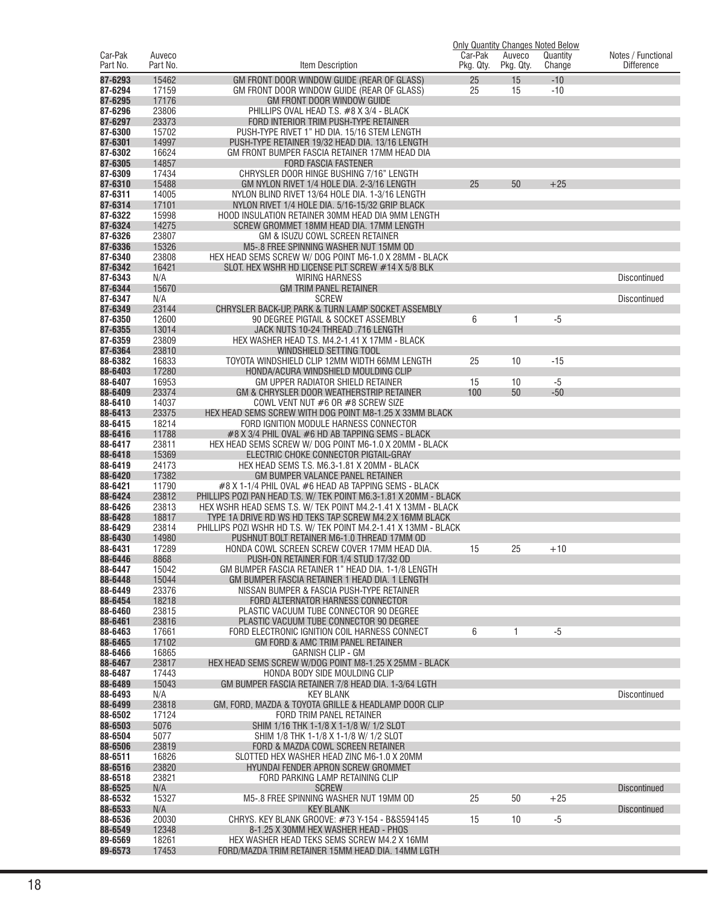|                     |                    |                                                                                        |                      |                     | <b>Only Quantity Changes Noted Below</b> |                                         |
|---------------------|--------------------|----------------------------------------------------------------------------------------|----------------------|---------------------|------------------------------------------|-----------------------------------------|
| Car-Pak<br>Part No. | Auveco<br>Part No. | Item Description                                                                       | Car-Pak<br>Pkg. Qty. | Auveco<br>Pkg. Qty. | Quantity<br>Change                       | Notes / Functional<br><b>Difference</b> |
|                     |                    |                                                                                        |                      |                     |                                          |                                         |
| 87-6293             | 15462              | GM FRONT DOOR WINDOW GUIDE (REAR OF GLASS)                                             | 25                   | 15                  | $-10$                                    |                                         |
| 87-6294             | 17159              | GM FRONT DOOR WINDOW GUIDE (REAR OF GLASS)                                             | 25                   | 15                  | $-10$                                    |                                         |
| 87-6295<br>87-6296  | 17176<br>23806     | <b>GM FRONT DOOR WINDOW GUIDE</b><br>PHILLIPS OVAL HEAD T.S. #8 X 3/4 - BLACK          |                      |                     |                                          |                                         |
| 87-6297             | 23373              | FORD INTERIOR TRIM PUSH-TYPE RETAINER                                                  |                      |                     |                                          |                                         |
| 87-6300             | 15702              | PUSH-TYPE RIVET 1" HD DIA. 15/16 STEM LENGTH                                           |                      |                     |                                          |                                         |
| 87-6301             | 14997              | PUSH-TYPE RETAINER 19/32 HEAD DIA. 13/16 LENGTH                                        |                      |                     |                                          |                                         |
| 87-6302             | 16624              | GM FRONT BUMPER FASCIA RETAINER 17MM HEAD DIA                                          |                      |                     |                                          |                                         |
| 87-6305             | 14857              | <b>FORD FASCIA FASTENER</b>                                                            |                      |                     |                                          |                                         |
| 87-6309             | 17434              | CHRYSLER DOOR HINGE BUSHING 7/16" LENGTH                                               |                      |                     |                                          |                                         |
| 87-6310             | 15488              | GM NYLON RIVET 1/4 HOLE DIA. 2-3/16 LENGTH                                             | 25                   | 50                  | $+25$                                    |                                         |
| 87-6311             | 14005              | NYLON BLIND RIVET 13/64 HOLE DIA. 1-3/16 LENGTH                                        |                      |                     |                                          |                                         |
| 87-6314             | 17101              | NYLON RIVET 1/4 HOLE DIA. 5/16-15/32 GRIP BLACK                                        |                      |                     |                                          |                                         |
| 87-6322             | 15998              | HOOD INSULATION RETAINER 30MM HEAD DIA 9MM LENGTH                                      |                      |                     |                                          |                                         |
| 87-6324             | 14275              | SCREW GROMMET 18MM HEAD DIA. 17MM LENGTH                                               |                      |                     |                                          |                                         |
| 87-6326             | 23807              | GM & ISUZU COWL SCREEN RETAINER                                                        |                      |                     |                                          |                                         |
| 87-6336             | 15326              | M5-.8 FREE SPINNING WASHER NUT 15MM OD                                                 |                      |                     |                                          |                                         |
| 87-6340             | 23808              | HEX HEAD SEMS SCREW W/ DOG POINT M6-1.0 X 28MM - BLACK                                 |                      |                     |                                          |                                         |
| 87-6342             | 16421              | SLOT. HEX WSHR HD LICENSE PLT SCREW #14 X 5/8 BLK                                      |                      |                     |                                          |                                         |
| 87-6343             | N/A                | <b>WIRING HARNESS</b>                                                                  |                      |                     |                                          | Discontinued                            |
| 87-6344<br>87-6347  | 15670<br>N/A       | <b>GM TRIM PANEL RETAINER</b><br><b>SCREW</b>                                          |                      |                     |                                          |                                         |
| 87-6349             | 23144              | CHRYSLER BACK-UP, PARK & TURN LAMP SOCKET ASSEMBLY                                     |                      |                     |                                          | Discontinued                            |
| 87-6350             | 12600              | 90 DEGREE PIGTAIL & SOCKET ASSEMBLY                                                    | 6                    | 1                   | $-5$                                     |                                         |
| 87-6355             | 13014              | JACK NUTS 10-24 THREAD .716 LENGTH                                                     |                      |                     |                                          |                                         |
| 87-6359             | 23809              | HEX WASHER HEAD T.S. M4.2-1.41 X 17MM - BLACK                                          |                      |                     |                                          |                                         |
| 87-6364             | 23810              | WINDSHIELD SETTING TOOL                                                                |                      |                     |                                          |                                         |
| 88-6382             | 16833              | TOYOTA WINDSHIELD CLIP 12MM WIDTH 66MM LENGTH                                          | 25                   | 10                  | $-15$                                    |                                         |
| 88-6403             | 17280              | HONDA/ACURA WINDSHIELD MOULDING CLIP                                                   |                      |                     |                                          |                                         |
| 88-6407             | 16953              | GM UPPER RADIATOR SHIELD RETAINER                                                      | 15                   | 10                  | $-5$                                     |                                         |
| 88-6409             | 23374              | GM & CHRYSLER DOOR WEATHERSTRIP RETAINER                                               | 100                  | 50                  | $-50$                                    |                                         |
| 88-6410             | 14037              | COWL VENT NUT #6 OR #8 SCREW SIZE                                                      |                      |                     |                                          |                                         |
| 88-6413             | 23375              | HEX HEAD SEMS SCREW WITH DOG POINT M8-1.25 X 33MM BLACK                                |                      |                     |                                          |                                         |
| 88-6415             | 18214              | FORD IGNITION MODULE HARNESS CONNECTOR                                                 |                      |                     |                                          |                                         |
| 88-6416             | 11788              | #8 X 3/4 PHIL OVAL #6 HD AB TAPPING SEMS - BLACK                                       |                      |                     |                                          |                                         |
| 88-6417             | 23811              | HEX HEAD SEMS SCREW W/DOG POINT M6-1.0 X 20MM - BLACK                                  |                      |                     |                                          |                                         |
| 88-6418             | 15369              | ELECTRIC CHOKE CONNECTOR PIGTAIL-GRAY                                                  |                      |                     |                                          |                                         |
| 88-6419<br>88-6420  | 24173<br>17382     | HEX HEAD SEMS T.S. M6.3-1.81 X 20MM - BLACK<br><b>GM BUMPER VALANCE PANEL RETAINER</b> |                      |                     |                                          |                                         |
| 88-6421             | 11790              | #8 X 1-1/4 PHIL OVAL #6 HEAD AB TAPPING SEMS - BLACK                                   |                      |                     |                                          |                                         |
| 88-6424             | 23812              | PHILLIPS POZI PAN HEAD T.S. W/ TEK POINT M6.3-1.81 X 20MM - BLACK                      |                      |                     |                                          |                                         |
| 88-6426             | 23813              | HEX WSHR HEAD SEMS T.S. W/ TEK POINT M4.2-1.41 X 13MM - BLACK                          |                      |                     |                                          |                                         |
| 88-6428             | 18817              | TYPE 1A DRIVE RD WS HD TEKS TAP SCREW M4.2 X 16MM BLACK                                |                      |                     |                                          |                                         |
| 88-6429             | 23814              | PHILLIPS POZI WSHR HD T.S. W/ TEK POINT M4.2-1.41 X 13MM - BLACK                       |                      |                     |                                          |                                         |
| 88-6430             | 14980              | PUSHNUT BOLT RETAINER M6-1.0 THREAD 17MM OD                                            |                      |                     |                                          |                                         |
| 88-6431             | 17289              | HONDA COWL SCREEN SCREW COVER 17MM HEAD DIA.                                           | 15                   | 25                  | $+10$                                    |                                         |
| 88-6446             | 8868               | PUSH-ON RETAINER FOR 1/4 STUD 17/32 OD                                                 |                      |                     |                                          |                                         |
| 88-6447             | 15042              | GM BUMPER FASCIA RETAINER 1" HEAD DIA. 1-1/8 LENGTH                                    |                      |                     |                                          |                                         |
| 88-6448             | 15044              | GM BUMPER FASCIA RETAINER 1 HEAD DIA. 1 LENGTH                                         |                      |                     |                                          |                                         |
| 88-6449             | 23376              | NISSAN BUMPER & FASCIA PUSH-TYPE RETAINER                                              |                      |                     |                                          |                                         |
| 88-6454             | 18218              | FORD ALTERNATOR HARNESS CONNECTOR                                                      |                      |                     |                                          |                                         |
| 88-6460<br>88-6461  | 23815<br>23816     | PLASTIC VACUUM TUBE CONNECTOR 90 DEGREE<br>PLASTIC VACUUM TUBE CONNECTOR 90 DEGREE     |                      |                     |                                          |                                         |
| 88-6463             | 17661              | FORD ELECTRONIC IGNITION COIL HARNESS CONNECT                                          | 6                    | 1                   | $-5$                                     |                                         |
| 88-6465             | 17102              | <b>GM FORD &amp; AMC TRIM PANEL RETAINER</b>                                           |                      |                     |                                          |                                         |
| 88-6466             | 16865              | <b>GARNISH CLIP - GM</b>                                                               |                      |                     |                                          |                                         |
| 88-6467             | 23817              | HEX HEAD SEMS SCREW W/DOG POINT M8-1.25 X 25MM - BLACK                                 |                      |                     |                                          |                                         |
| 88-6487             | 17443              | HONDA BODY SIDE MOULDING CLIP                                                          |                      |                     |                                          |                                         |
| 88-6489             | 15043              | GM BUMPER FASCIA RETAINER 7/8 HEAD DIA. 1-3/64 LGTH                                    |                      |                     |                                          |                                         |
| 88-6493             | N/A                | <b>KEY BLANK</b>                                                                       |                      |                     |                                          | <b>Discontinued</b>                     |
| 88-6499             | 23818              | GM, FORD, MAZDA & TOYOTA GRILLE & HEADLAMP DOOR CLIP                                   |                      |                     |                                          |                                         |
| 88-6502             | 17124              | FORD TRIM PANEL RETAINER                                                               |                      |                     |                                          |                                         |
| 88-6503             | 5076               | SHIM 1/16 THK 1-1/8 X 1-1/8 W/ 1/2 SLOT                                                |                      |                     |                                          |                                         |
| 88-6504             | 5077               | SHIM 1/8 THK 1-1/8 X 1-1/8 W/ 1/2 SLOT                                                 |                      |                     |                                          |                                         |
| 88-6506             | 23819              | FORD & MAZDA COWL SCREEN RETAINER                                                      |                      |                     |                                          |                                         |
| 88-6511<br>88-6516  | 16826<br>23820     | SLOTTED HEX WASHER HEAD ZINC M6-1.0 X 20MM<br>HYUNDAI FENDER APRON SCREW GROMMET       |                      |                     |                                          |                                         |
| 88-6518             | 23821              | FORD PARKING LAMP RETAINING CLIP                                                       |                      |                     |                                          |                                         |
| 88-6525             | N/A                | <b>SCREW</b>                                                                           |                      |                     |                                          | <b>Discontinued</b>                     |
| 88-6532             | 15327              | M5-.8 FREE SPINNING WASHER NUT 19MM OD                                                 | 25                   | 50                  | $+25$                                    |                                         |
| 88-6533             | N/A                | <b>KEY BLANK</b>                                                                       |                      |                     |                                          | <b>Discontinued</b>                     |
| 88-6536             | 20030              | CHRYS. KEY BLANK GROOVE: #73 Y-154 - B&S594145                                         | 15                   | 10                  | $-5$                                     |                                         |
| 88-6549             | 12348              | 8-1.25 X 30MM HEX WASHER HEAD - PHOS                                                   |                      |                     |                                          |                                         |
| 89-6569             | 18261              | HEX WASHER HEAD TEKS SEMS SCREW M4.2 X 16MM                                            |                      |                     |                                          |                                         |
| 89-6573             | 17453              | FORD/MAZDA TRIM RETAINER 15MM HEAD DIA. 14MM LGTH                                      |                      |                     |                                          |                                         |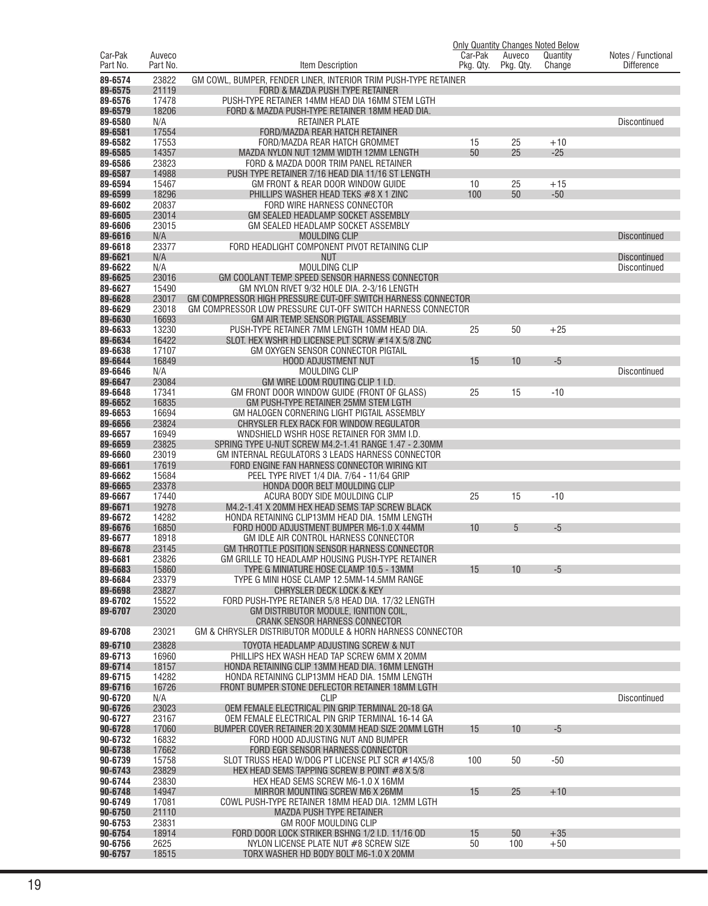|                     |                    |                                                                                                     | Car-Pak   | Auveco    | <b>Only Quantity Changes Noted Below</b> |                                         |
|---------------------|--------------------|-----------------------------------------------------------------------------------------------------|-----------|-----------|------------------------------------------|-----------------------------------------|
| Car-Pak<br>Part No. | Auveco<br>Part No. | Item Description                                                                                    | Pkg. Qty. | Pkg. Qty. | Quantity<br>Change                       | Notes / Functional<br><b>Difference</b> |
| 89-6574             | 23822              | GM COWL, BUMPER, FENDER LINER, INTERIOR TRIM PUSH-TYPE RETAINER                                     |           |           |                                          |                                         |
| 89-6575             | 21119              | FORD & MAZDA PUSH TYPE RETAINER                                                                     |           |           |                                          |                                         |
| 89-6576             | 17478              | PUSH-TYPE RETAINER 14MM HEAD DIA 16MM STEM LGTH                                                     |           |           |                                          |                                         |
| 89-6579             | 18206              | FORD & MAZDA PUSH-TYPE RETAINER 18MM HEAD DIA.                                                      |           |           |                                          |                                         |
| 89-6580             | N/A                | <b>RETAINER PLATE</b>                                                                               |           |           |                                          | <b>Discontinued</b>                     |
| 89-6581             | 17554              | FORD/MAZDA REAR HATCH RETAINER                                                                      |           |           |                                          |                                         |
| 89-6582<br>89-6585  | 17553<br>14357     | FORD/MAZDA REAR HATCH GROMMET<br>MAZDA NYLON NUT 12MM WIDTH 12MM LENGTH                             | 15<br>50  | 25<br>25  | $+10$<br>$-25$                           |                                         |
| 89-6586             | 23823              | FORD & MAZDA DOOR TRIM PANEL RETAINER                                                               |           |           |                                          |                                         |
| 89-6587             | 14988              | PUSH TYPE RETAINER 7/16 HEAD DIA 11/16 ST LENGTH                                                    |           |           |                                          |                                         |
| 89-6594             | 15467              | GM FRONT & REAR DOOR WINDOW GUIDE                                                                   | 10        | 25        | +15                                      |                                         |
| 89-6599             | 18296              | PHILLIPS WASHER HEAD TEKS #8 X 1 ZINC                                                               | 100       | 50        | $-50$                                    |                                         |
| 89-6602             | 20837              | FORD WIRE HARNESS CONNECTOR                                                                         |           |           |                                          |                                         |
| 89-6605<br>89-6606  | 23014<br>23015     | GM SEALED HEADLAMP SOCKET ASSEMBLY<br>GM SEALED HEADLAMP SOCKET ASSEMBLY                            |           |           |                                          |                                         |
| 89-6616             | N/A                | <b>MOULDING CLIP</b>                                                                                |           |           |                                          | <b>Discontinued</b>                     |
| 89-6618             | 23377              | FORD HEADLIGHT COMPONENT PIVOT RETAINING CLIP                                                       |           |           |                                          |                                         |
| 89-6621             | N/A                | <b>NUT</b>                                                                                          |           |           |                                          | <b>Discontinued</b>                     |
| 89-6622             | N/A                | MOULDING CLIP                                                                                       |           |           |                                          | <b>Discontinued</b>                     |
| 89-6625             | 23016              | GM COOLANT TEMP. SPEED SENSOR HARNESS CONNECTOR                                                     |           |           |                                          |                                         |
| 89-6627             | 15490              | GM NYLON RIVET 9/32 HOLE DIA. 2-3/16 LENGTH                                                         |           |           |                                          |                                         |
| 89-6628             | 23017              | GM COMPRESSOR HIGH PRESSURE CUT-OFF SWITCH HARNESS CONNECTOR                                        |           |           |                                          |                                         |
| 89-6629<br>89-6630  | 23018<br>16693     | GM COMPRESSOR LOW PRESSURE CUT-OFF SWITCH HARNESS CONNECTOR<br>GM AIR TEMP. SENSOR PIGTAIL ASSEMBLY |           |           |                                          |                                         |
| 89-6633             | 13230              | PUSH-TYPE RETAINER 7MM LENGTH 10MM HEAD DIA.                                                        | 25        | 50        | $+25$                                    |                                         |
| 89-6634             | 16422              | SLOT. HEX WSHR HD LICENSE PLT SCRW #14 X 5/8 ZNC                                                    |           |           |                                          |                                         |
| 89-6638             | 17107              | GM OXYGEN SENSOR CONNECTOR PIGTAIL                                                                  |           |           |                                          |                                         |
| 89-6644             | 16849              | <b>HOOD ADJUSTMENT NUT</b>                                                                          | 15        | 10        | $-5$                                     |                                         |
| 89-6646             | N/A                | <b>MOULDING CLIP</b>                                                                                |           |           |                                          | Discontinued                            |
| 89-6647             | 23084              | GM WIRE LOOM ROUTING CLIP 1 I.D.                                                                    |           |           |                                          |                                         |
| 89-6648             | 17341              | GM FRONT DOOR WINDOW GUIDE (FRONT OF GLASS)                                                         | 25        | 15        | $-10$                                    |                                         |
| 89-6652             | 16835              | GM PUSH-TYPE RETAINER 25MM STEM LGTH                                                                |           |           |                                          |                                         |
| 89-6653<br>89-6656  | 16694<br>23824     | GM HALOGEN CORNERING LIGHT PIGTAIL ASSEMBLY<br>CHRYSLER FLEX RACK FOR WINDOW REGULATOR              |           |           |                                          |                                         |
| 89-6657             | 16949              | WNDSHIELD WSHR HOSE RETAINER FOR 3MM I.D.                                                           |           |           |                                          |                                         |
| 89-6659             | 23825              | SPRING TYPE U-NUT SCREW M4.2-1.41 RANGE 1.47 - 2.30MM                                               |           |           |                                          |                                         |
| 89-6660             | 23019              | GM INTERNAL REGULATORS 3 LEADS HARNESS CONNECTOR                                                    |           |           |                                          |                                         |
| 89-6661             | 17619              | FORD ENGINE FAN HARNESS CONNECTOR WIRING KIT                                                        |           |           |                                          |                                         |
| 89-6662             | 15684              | PEEL TYPE RIVET 1/4 DIA. 7/64 - 11/64 GRIP                                                          |           |           |                                          |                                         |
| 89-6665             | 23378              | HONDA DOOR BELT MOULDING CLIP                                                                       |           |           |                                          |                                         |
| 89-6667<br>89-6671  | 17440<br>19278     | ACURA BODY SIDE MOULDING CLIP<br>M4.2-1.41 X 20MM HEX HEAD SEMS TAP SCREW BLACK                     | 25        | 15        | $-10$                                    |                                         |
| 89-6672             | 14282              | HONDA RETAINING CLIP13MM HEAD DIA. 15MM LENGTH                                                      |           |           |                                          |                                         |
| 89-6676             | 16850              | FORD HOOD ADJUSTMENT BUMPER M6-1.0 X 44MM                                                           | 10        | 5         | $-5$                                     |                                         |
| 89-6677             | 18918              | GM IDLE AIR CONTROL HARNESS CONNECTOR                                                               |           |           |                                          |                                         |
| 89-6678             | 23145              | GM THROTTLE POSITION SENSOR HARNESS CONNECTOR                                                       |           |           |                                          |                                         |
| 89-6681             | 23826              | GM GRILLE TO HEADLAMP HOUSING PUSH-TYPE RETAINER                                                    |           |           |                                          |                                         |
| 89-6683             | 15860              | TYPE G MINIATURE HOSE CLAMP 10.5 - 13MM                                                             | 15        | 10        | $-5$                                     |                                         |
| 89-6684<br>89-6698  | 23379<br>23827     | TYPE G MINI HOSE CLAMP 12.5MM-14.5MM RANGE<br><b>CHRYSLER DECK LOCK &amp; KEY</b>                   |           |           |                                          |                                         |
| 89-6702             | 15522              | FORD PUSH-TYPE RETAINER 5/8 HEAD DIA. 17/32 LENGTH                                                  |           |           |                                          |                                         |
| 89-6707             | 23020              | GM DISTRIBUTOR MODULE, IGNITION COIL,                                                               |           |           |                                          |                                         |
|                     |                    | CRANK SENSOR HARNESS CONNECTOR                                                                      |           |           |                                          |                                         |
| 89-6708             | 23021              | GM & CHRYSLER DISTRIBUTOR MODULE & HORN HARNESS CONNECTOR                                           |           |           |                                          |                                         |
| 89-6710             | 23828              | TOYOTA HEADLAMP ADJUSTING SCREW & NUT                                                               |           |           |                                          |                                         |
| 89-6713             | 16960              | PHILLIPS HEX WASH HEAD TAP SCREW 6MM X 20MM                                                         |           |           |                                          |                                         |
| 89-6714             | 18157              | HONDA RETAINING CLIP 13MM HEAD DIA, 16MM LENGTH                                                     |           |           |                                          |                                         |
| 89-6715             | 14282              | HONDA RETAINING CLIP13MM HEAD DIA. 15MM LENGTH                                                      |           |           |                                          |                                         |
| 89-6716<br>90-6720  | 16726<br>N/A       | FRONT BUMPER STONE DEFLECTOR RETAINER 18MM LGTH<br><b>CLIP</b>                                      |           |           |                                          | <b>Discontinued</b>                     |
| 90-6726             | 23023              | OEM FEMALE ELECTRICAL PIN GRIP TERMINAL 20-18 GA                                                    |           |           |                                          |                                         |
| 90-6727             | 23167              | OEM FEMALE ELECTRICAL PIN GRIP TERMINAL 16-14 GA                                                    |           |           |                                          |                                         |
| 90-6728             | 17060              | BUMPER COVER RETAINER 20 X 30MM HEAD SIZE 20MM LGTH                                                 | 15        | 10        | $-5$                                     |                                         |
| 90-6732             | 16832              | FORD HOOD ADJUSTING NUT AND BUMPER                                                                  |           |           |                                          |                                         |
| 90-6738             | 17662              | FORD EGR SENSOR HARNESS CONNECTOR                                                                   |           |           |                                          |                                         |
| 90-6739             | 15758              | SLOT TRUSS HEAD W/DOG PT LICENSE PLT SCR #14X5/8                                                    | 100       | 50        | $-50$                                    |                                         |
| 90-6743             | 23829              | HEX HEAD SEMS TAPPING SCREW B POINT #8 X 5/8                                                        |           |           |                                          |                                         |
| 90-6744<br>90-6748  | 23830<br>14947     | HEX HEAD SEMS SCREW M6-1.0 X 16MM<br>MIRROR MOUNTING SCREW M6 X 26MM                                | 15        | 25        | $+10$                                    |                                         |
| 90-6749             | 17081              | COWL PUSH-TYPE RETAINER 18MM HEAD DIA. 12MM LGTH                                                    |           |           |                                          |                                         |
| 90-6750             | 21110              | <b>MAZDA PUSH TYPE RETAINER</b>                                                                     |           |           |                                          |                                         |
| 90-6753             | 23831              | <b>GM ROOF MOULDING CLIP</b>                                                                        |           |           |                                          |                                         |
| 90-6754             | 18914              | FORD DOOR LOCK STRIKER BSHNG 1/2 I.D. 11/16 OD                                                      | 15        | 50        | $+35$                                    |                                         |
| 90-6756             | 2625               | NYLON LICENSE PLATE NUT #8 SCREW SIZE                                                               | 50        | 100       | $+50$                                    |                                         |
| 90-6757             | 18515              | TORX WASHER HD BODY BOLT M6-1.0 X 20MM                                                              |           |           |                                          |                                         |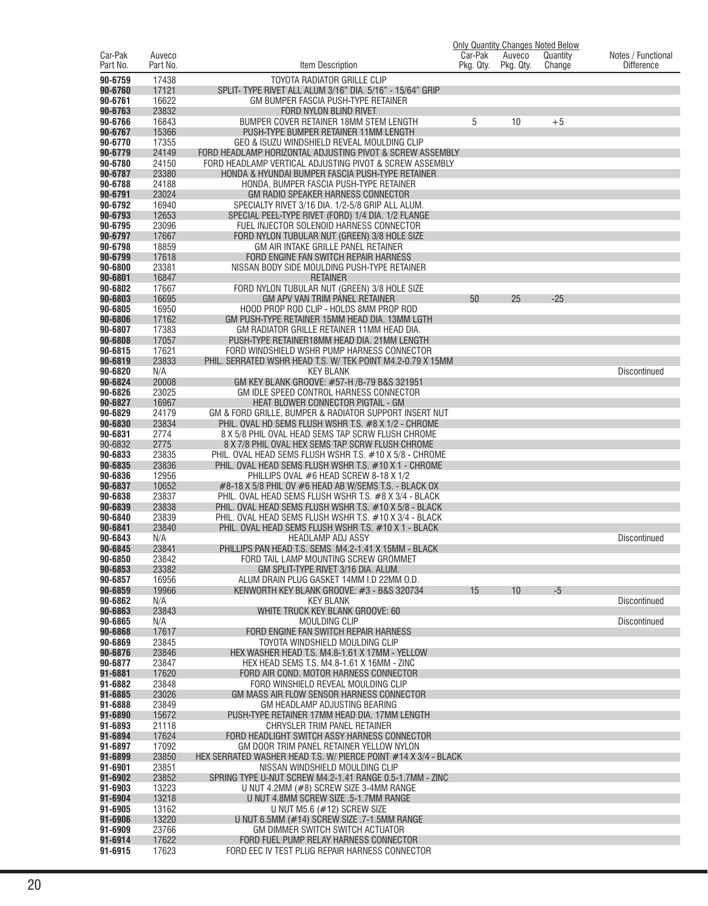|                     |                    |                                                                                                                  | Car-Pak   |                     | <b>Only Quantity Changes Noted Below</b> |                                         |
|---------------------|--------------------|------------------------------------------------------------------------------------------------------------------|-----------|---------------------|------------------------------------------|-----------------------------------------|
| Car-Pak<br>Part No. | Auveco<br>Part No. | Item Description                                                                                                 | Pkg. Qty. | Auveco<br>Pkg. Qty. | Quantity<br>Change                       | Notes / Functional<br><b>Difference</b> |
| 90-6759             | 17438              | <b>TOYOTA RADIATOR GRILLE CLIP</b>                                                                               |           |                     |                                          |                                         |
| 90-6760             | 17121              | SPLIT- TYPE RIVET ALL ALUM 3/16" DIA. 5/16" - 15/64" GRIP                                                        |           |                     |                                          |                                         |
| 90-6761             | 16622              | GM BUMPER FASCIA PUSH-TYPE RETAINER                                                                              |           |                     |                                          |                                         |
| 90-6763             | 23832              | FORD NYLON BLIND RIVET                                                                                           |           |                     |                                          |                                         |
| 90-6766             | 16843              | <b>BUMPER COVER RETAINER 18MM STEM LENGTH</b>                                                                    | 5         | 10                  | $+5$                                     |                                         |
| 90-6767             | 15366              | PUSH-TYPE BUMPER RETAINER 11MM LENGTH                                                                            |           |                     |                                          |                                         |
| 90-6770<br>90-6779  | 17355<br>24149     | GEO & ISUZU WINDSHIELD REVEAL MOULDING CLIP<br>FORD HEADLAMP HORIZONTAL ADJUSTING PIVOT & SCREW ASSEMBLY         |           |                     |                                          |                                         |
| 90-6780             | 24150              | FORD HEADLAMP VERTICAL ADJUSTING PIVOT & SCREW ASSEMBLY                                                          |           |                     |                                          |                                         |
| 90-6787             | 23380              | HONDA & HYUNDAI BUMPER FASCIA PUSH-TYPE RETAINER                                                                 |           |                     |                                          |                                         |
| 90-6788             | 24188              | HONDA, BUMPER FASCIA PUSH-TYPE RETAINER                                                                          |           |                     |                                          |                                         |
| 90-6791             | 23024              | GM RADIO SPEAKER HARNESS CONNECTOR                                                                               |           |                     |                                          |                                         |
| 90-6792             | 16940              | SPECIALTY RIVET 3/16 DIA. 1/2-5/8 GRIP ALL ALUM.                                                                 |           |                     |                                          |                                         |
| 90-6793<br>90-6795  | 12653<br>23096     | SPECIAL PEEL-TYPE RIVET (FORD) 1/4 DIA. 1/2 FLANGE<br>FUEL INJECTOR SOLENOID HARNESS CONNECTOR                   |           |                     |                                          |                                         |
| 90-6797             | 17667              | FORD NYLON TUBULAR NUT (GREEN) 3/8 HOLE SIZE                                                                     |           |                     |                                          |                                         |
| 90-6798             | 18859              | GM AIR INTAKE GRILLE PANEL RETAINER                                                                              |           |                     |                                          |                                         |
| 90-6799             | 17618              | FORD ENGINE FAN SWITCH REPAIR HARNESS                                                                            |           |                     |                                          |                                         |
| 90-6800             | 23381              | NISSAN BODY SIDE MOULDING PUSH-TYPE RETAINER                                                                     |           |                     |                                          |                                         |
| 90-6801             | 16847              | <b>RETAINER</b>                                                                                                  |           |                     |                                          |                                         |
| 90-6802<br>90-6803  | 17667<br>16695     | FORD NYLON TUBULAR NUT (GREEN) 3/8 HOLE SIZE<br>GM APV VAN TRIM PANEL RETAINER                                   | 50        | 25                  | $-25$                                    |                                         |
| 90-6805             | 16950              | HOOD PROP ROD CLIP - HOLDS 8MM PROP ROD                                                                          |           |                     |                                          |                                         |
| 90-6806             | 17162              | GM PUSH-TYPE RETAINER 15MM HEAD DIA. 13MM LGTH                                                                   |           |                     |                                          |                                         |
| 90-6807             | 17383              | GM RADIATOR GRILLE RETAINER 11MM HEAD DIA.                                                                       |           |                     |                                          |                                         |
| 90-6808             | 17057              | PUSH-TYPE RETAINER18MM HEAD DIA. 21MM LENGTH                                                                     |           |                     |                                          |                                         |
| 90-6815             | 17621              | FORD WINDSHIELD WSHR PUMP HARNESS CONNECTOR                                                                      |           |                     |                                          |                                         |
| 90-6819             | 23833              | PHIL. SERRATED WSHR HEAD T.S. W/ TEK POINT M4.2-0.79 X 15MM                                                      |           |                     |                                          |                                         |
| 90-6820<br>90-6824  | N/A<br>20008       | <b>KEY BLANK</b><br>GM KEY BLANK GROOVE: #57-H /B-79 B&S 321951                                                  |           |                     |                                          | Discontinued                            |
| 90-6826             | 23025              | GM IDLE SPEED CONTROL HARNESS CONNECTOR                                                                          |           |                     |                                          |                                         |
| 90-6827             | 16967              | HEAT BLOWER CONNECTOR PIGTAIL - GM                                                                               |           |                     |                                          |                                         |
| 90-6829             | 24179              | GM & FORD GRILLE, BUMPER & RADIATOR SUPPORT INSERT NUT                                                           |           |                     |                                          |                                         |
| 90-6830             | 23834              | PHIL. OVAL HD SEMS FLUSH WSHR T.S. #8 X 1/2 - CHROME                                                             |           |                     |                                          |                                         |
| 90-6831             | 2774               | 8 X 5/8 PHIL OVAL HEAD SEMS TAP SCRW FLUSH CHROME                                                                |           |                     |                                          |                                         |
| 90-6832<br>90-6833  | 2775<br>23835      | 8 X 7/8 PHIL OVAL HEX SEMS TAP SCRW FLUSH CHROME<br>PHIL. OVAL HEAD SEMS FLUSH WSHR T.S. #10 X 5/8 - CHROME      |           |                     |                                          |                                         |
| 90-6835             | 23836              | PHIL. OVAL HEAD SEMS FLUSH WSHR T.S. #10 X 1 - CHROME                                                            |           |                     |                                          |                                         |
| 90-6836             | 12956              | PHILLIPS OVAL #6 HEAD SCREW 8-18 X 1/2                                                                           |           |                     |                                          |                                         |
| 90-6837             | 10652              | $\#8$ -18 X 5/8 PHIL OV $\#6$ HEAD AB W/SEMS T.S. - BLACK OX                                                     |           |                     |                                          |                                         |
| 90-6838             | 23837              | PHIL. OVAL HEAD SEMS FLUSH WSHR T.S. #8 X 3/4 - BLACK                                                            |           |                     |                                          |                                         |
| 90-6839<br>90-6840  | 23838<br>23839     | PHIL. OVAL HEAD SEMS FLUSH WSHR T.S. #10 X 5/8 - BLACK<br>PHIL. OVAL HEAD SEMS FLUSH WSHR T.S. #10 X 3/4 - BLACK |           |                     |                                          |                                         |
| 90-6841             | 23840              | PHIL. OVAL HEAD SEMS FLUSH WSHR T.S. #10 X 1 - BLACK                                                             |           |                     |                                          |                                         |
| 90-6843             | N/A                | <b>HEADLAMP ADJ ASSY</b>                                                                                         |           |                     |                                          | Discontinued                            |
| 90-6845             | 23841              | PHILLIPS PAN HEAD T.S. SEMS M4.2-1.41 X 15MM - BLACK                                                             |           |                     |                                          |                                         |
| 90-6850             | 23842              | FORD TAIL LAMP MOUNTING SCREW GROMMET                                                                            |           |                     |                                          |                                         |
| 90-6853             | 23382              | GM SPLIT-TYPE RIVET 3/16 DIA. ALUM.                                                                              |           |                     |                                          |                                         |
| 90-6857<br>90-6859  | 16956<br>19966     | ALUM DRAIN PLUG GASKET 14MM I.D 22MM O.D.<br>KENWORTH KEY BLANK GROOVE: #3 - B&S 320734                          |           | 10                  | $-5$                                     |                                         |
| 90-6862             | N/A                | <b>KEY BLANK</b>                                                                                                 | 15        |                     |                                          | <b>Discontinued</b>                     |
| 90-6863             | 23843              | WHITE TRUCK KEY BLANK GROOVE: 60                                                                                 |           |                     |                                          |                                         |
| 90-6865             | N/A                | MOULDING CLIP                                                                                                    |           |                     |                                          | <b>Discontinued</b>                     |
| 90-6868             | 17617              | FORD ENGINE FAN SWITCH REPAIR HARNESS                                                                            |           |                     |                                          |                                         |
| 90-6869             | 23845              | TOYOTA WINDSHIELD MOULDING CLIP                                                                                  |           |                     |                                          |                                         |
| 90-6876<br>90-6877  | 23846<br>23847     | HEX WASHER HEAD T.S. M4.8-1.61 X 17MM - YELLOW<br>HEX HEAD SEMS T.S. M4.8-1.61 X 16MM - ZINC                     |           |                     |                                          |                                         |
| 91-6881             | 17620              | FORD AIR COND. MOTOR HARNESS CONNECTOR                                                                           |           |                     |                                          |                                         |
| 91-6882             | 23848              | FORD WINSHIELD REVEAL MOULDING CLIP                                                                              |           |                     |                                          |                                         |
| 91-6885             | 23026              | GM MASS AIR FLOW SENSOR HARNESS CONNECTOR                                                                        |           |                     |                                          |                                         |
| 91-6888             | 23849              | GM HEADLAMP ADJUSTING BEARING                                                                                    |           |                     |                                          |                                         |
| 91-6890<br>91-6893  | 15672              | PUSH-TYPE RETAINER 17MM HEAD DIA. 17MM LENGTH                                                                    |           |                     |                                          |                                         |
| 91-6894             | 21118<br>17624     | CHRYSLER TRIM PANEL RETAINER<br>FORD HEADLIGHT SWITCH ASSY HARNESS CONNECTOR                                     |           |                     |                                          |                                         |
| 91-6897             | 17092              | GM DOOR TRIM PANEL RETAINER YELLOW NYLON                                                                         |           |                     |                                          |                                         |
| 91-6899             | 23850              | HEX SERRATED WASHER HEAD T.S. W/ PIERCE POINT #14 X 3/4 - BLACK                                                  |           |                     |                                          |                                         |
| 91-6901             | 23851              | NISSAN WINDSHIELD MOULDING CLIP                                                                                  |           |                     |                                          |                                         |
| 91-6902             | 23852              | SPRING TYPE U-NUT SCREW M4.2-1.41 RANGE 0.5-1.7MM - ZINC                                                         |           |                     |                                          |                                         |
| 91-6903             | 13223              | U NUT 4.2MM (#8) SCREW SIZE 3-4MM RANGE                                                                          |           |                     |                                          |                                         |
| 91-6904<br>91-6905  | 13218<br>13162     | U NUT 4.8MM SCREW SIZE .5-1.7MM RANGE<br>U NUT M5.6 $(\#12)$ SCREW SIZE                                          |           |                     |                                          |                                         |
| 91-6906             | 13220              | U NUT 6.5MM (#14) SCREW SIZE .7-1.5MM RANGE                                                                      |           |                     |                                          |                                         |
| 91-6909             | 23766              | GM DIMMER SWITCH SWITCH ACTUATOR                                                                                 |           |                     |                                          |                                         |
| 91-6914             | 17622              | FORD FUEL PUMP RELAY HARNESS CONNECTOR                                                                           |           |                     |                                          |                                         |
| 91-6915             | 17623              | FORD EEC IV TEST PLUG REPAIR HARNESS CONNECTOR                                                                   |           |                     |                                          |                                         |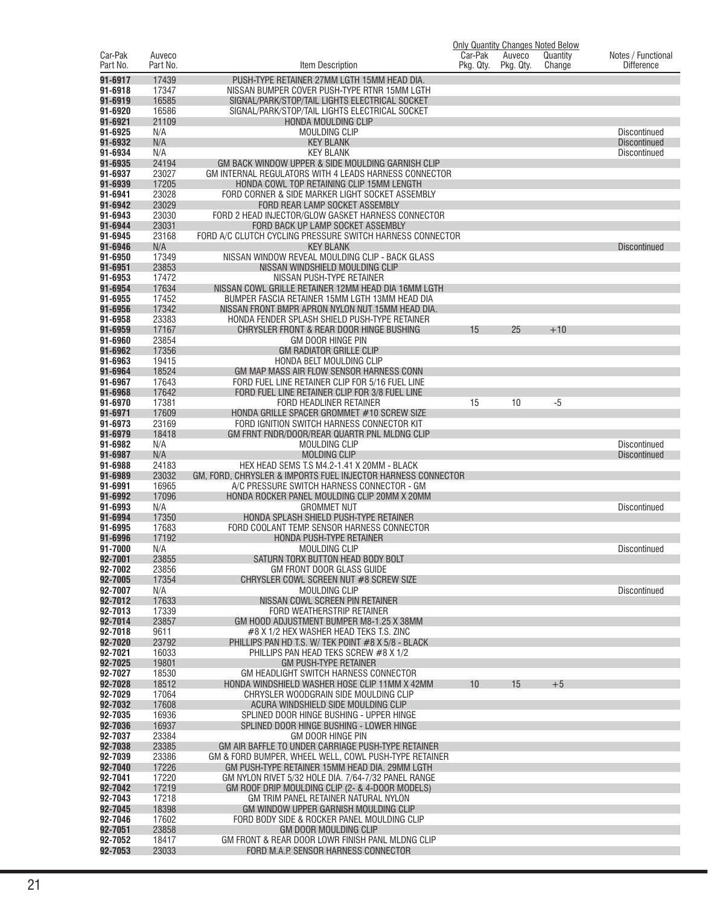| Car-Pak            | Auveco         |                                                                                                             | Car-Pak         | Auveco    | <b>Only Quantity Changes Noted Below</b><br>Quantity | Notes / Functional  |
|--------------------|----------------|-------------------------------------------------------------------------------------------------------------|-----------------|-----------|------------------------------------------------------|---------------------|
| Part No.           | Part No.       | Item Description                                                                                            | Pkg. Qty.       | Pkg. Qty. | Change                                               | <b>Difference</b>   |
| 91-6917            | 17439          | PUSH-TYPE RETAINER 27MM LGTH 15MM HEAD DIA.                                                                 |                 |           |                                                      |                     |
| 91-6918            | 17347          | NISSAN BUMPER COVER PUSH-TYPE RTNR 15MM LGTH                                                                |                 |           |                                                      |                     |
| 91-6919            | 16585          | SIGNAL/PARK/STOP/TAIL LIGHTS ELECTRICAL SOCKET                                                              |                 |           |                                                      |                     |
| 91-6920            | 16586          | SIGNAL/PARK/STOP/TAIL LIGHTS ELECTRICAL SOCKET                                                              |                 |           |                                                      |                     |
| 91-6921<br>91-6925 | 21109<br>N/A   | HONDA MOULDING CLIP<br>MOULDING CLIP                                                                        |                 |           |                                                      | <b>Discontinued</b> |
| 91-6932            | N/A            | <b>KEY BLANK</b>                                                                                            |                 |           |                                                      | <b>Discontinued</b> |
| 91-6934            | N/A            | <b>KEY BLANK</b>                                                                                            |                 |           |                                                      | Discontinued        |
| 91-6935            | 24194          | GM BACK WINDOW UPPER & SIDE MOULDING GARNISH CLIP                                                           |                 |           |                                                      |                     |
| 91-6937            | 23027          | GM INTERNAL REGULATORS WITH 4 LEADS HARNESS CONNECTOR                                                       |                 |           |                                                      |                     |
| 91-6939<br>91-6941 | 17205<br>23028 | HONDA COWL TOP RETAINING CLIP 15MM LENGTH<br>FORD CORNER & SIDE MARKER LIGHT SOCKET ASSEMBLY                |                 |           |                                                      |                     |
| 91-6942            | 23029          | FORD REAR LAMP SOCKET ASSEMBLY                                                                              |                 |           |                                                      |                     |
| 91-6943            | 23030          | FORD 2 HEAD INJECTOR/GLOW GASKET HARNESS CONNECTOR                                                          |                 |           |                                                      |                     |
| 91-6944            | 23031          | FORD BACK UP LAMP SOCKET ASSEMBLY                                                                           |                 |           |                                                      |                     |
| 91-6945<br>91-6946 | 23168<br>N/A   | FORD A/C CLUTCH CYCLING PRESSURE SWITCH HARNESS CONNECTOR<br><b>KEY BLANK</b>                               |                 |           |                                                      |                     |
| 91-6950            | 17349          | NISSAN WINDOW REVEAL MOULDING CLIP - BACK GLASS                                                             |                 |           |                                                      | <b>Discontinued</b> |
| 91-6951            | 23853          | NISSAN WINDSHIELD MOULDING CLIP                                                                             |                 |           |                                                      |                     |
| 91-6953            | 17472          | NISSAN PUSH-TYPE RETAINER                                                                                   |                 |           |                                                      |                     |
| 91-6954            | 17634          | NISSAN COWL GRILLE RETAINER 12MM HEAD DIA 16MM LGTH                                                         |                 |           |                                                      |                     |
| 91-6955<br>91-6956 | 17452<br>17342 | BUMPER FASCIA RETAINER 15MM LGTH 13MM HEAD DIA<br>NISSAN FRONT BMPR APRON NYLON NUT 15MM HEAD DIA.          |                 |           |                                                      |                     |
| 91-6958            | 23383          | HONDA FENDER SPLASH SHIELD PUSH-TYPE RETAINER                                                               |                 |           |                                                      |                     |
| 91-6959            | 17167          | CHRYSLER FRONT & REAR DOOR HINGE BUSHING                                                                    | 15              | 25        | $+10$                                                |                     |
| 91-6960            | 23854          | GM DOOR HINGE PIN                                                                                           |                 |           |                                                      |                     |
| 91-6962            | 17356          | <b>GM RADIATOR GRILLE CLIP</b>                                                                              |                 |           |                                                      |                     |
| 91-6963<br>91-6964 | 19415<br>18524 | HONDA BELT MOULDING CLIP<br>GM MAP MASS AIR FLOW SENSOR HARNESS CONN                                        |                 |           |                                                      |                     |
| 91-6967            | 17643          | FORD FUEL LINE RETAINER CLIP FOR 5/16 FUEL LINE                                                             |                 |           |                                                      |                     |
| 91-6968            | 17642          | FORD FUEL LINE RETAINER CLIP FOR 3/8 FUEL LINE                                                              |                 |           |                                                      |                     |
| 91-6970            | 17381          | FORD HEADLINER RETAINER                                                                                     | 15              | 10        | -5                                                   |                     |
| 91-6971<br>91-6973 | 17609<br>23169 | HONDA GRILLE SPACER GROMMET #10 SCREW SIZE                                                                  |                 |           |                                                      |                     |
| 91-6979            | 18418          | FORD IGNITION SWITCH HARNESS CONNECTOR KIT<br>GM FRNT FNDR/DOOR/REAR QUARTR PNL MLDNG CLIP                  |                 |           |                                                      |                     |
| 91-6982            | N/A            | <b>MOULDING CLIP</b>                                                                                        |                 |           |                                                      | Discontinued        |
| 91-6987            | N/A            | <b>MOLDING CLIP</b>                                                                                         |                 |           |                                                      | <b>Discontinued</b> |
| 91-6988            | 24183          | HEX HEAD SEMS T.S M4.2-1.41 X 20MM - BLACK                                                                  |                 |           |                                                      |                     |
| 91-6989<br>91-6991 | 23032<br>16965 | GM, FORD, CHRYSLER & IMPORTS FUEL INJECTOR HARNESS CONNECTOR<br>A/C PRESSURE SWITCH HARNESS CONNECTOR - GM  |                 |           |                                                      |                     |
| 91-6992            | 17096          | HONDA ROCKER PANEL MOULDING CLIP 20MM X 20MM                                                                |                 |           |                                                      |                     |
| 91-6993            | N/A            | <b>GROMMET NUT</b>                                                                                          |                 |           |                                                      | Discontinued        |
| 91-6994            | 17350          | HONDA SPLASH SHIELD PUSH-TYPE RETAINER                                                                      |                 |           |                                                      |                     |
| 91-6995<br>91-6996 | 17683<br>17192 | FORD COOLANT TEMP. SENSOR HARNESS CONNECTOR<br>HONDA PUSH-TYPE RETAINER                                     |                 |           |                                                      |                     |
| 91-7000            | N/A            | <b>MOULDING CLIP</b>                                                                                        |                 |           |                                                      | Discontinued        |
| 92-7001            | 23855          | SATURN TORX BUTTON HEAD BODY BOLT                                                                           |                 |           |                                                      |                     |
| 92-7002            | 23856          | GM FRONT DOOR GLASS GUIDE                                                                                   |                 |           |                                                      |                     |
| 92-7005<br>92-7007 | 17354<br>N/A   | CHRYSLER COWL SCREEN NUT #8 SCREW SIZE<br><b>MOULDING CLIP</b>                                              |                 |           |                                                      |                     |
| 92-7012            | 17633          | NISSAN COWL SCREEN PIN RETAINER                                                                             |                 |           |                                                      | <b>Discontinued</b> |
| 92-7013            | 17339          | FORD WEATHERSTRIP RETAINER                                                                                  |                 |           |                                                      |                     |
| 92-7014            | 23857          | GM HOOD ADJUSTMENT BUMPER M8-1.25 X 38MM                                                                    |                 |           |                                                      |                     |
| 92-7018            | 9611           | #8 X 1/2 HEX WASHER HEAD TEKS T.S. ZINC<br>PHILLIPS PAN HD T.S. W/ TEK POINT #8 X 5/8 - BLACK               |                 |           |                                                      |                     |
| 92-7020<br>92-7021 | 23792<br>16033 | PHILLIPS PAN HEAD TEKS SCREW #8 X 1/2                                                                       |                 |           |                                                      |                     |
| 92-7025            | 19801          | <b>GM PUSH-TYPE RETAINER</b>                                                                                |                 |           |                                                      |                     |
| 92-7027            | 18530          | GM HEADLIGHT SWITCH HARNESS CONNECTOR                                                                       |                 |           |                                                      |                     |
| 92-7028            | 18512          | HONDA WINDSHIELD WASHER HOSE CLIP 11MM X 42MM                                                               | 10 <sup>°</sup> | 15        | $+5$                                                 |                     |
| 92-7029<br>92-7032 | 17064<br>17608 | CHRYSLER WOODGRAIN SIDE MOULDING CLIP<br>ACURA WINDSHIELD SIDE MOULDING CLIP                                |                 |           |                                                      |                     |
| 92-7035            | 16936          | SPLINED DOOR HINGE BUSHING - UPPER HINGE                                                                    |                 |           |                                                      |                     |
| 92-7036            | 16937          | SPLINED DOOR HINGE BUSHING - LOWER HINGE                                                                    |                 |           |                                                      |                     |
| 92-7037            | 23384          | GM DOOR HINGE PIN                                                                                           |                 |           |                                                      |                     |
| 92-7038<br>92-7039 | 23385<br>23386 | GM AIR BAFFLE TO UNDER CARRIAGE PUSH-TYPE RETAINER<br>GM & FORD BUMPER, WHEEL WELL, COWL PUSH-TYPE RETAINER |                 |           |                                                      |                     |
| 92-7040            | 17226          | GM PUSH-TYPE RETAINER 15MM HEAD DIA. 29MM LGTH                                                              |                 |           |                                                      |                     |
| 92-7041            | 17220          | GM NYLON RIVET 5/32 HOLE DIA. 7/64-7/32 PANEL RANGE                                                         |                 |           |                                                      |                     |
| 92-7042            | 17219          | GM ROOF DRIP MOULDING CLIP (2- & 4-DOOR MODELS)                                                             |                 |           |                                                      |                     |
| 92-7043            | 17218          | GM TRIM PANEL RETAINER NATURAL NYLON                                                                        |                 |           |                                                      |                     |
| 92-7045<br>92-7046 | 18398<br>17602 | GM WINDOW UPPER GARNISH MOULDING CLIP<br>FORD BODY SIDE & ROCKER PANEL MOULDING CLIP                        |                 |           |                                                      |                     |
| 92-7051            | 23858          | <b>GM DOOR MOULDING CLIP</b>                                                                                |                 |           |                                                      |                     |
| 92-7052            | 18417          | GM FRONT & REAR DOOR LOWR FINISH PANL MLDNG CLIP                                                            |                 |           |                                                      |                     |
| 92-7053            | 23033          | FORD M.A.P. SENSOR HARNESS CONNECTOR                                                                        |                 |           |                                                      |                     |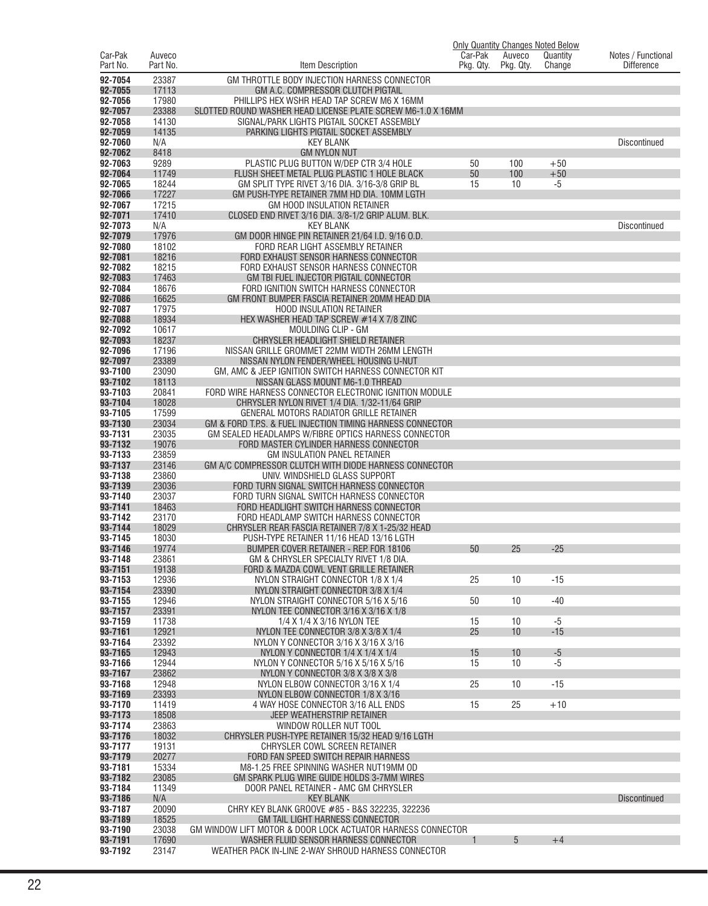|                     |                    |                                                                                                                    |                      |                     | <b>Only Quantity Changes Noted Below</b> |                                         |
|---------------------|--------------------|--------------------------------------------------------------------------------------------------------------------|----------------------|---------------------|------------------------------------------|-----------------------------------------|
| Car-Pak<br>Part No. | Auveco<br>Part No. | Item Description                                                                                                   | Car-Pak<br>Pkg. Qty. | Auveco<br>Pkg. Qty. | Quantity<br>Change                       | Notes / Functional<br><b>Difference</b> |
| 92-7054             | 23387              | GM THROTTLE BODY INJECTION HARNESS CONNECTOR                                                                       |                      |                     |                                          |                                         |
| 92-7055             | 17113              | GM A.C. COMPRESSOR CLUTCH PIGTAIL                                                                                  |                      |                     |                                          |                                         |
| 92-7056             | 17980              | PHILLIPS HEX WSHR HEAD TAP SCREW M6 X 16MM                                                                         |                      |                     |                                          |                                         |
| 92-7057<br>92-7058  | 23388<br>14130     | SLOTTED ROUND WASHER HEAD LICENSE PLATE SCREW M6-1.0 X 16MM<br>SIGNAL/PARK LIGHTS PIGTAIL SOCKET ASSEMBLY          |                      |                     |                                          |                                         |
| 92-7059             | 14135              | PARKING LIGHTS PIGTAIL SOCKET ASSEMBLY                                                                             |                      |                     |                                          |                                         |
| 92-7060             | N/A                | <b>KEY BLANK</b>                                                                                                   |                      |                     |                                          | <b>Discontinued</b>                     |
| 92-7062             | 8418               | <b>GM NYLON NUT</b>                                                                                                |                      |                     |                                          |                                         |
| 92-7063<br>92-7064  | 9289<br>11749      | PLASTIC PLUG BUTTON W/DEP CTR 3/4 HOLE<br>FLUSH SHEET METAL PLUG PLASTIC 1 HOLE BLACK                              | 50<br>50             | 100<br>100          | $+50$<br>$+50$                           |                                         |
| 92-7065             | 18244              | GM SPLIT TYPE RIVET 3/16 DIA. 3/16-3/8 GRIP BL                                                                     | 15                   | 10                  | -5                                       |                                         |
| 92-7066             | 17227              | GM PUSH-TYPE RETAINER 7MM HD DIA, 10MM LGTH                                                                        |                      |                     |                                          |                                         |
| 92-7067             | 17215              | GM HOOD INSULATION RETAINER                                                                                        |                      |                     |                                          |                                         |
| 92-7071<br>92-7073  | 17410<br>N/A       | CLOSED END RIVET 3/16 DIA. 3/8-1/2 GRIP ALUM. BLK.<br><b>KEY BLANK</b>                                             |                      |                     |                                          | <b>Discontinued</b>                     |
| 92-7079             | 17976              | GM DOOR HINGE PIN RETAINER 21/64 I.D. 9/16 O.D.                                                                    |                      |                     |                                          |                                         |
| 92-7080             | 18102              | FORD REAR LIGHT ASSEMBLY RETAINER                                                                                  |                      |                     |                                          |                                         |
| 92-7081             | 18216              | FORD EXHAUST SENSOR HARNESS CONNECTOR                                                                              |                      |                     |                                          |                                         |
| 92-7082<br>92-7083  | 18215<br>17463     | FORD EXHAUST SENSOR HARNESS CONNECTOR<br><b>GM TBI FUEL INJECTOR PIGTAIL CONNECTOR</b>                             |                      |                     |                                          |                                         |
| 92-7084             | 18676              | FORD IGNITION SWITCH HARNESS CONNECTOR                                                                             |                      |                     |                                          |                                         |
| 92-7086             | 16625              | GM FRONT BUMPER FASCIA RETAINER 20MM HEAD DIA                                                                      |                      |                     |                                          |                                         |
| 92-7087             | 17975              | <b>HOOD INSULATION RETAINER</b>                                                                                    |                      |                     |                                          |                                         |
| 92-7088<br>92-7092  | 18934<br>10617     | HEX WASHER HEAD TAP SCREW #14 X 7/8 ZINC<br>MOULDING CLIP - GM                                                     |                      |                     |                                          |                                         |
| 92-7093             | 18237              | CHRYSLER HEADLIGHT SHIELD RETAINER                                                                                 |                      |                     |                                          |                                         |
| 92-7096             | 17196              | NISSAN GRILLE GROMMET 22MM WIDTH 26MM LENGTH                                                                       |                      |                     |                                          |                                         |
| 92-7097             | 23389              | NISSAN NYLON FENDER/WHEEL HOUSING U-NUT                                                                            |                      |                     |                                          |                                         |
| 93-7100<br>93-7102  | 23090<br>18113     | GM, AMC & JEEP IGNITION SWITCH HARNESS CONNECTOR KIT<br>NISSAN GLASS MOUNT M6-1.0 THREAD                           |                      |                     |                                          |                                         |
| 93-7103             | 20841              | FORD WIRE HARNESS CONNECTOR ELECTRONIC IGNITION MODULE                                                             |                      |                     |                                          |                                         |
| 93-7104             | 18028              | CHRYSLER NYLON RIVET 1/4 DIA. 1/32-11/64 GRIP                                                                      |                      |                     |                                          |                                         |
| 93-7105             | 17599              | GENERAL MOTORS RADIATOR GRILLE RETAINER                                                                            |                      |                     |                                          |                                         |
| 93-7130<br>93-7131  | 23034<br>23035     | GM & FORD T.P.S. & FUEL INJECTION TIMING HARNESS CONNECTOR<br>GM SEALED HEADLAMPS W/FIBRE OPTICS HARNESS CONNECTOR |                      |                     |                                          |                                         |
| 93-7132             | 19076              | FORD MASTER CYLINDER HARNESS CONNECTOR                                                                             |                      |                     |                                          |                                         |
| 93-7133             | 23859              | <b>GM INSULATION PANEL RETAINER</b>                                                                                |                      |                     |                                          |                                         |
| 93-7137             | 23146              | GM A/C COMPRESSOR CLUTCH WITH DIODE HARNESS CONNECTOR                                                              |                      |                     |                                          |                                         |
| 93-7138<br>93-7139  | 23860<br>23036     | UNIV. WINDSHIELD GLASS SUPPORT<br>FORD TURN SIGNAL SWITCH HARNESS CONNECTOR                                        |                      |                     |                                          |                                         |
| 93-7140             | 23037              | FORD TURN SIGNAL SWITCH HARNESS CONNECTOR                                                                          |                      |                     |                                          |                                         |
| 93-7141             | 18463              | FORD HEADLIGHT SWITCH HARNESS CONNECTOR                                                                            |                      |                     |                                          |                                         |
| 93-7142<br>93-7144  | 23170<br>18029     | FORD HEADLAMP SWITCH HARNESS CONNECTOR<br>CHRYSLER REAR FASCIA RETAINER 7/8 X 1-25/32 HEAD                         |                      |                     |                                          |                                         |
| 93-7145             | 18030              | PUSH-TYPE RETAINER 11/16 HEAD 13/16 LGTH                                                                           |                      |                     |                                          |                                         |
| 93-7146             | 19774              | BUMPER COVER RETAINER - REP. FOR 18106                                                                             | 50                   | 25                  | $-25$                                    |                                         |
| 93-7148             | 23861              | GM & CHRYSLER SPECIALIY RIVET 1/8 DIA.                                                                             |                      |                     |                                          |                                         |
| 93-7151<br>93-7153  | 19138<br>12936     | FORD & MAZDA COWL VENT GRILLE RETAINER<br>NYLON STRAIGHT CONNECTOR 1/8 X 1/4                                       | 25                   | 10                  | $-15$                                    |                                         |
| 93-7154             | 23390              | NYLON STRAIGHT CONNECTOR 3/8 X 1/4                                                                                 |                      |                     |                                          |                                         |
| 93-7155             | 12946              | NYLON STRAIGHT CONNECTOR 5/16 X 5/16                                                                               | 50                   | 10                  | $-40$                                    |                                         |
| 93-7157             | 23391              | NYLON TEE CONNECTOR 3/16 X 3/16 X 1/8                                                                              |                      |                     |                                          |                                         |
| 93-7159<br>93-7161  | 11738<br>12921     | 1/4 X 1/4 X 3/16 NYLON TEE<br>NYLON TEE CONNECTOR 3/8 X 3/8 X 1/4                                                  | 15<br>25             | 10<br>10            | $-5$<br>$-15$                            |                                         |
| 93-7164             | 23392              | NYLON Y CONNECTOR 3/16 X 3/16 X 3/16                                                                               |                      |                     |                                          |                                         |
| 93-7165             | 12943              | NYLON Y CONNECTOR 1/4 X 1/4 X 1/4                                                                                  | 15                   | 10                  | $-5$                                     |                                         |
| 93-7166<br>93-7167  | 12944<br>23862     | NYLON Y CONNECTOR 5/16 X 5/16 X 5/16<br>NYLON Y CONNECTOR 3/8 X 3/8 X 3/8                                          | 15                   | 10                  | $-5$                                     |                                         |
| 93-7168             | 12948              | NYLON ELBOW CONNECTOR 3/16 X 1/4                                                                                   | 25                   | 10                  | $-15$                                    |                                         |
| 93-7169             | 23393              | NYLON ELBOW CONNECTOR 1/8 X 3/16                                                                                   |                      |                     |                                          |                                         |
| 93-7170             | 11419              | 4 WAY HOSE CONNECTOR 3/16 ALL ENDS                                                                                 | 15                   | 25                  | $+10$                                    |                                         |
| 93-7173<br>93-7174  | 18508<br>23863     | JEEP WEATHERSTRIP RETAINER<br>WINDOW ROLLER NUT TOOL                                                               |                      |                     |                                          |                                         |
| 93-7176             | 18032              | CHRYSLER PUSH-TYPE RETAINER 15/32 HEAD 9/16 LGTH                                                                   |                      |                     |                                          |                                         |
| 93-7177             | 19131              | CHRYSLER COWL SCREEN RETAINER                                                                                      |                      |                     |                                          |                                         |
| 93-7179             | 20277              | FORD FAN SPEED SWITCH REPAIR HARNESS                                                                               |                      |                     |                                          |                                         |
| 93-7181<br>93-7182  | 15334<br>23085     | M8-1.25 FREE SPINNING WASHER NUT19MM OD<br>GM SPARK PLUG WIRE GUIDE HOLDS 3-7MM WIRES                              |                      |                     |                                          |                                         |
| 93-7184             | 11349              | DOOR PANEL RETAINER - AMC GM CHRYSLER                                                                              |                      |                     |                                          |                                         |
| 93-7186             | N/A                | <b>KEY BLANK</b>                                                                                                   |                      |                     |                                          | <b>Discontinued</b>                     |
| 93-7187             | 20090              | CHRY KEY BLANK GROOVE #85 - B&S 322235, 322236                                                                     |                      |                     |                                          |                                         |
| 93-7189<br>93-7190  | 18525<br>23038     | <b>GM TAIL LIGHT HARNESS CONNECTOR</b><br>GM WINDOW LIFT MOTOR & DOOR LOCK ACTUATOR HARNESS CONNECTOR              |                      |                     |                                          |                                         |
| 93-7191             | 17690              | WASHER FLUID SENSOR HARNESS CONNECTOR                                                                              | 1                    | $5\overline{)}$     | $+4$                                     |                                         |
| 93-7192             | 23147              | WEATHER PACK IN-LINE 2-WAY SHROUD HARNESS CONNECTOR                                                                |                      |                     |                                          |                                         |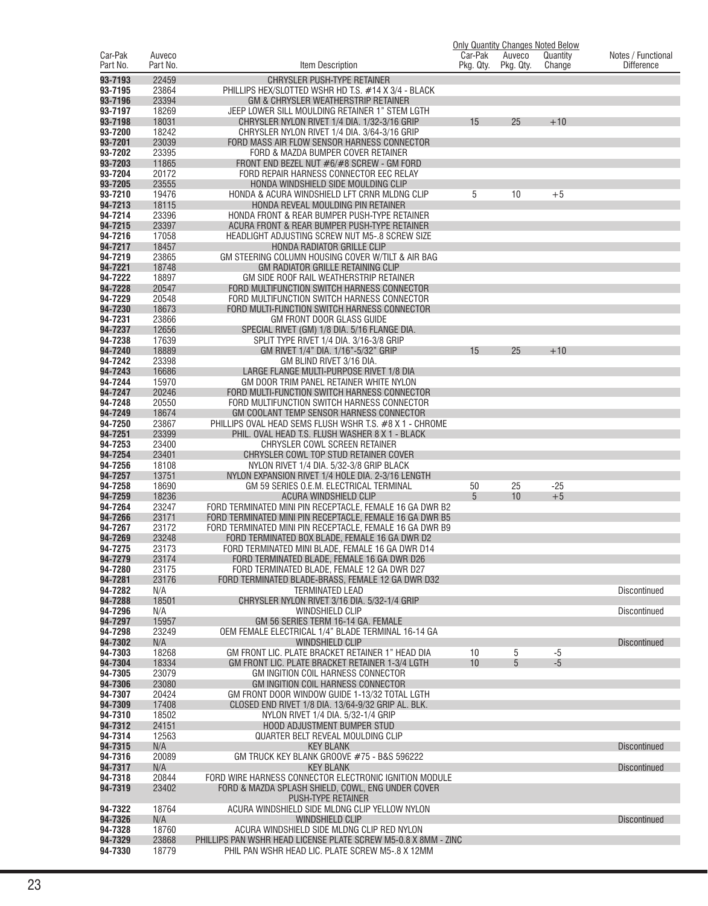|                     |                    |                                                                                                            |                      |                     | <b>Only Quantity Changes Noted Below</b> |                                         |
|---------------------|--------------------|------------------------------------------------------------------------------------------------------------|----------------------|---------------------|------------------------------------------|-----------------------------------------|
| Car-Pak<br>Part No. | Auveco<br>Part No. | Item Description                                                                                           | Car-Pak<br>Pkg. Qty. | Auveco<br>Pkg. Qty. | Quantity<br>Change                       | Notes / Functional<br><b>Difference</b> |
| 93-7193             | 22459              | <b>CHRYSLER PUSH-TYPE RETAINER</b>                                                                         |                      |                     |                                          |                                         |
| 93-7195             | 23864              | PHILLIPS HEX/SLOTTED WSHR HD T.S. #14 X 3/4 - BLACK                                                        |                      |                     |                                          |                                         |
| 93-7196             | 23394              | GM & CHRYSLER WEATHERSTRIP RETAINER                                                                        |                      |                     |                                          |                                         |
| 93-7197<br>93-7198  | 18269<br>18031     | JEEP LOWER SILL MOULDING RETAINER 1" STEM LGTH<br>CHRYSLER NYLON RIVET 1/4 DIA. 1/32-3/16 GRIP             | 15                   | 25                  | $+10$                                    |                                         |
| 93-7200             | 18242              | CHRYSLER NYLON RIVET 1/4 DIA. 3/64-3/16 GRIP                                                               |                      |                     |                                          |                                         |
| 93-7201             | 23039              | FORD MASS AIR FLOW SENSOR HARNESS CONNECTOR                                                                |                      |                     |                                          |                                         |
| 93-7202             | 23395              | FORD & MAZDA BUMPER COVER RETAINER                                                                         |                      |                     |                                          |                                         |
| 93-7203<br>93-7204  | 11865<br>20172     | FRONT END BEZEL NUT #6/#8 SCREW - GM FORD<br>FORD REPAIR HARNESS CONNECTOR EEC RELAY                       |                      |                     |                                          |                                         |
| 93-7205             | 23555              | HONDA WINDSHIELD SIDE MOULDING CLIP                                                                        |                      |                     |                                          |                                         |
| 93-7210             | 19476              | HONDA & ACURA WINDSHIELD LFT CRNR MLDNG CLIP                                                               | 5                    | 10                  | $+5$                                     |                                         |
| 94-7213             | 18115              | HONDA REVEAL MOULDING PIN RETAINER                                                                         |                      |                     |                                          |                                         |
| 94-7214             | 23396              | HONDA FRONT & REAR BUMPER PUSH-TYPE RETAINER                                                               |                      |                     |                                          |                                         |
| 94-7215<br>94-7216  | 23397<br>17058     | ACURA FRONT & REAR BUMPER PUSH-TYPE RETAINER<br><b>HEADLIGHT ADJUSTING SCREW NUT M5-.8 SCREW SIZE</b>      |                      |                     |                                          |                                         |
| 94-7217             | 18457              | HONDA RADIATOR GRILLE CLIP                                                                                 |                      |                     |                                          |                                         |
| 94-7219             | 23865              | GM STEERING COLUMN HOUSING COVER W/TILT & AIR BAG                                                          |                      |                     |                                          |                                         |
| 94-7221             | 18748              | GM RADIATOR GRILLE RETAINING CLIP                                                                          |                      |                     |                                          |                                         |
| 94-7222             | 18897              | GM SIDE ROOF RAIL WEATHERSTRIP RETAINER                                                                    |                      |                     |                                          |                                         |
| 94-7228<br>94-7229  | 20547<br>20548     | FORD MULTIFUNCTION SWITCH HARNESS CONNECTOR<br>FORD MULTIFUNCTION SWITCH HARNESS CONNECTOR                 |                      |                     |                                          |                                         |
| 94-7230             | 18673              | FORD MULTI-FUNCTION SWITCH HARNESS CONNECTOR                                                               |                      |                     |                                          |                                         |
| 94-7231             | 23866              | <b>GM FRONT DOOR GLASS GUIDE</b>                                                                           |                      |                     |                                          |                                         |
| 94-7237             | 12656              | SPECIAL RIVET (GM) 1/8 DIA. 5/16 FLANGE DIA.                                                               |                      |                     |                                          |                                         |
| 94-7238             | 17639              | SPLIT TYPE RIVET 1/4 DIA. 3/16-3/8 GRIP                                                                    |                      |                     |                                          |                                         |
| 94-7240<br>94-7242  | 18889<br>23398     | GM RIVET 1/4" DIA. 1/16"-5/32" GRIP<br>GM BLIND RIVET 3/16 DIA.                                            | 15                   | 25                  | $+10$                                    |                                         |
| 94-7243             | 16686              | LARGE FLANGE MULTI-PURPOSE RIVET 1/8 DIA                                                                   |                      |                     |                                          |                                         |
| 94-7244             | 15970              | GM DOOR TRIM PANEL RETAINER WHITE NYLON                                                                    |                      |                     |                                          |                                         |
| 94-7247             | 20246              | FORD MULTI-FUNCTION SWITCH HARNESS CONNECTOR                                                               |                      |                     |                                          |                                         |
| 94-7248             | 20550              | FORD MULTIFUNCTION SWITCH HARNESS CONNECTOR                                                                |                      |                     |                                          |                                         |
| 94-7249<br>94-7250  | 18674<br>23867     | GM COOLANT TEMP SENSOR HARNESS CONNECTOR<br>PHILLIPS OVAL HEAD SEMS FLUSH WSHR T.S. #8 X 1 - CHROME        |                      |                     |                                          |                                         |
| 94-7251             | 23399              | PHIL. OVAL HEAD T.S. FLUSH WASHER 8 X 1 - BLACK                                                            |                      |                     |                                          |                                         |
| 94-7253             | 23400              | CHRYSLER COWL SCREEN RETAINER                                                                              |                      |                     |                                          |                                         |
| 94-7254             | 23401              | CHRYSLER COWL TOP STUD RETAINER COVER                                                                      |                      |                     |                                          |                                         |
| 94-7256<br>94-7257  | 18108<br>13751     | NYLON RIVET 1/4 DIA. 5/32-3/8 GRIP BLACK                                                                   |                      |                     |                                          |                                         |
| 94-7258             | 18690              | NYLON EXPANSION RIVET 1/4 HOLE DIA. 2-3/16 LENGTH<br>GM 59 SERIES O.E.M. ELECTRICAL TERMINAL               | 50                   | 25                  | $-25$                                    |                                         |
| 94-7259             | 18236              | ACURA WINDSHIELD CLIP                                                                                      | 5                    | 10                  | $+5$                                     |                                         |
| 94-7264             | 23247              | FORD TERMINATED MINI PIN RECEPTACLE. FEMALE 16 GA DWR B2                                                   |                      |                     |                                          |                                         |
| 94-7266             | 23171              | FORD TERMINATED MINI PIN RECEPTACLE. FEMALE 16 GA DWR B5                                                   |                      |                     |                                          |                                         |
| 94-7267<br>94-7269  | 23172<br>23248     | FORD TERMINATED MINI PIN RECEPTACLE. FEMALE 16 GA DWR B9<br>FORD TERMINATED BOX BLADE, FEMALE 16 GA DWR D2 |                      |                     |                                          |                                         |
| 94-7275             | 23173              | FORD TERMINATED MINI BLADE, FEMALE 16 GA DWR D14                                                           |                      |                     |                                          |                                         |
| 94-7279             | 23174              | FORD TERMINATED BLADE, FEMALE 16 GA DWR D26                                                                |                      |                     |                                          |                                         |
| 94-7280             | 23175              | FORD TERMINATED BLADE, FEMALE 12 GA DWR D27                                                                |                      |                     |                                          |                                         |
| 94-7281<br>94-7282  | 23176<br>N/A       | FORD TERMINATED BLADE-BRASS, FEMALE 12 GA DWR D32<br><b>TERMINATED LEAD</b>                                |                      |                     |                                          | Discontinued                            |
| 94-7288             | 18501              | CHRYSLER NYLON RIVET 3/16 DIA. 5/32-1/4 GRIP                                                               |                      |                     |                                          |                                         |
| 94-7296             | N/A                | <b>WINDSHIELD CLIP</b>                                                                                     |                      |                     |                                          | Discontinued                            |
| 94-7297             | 15957              | GM 56 SERIES TERM 16-14 GA. FEMALE                                                                         |                      |                     |                                          |                                         |
| 94-7298<br>94-7302  | 23249              | OEM FEMALE ELECTRICAL 1/4" BLADE TERMINAL 16-14 GA                                                         |                      |                     |                                          | <b>Discontinued</b>                     |
| 94-7303             | N/A<br>18268       | WINDSHIELD CLIP<br>GM FRONT LIC. PLATE BRACKET RETAINER 1" HEAD DIA                                        | 10                   | 5                   | $-5$                                     |                                         |
| 94-7304             | 18334              | GM FRONT LIC. PLATE BRACKET RETAINER 1-3/4 LGTH                                                            | 10                   | 5                   | $-5$                                     |                                         |
| 94-7305             | 23079              | <b>GM INGITION COIL HARNESS CONNECTOR</b>                                                                  |                      |                     |                                          |                                         |
| 94-7306             | 23080              | <b>GM INGITION COIL HARNESS CONNECTOR</b>                                                                  |                      |                     |                                          |                                         |
| 94-7307<br>94-7309  | 20424<br>17408     | GM FRONT DOOR WINDOW GUIDE 1-13/32 TOTAL LGTH<br>CLOSED END RIVET 1/8 DIA. 13/64-9/32 GRIP AL. BLK.        |                      |                     |                                          |                                         |
| 94-7310             | 18502              | NYLON RIVET 1/4 DIA. 5/32-1/4 GRIP                                                                         |                      |                     |                                          |                                         |
| 94-7312             | 24151              | <b>HOOD ADJUSTMENT BUMPER STUD</b>                                                                         |                      |                     |                                          |                                         |
| 94-7314             | 12563              | QUARTER BELT REVEAL MOULDING CLIP                                                                          |                      |                     |                                          |                                         |
| 94-7315<br>94-7316  | N/A<br>20089       | <b>KEY BLANK</b><br>GM TRUCK KEY BLANK GROOVE #75 - B&S 596222                                             |                      |                     |                                          | <b>Discontinued</b>                     |
| 94-7317             | N/A                | <b>KEY BLANK</b>                                                                                           |                      |                     |                                          | <b>Discontinued</b>                     |
| 94-7318             | 20844              | FORD WIRE HARNESS CONNECTOR ELECTRONIC IGNITION MODULE                                                     |                      |                     |                                          |                                         |
| 94-7319             | 23402              | FORD & MAZDA SPLASH SHIELD, COWL, ENG UNDER COVER                                                          |                      |                     |                                          |                                         |
|                     |                    | PUSH-TYPE RETAINER                                                                                         |                      |                     |                                          |                                         |
| 94-7322<br>94-7326  | 18764<br>N/A       | ACURA WINDSHIELD SIDE MLDNG CLIP YELLOW NYLON<br><b>WINDSHIELD CLIP</b>                                    |                      |                     |                                          | <b>Discontinued</b>                     |
| 94-7328             | 18760              | ACURA WINDSHIELD SIDE MLDNG CLIP RED NYLON                                                                 |                      |                     |                                          |                                         |
| 94-7329             | 23868              | PHILLIPS PAN WSHR HEAD LICENSE PLATE SCREW M5-0.8 X 8MM - ZINC                                             |                      |                     |                                          |                                         |
| 94-7330             | 18779              | PHIL PAN WSHR HEAD LIC. PLATE SCREW M5-.8 X 12MM                                                           |                      |                     |                                          |                                         |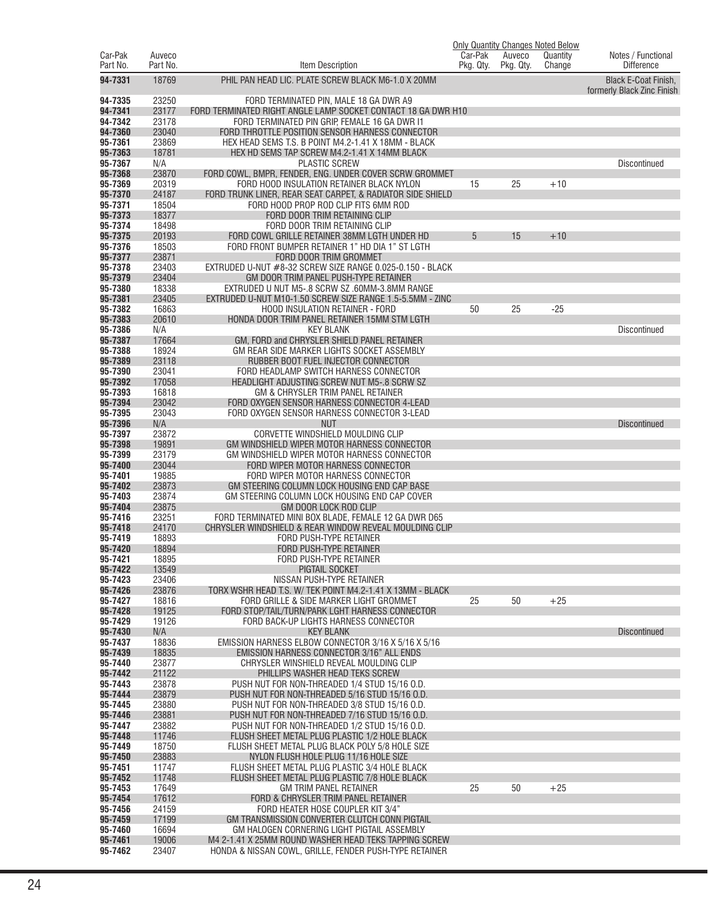|                     |                    |                                                                                                      | <b>Only Quantity Changes Noted Below</b> |                     |                    |                                         |
|---------------------|--------------------|------------------------------------------------------------------------------------------------------|------------------------------------------|---------------------|--------------------|-----------------------------------------|
| Car-Pak<br>Part No. | Auveco<br>Part No. | Item Description                                                                                     | Car-Pak<br>Pkg. Qty.                     | Auveco<br>Pkg. Qty. | Quantity<br>Change | Notes / Functional<br><b>Difference</b> |
| 94-7331             | 18769              | PHIL PAN HEAD LIC. PLATE SCREW BLACK M6-1.0 X 20MM                                                   |                                          |                     |                    | <b>Black E-Coat Finish.</b>             |
| 94-7335             | 23250              | FORD TERMINATED PIN, MALE 18 GA DWR A9                                                               |                                          |                     |                    | formerly Black Zinc Finish              |
| 94-7341             | 23177              | FORD TERMINATED RIGHT ANGLE LAMP SOCKET CONTACT 18 GA DWR H10                                        |                                          |                     |                    |                                         |
| 94-7342             | 23178              | FORD TERMINATED PIN GRIP, FEMALE 16 GA DWR I1                                                        |                                          |                     |                    |                                         |
| 94-7360             | 23040              | FORD THROTTLE POSITION SENSOR HARNESS CONNECTOR                                                      |                                          |                     |                    |                                         |
| 95-7361             | 23869              | HEX HEAD SEMS T.S. B POINT M4.2-1.41 X 18MM - BLACK                                                  |                                          |                     |                    |                                         |
| 95-7363<br>95-7367  | 18781<br>N/A       | HEX HD SEMS TAP SCREW M4.2-1.41 X 14MM BLACK<br><b>PLASTIC SCREW</b>                                 |                                          |                     |                    | <b>Discontinued</b>                     |
| 95-7368             | 23870              | FORD COWL, BMPR, FENDER, ENG. UNDER COVER SCRW GROMMET                                               |                                          |                     |                    |                                         |
| 95-7369             | 20319              | FORD HOOD INSULATION RETAINER BLACK NYLON                                                            | 15                                       | 25                  | $+10$              |                                         |
| 95-7370             | 24187              | FORD TRUNK LINER, REAR SEAT CARPET, & RADIATOR SIDE SHIELD                                           |                                          |                     |                    |                                         |
| 95-7371             | 18504              | FORD HOOD PROP ROD CLIP FITS 6MM ROD                                                                 |                                          |                     |                    |                                         |
| 95-7373             | 18377              | FORD DOOR TRIM RETAINING CLIP                                                                        |                                          |                     |                    |                                         |
| 95-7374<br>95-7375  | 18498<br>20193     | FORD DOOR TRIM RETAINING CLIP                                                                        | 5                                        | 15                  |                    |                                         |
| 95-7376             | 18503              | FORD COWL GRILLE RETAINER 38MM LGTH UNDER HD<br>FORD FRONT BUMPER RETAINER 1" HD DIA 1" ST LGTH      |                                          |                     | $+10$              |                                         |
| 95-7377             | 23871              | FORD DOOR TRIM GROMMET                                                                               |                                          |                     |                    |                                         |
| 95-7378             | 23403              | EXTRUDED U-NUT #8-32 SCREW SIZE RANGE 0.025-0.150 - BLACK                                            |                                          |                     |                    |                                         |
| 95-7379             | 23404              | GM DOOR TRIM PANEL PUSH-TYPE RETAINER                                                                |                                          |                     |                    |                                         |
| 95-7380             | 18338              | EXTRUDED U NUT M5-.8 SCRW SZ .60MM-3.8MM RANGE                                                       |                                          |                     |                    |                                         |
| 95-7381             | 23405              | EXTRUDED U-NUT M10-1.50 SCREW SIZE RANGE 1.5-5.5MM - ZINC                                            |                                          |                     |                    |                                         |
| 95-7382<br>95-7383  | 16863<br>20610     | HOOD INSULATION RETAINER - FORD                                                                      | 50                                       | 25                  | $-25$              |                                         |
| 95-7386             | N/A                | HONDA DOOR TRIM PANEL RETAINER 15MM STM LGTH<br><b>KEY BLANK</b>                                     |                                          |                     |                    | <b>Discontinued</b>                     |
| 95-7387             | 17664              | GM. FORD and CHRYSLER SHIELD PANEL RETAINER                                                          |                                          |                     |                    |                                         |
| 95-7388             | 18924              | GM REAR SIDE MARKER LIGHTS SOCKET ASSEMBLY                                                           |                                          |                     |                    |                                         |
| 95-7389             | 23118              | RUBBER BOOT FUEL INJECTOR CONNECTOR                                                                  |                                          |                     |                    |                                         |
| 95-7390             | 23041              | FORD HEADLAMP SWITCH HARNESS CONNECTOR                                                               |                                          |                     |                    |                                         |
| 95-7392             | 17058              | HEADLIGHT ADJUSTING SCREW NUT M5-.8 SCRW SZ                                                          |                                          |                     |                    |                                         |
| 95-7393<br>95-7394  | 16818<br>23042     | GM & CHRYSLER TRIM PANEL RETAINER<br>FORD OXYGEN SENSOR HARNESS CONNECTOR 4-LEAD                     |                                          |                     |                    |                                         |
| 95-7395             | 23043              | FORD OXYGEN SENSOR HARNESS CONNECTOR 3-LEAD                                                          |                                          |                     |                    |                                         |
| 95-7396             | N/A                | <b>NUT</b>                                                                                           |                                          |                     |                    | <b>Discontinued</b>                     |
| 95-7397             | 23872              | CORVETTE WINDSHIELD MOULDING CLIP                                                                    |                                          |                     |                    |                                         |
| 95-7398             | 19891              | GM WINDSHIELD WIPER MOTOR HARNESS CONNECTOR                                                          |                                          |                     |                    |                                         |
| 95-7399             | 23179              | GM WINDSHIELD WIPER MOTOR HARNESS CONNECTOR                                                          |                                          |                     |                    |                                         |
| 95-7400<br>95-7401  | 23044<br>19885     | FORD WIPER MOTOR HARNESS CONNECTOR<br>FORD WIPER MOTOR HARNESS CONNECTOR                             |                                          |                     |                    |                                         |
| 95-7402             | 23873              | GM STEERING COLUMN LOCK HOUSING END CAP BASE                                                         |                                          |                     |                    |                                         |
| 95-7403             | 23874              | GM STEERING COLUMN LOCK HOUSING END CAP COVER                                                        |                                          |                     |                    |                                         |
| 95-7404             | 23875              | GM DOOR LOCK ROD CLIP                                                                                |                                          |                     |                    |                                         |
| 95-7416             | 23251              | FORD TERMINATED MINI BOX BLADE, FEMALE 12 GA DWR D65                                                 |                                          |                     |                    |                                         |
| 95-7418             | 24170              | CHRYSLER WINDSHIELD & REAR WINDOW REVEAL MOULDING CLIP                                               |                                          |                     |                    |                                         |
| 95-7419<br>95-7420  | 18893<br>18894     | FORD PUSH-TYPE RETAINER<br>FORD PUSH-TYPE RETAINER                                                   |                                          |                     |                    |                                         |
| 95-7421             | 18895              | FORD PUSH-TYPE RETAINER                                                                              |                                          |                     |                    |                                         |
| 95-7422             | 13549              | PIGTAIL SOCKET                                                                                       |                                          |                     |                    |                                         |
| 95-7423             | 23406              | NISSAN PUSH-TYPE RETAINER                                                                            |                                          |                     |                    |                                         |
| 95-7426             | 23876              | TORX WSHR HEAD T.S. W/ TEK POINT M4.2-1.41 X 13MM - BLACK                                            |                                          |                     |                    |                                         |
| 95-7427             | 18816              | FORD GRILLE & SIDE MARKER LIGHT GROMMET                                                              | 25                                       | 50                  | $+25$              |                                         |
| 95-7428<br>95-7429  | 19125<br>19126     | FORD STOP/TAIL/TURN/PARK LGHT HARNESS CONNECTOR<br>FORD BACK-UP LIGHTS HARNESS CONNECTOR             |                                          |                     |                    |                                         |
| 95-7430             | N/A                | <b>KEY BLANK</b>                                                                                     |                                          |                     |                    | <b>Discontinued</b>                     |
| 95-7437             | 18836              | EMISSION HARNESS ELBOW CONNECTOR 3/16 X 5/16 X 5/16                                                  |                                          |                     |                    |                                         |
| 95-7439             | 18835              | <b>EMISSION HARNESS CONNECTOR 3/16" ALL ENDS</b>                                                     |                                          |                     |                    |                                         |
| 95-7440             | 23877              | CHRYSLER WINSHIELD REVEAL MOULDING CLIP                                                              |                                          |                     |                    |                                         |
| 95-7442             | 21122              | PHILLIPS WASHER HEAD TEKS SCREW                                                                      |                                          |                     |                    |                                         |
| 95-7443<br>95-7444  | 23878<br>23879     | PUSH NUT FOR NON-THREADED 1/4 STUD 15/16 O.D.<br>PUSH NUT FOR NON-THREADED 5/16 STUD 15/16 O.D.      |                                          |                     |                    |                                         |
| 95-7445             | 23880              | PUSH NUT FOR NON-THREADED 3/8 STUD 15/16 O.D.                                                        |                                          |                     |                    |                                         |
| 95-7446             | 23881              | PUSH NUT FOR NON-THREADED 7/16 STUD 15/16 O.D.                                                       |                                          |                     |                    |                                         |
| 95-7447             | 23882              | PUSH NUT FOR NON-THREADED 1/2 STUD 15/16 O.D.                                                        |                                          |                     |                    |                                         |
| 95-7448             | 11746              | FLUSH SHEET METAL PLUG PLASTIC 1/2 HOLE BLACK                                                        |                                          |                     |                    |                                         |
| 95-7449             | 18750              | FLUSH SHEET METAL PLUG BLACK POLY 5/8 HOLE SIZE                                                      |                                          |                     |                    |                                         |
| 95-7450<br>95-7451  | 23883<br>11747     | NYLON FLUSH HOLE PLUG 11/16 HOLE SIZE<br>FLUSH SHEET METAL PLUG PLASTIC 3/4 HOLE BLACK               |                                          |                     |                    |                                         |
| 95-7452             | 11748              | FLUSH SHEET METAL PLUG PLASTIC 7/8 HOLE BLACK                                                        |                                          |                     |                    |                                         |
| 95-7453             | 17649              | <b>GM TRIM PANEL RETAINER</b>                                                                        | 25                                       | 50                  | $+25$              |                                         |
| 95-7454             | 17612              | FORD & CHRYSLER TRIM PANEL RETAINER                                                                  |                                          |                     |                    |                                         |
| 95-7456             | 24159              | FORD HEATER HOSE COUPLER KIT 3/4"                                                                    |                                          |                     |                    |                                         |
| 95-7459<br>95-7460  | 17199              | GM TRANSMISSION CONVERTER CLUTCH CONN PIGTAIL                                                        |                                          |                     |                    |                                         |
| 95-7461             | 16694<br>19006     | GM HALOGEN CORNERING LIGHT PIGTAIL ASSEMBLY<br>M4 2-1.41 X 25MM ROUND WASHER HEAD TEKS TAPPING SCREW |                                          |                     |                    |                                         |
| 95-7462             | 23407              | HONDA & NISSAN COWL, GRILLE, FENDER PUSH-TYPE RETAINER                                               |                                          |                     |                    |                                         |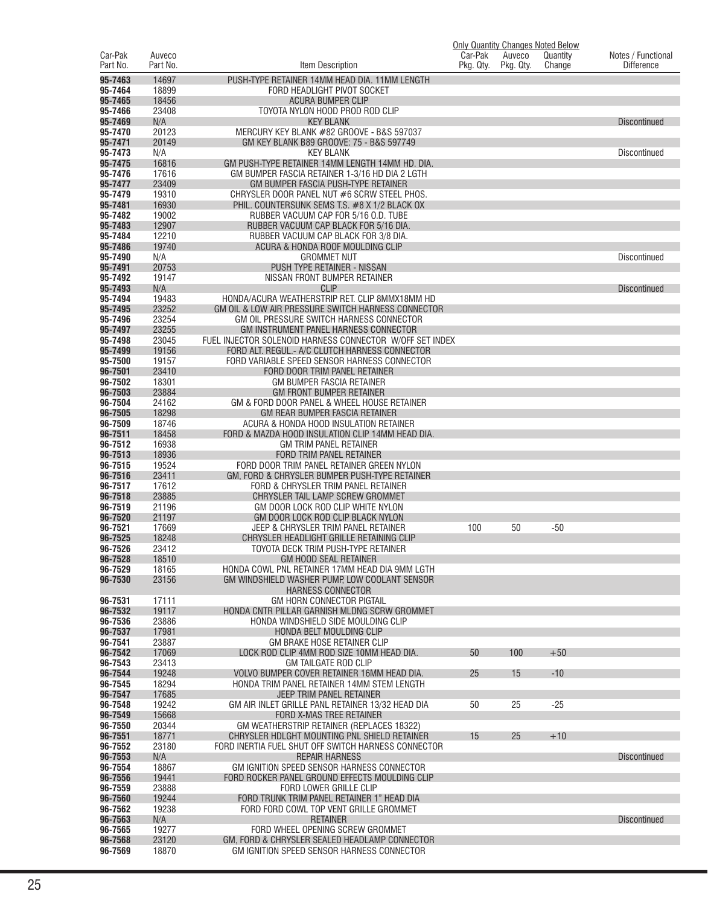|                     |                    |                                                                                                |                      |                     | Only Quantity Changes Noted Below |                                         |
|---------------------|--------------------|------------------------------------------------------------------------------------------------|----------------------|---------------------|-----------------------------------|-----------------------------------------|
| Car-Pak<br>Part No. | Auveco<br>Part No. | Item Description                                                                               | Car-Pak<br>Pkg. Qty. | Auveco<br>Pkg. Qty. | Quantity<br>Change                | Notes / Functional<br><b>Difference</b> |
| 95-7463             | 14697              | PUSH-TYPE RETAINER 14MM HEAD DIA. 11MM LENGTH                                                  |                      |                     |                                   |                                         |
| 95-7464             | 18899              | FORD HEADLIGHT PIVOT SOCKET                                                                    |                      |                     |                                   |                                         |
| 95-7465<br>95-7466  | 18456<br>23408     | <b>ACURA BUMPER CLIP</b><br>TOYOTA NYLON HOOD PROD ROD CLIP                                    |                      |                     |                                   |                                         |
| 95-7469             | N/A                | <b>KEY BLANK</b>                                                                               |                      |                     |                                   | <b>Discontinued</b>                     |
| 95-7470             | 20123              | MERCURY KEY BLANK #82 GROOVE - B&S 597037                                                      |                      |                     |                                   |                                         |
| 95-7471<br>95-7473  | 20149<br>N/A       | GM KEY BLANK B89 GROOVE: 75 - B&S 597749<br><b>KEY BLANK</b>                                   |                      |                     |                                   | Discontinued                            |
| 95-7475             | 16816              | GM PUSH-TYPE RETAINER 14MM LENGTH 14MM HD. DIA.                                                |                      |                     |                                   |                                         |
| 95-7476             | 17616              | GM BUMPER FASCIA RETAINER 1-3/16 HD DIA 2 LGTH                                                 |                      |                     |                                   |                                         |
| 95-7477<br>95-7479  | 23409<br>19310     | GM BUMPER FASCIA PUSH-TYPE RETAINER<br>CHRYSLER DOOR PANEL NUT #6 SCRW STEEL PHOS.             |                      |                     |                                   |                                         |
| 95-7481             | 16930              | PHIL, COUNTERSUNK SEMS T.S. #8 X 1/2 BLACK OX                                                  |                      |                     |                                   |                                         |
| 95-7482             | 19002              | RUBBER VACUUM CAP FOR 5/16 O.D. TUBE                                                           |                      |                     |                                   |                                         |
| 95-7483<br>95-7484  | 12907<br>12210     | RUBBER VACUUM CAP BLACK FOR 5/16 DIA.<br>RUBBER VACUUM CAP BLACK FOR 3/8 DIA.                  |                      |                     |                                   |                                         |
| 95-7486             | 19740              | ACURA & HONDA ROOF MOULDING CLIP                                                               |                      |                     |                                   |                                         |
| 95-7490             | N/A                | <b>GROMMET NUT</b>                                                                             |                      |                     |                                   | Discontinued                            |
| 95-7491<br>95-7492  | 20753<br>19147     | <b>PUSH TYPE RETAINER - NISSAN</b><br>NISSAN FRONT BUMPER RETAINER                             |                      |                     |                                   |                                         |
| 95-7493             | N/A                | <b>CLIP</b>                                                                                    |                      |                     |                                   | <b>Discontinued</b>                     |
| 95-7494             | 19483              | HONDA/ACURA WEATHERSTRIP RET. CLIP 8MMX18MM HD                                                 |                      |                     |                                   |                                         |
| 95-7495<br>95-7496  | 23252<br>23254     | GM OIL & LOW AIR PRESSURE SWITCH HARNESS CONNECTOR<br>GM OIL PRESSURE SWITCH HARNESS CONNECTOR |                      |                     |                                   |                                         |
| 95-7497             | 23255              | <b>GM INSTRUMENT PANEL HARNESS CONNECTOR</b>                                                   |                      |                     |                                   |                                         |
| 95-7498             | 23045              | FUEL INJECTOR SOLENOID HARNESS CONNECTOR W/OFF SET INDEX                                       |                      |                     |                                   |                                         |
| 95-7499<br>95-7500  | 19156<br>19157     | FORD ALT. REGUL.- A/C CLUTCH HARNESS CONNECTOR<br>FORD VARIABLE SPEED SENSOR HARNESS CONNECTOR |                      |                     |                                   |                                         |
| 96-7501             | 23410              | FORD DOOR TRIM PANEL RETAINER                                                                  |                      |                     |                                   |                                         |
| 96-7502             | 18301              | <b>GM BUMPER FASCIA RETAINER</b>                                                               |                      |                     |                                   |                                         |
| 96-7503<br>96-7504  | 23884<br>24162     | <b>GM FRONT BUMPER RETAINER</b><br>GM & FORD DOOR PANEL & WHEEL HOUSE RETAINER                 |                      |                     |                                   |                                         |
| 96-7505             | 18298              | GM REAR BUMPER FASCIA RETAINER                                                                 |                      |                     |                                   |                                         |
| 96-7509             | 18746              | ACURA & HONDA HOOD INSULATION RETAINER                                                         |                      |                     |                                   |                                         |
| 96-7511<br>96-7512  | 18458<br>16938     | FORD & MAZDA HOOD INSULATION CLIP 14MM HEAD DIA.<br><b>GM TRIM PANEL RETAINER</b>              |                      |                     |                                   |                                         |
| 96-7513             | 18936              | FORD TRIM PANEL RETAINER                                                                       |                      |                     |                                   |                                         |
| 96-7515             | 19524              | FORD DOOR TRIM PANEL RETAINER GREEN NYLON                                                      |                      |                     |                                   |                                         |
| 96-7516<br>96-7517  | 23411<br>17612     | GM, FORD & CHRYSLER BUMPER PUSH-TYPE RETAINER<br>FORD & CHRYSLER TRIM PANEL RETAINER           |                      |                     |                                   |                                         |
| 96-7518             | 23885              | CHRYSLER TAIL LAMP SCREW GROMMET                                                               |                      |                     |                                   |                                         |
| 96-7519<br>96-7520  | 21196<br>21197     | GM DOOR LOCK ROD CLIP WHITE NYLON<br>GM DOOR LOCK ROD CLIP BLACK NYLON                         |                      |                     |                                   |                                         |
| 96-7521             | 17669              | JEEP & CHRYSLER TRIM PANEL RETAINER                                                            | 100                  | 50                  | $-50$                             |                                         |
| 96-7525             | 18248              | CHRYSLER HEADLIGHT GRILLE RETAINING CLIP                                                       |                      |                     |                                   |                                         |
| 96-7526             | 23412<br>18510     | TOYOTA DECK TRIM PUSH-TYPE RETAINER                                                            |                      |                     |                                   |                                         |
| 96-7528<br>96-7529  | 18165              | GM HOOD SEAL RETAINER<br>HONDA COWL PNL RETAINER 17MM HEAD DIA 9MM LGTH                        |                      |                     |                                   |                                         |
| 96-7530             | 23156              | GM WINDSHIELD WASHER PUMP, LOW COOLANT SENSOR                                                  |                      |                     |                                   |                                         |
| 96-7531             | 17111              | <b>HARNESS CONNECTOR</b><br>GM HORN CONNECTOR PIGTAIL                                          |                      |                     |                                   |                                         |
| 96-7532             | 19117              | HONDA CNTR PILLAR GARNISH MLDNG SCRW GROMMET                                                   |                      |                     |                                   |                                         |
| 96-7536             | 23886              | HONDA WINDSHIELD SIDE MOULDING CLIP                                                            |                      |                     |                                   |                                         |
| 96-7537<br>96-7541  | 17981<br>23887     | HONDA BELT MOULDING CLIP<br><b>GM BRAKE HOSE RETAINER CLIP</b>                                 |                      |                     |                                   |                                         |
| 96-7542             | 17069              | LOCK ROD CLIP 4MM ROD SIZE 10MM HEAD DIA.                                                      | 50                   | 100                 | $+50$                             |                                         |
| 96-7543             | 23413              | <b>GM TAILGATE ROD CLIP</b>                                                                    | 25                   |                     | $-10$                             |                                         |
| 96-7544<br>96-7545  | 19248<br>18294     | VOLVO BUMPER COVER RETAINER 16MM HEAD DIA.<br>HONDA TRIM PANEL RETAINER 14MM STEM LENGTH       |                      | 15                  |                                   |                                         |
| 96-7547             | 17685              | JEEP TRIM PANEL RETAINER                                                                       |                      |                     |                                   |                                         |
| 96-7548<br>96-7549  | 19242<br>15668     | GM AIR INLET GRILLE PANL RETAINER 13/32 HEAD DIA<br>FORD X-MAS TREE RETAINER                   | 50                   | 25                  | $-25$                             |                                         |
| 96-7550             | 20344              | GM WEATHERSTRIP RETAINER (REPLACES 18322)                                                      |                      |                     |                                   |                                         |
| 96-7551             | 18771              | CHRYSLER HDLGHT MOUNTING PNL SHIELD RETAINER                                                   | 15                   | 25                  | $+10$                             |                                         |
| 96-7552<br>96-7553  | 23180<br>N/A       | FORD INERTIA FUEL SHUT OFF SWITCH HARNESS CONNECTOR<br><b>REPAIR HARNESS</b>                   |                      |                     |                                   | <b>Discontinued</b>                     |
| 96-7554             | 18867              | GM IGNITION SPEED SENSOR HARNESS CONNECTOR                                                     |                      |                     |                                   |                                         |
| 96-7556             | 19441              | FORD ROCKER PANEL GROUND EFFECTS MOULDING CLIP                                                 |                      |                     |                                   |                                         |
| 96-7559<br>96-7560  | 23888<br>19244     | FORD LOWER GRILLE CLIP<br>FORD TRUNK TRIM PANEL RETAINER 1" HEAD DIA                           |                      |                     |                                   |                                         |
| 96-7562             | 19238              | FORD FORD COWL TOP VENT GRILLE GROMMET                                                         |                      |                     |                                   |                                         |
| 96-7563             | N/A                | <b>RETAINER</b>                                                                                |                      |                     |                                   | <b>Discontinued</b>                     |
| 96-7565<br>96-7568  | 19277<br>23120     | FORD WHEEL OPENING SCREW GROMMET<br>GM, FORD & CHRYSLER SEALED HEADLAMP CONNECTOR              |                      |                     |                                   |                                         |
| 96-7569             | 18870              | GM IGNITION SPEED SENSOR HARNESS CONNECTOR                                                     |                      |                     |                                   |                                         |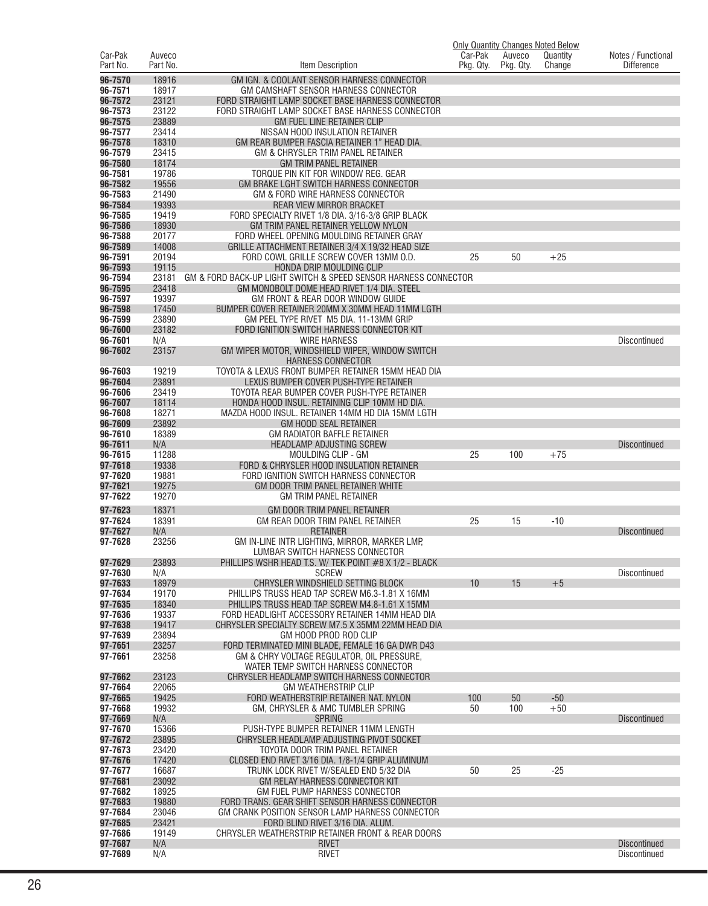| Car-Pak            | Auveco         |                                                                                              | Car-Pak   | Auveco    | <b>Only Quantity Changes Noted Below</b><br>Quantity | Notes / Functional  |
|--------------------|----------------|----------------------------------------------------------------------------------------------|-----------|-----------|------------------------------------------------------|---------------------|
| Part No.           | Part No.       | Item Description                                                                             | Pkg. Qty. | Pkg. Qty. | Change                                               | <b>Difference</b>   |
| 96-7570            | 18916          | GM IGN. & COOLANT SENSOR HARNESS CONNECTOR                                                   |           |           |                                                      |                     |
| 96-7571            | 18917          | GM CAMSHAFT SENSOR HARNESS CONNECTOR                                                         |           |           |                                                      |                     |
| 96-7572            | 23121          | FORD STRAIGHT LAMP SOCKET BASE HARNESS CONNECTOR                                             |           |           |                                                      |                     |
| 96-7573            | 23122          | FORD STRAIGHT LAMP SOCKET BASE HARNESS CONNECTOR                                             |           |           |                                                      |                     |
| 96-7575            | 23889          | <b>GM FUEL LINE RETAINER CLIP</b>                                                            |           |           |                                                      |                     |
| 96-7577            | 23414          | NISSAN HOOD INSULATION RETAINER                                                              |           |           |                                                      |                     |
| 96-7578<br>96-7579 | 18310<br>23415 | GM REAR BUMPER FASCIA RETAINER 1" HEAD DIA.                                                  |           |           |                                                      |                     |
| 96-7580            | 18174          | GM & CHRYSLER TRIM PANEL RETAINER<br><b>GM TRIM PANEL RETAINER</b>                           |           |           |                                                      |                     |
| 96-7581            | 19786          | TORQUE PIN KIT FOR WINDOW REG. GEAR                                                          |           |           |                                                      |                     |
| 96-7582            | 19556          | GM BRAKE LGHT SWITCH HARNESS CONNECTOR                                                       |           |           |                                                      |                     |
| 96-7583            | 21490          | GM & FORD WIRE HARNESS CONNECTOR                                                             |           |           |                                                      |                     |
| 96-7584            | 19393          | <b>REAR VIEW MIRROR BRACKET</b>                                                              |           |           |                                                      |                     |
| 96-7585            | 19419          | FORD SPECIALTY RIVET 1/8 DIA. 3/16-3/8 GRIP BLACK                                            |           |           |                                                      |                     |
| 96-7586            | 18930          | GM TRIM PANEL RETAINER YELLOW NYLON<br>FORD WHEEL OPENING MOULDING RETAINER GRAY             |           |           |                                                      |                     |
| 96-7588<br>96-7589 | 20177<br>14008 | GRILLE ATTACHMENT RETAINER 3/4 X 19/32 HEAD SIZE                                             |           |           |                                                      |                     |
| 96-7591            | 20194          | FORD COWL GRILLE SCREW COVER 13MM O.D.                                                       | 25        | 50        | $+25$                                                |                     |
| 96-7593            | 19115          | HONDA DRIP MOULDING CLIP                                                                     |           |           |                                                      |                     |
| 96-7594            | 23181          | GM & FORD BACK-UP LIGHT SWITCH & SPEED SENSOR HARNESS CONNECTOR                              |           |           |                                                      |                     |
| 96-7595            | 23418          | GM MONOBOLT DOME HEAD RIVET 1/4 DIA. STEEL                                                   |           |           |                                                      |                     |
| 96-7597            | 19397          | GM FRONT & REAR DOOR WINDOW GUIDE                                                            |           |           |                                                      |                     |
| 96-7598            | 17450<br>23890 | BUMPER COVER RETAINER 20MM X 30MM HEAD 11MM LGTH                                             |           |           |                                                      |                     |
| 96-7599<br>96-7600 | 23182          | GM PEEL TYPE RIVET M5 DIA, 11-13MM GRIP<br>FORD IGNITION SWITCH HARNESS CONNECTOR KIT        |           |           |                                                      |                     |
| 96-7601            | N/A            | <b>WIRE HARNESS</b>                                                                          |           |           |                                                      | <b>Discontinued</b> |
| 96-7602            | 23157          | GM WIPER MOTOR, WINDSHIELD WIPER, WINDOW SWITCH                                              |           |           |                                                      |                     |
|                    |                | <b>HARNESS CONNECTOR</b>                                                                     |           |           |                                                      |                     |
| 96-7603            | 19219          | TOYOTA & LEXUS FRONT BUMPER RETAINER 15MM HEAD DIA                                           |           |           |                                                      |                     |
| 96-7604            | 23891          | LEXUS BUMPER COVER PUSH-TYPE RETAINER                                                        |           |           |                                                      |                     |
| 96-7606<br>96-7607 | 23419<br>18114 | TOYOTA REAR BUMPER COVER PUSH-TYPE RETAINER<br>HONDA HOOD INSUL. RETAINING CLIP 10MM HD DIA. |           |           |                                                      |                     |
| 96-7608            | 18271          | MAZDA HOOD INSUL. RETAINER 14MM HD DIA 15MM LGTH                                             |           |           |                                                      |                     |
| 96-7609            | 23892          | <b>GM HOOD SEAL RETAINER</b>                                                                 |           |           |                                                      |                     |
| 96-7610            | 18389          | GM RADIATOR BAFFLE RETAINER                                                                  |           |           |                                                      |                     |
| 96-7611            | N/A            | <b>HEADLAMP ADJUSTING SCREW</b>                                                              |           |           |                                                      | <b>Discontinued</b> |
| 96-7615            | 11288          | MOULDING CLIP - GM                                                                           | 25        | 100       | $+75$                                                |                     |
| 97-7618<br>97-7620 | 19338<br>19881 | FORD & CHRYSLER HOOD INSULATION RETAINER<br>FORD IGNITION SWITCH HARNESS CONNECTOR           |           |           |                                                      |                     |
| 97-7621            | 19275          | GM DOOR TRIM PANEL RETAINER WHITE                                                            |           |           |                                                      |                     |
| 97-7622            | 19270          | <b>GM TRIM PANEL RETAINER</b>                                                                |           |           |                                                      |                     |
| 97-7623            | 18371          | GM DOOR TRIM PANEL RETAINER                                                                  |           |           |                                                      |                     |
| 97-7624            | 18391          | GM REAR DOOR TRIM PANEL RETAINER                                                             | 25        | 15        | $-10$                                                |                     |
| 97-7627            | N/A            | <b>RETAINER</b>                                                                              |           |           |                                                      | <b>Discontinued</b> |
| 97-7628            | 23256          | GM IN-LINE INTR LIGHTING, MIRROR, MARKER LMP,                                                |           |           |                                                      |                     |
| 97-7629            | 23893          | LUMBAR SWITCH HARNESS CONNECTOR<br>PHILLIPS WSHR HEAD T.S. W/ TEK POINT #8 X 1/2 - BLACK     |           |           |                                                      |                     |
| 97-7630            | N/A            | <b>SCREW</b>                                                                                 |           |           |                                                      | <b>Discontinued</b> |
| 97-7633            | 18979          | CHRYSLER WINDSHIELD SETTING BLOCK                                                            | 10        | 15        | $+5$                                                 |                     |
| 97-7634            | 19170          | PHILLIPS TRUSS HEAD TAP SCREW M6.3-1.81 X 16MM                                               |           |           |                                                      |                     |
| 97-7635            | 18340          | PHILLIPS TRUSS HEAD TAP SCREW M4.8-1.61 X 15MM                                               |           |           |                                                      |                     |
| 97-7636            | 19337          | FORD HEADLIGHT ACCESSORY RETAINER 14MM HEAD DIA                                              |           |           |                                                      |                     |
| 97-7638<br>97-7639 | 19417<br>23894 | CHRYSLER SPECIALTY SCREW M7.5 X 35MM 22MM HEAD DIA<br>GM HOOD PROD ROD CLIP                  |           |           |                                                      |                     |
| 97-7651            | 23257          | FORD TERMINATED MINI BLADE, FEMALE 16 GA DWR D43                                             |           |           |                                                      |                     |
| 97-7661            | 23258          | GM & CHRY VOLTAGE REGULATOR, OIL PRESSURE,                                                   |           |           |                                                      |                     |
|                    |                | WATER TEMP SWITCH HARNESS CONNECTOR                                                          |           |           |                                                      |                     |
| 97-7662            | 23123          | CHRYSLER HEADLAMP SWITCH HARNESS CONNECTOR                                                   |           |           |                                                      |                     |
| 97-7664            | 22065          | <b>GM WEATHERSTRIP CLIP</b>                                                                  |           |           |                                                      |                     |
| 97-7665<br>97-7668 | 19425<br>19932 | FORD WEATHERSTRIP RETAINER NAT. NYLON<br>GM, CHRYSLER & AMC TUMBLER SPRING                   | 100       | 50<br>100 | $-50$<br>$+50$                                       |                     |
| 97-7669            | N/A            | <b>SPRING</b>                                                                                | 50        |           |                                                      | <b>Discontinued</b> |
| 97-7670            | 15366          | PUSH-TYPE BUMPER RETAINER 11MM LENGTH                                                        |           |           |                                                      |                     |
| 97-7672            | 23895          | CHRYSLER HEADLAMP ADJUSTING PIVOT SOCKET                                                     |           |           |                                                      |                     |
| 97-7673            | 23420          | TOYOTA DOOR TRIM PANEL RETAINER                                                              |           |           |                                                      |                     |
| 97-7676            | 17420          | CLOSED END RIVET 3/16 DIA. 1/8-1/4 GRIP ALUMINUM                                             |           |           |                                                      |                     |
| 97-7677            | 16687          | TRUNK LOCK RIVET W/SEALED END 5/32 DIA                                                       | 50        | 25        | $-25$                                                |                     |
| 97-7681<br>97-7682 | 23092<br>18925 | GM RELAY HARNESS CONNECTOR KIT<br>GM FUEL PUMP HARNESS CONNECTOR                             |           |           |                                                      |                     |
| 97-7683            | 19880          | FORD TRANS. GEAR SHIFT SENSOR HARNESS CONNECTOR                                              |           |           |                                                      |                     |
| 97-7684            | 23046          | GM CRANK POSITION SENSOR LAMP HARNESS CONNECTOR                                              |           |           |                                                      |                     |
| 97-7685            | 23421          | FORD BLIND RIVET 3/16 DIA. ALUM.                                                             |           |           |                                                      |                     |
| 97-7686            | 19149          | CHRYSLER WEATHERSTRIP RETAINER FRONT & REAR DOORS                                            |           |           |                                                      |                     |
| 97-7687            | N/A            | <b>RIVET</b>                                                                                 |           |           |                                                      | <b>Discontinued</b> |
| 97-7689            | N/A            | <b>RIVET</b>                                                                                 |           |           |                                                      | Discontinued        |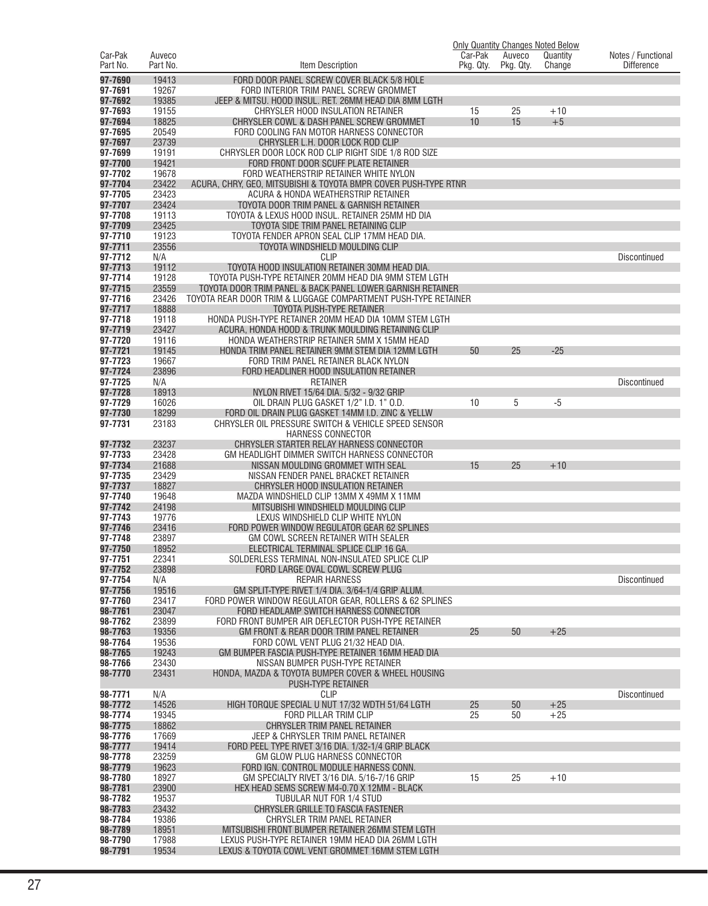|                     |                    |                                                                                                                     |                      |                     | <b>Only Quantity Changes Noted Below</b> |                                         |
|---------------------|--------------------|---------------------------------------------------------------------------------------------------------------------|----------------------|---------------------|------------------------------------------|-----------------------------------------|
| Car-Pak<br>Part No. | Auveco<br>Part No. | Item Description                                                                                                    | Car-Pak<br>Pkg. Qty. | Auveco<br>Pkg. Qty. | Quantity<br>Change                       | Notes / Functional<br><b>Difference</b> |
| 97-7690             | 19413              | FORD DOOR PANEL SCREW COVER BLACK 5/8 HOLE                                                                          |                      |                     |                                          |                                         |
| 97-7691             | 19267              | FORD INTERIOR TRIM PANEL SCREW GROMMET                                                                              |                      |                     |                                          |                                         |
| 97-7692             | 19385              | JEEP & MITSU. HOOD INSUL. RET. 26MM HEAD DIA 8MM LGTH                                                               |                      |                     |                                          |                                         |
| 97-7693             | 19155              | CHRYSLER HOOD INSULATION RETAINER                                                                                   | 15                   | 25                  | $+10$                                    |                                         |
| 97-7694             | 18825              | CHRYSLER COWL & DASH PANEL SCREW GROMMET                                                                            | 10                   | 15                  | $+5$                                     |                                         |
| 97-7695             | 20549              | FORD COOLING FAN MOTOR HARNESS CONNECTOR                                                                            |                      |                     |                                          |                                         |
| 97-7697<br>97-7699  | 23739<br>19191     | CHRYSLER L.H. DOOR LOCK ROD CLIP<br>CHRYSLER DOOR LOCK ROD CLIP RIGHT SIDE 1/8 ROD SIZE                             |                      |                     |                                          |                                         |
| 97-7700             | 19421              | FORD FRONT DOOR SCUFF PLATE RETAINER                                                                                |                      |                     |                                          |                                         |
| 97-7702             | 19678              | FORD WEATHERSTRIP RETAINER WHITE NYLON                                                                              |                      |                     |                                          |                                         |
| 97-7704             | 23422              | ACURA, CHRY, GEO, MITSUBISHI & TOYOTA BMPR COVER PUSH-TYPE RTNR                                                     |                      |                     |                                          |                                         |
| 97-7705             | 23423              | ACURA & HONDA WEATHERSTRIP RETAINER                                                                                 |                      |                     |                                          |                                         |
| 97-7707<br>97-7708  | 23424<br>19113     | TOYOTA DOOR TRIM PANEL & GARNISH RETAINER<br>TOYOTA & LEXUS HOOD INSUL. RETAINER 25MM HD DIA                        |                      |                     |                                          |                                         |
| 97-7709             | 23425              | TOYOTA SIDE TRIM PANEL RETAINING CLIP                                                                               |                      |                     |                                          |                                         |
| 97-7710             | 19123              | TOYOTA FENDER APRON SEAL CLIP 17MM HEAD DIA.                                                                        |                      |                     |                                          |                                         |
| 97-7711             | 23556              | TOYOTA WINDSHIELD MOULDING CLIP                                                                                     |                      |                     |                                          |                                         |
| 97-7712             | N/A                | <b>CLIP</b>                                                                                                         |                      |                     |                                          | Discontinued                            |
| 97-7713<br>97-7714  | 19112<br>19128     | TOYOTA HOOD INSULATION RETAINER 30MM HEAD DIA.                                                                      |                      |                     |                                          |                                         |
| 97-7715             | 23559              | TOYOTA PUSH-TYPE RETAINER 20MM HEAD DIA 9MM STEM LGTH<br>TOYOTA DOOR TRIM PANEL & BACK PANEL LOWER GARNISH RETAINER |                      |                     |                                          |                                         |
| 97-7716             | 23426              | TOYOTA REAR DOOR TRIM & LUGGAGE COMPARTMENT PUSH-TYPE RETAINER                                                      |                      |                     |                                          |                                         |
| 97-7717             | 18888              | TOYOTA PUSH-TYPE RETAINER                                                                                           |                      |                     |                                          |                                         |
| 97-7718             | 19118              | HONDA PUSH-TYPE RETAINER 20MM HEAD DIA 10MM STEM LGTH                                                               |                      |                     |                                          |                                         |
| 97-7719             | 23427              | ACURA, HONDA HOOD & TRUNK MOULDING RETAINING CLIP                                                                   |                      |                     |                                          |                                         |
| 97-7720<br>97-7721  | 19116<br>19145     | HONDA WEATHERSTRIP RETAINER 5MM X 15MM HEAD<br>HONDA TRIM PANEL RETAINER 9MM STEM DIA 12MM LGTH                     | 50                   | 25                  | $-25$                                    |                                         |
| 97-7723             | 19667              | FORD TRIM PANEL RETAINER BLACK NYLON                                                                                |                      |                     |                                          |                                         |
| 97-7724             | 23896              | FORD HEADLINER HOOD INSULATION RETAINER                                                                             |                      |                     |                                          |                                         |
| 97-7725             | N/A                | <b>RETAINER</b>                                                                                                     |                      |                     |                                          | Discontinued                            |
| 97-7728             | 18913              | NYLON RIVET 15/64 DIA. 5/32 - 9/32 GRIP                                                                             |                      |                     |                                          |                                         |
| 97-7729<br>97-7730  | 16026<br>18299     | OIL DRAIN PLUG GASKET 1/2" I.D. 1" O.D.<br>FORD OIL DRAIN PLUG GASKET 14MM I.D. ZINC & YELLW                        | 10                   | 5                   | $-5$                                     |                                         |
| 97-7731             | 23183              | CHRYSLER OIL PRESSURE SWITCH & VEHICLE SPEED SENSOR                                                                 |                      |                     |                                          |                                         |
|                     |                    | <b>HARNESS CONNECTOR</b>                                                                                            |                      |                     |                                          |                                         |
| 97-7732             | 23237              | CHRYSLER STARTER RELAY HARNESS CONNECTOR                                                                            |                      |                     |                                          |                                         |
| 97-7733             | 23428              | GM HEADLIGHT DIMMER SWITCH HARNESS CONNECTOR                                                                        |                      |                     |                                          |                                         |
| 97-7734<br>97-7735  | 21688<br>23429     | NISSAN MOULDING GROMMET WITH SEAL<br>NISSAN FENDER PANEL BRACKET RETAINER                                           | 15                   | 25                  | $+10$                                    |                                         |
| 97-7737             | 18827              | CHRYSLER HOOD INSULATION RETAINER                                                                                   |                      |                     |                                          |                                         |
| 97-7740             | 19648              | MAZDA WINDSHIELD CLIP 13MM X 49MM X 11MM                                                                            |                      |                     |                                          |                                         |
| 97-7742             | 24198              | MITSUBISHI WINDSHIELD MOULDING CLIP                                                                                 |                      |                     |                                          |                                         |
| 97-7743             | 19776              | LEXUS WINDSHIELD CLIP WHITE NYLON                                                                                   |                      |                     |                                          |                                         |
| 97-7746<br>97-7748  | 23416<br>23897     | FORD POWER WINDOW REGULATOR GEAR 62 SPLINES<br>GM COWL SCREEN RETAINER WITH SEALER                                  |                      |                     |                                          |                                         |
| 97-7750             | 18952              | ELECTRICAL TERMINAL SPLICE CLIP 16 GA.                                                                              |                      |                     |                                          |                                         |
| 97-7751             | 22341              | SOLDERLESS TERMINAL NON-INSULATED SPLICE CLIP                                                                       |                      |                     |                                          |                                         |
| 97-7752             | 23898              | FORD LARGE OVAL COWL SCREW PLUG                                                                                     |                      |                     |                                          |                                         |
| 97-7754             | N/A                | <b>REPAIR HARNESS</b>                                                                                               |                      |                     |                                          | Discontinued                            |
| 97-7756<br>97-7760  | 19516<br>23417     | GM SPLIT-TYPE RIVET 1/4 DIA, 3/64-1/4 GRIP ALUM.<br>FORD POWER WINDOW REGULATOR GEAR, ROLLERS & 62 SPLINES          |                      |                     |                                          |                                         |
| 98-7761             | 23047              | FORD HEADLAMP SWITCH HARNESS CONNECTOR                                                                              |                      |                     |                                          |                                         |
| 98-7762             | 23899              | FORD FRONT BUMPER AIR DEFLECTOR PUSH-TYPE RETAINER                                                                  |                      |                     |                                          |                                         |
| 98-7763             | 19356              | GM FRONT & REAR DOOR TRIM PANEL RETAINER                                                                            | 25                   | 50                  | $+25$                                    |                                         |
| 98-7764             | 19536              | FORD COWL VENT PLUG 21/32 HEAD DIA.                                                                                 |                      |                     |                                          |                                         |
| 98-7765<br>98-7766  | 19243<br>23430     | GM BUMPER FASCIA PUSH-TYPE RETAINER 16MM HEAD DIA<br>NISSAN BUMPER PUSH-TYPE RETAINER                               |                      |                     |                                          |                                         |
| 98-7770             | 23431              | HONDA, MAZDA & TOYOTA BUMPER COVER & WHEEL HOUSING                                                                  |                      |                     |                                          |                                         |
|                     |                    | <b>PUSH-TYPE RETAINER</b>                                                                                           |                      |                     |                                          |                                         |
| 98-7771             | N/A                | <b>CLIP</b>                                                                                                         |                      |                     |                                          | Discontinued                            |
| 98-7772             | 14526              | HIGH TORQUE SPECIAL U NUT 17/32 WDTH 51/64 LGTH                                                                     | 25                   | 50                  | $+25$                                    |                                         |
| 98-7774<br>98-7775  | 19345<br>18862     | FORD PILLAR TRIM CLIP<br>CHRYSLER TRIM PANEL RETAINER                                                               | 25                   | 50                  | $+25$                                    |                                         |
| 98-7776             | 17669              | JEEP & CHRYSLER TRIM PANEL RETAINER                                                                                 |                      |                     |                                          |                                         |
| 98-7777             | 19414              | FORD PEEL TYPE RIVET 3/16 DIA. 1/32-1/4 GRIP BLACK                                                                  |                      |                     |                                          |                                         |
| 98-7778             | 23259              | GM GLOW PLUG HARNESS CONNECTOR                                                                                      |                      |                     |                                          |                                         |
| 98-7779             | 19623              | FORD IGN. CONTROL MODULE HARNESS CONN.                                                                              |                      |                     |                                          |                                         |
| 98-7780<br>98-7781  | 18927<br>23900     | GM SPECIALTY RIVET 3/16 DIA. 5/16-7/16 GRIP<br>HEX HEAD SEMS SCREW M4-0.70 X 12MM - BLACK                           | 15                   | 25                  | $+10$                                    |                                         |
| 98-7782             | 19537              | TUBULAR NUT FOR 1/4 STUD                                                                                            |                      |                     |                                          |                                         |
| 98-7783             | 23432              | CHRYSLER GRILLE TO FASCIA FASTENER                                                                                  |                      |                     |                                          |                                         |
| 98-7784             | 19386              | CHRYSLER TRIM PANEL RETAINER                                                                                        |                      |                     |                                          |                                         |
| 98-7789             | 18951              | MITSUBISHI FRONT BUMPER RETAINER 26MM STEM LGTH                                                                     |                      |                     |                                          |                                         |
| 98-7790<br>98-7791  | 17988<br>19534     | LEXUS PUSH-TYPE RETAINER 19MM HEAD DIA 26MM LGTH<br>LEXUS & TOYOTA COWL VENT GROMMET 16MM STEM LGTH                 |                      |                     |                                          |                                         |
|                     |                    |                                                                                                                     |                      |                     |                                          |                                         |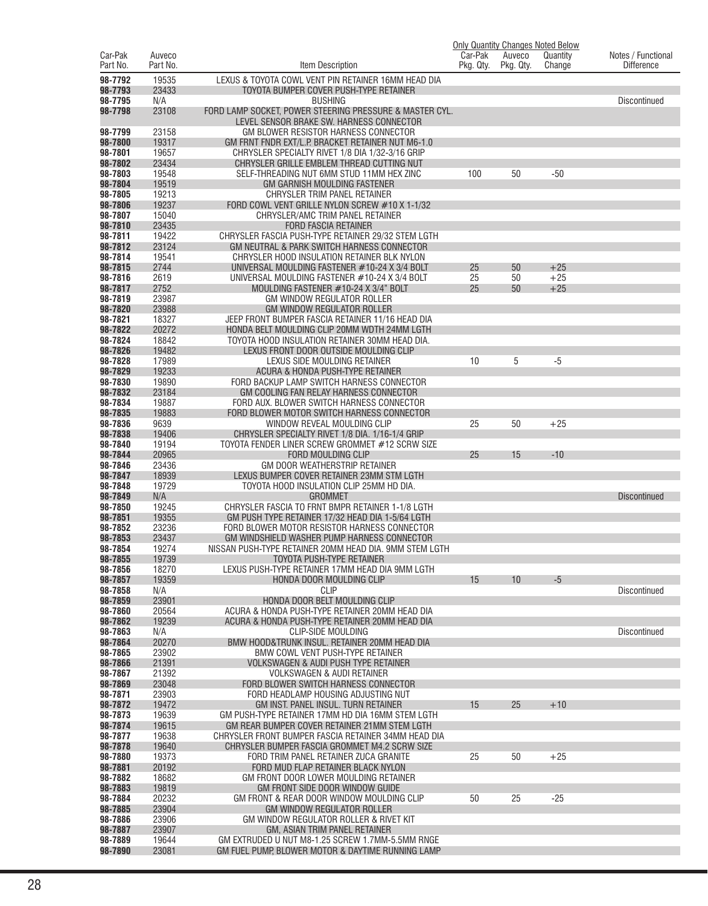|                     |                    |                                                                                                      |                      |                     | <b>Only Quantity Changes Noted Below</b> |                                         |
|---------------------|--------------------|------------------------------------------------------------------------------------------------------|----------------------|---------------------|------------------------------------------|-----------------------------------------|
| Car-Pak<br>Part No. | Auveco<br>Part No. | Item Description                                                                                     | Car-Pak<br>Pkg. Qty. | Auveco<br>Pkg. Qty. | Quantity<br>Change                       | Notes / Functional<br><b>Difference</b> |
| 98-7792             | 19535              | LEXUS & TOYOTA COWL VENT PIN RETAINER 16MM HEAD DIA                                                  |                      |                     |                                          |                                         |
| 98-7793             | 23433              | TOYOTA BUMPER COVER PUSH-TYPE RETAINER                                                               |                      |                     |                                          |                                         |
| 98-7795             | N/A                | <b>BUSHING</b>                                                                                       |                      |                     |                                          | <b>Discontinued</b>                     |
| 98-7798             | 23108              | FORD LAMP SOCKET, POWER STEERING PRESSURE & MASTER CYL.                                              |                      |                     |                                          |                                         |
|                     |                    | LEVEL SENSOR BRAKE SW. HARNESS CONNECTOR                                                             |                      |                     |                                          |                                         |
| 98-7799             | 23158              | GM BLOWER RESISTOR HARNESS CONNECTOR                                                                 |                      |                     |                                          |                                         |
| 98-7800<br>98-7801  | 19317<br>19657     | GM FRNT FNDR EXT/L.P. BRACKET RETAINER NUT M6-1.0<br>CHRYSLER SPECIALTY RIVET 1/8 DIA 1/32-3/16 GRIP |                      |                     |                                          |                                         |
| 98-7802             | 23434              | CHRYSLER GRILLE EMBLEM THREAD CUTTING NUT                                                            |                      |                     |                                          |                                         |
| 98-7803             | 19548              | SELF-THREADING NUT 6MM STUD 11MM HEX ZINC                                                            | 100                  | 50                  | $-50$                                    |                                         |
| 98-7804             | 19519              | <b>GM GARNISH MOULDING FASTENER</b>                                                                  |                      |                     |                                          |                                         |
| 98-7805             | 19213              | CHRYSLER TRIM PANEL RETAINER                                                                         |                      |                     |                                          |                                         |
| 98-7806             | 19237              | FORD COWL VENT GRILLE NYLON SCREW #10 X 1-1/32                                                       |                      |                     |                                          |                                         |
| 98-7807             | 15040              | CHRYSLER/AMC TRIM PANEL RETAINER                                                                     |                      |                     |                                          |                                         |
| 98-7810<br>98-7811  | 23435<br>19422     | <b>FORD FASCIA RETAINER</b><br>CHRYSLER FASCIA PUSH-TYPE RETAINER 29/32 STEM LGTH                    |                      |                     |                                          |                                         |
| 98-7812             | 23124              | GM NEUTRAL & PARK SWITCH HARNESS CONNECTOR                                                           |                      |                     |                                          |                                         |
| 98-7814             | 19541              | CHRYSLER HOOD INSULATION RETAINER BLK NYLON                                                          |                      |                     |                                          |                                         |
| 98-7815             | 2744               | UNIVERSAL MOULDING FASTENER #10-24 X 3/4 BOLT                                                        | 25                   | 50                  | $+25$                                    |                                         |
| 98-7816             | 2619               | UNIVERSAL MOULDING FASTENER #10-24 X 3/4 BOLT                                                        | 25                   | 50                  | $+25$                                    |                                         |
| 98-7817             | 2752               | MOULDING FASTENER #10-24 X 3/4" BOLT                                                                 | 25                   | 50                  | $+25$                                    |                                         |
| 98-7819             | 23987              | GM WINDOW REGULATOR ROLLER                                                                           |                      |                     |                                          |                                         |
| 98-7820             | 23988              | <b>GM WINDOW REGULATOR ROLLER</b>                                                                    |                      |                     |                                          |                                         |
| 98-7821<br>98-7822  | 18327<br>20272     | JEEP FRONT BUMPER FASCIA RETAINER 11/16 HEAD DIA<br>HONDA BELT MOULDING CLIP 20MM WDTH 24MM LGTH     |                      |                     |                                          |                                         |
| 98-7824             | 18842              | TOYOTA HOOD INSULATION RETAINER 30MM HEAD DIA.                                                       |                      |                     |                                          |                                         |
| 98-7826             | 19482              | LEXUS FRONT DOOR OUTSIDE MOULDING CLIP                                                               |                      |                     |                                          |                                         |
| 98-7828             | 17989              | LEXUS SIDE MOULDING RETAINER                                                                         | 10                   | 5                   | $-5$                                     |                                         |
| 98-7829             | 19233              | ACURA & HONDA PUSH-TYPE RETAINER                                                                     |                      |                     |                                          |                                         |
| 98-7830             | 19890              | FORD BACKUP LAMP SWITCH HARNESS CONNECTOR                                                            |                      |                     |                                          |                                         |
| 98-7832             | 23184              | GM COOLING FAN RELAY HARNESS CONNECTOR                                                               |                      |                     |                                          |                                         |
| 98-7834<br>98-7835  | 19887<br>19883     | FORD AUX. BLOWER SWITCH HARNESS CONNECTOR<br>FORD BLOWER MOTOR SWITCH HARNESS CONNECTOR              |                      |                     |                                          |                                         |
| 98-7836             | 9639               | WINDOW REVEAL MOULDING CLIP                                                                          | 25                   | 50                  | $+25$                                    |                                         |
| 98-7838             | 19406              | CHRYSLER SPECIALTY RIVET 1/8 DIA. 1/16-1/4 GRIP                                                      |                      |                     |                                          |                                         |
| 98-7840             | 19194              | TOYOTA FENDER LINER SCREW GROMMET #12 SCRW SIZE                                                      |                      |                     |                                          |                                         |
| 98-7844             | 20965              | FORD MOULDING CLIP                                                                                   | 25                   | 15                  | $-10$                                    |                                         |
| 98-7846             | 23436              | GM DOOR WEATHERSTRIP RETAINER                                                                        |                      |                     |                                          |                                         |
| 98-7847             | 18939              | LEXUS BUMPER COVER RETAINER 23MM STM LGTH                                                            |                      |                     |                                          |                                         |
| 98-7848             | 19729              | TOYOTA HOOD INSULATION CLIP 25MM HD DIA.                                                             |                      |                     |                                          |                                         |
| 98-7849<br>98-7850  | N/A<br>19245       | <b>GROMMET</b><br>CHRYSLER FASCIA TO FRNT BMPR RETAINER 1-1/8 LGTH                                   |                      |                     |                                          | <b>Discontinued</b>                     |
| 98-7851             | 19355              | GM PUSH TYPE RETAINER 17/32 HEAD DIA 1-5/64 LGTH                                                     |                      |                     |                                          |                                         |
| 98-7852             | 23236              | FORD BLOWER MOTOR RESISTOR HARNESS CONNECTOR                                                         |                      |                     |                                          |                                         |
| 98-7853             | 23437              | GM WINDSHIELD WASHER PUMP HARNESS CONNECTOR                                                          |                      |                     |                                          |                                         |
| 98-7854             | 19274              | NISSAN PUSH-TYPE RETAINER 20MM HEAD DIA. 9MM STEM LGTH                                               |                      |                     |                                          |                                         |
| 98-7855             | 19739              | <b>TOYOTA PUSH-TYPE RETAINER</b>                                                                     |                      |                     |                                          |                                         |
| 98-7856<br>98-7857  | 18270<br>19359     | LEXUS PUSH-TYPE RETAINER 17MM HEAD DIA 9MM LGTH<br>HONDA DOOR MOULDING CLIP                          | 15                   | 10                  | $-5$                                     |                                         |
| 98-7858             | N/A                | <b>CLIP</b>                                                                                          |                      |                     |                                          | Discontinued                            |
| 98-7859             | 23901              | HONDA DOOR BELT MOULDING CLIP                                                                        |                      |                     |                                          |                                         |
| 98-7860             | 20564              | ACURA & HONDA PUSH-TYPE RETAINER 20MM HEAD DIA                                                       |                      |                     |                                          |                                         |
| 98-7862             | 19239              | ACURA & HONDA PUSH-TYPE RETAINER 20MM HEAD DIA                                                       |                      |                     |                                          |                                         |
| 98-7863             | N/A                | <b>CLIP-SIDE MOULDING</b>                                                                            |                      |                     |                                          | Discontinued                            |
| 98-7864             | 20270              | BMW HOOD&TRUNK INSUL. RETAINER 20MM HEAD DIA                                                         |                      |                     |                                          |                                         |
| 98-7865<br>98-7866  | 23902<br>21391     | BMW COWL VENT PUSH-TYPE RETAINER<br><b>VOLKSWAGEN &amp; AUDI PUSH TYPE RETAINER</b>                  |                      |                     |                                          |                                         |
| 98-7867             | 21392              | <b>VOLKSWAGEN &amp; AUDI RETAINER</b>                                                                |                      |                     |                                          |                                         |
| 98-7869             | 23048              | FORD BLOWER SWITCH HARNESS CONNECTOR                                                                 |                      |                     |                                          |                                         |
| 98-7871             | 23903              | FORD HEADLAMP HOUSING ADJUSTING NUT                                                                  |                      |                     |                                          |                                         |
| 98-7872             | 19472              | GM INST. PANEL INSUL. TURN RETAINER                                                                  | 15                   | 25                  | $+10$                                    |                                         |
| 98-7873             | 19639              | GM PUSH-TYPE RETAINER 17MM HD DIA 16MM STEM LGTH                                                     |                      |                     |                                          |                                         |
| 98-7874             | 19615              | GM REAR BUMPER COVER RETAINER 21MM STEM LGTH                                                         |                      |                     |                                          |                                         |
| 98-7877<br>98-7878  | 19638<br>19640     | CHRYSLER FRONT BUMPER FASCIA RETAINER 34MM HEAD DIA<br>CHRYSLER BUMPER FASCIA GROMMET M4.2 SCRW SIZE |                      |                     |                                          |                                         |
| 98-7880             | 19373              | FORD TRIM PANEL RETAINER ZUCA GRANITE                                                                | 25                   | 50                  | $+25$                                    |                                         |
| 98-7881             | 20192              | FORD MUD FLAP RETAINER BLACK NYLON                                                                   |                      |                     |                                          |                                         |
| 98-7882             | 18682              | GM FRONT DOOR LOWER MOULDING RETAINER                                                                |                      |                     |                                          |                                         |
| 98-7883             | 19819              | GM FRONT SIDE DOOR WINDOW GUIDE                                                                      |                      |                     |                                          |                                         |
| 98-7884             | 20232              | GM FRONT & REAR DOOR WINDOW MOULDING CLIP                                                            | 50                   | 25                  | $-25$                                    |                                         |
| 98-7885             | 23904              | <b>GM WINDOW REGULATOR ROLLER</b>                                                                    |                      |                     |                                          |                                         |
| 98-7886<br>98-7887  | 23906              | GM WINDOW REGULATOR ROLLER & RIVET KIT<br>GM, ASIAN TRIM PANEL RETAINER                              |                      |                     |                                          |                                         |
| 98-7889             | 23907<br>19644     | GM EXTRUDED U NUT M8-1.25 SCREW 1.7MM-5.5MM RNGE                                                     |                      |                     |                                          |                                         |
| 98-7890             | 23081              | GM FUEL PUMP, BLOWER MOTOR & DAYTIME RUNNING LAMP                                                    |                      |                     |                                          |                                         |
|                     |                    |                                                                                                      |                      |                     |                                          |                                         |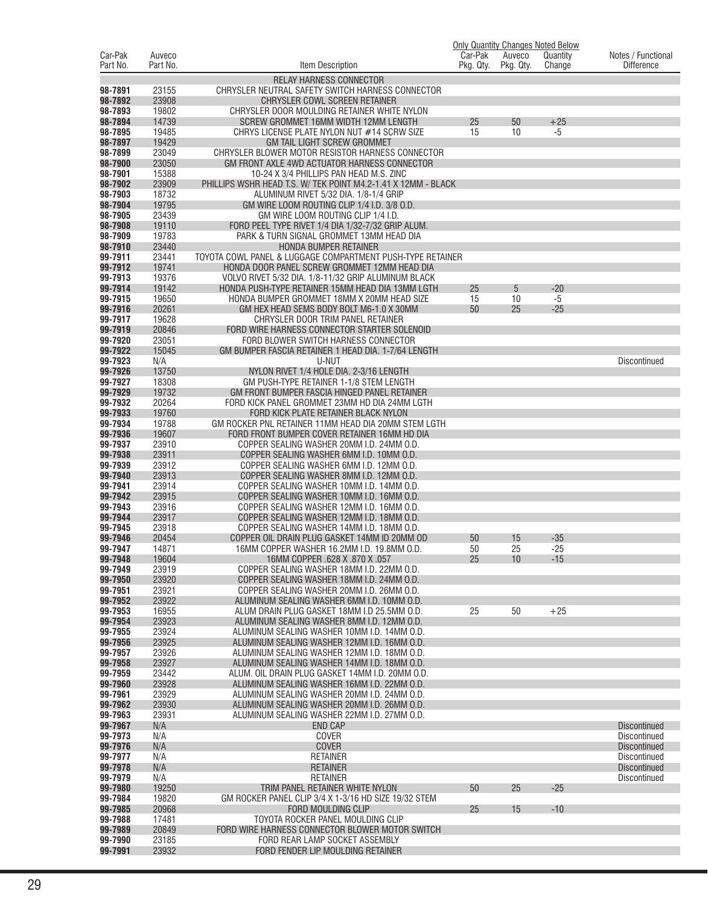|                     |                    |                                                                                                | Car-Pak   |                     | <b>Only Quantity Changes Noted Below</b> |                                         |
|---------------------|--------------------|------------------------------------------------------------------------------------------------|-----------|---------------------|------------------------------------------|-----------------------------------------|
| Car-Pak<br>Part No. | Auveco<br>Part No. | Item Description                                                                               | Pkg. Qty. | Auveco<br>Pkg. Qty. | Quantity<br>Change                       | Notes / Functional<br><b>Difference</b> |
|                     |                    | <b>RELAY HARNESS CONNECTOR</b>                                                                 |           |                     |                                          |                                         |
| 98-7891             | 23155              | CHRYSLER NEUTRAL SAFETY SWITCH HARNESS CONNECTOR                                               |           |                     |                                          |                                         |
| 98-7892             | 23908              | CHRYSLER COWL SCREEN RETAINER                                                                  |           |                     |                                          |                                         |
| 98-7893             | 19802              | CHRYSLER DOOR MOULDING RETAINER WHITE NYLON                                                    |           |                     |                                          |                                         |
| 98-7894             | 14739              | SCREW GROMMET 16MM WIDTH 12MM LENGTH                                                           | 25        | 50                  | $+25$                                    |                                         |
| 98-7895             | 19485<br>19429     | CHRYS LICENSE PLATE NYLON NUT #14 SCRW SIZE                                                    | 15        | 10                  | $-5$                                     |                                         |
| 98-7897<br>98-7899  | 23049              | <b>GM TAIL LIGHT SCREW GROMMET</b><br>CHRYSLER BLOWER MOTOR RESISTOR HARNESS CONNECTOR         |           |                     |                                          |                                         |
| 98-7900             | 23050              | GM FRONT AXLE 4WD ACTUATOR HARNESS CONNECTOR                                                   |           |                     |                                          |                                         |
| 98-7901             | 15388              | 10-24 X 3/4 PHILLIPS PAN HEAD M.S. ZINC                                                        |           |                     |                                          |                                         |
| 98-7902             | 23909              | PHILLIPS WSHR HEAD T.S. W/ TEK POINT M4.2-1.41 X 12MM - BLACK                                  |           |                     |                                          |                                         |
| 98-7903             | 18732              | ALUMINUM RIVET 5/32 DIA. 1/8-1/4 GRIP                                                          |           |                     |                                          |                                         |
| 98-7904             | 19795              | GM WIRE LOOM ROUTING CLIP 1/4 I.D. 3/8 O.D.                                                    |           |                     |                                          |                                         |
| 98-7905<br>98-7908  | 23439<br>19110     | GM WIRE LOOM ROUTING CLIP 1/4 I.D.<br>FORD PEEL TYPE RIVET 1/4 DIA 1/32-7/32 GRIP ALUM.        |           |                     |                                          |                                         |
| 98-7909             | 19783              | PARK & TURN SIGNAL GROMMET 13MM HEAD DIA                                                       |           |                     |                                          |                                         |
| 98-7910             | 23440              | HONDA BUMPER RETAINER                                                                          |           |                     |                                          |                                         |
| 99-7911             | 23441              | TOYOTA COWL PANEL & LUGGAGE COMPARTMENT PUSH-TYPE RETAINER                                     |           |                     |                                          |                                         |
| 99-7912             | 19741              | HONDA DOOR PANEL SCREW GROMMET 12MM HEAD DIA                                                   |           |                     |                                          |                                         |
| 99-7913             | 19376              | VOLVO RIVET 5/32 DIA. 1/8-11/32 GRIP ALUMINUM BLACK                                            |           |                     |                                          |                                         |
| 99-7914             | 19142              | HONDA PUSH-TYPE RETAINER 15MM HEAD DIA 13MM LGTH                                               | 25        | 5                   | $-20$                                    |                                         |
| 99-7915<br>99-7916  | 19650<br>20261     | HONDA BUMPER GROMMET 18MM X 20MM HEAD SIZE<br>GM HEX HEAD SEMS BODY BOLT M6-1.0 X 30MM         | 15<br>50  | 10<br>25            | $-5$<br>$-25$                            |                                         |
| 99-7917             | 19628              | CHRYSLER DOOR TRIM PANEL RETAINER                                                              |           |                     |                                          |                                         |
| 99-7919             | 20846              | FORD WIRE HARNESS CONNECTOR STARTER SOLENOID                                                   |           |                     |                                          |                                         |
| 99-7920             | 23051              | FORD BLOWER SWITCH HARNESS CONNECTOR                                                           |           |                     |                                          |                                         |
| 99-7922             | 15045              | GM BUMPER FASCIA RETAINER 1 HEAD DIA. 1-7/64 LENGTH                                            |           |                     |                                          |                                         |
| 99-7923             | N/A                | U-NUT                                                                                          |           |                     |                                          | <b>Discontinued</b>                     |
| 99-7926<br>99-7927  | 13750<br>18308     | NYLON RIVET 1/4 HOLE DIA, 2-3/16 LENGTH<br>GM PUSH-TYPE RETAINER 1-1/8 STEM LENGTH             |           |                     |                                          |                                         |
| 99-7929             | 19732              | GM FRONT BUMPER FASCIA HINGED PANEL RETAINER                                                   |           |                     |                                          |                                         |
| 99-7932             | 20264              | FORD KICK PANEL GROMMET 23MM HD DIA 24MM LGTH                                                  |           |                     |                                          |                                         |
| 99-7933             | 19760              | FORD KICK PLATE RETAINER BLACK NYLON                                                           |           |                     |                                          |                                         |
| 99-7934             | 19788              | GM ROCKER PNL RETAINER 11MM HEAD DIA 20MM STEM LGTH                                            |           |                     |                                          |                                         |
| 99-7936             | 19607              | FORD FRONT BUMPER COVER RETAINER 16MM HD DIA                                                   |           |                     |                                          |                                         |
| 99-7937             | 23910              | COPPER SEALING WASHER 20MM I.D. 24MM O.D.                                                      |           |                     |                                          |                                         |
| 99-7938<br>99-7939  | 23911<br>23912     | COPPER SEALING WASHER 6MM I.D. 10MM O.D.<br>COPPER SEALING WASHER 6MM I.D. 12MM O.D.           |           |                     |                                          |                                         |
| 99-7940             | 23913              | COPPER SEALING WASHER 8MM I.D. 12MM O.D.                                                       |           |                     |                                          |                                         |
| 99-7941             | 23914              | COPPER SEALING WASHER 10MM I.D. 14MM O.D.                                                      |           |                     |                                          |                                         |
| 99-7942             | 23915              | COPPER SEALING WASHER 10MM I.D. 16MM O.D.                                                      |           |                     |                                          |                                         |
| 99-7943             | 23916              | COPPER SEALING WASHER 12MM I.D. 16MM O.D.                                                      |           |                     |                                          |                                         |
| 99-7944             | 23917              | COPPER SEALING WASHER 12MM I.D. 18MM O.D.                                                      |           |                     |                                          |                                         |
| 99-7945<br>99-7946  | 23918<br>20454     | COPPER SEALING WASHER 14MM I.D. 18MM O.D.<br>COPPER OIL DRAIN PLUG GASKET 14MM ID 20MM OD      | 50        | 15                  | $-35$                                    |                                         |
| 99-7947             | 14871              | 16MM COPPER WASHER 16.2MM I.D. 19.8MM O.D.                                                     | 50        | 25                  | $-25$                                    |                                         |
| 99-7948             | 19604              | 16MM COPPER .628 X .870 X .057                                                                 | 25        | 10                  | $-15$                                    |                                         |
| 99-7949             | 23919              | COPPER SEALING WASHER 18MM I.D. 22MM O.D.                                                      |           |                     |                                          |                                         |
| 99-7950             | 23920              | COPPER SEALING WASHER 18MM I.D. 24MM O.D.                                                      |           |                     |                                          |                                         |
| 99-7951             | 23921              | COPPER SEALING WASHER 20MM I.D. 26MM O.D.                                                      |           |                     |                                          |                                         |
| 99-7952<br>99-7953  | 23922<br>16955     | ALUMINUM SEALING WASHER 6MM I.D. 10MM O.D.<br>ALUM DRAIN PLUG GASKET 18MM I.D 25.5MM O.D.      | 25        | 50                  | $+25$                                    |                                         |
| 99-7954             | 23923              | ALUMINUM SEALING WASHER 8MM I.D. 12MM O.D.                                                     |           |                     |                                          |                                         |
| 99-7955             | 23924              | ALUMINUM SEALING WASHER 10MM I.D. 14MM O.D.                                                    |           |                     |                                          |                                         |
| 99-7956             | 23925              | ALUMINUM SEALING WASHER 12MM I.D. 16MM O.D.                                                    |           |                     |                                          |                                         |
| 99-7957             | 23926              | ALUMINUM SEALING WASHER 12MM I.D. 18MM O.D.                                                    |           |                     |                                          |                                         |
| 99-7958             | 23927              | ALUMINUM SEALING WASHER 14MM I.D. 18MM O.D.                                                    |           |                     |                                          |                                         |
| 99-7959<br>99-7960  | 23442<br>23928     | ALUM. OIL DRAIN PLUG GASKET 14MM I.D. 20MM O.D.<br>ALUMINUM SEALING WASHER 16MM I.D. 22MM O.D. |           |                     |                                          |                                         |
| 99-7961             | 23929              | ALUMINUM SEALING WASHER 20MM I.D. 24MM O.D.                                                    |           |                     |                                          |                                         |
| 99-7962             | 23930              | ALUMINUM SEALING WASHER 20MM I.D. 26MM O.D.                                                    |           |                     |                                          |                                         |
| 99-7963             | 23931              | ALUMINUM SEALING WASHER 22MM I.D. 27MM O.D.                                                    |           |                     |                                          |                                         |
| 99-7967             | N/A                | <b>END CAP</b>                                                                                 |           |                     |                                          | <b>Discontinued</b>                     |
| 99-7973             | N/A                | COVER                                                                                          |           |                     |                                          | Discontinued                            |
| 99-7976<br>99-7977  | N/A<br>N/A         | COVER<br><b>RETAINER</b>                                                                       |           |                     |                                          | <b>Discontinued</b><br>Discontinued     |
| 99-7978             | N/A                | <b>RETAINER</b>                                                                                |           |                     |                                          | <b>Discontinued</b>                     |
| 99-7979             | N/A                | <b>RETAINER</b>                                                                                |           |                     |                                          | Discontinued                            |
| 99-7980             | 19250              | TRIM PANEL RETAINER WHITE NYLON                                                                | 50        | 25                  | $-25$                                    |                                         |
| 99-7984             | 19820              | GM ROCKER PANEL CLIP 3/4 X 1-3/16 HD SIZE 19/32 STEM                                           |           |                     |                                          |                                         |
| 99-7985             | 20968              | FORD MOULDING CLIP                                                                             | 25        | 15                  | $-10$                                    |                                         |
| 99-7988<br>99-7989  | 17481<br>20849     | TOYOTA ROCKER PANEL MOULDING CLIP<br>FORD WIRE HARNESS CONNECTOR BLOWER MOTOR SWITCH           |           |                     |                                          |                                         |
| 99-7990             | 23185              | FORD REAR LAMP SOCKET ASSEMBLY                                                                 |           |                     |                                          |                                         |
| 99-7991             | 23932              | FORD FENDER LIP MOULDING RETAINER                                                              |           |                     |                                          |                                         |
|                     |                    |                                                                                                |           |                     |                                          |                                         |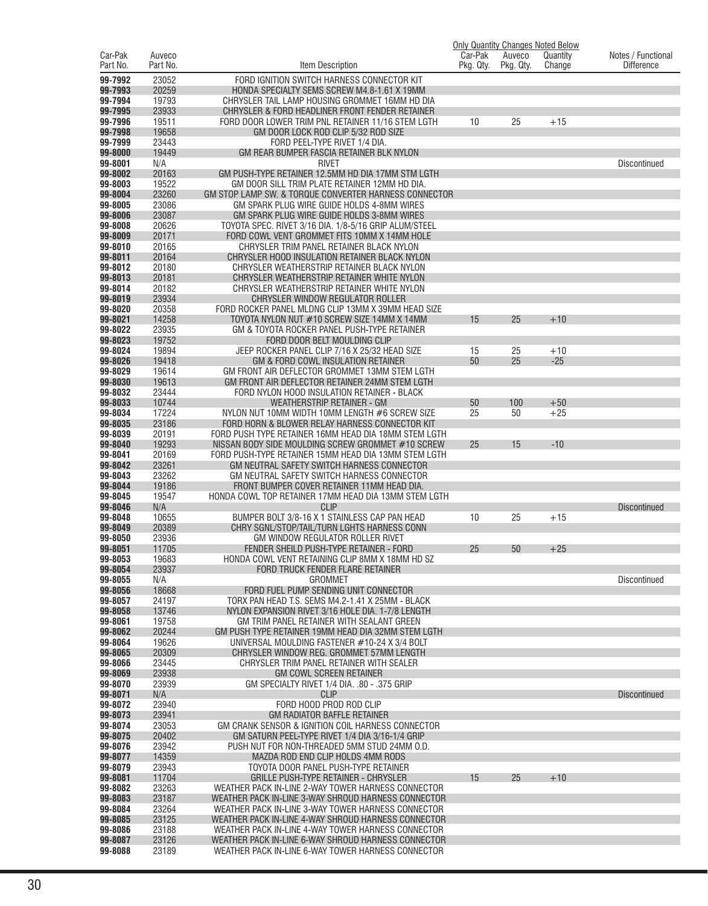|                     |                    |                                                                                                           | <b>Only Quantity Changes Noted Below</b><br>Car-Pak |                     |                    |                                         |
|---------------------|--------------------|-----------------------------------------------------------------------------------------------------------|-----------------------------------------------------|---------------------|--------------------|-----------------------------------------|
| Car-Pak<br>Part No. | Auveco<br>Part No. | Item Description                                                                                          | Pkg. Qty.                                           | Auveco<br>Pkg. Qty. | Quantity<br>Change | Notes / Functional<br><b>Difference</b> |
| 99-7992             | 23052              | FORD IGNITION SWITCH HARNESS CONNECTOR KIT                                                                |                                                     |                     |                    |                                         |
| 99-7993             | 20259              | HONDA SPECIALTY SEMS SCREW M4.8-1.61 X 19MM                                                               |                                                     |                     |                    |                                         |
| 99-7994             | 19793              | CHRYSLER TAIL LAMP HOUSING GROMMET 16MM HD DIA                                                            |                                                     |                     |                    |                                         |
| 99-7995             | 23933              | CHRYSLER & FORD HEADLINER FRONT FENDER RETAINER                                                           |                                                     |                     |                    |                                         |
| 99-7996             | 19511              | FORD DOOR LOWER TRIM PNL RETAINER 11/16 STEM LGTH                                                         | 10                                                  | 25                  | $+15$              |                                         |
| 99-7998             | 19658              | GM DOOR LOCK ROD CLIP 5/32 ROD SIZE                                                                       |                                                     |                     |                    |                                         |
| 99-7999<br>99-8000  | 23443<br>19449     | FORD PEEL-TYPE RIVET 1/4 DIA.<br>GM REAR BUMPER FASCIA RETAINER BLK NYLON                                 |                                                     |                     |                    |                                         |
| 99-8001             | N/A                | <b>RIVET</b>                                                                                              |                                                     |                     |                    | <b>Discontinued</b>                     |
| 99-8002             | 20163              | GM PUSH-TYPE RETAINER 12.5MM HD DIA 17MM STM LGTH                                                         |                                                     |                     |                    |                                         |
| 99-8003             | 19522              | GM DOOR SILL TRIM PLATE RETAINER 12MM HD DIA.                                                             |                                                     |                     |                    |                                         |
| 99-8004             | 23260              | GM STOP LAMP SW. & TORQUE CONVERTER HARNESS CONNECTOR                                                     |                                                     |                     |                    |                                         |
| 99-8005             | 23086              | GM SPARK PLUG WIRE GUIDE HOLDS 4-8MM WIRES                                                                |                                                     |                     |                    |                                         |
| 99-8006<br>99-8008  | 23087<br>20626     | GM SPARK PLUG WIRE GUIDE HOLDS 3-8MM WIRES<br>TOYOTA SPEC. RIVET 3/16 DIA. 1/8-5/16 GRIP ALUM/STEEL       |                                                     |                     |                    |                                         |
| 99-8009             | 20171              | FORD COWL VENT GROMMET FITS 10MM X 14MM HOLE                                                              |                                                     |                     |                    |                                         |
| 99-8010             | 20165              | CHRYSLER TRIM PANEL RETAINER BLACK NYLON                                                                  |                                                     |                     |                    |                                         |
| 99-8011             | 20164              | CHRYSLER HOOD INSULATION RETAINER BLACK NYLON                                                             |                                                     |                     |                    |                                         |
| 99-8012             | 20180              | CHRYSLER WEATHERSTRIP RETAINER BLACK NYLON                                                                |                                                     |                     |                    |                                         |
| 99-8013             | 20181              | CHRYSLER WEATHERSTRIP RETAINER WHITE NYLON                                                                |                                                     |                     |                    |                                         |
| 99-8014             | 20182              | CHRYSLER WEATHERSTRIP RETAINER WHITE NYLON                                                                |                                                     |                     |                    |                                         |
| 99-8019<br>99-8020  | 23934<br>20358     | CHRYSLER WINDOW REGULATOR ROLLER<br>FORD ROCKER PANEL MLDNG CLIP 13MM X 39MM HEAD SIZE                    |                                                     |                     |                    |                                         |
| 99-8021             | 14258              | TOYOTA NYLON NUT #10 SCREW SIZE 14MM X 14MM                                                               | 15                                                  | 25                  | $+10$              |                                         |
| 99-8022             | 23935              | GM & TOYOTA ROCKER PANEL PUSH-TYPE RETAINER                                                               |                                                     |                     |                    |                                         |
| 99-8023             | 19752              | FORD DOOR BELT MOULDING CLIP                                                                              |                                                     |                     |                    |                                         |
| 99-8024             | 19894              | JEEP ROCKER PANEL CLIP 7/16 X 25/32 HEAD SIZE                                                             | 15                                                  | 25                  | $+10$              |                                         |
| 99-8026             | 19418              | GM & FORD COWL INSULATION RETAINER                                                                        | 50                                                  | 25                  | $-25$              |                                         |
| 99-8029<br>99-8030  | 19614<br>19613     | GM FRONT AIR DEFLECTOR GROMMET 13MM STEM LGTH<br>GM FRONT AIR DEFLECTOR RETAINER 24MM STEM LGTH           |                                                     |                     |                    |                                         |
| 99-8032             | 23444              | FORD NYLON HOOD INSULATION RETAINER - BLACK                                                               |                                                     |                     |                    |                                         |
| 99-8033             | 10744              | <b>WEATHERSTRIP RETAINER - GM</b>                                                                         | 50                                                  | 100                 | $+50$              |                                         |
| 99-8034             | 17224              | NYLON NUT 10MM WIDTH 10MM LENGTH #6 SCREW SIZE                                                            | 25                                                  | 50                  | $+25$              |                                         |
| 99-8035             | 23186              | FORD HORN & BLOWER RELAY HARNESS CONNECTOR KIT                                                            |                                                     |                     |                    |                                         |
| 99-8039             | 20191              | FORD PUSH TYPE RETAINER 16MM HEAD DIA 18MM STEM LGTH                                                      |                                                     |                     |                    |                                         |
| 99-8040<br>99-8041  | 19293<br>20169     | NISSAN BODY SIDE MOULDING SCREW GROMMET #10 SCREW<br>FORD PUSH-TYPE RETAINER 15MM HEAD DIA 13MM STEM LGTH | 25                                                  | 15                  | $-10$              |                                         |
| 99-8042             | 23261              | GM NEUTRAL SAFETY SWITCH HARNESS CONNECTOR                                                                |                                                     |                     |                    |                                         |
| 99-8043             | 23262              | GM NEUTRAL SAFETY SWITCH HARNESS CONNECTOR                                                                |                                                     |                     |                    |                                         |
| 99-8044             | 19186              | FRONT BUMPER COVER RETAINER 11MM HEAD DIA.                                                                |                                                     |                     |                    |                                         |
| 99-8045             | 19547              | HONDA COWL TOP RETAINER 17MM HEAD DIA 13MM STEM LGTH                                                      |                                                     |                     |                    |                                         |
| 99-8046<br>99-8048  | N/A                | <b>CLIP</b><br>BUMPER BOLT 3/8-16 X 1 STAINLESS CAP PAN HEAD                                              |                                                     | 25                  | $+15$              | <b>Discontinued</b>                     |
| 99-8049             | 10655<br>20389     | CHRY SGNL/STOP/TAIL/TURN LGHTS HARNESS CONN                                                               | 10                                                  |                     |                    |                                         |
| 99-8050             | 23936              | GM WINDOW REGULATOR ROLLER RIVET                                                                          |                                                     |                     |                    |                                         |
| 99-8051             | 11705              | FENDER SHEILD PUSH-TYPE RETAINER - FORD                                                                   | 25                                                  | 50                  | $+25$              |                                         |
| 99-8053             | 19683              | HONDA COWL VENT RETAINING CLIP 8MM X 18MM HD SZ                                                           |                                                     |                     |                    |                                         |
| 99-8054             | 23937              | FORD TRUCK FENDER FLARE RETAINER                                                                          |                                                     |                     |                    |                                         |
| 99-8055<br>99-8056  | N/A<br>18668       | <b>GROMMET</b><br>FORD FUEL PUMP SENDING UNIT CONNECTOR                                                   |                                                     |                     |                    | <b>Discontinued</b>                     |
| 99-8057             | 24197              | TORX PAN HEAD T.S. SEMS M4.2-1.41 X 25MM - BLACK                                                          |                                                     |                     |                    |                                         |
| 99-8058             | 13746              | NYLON EXPANSION RIVET 3/16 HOLE DIA. 1-7/8 LENGTH                                                         |                                                     |                     |                    |                                         |
| 99-8061             | 19758              | GM TRIM PANEL RETAINER WITH SEALANT GREEN                                                                 |                                                     |                     |                    |                                         |
| 99-8062             | 20244              | GM PUSH TYPE RETAINER 19MM HEAD DIA 32MM STEM LGTH                                                        |                                                     |                     |                    |                                         |
| 99-8064             | 19626              | UNIVERSAL MOULDING FASTENER #10-24 X 3/4 BOLT                                                             |                                                     |                     |                    |                                         |
| 99-8065<br>99-8066  | 20309<br>23445     | CHRYSLER WINDOW REG. GROMMET 57MM LENGTH<br>CHRYSLER TRIM PANEL RETAINER WITH SEALER                      |                                                     |                     |                    |                                         |
| 99-8069             | 23938              | <b>GM COWL SCREEN RETAINER</b>                                                                            |                                                     |                     |                    |                                         |
| 99-8070             | 23939              | GM SPECIALTY RIVET 1/4 DIA. .80 - .375 GRIP                                                               |                                                     |                     |                    |                                         |
| 99-8071             | N/A                | <b>CLIP</b>                                                                                               |                                                     |                     |                    | <b>Discontinued</b>                     |
| 99-8072             | 23940              | FORD HOOD PROD ROD CLIP                                                                                   |                                                     |                     |                    |                                         |
| 99-8073             | 23941              | <b>GM RADIATOR BAFFLE RETAINER</b>                                                                        |                                                     |                     |                    |                                         |
| 99-8074<br>99-8075  | 23053<br>20402     | GM CRANK SENSOR & IGNITION COIL HARNESS CONNECTOR<br>GM SATURN PEEL-TYPE RIVET 1/4 DIA 3/16-1/4 GRIP      |                                                     |                     |                    |                                         |
| 99-8076             | 23942              | PUSH NUT FOR NON-THREADED 5MM STUD 24MM O.D.                                                              |                                                     |                     |                    |                                         |
| 99-8077             | 14359              | MAZDA ROD END CLIP HOLDS 4MM RODS                                                                         |                                                     |                     |                    |                                         |
| 99-8079             | 23943              | TOYOTA DOOR PANEL PUSH-TYPE RETAINER                                                                      |                                                     |                     |                    |                                         |
| 99-8081             | 11704              | <b>GRILLE PUSH-TYPE RETAINER - CHRYSLER</b>                                                               | 15                                                  | 25                  | $+10$              |                                         |
| 99-8082             | 23263              | WEATHER PACK IN-LINE 2-WAY TOWER HARNESS CONNECTOR                                                        |                                                     |                     |                    |                                         |
| 99-8083<br>99-8084  | 23187<br>23264     | WEATHER PACK IN-LINE 3-WAY SHROUD HARNESS CONNECTOR<br>WEATHER PACK IN-LINE 3-WAY TOWER HARNESS CONNECTOR |                                                     |                     |                    |                                         |
| 99-8085             | 23125              | WEATHER PACK IN-LINE 4-WAY SHROUD HARNESS CONNECTOR                                                       |                                                     |                     |                    |                                         |
| 99-8086             | 23188              | WEATHER PACK IN-LINE 4-WAY TOWER HARNESS CONNECTOR                                                        |                                                     |                     |                    |                                         |
| 99-8087             | 23126              | WEATHER PACK IN-LINE 6-WAY SHROUD HARNESS CONNECTOR                                                       |                                                     |                     |                    |                                         |
| 99-8088             | 23189              | WEATHER PACK IN-LINE 6-WAY TOWER HARNESS CONNECTOR                                                        |                                                     |                     |                    |                                         |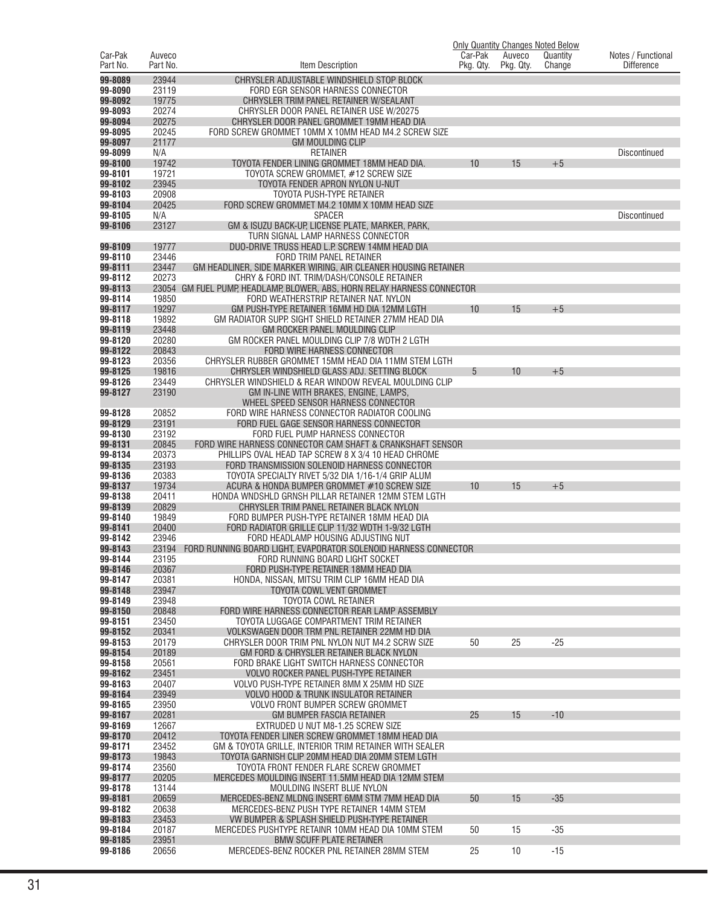|                     |                    |                                                                                                           | Car-Pak   |                     | <b>Only Quantity Changes Noted Below</b> |                                         |
|---------------------|--------------------|-----------------------------------------------------------------------------------------------------------|-----------|---------------------|------------------------------------------|-----------------------------------------|
| Car-Pak<br>Part No. | Auveco<br>Part No. | Item Description                                                                                          | Pkg. Qty. | Auveco<br>Pkg. Qty. | Quantity<br>Change                       | Notes / Functional<br><b>Difference</b> |
| 99-8089             | 23944              | CHRYSLER ADJUSTABLE WINDSHIELD STOP BLOCK                                                                 |           |                     |                                          |                                         |
| 99-8090             | 23119              | FORD EGR SENSOR HARNESS CONNECTOR                                                                         |           |                     |                                          |                                         |
| 99-8092             | 19775              | CHRYSLER TRIM PANEL RETAINER W/SEALANT                                                                    |           |                     |                                          |                                         |
| 99-8093             | 20274              | CHRYSLER DOOR PANEL RETAINER USE W/20275                                                                  |           |                     |                                          |                                         |
| 99-8094             | 20275              | CHRYSLER DOOR PANEL GROMMET 19MM HEAD DIA                                                                 |           |                     |                                          |                                         |
| 99-8095             | 20245              | FORD SCREW GROMMET 10MM X 10MM HEAD M4.2 SCREW SIZE                                                       |           |                     |                                          |                                         |
| 99-8097<br>99-8099  | 21177<br>N/A       | <b>GM MOULDING CLIP</b><br><b>RETAINER</b>                                                                |           |                     |                                          | <b>Discontinued</b>                     |
| 99-8100             | 19742              | TOYOTA FENDER LINING GROMMET 18MM HEAD DIA.                                                               | 10        | 15                  | $+5$                                     |                                         |
| 99-8101             | 19721              | TOYOTA SCREW GROMMET, #12 SCREW SIZE                                                                      |           |                     |                                          |                                         |
| 99-8102             | 23945              | TOYOTA FENDER APRON NYLON U-NUT                                                                           |           |                     |                                          |                                         |
| 99-8103             | 20908              | TOYOTA PUSH-TYPE RETAINER                                                                                 |           |                     |                                          |                                         |
| 99-8104             | 20425              | FORD SCREW GROMMET M4.2 10MM X 10MM HEAD SIZE                                                             |           |                     |                                          |                                         |
| 99-8105<br>99-8106  | N/A<br>23127       | <b>SPACER</b><br>GM & ISUZU BACK-UP, LICENSE PLATE, MARKER, PARK,                                         |           |                     |                                          | Discontinued                            |
|                     |                    | TURN SIGNAL LAMP HARNESS CONNECTOR                                                                        |           |                     |                                          |                                         |
| 99-8109             | 19777              | DUO-DRIVE TRUSS HEAD L.P. SCREW 14MM HEAD DIA                                                             |           |                     |                                          |                                         |
| 99-8110             | 23446              | FORD TRIM PANEL RETAINER                                                                                  |           |                     |                                          |                                         |
| 99-8111             | 23447              | GM HEADLINER, SIDE MARKER WIRING, AIR CLEANER HOUSING RETAINER                                            |           |                     |                                          |                                         |
| 99-8112             | 20273              | CHRY & FORD INT. TRIM/DASH/CONSOLE RETAINER                                                               |           |                     |                                          |                                         |
| 99-8113             |                    | 23054 GM FUEL PUMP, HEADLAMP, BLOWER, ABS, HORN RELAY HARNESS CONNECTOR                                   |           |                     |                                          |                                         |
| 99-8114<br>99-8117  | 19850<br>19297     | FORD WEATHERSTRIP RETAINER NAT. NYLON<br>GM PUSH-TYPE RETAINER 16MM HD DIA 12MM LGTH                      | 10        | 15                  | $+5$                                     |                                         |
| 99-8118             | 19892              | GM RADIATOR SUPP. SIGHT SHIELD RETAINER 27MM HEAD DIA                                                     |           |                     |                                          |                                         |
| 99-8119             | 23448              | GM ROCKER PANEL MOULDING CLIP                                                                             |           |                     |                                          |                                         |
| 99-8120             | 20280              | GM ROCKER PANEL MOULDING CLIP 7/8 WDTH 2 LGTH                                                             |           |                     |                                          |                                         |
| 99-8122             | 20843              | <b>FORD WIRE HARNESS CONNECTOR</b>                                                                        |           |                     |                                          |                                         |
| 99-8123             | 20356              | CHRYSLER RUBBER GROMMET 15MM HEAD DIA 11MM STEM LGTH                                                      |           |                     |                                          |                                         |
| 99-8125<br>99-8126  | 19816<br>23449     | CHRYSLER WINDSHIELD GLASS ADJ. SETTING BLOCK<br>CHRYSLER WINDSHIELD & REAR WINDOW REVEAL MOULDING CLIP    | 5         | 10                  | $+5$                                     |                                         |
| 99-8127             | 23190              | GM IN-LINE WITH BRAKES, ENGINE, LAMPS,                                                                    |           |                     |                                          |                                         |
|                     |                    | WHEEL SPEED SENSOR HARNESS CONNECTOR                                                                      |           |                     |                                          |                                         |
| 99-8128             | 20852              | FORD WIRE HARNESS CONNECTOR RADIATOR COOLING                                                              |           |                     |                                          |                                         |
| 99-8129             | 23191              | FORD FUEL GAGE SENSOR HARNESS CONNECTOR                                                                   |           |                     |                                          |                                         |
| 99-8130             | 23192              | FORD FUEL PUMP HARNESS CONNECTOR                                                                          |           |                     |                                          |                                         |
| 99-8131             | 20845              | FORD WIRE HARNESS CONNECTOR CAM SHAFT & CRANKSHAFT SENSOR                                                 |           |                     |                                          |                                         |
| 99-8134<br>99-8135  | 20373<br>23193     | PHILLIPS OVAL HEAD TAP SCREW 8 X 3/4 10 HEAD CHROME<br>FORD TRANSMISSION SOLENOID HARNESS CONNECTOR       |           |                     |                                          |                                         |
| 99-8136             | 20383              | TOYOTA SPECIALTY RIVET 5/32 DIA 1/16-1/4 GRIP ALUM                                                        |           |                     |                                          |                                         |
| 99-8137             | 19734              | ACURA & HONDA BUMPER GROMMET #10 SCREW SIZE                                                               | 10        | 15                  | $+5$                                     |                                         |
| 99-8138             | 20411              | HONDA WNDSHLD GRNSH PILLAR RETAINER 12MM STEM LGTH                                                        |           |                     |                                          |                                         |
| 99-8139             | 20829              | CHRYSLER TRIM PANEL RETAINER BLACK NYLON                                                                  |           |                     |                                          |                                         |
| 99-8140<br>99-8141  | 19849<br>20400     | FORD BUMPER PUSH-TYPE RETAINER 18MM HEAD DIA<br>FORD RADIATOR GRILLE CLIP 11/32 WDTH 1-9/32 LGTH          |           |                     |                                          |                                         |
| 99-8142             | 23946              | FORD HEADLAMP HOUSING ADJUSTING NUT                                                                       |           |                     |                                          |                                         |
| 99-8143             | 23194              | FORD RUNNING BOARD LIGHT, EVAPORATOR SOLENOID HARNESS CONNECTOR                                           |           |                     |                                          |                                         |
| 99-8144             | 23195              | FORD RUNNING BOARD LIGHT SOCKET                                                                           |           |                     |                                          |                                         |
| 99-8146             | 20367              | FORD PUSH-TYPE RETAINER 18MM HEAD DIA                                                                     |           |                     |                                          |                                         |
| 99-8147             | 20381              | HONDA, NISSAN, MITSU TRIM CLIP 16MM HEAD DIA                                                              |           |                     |                                          |                                         |
| 99-8148<br>99-8149  | 23947<br>23948     | TOYOTA COWL VENT GROMMET<br>TOYOTA COWL RETAINER                                                          |           |                     |                                          |                                         |
| 99-8150             | 20848              | FORD WIRE HARNESS CONNECTOR REAR LAMP ASSEMBLY                                                            |           |                     |                                          |                                         |
| 99-8151             | 23450              | TOYOTA LUGGAGE COMPARTMENT TRIM RETAINER                                                                  |           |                     |                                          |                                         |
| 99-8152             | 20341              | VOLKSWAGEN DOOR TRM PNL RETAINER 22MM HD DIA                                                              |           |                     |                                          |                                         |
| 99-8153             | 20179              | CHRYSLER DOOR TRIM PNL NYLON NUT M4.2 SCRW SIZE                                                           | 50        | 25                  | $-25$                                    |                                         |
| 99-8154<br>99-8158  | 20189<br>20561     | GM FORD & CHRYSLER RETAINER BLACK NYLON                                                                   |           |                     |                                          |                                         |
| 99-8162             | 23451              | FORD BRAKE LIGHT SWITCH HARNESS CONNECTOR<br>VOLVO ROCKER PANEL PUSH-TYPE RETAINER                        |           |                     |                                          |                                         |
| 99-8163             | 20407              | VOLVO PUSH-TYPE RETAINER 8MM X 25MM HD SIZE                                                               |           |                     |                                          |                                         |
| 99-8164             | 23949              | <b>VOLVO HOOD &amp; TRUNK INSULATOR RETAINER</b>                                                          |           |                     |                                          |                                         |
| 99-8165             | 23950              | <b>VOLVO FRONT BUMPER SCREW GROMMET</b>                                                                   |           |                     |                                          |                                         |
| 99-8167             | 20281              | <b>GM BUMPER FASCIA RETAINER</b>                                                                          | 25        | 15                  | $-10$                                    |                                         |
| 99-8169             | 12667              | EXTRUDED U NUT M8-1.25 SCREW SIZE                                                                         |           |                     |                                          |                                         |
| 99-8170<br>99-8171  | 20412<br>23452     | TOYOTA FENDER LINER SCREW GROMMET 18MM HEAD DIA<br>GM & TOYOTA GRILLE, INTERIOR TRIM RETAINER WITH SEALER |           |                     |                                          |                                         |
| 99-8173             | 19843              | TOYOTA GARNISH CLIP 20MM HEAD DIA 20MM STEM LGTH                                                          |           |                     |                                          |                                         |
| 99-8174             | 23560              | TOYOTA FRONT FENDER FLARE SCREW GROMMET                                                                   |           |                     |                                          |                                         |
| 99-8177             | 20205              | MERCEDES MOULDING INSERT 11.5MM HEAD DIA 12MM STEM                                                        |           |                     |                                          |                                         |
| 99-8178             | 13144              | MOULDING INSERT BLUE NYLON                                                                                |           |                     |                                          |                                         |
| 99-8181             | 20659              | MERCEDES-BENZ MLDNG INSERT 6MM STM 7MM HEAD DIA                                                           | 50        | 15                  | $-35$                                    |                                         |
| 99-8182<br>99-8183  | 20638<br>23453     | MERCEDES-BENZ PUSH TYPE RETAINER 14MM STEM<br>VW BUMPER & SPLASH SHIELD PUSH-TYPE RETAINER                |           |                     |                                          |                                         |
| 99-8184             | 20187              | MERCEDES PUSHTYPE RETAINR 10MM HEAD DIA 10MM STEM                                                         | 50        | 15                  | $-35$                                    |                                         |
| 99-8185             | 23951              | <b>BMW SCUFF PLATE RETAINER</b>                                                                           |           |                     |                                          |                                         |
| 99-8186             | 20656              | MERCEDES-BENZ ROCKER PNL RETAINER 28MM STEM                                                               | 25        | 10                  | $-15$                                    |                                         |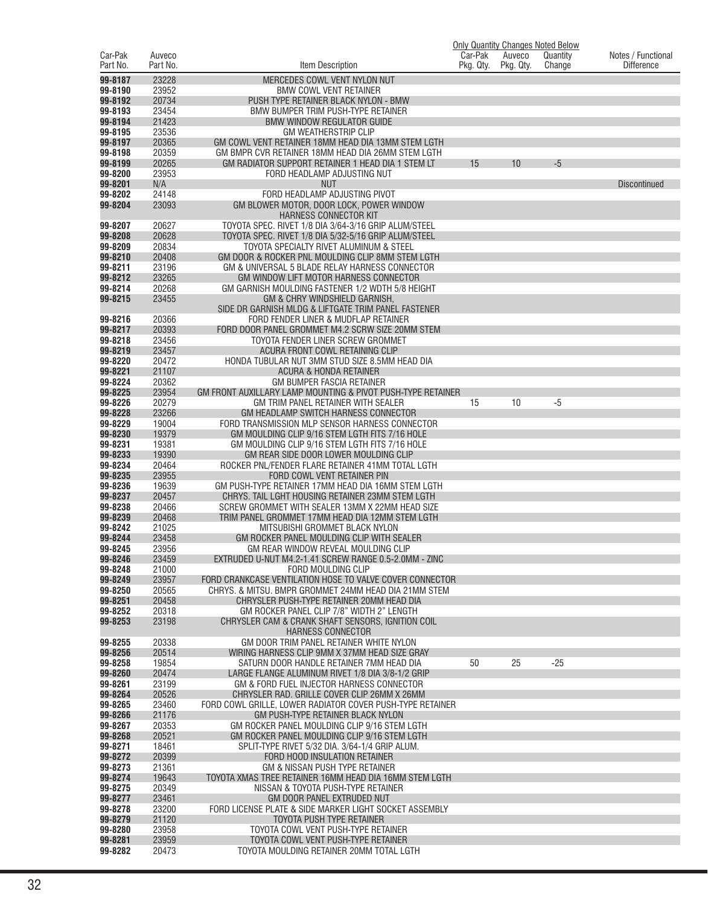| Car-Pak            |                    |                                                                                                                  | Car-Pak   |                     | <b>Only Quantity Changes Noted Below</b> |                                         |
|--------------------|--------------------|------------------------------------------------------------------------------------------------------------------|-----------|---------------------|------------------------------------------|-----------------------------------------|
| Part No.           | Auveco<br>Part No. | Item Description                                                                                                 | Pkg. Qty. | Auveco<br>Pkg. Qty. | Quantity<br>Change                       | Notes / Functional<br><b>Difference</b> |
| 99-8187            | 23228              | MERCEDES COWL VENT NYLON NUT                                                                                     |           |                     |                                          |                                         |
| 99-8190            | 23952              | <b>BMW COWL VENT RETAINER</b>                                                                                    |           |                     |                                          |                                         |
| 99-8192            | 20734              | PUSH TYPE RETAINER BLACK NYLON - BMW                                                                             |           |                     |                                          |                                         |
| 99-8193            | 23454              | BMW BUMPER TRIM PUSH-TYPE RETAINER                                                                               |           |                     |                                          |                                         |
| 99-8194            | 21423              | <b>BMW WINDOW REGULATOR GUIDE</b>                                                                                |           |                     |                                          |                                         |
| 99-8195            | 23536<br>20365     | <b>GM WEATHERSTRIP CLIP</b>                                                                                      |           |                     |                                          |                                         |
| 99-8197<br>99-8198 | 20359              | GM COWL VENT RETAINER 18MM HEAD DIA 13MM STEM LGTH<br>GM BMPR CVR RETAINER 18MM HEAD DIA 26MM STEM LGTH          |           |                     |                                          |                                         |
| 99-8199            | 20265              | GM RADIATOR SUPPORT RETAINER 1 HEAD DIA 1 STEM LT                                                                | 15        | 10                  | $-5$                                     |                                         |
| 99-8200            | 23953              | FORD HEADLAMP ADJUSTING NUT                                                                                      |           |                     |                                          |                                         |
| 99-8201            | N/A                | <b>NUT</b>                                                                                                       |           |                     |                                          | <b>Discontinued</b>                     |
| 99-8202            | 24148              | FORD HEADLAMP ADJUSTING PIVOT                                                                                    |           |                     |                                          |                                         |
| 99-8204            | 23093              | GM BLOWER MOTOR, DOOR LOCK, POWER WINDOW                                                                         |           |                     |                                          |                                         |
| 99-8207            | 20627              | <b>HARNESS CONNECTOR KIT</b><br>TOYOTA SPEC. RIVET 1/8 DIA 3/64-3/16 GRIP ALUM/STEEL                             |           |                     |                                          |                                         |
| 99-8208            | 20628              | TOYOTA SPEC. RIVET 1/8 DIA 5/32-5/16 GRIP ALUM/STEEL                                                             |           |                     |                                          |                                         |
| 99-8209            | 20834              | TOYOTA SPECIALTY RIVET ALUMINUM & STEEL                                                                          |           |                     |                                          |                                         |
| 99-8210            | 20408              | GM DOOR & ROCKER PNL MOULDING CLIP 8MM STEM LGTH                                                                 |           |                     |                                          |                                         |
| 99-8211            | 23196              | GM & UNIVERSAL 5 BLADE RELAY HARNESS CONNECTOR                                                                   |           |                     |                                          |                                         |
| 99-8212            | 23265              | GM WINDOW LIFT MOTOR HARNESS CONNECTOR                                                                           |           |                     |                                          |                                         |
| 99-8214<br>99-8215 | 20268<br>23455     | GM GARNISH MOULDING FASTENER 1/2 WDTH 5/8 HEIGHT<br>GM & CHRY WINDSHIELD GARNISH.                                |           |                     |                                          |                                         |
|                    |                    | SIDE DR GARNISH MLDG & LIFTGATE TRIM PANEL FASTENER                                                              |           |                     |                                          |                                         |
| 99-8216            | 20366              | FORD FENDER LINER & MUDFLAP RETAINER                                                                             |           |                     |                                          |                                         |
| 99-8217            | 20393              | FORD DOOR PANEL GROMMET M4.2 SCRW SIZE 20MM STEM                                                                 |           |                     |                                          |                                         |
| 99-8218            | 23456              | TOYOTA FENDER LINER SCREW GROMMET                                                                                |           |                     |                                          |                                         |
| 99-8219            | 23457              | ACURA FRONT COWL RETAINING CLIP                                                                                  |           |                     |                                          |                                         |
| 99-8220            | 20472<br>21107     | HONDA TUBULAR NUT 3MM STUD SIZE 8.5MM HEAD DIA                                                                   |           |                     |                                          |                                         |
| 99-8221<br>99-8224 | 20362              | ACURA & HONDA RETAINER<br>GM BUMPER FASCIA RETAINER                                                              |           |                     |                                          |                                         |
| 99-8225            | 23954              | GM FRONT AUXILLARY LAMP MOUNTING & PIVOT PUSH-TYPE RETAINER                                                      |           |                     |                                          |                                         |
| 99-8226            | 20279              | GM TRIM PANEL RETAINER WITH SEALER                                                                               | 15        | 10                  | $-5$                                     |                                         |
| 99-8228            | 23266              | GM HEADLAMP SWITCH HARNESS CONNECTOR                                                                             |           |                     |                                          |                                         |
| 99-8229            | 19004              | FORD TRANSMISSION MLP SENSOR HARNESS CONNECTOR                                                                   |           |                     |                                          |                                         |
| 99-8230            | 19379<br>19381     | GM MOULDING CLIP 9/16 STEM LGTH FITS 7/16 HOLE                                                                   |           |                     |                                          |                                         |
| 99-8231<br>99-8233 | 19390              | GM MOULDING CLIP 9/16 STEM LGTH FITS 7/16 HOLE<br>GM REAR SIDE DOOR LOWER MOULDING CLIP                          |           |                     |                                          |                                         |
| 99-8234            | 20464              | ROCKER PNL/FENDER FLARE RETAINER 41MM TOTAL LGTH                                                                 |           |                     |                                          |                                         |
| 99-8235            | 23955              | FORD COWL VENT RETAINER PIN                                                                                      |           |                     |                                          |                                         |
| 99-8236            | 19639              | GM PUSH-TYPE RETAINER 17MM HEAD DIA 16MM STEM LGTH                                                               |           |                     |                                          |                                         |
| 99-8237            | 20457              | CHRYS. TAIL LGHT HOUSING RETAINER 23MM STEM LGTH                                                                 |           |                     |                                          |                                         |
| 99-8238            | 20466              | SCREW GROMMET WITH SEALER 13MM X 22MM HEAD SIZE                                                                  |           |                     |                                          |                                         |
| 99-8239<br>99-8242 | 20468<br>21025     | TRIM PANEL GROMMET 17MM HEAD DIA 12MM STEM LGTH<br>MITSUBISHI GROMMET BLACK NYLON                                |           |                     |                                          |                                         |
| 99-8244            | 23458              | GM ROCKER PANEL MOULDING CLIP WITH SEALER                                                                        |           |                     |                                          |                                         |
| 99-8245            | 23956              | GM REAR WINDOW REVEAL MOULDING CLIP                                                                              |           |                     |                                          |                                         |
| 99-8246            | 23459              | EXTRUDED U-NUT M4.2-1.41 SCREW RANGE 0.5-2.0MM - ZINC                                                            |           |                     |                                          |                                         |
| 99-8248            | 21000              | FORD MOULDING CLIP                                                                                               |           |                     |                                          |                                         |
| 99-8249            | 23957              | FORD CRANKCASE VENTILATION HOSE TO VALVE COVER CONNECTOR<br>CHRYS. & MITSU. BMPR GROMMET 24MM HEAD DIA 21MM STEM |           |                     |                                          |                                         |
| 99-8250<br>99-8251 | 20565<br>20458     | CHRYSLER PUSH-TYPE RETAINER 20MM HEAD DIA                                                                        |           |                     |                                          |                                         |
| 99-8252            | 20318              | GM ROCKER PANEL CLIP 7/8" WIDTH 2" LENGTH                                                                        |           |                     |                                          |                                         |
| 99-8253            | 23198              | CHRYSLER CAM & CRANK SHAFT SENSORS, IGNITION COIL                                                                |           |                     |                                          |                                         |
|                    |                    | HARNESS CONNECTOR                                                                                                |           |                     |                                          |                                         |
| 99-8255            | 20338              | GM DOOR TRIM PANEL RETAINER WHITE NYLON                                                                          |           |                     |                                          |                                         |
| 99-8256<br>99-8258 | 20514<br>19854     | WIRING HARNESS CLIP 9MM X 37MM HEAD SIZE GRAY<br>SATURN DOOR HANDLE RETAINER 7MM HEAD DIA                        | 50        | 25                  | $-25$                                    |                                         |
| 99-8260            | 20474              | LARGE FLANGE ALUMINUM RIVET 1/8 DIA 3/8-1/2 GRIP                                                                 |           |                     |                                          |                                         |
| 99-8261            | 23199              | GM & FORD FUEL INJECTOR HARNESS CONNECTOR                                                                        |           |                     |                                          |                                         |
| 99-8264            | 20526              | CHRYSLER RAD. GRILLE COVER CLIP 26MM X 26MM                                                                      |           |                     |                                          |                                         |
| 99-8265            | 23460              | FORD COWL GRILLE, LOWER RADIATOR COVER PUSH-TYPE RETAINER                                                        |           |                     |                                          |                                         |
| 99-8266            | 21176              | GM PUSH-TYPE RETAINER BLACK NYLON                                                                                |           |                     |                                          |                                         |
| 99-8267<br>99-8268 | 20353<br>20521     | GM ROCKER PANEL MOULDING CLIP 9/16 STEM LGTH<br>GM ROCKER PANEL MOULDING CLIP 9/16 STEM LGTH                     |           |                     |                                          |                                         |
| 99-8271            | 18461              | SPLIT-TYPE RIVET 5/32 DIA. 3/64-1/4 GRIP ALUM.                                                                   |           |                     |                                          |                                         |
| 99-8272            | 20399              | FORD HOOD INSULATION RETAINER                                                                                    |           |                     |                                          |                                         |
| 99-8273            | 21361              | GM & NISSAN PUSH TYPE RETAINER                                                                                   |           |                     |                                          |                                         |
| 99-8274            | 19643              | TOYOTA XMAS TREE RETAINER 16MM HEAD DIA 16MM STEM LGTH                                                           |           |                     |                                          |                                         |
| 99-8275            | 20349              | NISSAN & TOYOTA PUSH-TYPE RETAINER                                                                               |           |                     |                                          |                                         |
| 99-8277<br>99-8278 | 23461<br>23200     | GM DOOR PANEL EXTRUDED NUT<br>FORD LICENSE PLATE & SIDE MARKER LIGHT SOCKET ASSEMBLY                             |           |                     |                                          |                                         |
| 99-8279            | 21120              | TOYOTA PUSH TYPE RETAINER                                                                                        |           |                     |                                          |                                         |
| 99-8280            | 23958              | TOYOTA COWL VENT PUSH-TYPE RETAINER                                                                              |           |                     |                                          |                                         |
| 99-8281            | 23959              | TOYOTA COWL VENT PUSH-TYPE RETAINER                                                                              |           |                     |                                          |                                         |
| 99-8282            | 20473              | TOYOTA MOULDING RETAINER 20MM TOTAL LGTH                                                                         |           |                     |                                          |                                         |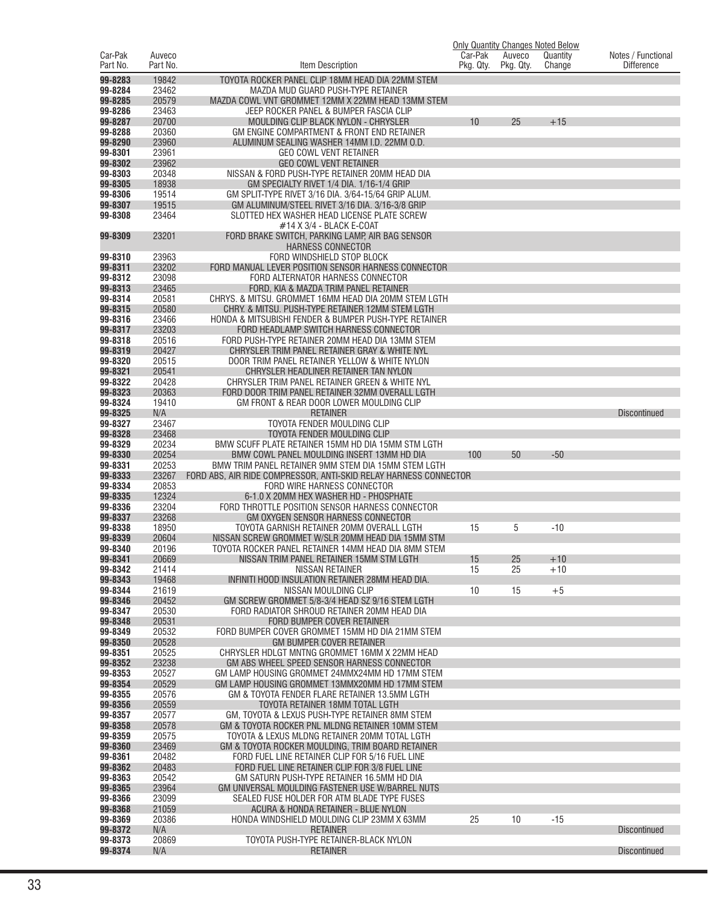|                     |                    |                                                                                                  |                      |                     | <b>Only Quantity Changes Noted Below</b> |                                         |
|---------------------|--------------------|--------------------------------------------------------------------------------------------------|----------------------|---------------------|------------------------------------------|-----------------------------------------|
| Car-Pak<br>Part No. | Auveco<br>Part No. | Item Description                                                                                 | Car-Pak<br>Pkg. Qty. | Auveco<br>Pkg. Qty. | Quantity<br>Change                       | Notes / Functional<br><b>Difference</b> |
| 99-8283             | 19842              | TOYOTA ROCKER PANEL CLIP 18MM HEAD DIA 22MM STEM                                                 |                      |                     |                                          |                                         |
| 99-8284             | 23462              | MAZDA MUD GUARD PUSH-TYPE RETAINER                                                               |                      |                     |                                          |                                         |
| 99-8285             | 20579              | MAZDA COWL VNT GROMMET 12MM X 22MM HEAD 13MM STEM                                                |                      |                     |                                          |                                         |
| 99-8286             | 23463              | JEEP ROCKER PANEL & BUMPER FASCIA CLIP                                                           |                      |                     |                                          |                                         |
| 99-8287             | 20700              | MOULDING CLIP BLACK NYLON - CHRYSLER                                                             | 10                   | 25                  | $+15$                                    |                                         |
| 99-8288             | 20360              | GM ENGINE COMPARTMENT & FRONT END RETAINER                                                       |                      |                     |                                          |                                         |
| 99-8290<br>99-8301  | 23960<br>23961     | ALUMINUM SEALING WASHER 14MM I.D. 22MM O.D.<br><b>GEO COWL VENT RETAINER</b>                     |                      |                     |                                          |                                         |
| 99-8302             | 23962              | <b>GEO COWL VENT RETAINER</b>                                                                    |                      |                     |                                          |                                         |
| 99-8303             | 20348              | NISSAN & FORD PUSH-TYPE RETAINER 20MM HEAD DIA                                                   |                      |                     |                                          |                                         |
| 99-8305             | 18938              | GM SPECIALTY RIVET 1/4 DIA. 1/16-1/4 GRIP                                                        |                      |                     |                                          |                                         |
| 99-8306             | 19514              | GM SPLIT-TYPE RIVET 3/16 DIA, 3/64-15/64 GRIP ALUM.                                              |                      |                     |                                          |                                         |
| 99-8307             | 19515              | GM ALUMINUM/STEEL RIVET 3/16 DIA. 3/16-3/8 GRIP                                                  |                      |                     |                                          |                                         |
| 99-8308             | 23464              | SLOTTED HEX WASHER HEAD LICENSE PLATE SCREW<br>#14 X 3/4 - BLACK E-COAT                          |                      |                     |                                          |                                         |
| 99-8309             | 23201              | FORD BRAKE SWITCH, PARKING LAMP, AIR BAG SENSOR                                                  |                      |                     |                                          |                                         |
|                     |                    | <b>HARNESS CONNECTOR</b>                                                                         |                      |                     |                                          |                                         |
| 99-8310             | 23963              | FORD WINDSHIELD STOP BLOCK                                                                       |                      |                     |                                          |                                         |
| 99-8311             | 23202              | FORD MANUAL LEVER POSITION SENSOR HARNESS CONNECTOR                                              |                      |                     |                                          |                                         |
| 99-8312             | 23098              | FORD ALTERNATOR HARNESS CONNECTOR                                                                |                      |                     |                                          |                                         |
| 99-8313<br>99-8314  | 23465<br>20581     | FORD, KIA & MAZDA TRIM PANEL RETAINER<br>CHRYS. & MITSU. GROMMET 16MM HEAD DIA 20MM STEM LGTH    |                      |                     |                                          |                                         |
| 99-8315             | 20580              | CHRY. & MITSU. PUSH-TYPE RETAINER 12MM STEM LGTH                                                 |                      |                     |                                          |                                         |
| 99-8316             | 23466              | HONDA & MITSUBISHI FENDER & BUMPER PUSH-TYPE RETAINER                                            |                      |                     |                                          |                                         |
| 99-8317             | 23203              | FORD HEADLAMP SWITCH HARNESS CONNECTOR                                                           |                      |                     |                                          |                                         |
| 99-8318             | 20516              | FORD PUSH-TYPE RETAINER 20MM HEAD DIA 13MM STEM                                                  |                      |                     |                                          |                                         |
| 99-8319             | 20427              | CHRYSLER TRIM PANEL RETAINER GRAY & WHITE NYL                                                    |                      |                     |                                          |                                         |
| 99-8320             | 20515              | DOOR TRIM PANEL RETAINER YELLOW & WHITE NYLON                                                    |                      |                     |                                          |                                         |
| 99-8321<br>99-8322  | 20541<br>20428     | CHRYSLER HEADLINER RETAINER TAN NYLON<br>CHRYSLER TRIM PANEL RETAINER GREEN & WHITE NYL          |                      |                     |                                          |                                         |
| 99-8323             | 20363              | FORD DOOR TRIM PANEL RETAINER 32MM OVERALL LGTH                                                  |                      |                     |                                          |                                         |
| 99-8324             | 19410              | GM FRONT & REAR DOOR LOWER MOULDING CLIP                                                         |                      |                     |                                          |                                         |
| 99-8325             | N/A                | <b>RETAINER</b>                                                                                  |                      |                     |                                          | <b>Discontinued</b>                     |
| 99-8327             | 23467              | TOYOTA FENDER MOULDING CLIP                                                                      |                      |                     |                                          |                                         |
| 99-8328             | 23468              | TOYOTA FENDER MOULDING CLIP                                                                      |                      |                     |                                          |                                         |
| 99-8329<br>99-8330  | 20234<br>20254     | BMW SCUFF PLATE RETAINER 15MM HD DIA 15MM STM LGTH<br>BMW COWL PANEL MOULDING INSERT 13MM HD DIA | 100                  | 50                  | $-50$                                    |                                         |
| 99-8331             | 20253              | BMW TRIM PANEL RETAINER 9MM STEM DIA 15MM STEM LGTH                                              |                      |                     |                                          |                                         |
| 99-8333             | 23267              | FORD ABS, AIR RIDE COMPRESSOR, ANTI-SKID RELAY HARNESS CONNECTOR                                 |                      |                     |                                          |                                         |
| 99-8334             | 20853              | FORD WIRE HARNESS CONNECTOR                                                                      |                      |                     |                                          |                                         |
| 99-8335             | 12324              | 6-1.0 X 20MM HEX WASHER HD - PHOSPHATE                                                           |                      |                     |                                          |                                         |
| 99-8336             | 23204              | FORD THROTTLE POSITION SENSOR HARNESS CONNECTOR                                                  |                      |                     |                                          |                                         |
| 99-8337<br>99-8338  | 23268<br>18950     | GM OXYGEN SENSOR HARNESS CONNECTOR<br>TOYOTA GARNISH RETAINER 20MM OVERALL LGTH                  | 15                   | 5                   | $-10$                                    |                                         |
| 99-8339             | 20604              | NISSAN SCREW GROMMET W/SLR 20MM HEAD DIA 15MM STM                                                |                      |                     |                                          |                                         |
| 99-8340             | 20196              | TOYOTA ROCKER PANEL RETAINER 14MM HEAD DIA 8MM STEM                                              |                      |                     |                                          |                                         |
| 99-8341             | 20669              | NISSAN TRIM PANEL RETAINER 15MM STM LGTH                                                         | 15                   | 25                  | $+10$                                    |                                         |
| 99-8342             | 21414              | <b>NISSAN RETAINER</b>                                                                           | 15                   | 25                  | $+10$                                    |                                         |
| 99-8343<br>99-8344  | 19468<br>21619     | INFINITI HOOD INSULATION RETAINER 28MM HEAD DIA.<br>NISSAN MOULDING CLIP                         | 10                   | 15                  | $+5$                                     |                                         |
| 99-8346             | 20452              | GM SCREW GROMMET 5/8-3/4 HEAD SZ 9/16 STEM LGTH                                                  |                      |                     |                                          |                                         |
| 99-8347             | 20530              | FORD RADIATOR SHROUD RETAINER 20MM HEAD DIA                                                      |                      |                     |                                          |                                         |
| 99-8348             | 20531              | FORD BUMPER COVER RETAINER                                                                       |                      |                     |                                          |                                         |
| 99-8349             | 20532              | FORD BUMPER COVER GROMMET 15MM HD DIA 21MM STEM                                                  |                      |                     |                                          |                                         |
| 99-8350             | 20528              | <b>GM BUMPER COVER RETAINER</b>                                                                  |                      |                     |                                          |                                         |
| 99-8351<br>99-8352  | 20525<br>23238     | CHRYSLER HDLGT MNTNG GROMMET 16MM X 22MM HEAD<br>GM ABS WHEEL SPEED SENSOR HARNESS CONNECTOR     |                      |                     |                                          |                                         |
| 99-8353             | 20527              | GM LAMP HOUSING GROMMET 24MMX24MM HD 17MM STEM                                                   |                      |                     |                                          |                                         |
| 99-8354             | 20529              | GM LAMP HOUSING GROMMET 13MMX20MM HD 17MM STEM                                                   |                      |                     |                                          |                                         |
| 99-8355             | 20576              | GM & TOYOTA FENDER FLARE RETAINER 13.5MM LGTH                                                    |                      |                     |                                          |                                         |
| 99-8356             | 20559              | TOYOTA RETAINER 18MM TOTAL LGTH                                                                  |                      |                     |                                          |                                         |
| 99-8357             | 20577              | GM, TOYOTA & LEXUS PUSH-TYPE RETAINER 8MM STEM                                                   |                      |                     |                                          |                                         |
| 99-8358<br>99-8359  | 20578<br>20575     | GM & TOYOTA ROCKER PNL MLDNG RETAINER 10MM STEM<br>TOYOTA & LEXUS MLDNG RETAINER 20MM TOTAL LGTH |                      |                     |                                          |                                         |
| 99-8360             | 23469              | GM & TOYOTA ROCKER MOULDING, TRIM BOARD RETAINER                                                 |                      |                     |                                          |                                         |
| 99-8361             | 20482              | FORD FUEL LINE RETAINER CLIP FOR 5/16 FUEL LINE                                                  |                      |                     |                                          |                                         |
| 99-8362             | 20483              | FORD FUEL LINE RETAINER CLIP FOR 3/8 FUEL LINE                                                   |                      |                     |                                          |                                         |
| 99-8363             | 20542              | GM SATURN PUSH-TYPE RETAINER 16.5MM HD DIA                                                       |                      |                     |                                          |                                         |
| 99-8365             | 23964              | GM UNIVERSAL MOULDING FASTENER USE W/BARREL NUTS                                                 |                      |                     |                                          |                                         |
| 99-8366<br>99-8368  | 23099<br>21059     | SEALED FUSE HOLDER FOR ATM BLADE TYPE FUSES<br>ACURA & HONDA RETAINER - BLUE NYLON               |                      |                     |                                          |                                         |
| 99-8369             | 20386              | HONDA WINDSHIELD MOULDING CLIP 23MM X 63MM                                                       | 25                   | 10                  | $-15$                                    |                                         |
| 99-8372             | N/A                | <b>RETAINER</b>                                                                                  |                      |                     |                                          | <b>Discontinued</b>                     |
| 99-8373             | 20869              | TOYOTA PUSH-TYPE RETAINER-BLACK NYLON                                                            |                      |                     |                                          |                                         |
| 99-8374             | N/A                | <b>RETAINER</b>                                                                                  |                      |                     |                                          | <b>Discontinued</b>                     |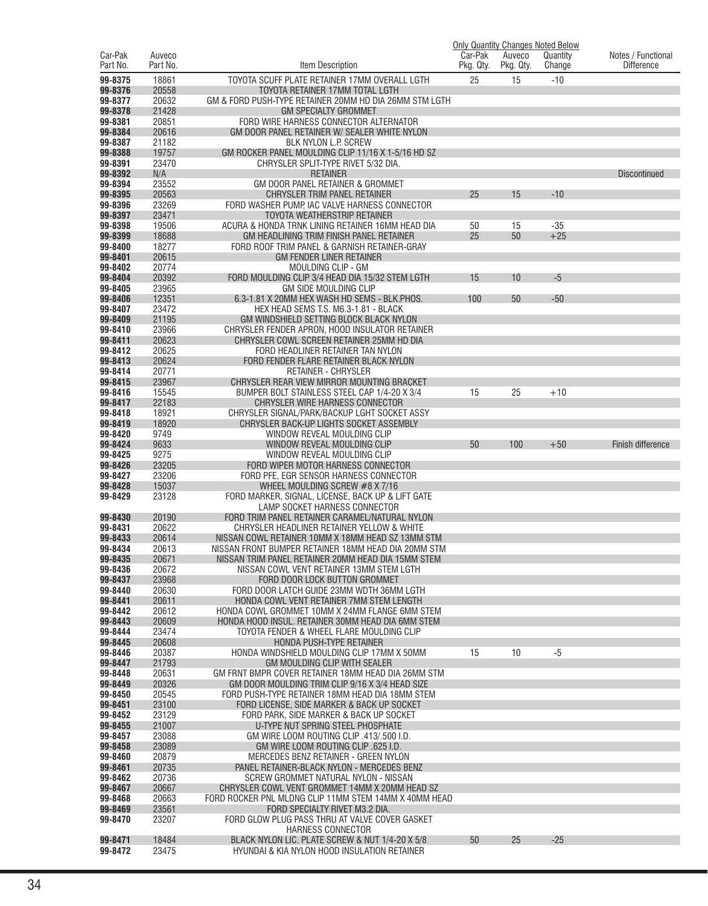|                     |                    |                                                                                                           | Car-Pak   |                     | <b>Only Quantity Changes Noted Below</b> |                                         |
|---------------------|--------------------|-----------------------------------------------------------------------------------------------------------|-----------|---------------------|------------------------------------------|-----------------------------------------|
| Car-Pak<br>Part No. | Auveco<br>Part No. | Item Description                                                                                          | Pkg. Qty. | Auveco<br>Pkg. Qty. | Quantity<br>Change                       | Notes / Functional<br><b>Difference</b> |
| 99-8375             | 18861              | TOYOTA SCUFF PLATE RETAINER 17MM OVERALL LGTH                                                             | 25        | 15                  | $-10$                                    |                                         |
| 99-8376             | 20558              | TOYOTA RETAINER 17MM TOTAL LGTH                                                                           |           |                     |                                          |                                         |
| 99-8377             | 20632              | GM & FORD PUSH-TYPE RETAINER 20MM HD DIA 26MM STM LGTH                                                    |           |                     |                                          |                                         |
| 99-8378             | 21428              | <b>GM SPECIALTY GROMMET</b>                                                                               |           |                     |                                          |                                         |
| 99-8381             | 20851              | FORD WIRE HARNESS CONNECTOR ALTERNATOR                                                                    |           |                     |                                          |                                         |
| 99-8384<br>99-8387  | 20616<br>21182     | GM DOOR PANEL RETAINER W/ SEALER WHITE NYLON<br>BLK NYLON L.P. SCREW                                      |           |                     |                                          |                                         |
| 99-8388             | 19757              | GM ROCKER PANEL MOULDING CLIP 11/16 X 1-5/16 HD SZ                                                        |           |                     |                                          |                                         |
| 99-8391             | 23470              | CHRYSLER SPLIT-TYPE RIVET 5/32 DIA.                                                                       |           |                     |                                          |                                         |
| 99-8392             | N/A                | <b>RETAINER</b>                                                                                           |           |                     |                                          | Discontinued                            |
| 99-8394<br>99-8395  | 23552              | GM DOOR PANEL RETAINER & GROMMET                                                                          |           |                     |                                          |                                         |
| 99-8396             | 20563<br>23269     | CHRYSLER TRIM PANEL RETAINER<br>FORD WASHER PUMP. IAC VALVE HARNESS CONNECTOR                             | 25        | 15                  | $-10$                                    |                                         |
| 99-8397             | 23471              | TOYOTA WEATHERSTRIP RETAINER                                                                              |           |                     |                                          |                                         |
| 99-8398             | 19506              | ACURA & HONDA TRNK LINING RETAINER 16MM HEAD DIA                                                          | 50        | 15                  | $-35$                                    |                                         |
| 99-8399             | 18688              | GM HEADLINING TRIM FINISH PANEL RETAINER                                                                  | 25        | 50                  | $+25$                                    |                                         |
| 99-8400<br>99-8401  | 18277<br>20615     | FORD ROOF TRIM PANEL & GARNISH RETAINER-GRAY                                                              |           |                     |                                          |                                         |
| 99-8402             | 20774              | <b>GM FENDER LINER RETAINER</b><br>MOULDING CLIP - GM                                                     |           |                     |                                          |                                         |
| 99-8404             | 20392              | FORD MOULDING CLIP 3/4 HEAD DIA 15/32 STEM LGTH                                                           | 15        | 10                  | $-5$                                     |                                         |
| 99-8405             | 23965              | GM SIDE MOULDING CLIP                                                                                     |           |                     |                                          |                                         |
| 99-8406             | 12351              | 6.3-1.81 X 20MM HEX WASH HD SEMS - BLK.PHOS.                                                              | 100       | 50                  | $-50$                                    |                                         |
| 99-8407<br>99-8409  | 23472<br>21195     | HEX HEAD SEMS T.S. M6.3-1.81 - BLACK<br>GM WINDSHIELD SETTING BLOCK BLACK NYLON                           |           |                     |                                          |                                         |
| 99-8410             | 23966              | CHRYSLER FENDER APRON, HOOD INSULATOR RETAINER                                                            |           |                     |                                          |                                         |
| 99-8411             | 20623              | CHRYSLER COWL SCREEN RETAINER 25MM HD DIA                                                                 |           |                     |                                          |                                         |
| 99-8412             | 20625              | FORD HEADLINER RETAINER TAN NYLON                                                                         |           |                     |                                          |                                         |
| 99-8413             | 20624              | FORD FENDER FLARE RETAINER BLACK NYLON                                                                    |           |                     |                                          |                                         |
| 99-8414<br>99-8415  | 20771<br>23967     | <b>RETAINER - CHRYSLER</b><br>CHRYSLER REAR VIEW MIRROR MOUNTING BRACKET                                  |           |                     |                                          |                                         |
| 99-8416             | 15545              | BUMPER BOLT STAINLESS STEEL CAP 1/4-20 X 3/4                                                              | 15        | 25                  | $+10$                                    |                                         |
| 99-8417             | 22183              | CHRYSLER WIRE HARNESS CONNECTOR                                                                           |           |                     |                                          |                                         |
| 99-8418             | 18921              | CHRYSLER SIGNAL/PARK/BACKUP LGHT SOCKET ASSY                                                              |           |                     |                                          |                                         |
| 99-8419             | 18920              | CHRYSLER BACK-UP LIGHTS SOCKET ASSEMBLY                                                                   |           |                     |                                          |                                         |
| 99-8420<br>99-8424  | 9749<br>9633       | WINDOW REVEAL MOULDING CLIP<br>WINDOW REVEAL MOULDING CLIP                                                | 50        | 100                 | $+50$                                    | Finish difference                       |
| 99-8425             | 9275               | WINDOW REVEAL MOULDING CLIP                                                                               |           |                     |                                          |                                         |
| 99-8426             | 23205              | FORD WIPER MOTOR HARNESS CONNECTOR                                                                        |           |                     |                                          |                                         |
| 99-8427             | 23206              | FORD PFE, EGR SENSOR HARNESS CONNECTOR                                                                    |           |                     |                                          |                                         |
| 99-8428<br>99-8429  | 15037<br>23128     | WHEEL MOULDING SCREW $#8$ X 7/16<br>FORD MARKER, SIGNAL, LICENSE, BACK UP & LIFT GATE                     |           |                     |                                          |                                         |
|                     |                    | LAMP SOCKET HARNESS CONNECTOR                                                                             |           |                     |                                          |                                         |
| 99-8430             | 20190              | FORD TRIM PANEL RETAINER CARAMEL/NATURAL NYLON                                                            |           |                     |                                          |                                         |
| 99-8431             | 20622              | CHRYSLER HEADLINER RETAINER YELLOW & WHITE                                                                |           |                     |                                          |                                         |
| 99-8433<br>99-8434  | 20614<br>20613     | NISSAN COWL RETAINER 10MM X 18MM HEAD SZ 13MM STM                                                         |           |                     |                                          |                                         |
| 99-8435             | 20671              | NISSAN FRONT BUMPER RETAINER 18MM HEAD DIA 20MM STM<br>NISSAN TRIM PANEL RETAINER 20MM HEAD DIA 15MM STEM |           |                     |                                          |                                         |
| 99-8436             | 20672              | NISSAN COWL VENT RETAINER 13MM STEM LGTH                                                                  |           |                     |                                          |                                         |
| 99-8437             | 23968              | FORD DOOR LOCK BUTTON GROMMET                                                                             |           |                     |                                          |                                         |
| 99-8440             | 20630              | FORD DOOR LATCH GUIDE 23MM WDTH 36MM LGTH                                                                 |           |                     |                                          |                                         |
| 99-8441<br>99-8442  | 20611<br>20612     | HONDA COWL VENT RETAINER 7MM STEM LENGTH<br>HONDA COWL GROMMET 10MM X 24MM FLANGE 6MM STEM                |           |                     |                                          |                                         |
| 99-8443             | 20609              | HONDA HOOD INSUL. RETAINER 30MM HEAD DIA 6MM STEM                                                         |           |                     |                                          |                                         |
| 99-8444             | 23474              | TOYOTA FENDER & WHEEL FLARE MOULDING CLIP                                                                 |           |                     |                                          |                                         |
| 99-8445             | 20608              | HONDA PUSH-TYPE RETAINER                                                                                  |           |                     |                                          |                                         |
| 99-8446<br>99-8447  | 20387<br>21793     | HONDA WINDSHIELD MOULDING CLIP 17MM X 50MM<br>GM MOULDING CLIP WITH SEALER                                | 15        | 10                  | $-5$                                     |                                         |
| 99-8448             | 20631              | GM FRNT BMPR COVER RETAINER 18MM HEAD DIA 26MM STM                                                        |           |                     |                                          |                                         |
| 99-8449             | 20326              | GM DOOR MOULDING TRIM CLIP 9/16 X 3/4 HEAD SIZE                                                           |           |                     |                                          |                                         |
| 99-8450             | 20545              | FORD PUSH-TYPE RETAINER 18MM HEAD DIA 18MM STEM                                                           |           |                     |                                          |                                         |
| 99-8451             | 23100              | FORD LICENSE, SIDE MARKER & BACK UP SOCKET                                                                |           |                     |                                          |                                         |
| 99-8452<br>99-8455  | 23129<br>21007     | FORD PARK, SIDE MARKER & BACK UP SOCKET<br>U-TYPE NUT SPRING STEEL PHOSPHATE                              |           |                     |                                          |                                         |
| 99-8457             | 23088              | GM WIRE LOOM ROUTING CLIP .413/.500 I.D.                                                                  |           |                     |                                          |                                         |
| 99-8458             | 23089              | GM WIRE LOOM ROUTING CLIP .625 I.D.                                                                       |           |                     |                                          |                                         |
| 99-8460             | 20879              | MERCEDES BENZ RETAINER - GREEN NYLON                                                                      |           |                     |                                          |                                         |
| 99-8461<br>99-8462  | 20735<br>20736     | PANEL RETAINER-BLACK NYLON - MERCEDES BENZ<br>SCREW GROMMET NATURAL NYLON - NISSAN                        |           |                     |                                          |                                         |
| 99-8467             | 20667              | CHRYSLER COWL VENT GROMMET 14MM X 20MM HEAD SZ                                                            |           |                     |                                          |                                         |
| 99-8468             | 20663              | FORD ROCKER PNL MLDNG CLIP 11MM STEM 14MM X 40MM HEAD                                                     |           |                     |                                          |                                         |
| 99-8469             | 23561              | FORD SPECIALTY RIVET M3.2 DIA.                                                                            |           |                     |                                          |                                         |
| 99-8470             | 23207              | FORD GLOW PLUG PASS THRU AT VALVE COVER GASKET                                                            |           |                     |                                          |                                         |
| 99-8471             | 18484              | <b>HARNESS CONNECTOR</b><br>BLACK NYLON LIC. PLATE SCREW & NUT 1/4-20 X 5/8                               | 50        | 25                  | $-25$                                    |                                         |
| 99-8472             | 23475              | HYUNDAI & KIA NYLON HOOD INSULATION RETAINER                                                              |           |                     |                                          |                                         |
|                     |                    |                                                                                                           |           |                     |                                          |                                         |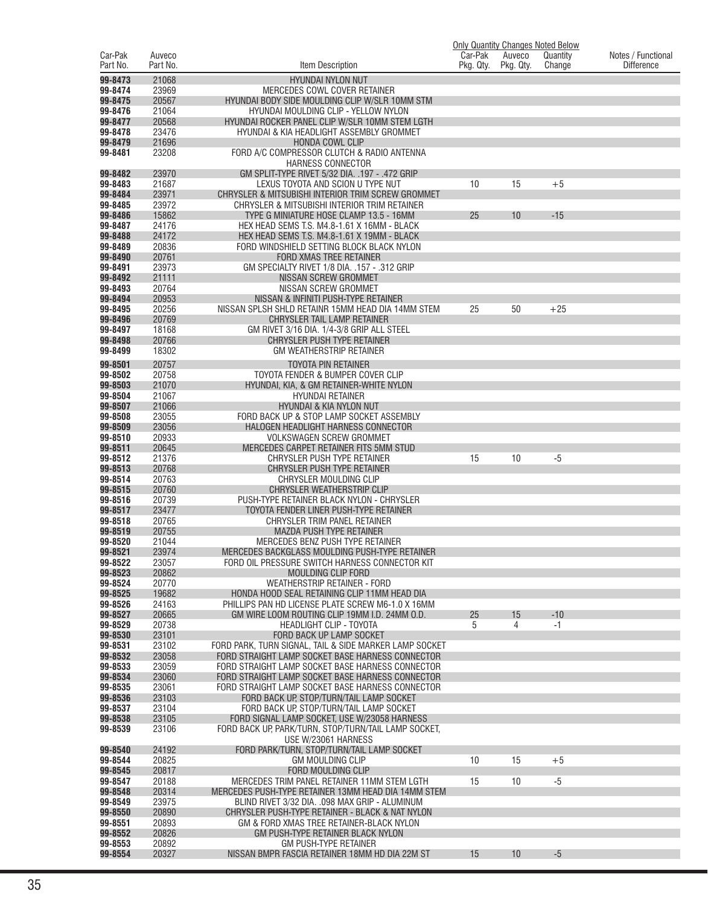|                     |                    |                                                                                                            | Car-Pak   |                     | <b>Only Quantity Changes Noted Below</b> |                                         |
|---------------------|--------------------|------------------------------------------------------------------------------------------------------------|-----------|---------------------|------------------------------------------|-----------------------------------------|
| Car-Pak<br>Part No. | Auveco<br>Part No. | Item Description                                                                                           | Pkg. Qty. | Auveco<br>Pkg. Qty. | Quantity<br>Change                       | Notes / Functional<br><b>Difference</b> |
| 99-8473             | 21068              | <b>HYUNDAI NYLON NUT</b>                                                                                   |           |                     |                                          |                                         |
| 99-8474             | 23969              | MERCEDES COWL COVER RETAINER                                                                               |           |                     |                                          |                                         |
| 99-8475             | 20567              | HYUNDAI BODY SIDE MOULDING CLIP W/SLR 10MM STM                                                             |           |                     |                                          |                                         |
| 99-8476             | 21064              | HYUNDAI MOULDING CLIP - YELLOW NYLON                                                                       |           |                     |                                          |                                         |
| 99-8477             | 20568              | HYUNDAI ROCKER PANEL CLIP W/SLR 10MM STEM LGTH                                                             |           |                     |                                          |                                         |
| 99-8478<br>99-8479  | 23476<br>21696     | HYUNDAI & KIA HEADLIGHT ASSEMBLY GROMMET<br>HONDA COWL CLIP                                                |           |                     |                                          |                                         |
| 99-8481             | 23208              | FORD A/C COMPRESSOR CLUTCH & RADIO ANTENNA                                                                 |           |                     |                                          |                                         |
|                     |                    | <b>HARNESS CONNECTOR</b>                                                                                   |           |                     |                                          |                                         |
| 99-8482             | 23970              | GM SPLIT-TYPE RIVET 5/32 DIA. .197 - .472 GRIP                                                             |           |                     |                                          |                                         |
| 99-8483             | 21687              | LEXUS TOYOTA AND SCION U TYPE NUT                                                                          | 10        | 15                  | $+5$                                     |                                         |
| 99-8484<br>99-8485  | 23971<br>23972     | CHRYSLER & MITSUBISHI INTERIOR TRIM SCREW GROMMET<br>CHRYSLER & MITSUBISHI INTERIOR TRIM RETAINER          |           |                     |                                          |                                         |
| 99-8486             | 15862              | TYPE G MINIATURE HOSE CLAMP 13.5 - 16MM                                                                    | 25        | 10                  | $-15$                                    |                                         |
| 99-8487             | 24176              | HEX HEAD SEMS T.S. M4.8-1.61 X 16MM - BLACK                                                                |           |                     |                                          |                                         |
| 99-8488             | 24172              | HEX HEAD SEMS T.S. M4.8-1.61 X 19MM - BLACK                                                                |           |                     |                                          |                                         |
| 99-8489             | 20836              | FORD WINDSHIELD SETTING BLOCK BLACK NYLON                                                                  |           |                     |                                          |                                         |
| 99-8490<br>99-8491  | 20761<br>23973     | FORD XMAS TREE RETAINER<br>GM SPECIALTY RIVET 1/8 DIA. . 157 - . 312 GRIP                                  |           |                     |                                          |                                         |
| 99-8492             | 21111              | NISSAN SCREW GROMMET                                                                                       |           |                     |                                          |                                         |
| 99-8493             | 20764              | NISSAN SCREW GROMMET                                                                                       |           |                     |                                          |                                         |
| 99-8494             | 20953              | NISSAN & INFINITI PUSH-TYPE RETAINER                                                                       |           |                     |                                          |                                         |
| 99-8495             | 20256              | NISSAN SPLSH SHLD RETAINR 15MM HEAD DIA 14MM STEM                                                          | 25        | 50                  | $+25$                                    |                                         |
| 99-8496<br>99-8497  | 20769<br>18168     | <b>CHRYSLER TAIL LAMP RETAINER</b><br>GM RIVET 3/16 DIA, 1/4-3/8 GRIP ALL STEEL                            |           |                     |                                          |                                         |
| 99-8498             | 20766              | CHRYSLER PUSH TYPE RETAINER                                                                                |           |                     |                                          |                                         |
| 99-8499             | 18302              | <b>GM WEATHERSTRIP RETAINER</b>                                                                            |           |                     |                                          |                                         |
| 99-8501             | 20757              | <b>TOYOTA PIN RETAINER</b>                                                                                 |           |                     |                                          |                                         |
| 99-8502             | 20758              | TOYOTA FENDER & BUMPER COVER CLIP                                                                          |           |                     |                                          |                                         |
| 99-8503             | 21070              | HYUNDAI, KIA, & GM RETAINER-WHITE NYLON                                                                    |           |                     |                                          |                                         |
| 99-8504             | 21067              | <b>HYUNDAI RETAINER</b>                                                                                    |           |                     |                                          |                                         |
| 99-8507<br>99-8508  | 21066<br>23055     | HYUNDAI & KIA NYLON NUT<br>FORD BACK UP & STOP LAMP SOCKET ASSEMBLY                                        |           |                     |                                          |                                         |
| 99-8509             | 23056              | HALOGEN HEADLIGHT HARNESS CONNECTOR                                                                        |           |                     |                                          |                                         |
| 99-8510             | 20933              | <b>VOLKSWAGEN SCREW GROMMET</b>                                                                            |           |                     |                                          |                                         |
| 99-8511             | 20645              | MERCEDES CARPET RETAINER FITS 5MM STUD                                                                     |           |                     |                                          |                                         |
| 99-8512             | 21376              | CHRYSLER PUSH TYPE RETAINER                                                                                | 15        | 10                  | $-5$                                     |                                         |
| 99-8513<br>99-8514  | 20768<br>20763     | CHRYSLER PUSH TYPE RETAINER<br>CHRYSLER MOULDING CLIP                                                      |           |                     |                                          |                                         |
| 99-8515             | 20760              | CHRYSLER WEATHERSTRIP CLIP                                                                                 |           |                     |                                          |                                         |
| 99-8516             | 20739              | PUSH-TYPE RETAINER BLACK NYLON - CHRYSLER                                                                  |           |                     |                                          |                                         |
| 99-8517             | 23477              | TOYOTA FENDER LINER PUSH-TYPE RETAINER                                                                     |           |                     |                                          |                                         |
| 99-8518             | 20765              | CHRYSLER TRIM PANEL RETAINER                                                                               |           |                     |                                          |                                         |
| 99-8519<br>99-8520  | 20755<br>21044     | <b>MAZDA PUSH TYPE RETAINER</b><br>MERCEDES BENZ PUSH TYPE RETAINER                                        |           |                     |                                          |                                         |
| 99-8521             | 23974              | MERCEDES BACKGLASS MOULDING PUSH-TYPE RETAINER                                                             |           |                     |                                          |                                         |
| 99-8522             | 23057              | FORD OIL PRESSURE SWITCH HARNESS CONNECTOR KIT                                                             |           |                     |                                          |                                         |
| 99-8523             | 20862              | <b>MOULDING CLIP FORD</b>                                                                                  |           |                     |                                          |                                         |
| 99-8524<br>99-8525  | 20770<br>19682     | <b>WEATHERSTRIP RETAINER - FORD</b><br>HONDA HOOD SEAL RETAINING CLIP 11MM HEAD DIA                        |           |                     |                                          |                                         |
| 99-8526             | 24163              | PHILLIPS PAN HD LICENSE PLATE SCREW M6-1.0 X 16MM                                                          |           |                     |                                          |                                         |
| 99-8527             | 20665              | GM WIRE LOOM ROUTING CLIP 19MM I.D. 24MM O.D.                                                              | 25        | 15                  | $-10$                                    |                                         |
| 99-8529             | 20738              | <b>HEADLIGHT CLIP - TOYOTA</b>                                                                             | 5         | 4                   | $-1$                                     |                                         |
| 99-8530             | 23101              | <b>FORD BACK UP LAMP SOCKET</b>                                                                            |           |                     |                                          |                                         |
| 99-8531<br>99-8532  | 23102<br>23058     | FORD PARK, TURN SIGNAL, TAIL & SIDE MARKER LAMP SOCKET<br>FORD STRAIGHT LAMP SOCKET BASE HARNESS CONNECTOR |           |                     |                                          |                                         |
| 99-8533             | 23059              | FORD STRAIGHT LAMP SOCKET BASE HARNESS CONNECTOR                                                           |           |                     |                                          |                                         |
| 99-8534             | 23060              | FORD STRAIGHT LAMP SOCKET BASE HARNESS CONNECTOR                                                           |           |                     |                                          |                                         |
| 99-8535             | 23061              | FORD STRAIGHT LAMP SOCKET BASE HARNESS CONNECTOR                                                           |           |                     |                                          |                                         |
| 99-8536             | 23103              | FORD BACK UP, STOP/TURN/TAIL LAMP SOCKET                                                                   |           |                     |                                          |                                         |
| 99-8537<br>99-8538  | 23104<br>23105     | FORD BACK UP, STOP/TURN/TAIL LAMP SOCKET<br>FORD SIGNAL LAMP SOCKET, USE W/23058 HARNESS                   |           |                     |                                          |                                         |
| 99-8539             | 23106              | FORD BACK UP, PARK/TURN, STOP/TURN/TAIL LAMP SOCKET,                                                       |           |                     |                                          |                                         |
|                     |                    | USE W/23061 HARNESS                                                                                        |           |                     |                                          |                                         |
| 99-8540             | 24192              | FORD PARK/TURN, STOP/TURN/TAIL LAMP SOCKET                                                                 |           |                     |                                          |                                         |
| 99-8544             | 20825              | <b>GM MOULDING CLIP</b>                                                                                    | 10        | 15                  | $+5$                                     |                                         |
| 99-8545<br>99-8547  | 20817<br>20188     | FORD MOULDING CLIP<br>MERCEDES TRIM PANEL RETAINER 11MM STEM LGTH                                          | 15        | 10                  | $-5$                                     |                                         |
| 99-8548             | 20314              | MERCEDES PUSH-TYPE RETAINER 13MM HEAD DIA 14MM STEM                                                        |           |                     |                                          |                                         |
| 99-8549             | 23975              | BLIND RIVET 3/32 DIA. .098 MAX GRIP - ALUMINUM                                                             |           |                     |                                          |                                         |
| 99-8550             | 20890              | CHRYSLER PUSH-TYPE RETAINER - BLACK & NAT NYLON                                                            |           |                     |                                          |                                         |
| 99-8551<br>99-8552  | 20893<br>20826     | GM & FORD XMAS TREE RETAINER-BLACK NYLON<br>GM PUSH-TYPE RETAINER BLACK NYLON                              |           |                     |                                          |                                         |
| 99-8553             | 20892              | <b>GM PUSH-TYPE RETAINER</b>                                                                               |           |                     |                                          |                                         |
| 99-8554             | 20327              | NISSAN BMPR FASCIA RETAINER 18MM HD DIA 22M ST                                                             | 15        | 10                  | $-5$                                     |                                         |
|                     |                    |                                                                                                            |           |                     |                                          |                                         |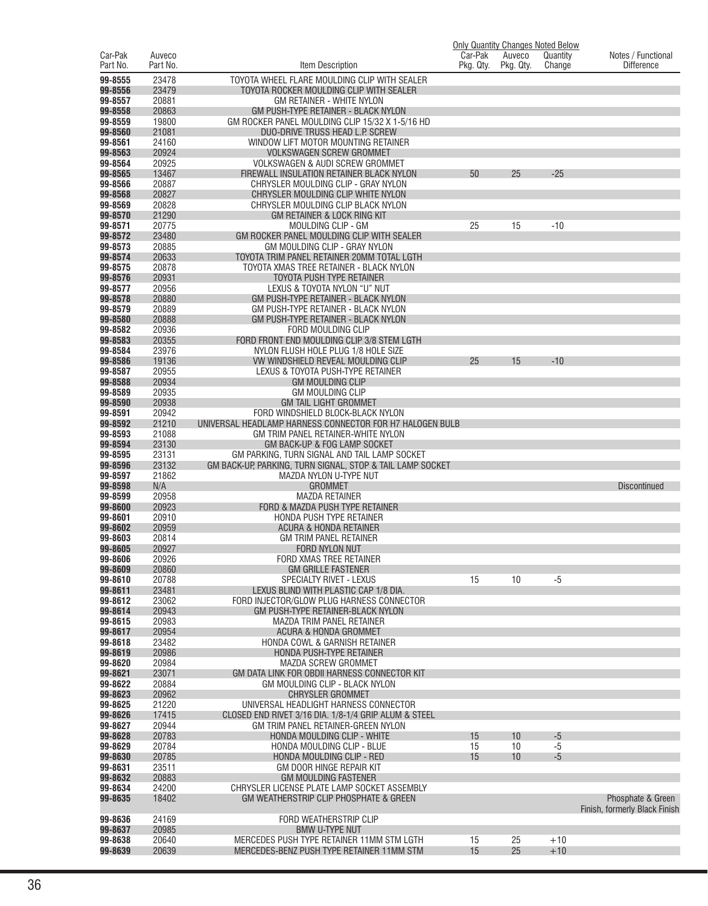|                     |                    |                                                                        |                      |                     | <b>Only Quantity Changes Noted Below</b> |                                         |
|---------------------|--------------------|------------------------------------------------------------------------|----------------------|---------------------|------------------------------------------|-----------------------------------------|
| Car-Pak<br>Part No. | Auveco<br>Part No. | Item Description                                                       | Car-Pak<br>Pkg. Qty. | Auveco<br>Pkg. Qty. | Quantity<br>Change                       | Notes / Functional<br><b>Difference</b> |
| 99-8555             | 23478              | TOYOTA WHEEL FLARE MOULDING CLIP WITH SEALER                           |                      |                     |                                          |                                         |
| 99-8556             | 23479              | TOYOTA ROCKER MOULDING CLIP WITH SEALER                                |                      |                     |                                          |                                         |
| 99-8557             | 20881              | GM RETAINER - WHITE NYLON                                              |                      |                     |                                          |                                         |
| 99-8558             | 20863              | <b>GM PUSH-TYPE RETAINER - BLACK NYLON</b>                             |                      |                     |                                          |                                         |
| 99-8559             | 19800              | GM ROCKER PANEL MOULDING CLIP 15/32 X 1-5/16 HD                        |                      |                     |                                          |                                         |
| 99-8560             | 21081              | DUO-DRIVE TRUSS HEAD L.P. SCREW                                        |                      |                     |                                          |                                         |
| 99-8561<br>99-8563  | 24160<br>20924     | WINDOW LIFT MOTOR MOUNTING RETAINER<br><b>VOLKSWAGEN SCREW GROMMET</b> |                      |                     |                                          |                                         |
| 99-8564             | 20925              | VOLKSWAGEN & AUDI SCREW GROMMET                                        |                      |                     |                                          |                                         |
| 99-8565             | 13467              | FIREWALL INSULATION RETAINER BLACK NYLON                               | 50                   | 25                  | $-25$                                    |                                         |
| 99-8566             | 20887              | CHRYSLER MOULDING CLIP - GRAY NYLON                                    |                      |                     |                                          |                                         |
| 99-8568             | 20827              | CHRYSLER MOULDING CLIP WHITE NYLON                                     |                      |                     |                                          |                                         |
| 99-8569             | 20828              | CHRYSLER MOULDING CLIP BLACK NYLON                                     |                      |                     |                                          |                                         |
| 99-8570             | 21290              | GM RETAINER & LOCK RING KIT                                            |                      |                     |                                          |                                         |
| 99-8571<br>99-8572  | 20775<br>23480     | MOULDING CLIP - GM<br>GM ROCKER PANEL MOULDING CLIP WITH SEALER        | 25                   | 15                  | $-10$                                    |                                         |
| 99-8573             | 20885              | GM MOULDING CLIP - GRAY NYLON                                          |                      |                     |                                          |                                         |
| 99-8574             | 20633              | TOYOTA TRIM PANEL RETAINER 20MM TOTAL LGTH                             |                      |                     |                                          |                                         |
| 99-8575             | 20878              | TOYOTA XMAS TREE RETAINER - BLACK NYLON                                |                      |                     |                                          |                                         |
| 99-8576             | 20931              | TOYOTA PUSH TYPE RETAINER                                              |                      |                     |                                          |                                         |
| 99-8577             | 20956              | LEXUS & TOYOTA NYLON "U" NUT                                           |                      |                     |                                          |                                         |
| 99-8578             | 20880              | GM PUSH-TYPE RETAINER - BLACK NYLON                                    |                      |                     |                                          |                                         |
| 99-8579             | 20889              | GM PUSH-TYPE RETAINER - BLACK NYLON                                    |                      |                     |                                          |                                         |
| 99-8580<br>99-8582  | 20888<br>20936     | GM PUSH-TYPE RETAINER - BLACK NYLON<br>FORD MOULDING CLIP              |                      |                     |                                          |                                         |
| 99-8583             | 20355              | FORD FRONT END MOULDING CLIP 3/8 STEM LGTH                             |                      |                     |                                          |                                         |
| 99-8584             | 23976              | NYLON FLUSH HOLE PLUG 1/8 HOLE SIZE                                    |                      |                     |                                          |                                         |
| 99-8586             | 19136              | VW WINDSHIELD REVEAL MOULDING CLIP                                     | 25                   | 15                  | $-10$                                    |                                         |
| 99-8587             | 20955              | LEXUS & TOYOTA PUSH-TYPE RETAINER                                      |                      |                     |                                          |                                         |
| 99-8588             | 20934              | <b>GM MOULDING CLIP</b>                                                |                      |                     |                                          |                                         |
| 99-8589             | 20935              | <b>GM MOULDING CLIP</b>                                                |                      |                     |                                          |                                         |
| 99-8590<br>99-8591  | 20938<br>20942     | <b>GM TAIL LIGHT GROMMET</b><br>FORD WINDSHIELD BLOCK-BLACK NYLON      |                      |                     |                                          |                                         |
| 99-8592             | 21210              | UNIVERSAL HEADLAMP HARNESS CONNECTOR FOR H7 HALOGEN BULB               |                      |                     |                                          |                                         |
| 99-8593             | 21088              | GM TRIM PANEL RETAINER-WHITE NYLON                                     |                      |                     |                                          |                                         |
| 99-8594             | 23130              | GM BACK-UP & FOG LAMP SOCKET                                           |                      |                     |                                          |                                         |
| 99-8595             | 23131              | GM PARKING, TURN SIGNAL AND TAIL LAMP SOCKET                           |                      |                     |                                          |                                         |
| 99-8596             | 23132              | GM BACK-UP, PARKING, TURN SIGNAL, STOP & TAIL LAMP SOCKET              |                      |                     |                                          |                                         |
| 99-8597             | 21862              | MAZDA NYLON U-TYPE NUT                                                 |                      |                     |                                          |                                         |
| 99-8598<br>99-8599  | N/A                | <b>GROMMET</b><br><b>MAZDA RETAINER</b>                                |                      |                     |                                          | Discontinued                            |
| 99-8600             | 20958<br>20923     | FORD & MAZDA PUSH TYPE RETAINER                                        |                      |                     |                                          |                                         |
| 99-8601             | 20910              | <b>HONDA PUSH TYPE RETAINER</b>                                        |                      |                     |                                          |                                         |
| 99-8602             | 20959              | ACURA & HONDA RETAINER                                                 |                      |                     |                                          |                                         |
| 99-8603             | 20814              | <b>GM TRIM PANEL RETAINER</b>                                          |                      |                     |                                          |                                         |
| 99-8605             | 20927              | FORD NYLON NUT                                                         |                      |                     |                                          |                                         |
| 99-8606             | 20926              | FORD XMAS TREE RETAINER                                                |                      |                     |                                          |                                         |
| 99-8609<br>99-8610  | 20860<br>20788     | <b>GM GRILLE FASTENER</b><br>SPECIALTY RIVET - LEXUS                   | 15                   | 10                  | $-5$                                     |                                         |
| 99-8611             | 23481              | LEXUS BLIND WITH PLASTIC CAP 1/8 DIA.                                  |                      |                     |                                          |                                         |
| 99-8612             | 23062              | FORD INJECTOR/GLOW PLUG HARNESS CONNECTOR                              |                      |                     |                                          |                                         |
| 99-8614             | 20943              | GM PUSH-TYPE RETAINER-BLACK NYLON                                      |                      |                     |                                          |                                         |
| 99-8615             | 20983              | MAZDA TRIM PANEL RETAINER                                              |                      |                     |                                          |                                         |
| 99-8617             | 20954              | <b>ACURA &amp; HONDA GROMMET</b>                                       |                      |                     |                                          |                                         |
| 99-8618<br>99-8619  | 23482<br>20986     | HONDA COWL & GARNISH RETAINER                                          |                      |                     |                                          |                                         |
| 99-8620             | 20984              | HONDA PUSH-TYPE RETAINER<br>MAZDA SCREW GROMMET                        |                      |                     |                                          |                                         |
| 99-8621             | 23071              | GM DATA LINK FOR OBDII HARNESS CONNECTOR KIT                           |                      |                     |                                          |                                         |
| 99-8622             | 20884              | GM MOULDING CLIP - BLACK NYLON                                         |                      |                     |                                          |                                         |
| 99-8623             | 20962              | <b>CHRYSLER GROMMET</b>                                                |                      |                     |                                          |                                         |
| 99-8625             | 21220              | UNIVERSAL HEADLIGHT HARNESS CONNECTOR                                  |                      |                     |                                          |                                         |
| 99-8626             | 17415              | CLOSED END RIVET 3/16 DIA. 1/8-1/4 GRIP ALUM & STEEL                   |                      |                     |                                          |                                         |
| 99-8627<br>99-8628  | 20944<br>20783     | GM TRIM PANEL RETAINER-GREEN NYLON<br>HONDA MOULDING CLIP - WHITE      | 15                   | 10                  | $-5$                                     |                                         |
| 99-8629             | 20784              | HONDA MOULDING CLIP - BLUE                                             | 15                   | 10                  | $-5$                                     |                                         |
| 99-8630             | 20785              | HONDA MOULDING CLIP - RED                                              | 15                   | 10                  | $-5$                                     |                                         |
| 99-8631             | 23511              | GM DOOR HINGE REPAIR KIT                                               |                      |                     |                                          |                                         |
| 99-8632             | 20883              | <b>GM MOULDING FASTENER</b>                                            |                      |                     |                                          |                                         |
| 99-8634             | 24200              | CHRYSLER LICENSE PLATE LAMP SOCKET ASSEMBLY                            |                      |                     |                                          |                                         |
| 99-8635             | 18402              | GM WEATHERSTRIP CLIP PHOSPHATE & GREEN                                 |                      |                     |                                          | Phosphate & Green                       |
| 99-8636             | 24169              | FORD WEATHERSTRIP CLIP                                                 |                      |                     |                                          | Finish, formerly Black Finish           |
| 99-8637             | 20985              | <b>BMW U-TYPE NUT</b>                                                  |                      |                     |                                          |                                         |
| 99-8638             | 20640              | MERCEDES PUSH TYPE RETAINER 11MM STM LGTH                              | 15                   | 25                  | $+10$                                    |                                         |
| 99-8639             | 20639              | MERCEDES-BENZ PUSH TYPE RETAINER 11MM STM                              | 15                   | 25                  | $+10$                                    |                                         |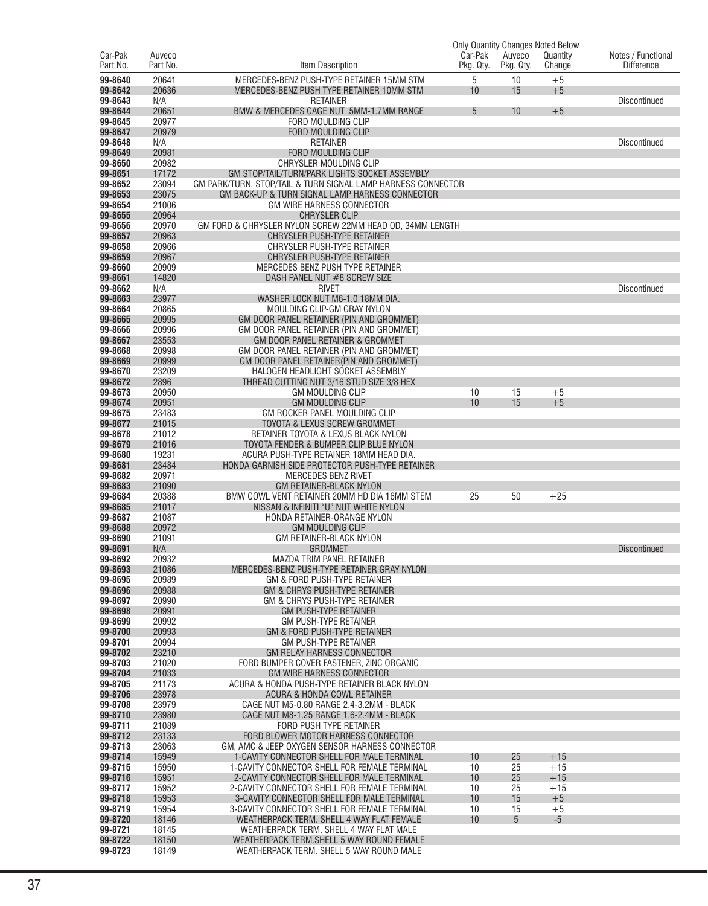|                     |                    |                                                                                            |                      |                     | <b>Only Quantity Changes Noted Below</b> |                                         |
|---------------------|--------------------|--------------------------------------------------------------------------------------------|----------------------|---------------------|------------------------------------------|-----------------------------------------|
| Car-Pak<br>Part No. | Auveco<br>Part No. | Item Description                                                                           | Car-Pak<br>Pkg. Qty. | Auveco<br>Pkg. Qty. | Quantity<br>Change                       | Notes / Functional<br><b>Difference</b> |
|                     |                    |                                                                                            |                      |                     |                                          |                                         |
| 99-8640             | 20641              | MERCEDES-BENZ PUSH-TYPE RETAINER 15MM STM                                                  | 5                    | 10                  | $+5$                                     |                                         |
| 99-8642             | 20636              | MERCEDES-BENZ PUSH TYPE RETAINER 10MM STM                                                  | 10                   | 15                  | $+5$                                     |                                         |
| 99-8643<br>99-8644  | N/A<br>20651       | <b>RETAINER</b><br>BMW & MERCEDES CAGE NUT .5MM-1.7MM RANGE                                | 5                    | 10                  | $+5$                                     | <b>Discontinued</b>                     |
| 99-8645             | 20977              | FORD MOULDING CLIP                                                                         |                      |                     |                                          |                                         |
| 99-8647             | 20979              | FORD MOULDING CLIP                                                                         |                      |                     |                                          |                                         |
| 99-8648             | N/A                | <b>RETAINER</b>                                                                            |                      |                     |                                          | <b>Discontinued</b>                     |
| 99-8649             | 20981              | <b>FORD MOULDING CLIP</b>                                                                  |                      |                     |                                          |                                         |
| 99-8650             | 20982              | CHRYSLER MOULDING CLIP                                                                     |                      |                     |                                          |                                         |
| 99-8651             | 17172              | GM STOP/TAIL/TURN/PARK LIGHTS SOCKET ASSEMBLY                                              |                      |                     |                                          |                                         |
| 99-8652             | 23094              | GM PARK/TURN, STOP/TAIL & TURN SIGNAL LAMP HARNESS CONNECTOR                               |                      |                     |                                          |                                         |
| 99-8653             | 23075              | GM BACK-UP & TURN SIGNAL LAMP HARNESS CONNECTOR                                            |                      |                     |                                          |                                         |
| 99-8654<br>99-8655  | 21006<br>20964     | <b>GM WIRE HARNESS CONNECTOR</b><br><b>CHRYSLER CLIP</b>                                   |                      |                     |                                          |                                         |
| 99-8656             | 20970              | GM FORD & CHRYSLER NYLON SCREW 22MM HEAD OD, 34MM LENGTH                                   |                      |                     |                                          |                                         |
| 99-8657             | 20963              | CHRYSLER PUSH-TYPE RETAINER                                                                |                      |                     |                                          |                                         |
| 99-8658             | 20966              | CHRYSLER PUSH-TYPE RETAINER                                                                |                      |                     |                                          |                                         |
| 99-8659             | 20967              | CHRYSLER PUSH-TYPE RETAINER                                                                |                      |                     |                                          |                                         |
| 99-8660             | 20909              | MERCEDES BENZ PUSH TYPE RETAINER                                                           |                      |                     |                                          |                                         |
| 99-8661             | 14820              | DASH PANEL NUT #8 SCREW SIZE                                                               |                      |                     |                                          |                                         |
| 99-8662             | N/A                | <b>RIVET</b>                                                                               |                      |                     |                                          | <b>Discontinued</b>                     |
| 99-8663             | 23977              | WASHER LOCK NUT M6-1.0 18MM DIA.                                                           |                      |                     |                                          |                                         |
| 99-8664             | 20865              | MOULDING CLIP-GM GRAY NYLON                                                                |                      |                     |                                          |                                         |
| 99-8665             | 20995              | GM DOOR PANEL RETAINER (PIN AND GROMMET)                                                   |                      |                     |                                          |                                         |
| 99-8666<br>99-8667  | 20996              | GM DOOR PANEL RETAINER (PIN AND GROMMET)                                                   |                      |                     |                                          |                                         |
| 99-8668             | 23553<br>20998     | GM DOOR PANEL RETAINER & GROMMET<br>GM DOOR PANEL RETAINER (PIN AND GROMMET)               |                      |                     |                                          |                                         |
| 99-8669             | 20999              | GM DOOR PANEL RETAINER (PIN AND GROMMET)                                                   |                      |                     |                                          |                                         |
| 99-8670             | 23209              | HALOGEN HEADLIGHT SOCKET ASSEMBLY                                                          |                      |                     |                                          |                                         |
| 99-8672             | 2896               | THREAD CUTTING NUT 3/16 STUD SIZE 3/8 HEX                                                  |                      |                     |                                          |                                         |
| 99-8673             | 20950              | <b>GM MOULDING CLIP</b>                                                                    | 10                   | 15                  | $+5$                                     |                                         |
| 99-8674             | 20951              | <b>GM MOULDING CLIP</b>                                                                    | 10                   | 15                  | $+5$                                     |                                         |
| 99-8675             | 23483              | GM ROCKER PANEL MOULDING CLIP                                                              |                      |                     |                                          |                                         |
| 99-8677             | 21015              | TOYOTA & LEXUS SCREW GROMMET                                                               |                      |                     |                                          |                                         |
| 99-8678             | 21012              | RETAINER TOYOTA & LEXUS BLACK NYLON                                                        |                      |                     |                                          |                                         |
| 99-8679<br>99-8680  | 21016<br>19231     | TOYOTA FENDER & BUMPER CLIP BLUE NYLON                                                     |                      |                     |                                          |                                         |
| 99-8681             | 23484              | ACURA PUSH-TYPE RETAINER 18MM HEAD DIA.<br>HONDA GARNISH SIDE PROTECTOR PUSH-TYPE RETAINER |                      |                     |                                          |                                         |
| 99-8682             | 20971              | MERCEDES BENZ RIVET                                                                        |                      |                     |                                          |                                         |
| 99-8683             | 21090              | <b>GM RETAINER-BLACK NYLON</b>                                                             |                      |                     |                                          |                                         |
| 99-8684             | 20388              | BMW COWL VENT RETAINER 20MM HD DIA 16MM STEM                                               | 25                   | 50                  | $+25$                                    |                                         |
| 99-8685             | 21017              | NISSAN & INFINITI "U" NUT WHITE NYLON                                                      |                      |                     |                                          |                                         |
| 99-8687             | 21087              | HONDA RETAINER-ORANGE NYLON                                                                |                      |                     |                                          |                                         |
| 99-8688             | 20972              | <b>GM MOULDING CLIP</b>                                                                    |                      |                     |                                          |                                         |
| 99-8690             | 21091              | <b>GM RETAINER-BLACK NYLON</b>                                                             |                      |                     |                                          |                                         |
| 99-8691<br>99-8692  | N/A<br>20932       | <b>GROMMET</b><br>MAZDA TRIM PANEL RETAINER                                                |                      |                     |                                          | <b>Discontinued</b>                     |
| 99-8693             | 21086              | MERCEDES-BENZ PUSH-TYPE RETAINER GRAY NYLON                                                |                      |                     |                                          |                                         |
| 99-8695             | 20989              | GM & FORD PUSH-TYPE RETAINER                                                               |                      |                     |                                          |                                         |
| 99-8696             | 20988              | GM & CHRYS PUSH-TYPE RETAINER                                                              |                      |                     |                                          |                                         |
| 99-8697             | 20990              | GM & CHRYS PUSH-TYPE RETAINER                                                              |                      |                     |                                          |                                         |
| 99-8698             | 20991              | <b>GM PUSH-TYPE RETAINER</b>                                                               |                      |                     |                                          |                                         |
| 99-8699             | 20992              | <b>GM PUSH-TYPE RETAINER</b>                                                               |                      |                     |                                          |                                         |
| 99-8700             | 20993              | GM & FORD PUSH-TYPE RETAINER                                                               |                      |                     |                                          |                                         |
| 99-8701<br>99-8702  | 20994              | <b>GM PUSH-TYPE RETAINER</b><br><b>GM RELAY HARNESS CONNECTOR</b>                          |                      |                     |                                          |                                         |
| 99-8703             | 23210<br>21020     | FORD BUMPER COVER FASTENER, ZINC ORGANIC                                                   |                      |                     |                                          |                                         |
| 99-8704             | 21033              | <b>GM WIRE HARNESS CONNECTOR</b>                                                           |                      |                     |                                          |                                         |
| 99-8705             | 21173              | ACURA & HONDA PUSH-TYPE RETAINER BLACK NYLON                                               |                      |                     |                                          |                                         |
| 99-8706             | 23978              | ACURA & HONDA COWL RETAINER                                                                |                      |                     |                                          |                                         |
| 99-8708             | 23979              | CAGE NUT M5-0.80 RANGE 2.4-3.2MM - BLACK                                                   |                      |                     |                                          |                                         |
| 99-8710             | 23980              | CAGE NUT M8-1.25 RANGE 1.6-2.4MM - BLACK                                                   |                      |                     |                                          |                                         |
| 99-8711             | 21089              | FORD PUSH TYPE RETAINER                                                                    |                      |                     |                                          |                                         |
| 99-8712             | 23133              | FORD BLOWER MOTOR HARNESS CONNECTOR                                                        |                      |                     |                                          |                                         |
| 99-8713             | 23063              | GM, AMC & JEEP OXYGEN SENSOR HARNESS CONNECTOR                                             |                      |                     |                                          |                                         |
| 99-8714<br>99-8715  | 15949              | 1-CAVITY CONNECTOR SHELL FOR MALE TERMINAL                                                 | 10                   | 25<br>25            | $+15$<br>$+15$                           |                                         |
| 99-8716             | 15950<br>15951     | 1-CAVITY CONNECTOR SHELL FOR FEMALE TERMINAL<br>2-CAVITY CONNECTOR SHELL FOR MALE TERMINAL | 10<br>10             | 25                  | $+15$                                    |                                         |
| 99-8717             | 15952              | 2-CAVITY CONNECTOR SHELL FOR FEMALE TERMINAL                                               | 10                   | 25                  | $+15$                                    |                                         |
| 99-8718             | 15953              | 3-CAVITY CONNECTOR SHELL FOR MALE TERMINAL                                                 | 10                   | 15                  | $+5$                                     |                                         |
| 99-8719             | 15954              | 3-CAVITY CONNECTOR SHELL FOR FEMALE TERMINAL                                               | 10                   | 15                  | $+5$                                     |                                         |
| 99-8720             | 18146              | WEATHERPACK TERM. SHELL 4 WAY FLAT FEMALE                                                  | 10                   | 5                   | $-5$                                     |                                         |
| 99-8721             | 18145              | WEATHERPACK TERM. SHELL 4 WAY FLAT MALE                                                    |                      |                     |                                          |                                         |
| 99-8722             | 18150              | WEATHERPACK TERM.SHELL 5 WAY ROUND FEMALE                                                  |                      |                     |                                          |                                         |
| 99-8723             | 18149              | WEATHERPACK TERM. SHELL 5 WAY ROUND MALE                                                   |                      |                     |                                          |                                         |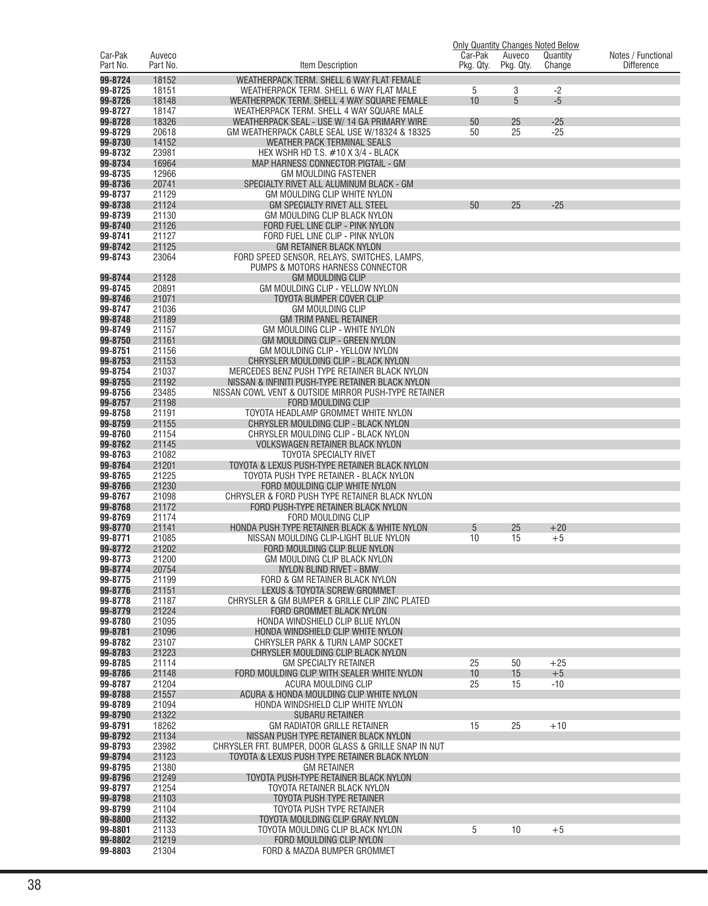|                     |                    |                                                                                                        | Car-Pak   |                     | <b>Only Quantity Changes Noted Below</b> |                                         |
|---------------------|--------------------|--------------------------------------------------------------------------------------------------------|-----------|---------------------|------------------------------------------|-----------------------------------------|
| Car-Pak<br>Part No. | Auveco<br>Part No. | Item Description                                                                                       | Pkg. Qty. | Auveco<br>Pkg. Qty. | Quantity<br>Change                       | Notes / Functional<br><b>Difference</b> |
| 99-8724             | 18152              | WEATHERPACK TERM. SHELL 6 WAY FLAT FEMALE                                                              |           |                     |                                          |                                         |
| 99-8725             | 18151              | WEATHERPACK TERM. SHELL 6 WAY FLAT MALE                                                                | 5         | 3                   | $-2$                                     |                                         |
| 99-8726             | 18148              | WEATHERPACK TERM. SHELL 4 WAY SQUARE FEMALE                                                            | 10        | 5                   | $-5$                                     |                                         |
| 99-8727             | 18147              | WEATHERPACK TERM. SHELL 4 WAY SQUARE MALE                                                              |           |                     |                                          |                                         |
| 99-8728             | 18326              | WEATHERPACK SEAL - USE W/ 14 GA PRIMARY WIRE                                                           | 50        | 25                  | $-25$                                    |                                         |
| 99-8729             | 20618              | GM WEATHERPACK CABLE SEAL USE W/18324 & 18325                                                          | 50        | 25                  | $-25$                                    |                                         |
| 99-8730<br>99-8732  | 14152<br>23981     | WEATHER PACK TERMINAL SEALS<br>HEX WSHR HD T.S. #10 X 3/4 - BLACK                                      |           |                     |                                          |                                         |
| 99-8734             | 16964              | MAP HARNESS CONNECTOR PIGTAIL - GM                                                                     |           |                     |                                          |                                         |
| 99-8735             | 12966              | <b>GM MOULDING FASTENER</b>                                                                            |           |                     |                                          |                                         |
| 99-8736             | 20741              | SPECIALTY RIVET ALL ALUMINUM BLACK - GM                                                                |           |                     |                                          |                                         |
| 99-8737             | 21129              | GM MOULDING CLIP WHITE NYLON                                                                           |           |                     |                                          |                                         |
| 99-8738             | 21124              | <b>GM SPECIALTY RIVET ALL STEEL</b>                                                                    | 50        | 25                  | $-25$                                    |                                         |
| 99-8739<br>99-8740  | 21130<br>21126     | GM MOULDING CLIP BLACK NYLON<br>FORD FUEL LINE CLIP - PINK NYLON                                       |           |                     |                                          |                                         |
| 99-8741             | 21127              | FORD FUEL LINE CLIP - PINK NYLON                                                                       |           |                     |                                          |                                         |
| 99-8742             | 21125              | <b>GM RETAINER BLACK NYLON</b>                                                                         |           |                     |                                          |                                         |
| 99-8743             | 23064              | FORD SPEED SENSOR, RELAYS, SWITCHES, LAMPS,                                                            |           |                     |                                          |                                         |
|                     |                    | PUMPS & MOTORS HARNESS CONNECTOR                                                                       |           |                     |                                          |                                         |
| 99-8744             | 21128              | <b>GM MOULDING CLIP</b>                                                                                |           |                     |                                          |                                         |
| 99-8745             | 20891              | GM MOULDING CLIP - YELLOW NYLON                                                                        |           |                     |                                          |                                         |
| 99-8746<br>99-8747  | 21071<br>21036     | TOYOTA BUMPER COVER CLIP<br><b>GM MOULDING CLIP</b>                                                    |           |                     |                                          |                                         |
| 99-8748             | 21189              | <b>GM TRIM PANEL RETAINER</b>                                                                          |           |                     |                                          |                                         |
| 99-8749             | 21157              | GM MOULDING CLIP - WHITE NYLON                                                                         |           |                     |                                          |                                         |
| 99-8750             | 21161              | GM MOULDING CLIP - GREEN NYLON                                                                         |           |                     |                                          |                                         |
| 99-8751             | 21156              | GM MOULDING CLIP - YELLOW NYLON                                                                        |           |                     |                                          |                                         |
| 99-8753             | 21153              | CHRYSLER MOULDING CLIP - BLACK NYLON                                                                   |           |                     |                                          |                                         |
| 99-8754<br>99-8755  | 21037<br>21192     | MERCEDES BENZ PUSH TYPE RETAINER BLACK NYLON<br>NISSAN & INFINITI PUSH-TYPE RETAINER BLACK NYLON       |           |                     |                                          |                                         |
| 99-8756             | 23485              | NISSAN COWL VENT & OUTSIDE MIRROR PUSH-TYPE RETAINER                                                   |           |                     |                                          |                                         |
| 99-8757             | 21198              | <b>FORD MOULDING CLIP</b>                                                                              |           |                     |                                          |                                         |
| 99-8758             | 21191              | TOYOTA HEADLAMP GROMMET WHITE NYLON                                                                    |           |                     |                                          |                                         |
| 99-8759             | 21155              | CHRYSLER MOULDING CLIP - BLACK NYLON                                                                   |           |                     |                                          |                                         |
| 99-8760             | 21154              | CHRYSLER MOULDING CLIP - BLACK NYLON                                                                   |           |                     |                                          |                                         |
| 99-8762             | 21145              | <b>VOLKSWAGEN RETAINER BLACK NYLON</b>                                                                 |           |                     |                                          |                                         |
| 99-8763<br>99-8764  | 21082<br>21201     | <b>TOYOTA SPECIALTY RIVET</b><br>TOYOTA & LEXUS PUSH-TYPE RETAINER BLACK NYLON                         |           |                     |                                          |                                         |
| 99-8765             | 21225              | TOYOTA PUSH TYPE RETAINER - BLACK NYLON                                                                |           |                     |                                          |                                         |
| 99-8766             | 21230              | FORD MOULDING CLIP WHITE NYLON                                                                         |           |                     |                                          |                                         |
| 99-8767             | 21098              | CHRYSLER & FORD PUSH TYPE RETAINER BLACK NYLON                                                         |           |                     |                                          |                                         |
| 99-8768             | 21172              | FORD PUSH-TYPE RETAINER BLACK NYLON                                                                    |           |                     |                                          |                                         |
| 99-8769<br>99-8770  | 21174<br>21141     | FORD MOULDING CLIP<br>HONDA PUSH TYPE RETAINER BLACK & WHITE NYLON                                     | 5         | 25                  | $+20$                                    |                                         |
| 99-8771             | 21085              | NISSAN MOULDING CLIP-LIGHT BLUE NYLON                                                                  | 10        | 15                  | $+5$                                     |                                         |
| 99-8772             | 21202              | FORD MOULDING CLIP BLUE NYLON                                                                          |           |                     |                                          |                                         |
| 99-8773             | 21200              | GM MOULDING CLIP BLACK NYLON                                                                           |           |                     |                                          |                                         |
| 99-8774             | 20754              | NYLON BLIND RIVET - BMW                                                                                |           |                     |                                          |                                         |
| 99-8775             | 21199              | FORD & GM RETAINER BLACK NYLON                                                                         |           |                     |                                          |                                         |
| 99-8776             | 21151              | LEXUS & TOYOTA SCREW GROMMET                                                                           |           |                     |                                          |                                         |
| 99-8778<br>99-8779  | 21187<br>21224     | CHRYSLER & GM BUMPER & GRILLE CLIP ZINC PLATED<br>FORD GROMMET BLACK NYLON                             |           |                     |                                          |                                         |
| 99-8780             | 21095              | HONDA WINDSHIELD CLIP BLUE NYLON                                                                       |           |                     |                                          |                                         |
| 99-8781             | 21096              | HONDA WINDSHIELD CLIP WHITE NYLON                                                                      |           |                     |                                          |                                         |
| 99-8782             | 23107              | CHRYSLER PARK & TURN LAMP SOCKET                                                                       |           |                     |                                          |                                         |
| 99-8783             | 21223              | CHRYSLER MOULDING CLIP BLACK NYLON                                                                     |           |                     |                                          |                                         |
| 99-8785<br>99-8786  | 21114<br>21148     | <b>GM SPECIALTY RETAINER</b><br>FORD MOULDING CLIP WITH SEALER WHITE NYLON                             | 25<br>10  | 50<br>15            | $+25$<br>$+5$                            |                                         |
| 99-8787             | 21204              | ACURA MOULDING CLIP                                                                                    | 25        | 15                  | $-10$                                    |                                         |
| 99-8788             | 21557              | ACURA & HONDA MOULDING CLIP WHITE NYLON                                                                |           |                     |                                          |                                         |
| 99-8789             | 21094              | HONDA WINDSHIELD CLIP WHITE NYLON                                                                      |           |                     |                                          |                                         |
| 99-8790             | 21322              | <b>SUBARU RETAINER</b>                                                                                 |           |                     |                                          |                                         |
| 99-8791             | 18262              | <b>GM RADIATOR GRILLE RETAINER</b>                                                                     | 15        | 25                  | $+10$                                    |                                         |
| 99-8792             | 21134              | NISSAN PUSH TYPE RETAINER BLACK NYLON                                                                  |           |                     |                                          |                                         |
| 99-8793<br>99-8794  | 23982<br>21123     | CHRYSLER FRT. BUMPER, DOOR GLASS & GRILLE SNAP IN NUT<br>TOYOTA & LEXUS PUSH TYPE RETAINER BLACK NYLON |           |                     |                                          |                                         |
| 99-8795             | 21380              | <b>GM RETAINER</b>                                                                                     |           |                     |                                          |                                         |
| 99-8796             | 21249              | TOYOTA PUSH-TYPE RETAINER BLACK NYLON                                                                  |           |                     |                                          |                                         |
| 99-8797             | 21254              | TOYOTA RETAINER BLACK NYLON                                                                            |           |                     |                                          |                                         |
| 99-8798             | 21103              | TOYOTA PUSH TYPE RETAINER                                                                              |           |                     |                                          |                                         |
| 99-8799             | 21104              | TOYOTA PUSH TYPE RETAINER                                                                              |           |                     |                                          |                                         |
| 99-8800<br>99-8801  | 21132<br>21133     | TOYOTA MOULDING CLIP GRAY NYLON<br>TOYOTA MOULDING CLIP BLACK NYLON                                    | 5         | 10                  | $+5$                                     |                                         |
| 99-8802             | 21219              | FORD MOULDING CLIP NYLON                                                                               |           |                     |                                          |                                         |
| 99-8803             | 21304              | FORD & MAZDA BUMPER GROMMET                                                                            |           |                     |                                          |                                         |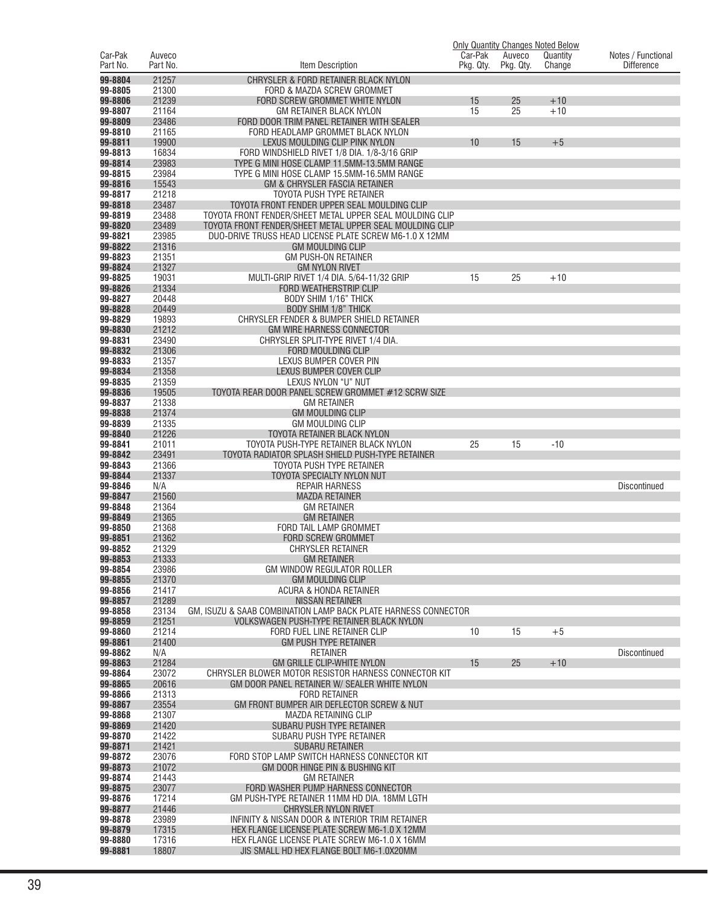|                     |                    |                                                                             |                      |                     | <b>Only Quantity Changes Noted Below</b> |                                         |
|---------------------|--------------------|-----------------------------------------------------------------------------|----------------------|---------------------|------------------------------------------|-----------------------------------------|
| Car-Pak<br>Part No. | Auveco<br>Part No. | Item Description                                                            | Car-Pak<br>Pkg. Qty. | Auveco<br>Pkg. Qty. | Quantity<br>Change                       | Notes / Functional<br><b>Difference</b> |
| 99-8804             | 21257              |                                                                             |                      |                     |                                          |                                         |
| 99-8805             | 21300              | CHRYSLER & FORD RETAINER BLACK NYLON<br>FORD & MAZDA SCREW GROMMET          |                      |                     |                                          |                                         |
| 99-8806             | 21239              | FORD SCREW GROMMET WHITE NYLON                                              | 15                   | 25                  | $+10$                                    |                                         |
| 99-8807             | 21164              | <b>GM RETAINER BLACK NYLON</b>                                              | 15                   | 25                  | $+10$                                    |                                         |
| 99-8809             | 23486              | FORD DOOR TRIM PANEL RETAINER WITH SEALER                                   |                      |                     |                                          |                                         |
| 99-8810             | 21165              | FORD HEADLAMP GROMMET BLACK NYLON                                           |                      |                     |                                          |                                         |
| 99-8811             | 19900              | LEXUS MOULDING CLIP PINK NYLON                                              | 10                   | 15                  | $+5$                                     |                                         |
| 99-8813             | 16834              | FORD WINDSHIELD RIVET 1/8 DIA. 1/8-3/16 GRIP                                |                      |                     |                                          |                                         |
| 99-8814             | 23983              | TYPE G MINI HOSE CLAMP 11.5MM-13.5MM RANGE                                  |                      |                     |                                          |                                         |
| 99-8815<br>99-8816  | 23984<br>15543     | TYPE G MINI HOSE CLAMP 15.5MM-16.5MM RANGE<br>GM & CHRYSLER FASCIA RETAINER |                      |                     |                                          |                                         |
| 99-8817             | 21218              | TOYOTA PUSH TYPE RETAINER                                                   |                      |                     |                                          |                                         |
| 99-8818             | 23487              | TOYOTA FRONT FENDER UPPER SEAL MOULDING CLIP                                |                      |                     |                                          |                                         |
| 99-8819             | 23488              | TOYOTA FRONT FENDER/SHEET METAL UPPER SEAL MOULDING CLIP                    |                      |                     |                                          |                                         |
| 99-8820             | 23489              | TOYOTA FRONT FENDER/SHEET METAL UPPER SEAL MOULDING CLIP                    |                      |                     |                                          |                                         |
| 99-8821             | 23985              | DUO-DRIVE TRUSS HEAD LICENSE PLATE SCREW M6-1.0 X 12MM                      |                      |                     |                                          |                                         |
| 99-8822             | 21316              | <b>GM MOULDING CLIP</b>                                                     |                      |                     |                                          |                                         |
| 99-8823             | 21351              | <b>GM PUSH-ON RETAINER</b>                                                  |                      |                     |                                          |                                         |
| 99-8824             | 21327              | <b>GM NYLON RIVET</b>                                                       |                      |                     |                                          |                                         |
| 99-8825<br>99-8826  | 19031<br>21334     | MULTI-GRIP RIVET 1/4 DIA. 5/64-11/32 GRIP<br><b>FORD WEATHERSTRIP CLIP</b>  | 15                   | 25                  | $+10$                                    |                                         |
| 99-8827             | 20448              | <b>BODY SHIM 1/16" THICK</b>                                                |                      |                     |                                          |                                         |
| 99-8828             | 20449              | <b>BODY SHIM 1/8" THICK</b>                                                 |                      |                     |                                          |                                         |
| 99-8829             | 19893              | CHRYSLER FENDER & BUMPER SHIELD RETAINER                                    |                      |                     |                                          |                                         |
| 99-8830             | 21212              | <b>GM WIRE HARNESS CONNECTOR</b>                                            |                      |                     |                                          |                                         |
| 99-8831             | 23490              | CHRYSLER SPLIT-TYPE RIVET 1/4 DIA.                                          |                      |                     |                                          |                                         |
| 99-8832             | 21306              | <b>FORD MOULDING CLIP</b>                                                   |                      |                     |                                          |                                         |
| 99-8833             | 21357              | LEXUS BUMPER COVER PIN                                                      |                      |                     |                                          |                                         |
| 99-8834<br>99-8835  | 21358<br>21359     | LEXUS BUMPER COVER CLIP<br>LEXUS NYLON "U" NUT                              |                      |                     |                                          |                                         |
| 99-8836             | 19505              | TOYOTA REAR DOOR PANEL SCREW GROMMET #12 SCRW SIZE                          |                      |                     |                                          |                                         |
| 99-8837             | 21338              | <b>GM RETAINER</b>                                                          |                      |                     |                                          |                                         |
| 99-8838             | 21374              | <b>GM MOULDING CLIP</b>                                                     |                      |                     |                                          |                                         |
| 99-8839             | 21335              | GM MOULDING CLIP                                                            |                      |                     |                                          |                                         |
| 99-8840             | 21226              | TOYOTA RETAINER BLACK NYLON                                                 |                      |                     |                                          |                                         |
| 99-8841             | 21011              | TOYOTA PUSH-TYPE RETAINER BLACK NYLON                                       | 25                   | 15                  | $-10$                                    |                                         |
| 99-8842             | 23491              | TOYOTA RADIATOR SPLASH SHIELD PUSH-TYPE RETAINER                            |                      |                     |                                          |                                         |
| 99-8843<br>99-8844  | 21366<br>21337     | TOYOTA PUSH TYPE RETAINER<br>TOYOTA SPECIALTY NYLON NUT                     |                      |                     |                                          |                                         |
| 99-8846             | N/A                | <b>REPAIR HARNESS</b>                                                       |                      |                     |                                          | <b>Discontinued</b>                     |
| 99-8847             | 21560              | <b>MAZDA RETAINER</b>                                                       |                      |                     |                                          |                                         |
| 99-8848             | 21364              | <b>GM RETAINER</b>                                                          |                      |                     |                                          |                                         |
| 99-8849             | 21365              | <b>GM RETAINER</b>                                                          |                      |                     |                                          |                                         |
| 99-8850             | 21368              | FORD TAIL LAMP GROMMET                                                      |                      |                     |                                          |                                         |
| 99-8851<br>99-8852  | 21362<br>21329     | <b>FORD SCREW GROMMET</b><br><b>CHRYSLER RETAINER</b>                       |                      |                     |                                          |                                         |
| 99-8853             | 21333              | <b>GM RETAINER</b>                                                          |                      |                     |                                          |                                         |
| 99-8854             | 23986              | GM WINDOW REGULATOR ROLLER                                                  |                      |                     |                                          |                                         |
| 99-8855             | 21370              | <b>GM MOULDING CLIP</b>                                                     |                      |                     |                                          |                                         |
| 99-8856             | 21417              | ACURA & HONDA RETAINER                                                      |                      |                     |                                          |                                         |
| 99-8857             | 21289              | <b>NISSAN RETAINER</b>                                                      |                      |                     |                                          |                                         |
| 99-8858             | 23134              | GM. ISUZU & SAAB COMBINATION LAMP BACK PLATE HARNESS CONNECTOR              |                      |                     |                                          |                                         |
| 99-8859<br>99-8860  | 21251<br>21214     | VOLKSWAGEN PUSH-TYPE RETAINER BLACK NYLON<br>FORD FUEL LINE RETAINER CLIP   | 10                   | 15                  | $+5$                                     |                                         |
| 99-8861             | 21400              | <b>GM PUSH TYPE RETAINER</b>                                                |                      |                     |                                          |                                         |
| 99-8862             | N/A                | <b>RETAINER</b>                                                             |                      |                     |                                          | <b>Discontinued</b>                     |
| 99-8863             | 21284              | GM GRILLE CLIP-WHITE NYLON                                                  | 15                   | 25                  | $+10$                                    |                                         |
| 99-8864             | 23072              | CHRYSLER BLOWER MOTOR RESISTOR HARNESS CONNECTOR KIT                        |                      |                     |                                          |                                         |
| 99-8865             | 20616              | GM DOOR PANEL RETAINER W/ SEALER WHITE NYLON                                |                      |                     |                                          |                                         |
| 99-8866             | 21313              | <b>FORD RETAINER</b>                                                        |                      |                     |                                          |                                         |
| 99-8867<br>99-8868  | 23554<br>21307     | GM FRONT BUMPER AIR DEFLECTOR SCREW & NUT<br><b>MAZDA RETAINING CLIP</b>    |                      |                     |                                          |                                         |
| 99-8869             | 21420              | SUBARU PUSH TYPE RETAINER                                                   |                      |                     |                                          |                                         |
| 99-8870             | 21422              | SUBARU PUSH TYPE RETAINER                                                   |                      |                     |                                          |                                         |
| 99-8871             | 21421              | <b>SUBARU RETAINER</b>                                                      |                      |                     |                                          |                                         |
| 99-8872             | 23076              | FORD STOP LAMP SWITCH HARNESS CONNECTOR KIT                                 |                      |                     |                                          |                                         |
| 99-8873             | 21072              | GM DOOR HINGE PIN & BUSHING KIT                                             |                      |                     |                                          |                                         |
| 99-8874             | 21443              | <b>GM RETAINER</b>                                                          |                      |                     |                                          |                                         |
| 99-8875<br>99-8876  | 23077<br>17214     | FORD WASHER PUMP HARNESS CONNECTOR                                          |                      |                     |                                          |                                         |
| 99-8877             | 21446              | GM PUSH-TYPE RETAINER 11MM HD DIA. 18MM LGTH<br><b>CHRYSLER NYLON RIVET</b> |                      |                     |                                          |                                         |
| 99-8878             | 23989              | INFINITY & NISSAN DOOR & INTERIOR TRIM RETAINER                             |                      |                     |                                          |                                         |
| 99-8879             | 17315              | HEX FLANGE LICENSE PLATE SCREW M6-1.0 X 12MM                                |                      |                     |                                          |                                         |
| 99-8880             | 17316              | HEX FLANGE LICENSE PLATE SCREW M6-1.0 X 16MM                                |                      |                     |                                          |                                         |
| 99-8881             | 18807              | JIS SMALL HD HEX FLANGE BOLT M6-1.0X20MM                                    |                      |                     |                                          |                                         |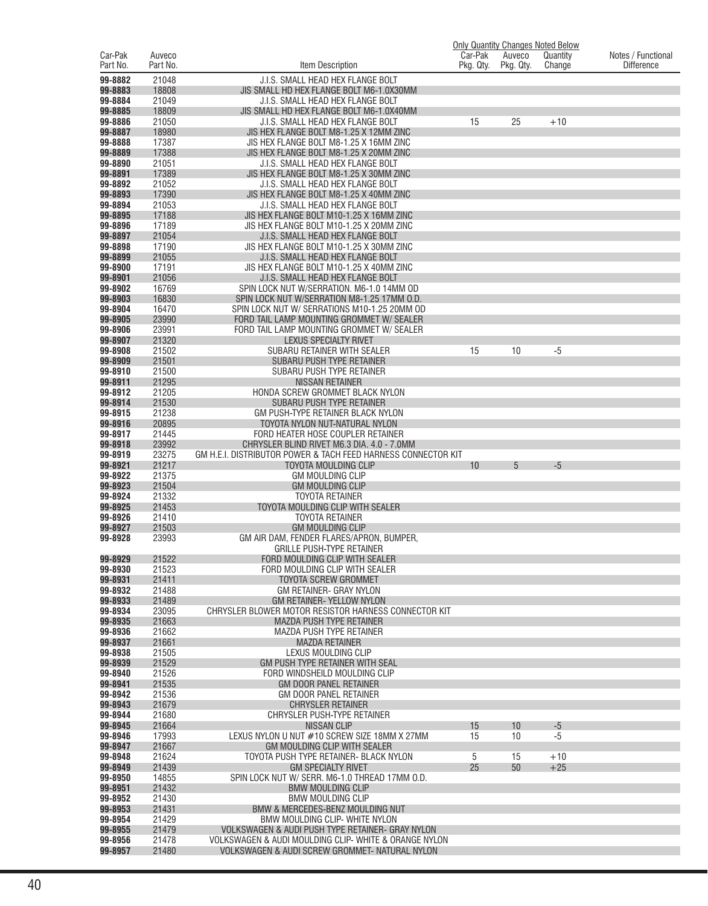|                     |                    |                                                                                    | <b>Only Quantity Changes Noted Below</b> |                     |                    |                                         |
|---------------------|--------------------|------------------------------------------------------------------------------------|------------------------------------------|---------------------|--------------------|-----------------------------------------|
| Car-Pak<br>Part No. | Auveco<br>Part No. | Item Description                                                                   | Car-Pak<br>Pkg. Qty.                     | Auveco<br>Pkg. Qty. | Quantity<br>Change | Notes / Functional<br><b>Difference</b> |
| 99-8882             | 21048              | J.I.S. SMALL HEAD HEX FLANGE BOLT                                                  |                                          |                     |                    |                                         |
| 99-8883             | 18808              | JIS SMALL HD HEX FLANGE BOLT M6-1.0X30MM                                           |                                          |                     |                    |                                         |
| 99-8884             | 21049              | J.I.S. SMALL HEAD HEX FLANGE BOLT                                                  |                                          |                     |                    |                                         |
| 99-8885             | 18809              | JIS SMALL HD HEX FLANGE BOLT M6-1.0X40MM                                           |                                          |                     |                    |                                         |
| 99-8886<br>99-8887  | 21050<br>18980     | J.I.S. SMALL HEAD HEX FLANGE BOLT<br>JIS HEX FLANGE BOLT M8-1.25 X 12MM ZINC       | 15                                       | 25                  | $+10$              |                                         |
| 99-8888             | 17387              | JIS HEX FLANGE BOLT M8-1.25 X 16MM ZINC                                            |                                          |                     |                    |                                         |
| 99-8889             | 17388              | JIS HEX FLANGE BOLT M8-1.25 X 20MM ZINC                                            |                                          |                     |                    |                                         |
| 99-8890             | 21051              | J.I.S. SMALL HEAD HEX FLANGE BOLT                                                  |                                          |                     |                    |                                         |
| 99-8891<br>99-8892  | 17389<br>21052     | JIS HEX FLANGE BOLT M8-1.25 X 30MM ZINC<br>J.I.S. SMALL HEAD HEX FLANGE BOLT       |                                          |                     |                    |                                         |
| 99-8893             | 17390              | JIS HEX FLANGE BOLT M8-1.25 X 40MM ZINC                                            |                                          |                     |                    |                                         |
| 99-8894             | 21053              | J.I.S. SMALL HEAD HEX FLANGE BOLT                                                  |                                          |                     |                    |                                         |
| 99-8895             | 17188              | JIS HEX FLANGE BOLT M10-1.25 X 16MM ZINC                                           |                                          |                     |                    |                                         |
| 99-8896<br>99-8897  | 17189<br>21054     | JIS HEX FLANGE BOLT M10-1.25 X 20MM ZINC<br>J.I.S. SMALL HEAD HEX FLANGE BOLT      |                                          |                     |                    |                                         |
| 99-8898             | 17190              | JIS HEX FLANGE BOLT M10-1.25 X 30MM ZINC                                           |                                          |                     |                    |                                         |
| 99-8899             | 21055              | J.I.S. SMALL HEAD HEX FLANGE BOLT                                                  |                                          |                     |                    |                                         |
| 99-8900             | 17191              | JIS HEX FLANGE BOLT M10-1.25 X 40MM ZINC                                           |                                          |                     |                    |                                         |
| 99-8901<br>99-8902  | 21056<br>16769     | J.I.S. SMALL HEAD HEX FLANGE BOLT<br>SPIN LOCK NUT W/SERRATION. M6-1.0 14MM OD     |                                          |                     |                    |                                         |
| 99-8903             | 16830              | SPIN LOCK NUT W/SERRATION M8-1.25 17MM O.D.                                        |                                          |                     |                    |                                         |
| 99-8904             | 16470              | SPIN LOCK NUT W/ SERRATIONS M10-1.25 20MM OD                                       |                                          |                     |                    |                                         |
| 99-8905             | 23990              | FORD TAIL LAMP MOUNTING GROMMET W/ SEALER                                          |                                          |                     |                    |                                         |
| 99-8906<br>99-8907  | 23991<br>21320     | FORD TAIL LAMP MOUNTING GROMMET W/ SEALER<br><b>LEXUS SPECIALTY RIVET</b>          |                                          |                     |                    |                                         |
| 99-8908             | 21502              | SUBARU RETAINER WITH SEALER                                                        | 15                                       | 10                  | $-5$               |                                         |
| 99-8909             | 21501              | SUBARU PUSH TYPE RETAINER                                                          |                                          |                     |                    |                                         |
| 99-8910             | 21500              | SUBARU PUSH TYPE RETAINER                                                          |                                          |                     |                    |                                         |
| 99-8911<br>99-8912  | 21295<br>21205     | <b>NISSAN RETAINER</b><br>HONDA SCREW GROMMET BLACK NYLON                          |                                          |                     |                    |                                         |
| 99-8914             | 21530              | SUBARU PUSH TYPE RETAINER                                                          |                                          |                     |                    |                                         |
| 99-8915             | 21238              | GM PUSH-TYPE RETAINER BLACK NYLON                                                  |                                          |                     |                    |                                         |
| 99-8916             | 20895              | TOYOTA NYLON NUT-NATURAL NYLON                                                     |                                          |                     |                    |                                         |
| 99-8917<br>99-8918  | 21445<br>23992     | FORD HEATER HOSE COUPLER RETAINER<br>CHRYSLER BLIND RIVET M6.3 DIA, 4.0 - 7.0MM    |                                          |                     |                    |                                         |
| 99-8919             | 23275              | GM H.E.I. DISTRIBUTOR POWER & TACH FEED HARNESS CONNECTOR KIT                      |                                          |                     |                    |                                         |
| 99-8921             | 21217              | TOYOTA MOULDING CLIP                                                               | 10                                       | 5                   | -5                 |                                         |
| 99-8922<br>99-8923  | 21375<br>21504     | <b>GM MOULDING CLIP</b><br><b>GM MOULDING CLIP</b>                                 |                                          |                     |                    |                                         |
| 99-8924             | 21332              | <b>TOYOTA RETAINER</b>                                                             |                                          |                     |                    |                                         |
| 99-8925             | 21453              | TOYOTA MOULDING CLIP WITH SEALER                                                   |                                          |                     |                    |                                         |
| 99-8926             | 21410              | <b>TOYOTA RETAINER</b>                                                             |                                          |                     |                    |                                         |
| 99-8927<br>99-8928  | 21503<br>23993     | <b>GM MOULDING CLIP</b><br>GM AIR DAM, FENDER FLARES/APRON, BUMPER,                |                                          |                     |                    |                                         |
|                     |                    | <b>GRILLE PUSH-TYPE RETAINER</b>                                                   |                                          |                     |                    |                                         |
| 99-8929             | 21522              | FORD MOULDING CLIP WITH SEALER                                                     |                                          |                     |                    |                                         |
| 99-8930<br>99-8931  | 21523<br>21411     | FORD MOULDING CLIP WITH SEALER<br><b>TOYOTA SCREW GROMMET</b>                      |                                          |                     |                    |                                         |
| 99-8932             | 21488              | GM RETAINER- GRAY NYLON                                                            |                                          |                     |                    |                                         |
| 99-8933             | 21489              | <b>GM RETAINER- YELLOW NYLON</b>                                                   |                                          |                     |                    |                                         |
| 99-8934             | 23095              | CHRYSLER BLOWER MOTOR RESISTOR HARNESS CONNECTOR KIT                               |                                          |                     |                    |                                         |
| 99-8935<br>99-8936  | 21663<br>21662     | MAZDA PUSH TYPE RETAINER<br>MAZDA PUSH TYPE RETAINER                               |                                          |                     |                    |                                         |
| 99-8937             | 21661              | <b>MAZDA RETAINER</b>                                                              |                                          |                     |                    |                                         |
| 99-8938             | 21505              | LEXUS MOULDING CLIP                                                                |                                          |                     |                    |                                         |
| 99-8939             | 21529              | GM PUSH TYPE RETAINER WITH SEAL                                                    |                                          |                     |                    |                                         |
| 99-8940<br>99-8941  | 21526<br>21535     | FORD WINDSHEILD MOULDING CLIP<br><b>GM DOOR PANEL RETAINER</b>                     |                                          |                     |                    |                                         |
| 99-8942             | 21536              | GM DOOR PANEL RETAINER                                                             |                                          |                     |                    |                                         |
| 99-8943             | 21679              | <b>CHRYSLER RETAINER</b>                                                           |                                          |                     |                    |                                         |
| 99-8944             | 21680              | CHRYSLER PUSH-TYPE RETAINER                                                        |                                          |                     |                    |                                         |
| 99-8945<br>99-8946  | 21664<br>17993     | NISSAN CLIP<br>LEXUS NYLON U NUT #10 SCREW SIZE 18MM X 27MM                        | 15<br>15                                 | 10<br>10            | $-5$<br>$-5$       |                                         |
| 99-8947             | 21667              | GM MOULDING CLIP WITH SEALER                                                       |                                          |                     |                    |                                         |
| 99-8948             | 21624              | TOYOTA PUSH TYPE RETAINER- BLACK NYLON                                             | 5                                        | 15                  | $+10$              |                                         |
| 99-8949<br>99-8950  | 21439<br>14855     | <b>GM SPECIALTY RIVET</b><br>SPIN LOCK NUT W/ SERR. M6-1.0 THREAD 17MM O.D.        | 25                                       | 50                  | $+25$              |                                         |
| 99-8951             | 21432              | <b>BMW MOULDING CLIP</b>                                                           |                                          |                     |                    |                                         |
| 99-8952             | 21430              | <b>BMW MOULDING CLIP</b>                                                           |                                          |                     |                    |                                         |
| 99-8953             | 21431              | BMW & MERCEDES-BENZ MOULDING NUT                                                   |                                          |                     |                    |                                         |
| 99-8954<br>99-8955  | 21429<br>21479     | BMW MOULDING CLIP- WHITE NYLON<br>VOLKSWAGEN & AUDI PUSH TYPE RETAINER- GRAY NYLON |                                          |                     |                    |                                         |
| 99-8956             | 21478              | VOLKSWAGEN & AUDI MOULDING CLIP- WHITE & ORANGE NYLON                              |                                          |                     |                    |                                         |
| 99-8957             | 21480              | VOLKSWAGEN & AUDI SCREW GROMMET- NATURAL NYLON                                     |                                          |                     |                    |                                         |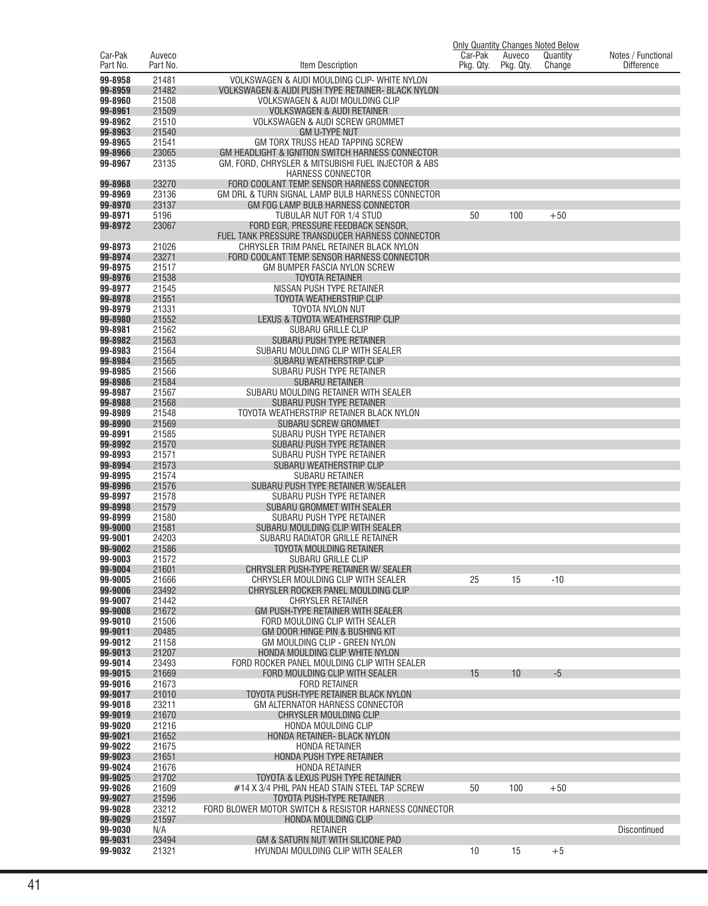| Car-Pak            | Auveco         |                                                                                                 | Car-Pak   | Auveco    | Only Quantity Changes Noted Below<br>Quantity | Notes / Functional  |
|--------------------|----------------|-------------------------------------------------------------------------------------------------|-----------|-----------|-----------------------------------------------|---------------------|
| Part No.           | Part No.       | Item Description                                                                                | Pkg. Qty. | Pkg. Qty. | Change                                        | <b>Difference</b>   |
| 99-8958            | 21481          | VOLKSWAGEN & AUDI MOULDING CLIP- WHITE NYLON                                                    |           |           |                                               |                     |
| 99-8959            | 21482          | VOLKSWAGEN & AUDI PUSH TYPE RETAINER- BLACK NYLON                                               |           |           |                                               |                     |
| 99-8960            | 21508          | VOLKSWAGEN & AUDI MOULDING CLIP                                                                 |           |           |                                               |                     |
| 99-8961            | 21509          | <b>VOLKSWAGEN &amp; AUDI RETAINER</b>                                                           |           |           |                                               |                     |
| 99-8962<br>99-8963 | 21510<br>21540 | VOLKSWAGEN & AUDI SCREW GROMMET<br><b>GM U-TYPE NUT</b>                                         |           |           |                                               |                     |
| 99-8965            | 21541          | GM TORX TRUSS HEAD TAPPING SCREW                                                                |           |           |                                               |                     |
| 99-8966            | 23065          | GM HEADLIGHT & IGNITION SWITCH HARNESS CONNECTOR                                                |           |           |                                               |                     |
| 99-8967            | 23135          | GM. FORD. CHRYSLER & MITSUBISHI FUEL INJECTOR & ABS                                             |           |           |                                               |                     |
|                    |                | HARNESS CONNECTOR                                                                               |           |           |                                               |                     |
| 99-8968<br>99-8969 | 23270<br>23136 | FORD COOLANT TEMP. SENSOR HARNESS CONNECTOR<br>GM DRL & TURN SIGNAL LAMP BULB HARNESS CONNECTOR |           |           |                                               |                     |
| 99-8970            | 23137          | GM FOG LAMP BULB HARNESS CONNECTOR                                                              |           |           |                                               |                     |
| 99-8971            | 5196           | TUBULAR NUT FOR 1/4 STUD                                                                        | 50        | 100       | $+50$                                         |                     |
| 99-8972            | 23067          | FORD EGR, PRESSURE FEEDBACK SENSOR,                                                             |           |           |                                               |                     |
| 99-8973            | 21026          | FUEL TANK PRESSURE TRANSDUCER HARNESS CONNECTOR<br>CHRYSLER TRIM PANEL RETAINER BLACK NYLON     |           |           |                                               |                     |
| 99-8974            | 23271          | FORD COOLANT TEMP. SENSOR HARNESS CONNECTOR                                                     |           |           |                                               |                     |
| 99-8975            | 21517          | GM BUMPER FASCIA NYLON SCREW                                                                    |           |           |                                               |                     |
| 99-8976            | 21538          | <b>TOYOTA RETAINER</b>                                                                          |           |           |                                               |                     |
| 99-8977            | 21545          | NISSAN PUSH TYPE RETAINER                                                                       |           |           |                                               |                     |
| 99-8978<br>99-8979 | 21551<br>21331 | <b>TOYOTA WEATHERSTRIP CLIP</b><br>TOYOTA NYLON NUT                                             |           |           |                                               |                     |
| 99-8980            | 21552          | LEXUS & TOYOTA WEATHERSTRIP CLIP                                                                |           |           |                                               |                     |
| 99-8981            | 21562          | <b>SUBARU GRILLE CLIP</b>                                                                       |           |           |                                               |                     |
| 99-8982            | 21563          | SUBARU PUSH TYPE RETAINER                                                                       |           |           |                                               |                     |
| 99-8983            | 21564          | SUBARU MOULDING CLIP WITH SEALER                                                                |           |           |                                               |                     |
| 99-8984<br>99-8985 | 21565<br>21566 | SUBARU WEATHERSTRIP CLIP<br>SUBARU PUSH TYPE RETAINER                                           |           |           |                                               |                     |
| 99-8986            | 21584          | <b>SUBARU RETAINER</b>                                                                          |           |           |                                               |                     |
| 99-8987            | 21567          | SUBARU MOULDING RETAINER WITH SEALER                                                            |           |           |                                               |                     |
| 99-8988            | 21568          | SUBARU PUSH TYPE RETAINER                                                                       |           |           |                                               |                     |
| 99-8989            | 21548          | TOYOTA WEATHERSTRIP RETAINER BLACK NYLON                                                        |           |           |                                               |                     |
| 99-8990<br>99-8991 | 21569<br>21585 | SUBARU SCREW GROMMET<br>SUBARU PUSH TYPE RETAINER                                               |           |           |                                               |                     |
| 99-8992            | 21570          | SUBARU PUSH TYPE RETAINER                                                                       |           |           |                                               |                     |
| 99-8993            | 21571          | SUBARU PUSH TYPE RETAINER                                                                       |           |           |                                               |                     |
| 99-8994            | 21573          | SUBARU WEATHERSTRIP CLIP                                                                        |           |           |                                               |                     |
| 99-8995<br>99-8996 | 21574<br>21576 | SUBARU RETAINER<br>SUBARU PUSH TYPE RETAINER W/SEALER                                           |           |           |                                               |                     |
| 99-8997            | 21578          | SUBARU PUSH TYPE RETAINER                                                                       |           |           |                                               |                     |
| 99-8998            | 21579          | SUBARU GROMMET WITH SEALER                                                                      |           |           |                                               |                     |
| 99-8999            | 21580          | SUBARU PUSH TYPE RETAINER                                                                       |           |           |                                               |                     |
| 99-9000<br>99-9001 | 21581<br>24203 | SUBARU MOULDING CLIP WITH SEALER                                                                |           |           |                                               |                     |
| 99-9002            | 21586          | SUBARU RADIATOR GRILLE RETAINER<br>TOYOTA MOULDING RETAINER                                     |           |           |                                               |                     |
| 99-9003            | 21572          | SUBARU GRILLE CLIP                                                                              |           |           |                                               |                     |
| 99-9004            | 21601          | CHRYSLER PUSH-TYPE RETAINER W/ SEALER                                                           |           |           |                                               |                     |
| 99-9005            | 21666          | CHRYSLER MOULDING CLIP WITH SEALER                                                              | 25        | 15        | $-10$                                         |                     |
| 99-9006<br>99-9007 | 23492<br>21442 | CHRYSLER ROCKER PANEL MOULDING CLIP<br><b>CHRYSLER RETAINER</b>                                 |           |           |                                               |                     |
| 99-9008            | 21672          | GM PUSH-TYPE RETAINER WITH SEALER                                                               |           |           |                                               |                     |
| 99-9010            | 21506          | FORD MOULDING CLIP WITH SEALER                                                                  |           |           |                                               |                     |
| 99-9011            | 20485          | GM DOOR HINGE PIN & BUSHING KIT                                                                 |           |           |                                               |                     |
| 99-9012<br>99-9013 | 21158<br>21207 | GM MOULDING CLIP - GREEN NYLON<br>HONDA MOULDING CLIP WHITE NYLON                               |           |           |                                               |                     |
| 99-9014            | 23493          | FORD ROCKER PANEL MOULDING CLIP WITH SEALER                                                     |           |           |                                               |                     |
| 99-9015            | 21669          | FORD MOULDING CLIP WITH SEALER                                                                  | 15        | 10        | $-5$                                          |                     |
| 99-9016            | 21673          | <b>FORD RETAINER</b>                                                                            |           |           |                                               |                     |
| 99-9017<br>99-9018 | 21010<br>23211 | TOYOTA PUSH-TYPE RETAINER BLACK NYLON                                                           |           |           |                                               |                     |
| 99-9019            | 21670          | GM ALTERNATOR HARNESS CONNECTOR<br>CHRYSLER MOULDING CLIP                                       |           |           |                                               |                     |
| 99-9020            | 21216          | HONDA MOULDING CLIP                                                                             |           |           |                                               |                     |
| 99-9021            | 21652          | HONDA RETAINER- BLACK NYLON                                                                     |           |           |                                               |                     |
| 99-9022            | 21675          | <b>HONDA RETAINER</b>                                                                           |           |           |                                               |                     |
| 99-9023<br>99-9024 | 21651<br>21676 | HONDA PUSH TYPE RETAINER<br><b>HONDA RETAINER</b>                                               |           |           |                                               |                     |
| 99-9025            | 21702          | TOYOTA & LEXUS PUSH TYPE RETAINER                                                               |           |           |                                               |                     |
| 99-9026            | 21609          | #14 X 3/4 PHIL PAN HEAD STAIN STEEL TAP SCREW                                                   | 50        | 100       | $+50$                                         |                     |
| 99-9027            | 21596          | TOYOTA PUSH-TYPE RETAINER                                                                       |           |           |                                               |                     |
| 99-9028<br>99-9029 | 23212<br>21597 | FORD BLOWER MOTOR SWITCH & RESISTOR HARNESS CONNECTOR<br>HONDA MOULDING CLIP                    |           |           |                                               |                     |
| 99-9030            | N/A            | <b>RETAINER</b>                                                                                 |           |           |                                               | <b>Discontinued</b> |
| 99-9031            | 23494          | GM & SATURN NUT WITH SILICONE PAD                                                               |           |           |                                               |                     |
| 99-9032            | 21321          | HYUNDAI MOULDING CLIP WITH SEALER                                                               | 10        | 15        | $+5$                                          |                     |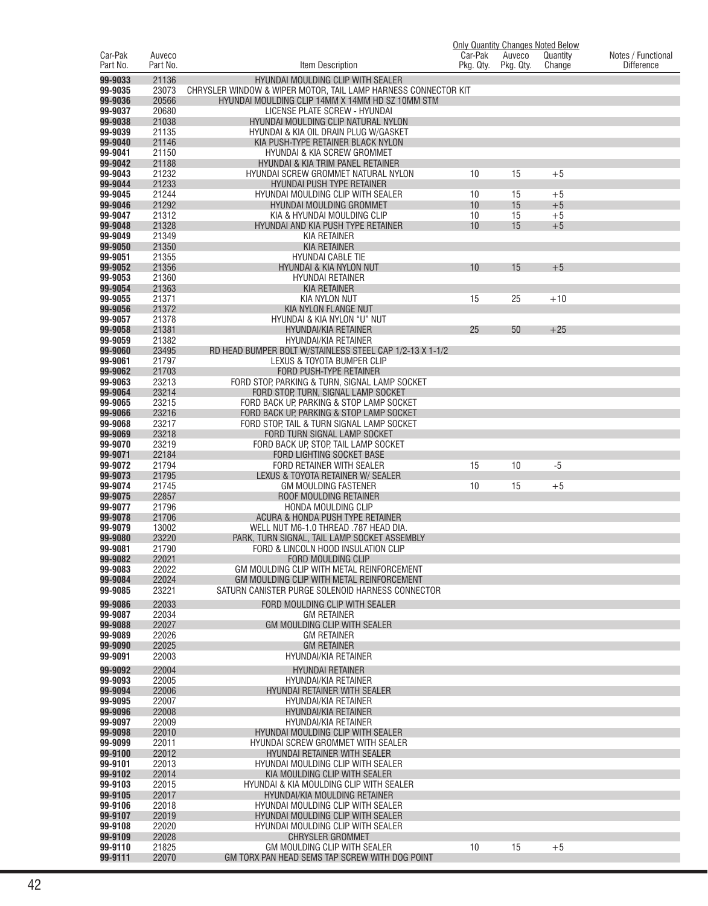|                     |                    |                                                                                               | <b>Only Quantity Changes Noted Below</b> |                     |                    |                                         |
|---------------------|--------------------|-----------------------------------------------------------------------------------------------|------------------------------------------|---------------------|--------------------|-----------------------------------------|
| Car-Pak<br>Part No. | Auveco<br>Part No. | Item Description                                                                              | Car-Pak<br>Pkg. Qty.                     | Auveco<br>Pkg. Qty. | Quantity<br>Change | Notes / Functional<br><b>Difference</b> |
| 99-9033             | 21136              | HYUNDAI MOULDING CLIP WITH SEALER                                                             |                                          |                     |                    |                                         |
| 99-9035             | 23073              | CHRYSLER WINDOW & WIPER MOTOR, TAIL LAMP HARNESS CONNECTOR KIT                                |                                          |                     |                    |                                         |
| 99-9036             | 20566              | HYUNDAI MOULDING CLIP 14MM X 14MM HD SZ 10MM STM                                              |                                          |                     |                    |                                         |
| 99-9037             | 20680              | LICENSE PLATE SCREW - HYUNDAI                                                                 |                                          |                     |                    |                                         |
| 99-9038<br>99-9039  | 21038<br>21135     | HYUNDAI MOULDING CLIP NATURAL NYLON<br>HYUNDAI & KIA OIL DRAIN PLUG W/GASKET                  |                                          |                     |                    |                                         |
| 99-9040             | 21146              | KIA PUSH-TYPE RETAINER BLACK NYLON                                                            |                                          |                     |                    |                                         |
| 99-9041             | 21150              | HYUNDAI & KIA SCREW GROMMET                                                                   |                                          |                     |                    |                                         |
| 99-9042             | 21188              | HYUNDAI & KIA TRIM PANEL RETAINER                                                             |                                          |                     |                    |                                         |
| 99-9043             | 21232              | HYUNDAI SCREW GROMMET NATURAL NYLON                                                           | 10                                       | 15                  | $+5$               |                                         |
| 99-9044<br>99-9045  | 21233<br>21244     | <b>HYUNDAI PUSH TYPE RETAINER</b><br>HYUNDAI MOULDING CLIP WITH SEALER                        | 10                                       | 15                  | $+5$               |                                         |
| 99-9046             | 21292              | HYUNDAI MOULDING GROMMET                                                                      | 10                                       | 15                  | $+5$               |                                         |
| 99-9047             | 21312              | KIA & HYUNDAI MOULDING CLIP                                                                   | 10                                       | 15                  | $+5$               |                                         |
| 99-9048             | 21328              | HYUNDAI AND KIA PUSH TYPE RETAINER                                                            | 10                                       | 15                  | $+5$               |                                         |
| 99-9049<br>99-9050  | 21349<br>21350     | KIA RETAINER<br><b>KIA RETAINER</b>                                                           |                                          |                     |                    |                                         |
| 99-9051             | 21355              | <b>HYUNDAI CABLE TIE</b>                                                                      |                                          |                     |                    |                                         |
| 99-9052             | 21356              | HYUNDAI & KIA NYLON NUT                                                                       | 10                                       | 15                  | $+5$               |                                         |
| 99-9053             | 21360              | <b>HYUNDAI RETAINER</b>                                                                       |                                          |                     |                    |                                         |
| 99-9054             | 21363              | <b>KIA RETAINER</b>                                                                           |                                          |                     |                    |                                         |
| 99-9055<br>99-9056  | 21371<br>21372     | <b>KIA NYLON NUT</b><br>KIA NYLON FLANGE NUT                                                  | 15                                       | 25                  | $+10$              |                                         |
| 99-9057             | 21378              | HYUNDAI & KIA NYLON "U" NUT                                                                   |                                          |                     |                    |                                         |
| 99-9058             | 21381              | <b>HYUNDAI/KIA RETAINER</b>                                                                   | 25                                       | 50                  | $+25$              |                                         |
| 99-9059             | 21382              | <b>HYUNDAI/KIA RETAINER</b>                                                                   |                                          |                     |                    |                                         |
| 99-9060<br>99-9061  | 23495<br>21797     | RD HEAD BUMPER BOLT W/STAINLESS STEEL CAP 1/2-13 X 1-1/2                                      |                                          |                     |                    |                                         |
| 99-9062             | 21703              | LEXUS & TOYOTA BUMPER CLIP<br>FORD PUSH-TYPE RETAINER                                         |                                          |                     |                    |                                         |
| 99-9063             | 23213              | FORD STOP, PARKING & TURN, SIGNAL LAMP SOCKET                                                 |                                          |                     |                    |                                         |
| 99-9064             | 23214              | FORD STOP, TURN, SIGNAL LAMP SOCKET                                                           |                                          |                     |                    |                                         |
| 99-9065             | 23215              | FORD BACK UP, PARKING & STOP LAMP SOCKET                                                      |                                          |                     |                    |                                         |
| 99-9066<br>99-9068  | 23216<br>23217     | FORD BACK UP, PARKING & STOP LAMP SOCKET<br>FORD STOP, TAIL & TURN SIGNAL LAMP SOCKET         |                                          |                     |                    |                                         |
| 99-9069             | 23218              | FORD TURN SIGNAL LAMP SOCKET                                                                  |                                          |                     |                    |                                         |
| 99-9070             | 23219              | FORD BACK UP, STOP, TAIL LAMP SOCKET                                                          |                                          |                     |                    |                                         |
| 99-9071             | 22184              | <b>FORD LIGHTING SOCKET BASE</b>                                                              |                                          |                     |                    |                                         |
| 99-9072<br>99-9073  | 21794<br>21795     | FORD RETAINER WITH SEALER<br>LEXUS & TOYOTA RETAINER W/ SEALER                                | 15                                       | 10                  | -5                 |                                         |
| 99-9074             | 21745              | GM MOULDING FASTENER                                                                          | 10                                       | 15                  | $+5$               |                                         |
| 99-9075             | 22857              | ROOF MOULDING RETAINER                                                                        |                                          |                     |                    |                                         |
| 99-9077             | 21796              | <b>HONDA MOULDING CLIP</b>                                                                    |                                          |                     |                    |                                         |
| 99-9078<br>99-9079  | 21706<br>13002     | ACURA & HONDA PUSH TYPE RETAINER                                                              |                                          |                     |                    |                                         |
| 99-9080             | 23220              | WELL NUT M6-1.0 THREAD .787 HEAD DIA.<br>PARK, TURN SIGNAL, TAIL LAMP SOCKET ASSEMBLY         |                                          |                     |                    |                                         |
| 99-9081             | 21790              | FORD & LINCOLN HOOD INSULATION CLIP                                                           |                                          |                     |                    |                                         |
| 99-9082             | 22021              | <b>FORD MOULDING CLIP</b>                                                                     |                                          |                     |                    |                                         |
| 99-9083             | 22022              | GM MOULDING CLIP WITH METAL REINFORCEMENT                                                     |                                          |                     |                    |                                         |
| 99-9084<br>99-9085  | 22024<br>23221     | GM MOULDING CLIP WITH METAL REINFORCEMENT<br>SATURN CANISTER PURGE SOLENOID HARNESS CONNECTOR |                                          |                     |                    |                                         |
| 99-9086             | 22033              | FORD MOULDING CLIP WITH SEALER                                                                |                                          |                     |                    |                                         |
| 99-9087             | 22034              | <b>GM RETAINER</b>                                                                            |                                          |                     |                    |                                         |
| 99-9088             | 22027              | GM MOULDING CLIP WITH SEALER                                                                  |                                          |                     |                    |                                         |
| 99-9089             | 22026              | <b>GM RETAINER</b>                                                                            |                                          |                     |                    |                                         |
| 99-9090<br>99-9091  | 22025<br>22003     | <b>GM RETAINER</b><br>HYUNDAI/KIA RETAINER                                                    |                                          |                     |                    |                                         |
| 99-9092             | 22004              | <b>HYUNDAI RETAINER</b>                                                                       |                                          |                     |                    |                                         |
| 99-9093             | 22005              | HYUNDAI/KIA RETAINER                                                                          |                                          |                     |                    |                                         |
| 99-9094             | 22006              | HYUNDAI RETAINER WITH SEALER                                                                  |                                          |                     |                    |                                         |
| 99-9095             | 22007              | HYUNDAI/KIA RETAINER                                                                          |                                          |                     |                    |                                         |
| 99-9096             | 22008              | HYUNDAI/KIA RETAINER                                                                          |                                          |                     |                    |                                         |
| 99-9097<br>99-9098  | 22009<br>22010     | HYUNDAI/KIA RETAINER<br>HYUNDAI MOULDING CLIP WITH SEALER                                     |                                          |                     |                    |                                         |
| 99-9099             | 22011              | HYUNDAI SCREW GROMMET WITH SEALER                                                             |                                          |                     |                    |                                         |
| 99-9100             | 22012              | HYUNDAI RETAINER WITH SEALER                                                                  |                                          |                     |                    |                                         |
| 99-9101             | 22013              | HYUNDAI MOULDING CLIP WITH SEALER                                                             |                                          |                     |                    |                                         |
| 99-9102<br>99-9103  | 22014<br>22015     | KIA MOULDING CLIP WITH SEALER<br>HYUNDAI & KIA MOULDING CLIP WITH SEALER                      |                                          |                     |                    |                                         |
| 99-9105             | 22017              | HYUNDAI/KIA MOULDING RETAINER                                                                 |                                          |                     |                    |                                         |
| 99-9106             | 22018              | HYUNDAI MOULDING CLIP WITH SEALER                                                             |                                          |                     |                    |                                         |
| 99-9107             | 22019              | HYUNDAI MOULDING CLIP WITH SEALER                                                             |                                          |                     |                    |                                         |
| 99-9108<br>99-9109  | 22020<br>22028     | HYUNDAI MOULDING CLIP WITH SEALER<br><b>CHRYSLER GROMMET</b>                                  |                                          |                     |                    |                                         |
| 99-9110             | 21825              | GM MOULDING CLIP WITH SEALER                                                                  | 10                                       | 15                  | $+5$               |                                         |
| 99-9111             | 22070              | GM TORX PAN HEAD SEMS TAP SCREW WITH DOG POINT                                                |                                          |                     |                    |                                         |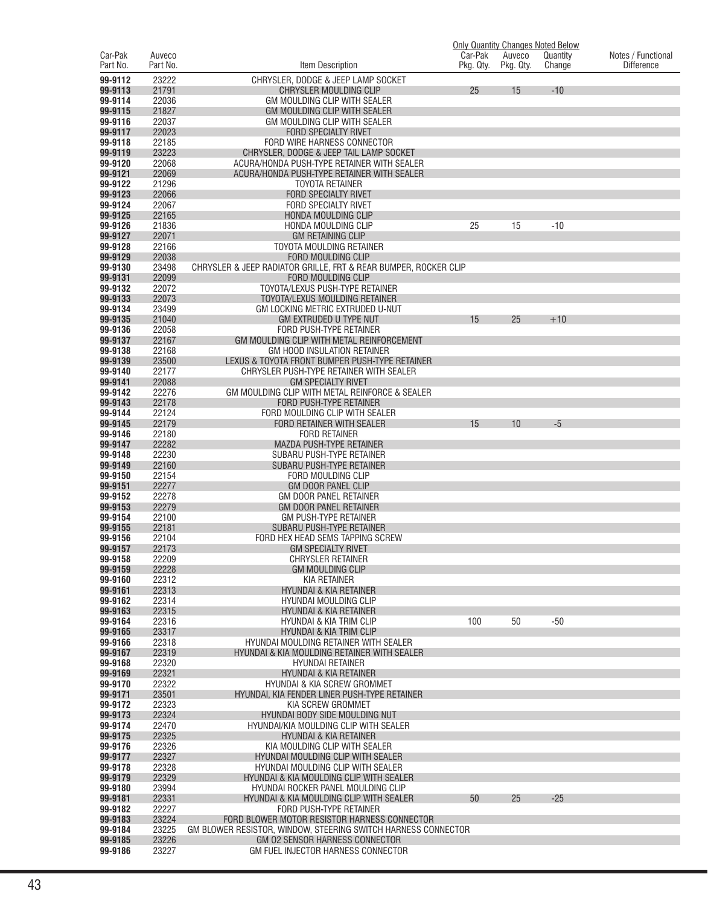|                     |                    |                                                                                                               | <b>Only Quantity Changes Noted Below</b> |                     |                    |                                         |
|---------------------|--------------------|---------------------------------------------------------------------------------------------------------------|------------------------------------------|---------------------|--------------------|-----------------------------------------|
| Car-Pak<br>Part No. | Auveco<br>Part No. | Item Description                                                                                              | Car-Pak<br>Pkg. Qty.                     | Auveco<br>Pkg. Qty. | Quantity<br>Change | Notes / Functional<br><b>Difference</b> |
| 99-9112             | 23222              | CHRYSLER, DODGE & JEEP LAMP SOCKET                                                                            |                                          |                     |                    |                                         |
| 99-9113             | 21791              | CHRYSLER MOULDING CLIP                                                                                        | 25                                       | 15                  | $-10$              |                                         |
| 99-9114<br>99-9115  | 22036<br>21827     | GM MOULDING CLIP WITH SEALER<br><b>GM MOULDING CLIP WITH SEALER</b>                                           |                                          |                     |                    |                                         |
| 99-9116             | 22037              | <b>GM MOULDING CLIP WITH SEALER</b>                                                                           |                                          |                     |                    |                                         |
| 99-9117             | 22023              | <b>FORD SPECIALTY RIVET</b>                                                                                   |                                          |                     |                    |                                         |
| 99-9118<br>99-9119  | 22185<br>23223     | FORD WIRE HARNESS CONNECTOR<br>CHRYSLER, DODGE & JEEP TAIL LAMP SOCKET                                        |                                          |                     |                    |                                         |
| 99-9120             | 22068              | ACURA/HONDA PUSH-TYPE RETAINER WITH SEALER                                                                    |                                          |                     |                    |                                         |
| 99-9121             | 22069              | ACURA/HONDA PUSH-TYPE RETAINER WITH SEALER                                                                    |                                          |                     |                    |                                         |
| 99-9122<br>99-9123  | 21296<br>22066     | <b>TOYOTA RETAINER</b><br><b>FORD SPECIALTY RIVET</b>                                                         |                                          |                     |                    |                                         |
| 99-9124             | 22067              | <b>FORD SPECIALTY RIVET</b>                                                                                   |                                          |                     |                    |                                         |
| 99-9125             | 22165              | HONDA MOULDING CLIP                                                                                           |                                          |                     |                    |                                         |
| 99-9126<br>99-9127  | 21836<br>22071     | HONDA MOULDING CLIP<br><b>GM RETAINING CLIP</b>                                                               | 25                                       | 15                  | $-10$              |                                         |
| 99-9128             | 22166              | TOYOTA MOULDING RETAINER                                                                                      |                                          |                     |                    |                                         |
| 99-9129             | 22038              | FORD MOULDING CLIP                                                                                            |                                          |                     |                    |                                         |
| 99-9130<br>99-9131  | 23498<br>22099     | CHRYSLER & JEEP RADIATOR GRILLE, FRT & REAR BUMPER, ROCKER CLIP                                               |                                          |                     |                    |                                         |
| 99-9132             | 22072              | FORD MOULDING CLIP<br>TOYOTA/LEXUS PUSH-TYPE RETAINER                                                         |                                          |                     |                    |                                         |
| 99-9133             | 22073              | TOYOTA/LEXUS MOULDING RETAINER                                                                                |                                          |                     |                    |                                         |
| 99-9134             | 23499              | GM LOCKING METRIC EXTRUDED U-NUT                                                                              |                                          |                     |                    |                                         |
| 99-9135<br>99-9136  | 21040<br>22058     | <b>GM EXTRUDED U TYPE NUT</b><br>FORD PUSH-TYPE RETAINER                                                      | 15                                       | 25                  | $+10$              |                                         |
| 99-9137             | 22167              | GM MOULDING CLIP WITH METAL REINFORCEMENT                                                                     |                                          |                     |                    |                                         |
| 99-9138             | 22168              | <b>GM HOOD INSULATION RETAINER</b>                                                                            |                                          |                     |                    |                                         |
| 99-9139<br>99-9140  | 23500<br>22177     | LEXUS & TOYOTA FRONT BUMPER PUSH-TYPE RETAINER<br>CHRYSLER PUSH-TYPE RETAINER WITH SEALER                     |                                          |                     |                    |                                         |
| 99-9141             | 22088              | <b>GM SPECIALTY RIVET</b>                                                                                     |                                          |                     |                    |                                         |
| 99-9142             | 22276              | GM MOULDING CLIP WITH METAL REINFORCE & SEALER                                                                |                                          |                     |                    |                                         |
| 99-9143<br>99-9144  | 22178<br>22124     | <b>FORD PUSH-TYPE RETAINER</b><br>FORD MOULDING CLIP WITH SEALER                                              |                                          |                     |                    |                                         |
| 99-9145             | 22179              | FORD RETAINER WITH SEALER                                                                                     | 15                                       | 10                  | $-5$               |                                         |
| 99-9146             | 22180              | <b>FORD RETAINER</b>                                                                                          |                                          |                     |                    |                                         |
| 99-9147<br>99-9148  | 22282<br>22230     | MAZDA PUSH-TYPE RETAINER<br>SUBARU PUSH-TYPE RETAINER                                                         |                                          |                     |                    |                                         |
| 99-9149             | 22160              | SUBARU PUSH-TYPE RETAINER                                                                                     |                                          |                     |                    |                                         |
| 99-9150             | 22154              | FORD MOULDING CLIP                                                                                            |                                          |                     |                    |                                         |
| 99-9151<br>99-9152  | 22277<br>22278     | <b>GM DOOR PANEL CLIP</b><br><b>GM DOOR PANEL RETAINER</b>                                                    |                                          |                     |                    |                                         |
| 99-9153             | 22279              | <b>GM DOOR PANEL RETAINER</b>                                                                                 |                                          |                     |                    |                                         |
| 99-9154             | 22100              | <b>GM PUSH-TYPE RETAINER</b>                                                                                  |                                          |                     |                    |                                         |
| 99-9155<br>99-9156  | 22181<br>22104     | SUBARU PUSH-TYPE RETAINER<br>FORD HEX HEAD SEMS TAPPING SCREW                                                 |                                          |                     |                    |                                         |
| 99-9157             | 22173              | <b>GM SPECIALTY RIVET</b>                                                                                     |                                          |                     |                    |                                         |
| 99-9158             | 22209              | <b>CHRYSLER RETAINER</b>                                                                                      |                                          |                     |                    |                                         |
| 99-9159<br>99-9160  | 22228<br>22312     | <b>GM MOULDING CLIP</b><br><b>KIA RETAINER</b>                                                                |                                          |                     |                    |                                         |
| 99-9161             | 22313              | HYUNDAI & KIA RETAINER                                                                                        |                                          |                     |                    |                                         |
| 99-9162             | 22314              | HYUNDAI MOULDING CLIP                                                                                         |                                          |                     |                    |                                         |
| 99-9163<br>99-9164  | 22315<br>22316     | <b>HYUNDAI &amp; KIA RETAINER</b><br><b>HYUNDAI &amp; KIA TRIM CLIP</b>                                       | 100                                      | 50                  | $-50$              |                                         |
| 99-9165             | 23317              | <b>HYUNDAI &amp; KIA TRIM CLIP</b>                                                                            |                                          |                     |                    |                                         |
| 99-9166             | 22318              | HYUNDAI MOULDING RETAINER WITH SEALER                                                                         |                                          |                     |                    |                                         |
| 99-9167<br>99-9168  | 22319<br>22320     | HYUNDAI & KIA MOULDING RETAINER WITH SEALER<br><b>HYUNDAI RETAINER</b>                                        |                                          |                     |                    |                                         |
| 99-9169             | 22321              | <b>HYUNDAI &amp; KIA RETAINER</b>                                                                             |                                          |                     |                    |                                         |
| 99-9170             | 22322              | HYUNDAI & KIA SCREW GROMMET                                                                                   |                                          |                     |                    |                                         |
| 99-9171<br>99-9172  | 23501<br>22323     | HYUNDAI. KIA FENDER LINER PUSH-TYPE RETAINER<br>KIA SCREW GROMMET                                             |                                          |                     |                    |                                         |
| 99-9173             | 22324              | HYUNDAI BODY SIDE MOULDING NUT                                                                                |                                          |                     |                    |                                         |
| 99-9174             | 22470              | HYUNDAI/KIA MOULDING CLIP WITH SEALER                                                                         |                                          |                     |                    |                                         |
| 99-9175<br>99-9176  | 22325<br>22326     | HYUNDAI & KIA RETAINER<br>KIA MOULDING CLIP WITH SEALER                                                       |                                          |                     |                    |                                         |
| 99-9177             | 22327              | <b>HYUNDAI MOULDING CLIP WITH SEALER</b>                                                                      |                                          |                     |                    |                                         |
| 99-9178             | 22328              | HYUNDAI MOULDING CLIP WITH SEALER                                                                             |                                          |                     |                    |                                         |
| 99-9179<br>99-9180  | 22329<br>23994     | HYUNDAI & KIA MOULDING CLIP WITH SEALER<br>HYUNDAI ROCKER PANEL MOULDING CLIP                                 |                                          |                     |                    |                                         |
| 99-9181             | 22331              | HYUNDAI & KIA MOULDING CLIP WITH SEALER                                                                       | 50                                       | 25                  | $-25$              |                                         |
| 99-9182             | 22227              | FORD PUSH-TYPE RETAINER                                                                                       |                                          |                     |                    |                                         |
| 99-9183<br>99-9184  | 23224<br>23225     | FORD BLOWER MOTOR RESISTOR HARNESS CONNECTOR<br>GM BLOWER RESISTOR, WINDOW, STEERING SWITCH HARNESS CONNECTOR |                                          |                     |                    |                                         |
| 99-9185             | 23226              | GM 02 SENSOR HARNESS CONNECTOR                                                                                |                                          |                     |                    |                                         |
| 99-9186             | 23227              | GM FUEL INJECTOR HARNESS CONNECTOR                                                                            |                                          |                     |                    |                                         |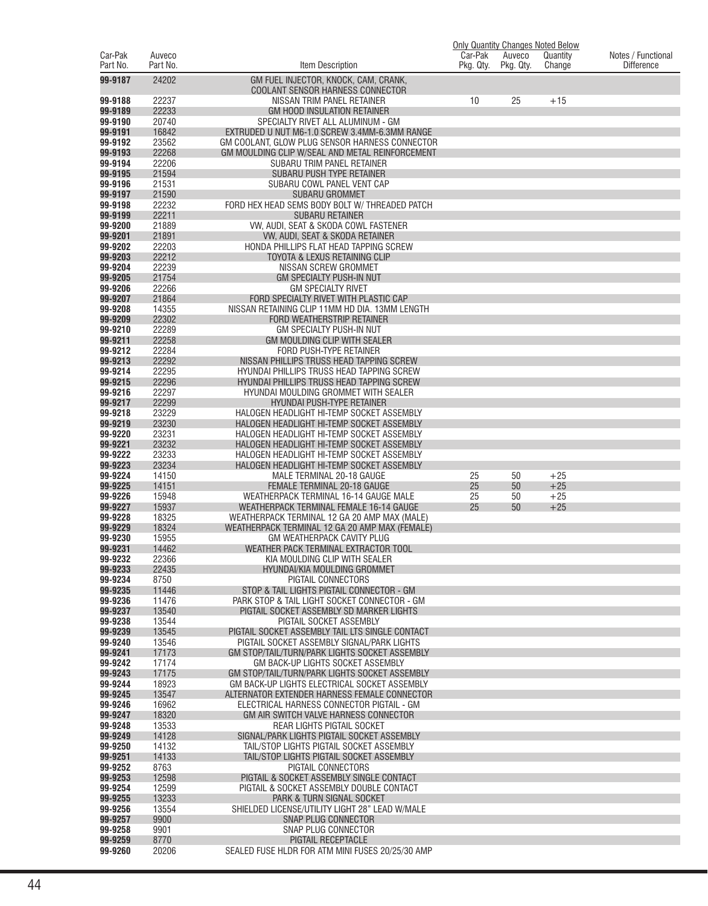|                     |                    |                                                                                               |                      |                     | <b>Only Quantity Changes Noted Below</b> |                                         |
|---------------------|--------------------|-----------------------------------------------------------------------------------------------|----------------------|---------------------|------------------------------------------|-----------------------------------------|
| Car-Pak<br>Part No. | Auveco<br>Part No. | Item Description                                                                              | Car-Pak<br>Pkg. Qty. | Auveco<br>Pkg. Qty. | Quantity<br>Change                       | Notes / Functional<br><b>Difference</b> |
| 99-9187             | 24202              | GM FUEL INJECTOR, KNOCK, CAM, CRANK,                                                          |                      |                     |                                          |                                         |
|                     |                    | COOLANT SENSOR HARNESS CONNECTOR                                                              |                      |                     |                                          |                                         |
| 99-9188             | 22237              | NISSAN TRIM PANEL RETAINER                                                                    | 10                   | 25                  | $+15$                                    |                                         |
| 99-9189<br>99-9190  | 22233<br>20740     | <b>GM HOOD INSULATION RETAINER</b><br>SPECIALTY RIVET ALL ALUMINUM - GM                       |                      |                     |                                          |                                         |
| 99-9191             | 16842              | EXTRUDED U NUT M6-1.0 SCREW 3.4MM-6.3MM RANGE                                                 |                      |                     |                                          |                                         |
| 99-9192             | 23562              | GM COOLANT, GLOW PLUG SENSOR HARNESS CONNECTOR                                                |                      |                     |                                          |                                         |
| 99-9193             | 22268              | GM MOULDING CLIP W/SEAL AND METAL REINFORCEMENT                                               |                      |                     |                                          |                                         |
| 99-9194             | 22206              | SUBARU TRIM PANEL RETAINER                                                                    |                      |                     |                                          |                                         |
| 99-9195             | 21594              | SUBARU PUSH TYPE RETAINER                                                                     |                      |                     |                                          |                                         |
| 99-9196<br>99-9197  | 21531<br>21590     | SUBARU COWL PANEL VENT CAP<br><b>SUBARU GROMMET</b>                                           |                      |                     |                                          |                                         |
| 99-9198             | 22232              | FORD HEX HEAD SEMS BODY BOLT W/ THREADED PATCH                                                |                      |                     |                                          |                                         |
| 99-9199             | 22211              | <b>SUBARU RETAINER</b>                                                                        |                      |                     |                                          |                                         |
| 99-9200             | 21889              | VW, AUDI, SEAT & SKODA COWL FASTENER                                                          |                      |                     |                                          |                                         |
| 99-9201             | 21891              | VW, AUDI, SEAT & SKODA RETAINER                                                               |                      |                     |                                          |                                         |
| 99-9202<br>99-9203  | 22203<br>22212     | HONDA PHILLIPS FLAT HEAD TAPPING SCREW<br>TOYOTA & LEXUS RETAINING CLIP                       |                      |                     |                                          |                                         |
| 99-9204             | 22239              | NISSAN SCREW GROMMET                                                                          |                      |                     |                                          |                                         |
| 99-9205             | 21754              | GM SPECIALTY PUSH-IN NUT                                                                      |                      |                     |                                          |                                         |
| 99-9206             | 22266              | GM SPECIALTY RIVET                                                                            |                      |                     |                                          |                                         |
| 99-9207             | 21864              | FORD SPECIALTY RIVET WITH PLASTIC CAP                                                         |                      |                     |                                          |                                         |
| 99-9208<br>99-9209  | 14355<br>22302     | NISSAN RETAINING CLIP 11MM HD DIA. 13MM LENGTH                                                |                      |                     |                                          |                                         |
| 99-9210             | 22289              | FORD WEATHERSTRIP RETAINER<br>GM SPECIALTY PUSH-IN NUT                                        |                      |                     |                                          |                                         |
| 99-9211             | 22258              | GM MOULDING CLIP WITH SEALER                                                                  |                      |                     |                                          |                                         |
| 99-9212             | 22284              | FORD PUSH-TYPE RETAINER                                                                       |                      |                     |                                          |                                         |
| 99-9213             | 22292              | NISSAN PHILLIPS TRUSS HEAD TAPPING SCREW                                                      |                      |                     |                                          |                                         |
| 99-9214             | 22295              | HYUNDAI PHILLIPS TRUSS HEAD TAPPING SCREW                                                     |                      |                     |                                          |                                         |
| 99-9215<br>99-9216  | 22296<br>22297     | HYUNDAI PHILLIPS TRUSS HEAD TAPPING SCREW<br>HYUNDAI MOULDING GROMMET WITH SEALER             |                      |                     |                                          |                                         |
| 99-9217             | 22299              | HYUNDAI PUSH-TYPE RETAINER                                                                    |                      |                     |                                          |                                         |
| 99-9218             | 23229              | HALOGEN HEADLIGHT HI-TEMP SOCKET ASSEMBLY                                                     |                      |                     |                                          |                                         |
| 99-9219             | 23230              | HALOGEN HEADLIGHT HI-TEMP SOCKET ASSEMBLY                                                     |                      |                     |                                          |                                         |
| 99-9220             | 23231              | HALOGEN HEADLIGHT HI-TEMP SOCKET ASSEMBLY                                                     |                      |                     |                                          |                                         |
| 99-9221<br>99-9222  | 23232<br>23233     | HALOGEN HEADLIGHT HI-TEMP SOCKET ASSEMBLY<br>HALOGEN HEADLIGHT HI-TEMP SOCKET ASSEMBLY        |                      |                     |                                          |                                         |
| 99-9223             | 23234              | HALOGEN HEADLIGHT HI-TEMP SOCKET ASSEMBLY                                                     |                      |                     |                                          |                                         |
| 99-9224             | 14150              | MALE TERMINAL 20-18 GAUGE                                                                     | 25                   | 50                  | $+25$                                    |                                         |
| 99-9225             | 14151              | <b>FEMALE TERMINAL 20-18 GAUGE</b>                                                            | 25                   | 50                  | $+25$                                    |                                         |
| 99-9226<br>99-9227  | 15948<br>15937     | WEATHERPACK TERMINAL 16-14 GAUGE MALE<br>WEATHERPACK TERMINAL FEMALE 16-14 GAUGE              | 25<br>25             | 50<br>50            | $+25$<br>$+25$                           |                                         |
| 99-9228             | 18325              | WEATHERPACK TERMINAL 12 GA 20 AMP MAX (MALE)                                                  |                      |                     |                                          |                                         |
| 99-9229             | 18324              | WEATHERPACK TERMINAL 12 GA 20 AMP MAX (FEMALE)                                                |                      |                     |                                          |                                         |
| 99-9230             | 15955              | <b>GM WEATHERPACK CAVITY PLUG</b>                                                             |                      |                     |                                          |                                         |
| 99-9231             | 14462              | WEATHER PACK TERMINAL EXTRACTOR TOOL                                                          |                      |                     |                                          |                                         |
| 99-9232<br>99-9233  | 22366<br>22435     | KIA MOULDING CLIP WITH SEALER<br>HYUNDAI/KIA MOULDING GROMMET                                 |                      |                     |                                          |                                         |
| 99-9234             | 8750               | PIGTAIL CONNECTORS                                                                            |                      |                     |                                          |                                         |
| 99-9235             | 11446              | STOP & TAIL LIGHTS PIGTAIL CONNECTOR - GM                                                     |                      |                     |                                          |                                         |
| 99-9236             | 11476              | PARK STOP & TAIL LIGHT SOCKET CONNECTOR - GM                                                  |                      |                     |                                          |                                         |
| 99-9237             | 13540              | PIGTAIL SOCKET ASSEMBLY SD MARKER LIGHTS                                                      |                      |                     |                                          |                                         |
| 99-9238<br>99-9239  | 13544<br>13545     | PIGTAIL SOCKET ASSEMBLY<br>PIGTAIL SOCKET ASSEMBLY TAIL LTS SINGLE CONTACT                    |                      |                     |                                          |                                         |
| 99-9240             | 13546              | PIGTAIL SOCKET ASSEMBLY SIGNAL/PARK LIGHTS                                                    |                      |                     |                                          |                                         |
| 99-9241             | 17173              | GM STOP/TAIL/TURN/PARK LIGHTS SOCKET ASSEMBLY                                                 |                      |                     |                                          |                                         |
| 99-9242             | 17174              | GM BACK-UP LIGHTS SOCKET ASSEMBLY                                                             |                      |                     |                                          |                                         |
| 99-9243<br>99-9244  | 17175<br>18923     | GM STOP/TAIL/TURN/PARK LIGHTS SOCKET ASSEMBLY<br>GM BACK-UP LIGHTS ELECTRICAL SOCKET ASSEMBLY |                      |                     |                                          |                                         |
| 99-9245             | 13547              | ALTERNATOR EXTENDER HARNESS FEMALE CONNECTOR                                                  |                      |                     |                                          |                                         |
| 99-9246             | 16962              | ELECTRICAL HARNESS CONNECTOR PIGTAIL - GM                                                     |                      |                     |                                          |                                         |
| 99-9247             | 18320              | GM AIR SWITCH VALVE HARNESS CONNECTOR                                                         |                      |                     |                                          |                                         |
| 99-9248             | 13533              | REAR LIGHTS PIGTAIL SOCKET                                                                    |                      |                     |                                          |                                         |
| 99-9249<br>99-9250  | 14128<br>14132     | SIGNAL/PARK LIGHTS PIGTAIL SOCKET ASSEMBLY<br>TAIL/STOP LIGHTS PIGTAIL SOCKET ASSEMBLY        |                      |                     |                                          |                                         |
| 99-9251             | 14133              | TAIL/STOP LIGHTS PIGTAIL SOCKET ASSEMBLY                                                      |                      |                     |                                          |                                         |
| 99-9252             | 8763               | PIGTAIL CONNECTORS                                                                            |                      |                     |                                          |                                         |
| 99-9253             | 12598              | PIGTAIL & SOCKET ASSEMBLY SINGLE CONTACT                                                      |                      |                     |                                          |                                         |
| 99-9254             | 12599              | PIGTAIL & SOCKET ASSEMBLY DOUBLE CONTACT                                                      |                      |                     |                                          |                                         |
| 99-9255<br>99-9256  | 13233<br>13554     | PARK & TURN SIGNAL SOCKET<br>SHIELDED LICENSE/UTILITY LIGHT 28" LEAD W/MALE                   |                      |                     |                                          |                                         |
| 99-9257             | 9900               | SNAP PLUG CONNECTOR                                                                           |                      |                     |                                          |                                         |
| 99-9258             | 9901               | SNAP PLUG CONNECTOR                                                                           |                      |                     |                                          |                                         |
| 99-9259             | 8770               | PIGTAIL RECEPTACLE                                                                            |                      |                     |                                          |                                         |
| 99-9260             | 20206              | SEALED FUSE HLDR FOR ATM MINI FUSES 20/25/30 AMP                                              |                      |                     |                                          |                                         |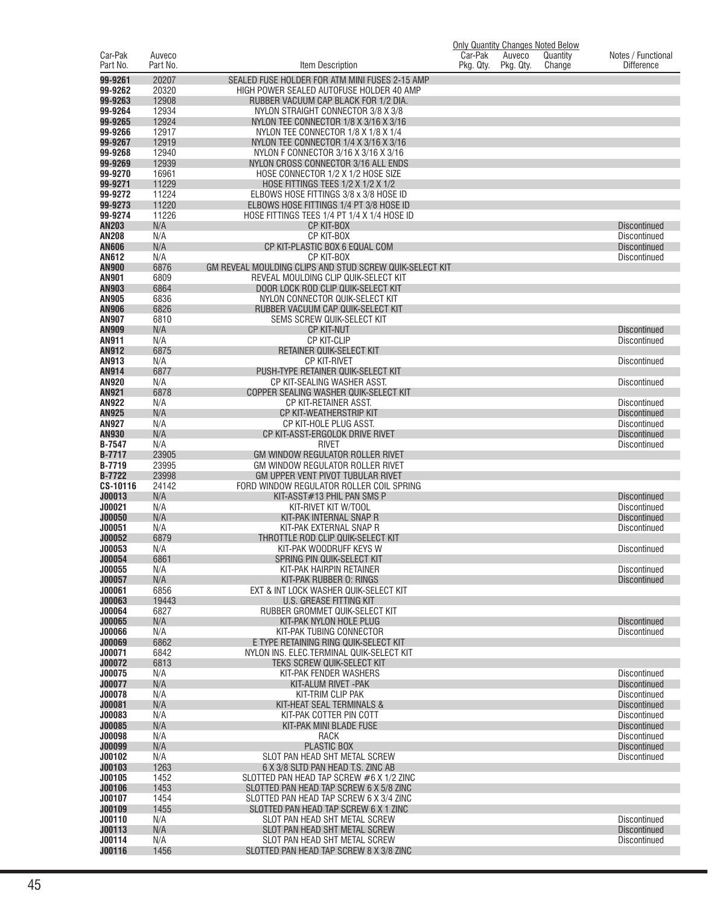|                              |                    |                                                                                                 | <b>Only Quantity Changes Noted Below</b> |                     |                    |                                            |
|------------------------------|--------------------|-------------------------------------------------------------------------------------------------|------------------------------------------|---------------------|--------------------|--------------------------------------------|
| Car-Pak<br>Part No.          | Auveco<br>Part No. | Item Description                                                                                | Car-Pak<br>Pkg. Qty.                     | Auveco<br>Pkg. Qty. | Quantity<br>Change | Notes / Functional<br><b>Difference</b>    |
|                              |                    |                                                                                                 |                                          |                     |                    |                                            |
| 99-9261                      | 20207              | SEALED FUSE HOLDER FOR ATM MINI FUSES 2-15 AMP                                                  |                                          |                     |                    |                                            |
| 99-9262<br>99-9263           | 20320<br>12908     | HIGH POWER SEALED AUTOFUSE HOLDER 40 AMP<br>RUBBER VACUUM CAP BLACK FOR 1/2 DIA.                |                                          |                     |                    |                                            |
| 99-9264                      | 12934              | NYLON STRAIGHT CONNECTOR 3/8 X 3/8                                                              |                                          |                     |                    |                                            |
| 99-9265                      | 12924              | NYLON TEE CONNECTOR 1/8 X 3/16 X 3/16                                                           |                                          |                     |                    |                                            |
| 99-9266                      | 12917              | NYLON TEE CONNECTOR 1/8 X 1/8 X 1/4                                                             |                                          |                     |                    |                                            |
| 99-9267                      | 12919              | NYLON TEE CONNECTOR 1/4 X 3/16 X 3/16                                                           |                                          |                     |                    |                                            |
| 99-9268                      | 12940              | NYLON F CONNECTOR 3/16 X 3/16 X 3/16                                                            |                                          |                     |                    |                                            |
| 99-9269                      | 12939              | NYLON CROSS CONNECTOR 3/16 ALL ENDS                                                             |                                          |                     |                    |                                            |
| 99-9270                      | 16961              | HOSE CONNECTOR 1/2 X 1/2 HOSE SIZE                                                              |                                          |                     |                    |                                            |
| 99-9271<br>99-9272           | 11229<br>11224     | HOSE FITTINGS TEES 1/2 X 1/2 X 1/2<br>ELBOWS HOSE FITTINGS 3/8 x 3/8 HOSE ID                    |                                          |                     |                    |                                            |
| 99-9273                      | 11220              | ELBOWS HOSE FITTINGS 1/4 PT 3/8 HOSE ID                                                         |                                          |                     |                    |                                            |
| 99-9274                      | 11226              | HOSE FITTINGS TEES 1/4 PT 1/4 X 1/4 HOSE ID                                                     |                                          |                     |                    |                                            |
| <b>AN203</b>                 | N/A                | CP KIT-BOX                                                                                      |                                          |                     |                    | <b>Discontinued</b>                        |
| <b>AN208</b>                 | N/A                | CP KIT-BOX                                                                                      |                                          |                     |                    | Discontinued                               |
| <b>AN606</b>                 | N/A                | CP KIT-PLASTIC BOX 6 EQUAL COM                                                                  |                                          |                     |                    | <b>Discontinued</b>                        |
| <b>AN612</b>                 | N/A                | CP KIT-BOX                                                                                      |                                          |                     |                    | Discontinued                               |
| <b>AN900</b><br><b>AN901</b> | 6876<br>6809       | GM REVEAL MOULDING CLIPS AND STUD SCREW QUIK-SELECT KIT<br>REVEAL MOULDING CLIP QUIK-SELECT KIT |                                          |                     |                    |                                            |
| AN903                        | 6864               | DOOR LOCK ROD CLIP QUIK-SELECT KIT                                                              |                                          |                     |                    |                                            |
| <b>AN905</b>                 | 6836               | NYLON CONNECTOR QUIK-SELECT KIT                                                                 |                                          |                     |                    |                                            |
| <b>AN906</b>                 | 6826               | RUBBER VACUUM CAP QUIK-SELECT KIT                                                               |                                          |                     |                    |                                            |
| <b>AN907</b>                 | 6810               | SEMS SCREW QUIK-SELECT KIT                                                                      |                                          |                     |                    |                                            |
| <b>AN909</b>                 | N/A                | <b>CP KIT-NUT</b>                                                                               |                                          |                     |                    | <b>Discontinued</b>                        |
| AN911                        | N/A                | CP KIT-CLIP                                                                                     |                                          |                     |                    | <b>Discontinued</b>                        |
| <b>AN912</b>                 | 6875               | RETAINER QUIK-SELECT KIT                                                                        |                                          |                     |                    |                                            |
| AN913<br>AN914               | N/A<br>6877        | <b>CP KIT-RIVET</b><br>PUSH-TYPE RETAINER QUIK-SELECT KIT                                       |                                          |                     |                    | <b>Discontinued</b>                        |
| <b>AN920</b>                 | N/A                | CP KIT-SEALING WASHER ASST.                                                                     |                                          |                     |                    | <b>Discontinued</b>                        |
| AN921                        | 6878               | COPPER SEALING WASHER QUIK-SELECT KIT                                                           |                                          |                     |                    |                                            |
| <b>AN922</b>                 | N/A                | CP KIT-RETAINER ASST.                                                                           |                                          |                     |                    | <b>Discontinued</b>                        |
| <b>AN925</b>                 | N/A                | CP KIT-WEATHERSTRIP KIT                                                                         |                                          |                     |                    | <b>Discontinued</b>                        |
| <b>AN927</b><br><b>AN930</b> | N/A<br>N/A         | CP KIT-HOLE PLUG ASST.<br>CP KIT-ASST-ERGOLOK DRIVE RIVET                                       |                                          |                     |                    | Discontinued<br><b>Discontinued</b>        |
| <b>B-7547</b>                | N/A                | <b>RIVET</b>                                                                                    |                                          |                     |                    | Discontinued                               |
| <b>B-7717</b>                | 23905              | GM WINDOW REGULATOR ROLLER RIVET                                                                |                                          |                     |                    |                                            |
| B-7719                       | 23995              | GM WINDOW REGULATOR ROLLER RIVET                                                                |                                          |                     |                    |                                            |
| <b>B-7722</b>                | 23998              | GM UPPER VENT PIVOT TUBULAR RIVET                                                               |                                          |                     |                    |                                            |
| CS-10116                     | 24142              | FORD WINDOW REGULATOR ROLLER COIL SPRING                                                        |                                          |                     |                    |                                            |
| J00013<br>J00021             | N/A<br>N/A         | KIT-ASST#13 PHIL PAN SMS P<br>KIT-RIVET KIT W/TOOL                                              |                                          |                     |                    | <b>Discontinued</b><br>Discontinued        |
| <b>J00050</b>                | N/A                | KIT-PAK INTERNAL SNAP R                                                                         |                                          |                     |                    | <b>Discontinued</b>                        |
| J00051                       | N/A                | KIT-PAK EXTERNAL SNAP R                                                                         |                                          |                     |                    | Discontinued                               |
| J00052                       | 6879               | THROTTLE ROD CLIP QUIK-SELECT KIT                                                               |                                          |                     |                    |                                            |
| J00053                       | N/A                | KIT-PAK WOODRUFF KEYS W                                                                         |                                          |                     |                    | <b>Discontinued</b>                        |
| J00054                       | 6861               | SPRING PIN QUIK-SELECT KIT                                                                      |                                          |                     |                    |                                            |
| J00055<br>J00057             | N/A<br>N/A         | KIT-PAK HAIRPIN RETAINER<br>KIT-PAK RUBBER 0: RINGS                                             |                                          |                     |                    | <b>Discontinued</b><br><b>Discontinued</b> |
| J00061                       | 6856               | EXT & INT LOCK WASHER QUIK-SELECT KIT                                                           |                                          |                     |                    |                                            |
| J00063                       | 19443              | <b>U.S. GREASE FITTING KIT</b>                                                                  |                                          |                     |                    |                                            |
| J00064                       | 6827               | RUBBER GROMMET QUIK-SELECT KIT                                                                  |                                          |                     |                    |                                            |
| J00065                       | N/A                | KIT-PAK NYLON HOLE PLUG                                                                         |                                          |                     |                    | <b>Discontinued</b>                        |
| J00066                       | N/A                | KIT-PAK TUBING CONNECTOR                                                                        |                                          |                     |                    | Discontinued                               |
| <b>J00069</b><br>J00071      | 6862<br>6842       | E TYPE RETAINING RING QUIK-SELECT KIT<br>NYLON INS. ELEC. TERMINAL QUIK-SELECT KIT              |                                          |                     |                    |                                            |
| J00072                       | 6813               | TEKS SCREW QUIK-SELECT KIT                                                                      |                                          |                     |                    |                                            |
| J00075                       | N/A                | KIT-PAK FENDER WASHERS                                                                          |                                          |                     |                    | Discontinued                               |
| J00077                       | N/A                | KIT-ALUM RIVET - PAK                                                                            |                                          |                     |                    | <b>Discontinued</b>                        |
| J00078                       | N/A                | KIT-TRIM CLIP PAK                                                                               |                                          |                     |                    | Discontinued                               |
| J00081                       | N/A                | KIT-HEAT SEAL TERMINALS &                                                                       |                                          |                     |                    | <b>Discontinued</b>                        |
| J00083                       | N/A                | KIT-PAK COTTER PIN COTT                                                                         |                                          |                     |                    | Discontinued                               |
| J00085<br>J00098             | N/A                | KIT-PAK MINI BLADE FUSE<br><b>RACK</b>                                                          |                                          |                     |                    | <b>Discontinued</b><br>Discontinued        |
| <b>J00099</b>                | N/A<br>N/A         | <b>PLASTIC BOX</b>                                                                              |                                          |                     |                    | <b>Discontinued</b>                        |
| J00102                       | N/A                | SLOT PAN HEAD SHT METAL SCREW                                                                   |                                          |                     |                    | Discontinued                               |
| J00103                       | 1263               | 6 X 3/8 SLTD PAN HEAD T.S. ZINC AB                                                              |                                          |                     |                    |                                            |
| J00105                       | 1452               | SLOTTED PAN HEAD TAP SCREW #6 X 1/2 ZINC                                                        |                                          |                     |                    |                                            |
| J00106                       | 1453               | SLOTTED PAN HEAD TAP SCREW 6 X 5/8 ZINC                                                         |                                          |                     |                    |                                            |
| J00107                       | 1454               | SLOTTED PAN HEAD TAP SCREW 6 X 3/4 ZINC                                                         |                                          |                     |                    |                                            |
| J00109                       | 1455               | SLOTTED PAN HEAD TAP SCREW 6 X 1 ZINC                                                           |                                          |                     |                    |                                            |
| J00110<br>J00113             | N/A<br>N/A         | SLOT PAN HEAD SHT METAL SCREW<br>SLOT PAN HEAD SHT METAL SCREW                                  |                                          |                     |                    | <b>Discontinued</b><br><b>Discontinued</b> |
| J00114                       | N/A                | SLOT PAN HEAD SHT METAL SCREW                                                                   |                                          |                     |                    | Discontinued                               |
| J00116                       | 1456               | SLOTTED PAN HEAD TAP SCREW 8 X 3/8 ZINC                                                         |                                          |                     |                    |                                            |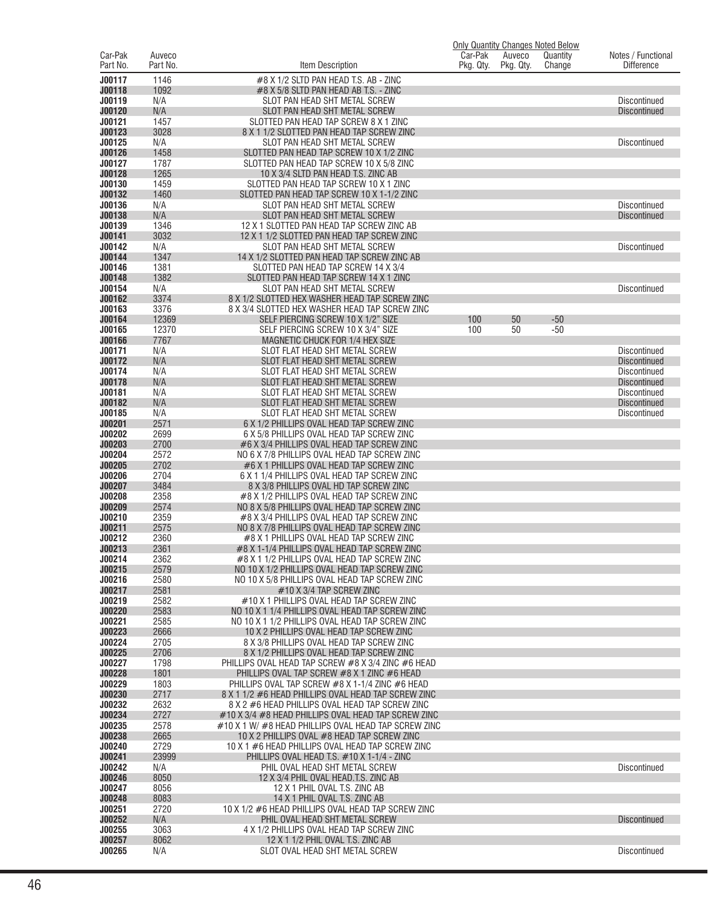|                     |                    |                                                                                                        | <b>Only Quantity Changes Noted Below</b> |                     |                    |                                            |
|---------------------|--------------------|--------------------------------------------------------------------------------------------------------|------------------------------------------|---------------------|--------------------|--------------------------------------------|
| Car-Pak<br>Part No. | Auveco<br>Part No. | <b>Item Description</b>                                                                                | Car-Pak<br>Pkg. Qty.                     | Auveco<br>Pkg. Qty. | Quantity<br>Change | Notes / Functional<br><b>Difference</b>    |
|                     |                    |                                                                                                        |                                          |                     |                    |                                            |
| J00117              | 1146               | #8 X 1/2 SLTD PAN HEAD T.S. AB - ZINC                                                                  |                                          |                     |                    |                                            |
| J00118<br>J00119    | 1092<br>N/A        | #8 X 5/8 SLTD PAN HEAD AB T.S. - ZINC<br>SLOT PAN HEAD SHT METAL SCREW                                 |                                          |                     |                    | <b>Discontinued</b>                        |
| J00120              | N/A                | SLOT PAN HEAD SHT METAL SCREW                                                                          |                                          |                     |                    | <b>Discontinued</b>                        |
| J00121              | 1457               | SLOTTED PAN HEAD TAP SCREW 8 X 1 ZINC                                                                  |                                          |                     |                    |                                            |
| J00123              | 3028               | 8 X 1 1/2 SLOTTED PAN HEAD TAP SCREW ZINC                                                              |                                          |                     |                    |                                            |
| J00125              | N/A                | SLOT PAN HEAD SHT METAL SCREW                                                                          |                                          |                     |                    | <b>Discontinued</b>                        |
| J00126              | 1458               | SLOTTED PAN HEAD TAP SCREW 10 X 1/2 ZINC                                                               |                                          |                     |                    |                                            |
| J00127              | 1787               | SLOTTED PAN HEAD TAP SCREW 10 X 5/8 ZINC                                                               |                                          |                     |                    |                                            |
| J00128              | 1265               | 10 X 3/4 SLTD PAN HEAD T.S. ZINC AB                                                                    |                                          |                     |                    |                                            |
| J00130              | 1459               | SLOTTED PAN HEAD TAP SCREW 10 X 1 ZINC                                                                 |                                          |                     |                    |                                            |
| J00132<br>J00136    | 1460               | SLOTTED PAN HEAD TAP SCREW 10 X 1-1/2 ZINC                                                             |                                          |                     |                    |                                            |
| J00138              | N/A<br>N/A         | SLOT PAN HEAD SHT METAL SCREW<br>SLOT PAN HEAD SHT METAL SCREW                                         |                                          |                     |                    | <b>Discontinued</b><br><b>Discontinued</b> |
| J00139              | 1346               | 12 X 1 SLOTTED PAN HEAD TAP SCREW ZINC AB                                                              |                                          |                     |                    |                                            |
| J00141              | 3032               | 12 X 1 1/2 SLOTTED PAN HEAD TAP SCREW ZINC                                                             |                                          |                     |                    |                                            |
| J00142              | N/A                | SLOT PAN HEAD SHT METAL SCREW                                                                          |                                          |                     |                    | <b>Discontinued</b>                        |
| J00144              | 1347               | 14 X 1/2 SLOTTED PAN HEAD TAP SCREW ZINC AB                                                            |                                          |                     |                    |                                            |
| J00146              | 1381               | SLOTTED PAN HEAD TAP SCREW 14 X 3/4                                                                    |                                          |                     |                    |                                            |
| J00148              | 1382               | SLOTTED PAN HEAD TAP SCREW 14 X 1 ZINC                                                                 |                                          |                     |                    |                                            |
| J00154              | N/A                | SLOT PAN HEAD SHT METAL SCREW                                                                          |                                          |                     |                    | <b>Discontinued</b>                        |
| J00162<br>J00163    | 3374<br>3376       | 8 X 1/2 SLOTTED HEX WASHER HEAD TAP SCREW ZINC                                                         |                                          |                     |                    |                                            |
| J00164              | 12369              | 8 X 3/4 SLOTTED HEX WASHER HEAD TAP SCREW ZINC<br>SELF PIERCING SCREW 10 X 1/2" SIZE                   | 100                                      | 50                  | $-50$              |                                            |
| J00165              | 12370              | SELF PIERCING SCREW 10 X 3/4" SIZE                                                                     | 100                                      | 50                  | $-50$              |                                            |
| J00166              | 7767               | MAGNETIC CHUCK FOR 1/4 HEX SIZE                                                                        |                                          |                     |                    |                                            |
| J00171              | N/A                | SLOT FLAT HEAD SHT METAL SCREW                                                                         |                                          |                     |                    | <b>Discontinued</b>                        |
| J00172              | N/A                | SLOT FLAT HEAD SHT METAL SCREW                                                                         |                                          |                     |                    | <b>Discontinued</b>                        |
| J00174              | N/A                | SLOT FLAT HEAD SHT METAL SCREW                                                                         |                                          |                     |                    | <b>Discontinued</b>                        |
| J00178              | N/A                | SLOT FLAT HEAD SHT METAL SCREW                                                                         |                                          |                     |                    | <b>Discontinued</b>                        |
| J00181              | N/A                | SLOT FLAT HEAD SHT METAL SCREW                                                                         |                                          |                     |                    | <b>Discontinued</b>                        |
| J00182              | N/A                | SLOT FLAT HEAD SHT METAL SCREW                                                                         |                                          |                     |                    | <b>Discontinued</b>                        |
| J00185<br>J00201    | N/A<br>2571        | SLOT FLAT HEAD SHT METAL SCREW<br>6 X 1/2 PHILLIPS OVAL HEAD TAP SCREW ZINC                            |                                          |                     |                    | <b>Discontinued</b>                        |
| J00202              | 2699               | 6 X 5/8 PHILLIPS OVAL HEAD TAP SCREW ZINC                                                              |                                          |                     |                    |                                            |
| J00203              | 2700               | #6 X 3/4 PHILLIPS OVAL HEAD TAP SCREW ZINC                                                             |                                          |                     |                    |                                            |
| J00204              | 2572               | NO 6 X 7/8 PHILLIPS OVAL HEAD TAP SCREW ZINC                                                           |                                          |                     |                    |                                            |
| J00205              | 2702               | #6 X 1 PHILLIPS OVAL HEAD TAP SCREW ZINC                                                               |                                          |                     |                    |                                            |
| J00206              | 2704               | 6 X 1 1/4 PHILLIPS OVAL HEAD TAP SCREW ZINC                                                            |                                          |                     |                    |                                            |
| J00207              | 3484               | 8 X 3/8 PHILLIPS OVAL HD TAP SCREW ZINC                                                                |                                          |                     |                    |                                            |
| J00208              | 2358               | #8 X 1/2 PHILLIPS OVAL HEAD TAP SCREW ZINC                                                             |                                          |                     |                    |                                            |
| J00209<br>J00210    | 2574<br>2359       | NO 8 X 5/8 PHILLIPS OVAL HEAD TAP SCREW ZINC                                                           |                                          |                     |                    |                                            |
| J00211              | 2575               | #8 X 3/4 PHILLIPS OVAL HEAD TAP SCREW ZINC<br>NO 8 X 7/8 PHILLIPS OVAL HEAD TAP SCREW ZINC             |                                          |                     |                    |                                            |
| J00212              | 2360               | #8 X 1 PHILLIPS OVAL HEAD TAP SCREW ZINC                                                               |                                          |                     |                    |                                            |
| J00213              | 2361               | #8 X 1-1/4 PHILLIPS OVAL HEAD TAP SCREW ZINC                                                           |                                          |                     |                    |                                            |
| J00214              | 2362               | #8 X 1 1/2 PHILLIPS OVAL HEAD TAP SCREW ZINC                                                           |                                          |                     |                    |                                            |
| J00215              | 2579               | NO 10 X 1/2 PHILLIPS OVAL HEAD TAP SCREW ZINC                                                          |                                          |                     |                    |                                            |
| J00216              | 2580               | NO 10 X 5/8 PHILLIPS OVAL HEAD TAP SCREW ZINC                                                          |                                          |                     |                    |                                            |
| J00217              | 2581               | #10 X 3/4 TAP SCREW ZINC                                                                               |                                          |                     |                    |                                            |
| J00219<br>J00220    | 2582<br>2583       | #10 X 1 PHILLIPS OVAL HEAD TAP SCREW ZINC<br>NO 10 X 1 1/4 PHILLIPS OVAL HEAD TAP SCREW ZINC           |                                          |                     |                    |                                            |
| J00221              | 2585               | NO 10 X 1 1/2 PHILLIPS OVAL HEAD TAP SCREW ZINC                                                        |                                          |                     |                    |                                            |
| J00223              | 2666               | 10 X 2 PHILLIPS OVAL HEAD TAP SCREW ZINC                                                               |                                          |                     |                    |                                            |
| J00224              | 2705               | 8 X 3/8 PHILLIPS OVAL HEAD TAP SCREW ZINC                                                              |                                          |                     |                    |                                            |
| J00225              | 2706               | 8 X 1/2 PHILLIPS OVAL HEAD TAP SCREW ZINC                                                              |                                          |                     |                    |                                            |
| J00227              | 1798               | PHILLIPS OVAL HEAD TAP SCREW #8 X 3/4 ZINC #6 HEAD                                                     |                                          |                     |                    |                                            |
| J00228              | 1801               | PHILLIPS OVAL TAP SCREW #8 X 1 ZINC #6 HEAD                                                            |                                          |                     |                    |                                            |
| J00229              | 1803               | PHILLIPS OVAL TAP SCREW #8 X 1-1/4 ZINC #6 HEAD                                                        |                                          |                     |                    |                                            |
| J00230              | 2717               | 8 X 1 1/2 #6 HEAD PHILLIPS OVAL HEAD TAP SCREW ZINC<br>8 X 2 #6 HEAD PHILLIPS OVAL HEAD TAP SCREW ZINC |                                          |                     |                    |                                            |
| J00232<br>J00234    | 2632<br>2727       | #10 X 3/4 #8 HEAD PHILLIPS OVAL HEAD TAP SCREW ZINC                                                    |                                          |                     |                    |                                            |
| J00235              | 2578               | #10 X 1 W/ #8 HEAD PHILLIPS OVAL HEAD TAP SCREW ZINC                                                   |                                          |                     |                    |                                            |
| J00238              | 2665               | 10 X 2 PHILLIPS OVAL #8 HEAD TAP SCREW ZINC                                                            |                                          |                     |                    |                                            |
| J00240              | 2729               | 10 X 1 #6 HEAD PHILLIPS OVAL HEAD TAP SCREW ZINC                                                       |                                          |                     |                    |                                            |
| J00241              | 23999              | PHILLIPS OVAL HEAD T.S. #10 X 1-1/4 - ZINC                                                             |                                          |                     |                    |                                            |
| J00242              | N/A                | PHIL OVAL HEAD SHT METAL SCREW                                                                         |                                          |                     |                    | <b>Discontinued</b>                        |
| J00246              | 8050               | 12 X 3/4 PHIL OVAL HEAD.T.S. ZINC AB                                                                   |                                          |                     |                    |                                            |
| J00247              | 8056               | 12 X 1 PHIL OVAL T.S. ZINC AB                                                                          |                                          |                     |                    |                                            |
| J00248              | 8083               | 14 X 1 PHIL OVAL T.S. ZINC AB                                                                          |                                          |                     |                    |                                            |
| J00251<br>J00252    | 2720<br>N/A        | 10 X 1/2 #6 HEAD PHILLIPS OVAL HEAD TAP SCREW ZINC<br>PHIL OVAL HEAD SHT METAL SCREW                   |                                          |                     |                    | <b>Discontinued</b>                        |
| J00255              | 3063               | 4 X 1/2 PHILLIPS OVAL HEAD TAP SCREW ZINC                                                              |                                          |                     |                    |                                            |
| J00257              | 8062               | 12 X 1 1/2 PHIL OVAL T.S. ZINC AB                                                                      |                                          |                     |                    |                                            |
| J00265              | N/A                | SLOT OVAL HEAD SHT METAL SCREW                                                                         |                                          |                     |                    | <b>Discontinued</b>                        |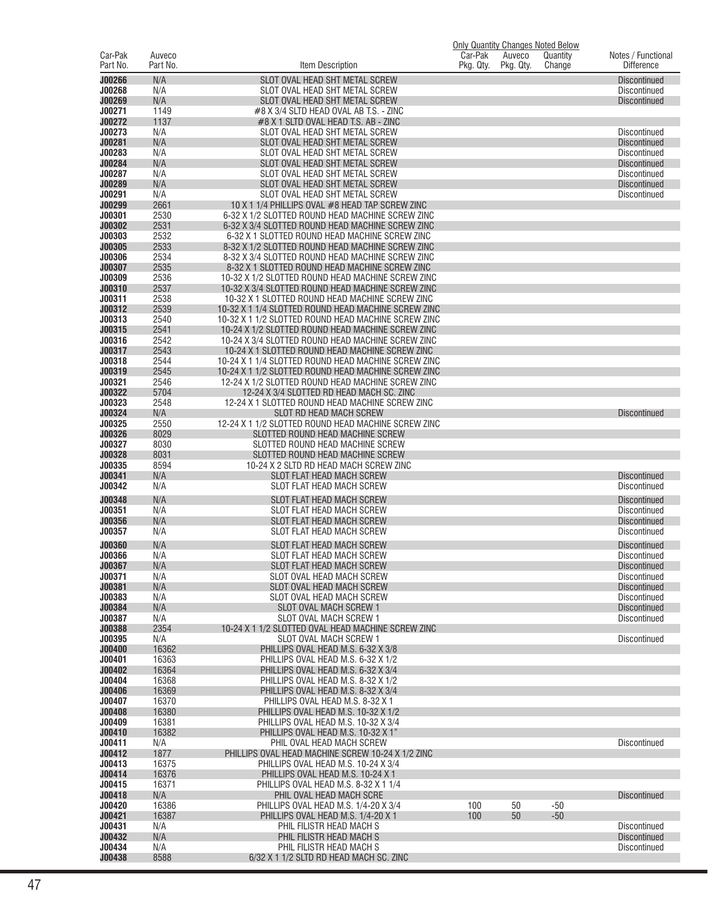| Car-Pak                 | Auveco         |                                                                                                        | Car-Pak   | Auveco    | <b>Only Quantity Changes Noted Below</b><br>Quantity | Notes / Functional                         |
|-------------------------|----------------|--------------------------------------------------------------------------------------------------------|-----------|-----------|------------------------------------------------------|--------------------------------------------|
| Part No.                | Part No.       | Item Description                                                                                       | Pkg. Qty. | Pkg. Qty. | Change                                               | <b>Difference</b>                          |
| J00266                  | N/A            | SLOT OVAL HEAD SHT METAL SCREW                                                                         |           |           |                                                      | <b>Discontinued</b>                        |
| J00268<br>J00269        | N/A<br>N/A     | SLOT OVAL HEAD SHT METAL SCREW<br>SLOT OVAL HEAD SHT METAL SCREW                                       |           |           |                                                      | <b>Discontinued</b><br><b>Discontinued</b> |
| J00271                  | 1149           | #8 X 3/4 SLTD HEAD OVAL AB T.S. - ZINC                                                                 |           |           |                                                      |                                            |
| J00272                  | 1137           | #8 X 1 SLTD OVAL HEAD T.S. AB - ZINC                                                                   |           |           |                                                      |                                            |
| J00273                  | N/A            | SLOT OVAL HEAD SHT METAL SCREW                                                                         |           |           |                                                      | Discontinued                               |
| J00281<br>J00283        | N/A<br>N/A     | SLOT OVAL HEAD SHT METAL SCREW<br>SLOT OVAL HEAD SHT METAL SCREW                                       |           |           |                                                      | <b>Discontinued</b><br>Discontinued        |
| J00284                  | N/A            | SLOT OVAL HEAD SHT METAL SCREW                                                                         |           |           |                                                      | <b>Discontinued</b>                        |
| J00287                  | N/A            | SLOT OVAL HEAD SHT METAL SCREW                                                                         |           |           |                                                      | <b>Discontinued</b>                        |
| J00289                  | N/A            | SLOT OVAL HEAD SHT METAL SCREW                                                                         |           |           |                                                      | <b>Discontinued</b>                        |
| J00291<br>J00299        | N/A<br>2661    | SLOT OVAL HEAD SHT METAL SCREW<br>10 X 1 1/4 PHILLIPS OVAL #8 HEAD TAP SCREW ZINC                      |           |           |                                                      | <b>Discontinued</b>                        |
| <b>J00301</b>           | 2530           | 6-32 X 1/2 SLOTTED ROUND HEAD MACHINE SCREW ZINC                                                       |           |           |                                                      |                                            |
| J00302                  | 2531           | 6-32 X 3/4 SLOTTED ROUND HEAD MACHINE SCREW ZINC                                                       |           |           |                                                      |                                            |
| <b>J00303</b>           | 2532           | 6-32 X 1 SLOTTED ROUND HEAD MACHINE SCREW ZINC                                                         |           |           |                                                      |                                            |
| J00305<br><b>J00306</b> | 2533<br>2534   | 8-32 X 1/2 SLOTTED ROUND HEAD MACHINE SCREW ZINC<br>8-32 X 3/4 SLOTTED ROUND HEAD MACHINE SCREW ZINC   |           |           |                                                      |                                            |
| J00307                  | 2535           | 8-32 X 1 SLOTTED ROUND HEAD MACHINE SCREW ZINC                                                         |           |           |                                                      |                                            |
| <b>J00309</b>           | 2536           | 10-32 X 1/2 SLOTTED ROUND HEAD MACHINE SCREW ZINC                                                      |           |           |                                                      |                                            |
| J00310                  | 2537           | 10-32 X 3/4 SLOTTED ROUND HEAD MACHINE SCREW ZINC                                                      |           |           |                                                      |                                            |
| J00311<br>J00312        | 2538<br>2539   | 10-32 X 1 SLOTTED ROUND HEAD MACHINE SCREW ZINC<br>10-32 X 1 1/4 SLOTTED ROUND HEAD MACHINE SCREW ZINC |           |           |                                                      |                                            |
| J00313                  | 2540           | 10-32 X 1 1/2 SLOTTED ROUND HEAD MACHINE SCREW ZINC                                                    |           |           |                                                      |                                            |
| J00315                  | 2541           | 10-24 X 1/2 SLOTTED ROUND HEAD MACHINE SCREW ZINC                                                      |           |           |                                                      |                                            |
| J00316                  | 2542           | 10-24 X 3/4 SLOTTED ROUND HEAD MACHINE SCREW ZINC                                                      |           |           |                                                      |                                            |
| J00317<br>J00318        | 2543<br>2544   | 10-24 X 1 SLOTTED ROUND HEAD MACHINE SCREW ZINC<br>10-24 X 1 1/4 SLOTTED ROUND HEAD MACHINE SCREW ZINC |           |           |                                                      |                                            |
| J00319                  | 2545           | 10-24 X 1 1/2 SLOTTED ROUND HEAD MACHINE SCREW ZINC                                                    |           |           |                                                      |                                            |
| <b>J00321</b>           | 2546           | 12-24 X 1/2 SLOTTED ROUND HEAD MACHINE SCREW ZINC                                                      |           |           |                                                      |                                            |
| J00322                  | 5704           | 12-24 X 3/4 SLOTTED RD HEAD MACH SC. ZINC                                                              |           |           |                                                      |                                            |
| J00323<br>J00324        | 2548<br>N/A    | 12-24 X 1 SLOTTED ROUND HEAD MACHINE SCREW ZINC<br>SLOT RD HEAD MACH SCREW                             |           |           |                                                      | <b>Discontinued</b>                        |
| J00325                  | 2550           | 12-24 X 1 1/2 SLOTTED ROUND HEAD MACHINE SCREW ZINC                                                    |           |           |                                                      |                                            |
| J00326                  | 8029           | SLOTTED ROUND HEAD MACHINE SCREW                                                                       |           |           |                                                      |                                            |
| <b>J00327</b>           | 8030           | SLOTTED ROUND HEAD MACHINE SCREW                                                                       |           |           |                                                      |                                            |
| J00328<br><b>J00335</b> | 8031<br>8594   | SLOTTED ROUND HEAD MACHINE SCREW<br>10-24 X 2 SLTD RD HEAD MACH SCREW ZINC                             |           |           |                                                      |                                            |
| J00341                  | N/A            | SLOT FLAT HEAD MACH SCREW                                                                              |           |           |                                                      | <b>Discontinued</b>                        |
| J00342                  | N/A            | SLOT FLAT HEAD MACH SCREW                                                                              |           |           |                                                      | <b>Discontinued</b>                        |
| J00348                  | N/A            | <b>SLOT FLAT HEAD MACH SCREW</b>                                                                       |           |           |                                                      | <b>Discontinued</b>                        |
| J00351                  | N/A            | SLOT FLAT HEAD MACH SCREW                                                                              |           |           |                                                      | <b>Discontinued</b>                        |
| <b>J00356</b><br>J00357 | N/A<br>N/A     | SLOT FLAT HEAD MACH SCREW<br>SLOT FLAT HEAD MACH SCREW                                                 |           |           |                                                      | <b>Discontinued</b><br><b>Discontinued</b> |
| <b>J00360</b>           | N/A            | SLOT FLAT HEAD MACH SCREW                                                                              |           |           |                                                      | <b>Discontinued</b>                        |
| J00366                  | N/A            | SLOT FLAT HEAD MACH SCREW                                                                              |           |           |                                                      | Discontinued                               |
| J00367                  | N/A            | <b>SLOT FLAT HEAD MACH SCREW</b>                                                                       |           |           |                                                      | <b>Discontinued</b>                        |
| J00371                  | N/A            | SLOT OVAL HEAD MACH SCREW                                                                              |           |           |                                                      | Discontinued                               |
| J00381<br>J00383        | N/A<br>N/A     | SLOT OVAL HEAD MACH SCREW<br>SLOT OVAL HEAD MACH SCREW                                                 |           |           |                                                      | <b>Discontinued</b><br><b>Discontinued</b> |
| J00384                  | N/A            | SLOT OVAL MACH SCREW 1                                                                                 |           |           |                                                      | <b>Discontinued</b>                        |
| J00387                  | N/A            | SLOT OVAL MACH SCREW 1                                                                                 |           |           |                                                      | <b>Discontinued</b>                        |
| J00388                  | 2354           | 10-24 X 1 1/2 SLOTTED OVAL HEAD MACHINE SCREW ZINC                                                     |           |           |                                                      |                                            |
| J00395<br>J00400        | N/A<br>16362   | SLOT OVAL MACH SCREW 1<br>PHILLIPS OVAL HEAD M.S. 6-32 X 3/8                                           |           |           |                                                      | <b>Discontinued</b>                        |
| J00401                  | 16363          | PHILLIPS OVAL HEAD M.S. 6-32 X 1/2                                                                     |           |           |                                                      |                                            |
| J00402                  | 16364          | PHILLIPS OVAL HEAD M.S. 6-32 X 3/4                                                                     |           |           |                                                      |                                            |
| J00404                  | 16368          | PHILLIPS OVAL HEAD M.S. 8-32 X 1/2                                                                     |           |           |                                                      |                                            |
| J00406<br>J00407        | 16369<br>16370 | PHILLIPS OVAL HEAD M.S. 8-32 X 3/4<br>PHILLIPS OVAL HEAD M.S. 8-32 X 1                                 |           |           |                                                      |                                            |
| J00408                  | 16380          | PHILLIPS OVAL HEAD M.S. 10-32 X 1/2                                                                    |           |           |                                                      |                                            |
| J00409                  | 16381          | PHILLIPS OVAL HEAD M.S. 10-32 X 3/4                                                                    |           |           |                                                      |                                            |
| J00410                  | 16382          | PHILLIPS OVAL HEAD M.S. 10-32 X 1"                                                                     |           |           |                                                      |                                            |
| J00411<br>J00412        | N/A<br>1877    | PHIL OVAL HEAD MACH SCREW<br>PHILLIPS OVAL HEAD MACHINE SCREW 10-24 X 1/2 ZINC                         |           |           |                                                      | <b>Discontinued</b>                        |
| J00413                  | 16375          | PHILLIPS OVAL HEAD M.S. 10-24 X 3/4                                                                    |           |           |                                                      |                                            |
| J00414                  | 16376          | PHILLIPS OVAL HEAD M.S. 10-24 X 1                                                                      |           |           |                                                      |                                            |
| J00415                  | 16371          | PHILLIPS OVAL HEAD M.S. 8-32 X 1 1/4                                                                   |           |           |                                                      |                                            |
| J00418<br>J00420        | N/A<br>16386   | PHIL OVAL HEAD MACH SCRE<br>PHILLIPS OVAL HEAD M.S. 1/4-20 X 3/4                                       | 100       | 50        | $-50$                                                | <b>Discontinued</b>                        |
| J00421                  | 16387          | PHILLIPS OVAL HEAD M.S. 1/4-20 X 1                                                                     | 100       | 50        | $-50$                                                |                                            |
| J00431                  | N/A            | PHIL FILISTR HEAD MACH S                                                                               |           |           |                                                      | <b>Discontinued</b>                        |
| J00432<br>J00434        | N/A<br>N/A     | PHIL FILISTR HEAD MACH S<br>PHIL FILISTR HEAD MACH S                                                   |           |           |                                                      | <b>Discontinued</b><br><b>Discontinued</b> |
| J00438                  | 8588           | 6/32 X 1 1/2 SLTD RD HEAD MACH SC. ZINC                                                                |           |           |                                                      |                                            |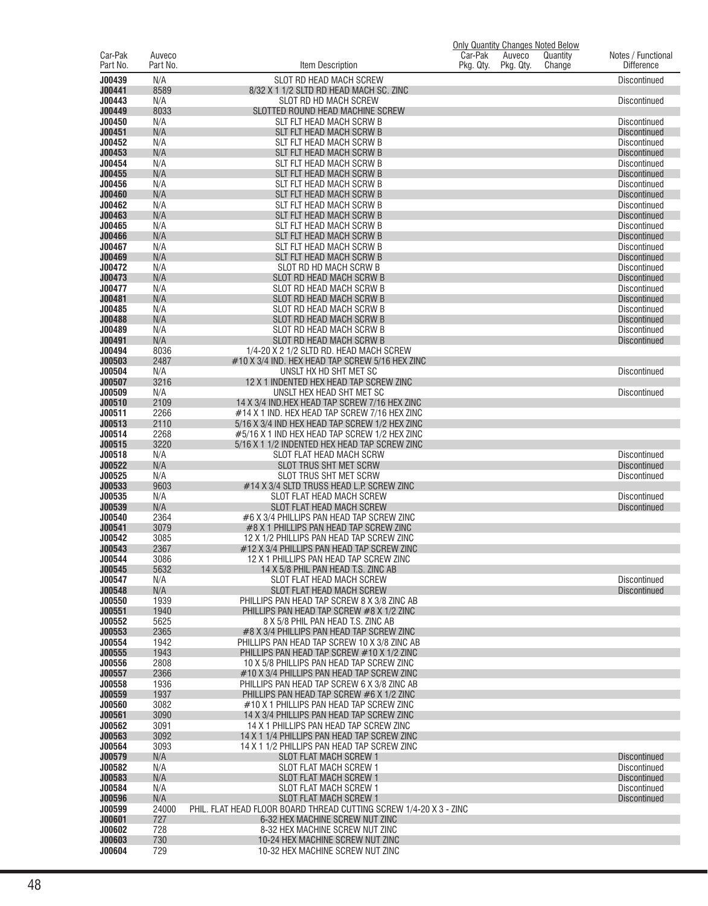|                     |                    |                                                                                                 | <b>Only Quantity Changes Noted Below</b> |                     |                    |                                            |
|---------------------|--------------------|-------------------------------------------------------------------------------------------------|------------------------------------------|---------------------|--------------------|--------------------------------------------|
| Car-Pak<br>Part No. | Auveco<br>Part No. | ltem Description                                                                                | Car-Pak<br>Pkg. Qty.                     | Auveco<br>Pkg. Qty. | Quantity<br>Change | Notes / Functional<br><b>Difference</b>    |
|                     |                    |                                                                                                 |                                          |                     |                    |                                            |
| J00439              | N/A                | SLOT RD HEAD MACH SCREW                                                                         |                                          |                     |                    | Discontinued                               |
| J00441<br>J00443    | 8589<br>N/A        | 8/32 X 1 1/2 SLTD RD HEAD MACH SC. ZINC<br>SLOT RD HD MACH SCREW                                |                                          |                     |                    | <b>Discontinued</b>                        |
| J00449              | 8033               | SLOTTED ROUND HEAD MACHINE SCREW                                                                |                                          |                     |                    |                                            |
| J00450              | N/A                | SLT FLT HEAD MACH SCRW B                                                                        |                                          |                     |                    | Discontinued                               |
| J00451              | N/A                | SLT FLT HEAD MACH SCRW B                                                                        |                                          |                     |                    | <b>Discontinued</b>                        |
| J00452              | N/A                | SLT FLT HEAD MACH SCRW B                                                                        |                                          |                     |                    | <b>Discontinued</b>                        |
| J00453              | N/A                | SLT FLT HEAD MACH SCRW B                                                                        |                                          |                     |                    | <b>Discontinued</b>                        |
| J00454              | N/A                | SLT FLT HEAD MACH SCRW B                                                                        |                                          |                     |                    | <b>Discontinued</b>                        |
| J00455              | N/A                | SLT FLT HEAD MACH SCRW B                                                                        |                                          |                     |                    | <b>Discontinued</b>                        |
| J00456              | N/A                | SLT FLT HEAD MACH SCRW B                                                                        |                                          |                     |                    | <b>Discontinued</b>                        |
| J00460<br>J00462    | N/A<br>N/A         | SLT FLT HEAD MACH SCRW B                                                                        |                                          |                     |                    | <b>Discontinued</b><br><b>Discontinued</b> |
| J00463              | N/A                | SLT FLT HEAD MACH SCRW B<br>SLT FLT HEAD MACH SCRW B                                            |                                          |                     |                    | <b>Discontinued</b>                        |
| J00465              | N/A                | SLT FLT HEAD MACH SCRW B                                                                        |                                          |                     |                    | <b>Discontinued</b>                        |
| J00466              | N/A                | SLT FLT HEAD MACH SCRW B                                                                        |                                          |                     |                    | <b>Discontinued</b>                        |
| J00467              | N/A                | SLT FLT HEAD MACH SCRW B                                                                        |                                          |                     |                    | <b>Discontinued</b>                        |
| J00469              | N/A                | SLT FLT HEAD MACH SCRW B                                                                        |                                          |                     |                    | <b>Discontinued</b>                        |
| J00472              | N/A                | SLOT RD HD MACH SCRW B                                                                          |                                          |                     |                    | <b>Discontinued</b>                        |
| J00473              | N/A                | SLOT RD HEAD MACH SCRW B                                                                        |                                          |                     |                    | <b>Discontinued</b>                        |
| J00477              | N/A                | SLOT RD HEAD MACH SCRW B                                                                        |                                          |                     |                    | <b>Discontinued</b>                        |
| J00481              | N/A                | SLOT RD HEAD MACH SCRW B                                                                        |                                          |                     |                    | <b>Discontinued</b>                        |
| J00485<br>J00488    | N/A<br>N/A         | SLOT RD HEAD MACH SCRW B<br>SLOT RD HEAD MACH SCRW B                                            |                                          |                     |                    | <b>Discontinued</b><br><b>Discontinued</b> |
| J00489              | N/A                | SLOT RD HEAD MACH SCRW B                                                                        |                                          |                     |                    | <b>Discontinued</b>                        |
| J00491              | N/A                | SLOT RD HEAD MACH SCRW B                                                                        |                                          |                     |                    | <b>Discontinued</b>                        |
| J00494              | 8036               | 1/4-20 X 2 1/2 SLTD RD. HEAD MACH SCREW                                                         |                                          |                     |                    |                                            |
| J00503              | 2487               | #10 X 3/4 IND. HEX HEAD TAP SCREW 5/16 HEX ZINC                                                 |                                          |                     |                    |                                            |
| J00504              | N/A                | UNSLT HX HD SHT MET SC                                                                          |                                          |                     |                    | <b>Discontinued</b>                        |
| J00507              | 3216               | 12 X 1 INDENTED HEX HEAD TAP SCREW ZINC                                                         |                                          |                     |                    |                                            |
| J00509              | N/A                | UNSLT HEX HEAD SHT MET SC                                                                       |                                          |                     |                    | Discontinued                               |
| J00510              | 2109               | 14 X 3/4 IND.HEX HEAD TAP SCREW 7/16 HEX ZINC                                                   |                                          |                     |                    |                                            |
| J00511<br>J00513    | 2266<br>2110       | #14 X 1 IND. HEX HEAD TAP SCREW 7/16 HEX ZINC<br>5/16 X 3/4 IND HEX HEAD TAP SCREW 1/2 HEX ZINC |                                          |                     |                    |                                            |
| J00514              | 2268               | #5/16 X 1 IND HEX HEAD TAP SCREW 1/2 HEX ZINC                                                   |                                          |                     |                    |                                            |
| J00515              | 3220               | 5/16 X 1 1/2 INDENTED HEX HEAD TAP SCREW ZINC                                                   |                                          |                     |                    |                                            |
| J00518              | N/A                | SLOT FLAT HEAD MACH SCRW                                                                        |                                          |                     |                    | <b>Discontinued</b>                        |
| J00522              | N/A                | SLOT TRUS SHT MET SCRW                                                                          |                                          |                     |                    | <b>Discontinued</b>                        |
| J00525              | N/A                | SLOT TRUS SHT MET SCRW                                                                          |                                          |                     |                    | Discontinued                               |
| J00533              | 9603               | #14 X 3/4 SLTD TRUSS HEAD L.P. SCREW ZINC                                                       |                                          |                     |                    |                                            |
| J00535              | N/A                | SLOT FLAT HEAD MACH SCREW                                                                       |                                          |                     |                    | <b>Discontinued</b>                        |
| J00539<br>J00540    | N/A<br>2364        | SLOT FLAT HEAD MACH SCREW<br>#6 X 3/4 PHILLIPS PAN HEAD TAP SCREW ZINC                          |                                          |                     |                    | <b>Discontinued</b>                        |
| J00541              | 3079               | #8 X 1 PHILLIPS PAN HEAD TAP SCREW ZINC                                                         |                                          |                     |                    |                                            |
| J00542              | 3085               | 12 X 1/2 PHILLIPS PAN HEAD TAP SCREW ZINC                                                       |                                          |                     |                    |                                            |
| J00543              | 2367               | #12 X 3/4 PHILLIPS PAN HEAD TAP SCREW ZINC                                                      |                                          |                     |                    |                                            |
| J00544              | 3086               | 12 X 1 PHILLIPS PAN HEAD TAP SCREW ZINC                                                         |                                          |                     |                    |                                            |
| J00545              | 5632               | 14 X 5/8 PHIL PAN HEAD T.S. ZINC AB                                                             |                                          |                     |                    |                                            |
| J00547              | N/A                | SLOT FLAT HEAD MACH SCREW                                                                       |                                          |                     |                    | <b>Discontinued</b>                        |
| J00548<br>J00550    | N/A                | SLOT FLAT HEAD MACH SCREW                                                                       |                                          |                     |                    | <b>Discontinued</b>                        |
| J00551              | 1939<br>1940       | PHILLIPS PAN HEAD TAP SCREW 8 X 3/8 ZINC AB<br>PHILLIPS PAN HEAD TAP SCREW #8 X 1/2 ZINC        |                                          |                     |                    |                                            |
| J00552              | 5625               | 8 X 5/8 PHIL PAN HEAD T.S. ZINC AB                                                              |                                          |                     |                    |                                            |
| J00553              | 2365               | #8 X 3/4 PHILLIPS PAN HEAD TAP SCREW ZINC                                                       |                                          |                     |                    |                                            |
| J00554              | 1942               | PHILLIPS PAN HEAD TAP SCREW 10 X 3/8 ZINC AB                                                    |                                          |                     |                    |                                            |
| J00555              | 1943               | PHILLIPS PAN HEAD TAP SCREW #10 X 1/2 ZINC                                                      |                                          |                     |                    |                                            |
| J00556              | 2808               | 10 X 5/8 PHILLIPS PAN HEAD TAP SCREW ZINC                                                       |                                          |                     |                    |                                            |
| J00557              | 2366               | #10 X 3/4 PHILLIPS PAN HEAD TAP SCREW ZINC                                                      |                                          |                     |                    |                                            |
| J00558<br>J00559    | 1936<br>1937       | PHILLIPS PAN HEAD TAP SCREW 6 X 3/8 ZINC AB<br>PHILLIPS PAN HEAD TAP SCREW #6 X 1/2 ZINC        |                                          |                     |                    |                                            |
| J00560              | 3082               | #10 X 1 PHILLIPS PAN HEAD TAP SCREW ZINC                                                        |                                          |                     |                    |                                            |
| J00561              | 3090               | 14 X 3/4 PHILLIPS PAN HEAD TAP SCREW ZINC                                                       |                                          |                     |                    |                                            |
| J00562              | 3091               | 14 X 1 PHILLIPS PAN HEAD TAP SCREW ZINC                                                         |                                          |                     |                    |                                            |
| J00563              | 3092               | 14 X 1 1/4 PHILLIPS PAN HEAD TAP SCREW ZINC                                                     |                                          |                     |                    |                                            |
| J00564              | 3093               | 14 X 1 1/2 PHILLIPS PAN HEAD TAP SCREW ZINC                                                     |                                          |                     |                    |                                            |
| J00579              | N/A                | <b>SLOT FLAT MACH SCREW 1</b>                                                                   |                                          |                     |                    | <b>Discontinued</b>                        |
| J00582              | N/A                | <b>SLOT FLAT MACH SCREW 1</b>                                                                   |                                          |                     |                    | <b>Discontinued</b>                        |
| J00583<br>J00584    | N/A                | <b>SLOT FLAT MACH SCREW 1</b>                                                                   |                                          |                     |                    | <b>Discontinued</b><br>Discontinued        |
| J00596              | N/A<br>N/A         | <b>SLOT FLAT MACH SCREW 1</b><br><b>SLOT FLAT MACH SCREW 1</b>                                  |                                          |                     |                    | <b>Discontinued</b>                        |
| J00599              | 24000              | PHIL. FLAT HEAD FLOOR BOARD THREAD CUTTING SCREW 1/4-20 X 3 - ZINC                              |                                          |                     |                    |                                            |
| J00601              | 727                | 6-32 HEX MACHINE SCREW NUT ZINC                                                                 |                                          |                     |                    |                                            |
| J00602              | 728                | 8-32 HEX MACHINE SCREW NUT ZINC                                                                 |                                          |                     |                    |                                            |
| J00603              | 730                | 10-24 HEX MACHINE SCREW NUT ZINC                                                                |                                          |                     |                    |                                            |
| J00604              | 729                | 10-32 HEX MACHINE SCREW NUT ZINC                                                                |                                          |                     |                    |                                            |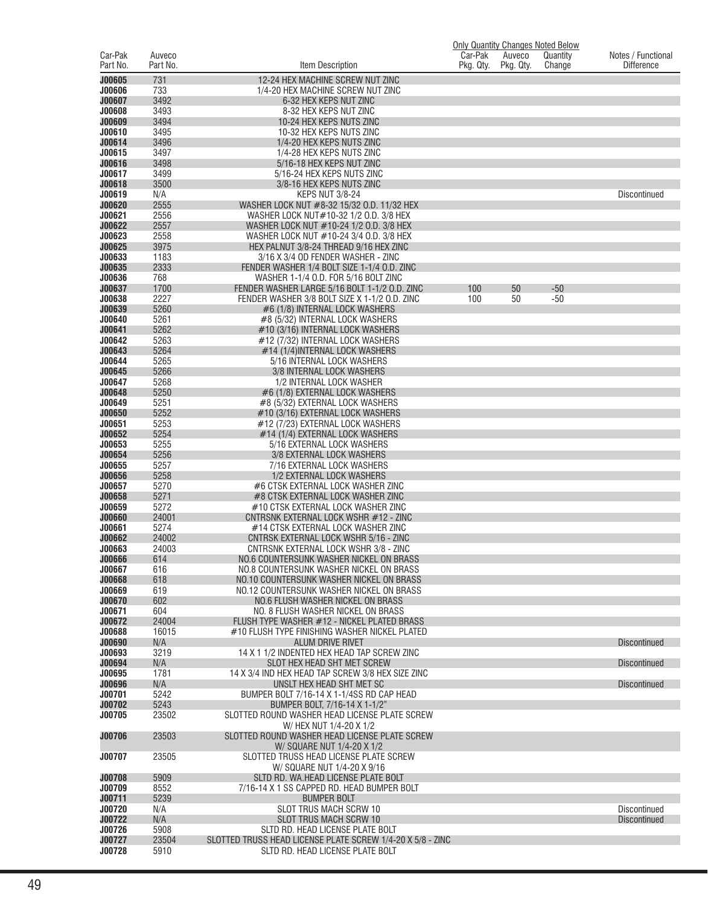|                         |                    |                                                                                                |                      |                     | <b>Only Quantity Changes Noted Below</b> |                                         |
|-------------------------|--------------------|------------------------------------------------------------------------------------------------|----------------------|---------------------|------------------------------------------|-----------------------------------------|
| Car-Pak<br>Part No.     | Auveco<br>Part No. | Item Description                                                                               | Car-Pak<br>Pkg. Qty. | Auveco<br>Pkg. Qty. | Quantity<br>Change                       | Notes / Functional<br><b>Difference</b> |
| J00605                  | 731                | 12-24 HEX MACHINE SCREW NUT ZINC                                                               |                      |                     |                                          |                                         |
| <b>J00606</b>           | 733                | 1/4-20 HEX MACHINE SCREW NUT ZINC                                                              |                      |                     |                                          |                                         |
| J00607                  | 3492               | 6-32 HEX KEPS NUT ZINC                                                                         |                      |                     |                                          |                                         |
| J00608<br><b>J00609</b> | 3493<br>3494       | 8-32 HEX KEPS NUT ZINC<br>10-24 HEX KEPS NUTS ZINC                                             |                      |                     |                                          |                                         |
| J00610                  | 3495               | 10-32 HEX KEPS NUTS ZINC                                                                       |                      |                     |                                          |                                         |
| J00614                  | 3496               | 1/4-20 HEX KEPS NUTS ZINC                                                                      |                      |                     |                                          |                                         |
| J00615                  | 3497               | 1/4-28 HEX KEPS NUTS ZINC                                                                      |                      |                     |                                          |                                         |
| J00616<br>J00617        | 3498<br>3499       | 5/16-18 HEX KEPS NUT ZINC<br>5/16-24 HEX KEPS NUTS ZINC                                        |                      |                     |                                          |                                         |
| J00618                  | 3500               | 3/8-16 HEX KEPS NUTS ZINC                                                                      |                      |                     |                                          |                                         |
| J00619                  | N/A                | <b>KEPS NUT 3/8-24</b>                                                                         |                      |                     |                                          | Discontinued                            |
| J00620                  | 2555               | WASHER LOCK NUT #8-32 15/32 O.D. 11/32 HEX                                                     |                      |                     |                                          |                                         |
| J00621<br>J00622        | 2556<br>2557       | WASHER LOCK NUT#10-32 1/2 0.D. 3/8 HEX<br>WASHER LOCK NUT #10-24 1/2 0.D. 3/8 HEX              |                      |                     |                                          |                                         |
| J00623                  | 2558               | WASHER LOCK NUT #10-24 3/4 O.D. 3/8 HEX                                                        |                      |                     |                                          |                                         |
| J00625                  | 3975               | HEX PALNUT 3/8-24 THREAD 9/16 HEX ZINC                                                         |                      |                     |                                          |                                         |
| J00633                  | 1183               | 3/16 X 3/4 OD FENDER WASHER - ZINC                                                             |                      |                     |                                          |                                         |
| J00635                  | 2333               | FENDER WASHER 1/4 BOLT SIZE 1-1/4 O.D. ZINC                                                    |                      |                     |                                          |                                         |
| J00636<br>J00637        | 768<br>1700        | WASHER 1-1/4 O.D. FOR 5/16 BOLT ZINC<br>FENDER WASHER LARGE 5/16 BOLT 1-1/2 O.D. ZINC          | 100                  | 50                  | $-50$                                    |                                         |
| J00638                  | 2227               | FENDER WASHER 3/8 BOLT SIZE X 1-1/2 O.D. ZINC                                                  | 100                  | 50                  | $-50$                                    |                                         |
| J00639                  | 5260               | #6 (1/8) INTERNAL LOCK WASHERS                                                                 |                      |                     |                                          |                                         |
| J00640                  | 5261               | #8 (5/32) INTERNAL LOCK WASHERS                                                                |                      |                     |                                          |                                         |
| J00641<br>J00642        | 5262<br>5263       | #10 (3/16) INTERNAL LOCK WASHERS                                                               |                      |                     |                                          |                                         |
| J00643                  | 5264               | #12 (7/32) INTERNAL LOCK WASHERS<br>#14 (1/4) INTERNAL LOCK WASHERS                            |                      |                     |                                          |                                         |
| J00644                  | 5265               | 5/16 INTERNAL LOCK WASHERS                                                                     |                      |                     |                                          |                                         |
| J00645                  | 5266               | 3/8 INTERNAL LOCK WASHERS                                                                      |                      |                     |                                          |                                         |
| J00647                  | 5268               | 1/2 INTERNAL LOCK WASHER                                                                       |                      |                     |                                          |                                         |
| J00648<br>J00649        | 5250<br>5251       | #6 (1/8) EXTERNAL LOCK WASHERS<br>#8 (5/32) EXTERNAL LOCK WASHERS                              |                      |                     |                                          |                                         |
| <b>J00650</b>           | 5252               | #10 (3/16) EXTERNAL LOCK WASHERS                                                               |                      |                     |                                          |                                         |
| J00651                  | 5253               | #12 (7/23) EXTERNAL LOCK WASHERS                                                               |                      |                     |                                          |                                         |
| J00652                  | 5254               | #14 (1/4) EXTERNAL LOCK WASHERS                                                                |                      |                     |                                          |                                         |
| J00653<br>J00654        | 5255<br>5256       | 5/16 EXTERNAL LOCK WASHERS<br>3/8 EXTERNAL LOCK WASHERS                                        |                      |                     |                                          |                                         |
| J00655                  | 5257               | 7/16 EXTERNAL LOCK WASHERS                                                                     |                      |                     |                                          |                                         |
| J00656                  | 5258               | 1/2 EXTERNAL LOCK WASHERS                                                                      |                      |                     |                                          |                                         |
| J00657                  | 5270               | #6 CTSK EXTERNAL LOCK WASHER ZINC                                                              |                      |                     |                                          |                                         |
| J00658<br>J00659        | 5271<br>5272       | #8 CTSK EXTERNAL LOCK WASHER ZINC<br>#10 CTSK EXTERNAL LOCK WASHER ZINC                        |                      |                     |                                          |                                         |
| <b>J00660</b>           | 24001              | CNTRSNK EXTERNAL LOCK WSHR #12 - ZINC                                                          |                      |                     |                                          |                                         |
| J00661                  | 5274               | #14 CTSK EXTERNAL LOCK WASHER ZINC                                                             |                      |                     |                                          |                                         |
| J00662                  | 24002              | CNTRSK EXTERNAL LOCK WSHR 5/16 - ZINC                                                          |                      |                     |                                          |                                         |
| J00663                  | 24003              | CNTRSNK EXTERNAL LOCK WSHR 3/8 - ZINC                                                          |                      |                     |                                          |                                         |
| <b>JUU666</b><br>J00667 | 614<br>616         | NO.6 COUNTERSUNK WASHER NICKEL ON BRASS<br>NO.8 COUNTERSUNK WASHER NICKEL ON BRASS             |                      |                     |                                          |                                         |
| J00668                  | 618                | NO.10 COUNTERSUNK WASHER NICKEL ON BRASS                                                       |                      |                     |                                          |                                         |
| J00669                  | 619                | NO.12 COUNTERSUNK WASHER NICKEL ON BRASS                                                       |                      |                     |                                          |                                         |
| J00670                  | 602<br>604         | NO.6 FLUSH WASHER NICKEL ON BRASS                                                              |                      |                     |                                          |                                         |
| J00671<br>J00672        | 24004              | NO. 8 FLUSH WASHER NICKEL ON BRASS<br>FLUSH TYPE WASHER #12 - NICKEL PLATED BRASS              |                      |                     |                                          |                                         |
| J00688                  | 16015              | #10 FLUSH TYPE FINISHING WASHER NICKEL PLATED                                                  |                      |                     |                                          |                                         |
| <b>J00690</b>           | N/A                | <b>ALUM DRIVE RIVET</b>                                                                        |                      |                     |                                          | <b>Discontinued</b>                     |
| J00693<br>J00694        | 3219<br>N/A        | 14 X 1 1/2 INDENTED HEX HEAD TAP SCREW ZINC<br>SLOT HEX HEAD SHT MET SCREW                     |                      |                     |                                          | <b>Discontinued</b>                     |
| J00695                  | 1781               | 14 X 3/4 IND HEX HEAD TAP SCREW 3/8 HEX SIZE ZINC                                              |                      |                     |                                          |                                         |
| <b>J00696</b>           | N/A                | UNSLT HEX HEAD SHT MET SC                                                                      |                      |                     |                                          | <b>Discontinued</b>                     |
| J00701                  | 5242               | BUMPER BOLT 7/16-14 X 1-1/4SS RD CAP HEAD                                                      |                      |                     |                                          |                                         |
| J00702                  | 5243               | BUMPER BOLT. 7/16-14 X 1-1/2"                                                                  |                      |                     |                                          |                                         |
| J00705                  | 23502              | SLOTTED ROUND WASHER HEAD LICENSE PLATE SCREW<br>W/ HEX NUT 1/4-20 X 1/2                       |                      |                     |                                          |                                         |
| J00706                  | 23503              | SLOTTED ROUND WASHER HEAD LICENSE PLATE SCREW                                                  |                      |                     |                                          |                                         |
|                         |                    | W/ SQUARE NUT 1/4-20 X 1/2                                                                     |                      |                     |                                          |                                         |
| J00707                  | 23505              | SLOTTED TRUSS HEAD LICENSE PLATE SCREW                                                         |                      |                     |                                          |                                         |
| J00708                  | 5909               | W/ SQUARE NUT 1/4-20 X 9/16                                                                    |                      |                     |                                          |                                         |
| J00709                  | 8552               | SLTD RD. WA.HEAD LICENSE PLATE BOLT<br>7/16-14 X 1 SS CAPPED RD. HEAD BUMPER BOLT              |                      |                     |                                          |                                         |
| J00711                  | 5239               | <b>BUMPER BOLT</b>                                                                             |                      |                     |                                          |                                         |
| J00720                  | N/A                | SLOT TRUS MACH SCRW 10                                                                         |                      |                     |                                          | <b>Discontinued</b>                     |
| J00722                  | N/A                | SLOT TRUS MACH SCRW 10                                                                         |                      |                     |                                          | <b>Discontinued</b>                     |
| J00726<br>J00727        | 5908<br>23504      | SLTD RD. HEAD LICENSE PLATE BOLT<br>SLOTTED TRUSS HEAD LICENSE PLATE SCREW 1/4-20 X 5/8 - ZINC |                      |                     |                                          |                                         |
| J00728                  | 5910               | SLTD RD. HEAD LICENSE PLATE BOLT                                                               |                      |                     |                                          |                                         |
|                         |                    |                                                                                                |                      |                     |                                          |                                         |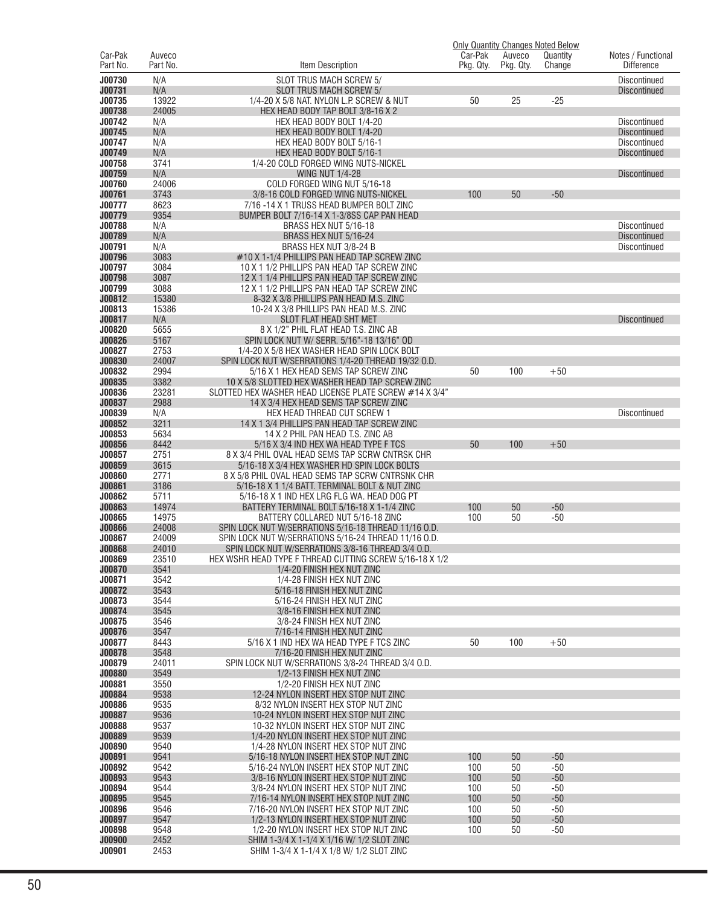|                     |                    |                                                                                                              |                      |                     | <b>Only Quantity Changes Noted Below</b> |                                         |
|---------------------|--------------------|--------------------------------------------------------------------------------------------------------------|----------------------|---------------------|------------------------------------------|-----------------------------------------|
| Car-Pak<br>Part No. | Auveco<br>Part No. | Item Description                                                                                             | Car-Pak<br>Pkg. Qty. | Auveco<br>Pkg. Qty. | Quantity<br>Change                       | Notes / Functional<br><b>Difference</b> |
|                     |                    |                                                                                                              |                      |                     |                                          |                                         |
| J00730              | N/A                | SLOT TRUS MACH SCREW 5/                                                                                      |                      |                     |                                          | Discontinued                            |
| J00731<br>J00735    | N/A<br>13922       | SLOT TRUS MACH SCREW 5/<br>1/4-20 X 5/8 NAT. NYLON L.P. SCREW & NUT                                          | 50                   | 25                  | $-25$                                    | <b>Discontinued</b>                     |
| J00738              | 24005              | HEX HEAD BODY TAP BOLT 3/8-16 X 2                                                                            |                      |                     |                                          |                                         |
| J00742              | N/A                | HEX HEAD BODY BOLT 1/4-20                                                                                    |                      |                     |                                          | <b>Discontinued</b>                     |
| J00745              | N/A                | HEX HEAD BODY BOLT 1/4-20                                                                                    |                      |                     |                                          | <b>Discontinued</b>                     |
| J00747              | N/A                | HEX HEAD BODY BOLT 5/16-1                                                                                    |                      |                     |                                          | Discontinued                            |
| J00749              | N/A                | HEX HEAD BODY BOLT 5/16-1                                                                                    |                      |                     |                                          | <b>Discontinued</b>                     |
| J00758              | 3741               | 1/4-20 COLD FORGED WING NUTS-NICKEL                                                                          |                      |                     |                                          |                                         |
| J00759              | N/A                | <b>WING NUT 1/4-28</b>                                                                                       |                      |                     |                                          | Discontinued                            |
| J00760<br>J00761    | 24006<br>3743      | COLD FORGED WING NUT 5/16-18<br>3/8-16 COLD FORGED WING NUTS-NICKEL                                          | 100                  | 50                  | $-50$                                    |                                         |
| J00777              | 8623               | 7/16 -14 X 1 TRUSS HEAD BUMPER BOLT ZINC                                                                     |                      |                     |                                          |                                         |
| J00779              | 9354               | BUMPER BOLT 7/16-14 X 1-3/8SS CAP PAN HEAD                                                                   |                      |                     |                                          |                                         |
| J00788              | N/A                | BRASS HEX NUT 5/16-18                                                                                        |                      |                     |                                          | Discontinued                            |
| J00789              | N/A                | BRASS HEX NUT 5/16-24                                                                                        |                      |                     |                                          | <b>Discontinued</b>                     |
| J00791              | N/A                | BRASS HEX NUT 3/8-24 B                                                                                       |                      |                     |                                          | Discontinued                            |
| J00796              | 3083               | #10 X 1-1/4 PHILLIPS PAN HEAD TAP SCREW ZINC                                                                 |                      |                     |                                          |                                         |
| J00797              | 3084               | 10 X 1 1/2 PHILLIPS PAN HEAD TAP SCREW ZINC                                                                  |                      |                     |                                          |                                         |
| J00798<br>J00799    | 3087<br>3088       | 12 X 1 1/4 PHILLIPS PAN HEAD TAP SCREW ZINC                                                                  |                      |                     |                                          |                                         |
| J00812              | 15380              | 12 X 1 1/2 PHILLIPS PAN HEAD TAP SCREW ZINC<br>8-32 X 3/8 PHILLIPS PAN HEAD M.S. ZINC                        |                      |                     |                                          |                                         |
| J00813              | 15386              | 10-24 X 3/8 PHILLIPS PAN HEAD M.S. ZINC                                                                      |                      |                     |                                          |                                         |
| J00817              | N/A                | SLOT FLAT HEAD SHT MET                                                                                       |                      |                     |                                          | Discontinued                            |
| J00820              | 5655               | 8 X 1/2" PHIL FLAT HEAD T.S. ZINC AB                                                                         |                      |                     |                                          |                                         |
| J00826              | 5167               | SPIN LOCK NUT W/ SERR, 5/16"-18 13/16" OD                                                                    |                      |                     |                                          |                                         |
| J00827              | 2753               | 1/4-20 X 5/8 HEX WASHER HEAD SPIN LOCK BOLT                                                                  |                      |                     |                                          |                                         |
| J00830              | 24007              | SPIN LOCK NUT W/SERRATIONS 1/4-20 THREAD 19/32 O.D.                                                          |                      |                     |                                          |                                         |
| J00832              | 2994               | 5/16 X 1 HEX HEAD SEMS TAP SCREW ZINC                                                                        | 50                   | 100                 | $+50$                                    |                                         |
| J00835<br>J00836    | 3382<br>23281      | 10 X 5/8 SLOTTED HEX WASHER HEAD TAP SCREW ZINC<br>SLOTTED HEX WASHER HEAD LICENSE PLATE SCREW #14 X 3/4"    |                      |                     |                                          |                                         |
| J00837              | 2988               | 14 X 3/4 HEX HEAD SEMS TAP SCREW ZINC                                                                        |                      |                     |                                          |                                         |
| J00839              | N/A                | HEX HEAD THREAD CUT SCREW 1                                                                                  |                      |                     |                                          | Discontinued                            |
| J00852              | 3211               | 14 X 1 3/4 PHILLIPS PAN HEAD TAP SCREW ZINC                                                                  |                      |                     |                                          |                                         |
| J00853              | 5634               | 14 X 2 PHIL PAN HEAD T.S. ZINC AB                                                                            |                      |                     |                                          |                                         |
| J00856              | 8442               | 5/16 X 3/4 IND HEX WA HEAD TYPE F TCS                                                                        | 50                   | 100                 | $+50$                                    |                                         |
| J00857              | 2751               | 8 X 3/4 PHIL OVAL HEAD SEMS TAP SCRW CNTRSK CHR                                                              |                      |                     |                                          |                                         |
| J00859<br>J00860    | 3615<br>2771       | 5/16-18 X 3/4 HEX WASHER HD SPIN LOCK BOLTS                                                                  |                      |                     |                                          |                                         |
| J00861              | 3186               | 8 X 5/8 PHIL OVAL HEAD SEMS TAP SCRW CNTRSNK CHR<br>5/16-18 X 1 1/4 BATT. TERMINAL BOLT & NUT ZINC           |                      |                     |                                          |                                         |
| J00862              | 5711               | 5/16-18 X 1 IND HEX LRG FLG WA. HEAD DOG PT                                                                  |                      |                     |                                          |                                         |
| J00863              | 14974              | BATTERY TERMINAL BOLT 5/16-18 X 1-1/4 ZINC                                                                   | 100                  | 50                  | $-50$                                    |                                         |
| J00865              | 14975              | BATTERY COLLARED NUT 5/16-18 ZINC                                                                            | 100                  | 50                  | $-50$                                    |                                         |
| <b>J00866</b>       | 24008              | SPIN LOCK NUT W/SERRATIONS 5/16-18 THREAD 11/16 O.D.                                                         |                      |                     |                                          |                                         |
| J00867              | 24009              | SPIN LOCK NUT W/SERRATIONS 5/16-24 THREAD 11/16 O.D.                                                         |                      |                     |                                          |                                         |
| J00868<br>J00869    | 24010<br>23510     | SPIN LOCK NUT W/SERRATIONS 3/8-16 THREAD 3/4 O.D.<br>HEX WSHR HEAD TYPE F THREAD CUTTING SCREW 5/16-18 X 1/2 |                      |                     |                                          |                                         |
| J00870              | 3541               | 1/4-20 FINISH HEX NUT ZINC                                                                                   |                      |                     |                                          |                                         |
| J00871              | 3542               | 1/4-28 FINISH HEX NUT ZINC                                                                                   |                      |                     |                                          |                                         |
| J00872              | 3543               | 5/16-18 FINISH HEX NUT ZINC                                                                                  |                      |                     |                                          |                                         |
| J00873              | 3544               | 5/16-24 FINISH HEX NUT ZINC                                                                                  |                      |                     |                                          |                                         |
| J00874              | 3545               | 3/8-16 FINISH HEX NUT ZINC                                                                                   |                      |                     |                                          |                                         |
| J00875              | 3546               | 3/8-24 FINISH HEX NUT ZINC                                                                                   |                      |                     |                                          |                                         |
| J00876<br>J00877    | 3547<br>8443       | 7/16-14 FINISH HEX NUT ZINC<br>5/16 X 1 IND HEX WA HEAD TYPE F TCS ZINC                                      | 50                   | 100                 | $+50$                                    |                                         |
| J00878              | 3548               | 7/16-20 FINISH HEX NUT ZINC                                                                                  |                      |                     |                                          |                                         |
| J00879              | 24011              | SPIN LOCK NUT W/SERRATIONS 3/8-24 THREAD 3/4 O.D.                                                            |                      |                     |                                          |                                         |
| J00880              | 3549               | 1/2-13 FINISH HEX NUT ZINC                                                                                   |                      |                     |                                          |                                         |
| J00881              | 3550               | 1/2-20 FINISH HEX NUT ZINC                                                                                   |                      |                     |                                          |                                         |
| J00884              | 9538               | 12-24 NYLON INSERT HEX STOP NUT ZINC                                                                         |                      |                     |                                          |                                         |
| J00886              | 9535               | 8/32 NYLON INSERT HEX STOP NUT ZINC                                                                          |                      |                     |                                          |                                         |
| J00887<br>J00888    | 9536               | 10-24 NYLON INSERT HEX STOP NUT ZINC                                                                         |                      |                     |                                          |                                         |
| J00889              | 9537<br>9539       | 10-32 NYLON INSERT HEX STOP NUT ZINC<br>1/4-20 NYLON INSERT HEX STOP NUT ZINC                                |                      |                     |                                          |                                         |
| J00890              | 9540               | 1/4-28 NYLON INSERT HEX STOP NUT ZINC                                                                        |                      |                     |                                          |                                         |
| J00891              | 9541               | 5/16-18 NYLON INSERT HEX STOP NUT ZINC                                                                       | 100                  | 50                  | $-50$                                    |                                         |
| J00892              | 9542               | 5/16-24 NYLON INSERT HEX STOP NUT ZINC                                                                       | 100                  | 50                  | $-50$                                    |                                         |
| J00893              | 9543               | 3/8-16 NYLON INSERT HEX STOP NUT ZINC                                                                        | 100                  | 50                  | $-50$                                    |                                         |
| J00894              | 9544               | 3/8-24 NYLON INSERT HEX STOP NUT ZINC                                                                        | 100                  | 50                  | $-50$                                    |                                         |
| J00895              | 9545               | 7/16-14 NYLON INSERT HEX STOP NUT ZINC                                                                       | 100                  | 50                  | $-50$                                    |                                         |
| J00896<br>J00897    | 9546<br>9547       | 7/16-20 NYLON INSERT HEX STOP NUT ZINC<br>1/2-13 NYLON INSERT HEX STOP NUT ZINC                              | 100                  | 50<br>50            | $-50$<br>$-50$                           |                                         |
| J00898              | 9548               | 1/2-20 NYLON INSERT HEX STOP NUT ZINC                                                                        | 100<br>100           | 50                  | $-50$                                    |                                         |
| <b>J00900</b>       | 2452               | SHIM 1-3/4 X 1-1/4 X 1/16 W/ 1/2 SLOT ZINC                                                                   |                      |                     |                                          |                                         |
| J00901              | 2453               | SHIM 1-3/4 X 1-1/4 X 1/8 W/ 1/2 SLOT ZINC                                                                    |                      |                     |                                          |                                         |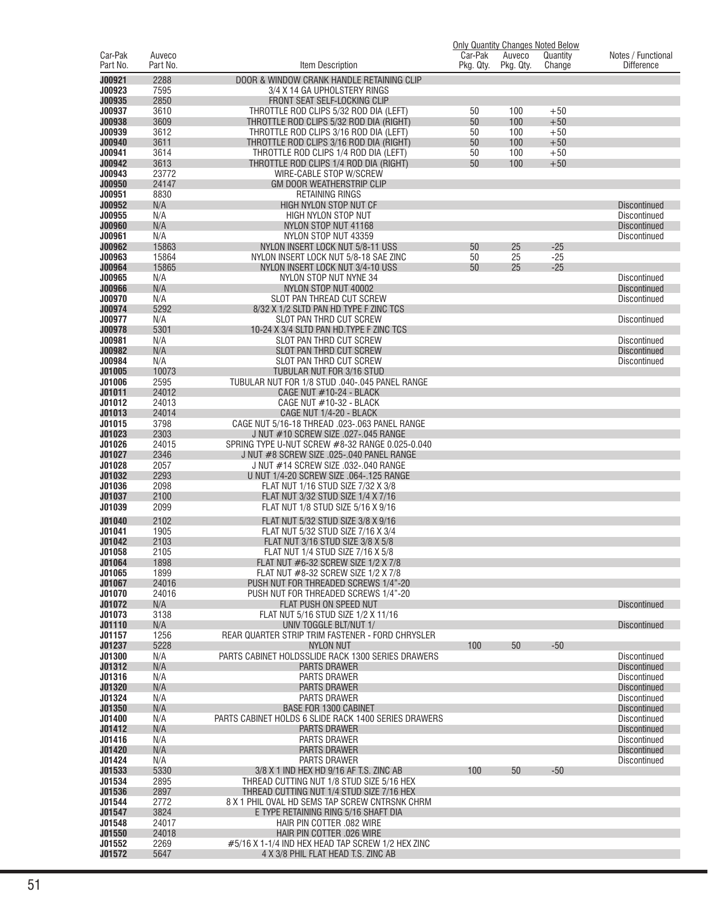|                         |                    |                                                                                |                      |                     | <b>Only Quantity Changes Noted Below</b> |                                            |
|-------------------------|--------------------|--------------------------------------------------------------------------------|----------------------|---------------------|------------------------------------------|--------------------------------------------|
| Car-Pak<br>Part No.     | Auveco<br>Part No. | Item Description                                                               | Car-Pak<br>Pkg. Qty. | Auveco<br>Pkg. Qty. | Quantity<br>Change                       | Notes / Functional<br><b>Difference</b>    |
|                         |                    |                                                                                |                      |                     |                                          |                                            |
| J00921<br>J00923        | 2288<br>7595       | DOOR & WINDOW CRANK HANDLE RETAINING CLIP<br>3/4 X 14 GA UPHOLSTERY RINGS      |                      |                     |                                          |                                            |
| J00935                  | 2850               | FRONT SEAT SELF-LOCKING CLIP                                                   |                      |                     |                                          |                                            |
| J00937                  | 3610               | THROTTLE ROD CLIPS 5/32 ROD DIA (LEFT)                                         | 50                   | 100                 | $+50$                                    |                                            |
| J00938                  | 3609               | THROTTLE ROD CLIPS 5/32 ROD DIA (RIGHT)                                        | 50                   | 100                 | $+50$                                    |                                            |
| J00939                  | 3612               | THROTTLE ROD CLIPS 3/16 ROD DIA (LEFT)                                         | 50                   | 100                 | $+50$                                    |                                            |
| J00940                  | 3611               | THROTTLE ROD CLIPS 3/16 ROD DIA (RIGHT)                                        | 50                   | 100                 | $+50$                                    |                                            |
| J00941                  | 3614               | THROTTLE ROD CLIPS 1/4 ROD DIA (LEFT)                                          | 50                   | 100                 | $+50$                                    |                                            |
| J00942                  | 3613               | THROTTLE ROD CLIPS 1/4 ROD DIA (RIGHT)                                         | 50                   | 100                 | $+50$                                    |                                            |
| J00943                  | 23772              | WIRE-CABLE STOP W/SCREW                                                        |                      |                     |                                          |                                            |
| J00950<br>J00951        | 24147<br>8830      | GM DOOR WEATHERSTRIP CLIP<br><b>RETAINING RINGS</b>                            |                      |                     |                                          |                                            |
| J00952                  | N/A                | HIGH NYLON STOP NUT CF                                                         |                      |                     |                                          | <b>Discontinued</b>                        |
| J00955                  | N/A                | HIGH NYLON STOP NUT                                                            |                      |                     |                                          | <b>Discontinued</b>                        |
| <b>J00960</b>           | N/A                | NYLON STOP NUT 41168                                                           |                      |                     |                                          | <b>Discontinued</b>                        |
| J00961                  | N/A                | NYLON STOP NUT 43359                                                           |                      |                     |                                          | <b>Discontinued</b>                        |
| J00962                  | 15863              | NYLON INSERT LOCK NUT 5/8-11 USS                                               | 50                   | 25                  | $-25$                                    |                                            |
| J00963                  | 15864              | NYLON INSERT LOCK NUT 5/8-18 SAE ZINC                                          | 50                   | 25                  | $-25$                                    |                                            |
| J00964                  | 15865              | NYLON INSERT LOCK NUT 3/4-10 USS                                               | 50                   | 25                  | $-25$                                    |                                            |
| J00965                  | N/A                | NYLON STOP NUT NYNE 34                                                         |                      |                     |                                          | <b>Discontinued</b>                        |
| <b>J00966</b><br>J00970 | N/A<br>N/A         | NYLON STOP NUT 40002<br>SLOT PAN THREAD CUT SCREW                              |                      |                     |                                          | <b>Discontinued</b><br><b>Discontinued</b> |
| J00974                  | 5292               | 8/32 X 1/2 SLTD PAN HD TYPE F ZINC TCS                                         |                      |                     |                                          |                                            |
| J00977                  | N/A                | SLOT PAN THRD CUT SCREW                                                        |                      |                     |                                          | <b>Discontinued</b>                        |
| J00978                  | 5301               | 10-24 X 3/4 SLTD PAN HD. TYPE F ZINC TCS                                       |                      |                     |                                          |                                            |
| J00981                  | N/A                | SLOT PAN THRD CUT SCREW                                                        |                      |                     |                                          | <b>Discontinued</b>                        |
| J00982                  | N/A                | SLOT PAN THRD CUT SCREW                                                        |                      |                     |                                          | <b>Discontinued</b>                        |
| J00984                  | N/A                | SLOT PAN THRD CUT SCREW                                                        |                      |                     |                                          | <b>Discontinued</b>                        |
| J01005                  | 10073              | TUBULAR NUT FOR 3/16 STUD                                                      |                      |                     |                                          |                                            |
| J01006                  | 2595               | TUBULAR NUT FOR 1/8 STUD .040-.045 PANEL RANGE                                 |                      |                     |                                          |                                            |
| J01011<br>J01012        | 24012<br>24013     | <b>CAGE NUT #10-24 - BLACK</b>                                                 |                      |                     |                                          |                                            |
| J01013                  | 24014              | CAGE NUT #10-32 - BLACK<br>CAGE NUT 1/4-20 - BLACK                             |                      |                     |                                          |                                            |
| J01015                  | 3798               | CAGE NUT 5/16-18 THREAD .023-.063 PANEL RANGE                                  |                      |                     |                                          |                                            |
| J01023                  | 2303               | J NUT #10 SCREW SIZE .027-.045 RANGE                                           |                      |                     |                                          |                                            |
| J01026                  | 24015              | SPRING TYPE U-NUT SCREW #8-32 RANGE 0.025-0.040                                |                      |                     |                                          |                                            |
| J01027                  | 2346               | J NUT #8 SCREW SIZE .025-.040 PANEL RANGE                                      |                      |                     |                                          |                                            |
| J01028                  | 2057               | J NUT #14 SCREW SIZE .032-.040 RANGE                                           |                      |                     |                                          |                                            |
| J01032                  | 2293               | U NUT 1/4-20 SCREW SIZE .064-.125 RANGE                                        |                      |                     |                                          |                                            |
| J01036                  | 2098               | FLAT NUT 1/16 STUD SIZE 7/32 X 3/8                                             |                      |                     |                                          |                                            |
| J01037<br>J01039        | 2100<br>2099       | FLAT NUT 3/32 STUD SIZE 1/4 X 7/16<br>FLAT NUT 1/8 STUD SIZE 5/16 X 9/16       |                      |                     |                                          |                                            |
|                         |                    |                                                                                |                      |                     |                                          |                                            |
| J01040                  | 2102               | FLAT NUT 5/32 STUD SIZE 3/8 X 9/16                                             |                      |                     |                                          |                                            |
| J01041<br>J01042        | 1905<br>2103       | FLAT NUT 5/32 STUD SIZE 7/16 X 3/4<br>FLAT NUT 3/16 STUD SIZE 3/8 X 5/8        |                      |                     |                                          |                                            |
| J01058                  | 2105               | FLAT NUT 1/4 STUD SIZE 7/16 X 5/8                                              |                      |                     |                                          |                                            |
| J01064                  | 1898               | FLAT NUT #6-32 SCREW SIZE 1/2 X 7/8                                            |                      |                     |                                          |                                            |
| J01065                  | 1899               | FLAT NUT #8-32 SCREW SIZE 1/2 X 7/8                                            |                      |                     |                                          |                                            |
| J01067                  | 24016              | PUSH NUT FOR THREADED SCREWS 1/4"-20                                           |                      |                     |                                          |                                            |
| J01070                  | 24016              | PUSH NUT FOR THREADED SCREWS 1/4"-20                                           |                      |                     |                                          |                                            |
| J01072                  | N/A                | FLAT PUSH ON SPEED NUT                                                         |                      |                     |                                          | <b>Discontinued</b>                        |
| J01073                  | 3138               | FLAT NUT 5/16 STUD SIZE 1/2 X 11/16                                            |                      |                     |                                          |                                            |
| J01110<br>J01157        | N/A<br>1256        | UNIV TOGGLE BLT/NUT 1/<br>REAR QUARTER STRIP TRIM FASTENER - FORD CHRYSLER     |                      |                     |                                          | <b>Discontinued</b>                        |
| J01237                  | 5228               | <b>NYLON NUT</b>                                                               | 100                  | 50                  | $-50$                                    |                                            |
| J01300                  | N/A                | PARTS CABINET HOLDSSLIDE RACK 1300 SERIES DRAWERS                              |                      |                     |                                          | <b>Discontinued</b>                        |
| J01312                  | N/A                | <b>PARTS DRAWER</b>                                                            |                      |                     |                                          | <b>Discontinued</b>                        |
| J01316                  | N/A                | PARTS DRAWER                                                                   |                      |                     |                                          | Discontinued                               |
| J01320                  | N/A                | <b>PARTS DRAWER</b>                                                            |                      |                     |                                          | <b>Discontinued</b>                        |
| J01324                  | N/A                | <b>PARTS DRAWER</b>                                                            |                      |                     |                                          | Discontinued                               |
| J01350                  | N/A                | <b>BASE FOR 1300 CABINET</b>                                                   |                      |                     |                                          | <b>Discontinued</b>                        |
| J01400<br>J01412        | N/A<br>N/A         | PARTS CABINET HOLDS 6 SLIDE RACK 1400 SERIES DRAWERS<br>PARTS DRAWER           |                      |                     |                                          | Discontinued<br><b>Discontinued</b>        |
| J01416                  | N/A                | PARTS DRAWER                                                                   |                      |                     |                                          | Discontinued                               |
| J01420                  | N/A                | PARTS DRAWER                                                                   |                      |                     |                                          | <b>Discontinued</b>                        |
| J01424                  | N/A                | PARTS DRAWER                                                                   |                      |                     |                                          | Discontinued                               |
| J01533                  | 5330               | 3/8 X 1 IND HEX HD 9/16 AF T.S. ZINC AB                                        | 100                  | 50                  | $-50$                                    |                                            |
| J01534                  | 2895               | THREAD CUTTING NUT 1/8 STUD SIZE 5/16 HEX                                      |                      |                     |                                          |                                            |
| J01536                  | 2897               | THREAD CUTTING NUT 1/4 STUD SIZE 7/16 HEX                                      |                      |                     |                                          |                                            |
| J01544                  | 2772               | 8 X 1 PHIL OVAL HD SEMS TAP SCREW CNTRSNK CHRM                                 |                      |                     |                                          |                                            |
| J01547                  |                    | E TYPE RETAINING RING 5/16 SHAFT DIA                                           |                      |                     |                                          |                                            |
| J01548                  | 3824               |                                                                                |                      |                     |                                          |                                            |
|                         | 24017              | HAIR PIN COTTER .082 WIRE                                                      |                      |                     |                                          |                                            |
| J01550<br>J01552        | 24018<br>2269      | HAIR PIN COTTER .026 WIRE<br>#5/16 X 1-1/4 IND HEX HEAD TAP SCREW 1/2 HEX ZINC |                      |                     |                                          |                                            |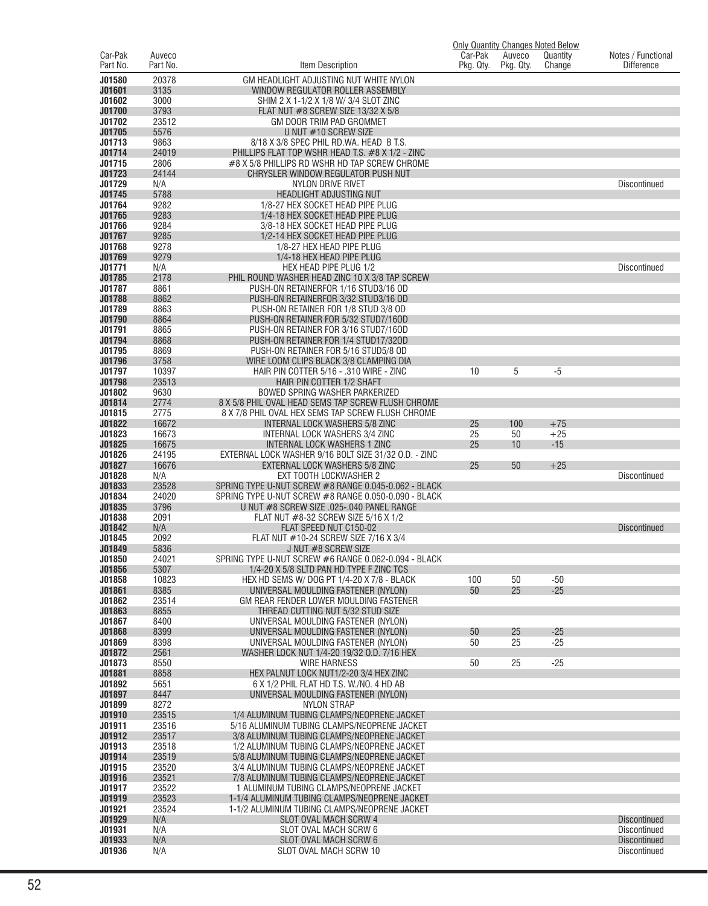|                     |                    |                                                                                                         |                      |                     | <b>Only Quantity Changes Noted Below</b> |                                         |
|---------------------|--------------------|---------------------------------------------------------------------------------------------------------|----------------------|---------------------|------------------------------------------|-----------------------------------------|
| Car-Pak<br>Part No. | Auveco<br>Part No. | Item Description                                                                                        | Car-Pak<br>Pkg. Qty. | Auveco<br>Pkg. Qty. | Quantity<br>Change                       | Notes / Functional<br><b>Difference</b> |
| J01580              | 20378              | GM HEADLIGHT ADJUSTING NUT WHITE NYLON                                                                  |                      |                     |                                          |                                         |
| J01601              | 3135               | WINDOW REGULATOR ROLLER ASSEMBLY                                                                        |                      |                     |                                          |                                         |
| J01602              | 3000               | SHIM 2 X 1-1/2 X 1/8 W/ 3/4 SLOT ZINC                                                                   |                      |                     |                                          |                                         |
| J01700              | 3793               | FLAT NUT #8 SCREW SIZE 13/32 X 5/8                                                                      |                      |                     |                                          |                                         |
| J01702<br>J01705    | 23512<br>5576      | GM DOOR TRIM PAD GROMMET<br>U NUT #10 SCREW SIZE                                                        |                      |                     |                                          |                                         |
| J01713              | 9863               | 8/18 X 3/8 SPEC PHIL RD.WA. HEAD B T.S.                                                                 |                      |                     |                                          |                                         |
| J01714              | 24019              | PHILLIPS FLAT TOP WSHR HEAD T.S. #8 X 1/2 - ZINC                                                        |                      |                     |                                          |                                         |
| J01715              | 2806               | #8 X 5/8 PHILLIPS RD WSHR HD TAP SCREW CHROME                                                           |                      |                     |                                          |                                         |
| J01723<br>J01729    | 24144<br>N/A       | CHRYSLER WINDOW REGULATOR PUSH NUT<br>NYLON DRIVE RIVET                                                 |                      |                     |                                          | <b>Discontinued</b>                     |
| J01745              | 5788               | <b>HEADLIGHT ADJUSTING NUT</b>                                                                          |                      |                     |                                          |                                         |
| J01764              | 9282               | 1/8-27 HEX SOCKET HEAD PIPE PLUG                                                                        |                      |                     |                                          |                                         |
| J01765              | 9283               | 1/4-18 HEX SOCKET HEAD PIPE PLUG                                                                        |                      |                     |                                          |                                         |
| J01766              | 9284<br>9285       | 3/8-18 HEX SOCKET HEAD PIPE PLUG                                                                        |                      |                     |                                          |                                         |
| J01767<br>J01768    | 9278               | 1/2-14 HEX SOCKET HEAD PIPE PLUG<br>1/8-27 HEX HEAD PIPE PLUG                                           |                      |                     |                                          |                                         |
| J01769              | 9279               | 1/4-18 HEX HEAD PIPE PLUG                                                                               |                      |                     |                                          |                                         |
| J01771              | N/A                | HEX HEAD PIPE PLUG 1/2                                                                                  |                      |                     |                                          | <b>Discontinued</b>                     |
| J01785              | 2178               | PHIL ROUND WASHER HEAD ZINC 10 X 3/8 TAP SCREW                                                          |                      |                     |                                          |                                         |
| J01787<br>J01788    | 8861<br>8862       | PUSH-ON RETAINERFOR 1/16 STUD3/16 OD<br>PUSH-ON RETAINERFOR 3/32 STUD3/16 OD                            |                      |                     |                                          |                                         |
| J01789              | 8863               | PUSH-ON RETAINER FOR 1/8 STUD 3/8 OD                                                                    |                      |                     |                                          |                                         |
| J01790              | 8864               | PUSH-ON RETAINER FOR 5/32 STUD7/16OD                                                                    |                      |                     |                                          |                                         |
| J01791              | 8865               | PUSH-ON RETAINER FOR 3/16 STUD7/160D                                                                    |                      |                     |                                          |                                         |
| J01794              | 8868               | PUSH-ON RETAINER FOR 1/4 STUD17/320D                                                                    |                      |                     |                                          |                                         |
| J01795<br>J01796    | 8869<br>3758       | PUSH-ON RETAINER FOR 5/16 STUD5/8 OD<br>WIRE LOOM CLIPS BLACK 3/8 CLAMPING DIA                          |                      |                     |                                          |                                         |
| J01797              | 10397              | HAIR PIN COTTER 5/16 - .310 WIRE - ZINC                                                                 | 10                   | 5                   | $-5$                                     |                                         |
| J01798              | 23513              | HAIR PIN COTTER 1/2 SHAFT                                                                               |                      |                     |                                          |                                         |
| J01802              | 9630               | BOWED SPRING WASHER PARKERIZED                                                                          |                      |                     |                                          |                                         |
| J01814<br>J01815    | 2774<br>2775       | 8 X 5/8 PHIL OVAL HEAD SEMS TAP SCREW FLUSH CHROME<br>8 X 7/8 PHIL OVAL HEX SEMS TAP SCREW FLUSH CHROME |                      |                     |                                          |                                         |
| J01822              | 16672              | <b>INTERNAL LOCK WASHERS 5/8 ZINC</b>                                                                   | 25                   | 100                 | $+75$                                    |                                         |
| J01823              | 16673              | INTERNAL LOCK WASHERS 3/4 ZINC                                                                          | 25                   | 50                  | $+25$                                    |                                         |
| J01825              | 16675              | <b>INTERNAL LOCK WASHERS 1 ZINC</b>                                                                     | 25                   | 10                  | $-15$                                    |                                         |
| J01826              | 24195<br>16676     | EXTERNAL LOCK WASHER 9/16 BOLT SIZE 31/32 O.D. - ZINC                                                   |                      | 50                  |                                          |                                         |
| J01827<br>J01828    | N/A                | EXTERNAL LOCK WASHERS 5/8 ZINC<br>EXT TOOTH LOCKWASHER 2                                                | 25                   |                     | $+25$                                    | <b>Discontinued</b>                     |
| J01833              | 23528              | SPRING TYPE U-NUT SCREW #8 RANGE 0.045-0.062 - BLACK                                                    |                      |                     |                                          |                                         |
| J01834              | 24020              | SPRING TYPE U-NUT SCREW #8 RANGE 0.050-0.090 - BLACK                                                    |                      |                     |                                          |                                         |
| J01835              | 3796               | U NUT #8 SCREW SIZE .025-.040 PANEL RANGE                                                               |                      |                     |                                          |                                         |
| J01838<br>J01842    | 2091<br>N/A        | FLAT NUT #8-32 SCREW SIZE 5/16 X 1/2<br>FLAT SPEED NUT C150-02                                          |                      |                     |                                          | <b>Discontinued</b>                     |
| J01845              | 2092               | FLAT NUT #10-24 SCREW SIZE 7/16 X 3/4                                                                   |                      |                     |                                          |                                         |
| J01849              | 5836               | J NUT #8 SCREW SIZE                                                                                     |                      |                     |                                          |                                         |
| <b>J01850</b>       | 24021              | SPRING TYPE U-NUT SCREW #6 RANGE 0.062-0.094 - BLACK                                                    |                      |                     |                                          |                                         |
| J01856<br>J01858    | 5307<br>10823      | 1/4-20 X 5/8 SLTD PAN HD TYPE F ZINC TCS<br>HEX HD SEMS W/ DOG PT 1/4-20 X 7/8 - BLACK                  | 100                  | 50                  | $-50$                                    |                                         |
| J01861              | 8385               | UNIVERSAL MOULDING FASTENER (NYLON)                                                                     | 50                   | 25                  | $-25$                                    |                                         |
| J01862              | 23514              | GM REAR FENDER LOWER MOULDING FASTENER                                                                  |                      |                     |                                          |                                         |
| J01863              | 8855               | THREAD CUTTING NUT 5/32 STUD SIZE                                                                       |                      |                     |                                          |                                         |
| J01867              | 8400               | UNIVERSAL MOULDING FASTENER (NYLON)<br>UNIVERSAL MOULDING FASTENER (NYLON)                              |                      |                     | $-25$                                    |                                         |
| J01868<br>J01869    | 8399<br>8398       | UNIVERSAL MOULDING FASTENER (NYLON)                                                                     | 50<br>50             | 25<br>25            | $-25$                                    |                                         |
| J01872              | 2561               | WASHER LOCK NUT 1/4-20 19/32 O.D. 7/16 HEX                                                              |                      |                     |                                          |                                         |
| J01873              | 8550               | <b>WIRE HARNESS</b>                                                                                     | 50                   | 25                  | $-25$                                    |                                         |
| J01881              | 8858               | HEX PALNUT LOCK NUT1/2-20 3/4 HEX ZINC                                                                  |                      |                     |                                          |                                         |
| J01892<br>J01897    | 5651<br>8447       | 6 X 1/2 PHIL FLAT HD T.S. W./NO. 4 HD AB<br>UNIVERSAL MOULDING FASTENER (NYLON)                         |                      |                     |                                          |                                         |
| J01899              | 8272               | <b>NYLON STRAP</b>                                                                                      |                      |                     |                                          |                                         |
| J01910              | 23515              | 1/4 ALUMINUM TUBING CLAMPS/NEOPRENE JACKET                                                              |                      |                     |                                          |                                         |
| J01911              | 23516              | 5/16 ALUMINUM TUBING CLAMPS/NEOPRENE JACKET                                                             |                      |                     |                                          |                                         |
| J01912<br>J01913    | 23517<br>23518     | 3/8 ALUMINUM TUBING CLAMPS/NEOPRENE JACKET<br>1/2 ALUMINUM TUBING CLAMPS/NEOPRENE JACKET                |                      |                     |                                          |                                         |
| J01914              | 23519              | 5/8 ALUMINUM TUBING CLAMPS/NEOPRENE JACKET                                                              |                      |                     |                                          |                                         |
| J01915              | 23520              | 3/4 ALUMINUM TUBING CLAMPS/NEOPRENE JACKET                                                              |                      |                     |                                          |                                         |
| J01916              | 23521              | 7/8 ALUMINUM TUBING CLAMPS/NEOPRENE JACKET                                                              |                      |                     |                                          |                                         |
| J01917              | 23522              | 1 ALUMINUM TUBING CLAMPS/NEOPRENE JACKET                                                                |                      |                     |                                          |                                         |
| J01919<br>J01921    | 23523<br>23524     | 1-1/4 ALUMINUM TUBING CLAMPS/NEOPRENE JACKET<br>1-1/2 ALUMINUM TUBING CLAMPS/NEOPRENE JACKET            |                      |                     |                                          |                                         |
| J01929              | N/A                | <b>SLOT OVAL MACH SCRW 4</b>                                                                            |                      |                     |                                          | <b>Discontinued</b>                     |
| J01931              | N/A                | SLOT OVAL MACH SCRW 6                                                                                   |                      |                     |                                          | <b>Discontinued</b>                     |
| J01933              | N/A                | <b>SLOT OVAL MACH SCRW 6</b>                                                                            |                      |                     |                                          | <b>Discontinued</b>                     |
| J01936              | N/A                | SLOT OVAL MACH SCRW 10                                                                                  |                      |                     |                                          | Discontinued                            |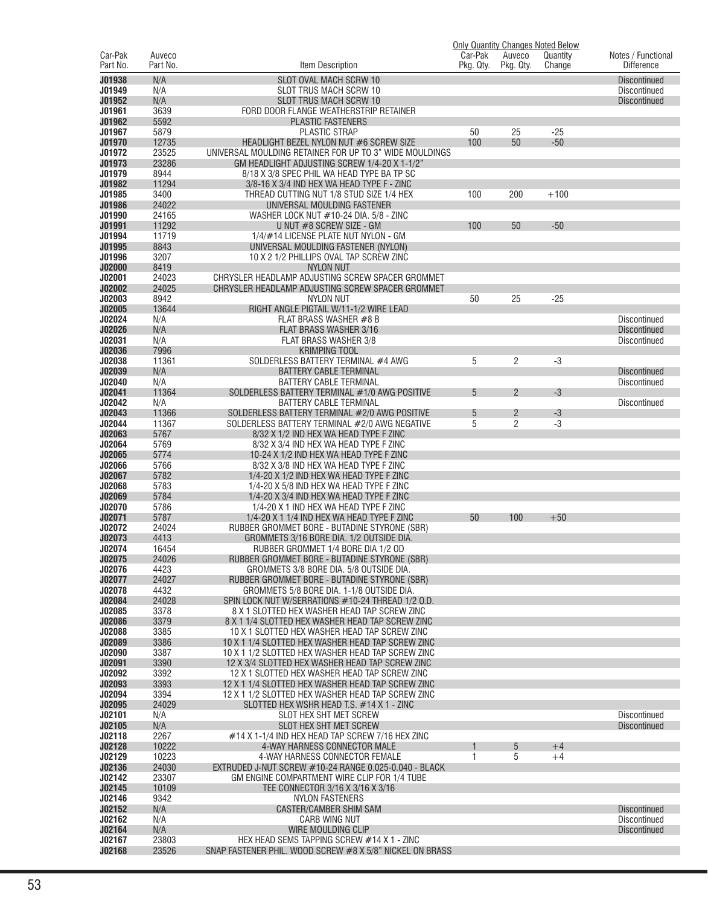|                     |                    |                                                                                                  |                      |                     | <b>Only Quantity Changes Noted Below</b> |                                            |
|---------------------|--------------------|--------------------------------------------------------------------------------------------------|----------------------|---------------------|------------------------------------------|--------------------------------------------|
| Car-Pak<br>Part No. | Auveco<br>Part No. | Item Description                                                                                 | Car-Pak<br>Pkg. Qty. | Auveco<br>Pkg. Qty. | Quantity<br>Change                       | Notes / Functional<br><b>Difference</b>    |
|                     |                    |                                                                                                  |                      |                     |                                          |                                            |
| J01938              | N/A                | SLOT OVAL MACH SCRW 10                                                                           |                      |                     |                                          | <b>Discontinued</b>                        |
| J01949<br>J01952    | N/A<br>N/A         | SLOT TRUS MACH SCRW 10<br><b>SLOT TRUS MACH SCRW 10</b>                                          |                      |                     |                                          | <b>Discontinued</b><br><b>Discontinued</b> |
| J01961              | 3639               | FORD DOOR FLANGE WEATHERSTRIP RETAINER                                                           |                      |                     |                                          |                                            |
| J01962              | 5592               | <b>PLASTIC FASTENERS</b>                                                                         |                      |                     |                                          |                                            |
| J01967              | 5879               | <b>PLASTIC STRAP</b>                                                                             | 50                   | 25                  | $-25$                                    |                                            |
| J01970              | 12735              | HEADLIGHT BEZEL NYLON NUT #6 SCREW SIZE                                                          | 100                  | 50                  | $-50$                                    |                                            |
| J01972              | 23525              | UNIVERSAL MOULDING RETAINER FOR UP TO 3" WIDE MOULDINGS                                          |                      |                     |                                          |                                            |
| J01973              | 23286              | GM HEADLIGHT ADJUSTING SCREW 1/4-20 X 1-1/2"                                                     |                      |                     |                                          |                                            |
| J01979              | 8944               | 8/18 X 3/8 SPEC PHIL WA HEAD TYPE BA TP SC                                                       |                      |                     |                                          |                                            |
| J01982              | 11294              | 3/8-16 X 3/4 IND HEX WA HEAD TYPE F - ZINC                                                       |                      |                     |                                          |                                            |
| J01985<br>J01986    | 3400<br>24022      | THREAD CUTTING NUT 1/8 STUD SIZE 1/4 HEX<br>UNIVERSAL MOULDING FASTENER                          | 100                  | 200                 | $+100$                                   |                                            |
| J01990              | 24165              | WASHER LOCK NUT #10-24 DIA. 5/8 - ZINC                                                           |                      |                     |                                          |                                            |
| J01991              | 11292              | U NUT #8 SCREW SIZE - GM                                                                         | 100                  | 50                  | $-50$                                    |                                            |
| J01994              | 11719              | 1/4/#14 LICENSE PLATE NUT NYLON - GM                                                             |                      |                     |                                          |                                            |
| J01995              | 8843               | UNIVERSAL MOULDING FASTENER (NYLON)                                                              |                      |                     |                                          |                                            |
| J01996              | 3207               | 10 X 2 1/2 PHILLIPS OVAL TAP SCREW ZINC                                                          |                      |                     |                                          |                                            |
| <b>J02000</b>       | 8419               | <b>NYLON NUT</b>                                                                                 |                      |                     |                                          |                                            |
| J02001              | 24023              | CHRYSLER HEADLAMP ADJUSTING SCREW SPACER GROMMET                                                 |                      |                     |                                          |                                            |
| J02002              | 24025              | CHRYSLER HEADLAMP ADJUSTING SCREW SPACER GROMMET                                                 |                      |                     |                                          |                                            |
| J02003<br>J02005    | 8942<br>13644      | NYLON NUT<br>RIGHT ANGLE PIGTAIL W/11-1/2 WIRE LEAD                                              | 50                   | 25                  | $-25$                                    |                                            |
| J02024              | N/A                | FLAT BRASS WASHER #8 B                                                                           |                      |                     |                                          | <b>Discontinued</b>                        |
| J02026              | N/A                | FLAT BRASS WASHER 3/16                                                                           |                      |                     |                                          | <b>Discontinued</b>                        |
| J02031              | N/A                | <b>FLAT BRASS WASHER 3/8</b>                                                                     |                      |                     |                                          | <b>Discontinued</b>                        |
| J02036              | 7996               | <b>KRIMPING TOOL</b>                                                                             |                      |                     |                                          |                                            |
| J02038              | 11361              | SOLDERLESS BATTERY TERMINAL #4 AWG                                                               | 5                    | 2                   | $-3$                                     |                                            |
| J02039              | N/A                | <b>BATTERY CABLE TERMINAL</b>                                                                    |                      |                     |                                          | <b>Discontinued</b>                        |
| J02040              | N/A                | <b>BATTERY CABLE TERMINAL</b>                                                                    |                      |                     |                                          | Discontinued                               |
| J02041              | 11364              | SOLDERLESS BATTERY TERMINAL #1/0 AWG POSITIVE                                                    | 5                    | $\overline{2}$      | $-3$                                     |                                            |
| J02042<br>J02043    | N/A<br>11366       | <b>BATTERY CABLE TERMINAL</b><br>SOLDERLESS BATTERY TERMINAL #2/0 AWG POSITIVE                   | 5                    | $\overline{c}$      | $-3$                                     | <b>Discontinued</b>                        |
| J02044              | 11367              | SOLDERLESS BATTERY TERMINAL #2/0 AWG NEGATIVE                                                    | 5                    | $\overline{c}$      | $-3$                                     |                                            |
| J02063              | 5767               | 8/32 X 1/2 IND HEX WA HEAD TYPE F ZINC                                                           |                      |                     |                                          |                                            |
| J02064              | 5769               | 8/32 X 3/4 IND HEX WA HEAD TYPE F ZINC                                                           |                      |                     |                                          |                                            |
| J02065              | 5774               | 10-24 X 1/2 IND HEX WA HEAD TYPE F ZINC                                                          |                      |                     |                                          |                                            |
| J02066              | 5766               | 8/32 X 3/8 IND HEX WA HEAD TYPE F ZINC                                                           |                      |                     |                                          |                                            |
| J02067              | 5782               | 1/4-20 X 1/2 IND HEX WA HEAD TYPE F ZINC                                                         |                      |                     |                                          |                                            |
| J02068<br>J02069    | 5783<br>5784       | 1/4-20 X 5/8 IND HEX WA HEAD TYPE F ZINC<br>1/4-20 X 3/4 IND HEX WA HEAD TYPE F ZINC             |                      |                     |                                          |                                            |
| J02070              | 5786               | 1/4-20 X 1 IND HEX WA HEAD TYPE F ZINC                                                           |                      |                     |                                          |                                            |
| J02071              | 5787               | 1/4-20 X 1 1/4 IND HEX WA HEAD TYPE F ZINC                                                       | 50                   | 100                 | $+50$                                    |                                            |
| J02072              | 24024              | RUBBER GROMMET BORE - BUTADINE STYRONE (SBR)                                                     |                      |                     |                                          |                                            |
| J02073              | 4413               | GROMMETS 3/16 BORE DIA. 1/2 OUTSIDE DIA.                                                         |                      |                     |                                          |                                            |
| J02074              | 16454              | RUBBER GROMMET 1/4 BORE DIA 1/2 OD                                                               |                      |                     |                                          |                                            |
| J02075              | 24026              | RUBBER GROMMET BORE - BUTADINE STYRONE (SBR)                                                     |                      |                     |                                          |                                            |
| J02076              | 4423               | GROMMETS 3/8 BORE DIA. 5/8 OUTSIDE DIA.                                                          |                      |                     |                                          |                                            |
| J02077<br>J02078    | 24027<br>4432      | RUBBER GROMMET BORE - BUTADINE STYRONE (SBR)<br>GROMMETS 5/8 BORE DIA. 1-1/8 OUTSIDE DIA.        |                      |                     |                                          |                                            |
| J02084              | 24028              | SPIN LOCK NUT W/SERRATIONS #10-24 THREAD 1/2 O.D.                                                |                      |                     |                                          |                                            |
| J02085              | 3378               | 8 X 1 SLOTTED HEX WASHER HEAD TAP SCREW ZINC                                                     |                      |                     |                                          |                                            |
| J02086              | 3379               | 8 X 1 1/4 SLOTTED HEX WASHER HEAD TAP SCREW ZINC                                                 |                      |                     |                                          |                                            |
| J02088              | 3385               | 10 X 1 SLOTTED HEX WASHER HEAD TAP SCREW ZINC                                                    |                      |                     |                                          |                                            |
| J02089              | 3386               | 10 X 1 1/4 SLOTTED HEX WASHER HEAD TAP SCREW ZINC                                                |                      |                     |                                          |                                            |
| J02090              | 3387               | 10 X 1 1/2 SLOTTED HEX WASHER HEAD TAP SCREW ZINC                                                |                      |                     |                                          |                                            |
| J02091<br>J02092    | 3390<br>3392       | 12 X 3/4 SLOTTED HEX WASHER HEAD TAP SCREW ZINC<br>12 X 1 SLOTTED HEX WASHER HEAD TAP SCREW ZINC |                      |                     |                                          |                                            |
| J02093              | 3393               | 12 X 1 1/4 SLOTTED HEX WASHER HEAD TAP SCREW ZINC                                                |                      |                     |                                          |                                            |
| J02094              | 3394               | 12 X 1 1/2 SLOTTED HEX WASHER HEAD TAP SCREW ZINC                                                |                      |                     |                                          |                                            |
| J02095              | 24029              | SLOTTED HEX WSHR HEAD T.S. #14 X 1 - ZINC                                                        |                      |                     |                                          |                                            |
| J02101              | N/A                | SLOT HEX SHT MET SCREW                                                                           |                      |                     |                                          | Discontinued                               |
| J02105              | N/A                | SLOT HEX SHT MET SCREW                                                                           |                      |                     |                                          | <b>Discontinued</b>                        |
| J02118              | 2267               | #14 X 1-1/4 IND HEX HEAD TAP SCREW 7/16 HEX ZINC                                                 |                      |                     |                                          |                                            |
| J02128              | 10222              | 4-WAY HARNESS CONNECTOR MALE                                                                     |                      | 5                   | $+4$                                     |                                            |
| J02129<br>J02136    | 10223<br>24030     | 4-WAY HARNESS CONNECTOR FEMALE<br>EXTRUDED J-NUT SCREW #10-24 RANGE 0.025-0.040 - BLACK          | 1                    | 5                   | $+4$                                     |                                            |
| J02142              | 23307              | GM ENGINE COMPARTMENT WIRE CLIP FOR 1/4 TUBE                                                     |                      |                     |                                          |                                            |
| J02145              | 10109              | TEE CONNECTOR 3/16 X 3/16 X 3/16                                                                 |                      |                     |                                          |                                            |
| J02146              | 9342               | <b>NYLON FASTENERS</b>                                                                           |                      |                     |                                          |                                            |
| J02152              | N/A                | CASTER/CAMBER SHIM SAM                                                                           |                      |                     |                                          | <b>Discontinued</b>                        |
| J02162              | N/A                | <b>CARB WING NUT</b>                                                                             |                      |                     |                                          | Discontinued                               |
| J02164              | N/A                | WIRE MOULDING CLIP                                                                               |                      |                     |                                          | <b>Discontinued</b>                        |
| J02167              | 23803              | HEX HEAD SEMS TAPPING SCREW #14 X 1 - ZINC                                                       |                      |                     |                                          |                                            |
| J02168              | 23526              | SNAP FASTENER PHIL. WOOD SCREW #8 X 5/8" NICKEL ON BRASS                                         |                      |                     |                                          |                                            |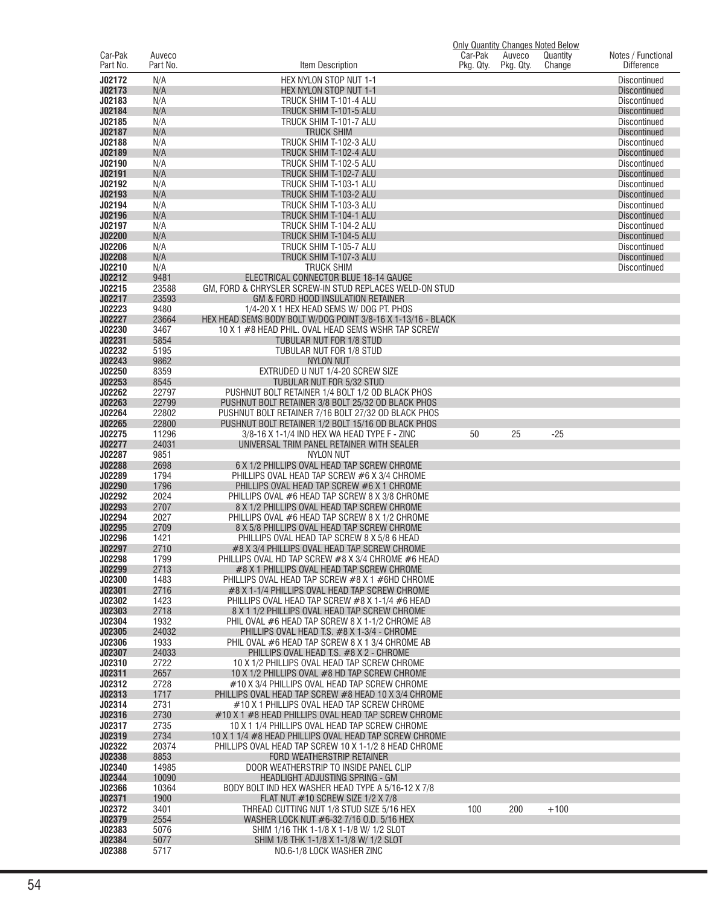|                     |                    |                                                                                                       | <b>Only Quantity Changes Noted Below</b> |                     |                    |                                            |
|---------------------|--------------------|-------------------------------------------------------------------------------------------------------|------------------------------------------|---------------------|--------------------|--------------------------------------------|
| Car-Pak<br>Part No. | Auveco<br>Part No. | Item Description                                                                                      | Car-Pak<br>Pkg. Qty.                     | Auveco<br>Pkg. Qty. | Quantity<br>Change | Notes / Functional<br><b>Difference</b>    |
| J02172              | N/A                | HEX NYLON STOP NUT 1-1                                                                                |                                          |                     |                    | <b>Discontinued</b>                        |
| J02173              | N/A                | HEX NYLON STOP NUT 1-1                                                                                |                                          |                     |                    | <b>Discontinued</b>                        |
| J02183<br>J02184    | N/A<br>N/A         | TRUCK SHIM T-101-4 ALU<br>TRUCK SHIM T-101-5 ALU                                                      |                                          |                     |                    | <b>Discontinued</b>                        |
| J02185              | N/A                | TRUCK SHIM T-101-7 ALU                                                                                |                                          |                     |                    | <b>Discontinued</b><br><b>Discontinued</b> |
| J02187              | N/A                | <b>TRUCK SHIM</b>                                                                                     |                                          |                     |                    | <b>Discontinued</b>                        |
| J02188              | N/A                | TRUCK SHIM T-102-3 ALU                                                                                |                                          |                     |                    | <b>Discontinued</b>                        |
| J02189              | N/A                | TRUCK SHIM T-102-4 ALU                                                                                |                                          |                     |                    | <b>Discontinued</b>                        |
| J02190              | N/A                | TRUCK SHIM T-102-5 ALU                                                                                |                                          |                     |                    | <b>Discontinued</b>                        |
| J02191              | N/A                | TRUCK SHIM T-102-7 ALU<br>TRUCK SHIM T-103-1 ALU                                                      |                                          |                     |                    | <b>Discontinued</b>                        |
| J02192<br>J02193    | N/A<br>N/A         | TRUCK SHIM T-103-2 ALU                                                                                |                                          |                     |                    | <b>Discontinued</b><br><b>Discontinued</b> |
| J02194              | N/A                | TRUCK SHIM T-103-3 ALU                                                                                |                                          |                     |                    | <b>Discontinued</b>                        |
| J02196              | N/A                | TRUCK SHIM T-104-1 ALU                                                                                |                                          |                     |                    | <b>Discontinued</b>                        |
| J02197              | N/A                | TRUCK SHIM T-104-2 ALU                                                                                |                                          |                     |                    | <b>Discontinued</b>                        |
| J02200              | N/A                | TRUCK SHIM T-104-5 ALU                                                                                |                                          |                     |                    | <b>Discontinued</b>                        |
| J02206              | N/A                | TRUCK SHIM T-105-7 ALU                                                                                |                                          |                     |                    | <b>Discontinued</b>                        |
| J02208              | N/A                | TRUCK SHIM T-107-3 ALU                                                                                |                                          |                     |                    | <b>Discontinued</b>                        |
| J02210<br>J02212    | N/A<br>9481        | <b>TRUCK SHIM</b><br>ELECTRICAL CONNECTOR BLUE 18-14 GAUGE                                            |                                          |                     |                    | <b>Discontinued</b>                        |
| J02215              | 23588              | GM, FORD & CHRYSLER SCREW-IN STUD REPLACES WELD-ON STUD                                               |                                          |                     |                    |                                            |
| J02217              | 23593              | GM & FORD HOOD INSULATION RETAINER                                                                    |                                          |                     |                    |                                            |
| J02223              | 9480               | 1/4-20 X 1 HEX HEAD SEMS W/ DOG PT. PHOS                                                              |                                          |                     |                    |                                            |
| J02227              | 23664              | HEX HEAD SEMS BODY BOLT W/DOG POINT 3/8-16 X 1-13/16 - BLACK                                          |                                          |                     |                    |                                            |
| J02230              | 3467               | 10 X 1 #8 HEAD PHIL. OVAL HEAD SEMS WSHR TAP SCREW                                                    |                                          |                     |                    |                                            |
| J02231              | 5854               | TUBULAR NUT FOR 1/8 STUD                                                                              |                                          |                     |                    |                                            |
| J02232<br>J02243    | 5195<br>9862       | TUBULAR NUT FOR 1/8 STUD<br><b>NYLON NUT</b>                                                          |                                          |                     |                    |                                            |
| J02250              | 8359               | EXTRUDED U NUT 1/4-20 SCREW SIZE                                                                      |                                          |                     |                    |                                            |
| J02253              | 8545               | TUBULAR NUT FOR 5/32 STUD                                                                             |                                          |                     |                    |                                            |
| J02262              | 22797              | PUSHNUT BOLT RETAINER 1/4 BOLT 1/2 OD BLACK PHOS                                                      |                                          |                     |                    |                                            |
| J02263              | 22799              | PUSHNUT BOLT RETAINER 3/8 BOLT 25/32 OD BLACK PHOS                                                    |                                          |                     |                    |                                            |
| J02264              | 22802              | PUSHNUT BOLT RETAINER 7/16 BOLT 27/32 OD BLACK PHOS                                                   |                                          |                     |                    |                                            |
| J02265<br>J02275    | 22800<br>11296     | PUSHNUT BOLT RETAINER 1/2 BOLT 15/16 OD BLACK PHOS<br>3/8-16 X 1-1/4 IND HEX WA HEAD TYPE F - ZINC    | 50                                       | 25                  | $-25$              |                                            |
| J02277              | 24031              | UNIVERSAL TRIM PANEL RETAINER WITH SEALER                                                             |                                          |                     |                    |                                            |
| J02287              | 9851               | <b>NYLON NUT</b>                                                                                      |                                          |                     |                    |                                            |
| J02288              | 2698               | 6 X 1/2 PHILLIPS OVAL HEAD TAP SCREW CHROME                                                           |                                          |                     |                    |                                            |
| J02289              | 1794               | PHILLIPS OVAL HEAD TAP SCREW #6 X 3/4 CHROME                                                          |                                          |                     |                    |                                            |
| J02290              | 1796               | PHILLIPS OVAL HEAD TAP SCREW #6 X 1 CHROME                                                            |                                          |                     |                    |                                            |
| J02292<br>J02293    | 2024<br>2707       | PHILLIPS OVAL #6 HEAD TAP SCREW 8 X 3/8 CHROME<br>8 X 1/2 PHILLIPS OVAL HEAD TAP SCREW CHROME         |                                          |                     |                    |                                            |
| J02294              | 2027               | PHILLIPS OVAL #6 HEAD TAP SCREW 8 X 1/2 CHROME                                                        |                                          |                     |                    |                                            |
| J02295              | 2709               | 8 X 5/8 PHILLIPS OVAL HEAD TAP SCREW CHROME                                                           |                                          |                     |                    |                                            |
| J02296              | 1421               | PHILLIPS OVAL HEAD TAP SCREW 8 X 5/8 6 HEAD                                                           |                                          |                     |                    |                                            |
| J02297              | 2710               | #8 X 3/4 PHILLIPS OVAL HEAD TAP SCREW CHROME                                                          |                                          |                     |                    |                                            |
| <b>J02298</b>       | 1799               | PHILLIPS OVAL HD TAP SCREW #8 X 3/4 CHROME #6 HEAD                                                    |                                          |                     |                    |                                            |
| J02299<br>J02300    | 2713<br>1483       | #8 X 1 PHILLIPS OVAL HEAD TAP SCREW CHROME<br>PHILLIPS OVAL HEAD TAP SCREW #8 X 1 #6HD CHROME         |                                          |                     |                    |                                            |
| J02301              | 2716               | #8 X 1-1/4 PHILLIPS OVAL HEAD TAP SCREW CHROME                                                        |                                          |                     |                    |                                            |
| J02302              | 1423               | PHILLIPS OVAL HEAD TAP SCREW #8 X 1-1/4 #6 HEAD                                                       |                                          |                     |                    |                                            |
| J02303              | 2718               | 8 X 1 1/2 PHILLIPS OVAL HEAD TAP SCREW CHROME                                                         |                                          |                     |                    |                                            |
| J02304              | 1932               | PHIL OVAL #6 HEAD TAP SCREW 8 X 1-1/2 CHROME AB                                                       |                                          |                     |                    |                                            |
| J02305              | 24032              | PHILLIPS OVAL HEAD T.S. #8 X 1-3/4 - CHROME                                                           |                                          |                     |                    |                                            |
| J02306<br>J02307    | 1933<br>24033      | PHIL OVAL #6 HEAD TAP SCREW 8 X 1 3/4 CHROME AB<br>PHILLIPS OVAL HEAD T.S. #8 X 2 - CHROME            |                                          |                     |                    |                                            |
| J02310              | 2722               | 10 X 1/2 PHILLIPS OVAL HEAD TAP SCREW CHROME                                                          |                                          |                     |                    |                                            |
| J02311              | 2657               | 10 X 1/2 PHILLIPS OVAL #8 HD TAP SCREW CHROME                                                         |                                          |                     |                    |                                            |
| J02312              | 2728               | #10 X 3/4 PHILLIPS OVAL HEAD TAP SCREW CHROME                                                         |                                          |                     |                    |                                            |
| J02313              | 1717               | PHILLIPS OVAL HEAD TAP SCREW #8 HEAD 10 X 3/4 CHROME                                                  |                                          |                     |                    |                                            |
| J02314              | 2731               | #10 X 1 PHILLIPS OVAL HEAD TAP SCREW CHROME                                                           |                                          |                     |                    |                                            |
| J02316<br>J02317    | 2730<br>2735       | #10 X 1 #8 HEAD PHILLIPS OVAL HEAD TAP SCREW CHROME<br>10 X 1 1/4 PHILLIPS OVAL HEAD TAP SCREW CHROME |                                          |                     |                    |                                            |
| J02319              | 2734               | 10 X 1 1/4 #8 HEAD PHILLIPS OVAL HEAD TAP SCREW CHROME                                                |                                          |                     |                    |                                            |
| J02322              | 20374              | PHILLIPS OVAL HEAD TAP SCREW 10 X 1-1/2 8 HEAD CHROME                                                 |                                          |                     |                    |                                            |
| J02338              | 8853               | FORD WEATHERSTRIP RETAINER                                                                            |                                          |                     |                    |                                            |
| J02340              | 14985              | DOOR WEATHERSTRIP TO INSIDE PANEL CLIP                                                                |                                          |                     |                    |                                            |
| J02344              | 10090              | HEADLIGHT ADJUSTING SPRING - GM                                                                       |                                          |                     |                    |                                            |
| J02366              | 10364              | BODY BOLT IND HEX WASHER HEAD TYPE A 5/16-12 X 7/8                                                    |                                          |                     |                    |                                            |
| J02371<br>J02372    | 1900<br>3401       | FLAT NUT #10 SCREW SIZE 1/2 X 7/8<br>THREAD CUTTING NUT 1/8 STUD SIZE 5/16 HEX                        | 100                                      | 200                 | $+100$             |                                            |
| J02379              | 2554               | WASHER LOCK NUT #6-32 7/16 0.D. 5/16 HEX                                                              |                                          |                     |                    |                                            |
| J02383              | 5076               | SHIM 1/16 THK 1-1/8 X 1-1/8 W/ 1/2 SLOT                                                               |                                          |                     |                    |                                            |
| J02384              | 5077               | SHIM 1/8 THK 1-1/8 X 1-1/8 W/ 1/2 SLOT                                                                |                                          |                     |                    |                                            |
| J02388              | 5717               | NO.6-1/8 LOCK WASHER ZINC                                                                             |                                          |                     |                    |                                            |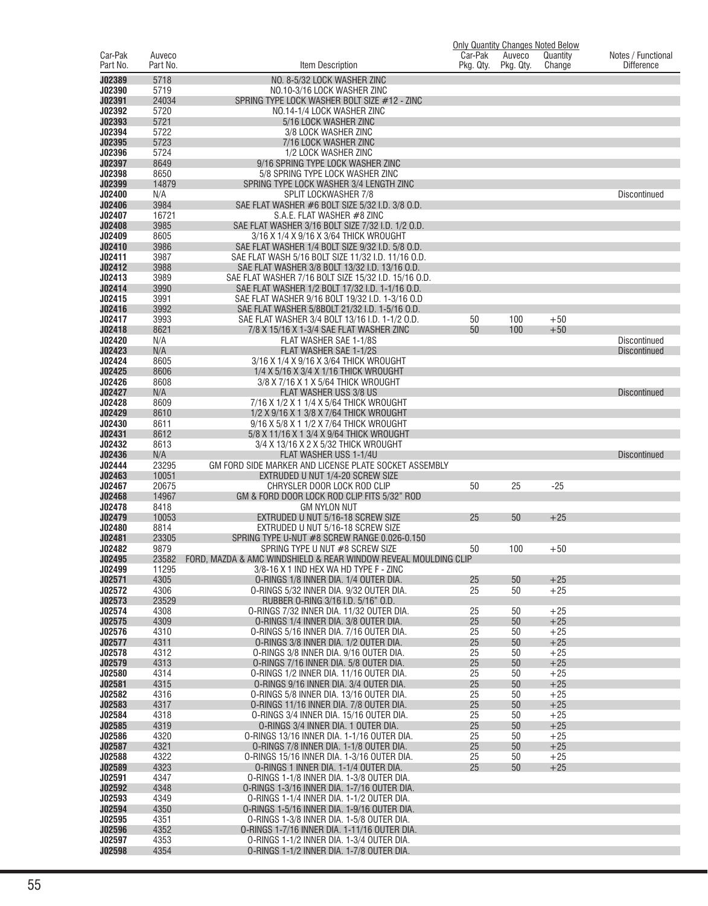|                     |                    |                                                                                            | <b>Only Quantity Changes Noted Below</b> |                     |                    |                                         |
|---------------------|--------------------|--------------------------------------------------------------------------------------------|------------------------------------------|---------------------|--------------------|-----------------------------------------|
| Car-Pak<br>Part No. | Auveco<br>Part No. | ltem Description                                                                           | Car-Pak<br>Pkg. Qty.                     | Auveco<br>Pkg. Qty. | Quantity<br>Change | Notes / Functional<br><b>Difference</b> |
|                     |                    |                                                                                            |                                          |                     |                    |                                         |
| J02389              | 5718               | NO. 8-5/32 LOCK WASHER ZINC                                                                |                                          |                     |                    |                                         |
| J02390<br>J02391    | 5719<br>24034      | NO.10-3/16 LOCK WASHER ZINC<br>SPRING TYPE LOCK WASHER BOLT SIZE #12 - ZINC                |                                          |                     |                    |                                         |
| J02392              | 5720               | NO.14-1/4 LOCK WASHER ZINC                                                                 |                                          |                     |                    |                                         |
| J02393              | 5721               | 5/16 LOCK WASHER ZINC                                                                      |                                          |                     |                    |                                         |
| J02394              | 5722               | 3/8 LOCK WASHER ZINC                                                                       |                                          |                     |                    |                                         |
| J02395              | 5723               | 7/16 LOCK WASHER ZINC                                                                      |                                          |                     |                    |                                         |
| J02396              | 5724               | 1/2 LOCK WASHER ZINC                                                                       |                                          |                     |                    |                                         |
| J02397              | 8649               | 9/16 SPRING TYPE LOCK WASHER ZINC                                                          |                                          |                     |                    |                                         |
| J02398              | 8650               | 5/8 SPRING TYPE LOCK WASHER ZINC                                                           |                                          |                     |                    |                                         |
| J02399              | 14879              | SPRING TYPE LOCK WASHER 3/4 LENGTH ZINC                                                    |                                          |                     |                    |                                         |
| J02400              | N/A                | <b>SPLIT LOCKWASHER 7/8</b>                                                                |                                          |                     |                    | <b>Discontinued</b>                     |
| J02406              | 3984               | SAE FLAT WASHER #6 BOLT SIZE 5/32 I.D. 3/8 O.D.                                            |                                          |                     |                    |                                         |
| J02407              | 16721              | S.A.E. FLAT WASHER #8 ZINC                                                                 |                                          |                     |                    |                                         |
| J02408              | 3985               | SAE FLAT WASHER 3/16 BOLT SIZE 7/32 I.D. 1/2 O.D.                                          |                                          |                     |                    |                                         |
| J02409<br>J02410    | 8605<br>3986       | 3/16 X 1/4 X 9/16 X 3/64 THICK WROUGHT<br>SAE FLAT WASHER 1/4 BOLT SIZE 9/32 I.D. 5/8 O.D. |                                          |                     |                    |                                         |
| J02411              | 3987               | SAE FLAT WASH 5/16 BOLT SIZE 11/32 I.D. 11/16 O.D.                                         |                                          |                     |                    |                                         |
| J02412              | 3988               | SAE FLAT WASHER 3/8 BOLT 13/32 I.D. 13/16 O.D.                                             |                                          |                     |                    |                                         |
| J02413              | 3989               | SAE FLAT WASHER 7/16 BOLT SIZE 15/32 I.D. 15/16 O.D.                                       |                                          |                     |                    |                                         |
| J02414              | 3990               | SAE FLAT WASHER 1/2 BOLT 17/32 I.D. 1-1/16 O.D.                                            |                                          |                     |                    |                                         |
| J02415              | 3991               | SAE FLAT WASHER 9/16 BOLT 19/32 I.D. 1-3/16 O.D                                            |                                          |                     |                    |                                         |
| J02416              | 3992               | SAE FLAT WASHER 5/8BOLT 21/32 I.D. 1-5/16 O.D.                                             |                                          |                     |                    |                                         |
| J02417              | 3993               | SAE FLAT WASHER 3/4 BOLT 13/16 I.D. 1-1/2 O.D.                                             | 50                                       | 100                 | $+50$              |                                         |
| J02418              | 8621               | 7/8 X 15/16 X 1-3/4 SAE FLAT WASHER ZINC                                                   | 50                                       | 100                 | $+50$              |                                         |
| J02420              | N/A                | FLAT WASHER SAE 1-1/8S                                                                     |                                          |                     |                    | <b>Discontinued</b>                     |
| J02423              | N/A                | FLAT WASHER SAE 1-1/2S                                                                     |                                          |                     |                    | <b>Discontinued</b>                     |
| J02424              | 8605               | 3/16 X 1/4 X 9/16 X 3/64 THICK WROUGHT                                                     |                                          |                     |                    |                                         |
| J02425              | 8606               | 1/4 X 5/16 X 3/4 X 1/16 THICK WROUGHT                                                      |                                          |                     |                    |                                         |
| J02426<br>J02427    | 8608<br>N/A        | 3/8 X 7/16 X 1 X 5/64 THICK WROUGHT<br>FLAT WASHER USS 3/8 US                              |                                          |                     |                    |                                         |
| J02428              | 8609               | 7/16 X 1/2 X 1 1/4 X 5/64 THICK WROUGHT                                                    |                                          |                     |                    | <b>Discontinued</b>                     |
| J02429              | 8610               | 1/2 X 9/16 X 1 3/8 X 7/64 THICK WROUGHT                                                    |                                          |                     |                    |                                         |
| J02430              | 8611               | 9/16 X 5/8 X 1 1/2 X 7/64 THICK WROUGHT                                                    |                                          |                     |                    |                                         |
| J02431              | 8612               | 5/8 X 11/16 X 1 3/4 X 9/64 THICK WROUGHT                                                   |                                          |                     |                    |                                         |
| J02432              | 8613               | 3/4 X 13/16 X 2 X 5/32 THICK WROUGHT                                                       |                                          |                     |                    |                                         |
| J02436              | N/A                | FLAT WASHER USS 1-1/4U                                                                     |                                          |                     |                    | <b>Discontinued</b>                     |
| J02444              | 23295              | GM FORD SIDE MARKER AND LICENSE PLATE SOCKET ASSEMBLY                                      |                                          |                     |                    |                                         |
| J02463              | 10051              | EXTRUDED U NUT 1/4-20 SCREW SIZE                                                           |                                          |                     |                    |                                         |
| J02467              | 20675              | CHRYSLER DOOR LOCK ROD CLIP                                                                | 50                                       | 25                  | $-25$              |                                         |
| J02468              | 14967              | GM & FORD DOOR LOCK ROD CLIP FITS 5/32" ROD                                                |                                          |                     |                    |                                         |
| J02478<br>J02479    | 8418<br>10053      | <b>GM NYLON NUT</b><br>EXTRUDED U NUT 5/16-18 SCREW SIZE                                   | 25                                       | 50                  | $+25$              |                                         |
| J02480              | 8814               | EXTRUDED U NUT 5/16-18 SCREW SIZE                                                          |                                          |                     |                    |                                         |
| J02481              | 23305              | SPRING TYPE U-NUT #8 SCREW RANGE 0.026-0.150                                               |                                          |                     |                    |                                         |
| J02482              | 9879               | SPRING TYPE U NUT #8 SCREW SIZE                                                            | 50                                       | 100                 | $+50$              |                                         |
| J02495              | 23582              | FORD. MAZDA & AMC WINDSHIELD & REAR WINDOW REVEAL MOULDING CLIP                            |                                          |                     |                    |                                         |
| J02499              | 11295              | 3/8-16 X 1 IND HEX WA HD TYPE F - ZINC                                                     |                                          |                     |                    |                                         |
| J02571              | 4305               | O-RINGS 1/8 INNER DIA. 1/4 OUTER DIA.                                                      | 25                                       | 50                  | $+25$              |                                         |
| J02572              | 4306               | 0-RINGS 5/32 INNER DIA. 9/32 OUTER DIA.                                                    | 25                                       | 50                  | $+25$              |                                         |
| J02573              | 23529              | RUBBER 0-RING 3/16 I.D. 5/16" O.D.                                                         |                                          |                     |                    |                                         |
| J02574<br>J02575    | 4308               | 0-RINGS 7/32 INNER DIA, 11/32 OUTER DIA.<br>O-RINGS 1/4 INNER DIA. 3/8 OUTER DIA.          | 25<br>25                                 | 50<br>50            | $+25$<br>$+25$     |                                         |
| J02576              | 4309<br>4310       | 0-RINGS 5/16 INNER DIA. 7/16 OUTER DIA.                                                    | 25                                       | 50                  | $+25$              |                                         |
| J02577              | 4311               | O-RINGS 3/8 INNER DIA. 1/2 OUTER DIA.                                                      | 25                                       | 50                  | $+25$              |                                         |
| J02578              | 4312               | 0-RINGS 3/8 INNER DIA. 9/16 OUTER DIA.                                                     | 25                                       | 50                  | $+25$              |                                         |
| J02579              | 4313               | O-RINGS 7/16 INNER DIA. 5/8 OUTER DIA.                                                     | 25                                       | 50                  | $+25$              |                                         |
| J02580              | 4314               | O-RINGS 1/2 INNER DIA. 11/16 OUTER DIA.                                                    | 25                                       | 50                  | $+25$              |                                         |
| J02581              | 4315               | O-RINGS 9/16 INNER DIA. 3/4 OUTER DIA.                                                     | 25                                       | 50                  | $+25$              |                                         |
| J02582              | 4316               | O-RINGS 5/8 INNER DIA. 13/16 OUTER DIA.                                                    | 25                                       | 50                  | $+25$              |                                         |
| J02583              | 4317               | O-RINGS 11/16 INNER DIA, 7/8 OUTER DIA,                                                    | 25                                       | 50                  | $+25$              |                                         |
| J02584              | 4318               | O-RINGS 3/4 INNER DIA. 15/16 OUTER DIA.                                                    | 25                                       | 50                  | $+25$              |                                         |
| J02585              | 4319               | 0-RINGS 3/4 INNER DIA. 1 OUTER DIA.                                                        | 25                                       | 50                  | $+25$              |                                         |
| J02586              | 4320               | 0-RINGS 13/16 INNER DIA. 1-1/16 OUTER DIA.                                                 | 25                                       | 50                  | $+25$              |                                         |
| J02587              | 4321               | O-RINGS 7/8 INNER DIA. 1-1/8 OUTER DIA.                                                    | 25                                       | 50                  | $+25$              |                                         |
| J02588              | 4322               | O-RINGS 15/16 INNER DIA. 1-3/16 OUTER DIA.                                                 | 25                                       | 50                  | $+25$              |                                         |
| J02589<br>J02591    | 4323<br>4347       | O-RINGS 1 INNER DIA. 1-1/4 OUTER DIA.                                                      | 25                                       | 50                  | $+25$              |                                         |
| J02592              | 4348               | 0-RINGS 1-1/8 INNER DIA. 1-3/8 OUTER DIA.<br>O-RINGS 1-3/16 INNER DIA. 1-7/16 OUTER DIA.   |                                          |                     |                    |                                         |
| J02593              | 4349               | 0-RINGS 1-1/4 INNER DIA. 1-1/2 OUTER DIA.                                                  |                                          |                     |                    |                                         |
| J02594              | 4350               | O-RINGS 1-5/16 INNER DIA. 1-9/16 OUTER DIA.                                                |                                          |                     |                    |                                         |
| J02595              | 4351               | 0-RINGS 1-3/8 INNER DIA. 1-5/8 OUTER DIA.                                                  |                                          |                     |                    |                                         |
| J02596              | 4352               | O-RINGS 1-7/16 INNER DIA. 1-11/16 OUTER DIA.                                               |                                          |                     |                    |                                         |
| J02597              | 4353               | 0-RINGS 1-1/2 INNER DIA. 1-3/4 OUTER DIA.                                                  |                                          |                     |                    |                                         |
| J02598              | 4354               | 0-RINGS 1-1/2 INNER DIA. 1-7/8 OUTER DIA.                                                  |                                          |                     |                    |                                         |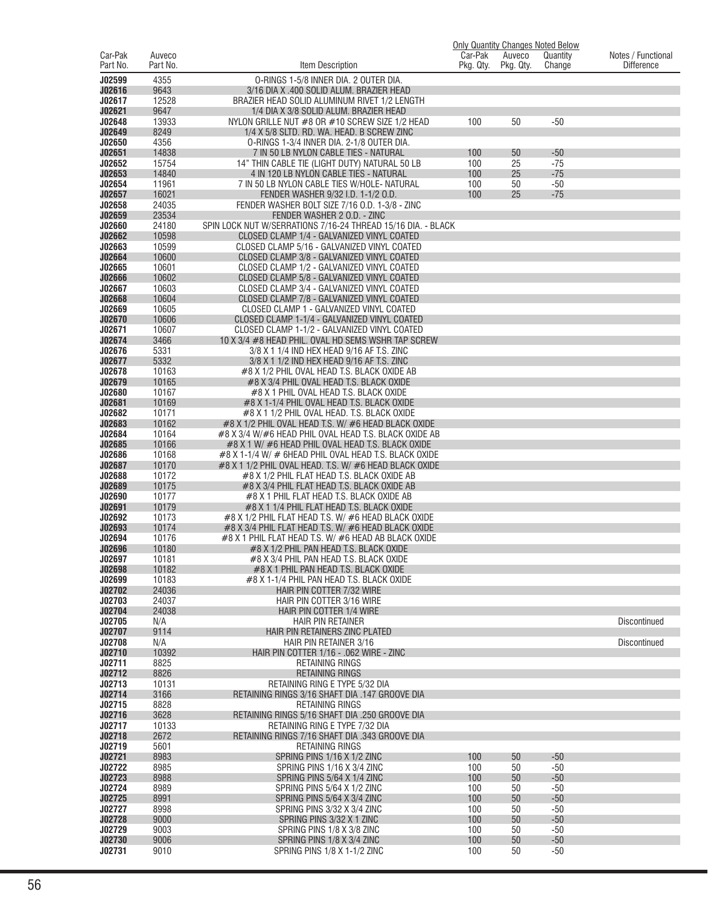|                     |                    |                                                                                                                    |                      |                     | <b>Only Quantity Changes Noted Below</b> |                                         |
|---------------------|--------------------|--------------------------------------------------------------------------------------------------------------------|----------------------|---------------------|------------------------------------------|-----------------------------------------|
| Car-Pak<br>Part No. | Auveco<br>Part No. | Item Description                                                                                                   | Car-Pak<br>Pkg. Qty. | Auveco<br>Pkg. Qty. | Quantity<br>Change                       | Notes / Functional<br><b>Difference</b> |
| J02599              | 4355               |                                                                                                                    |                      |                     |                                          |                                         |
| J02616              | 9643               | 0-RINGS 1-5/8 INNER DIA. 2 OUTER DIA.<br>3/16 DIA X .400 SOLID ALUM. BRAZIER HEAD                                  |                      |                     |                                          |                                         |
| J02617              | 12528              | BRAZIER HEAD SOLID ALUMINUM RIVET 1/2 LENGTH                                                                       |                      |                     |                                          |                                         |
| J02621              | 9647               | 1/4 DIA X 3/8 SOLID ALUM. BRAZIER HEAD                                                                             |                      |                     |                                          |                                         |
| J02648              | 13933              | NYLON GRILLE NUT $#8$ OR $#10$ SCREW SIZE 1/2 HEAD                                                                 | 100                  | 50                  | $-50$                                    |                                         |
| J02649              | 8249               | 1/4 X 5/8 SLTD. RD. WA. HEAD. B SCREW ZINC                                                                         |                      |                     |                                          |                                         |
| J02650              | 4356               | 0-RINGS 1-3/4 INNER DIA. 2-1/8 OUTER DIA.                                                                          |                      |                     |                                          |                                         |
| J02651<br>J02652    | 14838<br>15754     | 7 IN 50 LB NYLON CABLE TIES - NATURAL<br>14" THIN CABLE TIE (LIGHT DUTY) NATURAL 50 LB                             | 100<br>100           | 50<br>25            | $-50$<br>$-75$                           |                                         |
| J02653              | 14840              | 4 IN 120 LB NYLON CABLE TIES - NATURAL                                                                             | 100                  | 25                  | $-75$                                    |                                         |
| J02654              | 11961              | 7 IN 50 LB NYLON CABLE TIES W/HOLE-NATURAL                                                                         | 100                  | 50                  | $-50$                                    |                                         |
| J02657              | 16021              | FENDER WASHER 9/32 I.D. 1-1/2 O.D.                                                                                 | 100                  | 25                  | $-75$                                    |                                         |
| J02658              | 24035              | FENDER WASHER BOLT SIZE 7/16 O.D. 1-3/8 - ZINC                                                                     |                      |                     |                                          |                                         |
| J02659              | 23534              | FENDER WASHER 2 O.D. - ZINC                                                                                        |                      |                     |                                          |                                         |
| J02660              | 24180              | SPIN LOCK NUT W/SERRATIONS 7/16-24 THREAD 15/16 DIA. - BLACK                                                       |                      |                     |                                          |                                         |
| J02662<br>J02663    | 10598<br>10599     | CLOSED CLAMP 1/4 - GALVANIZED VINYL COATED<br>CLOSED CLAMP 5/16 - GALVANIZED VINYL COATED                          |                      |                     |                                          |                                         |
| J02664              | 10600              | CLOSED CLAMP 3/8 - GALVANIZED VINYL COATED                                                                         |                      |                     |                                          |                                         |
| J02665              | 10601              | CLOSED CLAMP 1/2 - GALVANIZED VINYL COATED                                                                         |                      |                     |                                          |                                         |
| J02666              | 10602              | CLOSED CLAMP 5/8 - GALVANIZED VINYL COATED                                                                         |                      |                     |                                          |                                         |
| J02667              | 10603              | CLOSED CLAMP 3/4 - GALVANIZED VINYL COATED                                                                         |                      |                     |                                          |                                         |
| J02668              | 10604              | CLOSED CLAMP 7/8 - GALVANIZED VINYL COATED                                                                         |                      |                     |                                          |                                         |
| J02669              | 10605              | CLOSED CLAMP 1 - GALVANIZED VINYL COATED                                                                           |                      |                     |                                          |                                         |
| J02670              | 10606              | CLOSED CLAMP 1-1/4 - GALVANIZED VINYL COATED                                                                       |                      |                     |                                          |                                         |
| J02671<br>J02674    | 10607<br>3466      | CLOSED CLAMP 1-1/2 - GALVANIZED VINYL COATED                                                                       |                      |                     |                                          |                                         |
| J02676              | 5331               | 10 X 3/4 #8 HEAD PHIL. OVAL HD SEMS WSHR TAP SCREW<br>3/8 X 1 1/4 IND HEX HEAD 9/16 AF T.S. ZINC                   |                      |                     |                                          |                                         |
| J02677              | 5332               | 3/8 X 1 1/2 IND HEX HEAD 9/16 AF T.S. ZINC                                                                         |                      |                     |                                          |                                         |
| J02678              | 10163              | #8 X 1/2 PHIL OVAL HEAD T.S. BLACK OXIDE AB                                                                        |                      |                     |                                          |                                         |
| J02679              | 10165              | #8 X 3/4 PHIL OVAL HEAD T.S. BLACK OXIDE                                                                           |                      |                     |                                          |                                         |
| J02680              | 10167              | #8 X 1 PHIL OVAL HEAD T.S. BLACK OXIDE                                                                             |                      |                     |                                          |                                         |
| J02681              | 10169              | #8 X 1-1/4 PHIL OVAL HEAD T.S. BLACK OXIDE                                                                         |                      |                     |                                          |                                         |
| J02682              | 10171              | #8 X 1 1/2 PHIL OVAL HEAD. T.S. BLACK OXIDE                                                                        |                      |                     |                                          |                                         |
| J02683<br>J02684    | 10162<br>10164     | $\#8$ X 1/2 PHIL OVAL HEAD T.S. W/ $\#6$ HEAD BLACK OXIDE<br>#8 X 3/4 W/#6 HEAD PHIL OVAL HEAD T.S. BLACK OXIDE AB |                      |                     |                                          |                                         |
| J02685              | 10166              | #8 X 1 W/ #6 HEAD PHIL OVAL HEAD T.S. BLACK OXIDE                                                                  |                      |                     |                                          |                                         |
| J02686              | 10168              | $\#8$ X 1-1/4 W/ $\#$ 6HEAD PHIL OVAL HEAD T.S. BLACK OXIDE                                                        |                      |                     |                                          |                                         |
| J02687              | 10170              | #8 X 1 1/2 PHIL OVAL HEAD. T.S. W/ #6 HEAD BLACK OXIDE                                                             |                      |                     |                                          |                                         |
| J02688              | 10172              | #8 X 1/2 PHIL FLAT HEAD T.S. BLACK OXIDE AB                                                                        |                      |                     |                                          |                                         |
| J02689              | 10175              | #8 X 3/4 PHIL FLAT HEAD T.S. BLACK OXIDE AB                                                                        |                      |                     |                                          |                                         |
| J02690<br>J02691    | 10177              | #8 X 1 PHIL FLAT HEAD T.S. BLACK OXIDE AB                                                                          |                      |                     |                                          |                                         |
| J02692              | 10179<br>10173     | #8 X 1 1/4 PHIL FLAT HEAD T.S. BLACK OXIDE<br>$\#8$ X 1/2 PHIL FLAT HEAD T.S. W/ $\#6$ HEAD BLACK OXIDE            |                      |                     |                                          |                                         |
| J02693              | 10174              | #8 X 3/4 PHIL FLAT HEAD T.S. W/ #6 HEAD BLACK OXIDE                                                                |                      |                     |                                          |                                         |
| J02694              | 10176              | #8 X 1 PHIL FLAT HEAD T.S. W/ #6 HEAD AB BLACK OXIDE                                                               |                      |                     |                                          |                                         |
| J02696              | 10180              | #8 X 1/2 PHIL PAN HEAD T.S. BLACK OXIDE                                                                            |                      |                     |                                          |                                         |
| J02697              | 10181              | #8 X 3/4 PHIL PAN HEAD T.S. BLACK OXIDE                                                                            |                      |                     |                                          |                                         |
| J02698              | 10182              | #8 X 1 PHIL PAN HEAD T.S. BLACK OXIDE                                                                              |                      |                     |                                          |                                         |
| J02699              | 10183              | #8 X 1-1/4 PHIL PAN HEAD T.S. BLACK OXIDE                                                                          |                      |                     |                                          |                                         |
| J02702<br>J02703    | 24036<br>24037     | HAIR PIN COTTER 7/32 WIRE<br>HAIR PIN COTTER 3/16 WIRE                                                             |                      |                     |                                          |                                         |
| J02704              | 24038              | HAIR PIN COTTER 1/4 WIRE                                                                                           |                      |                     |                                          |                                         |
| J02705              | N/A                | <b>HAIR PIN RETAINER</b>                                                                                           |                      |                     |                                          | <b>Discontinued</b>                     |
| J02707              | 9114               | HAIR PIN RETAINERS ZINC PLATED                                                                                     |                      |                     |                                          |                                         |
| J02708              | N/A                | HAIR PIN RETAINER 3/16                                                                                             |                      |                     |                                          | <b>Discontinued</b>                     |
| J02710              | 10392              | HAIR PIN COTTER 1/16 - . 062 WIRE - ZINC                                                                           |                      |                     |                                          |                                         |
| J02711<br>J02712    | 8825<br>8826       | <b>RETAINING RINGS</b><br><b>RETAINING RINGS</b>                                                                   |                      |                     |                                          |                                         |
| J02713              | 10131              | <b>RETAINING RING E TYPE 5/32 DIA</b>                                                                              |                      |                     |                                          |                                         |
| J02714              | 3166               | RETAINING RINGS 3/16 SHAFT DIA .147 GROOVE DIA                                                                     |                      |                     |                                          |                                         |
| J02715              | 8828               | RETAINING RINGS                                                                                                    |                      |                     |                                          |                                         |
| J02716              | 3628               | RETAINING RINGS 5/16 SHAFT DIA .250 GROOVE DIA                                                                     |                      |                     |                                          |                                         |
| J02717              | 10133              | RETAINING RING E TYPE 7/32 DIA                                                                                     |                      |                     |                                          |                                         |
| J02718              | 2672               | RETAINING RINGS 7/16 SHAFT DIA .343 GROOVE DIA                                                                     |                      |                     |                                          |                                         |
| J02719              | 5601               | <b>RETAINING RINGS</b>                                                                                             |                      |                     |                                          |                                         |
| J02721<br>J02722    | 8983<br>8985       | SPRING PINS 1/16 X 1/2 ZINC<br>SPRING PINS 1/16 X 3/4 ZINC                                                         | 100<br>100           | 50<br>50            | $-50$<br>$-50$                           |                                         |
| J02723              | 8988               | SPRING PINS 5/64 X 1/4 ZINC                                                                                        | 100                  | 50                  | $-50$                                    |                                         |
| J02724              | 8989               | SPRING PINS 5/64 X 1/2 ZINC                                                                                        | 100                  | 50                  | $-50$                                    |                                         |
| J02725              | 8991               | SPRING PINS 5/64 X 3/4 ZINC                                                                                        | 100                  | 50                  | $-50$                                    |                                         |
| J02727              | 8998               | SPRING PINS 3/32 X 3/4 ZINC                                                                                        | 100                  | 50                  | -50                                      |                                         |
| J02728              | 9000               | SPRING PINS 3/32 X 1 ZINC                                                                                          | 100                  | 50                  | $-50$                                    |                                         |
| J02729              | 9003               | SPRING PINS 1/8 X 3/8 ZINC                                                                                         | 100                  | 50                  | $-50$                                    |                                         |
| J02730              | 9006               | SPRING PINS 1/8 X 3/4 ZINC                                                                                         | 100                  | 50                  | $-50$                                    |                                         |
| J02731              | 9010               | SPRING PINS 1/8 X 1-1/2 ZINC                                                                                       | 100                  | 50                  | $-50$                                    |                                         |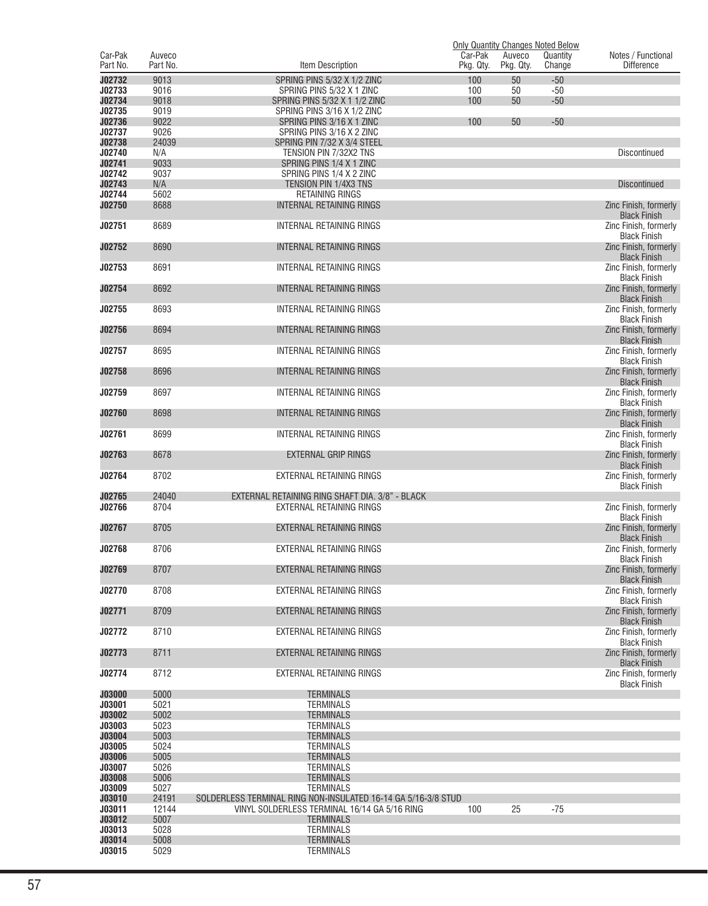|                         |                    |                                                               |                      |                     | <b>Only Quantity Changes Noted Below</b> |                                              |
|-------------------------|--------------------|---------------------------------------------------------------|----------------------|---------------------|------------------------------------------|----------------------------------------------|
| Car-Pak<br>Part No.     | Auveco<br>Part No. | Item Description                                              | Car-Pak<br>Pkg. Qty. | Auveco<br>Pkg. Qty. | Quantity<br>Change                       | Notes / Functional<br><b>Difference</b>      |
|                         | 9013               |                                                               | 100                  |                     |                                          |                                              |
| J02732<br>J02733        | 9016               | SPRING PINS 5/32 X 1/2 ZINC<br>SPRING PINS 5/32 X 1 ZINC      | 100                  | 50<br>50            | $-50$<br>$-50$                           |                                              |
| J02734                  | 9018               | SPRING PINS 5/32 X 1 1/2 ZINC                                 | 100                  | 50                  | $-50$                                    |                                              |
| J02735                  | 9019               | SPRING PINS 3/16 X 1/2 ZINC                                   |                      |                     |                                          |                                              |
| J02736                  | 9022               | SPRING PINS 3/16 X 1 ZINC                                     | 100                  | 50                  | $-50$                                    |                                              |
| J02737                  | 9026               | SPRING PINS 3/16 X 2 ZINC                                     |                      |                     |                                          |                                              |
| J02738                  | 24039              | SPRING PIN 7/32 X 3/4 STEEL                                   |                      |                     |                                          |                                              |
| J02740                  | N/A                | TENSION PIN 7/32X2 TNS                                        |                      |                     |                                          | Discontinued                                 |
| J02741                  | 9033               | SPRING PINS 1/4 X 1 ZINC                                      |                      |                     |                                          |                                              |
| J02742<br>J02743        | 9037<br>N/A        | SPRING PINS 1/4 X 2 ZINC<br>TENSION PIN 1/4X3 TNS             |                      |                     |                                          | <b>Discontinued</b>                          |
| J02744                  | 5602               | RETAINING RINGS                                               |                      |                     |                                          |                                              |
| J02750                  | 8688               | <b>INTERNAL RETAINING RINGS</b>                               |                      |                     |                                          | Zinc Finish, formerly                        |
|                         |                    |                                                               |                      |                     |                                          | <b>Black Finish</b>                          |
| J02751                  | 8689               | INTERNAL RETAINING RINGS                                      |                      |                     |                                          | Zinc Finish, formerly                        |
|                         |                    |                                                               |                      |                     |                                          | <b>Black Finish</b>                          |
| J02752                  | 8690               | INTERNAL RETAINING RINGS                                      |                      |                     |                                          | Zinc Finish, formerly<br><b>Black Finish</b> |
| J02753                  | 8691               | INTERNAL RETAINING RINGS                                      |                      |                     |                                          | Zinc Finish, formerly                        |
|                         |                    |                                                               |                      |                     |                                          | <b>Black Finish</b>                          |
| J02754                  | 8692               | INTERNAL RETAINING RINGS                                      |                      |                     |                                          | Zinc Finish, formerly                        |
|                         |                    |                                                               |                      |                     |                                          | <b>Black Finish</b>                          |
| J02755                  | 8693               | INTERNAL RETAINING RINGS                                      |                      |                     |                                          | Zinc Finish, formerly<br><b>Black Finish</b> |
| J02756                  | 8694               | INTERNAL RETAINING RINGS                                      |                      |                     |                                          | Zinc Finish, formerly                        |
|                         |                    |                                                               |                      |                     |                                          | <b>Black Finish</b>                          |
| J02757                  | 8695               | INTERNAL RETAINING RINGS                                      |                      |                     |                                          | Zinc Finish, formerly                        |
|                         |                    |                                                               |                      |                     |                                          | <b>Black Finish</b>                          |
| J02758                  | 8696               | INTERNAL RETAINING RINGS                                      |                      |                     |                                          | Zinc Finish, formerly<br><b>Black Finish</b> |
| J02759                  | 8697               | INTERNAL RETAINING RINGS                                      |                      |                     |                                          | Zinc Finish, formerly                        |
|                         |                    |                                                               |                      |                     |                                          | <b>Black Finish</b>                          |
| J02760                  | 8698               | INTERNAL RETAINING RINGS                                      |                      |                     |                                          | Zinc Finish, formerly                        |
|                         |                    |                                                               |                      |                     |                                          | <b>Black Finish</b>                          |
| J02761                  | 8699               | INTERNAL RETAINING RINGS                                      |                      |                     |                                          | Zinc Finish, formerly<br><b>Black Finish</b> |
| J02763                  | 8678               | EXTERNAL GRIP RINGS                                           |                      |                     |                                          | Zinc Finish, formerly                        |
|                         |                    |                                                               |                      |                     |                                          | <b>Black Finish</b>                          |
| J02764                  | 8702               | EXTERNAL RETAINING RINGS                                      |                      |                     |                                          | Zinc Finish, formerly                        |
| J02765                  | 24040              | EXTERNAL RETAINING RING SHAFT DIA. 3/8" - BLACK               |                      |                     |                                          | <b>Black Finish</b>                          |
| J02766                  | 8704               | EXTERNAL RETAINING RINGS                                      |                      |                     |                                          | Zinc Finish, formerly                        |
|                         |                    |                                                               |                      |                     |                                          | <b>Black Finish</b>                          |
| J02767                  | 8705               | EXTERNAL RETAINING RINGS                                      |                      |                     |                                          | Zinc Finish, formerly                        |
|                         |                    |                                                               |                      |                     |                                          | <b>Black Finish</b>                          |
| J02768                  | 8706               | EXTERNAL RETAINING RINGS                                      |                      |                     |                                          | Zinc Finish, formerly<br><b>Black Finish</b> |
| J02769                  | 8707               | <b>EXTERNAL RETAINING RINGS</b>                               |                      |                     |                                          | Zinc Finish, formerly                        |
|                         |                    |                                                               |                      |                     |                                          | <b>Black Finish</b>                          |
| J02770                  | 8708               | EXTERNAL RETAINING RINGS                                      |                      |                     |                                          | Zinc Finish, formerly                        |
|                         |                    |                                                               |                      |                     |                                          | <b>Black Finish</b>                          |
| J02771                  | 8709               | EXTERNAL RETAINING RINGS                                      |                      |                     |                                          | Zinc Finish, formerly<br><b>Black Finish</b> |
| J02772                  | 8710               | EXTERNAL RETAINING RINGS                                      |                      |                     |                                          | Zinc Finish, formerly                        |
|                         |                    |                                                               |                      |                     |                                          | <b>Black Finish</b>                          |
| J02773                  | 8711               | EXTERNAL RETAINING RINGS                                      |                      |                     |                                          | Zinc Finish, formerly                        |
|                         |                    |                                                               |                      |                     |                                          | <b>Black Finish</b>                          |
| J02774                  | 8712               | EXTERNAL RETAINING RINGS                                      |                      |                     |                                          | Zinc Finish, formerly<br><b>Black Finish</b> |
| <b>J03000</b>           | 5000               | <b>TERMINALS</b>                                              |                      |                     |                                          |                                              |
| J03001                  | 5021               | <b>TERMINALS</b>                                              |                      |                     |                                          |                                              |
| J03002                  | 5002               | <b>TERMINALS</b>                                              |                      |                     |                                          |                                              |
| J03003                  | 5023               | <b>TERMINALS</b>                                              |                      |                     |                                          |                                              |
| J03004                  | 5003               | <b>TERMINALS</b>                                              |                      |                     |                                          |                                              |
| J03005<br><b>J03006</b> | 5024<br>5005       | <b>TERMINALS</b><br><b>TERMINALS</b>                          |                      |                     |                                          |                                              |
| J03007                  | 5026               | <b>TERMINALS</b>                                              |                      |                     |                                          |                                              |
| <b>J03008</b>           | 5006               | <b>TERMINALS</b>                                              |                      |                     |                                          |                                              |
| J03009                  | 5027               | <b>TERMINALS</b>                                              |                      |                     |                                          |                                              |
| J03010                  | 24191              | SOLDERLESS TERMINAL RING NON-INSULATED 16-14 GA 5/16-3/8 STUD |                      |                     |                                          |                                              |
| J03011                  | 12144              | VINYL SOLDERLESS TERMINAL 16/14 GA 5/16 RING                  | 100                  | 25                  | $-75$                                    |                                              |
| J03012<br>J03013        | 5007<br>5028       | <b>TERMINALS</b><br><b>TERMINALS</b>                          |                      |                     |                                          |                                              |
| J03014                  | 5008               | <b>TERMINALS</b>                                              |                      |                     |                                          |                                              |
| J03015                  | 5029               | <b>TERMINALS</b>                                              |                      |                     |                                          |                                              |
|                         |                    |                                                               |                      |                     |                                          |                                              |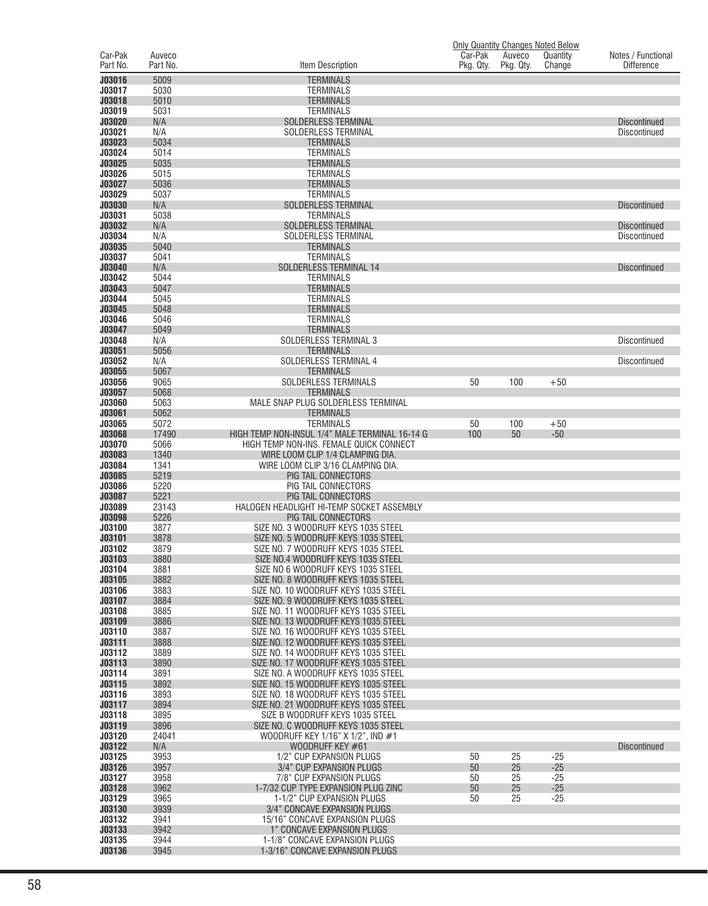|                     |                    |                                                                              |                      |                     | <b>Only Quantity Changes Noted Below</b> |                                         |
|---------------------|--------------------|------------------------------------------------------------------------------|----------------------|---------------------|------------------------------------------|-----------------------------------------|
| Car-Pak<br>Part No. | Auveco<br>Part No. | Item Description                                                             | Car-Pak<br>Pkg. Qty. | Auveco<br>Pkg. Qty. | Quantity<br>Change                       | Notes / Functional<br><b>Difference</b> |
| J03016              | 5009               | <b>TERMINALS</b>                                                             |                      |                     |                                          |                                         |
| J03017              | 5030               | TERMINALS                                                                    |                      |                     |                                          |                                         |
| J03018              | 5010               | <b>TERMINALS</b>                                                             |                      |                     |                                          |                                         |
| J03019              | 5031               | <b>TERMINALS</b>                                                             |                      |                     |                                          |                                         |
| J03020              | N/A                | <b>SOLDERLESS TERMINAL</b>                                                   |                      |                     |                                          | <b>Discontinued</b>                     |
| J03021              | N/A                | SOLDERLESS TERMINAL                                                          |                      |                     |                                          | Discontinued                            |
| J03023<br>J03024    | 5034<br>5014       | <b>TERMINALS</b><br><b>TERMINALS</b>                                         |                      |                     |                                          |                                         |
| J03025              | 5035               | <b>TERMINALS</b>                                                             |                      |                     |                                          |                                         |
| J03026              | 5015               | TERMINALS                                                                    |                      |                     |                                          |                                         |
| J03027              | 5036               | <b>TERMINALS</b>                                                             |                      |                     |                                          |                                         |
| J03029              | 5037               | <b>TERMINALS</b>                                                             |                      |                     |                                          |                                         |
| <b>J03030</b>       | N/A                | <b>SOLDERLESS TERMINAL</b>                                                   |                      |                     |                                          | <b>Discontinued</b>                     |
| J03031<br>J03032    | 5038               | <b>TERMINALS</b><br><b>SOLDERLESS TERMINAL</b>                               |                      |                     |                                          |                                         |
| J03034              | N/A<br>N/A         | SOLDERLESS TERMINAL                                                          |                      |                     |                                          | <b>Discontinued</b><br>Discontinued     |
| J03035              | 5040               | <b>TERMINALS</b>                                                             |                      |                     |                                          |                                         |
| J03037              | 5041               | <b>TERMINALS</b>                                                             |                      |                     |                                          |                                         |
| J03040              | N/A                | SOLDERLESS TERMINAL 14                                                       |                      |                     |                                          | <b>Discontinued</b>                     |
| J03042              | 5044               | <b>TERMINALS</b>                                                             |                      |                     |                                          |                                         |
| J03043              | 5047               | <b>TERMINALS</b>                                                             |                      |                     |                                          |                                         |
| J03044              | 5045               | <b>TERMINALS</b>                                                             |                      |                     |                                          |                                         |
| J03045<br>J03046    | 5048<br>5046       | <b>TERMINALS</b><br><b>TERMINALS</b>                                         |                      |                     |                                          |                                         |
| J03047              | 5049               | <b>TERMINALS</b>                                                             |                      |                     |                                          |                                         |
| J03048              | N/A                | SOLDERLESS TERMINAL 3                                                        |                      |                     |                                          | Discontinued                            |
| J03051              | 5056               | <b>TERMINALS</b>                                                             |                      |                     |                                          |                                         |
| J03052              | N/A                | SOLDERLESS TERMINAL 4                                                        |                      |                     |                                          | Discontinued                            |
| J03055              | 5067               | <b>TERMINALS</b>                                                             |                      |                     |                                          |                                         |
| J03056              | 9065               | SOLDERLESS TERMINALS                                                         | 50                   | 100                 | $+50$                                    |                                         |
| J03057              | 5068               | <b>TERMINALS</b>                                                             |                      |                     |                                          |                                         |
| J03060<br>J03061    | 5063<br>5062       | MALE SNAP PLUG SOLDERLESS TERMINAL<br>TERMINALS                              |                      |                     |                                          |                                         |
| J03065              | 5072               | <b>TERMINALS</b>                                                             | 50                   | 100                 | $+50$                                    |                                         |
| <b>J03068</b>       | 17490              | HIGH TEMP NON-INSUL 1/4" MALE TERMINAL 16-14 G                               | 100                  | 50                  | $-50$                                    |                                         |
| J03070              | 5066               | HIGH TEMP NON-INS. FEMALE QUICK CONNECT                                      |                      |                     |                                          |                                         |
| J03083              | 1340               | WIRE LOOM CLIP 1/4 CLAMPING DIA.                                             |                      |                     |                                          |                                         |
| J03084              | 1341               | WIRE LOOM CLIP 3/16 CLAMPING DIA.                                            |                      |                     |                                          |                                         |
| J03085              | 5219               | PIG TAIL CONNECTORS                                                          |                      |                     |                                          |                                         |
| J03086<br>J03087    | 5220<br>5221       | PIG TAIL CONNECTORS<br>PIG TAIL CONNECTORS                                   |                      |                     |                                          |                                         |
| J03089              | 23143              | HALOGEN HEADLIGHT HI-TEMP SOCKET ASSEMBLY                                    |                      |                     |                                          |                                         |
| J03098              | 5226               | <b>PIG TAIL CONNECTORS</b>                                                   |                      |                     |                                          |                                         |
| J03100              | 3877               | SIZE NO. 3 WOODRUFF KEYS 1035 STEEL                                          |                      |                     |                                          |                                         |
| J03101              | 3878               | SIZE NO. 5 WOODRUFF KEYS 1035 STEEL                                          |                      |                     |                                          |                                         |
| J03102              | 3879               | SIZE NO. 7 WOODRUFF KEYS 1035 STEEL                                          |                      |                     |                                          |                                         |
| J03103<br>J03104    | 3880<br>3881       | SIZE NO.4 WOODRUFF KEYS 1035 STEEL<br>SIZE NO 6 WOODRUFF KEYS 1035 STEEL     |                      |                     |                                          |                                         |
| J03105              | 3882               | SIZE NO. 8 WOODRUFF KEYS 1035 STEEL                                          |                      |                     |                                          |                                         |
| J03106              | 3883               | SIZE NO. 10 WOODRUFF KEYS 1035 STEEL                                         |                      |                     |                                          |                                         |
| J03107              | 3884               | SIZE NO. 9 WOODRUFF KEYS 1035 STEEL                                          |                      |                     |                                          |                                         |
| J03108              | 3885               | SIZE NO. 11 WOODRUFF KEYS 1035 STEEL                                         |                      |                     |                                          |                                         |
| J03109              | 3886               | SIZE NO. 13 WOODRUFF KEYS 1035 STEEL                                         |                      |                     |                                          |                                         |
| J03110              | 3887               | SIZE NO. 16 WOODRUFF KEYS 1035 STEEL                                         |                      |                     |                                          |                                         |
| J03111<br>J03112    | 3888<br>3889       | SIZE NO. 12 WOODRUFF KEYS 1035 STEEL<br>SIZE NO. 14 WOODRUFF KEYS 1035 STEEL |                      |                     |                                          |                                         |
| J03113              | 3890               | SIZE NO. 17 WOODRUFF KEYS 1035 STEEL                                         |                      |                     |                                          |                                         |
| J03114              | 3891               | SIZE NO. A WOODRUFF KEYS 1035 STEEL                                          |                      |                     |                                          |                                         |
| J03115              | 3892               | SIZE NO. 15 WOODRUFF KEYS 1035 STEEL                                         |                      |                     |                                          |                                         |
| J03116              | 3893               | SIZE NO. 18 WOODRUFF KEYS 1035 STEEL                                         |                      |                     |                                          |                                         |
| J03117              | 3894               | SIZE NO. 21 WOODRUFF KEYS 1035 STEEL                                         |                      |                     |                                          |                                         |
| J03118              | 3895               | SIZE B WOODRUFF KEYS 1035 STEEL                                              |                      |                     |                                          |                                         |
| J03119<br>J03120    | 3896<br>24041      | SIZE NO. C WOODRUFF KEYS 1035 STEEL<br>WOODRUFF KEY 1/16" X 1/2", IND #1     |                      |                     |                                          |                                         |
| J03122              | N/A                | WOODRUFF KEY #61                                                             |                      |                     |                                          | <b>Discontinued</b>                     |
| J03125              | 3953               | 1/2" CUP EXPANSION PLUGS                                                     | 50                   | 25                  | $-25$                                    |                                         |
| J03126              | 3957               | 3/4" CUP EXPANSION PLUGS                                                     | 50                   | 25                  | $-25$                                    |                                         |
| J03127              | 3958               | 7/8" CUP EXPANSION PLUGS                                                     | 50                   | 25                  | $-25$                                    |                                         |
| J03128              | 3962               | 1-7/32 CUP TYPE EXPANSION PLUG ZINC                                          | 50                   | 25                  | $-25$                                    |                                         |
| J03129              | 3965               | 1-1/2" CUP EXPANSION PLUGS                                                   | 50                   | 25                  | $-25$                                    |                                         |
| J03130<br>J03132    | 3939<br>3941       | 3/4" CONCAVE EXPANSION PLUGS                                                 |                      |                     |                                          |                                         |
| J03133              | 3942               | 15/16" CONCAVE EXPANSION PLUGS<br>1" CONCAVE EXPANSION PLUGS                 |                      |                     |                                          |                                         |
| J03135              | 3944               | 1-1/8" CONCAVE EXPANSION PLUGS                                               |                      |                     |                                          |                                         |
| J03136              | 3945               | 1-3/16" CONCAVE EXPANSION PLUGS                                              |                      |                     |                                          |                                         |
|                     |                    |                                                                              |                      |                     |                                          |                                         |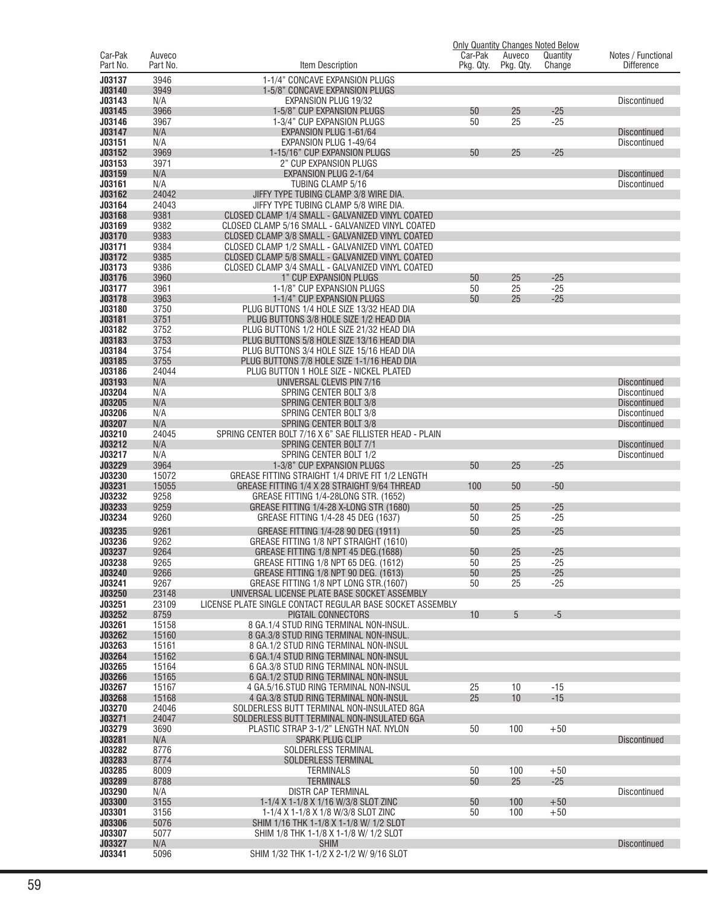|                     |                    |                                                                                                      |                      |                     | <b>Only Quantity Changes Noted Below</b> |                                         |
|---------------------|--------------------|------------------------------------------------------------------------------------------------------|----------------------|---------------------|------------------------------------------|-----------------------------------------|
| Car-Pak<br>Part No. | Auveco<br>Part No. | Item Description                                                                                     | Car-Pak<br>Pkg. Qty. | Auveco<br>Pkg. Qty. | Quantity<br>Change                       | Notes / Functional<br><b>Difference</b> |
|                     |                    |                                                                                                      |                      |                     |                                          |                                         |
| J03137              | 3946               | 1-1/4" CONCAVE EXPANSION PLUGS                                                                       |                      |                     |                                          |                                         |
| J03140<br>J03143    | 3949<br>N/A        | 1-5/8" CONCAVE EXPANSION PLUGS<br>EXPANSION PLUG 19/32                                               |                      |                     |                                          | <b>Discontinued</b>                     |
| J03145              | 3966               | 1-5/8" CUP EXPANSION PLUGS                                                                           | 50                   | 25                  | $-25$                                    |                                         |
| J03146              | 3967               | 1-3/4" CUP EXPANSION PLUGS                                                                           | 50                   | 25                  | $-25$                                    |                                         |
| J03147              | N/A                | EXPANSION PLUG 1-61/64                                                                               |                      |                     |                                          | <b>Discontinued</b>                     |
| J03151              | N/A                | EXPANSION PLUG 1-49/64                                                                               |                      |                     |                                          | Discontinued                            |
| J03152              | 3969               | 1-15/16" CUP EXPANSION PLUGS                                                                         | 50                   | 25                  | $-25$                                    |                                         |
| J03153              | 3971               | 2" CUP EXPANSION PLUGS                                                                               |                      |                     |                                          |                                         |
| J03159              | N/A                | EXPANSION PLUG 2-1/64                                                                                |                      |                     |                                          | <b>Discontinued</b>                     |
| J03161              | N/A                | <b>TUBING CLAMP 5/16</b>                                                                             |                      |                     |                                          | <b>Discontinued</b>                     |
| J03162              | 24042              | JIFFY TYPE TUBING CLAMP 3/8 WIRE DIA.                                                                |                      |                     |                                          |                                         |
| J03164              | 24043              | JIFFY TYPE TUBING CLAMP 5/8 WIRE DIA.                                                                |                      |                     |                                          |                                         |
| J03168              | 9381               | CLOSED CLAMP 1/4 SMALL - GALVANIZED VINYL COATED                                                     |                      |                     |                                          |                                         |
| J03169              | 9382               | CLOSED CLAMP 5/16 SMALL - GALVANIZED VINYL COATED                                                    |                      |                     |                                          |                                         |
| J03170<br>J03171    | 9383<br>9384       | CLOSED CLAMP 3/8 SMALL - GALVANIZED VINYL COATED                                                     |                      |                     |                                          |                                         |
| J03172              | 9385               | CLOSED CLAMP 1/2 SMALL - GALVANIZED VINYL COATED<br>CLOSED CLAMP 5/8 SMALL - GALVANIZED VINYL COATED |                      |                     |                                          |                                         |
| J03173              | 9386               | CLOSED CLAMP 3/4 SMALL - GALVANIZED VINYL COATED                                                     |                      |                     |                                          |                                         |
| J03176              | 3960               | 1" CUP EXPANSION PLUGS                                                                               | 50                   | 25                  | $-25$                                    |                                         |
| J03177              | 3961               | 1-1/8" CUP EXPANSION PLUGS                                                                           | 50                   | 25                  | $-25$                                    |                                         |
| J03178              | 3963               | 1-1/4" CUP EXPANSION PLUGS                                                                           | 50                   | 25                  | $-25$                                    |                                         |
| J03180              | 3750               | PLUG BUTTONS 1/4 HOLE SIZE 13/32 HEAD DIA                                                            |                      |                     |                                          |                                         |
| J03181              | 3751               | PLUG BUTTONS 3/8 HOLE SIZE 1/2 HEAD DIA                                                              |                      |                     |                                          |                                         |
| J03182              | 3752               | PLUG BUTTONS 1/2 HOLE SIZE 21/32 HEAD DIA                                                            |                      |                     |                                          |                                         |
| J03183              | 3753               | PLUG BUTTONS 5/8 HOLE SIZE 13/16 HEAD DIA                                                            |                      |                     |                                          |                                         |
| J03184              | 3754               | PLUG BUTTONS 3/4 HOLE SIZE 15/16 HEAD DIA                                                            |                      |                     |                                          |                                         |
| J03185              | 3755               | PLUG BUTTONS 7/8 HOLE SIZE 1-1/16 HEAD DIA                                                           |                      |                     |                                          |                                         |
| J03186              | 24044              | PLUG BUTTON 1 HOLE SIZE - NICKEL PLATED                                                              |                      |                     |                                          |                                         |
| J03193              | N/A                | UNIVERSAL CLEVIS PIN 7/16                                                                            |                      |                     |                                          | <b>Discontinued</b>                     |
| J03204              | N/A                | SPRING CENTER BOLT 3/8                                                                               |                      |                     |                                          | Discontinued                            |
| J03205              | N/A                | <b>SPRING CENTER BOLT 3/8</b>                                                                        |                      |                     |                                          | <b>Discontinued</b>                     |
| J03206<br>J03207    | N/A<br>N/A         | SPRING CENTER BOLT 3/8<br><b>SPRING CENTER BOLT 3/8</b>                                              |                      |                     |                                          | Discontinued                            |
| J03210              | 24045              | SPRING CENTER BOLT 7/16 X 6" SAE FILLISTER HEAD - PLAIN                                              |                      |                     |                                          | <b>Discontinued</b>                     |
| J03212              | N/A                | SPRING CENTER BOLT 7/1                                                                               |                      |                     |                                          | <b>Discontinued</b>                     |
| J03217              | N/A                | SPRING CENTER BOLT 1/2                                                                               |                      |                     |                                          | <b>Discontinued</b>                     |
| J03229              | 3964               | 1-3/8" CUP EXPANSION PLUGS                                                                           | 50                   | 25                  | $-25$                                    |                                         |
| J03230              | 15072              | GREASE FITTING STRAIGHT 1/4 DRIVE FIT 1/2 LENGTH                                                     |                      |                     |                                          |                                         |
| J03231              | 15055              | GREASE FITTING 1/4 X 28 STRAIGHT 9/64 THREAD                                                         | 100                  | 50                  | $-50$                                    |                                         |
| J03232              | 9258               | GREASE FITTING 1/4-28LONG STR. (1652)                                                                |                      |                     |                                          |                                         |
| J03233              | 9259               | GREASE FITTING 1/4-28 X-LONG STR (1680)                                                              | 50                   | 25                  | $-25$                                    |                                         |
| J03234              | 9260               | GREASE FITTING 1/4-28 45 DEG (1637)                                                                  | 50                   | 25                  | $-25$                                    |                                         |
| J03235              | 9261               | GREASE FITTING 1/4-28 90 DEG (1911)                                                                  | 50                   | 25                  | $-25$                                    |                                         |
| J03236              | 9262               | GREASE FITTING 1/8 NPT STRAIGHT (1610)                                                               |                      |                     |                                          |                                         |
| J03237              | 9264               | GREASE FITTING 1/8 NPT 45 DEG. (1688)                                                                | 50                   | 25                  | $-25$                                    |                                         |
| J03238              | 9265               | GREASE FITTING 1/8 NPT 65 DEG. (1612)                                                                | 50                   | 25                  | $-25$                                    |                                         |
| J03240              | 9266               | GREASE FITTING 1/8 NPT 90 DEG. (1613)                                                                | 50                   | 25                  | $-25$                                    |                                         |
| J03241              | 9267               | GREASE FITTING 1/8 NPT LONG STR. (1607)                                                              | 50                   | 25                  | $-25$                                    |                                         |
| J03250              | 23148              | UNIVERSAL LICENSE PLATE BASE SOCKET ASSEMBLY                                                         |                      |                     |                                          |                                         |
| J03251<br>J03252    | 23109<br>8759      | LICENSE PLATE SINGLE CONTACT REGULAR BASE SOCKET ASSEMBLY<br>PIGTAIL CONNECTORS                      | 10                   | 5                   | $-5$                                     |                                         |
| J03261              | 15158              | 8 GA.1/4 STUD RING TERMINAL NON-INSUL.                                                               |                      |                     |                                          |                                         |
| J03262              | 15160              | 8 GA.3/8 STUD RING TERMINAL NON-INSUL.                                                               |                      |                     |                                          |                                         |
| J03263              | 15161              | 8 GA.1/2 STUD RING TERMINAL NON-INSUL                                                                |                      |                     |                                          |                                         |
| J03264              | 15162              | 6 GA.1/4 STUD RING TERMINAL NON-INSUL                                                                |                      |                     |                                          |                                         |
| J03265              | 15164              | 6 GA.3/8 STUD RING TERMINAL NON-INSUL                                                                |                      |                     |                                          |                                         |
| J03266              | 15165              | 6 GA.1/2 STUD RING TERMINAL NON-INSUL                                                                |                      |                     |                                          |                                         |
| J03267              | 15167              | 4 GA.5/16.STUD RING TERMINAL NON-INSUL                                                               | 25                   | 10                  | $-15$                                    |                                         |
| J03268              | 15168              | 4 GA.3/8 STUD RING TERMINAL NON-INSUL                                                                | 25                   | 10                  | $-15$                                    |                                         |
| J03270              | 24046              | SOLDERLESS BUTT TERMINAL NON-INSULATED 8GA                                                           |                      |                     |                                          |                                         |
| J03271              | 24047              | SOLDERLESS BUTT TERMINAL NON-INSULATED 6GA                                                           |                      |                     |                                          |                                         |
| J03279              | 3690               | PLASTIC STRAP 3-1/2" LENGTH NAT. NYLON                                                               | 50                   | 100                 | $+50$                                    |                                         |
| J03281              | N/A                | <b>SPARK PLUG CLIP</b>                                                                               |                      |                     |                                          | <b>Discontinued</b>                     |
| J03282              | 8776               | SOLDERLESS TERMINAL                                                                                  |                      |                     |                                          |                                         |
| J03283<br>J03285    | 8774<br>8009       | SOLDERLESS TERMINAL<br>TERMINALS                                                                     | 50                   | 100                 | $+50$                                    |                                         |
| J03289              | 8788               | <b>TERMINALS</b>                                                                                     | 50                   | 25                  | $-25$                                    |                                         |
| J03290              | N/A                | <b>DISTR CAP TERMINAL</b>                                                                            |                      |                     |                                          | <b>Discontinued</b>                     |
| <b>J03300</b>       | 3155               | 1-1/4 X 1-1/8 X 1/16 W/3/8 SLOT ZINC                                                                 | 50                   | 100                 | $+50$                                    |                                         |
| J03301              | 3156               | 1-1/4 X 1-1/8 X 1/8 W/3/8 SLOT ZINC                                                                  | 50                   | 100                 | $+50$                                    |                                         |
| J03306              | 5076               | SHIM 1/16 THK 1-1/8 X 1-1/8 W/ 1/2 SLOT                                                              |                      |                     |                                          |                                         |
| J03307              | 5077               | SHIM 1/8 THK 1-1/8 X 1-1/8 W/ 1/2 SLOT                                                               |                      |                     |                                          |                                         |
| J03327              | N/A                | <b>SHIM</b>                                                                                          |                      |                     |                                          | <b>Discontinued</b>                     |
| J03341              | 5096               | SHIM 1/32 THK 1-1/2 X 2-1/2 W/ 9/16 SLOT                                                             |                      |                     |                                          |                                         |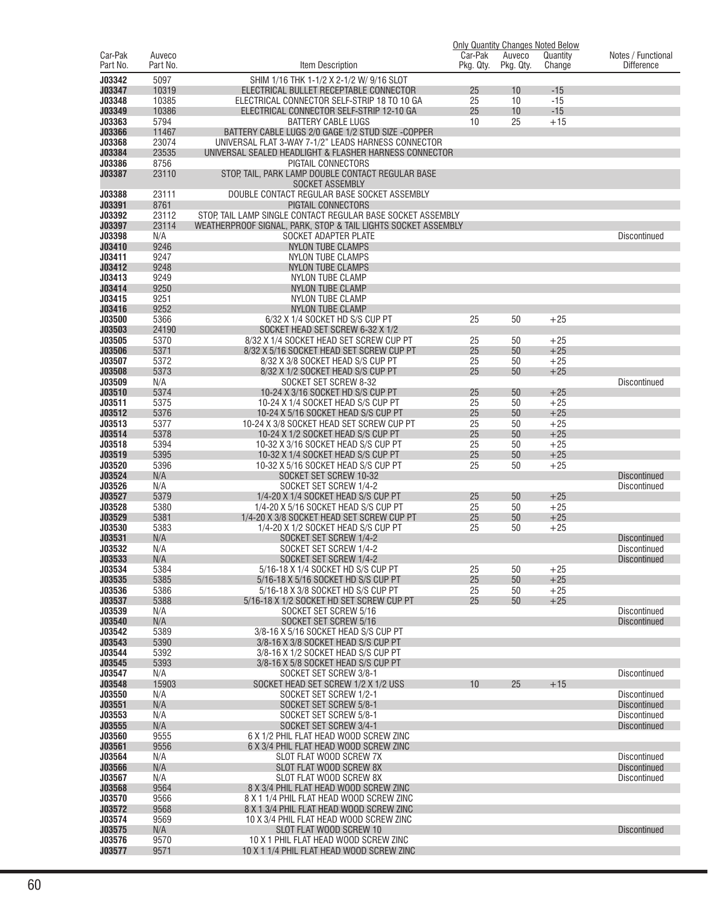|                     |                    |                                                                                       |                      |                     | <b>Only Quantity Changes Noted Below</b> |                                         |
|---------------------|--------------------|---------------------------------------------------------------------------------------|----------------------|---------------------|------------------------------------------|-----------------------------------------|
| Car-Pak<br>Part No. | Auveco<br>Part No. | Item Description                                                                      | Car-Pak<br>Pkg. Qty. | Auveco<br>Pkg. Qty. | Quantity<br>Change                       | Notes / Functional<br><b>Difference</b> |
|                     |                    |                                                                                       |                      |                     |                                          |                                         |
| J03342              | 5097               | SHIM 1/16 THK 1-1/2 X 2-1/2 W/ 9/16 SLOT                                              |                      |                     |                                          |                                         |
| J03347<br>J03348    | 10319<br>10385     | ELECTRICAL BULLET RECEPTABLE CONNECTOR<br>ELECTRICAL CONNECTOR SELF-STRIP 18 TO 10 GA | 25<br>25             | 10<br>10            | $-15$<br>$-15$                           |                                         |
| J03349              | 10386              | ELECTRICAL CONNECTOR SELF-STRIP 12-10 GA                                              | 25                   | 10                  | $-15$                                    |                                         |
| J03363              | 5794               | <b>BATTERY CABLE LUGS</b>                                                             | 10                   | 25                  | $+15$                                    |                                         |
| J03366              | 11467              | BATTERY CABLE LUGS 2/0 GAGE 1/2 STUD SIZE -COPPER                                     |                      |                     |                                          |                                         |
| J03368              | 23074              | UNIVERSAL FLAT 3-WAY 7-1/2" LEADS HARNESS CONNECTOR                                   |                      |                     |                                          |                                         |
| J03384              | 23535              | UNIVERSAL SEALED HEADLIGHT & FLASHER HARNESS CONNECTOR                                |                      |                     |                                          |                                         |
| J03386              | 8756               | PIGTAIL CONNECTORS                                                                    |                      |                     |                                          |                                         |
| J03387              | 23110              | STOP, TAIL, PARK LAMP DOUBLE CONTACT REGULAR BASE                                     |                      |                     |                                          |                                         |
| J03388              | 23111              | <b>SOCKET ASSEMBLY</b><br>DOUBLE CONTACT REGULAR BASE SOCKET ASSEMBLY                 |                      |                     |                                          |                                         |
| J03391              | 8761               | PIGTAIL CONNECTORS                                                                    |                      |                     |                                          |                                         |
| J03392              | 23112              | STOP, TAIL LAMP SINGLE CONTACT REGULAR BASE SOCKET ASSEMBLY                           |                      |                     |                                          |                                         |
| J03397              | 23114              | WEATHERPROOF SIGNAL, PARK, STOP & TAIL LIGHTS SOCKET ASSEMBLY                         |                      |                     |                                          |                                         |
| J03398              | N/A                | SOCKET ADAPTER PLATE                                                                  |                      |                     |                                          | Discontinued                            |
| J03410              | 9246               | <b>NYLON TUBE CLAMPS</b>                                                              |                      |                     |                                          |                                         |
| J03411              | 9247               | NYLON TUBE CLAMPS                                                                     |                      |                     |                                          |                                         |
| J03412<br>J03413    | 9248<br>9249       | <b>NYLON TUBE CLAMPS</b><br><b>NYLON TUBE CLAMP</b>                                   |                      |                     |                                          |                                         |
| J03414              | 9250               | <b>NYLON TUBE CLAMP</b>                                                               |                      |                     |                                          |                                         |
| J03415              | 9251               | NYLON TUBE CLAMP                                                                      |                      |                     |                                          |                                         |
| J03416              | 9252               | <b>NYLON TUBE CLAMP</b>                                                               |                      |                     |                                          |                                         |
| J03500              | 5366               | 6/32 X 1/4 SOCKET HD S/S CUP PT                                                       | 25                   | 50                  | $+25$                                    |                                         |
| J03503              | 24190              | SOCKET HEAD SET SCREW 6-32 X 1/2                                                      |                      |                     |                                          |                                         |
| J03505              | 5370               | 8/32 X 1/4 SOCKET HEAD SET SCREW CUP PT                                               | 25                   | 50                  | $+25$                                    |                                         |
| <b>J03506</b>       | 5371               | 8/32 X 5/16 SOCKET HEAD SET SCREW CUP PT                                              | 25                   | 50                  | $+25$                                    |                                         |
| J03507<br>J03508    | 5372<br>5373       | 8/32 X 3/8 SOCKET HEAD S/S CUP PT<br>8/32 X 1/2 SOCKET HEAD S/S CUP PT                | 25<br>25             | 50<br>50            | $+25$<br>$+25$                           |                                         |
| J03509              | N/A                | SOCKET SET SCREW 8-32                                                                 |                      |                     |                                          | <b>Discontinued</b>                     |
| J03510              | 5374               | 10-24 X 3/16 SOCKET HD S/S CUP PT                                                     | 25                   | 50                  | $+25$                                    |                                         |
| J03511              | 5375               | 10-24 X 1/4 SOCKET HEAD S/S CUP PT                                                    | 25                   | 50                  | $+25$                                    |                                         |
| J03512              | 5376               | 10-24 X 5/16 SOCKET HEAD S/S CUP PT                                                   | 25                   | 50                  | $+25$                                    |                                         |
| J03513              | 5377               | 10-24 X 3/8 SOCKET HEAD SET SCREW CUP PT                                              | 25                   | 50                  | $+25$                                    |                                         |
| J03514              | 5378               | 10-24 X 1/2 SOCKET HEAD S/S CUP PT                                                    | 25                   | 50                  | $+25$                                    |                                         |
| J03518<br>J03519    | 5394<br>5395       | 10-32 X 3/16 SOCKET HEAD S/S CUP PT                                                   | 25<br>25             | 50<br>50            | $+25$<br>$+25$                           |                                         |
| J03520              | 5396               | 10-32 X 1/4 SOCKET HEAD S/S CUP PT<br>10-32 X 5/16 SOCKET HEAD S/S CUP PT             | 25                   | 50                  | $+25$                                    |                                         |
| J03524              | N/A                | SOCKET SET SCREW 10-32                                                                |                      |                     |                                          | <b>Discontinued</b>                     |
| J03526              | N/A                | SOCKET SET SCREW 1/4-2                                                                |                      |                     |                                          | Discontinued                            |
| J03527              | 5379               | 1/4-20 X 1/4 SOCKET HEAD S/S CUP PT                                                   | 25                   | 50                  | $+25$                                    |                                         |
| J03528              | 5380               | 1/4-20 X 5/16 SOCKET HEAD S/S CUP PT                                                  | 25                   | 50                  | $+25$                                    |                                         |
| J03529              | 5381               | 1/4-20 X 3/8 SOCKET HEAD SET SCREW CUP PT                                             | 25                   | 50                  | $+25$                                    |                                         |
| J03530<br>J03531    | 5383<br>N/A        | 1/4-20 X 1/2 SOCKET HEAD S/S CUP PT<br>SOCKET SET SCREW 1/4-2                         | 25                   | 50                  | $+25$                                    | <b>Discontinued</b>                     |
| J03532              | N/A                | SOCKET SET SCREW 1/4-2                                                                |                      |                     |                                          | Discontinued                            |
| J03533              | N/A                | SOCKET SET SCREW 1/4-2                                                                |                      |                     |                                          | <b>Discontinued</b>                     |
| J03534              | 5384               | 5/16-18 X 1/4 SOCKET HD S/S CUP PT                                                    | 25                   | 50                  | $+25$                                    |                                         |
| J03535              | 5385               | 5/16-18 X 5/16 SOCKET HD S/S CUP PT                                                   | 25                   | 50                  | $+25$                                    |                                         |
| J03536              | 5386               | 5/16-18 X 3/8 SOCKET HD S/S CUP PT                                                    | 25                   | 50                  | $+25$                                    |                                         |
| J03537              | 5388               | 5/16-18 X 1/2 SOCKET HD SET SCREW CUP PT                                              | 25                   | 50                  | $+25$                                    |                                         |
| J03539<br>J03540    | N/A<br>N/A         | SOCKET SET SCREW 5/16<br>SOCKET SET SCREW 5/16                                        |                      |                     |                                          | Discontinued<br><b>Discontinued</b>     |
| J03542              | 5389               | 3/8-16 X 5/16 SOCKET HEAD S/S CUP PT                                                  |                      |                     |                                          |                                         |
| J03543              | 5390               | 3/8-16 X 3/8 SOCKET HEAD S/S CUP PT                                                   |                      |                     |                                          |                                         |
| J03544              | 5392               | 3/8-16 X 1/2 SOCKET HEAD S/S CUP PT                                                   |                      |                     |                                          |                                         |
| J03545              | 5393               | 3/8-16 X 5/8 SOCKET HEAD S/S CUP PT                                                   |                      |                     |                                          |                                         |
| J03547              | N/A                | SOCKET SET SCREW 3/8-1                                                                |                      |                     |                                          | Discontinued                            |
| J03548              | 15903              | SOCKET HEAD SET SCREW 1/2 X 1/2 USS                                                   | 10                   | 25                  | $+15$                                    |                                         |
| J03550<br>J03551    | N/A<br>N/A         | SOCKET SET SCREW 1/2-1<br>SOCKET SET SCREW 5/8-1                                      |                      |                     |                                          | Discontinued<br><b>Discontinued</b>     |
| J03553              | N/A                | SOCKET SET SCREW 5/8-1                                                                |                      |                     |                                          | Discontinued                            |
| J03555              | N/A                | SOCKET SET SCREW 3/4-1                                                                |                      |                     |                                          | <b>Discontinued</b>                     |
| J03560              | 9555               | 6 X 1/2 PHIL FLAT HEAD WOOD SCREW ZINC                                                |                      |                     |                                          |                                         |
| J03561              | 9556               | 6 X 3/4 PHIL FLAT HEAD WOOD SCREW ZINC                                                |                      |                     |                                          |                                         |
| J03564              | N/A                | SLOT FLAT WOOD SCREW 7X                                                               |                      |                     |                                          | Discontinued                            |
| J03566              | N/A                | SLOT FLAT WOOD SCREW 8X                                                               |                      |                     |                                          | <b>Discontinued</b>                     |
| J03567<br>J03568    | N/A<br>9564        | SLOT FLAT WOOD SCREW 8X<br>8 X 3/4 PHIL FLAT HEAD WOOD SCREW ZINC                     |                      |                     |                                          | Discontinued                            |
| J03570              | 9566               | 8 X 1 1/4 PHIL FLAT HEAD WOOD SCREW ZINC                                              |                      |                     |                                          |                                         |
| J03572              | 9568               | 8 X 1 3/4 PHIL FLAT HEAD WOOD SCREW ZINC                                              |                      |                     |                                          |                                         |
| J03574              | 9569               | 10 X 3/4 PHIL FLAT HEAD WOOD SCREW ZINC                                               |                      |                     |                                          |                                         |
| J03575              | N/A                | SLOT FLAT WOOD SCREW 10                                                               |                      |                     |                                          | <b>Discontinued</b>                     |
| J03576              | 9570               | 10 X 1 PHIL FLAT HEAD WOOD SCREW ZINC                                                 |                      |                     |                                          |                                         |
| J03577              | 9571               | 10 X 1 1/4 PHIL FLAT HEAD WOOD SCREW ZINC                                             |                      |                     |                                          |                                         |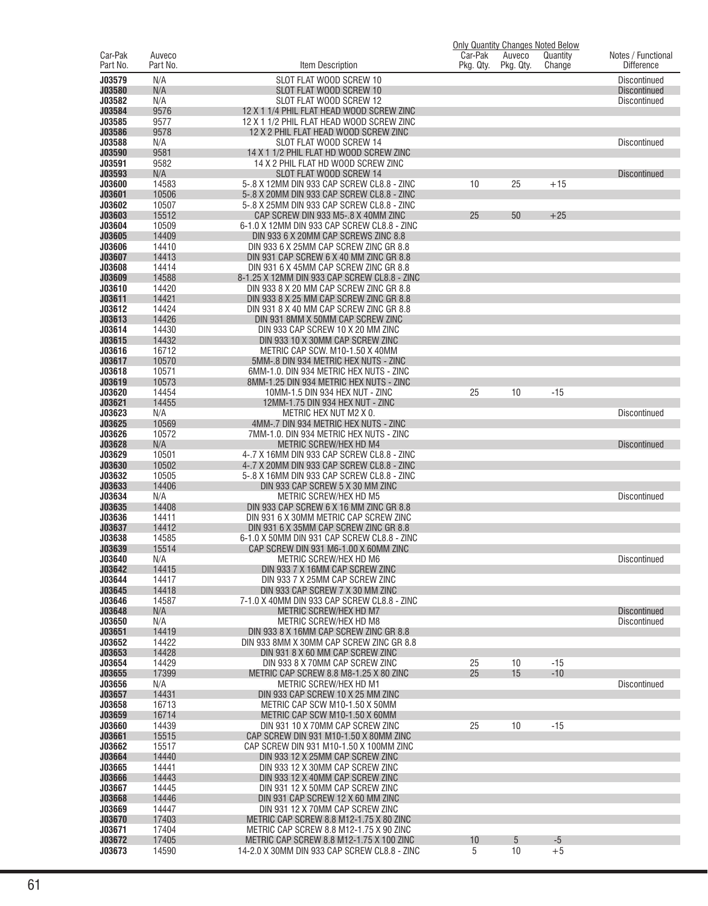|                     |                    |                                                                                          | <b>Only Quantity Changes Noted Below</b> |                     |                    |                                         |
|---------------------|--------------------|------------------------------------------------------------------------------------------|------------------------------------------|---------------------|--------------------|-----------------------------------------|
| Car-Pak<br>Part No. | Auveco<br>Part No. | Item Description                                                                         | Car-Pak<br>Pkg. Qty.                     | Auveco<br>Pkg. Qty. | Quantity<br>Change | Notes / Functional<br><b>Difference</b> |
|                     |                    |                                                                                          |                                          |                     |                    |                                         |
| J03579              | N/A                | SLOT FLAT WOOD SCREW 10                                                                  |                                          |                     |                    | <b>Discontinued</b>                     |
| J03580              | N/A                | SLOT FLAT WOOD SCREW 10                                                                  |                                          |                     |                    | <b>Discontinued</b>                     |
| J03582<br>J03584    | N/A<br>9576        | SLOT FLAT WOOD SCREW 12<br>12 X 1 1/4 PHIL FLAT HEAD WOOD SCREW ZINC                     |                                          |                     |                    | <b>Discontinued</b>                     |
| J03585              | 9577               | 12 X 1 1/2 PHIL FLAT HEAD WOOD SCREW ZINC                                                |                                          |                     |                    |                                         |
| J03586              | 9578               | 12 X 2 PHIL FLAT HEAD WOOD SCREW ZINC                                                    |                                          |                     |                    |                                         |
| J03588              | N/A                | SLOT FLAT WOOD SCREW 14                                                                  |                                          |                     |                    | <b>Discontinued</b>                     |
| J03590              | 9581               | 14 X 1 1/2 PHIL FLAT HD WOOD SCREW ZINC                                                  |                                          |                     |                    |                                         |
| J03591              | 9582               | 14 X 2 PHIL FLAT HD WOOD SCREW ZINC                                                      |                                          |                     |                    |                                         |
| J03593              | N/A                | SLOT FLAT WOOD SCREW 14                                                                  |                                          |                     |                    | <b>Discontinued</b>                     |
| J03600              | 14583              | 5-.8 X 12MM DIN 933 CAP SCREW CL8.8 - ZINC                                               | 10                                       | 25                  | $+15$              |                                         |
| J03601              | 10506              | 5-.8 X 20MM DIN 933 CAP SCREW CL8.8 - ZINC                                               |                                          |                     |                    |                                         |
| J03602              | 10507              | 5-.8 X 25MM DIN 933 CAP SCREW CL8.8 - ZINC                                               |                                          |                     |                    |                                         |
| J03603              | 15512              | CAP SCREW DIN 933 M5-.8 X 40MM ZINC                                                      | 25                                       | 50                  | $+25$              |                                         |
| J03604<br>J03605    | 10509<br>14409     | 6-1.0 X 12MM DIN 933 CAP SCREW CL8.8 - ZINC<br>DIN 933 6 X 20MM CAP SCREWS ZINC 8.8      |                                          |                     |                    |                                         |
| J03606              | 14410              | DIN 933 6 X 25MM CAP SCREW ZINC GR 8.8                                                   |                                          |                     |                    |                                         |
| J03607              | 14413              | DIN 931 CAP SCREW 6 X 40 MM ZINC GR 8.8                                                  |                                          |                     |                    |                                         |
| J03608              | 14414              | DIN 931 6 X 45MM CAP SCREW ZINC GR 8.8                                                   |                                          |                     |                    |                                         |
| J03609              | 14588              | 8-1.25 X 12MM DIN 933 CAP SCREW CL8.8 - ZINC                                             |                                          |                     |                    |                                         |
| J03610              | 14420              | DIN 933 8 X 20 MM CAP SCREW ZINC GR 8.8                                                  |                                          |                     |                    |                                         |
| J03611              | 14421              | DIN 933 8 X 25 MM CAP SCREW ZINC GR 8.8                                                  |                                          |                     |                    |                                         |
| J03612              | 14424              | DIN 931 8 X 40 MM CAP SCREW ZINC GR 8.8                                                  |                                          |                     |                    |                                         |
| J03613              | 14426              | DIN 931 8MM X 50MM CAP SCREW ZINC                                                        |                                          |                     |                    |                                         |
| J03614              | 14430              | DIN 933 CAP SCREW 10 X 20 MM ZINC                                                        |                                          |                     |                    |                                         |
| J03615              | 14432              | DIN 933 10 X 30MM CAP SCREW ZINC                                                         |                                          |                     |                    |                                         |
| J03616<br>J03617    | 16712<br>10570     | METRIC CAP SCW. M10-1.50 X 40MM<br>5MM-.8 DIN 934 METRIC HEX NUTS - ZINC                 |                                          |                     |                    |                                         |
| J03618              | 10571              | 6MM-1.0. DIN 934 METRIC HEX NUTS - ZINC                                                  |                                          |                     |                    |                                         |
| J03619              | 10573              | 8MM-1.25 DIN 934 METRIC HEX NUTS - ZINC                                                  |                                          |                     |                    |                                         |
| J03620              | 14454              | 10MM-1.5 DIN 934 HEX NUT - ZINC                                                          | 25                                       | 10                  | $-15$              |                                         |
| J03621              | 14455              | 12MM-1.75 DIN 934 HEX NUT - ZINC                                                         |                                          |                     |                    |                                         |
| J03623              | N/A                | METRIC HEX NUT M2 X 0.                                                                   |                                          |                     |                    | <b>Discontinued</b>                     |
| J03625              | 10569              | 4MM-.7 DIN 934 METRIC HEX NUTS - ZINC                                                    |                                          |                     |                    |                                         |
| J03626              | 10572              | 7MM-1.0. DIN 934 METRIC HEX NUTS - ZINC                                                  |                                          |                     |                    |                                         |
| J03628              | N/A                | <b>METRIC SCREW/HEX HD M4</b>                                                            |                                          |                     |                    | <b>Discontinued</b>                     |
| J03629              | 10501              | 4-.7 X 16MM DIN 933 CAP SCREW CL8.8 - ZINC                                               |                                          |                     |                    |                                         |
| J03630<br>J03632    | 10502<br>10505     | 4-.7 X 20MM DIN 933 CAP SCREW CL8.8 - ZINC<br>5-.8 X 16MM DIN 933 CAP SCREW CL8.8 - ZINC |                                          |                     |                    |                                         |
| J03633              | 14406              | DIN 933 CAP SCREW 5 X 30 MM ZINC                                                         |                                          |                     |                    |                                         |
| J03634              | N/A                | <b>METRIC SCREW/HEX HD M5</b>                                                            |                                          |                     |                    | <b>Discontinued</b>                     |
| J03635              | 14408              | DIN 933 CAP SCREW 6 X 16 MM ZINC GR 8.8                                                  |                                          |                     |                    |                                         |
| J03636              | 14411              | DIN 931 6 X 30MM METRIC CAP SCREW ZINC                                                   |                                          |                     |                    |                                         |
| J03637              | 14412              | DIN 931 6 X 35MM CAP SCREW ZINC GR 8.8                                                   |                                          |                     |                    |                                         |
| J03638              | 14585              | 6-1.0 X 50MM DIN 931 CAP SCREW CL8.8 - ZINC                                              |                                          |                     |                    |                                         |
| J03639              | 15514              | CAP SCREW DIN 931 M6-1.00 X 60MM ZINC                                                    |                                          |                     |                    |                                         |
| J03640              | N/A                | METRIC SCREW/HEX HD M6                                                                   |                                          |                     |                    | Discontinued                            |
| J03642<br>J03644    | 14415              | DIN 933 7 X 16MM CAP SCREW ZINC<br>DIN 933 7 X 25MM CAP SCREW ZINC                       |                                          |                     |                    |                                         |
| J03645              | 14417<br>14418     | DIN 933 CAP SCREW 7 X 30 MM ZINC                                                         |                                          |                     |                    |                                         |
| J03646              | 14587              | 7-1.0 X 40MM DIN 933 CAP SCREW CL8.8 - ZINC                                              |                                          |                     |                    |                                         |
| J03648              | N/A                | METRIC SCREW/HEX HD M7                                                                   |                                          |                     |                    | <b>Discontinued</b>                     |
| J03650              | N/A                | METRIC SCREW/HEX HD M8                                                                   |                                          |                     |                    | Discontinued                            |
| J03651              | 14419              | DIN 933 8 X 16MM CAP SCREW ZINC GR 8.8                                                   |                                          |                     |                    |                                         |
| J03652              | 14422              | DIN 933 8MM X 30MM CAP SCREW ZINC GR 8.8                                                 |                                          |                     |                    |                                         |
| J03653              | 14428              | DIN 931 8 X 60 MM CAP SCREW ZINC                                                         |                                          |                     |                    |                                         |
| J03654              | 14429              | DIN 933 8 X 70MM CAP SCREW ZINC                                                          | 25                                       | 10                  | $-15$              |                                         |
| J03655              | 17399              | METRIC CAP SCREW 8.8 M8-1.25 X 80 ZINC                                                   | 25                                       | 15                  | $-10$              |                                         |
| J03656<br>J03657    | N/A<br>14431       | METRIC SCREW/HEX HD M1<br>DIN 933 CAP SCREW 10 X 25 MM ZINC                              |                                          |                     |                    | <b>Discontinued</b>                     |
| J03658              | 16713              | METRIC CAP SCW M10-1.50 X 50MM                                                           |                                          |                     |                    |                                         |
| J03659              | 16714              | METRIC CAP SCW M10-1.50 X 60MM                                                           |                                          |                     |                    |                                         |
| J03660              | 14439              | DIN 931 10 X 70MM CAP SCREW ZINC                                                         | 25                                       | 10                  | $-15$              |                                         |
| J03661              | 15515              | CAP SCREW DIN 931 M10-1.50 X 80MM ZINC                                                   |                                          |                     |                    |                                         |
| J03662              | 15517              | CAP SCREW DIN 931 M10-1.50 X 100MM ZINC                                                  |                                          |                     |                    |                                         |
| J03664              | 14440              | DIN 933 12 X 25MM CAP SCREW ZINC                                                         |                                          |                     |                    |                                         |
| J03665              | 14441              | DIN 933 12 X 30MM CAP SCREW ZINC                                                         |                                          |                     |                    |                                         |
| J03666              | 14443              | DIN 933 12 X 40MM CAP SCREW ZINC                                                         |                                          |                     |                    |                                         |
| J03667              | 14445              | DIN 931 12 X 50MM CAP SCREW ZINC                                                         |                                          |                     |                    |                                         |
| J03668<br>J03669    | 14446<br>14447     | DIN 931 CAP SCREW 12 X 60 MM ZINC<br>DIN 931 12 X 70MM CAP SCREW ZINC                    |                                          |                     |                    |                                         |
| J03670              | 17403              | METRIC CAP SCREW 8.8 M12-1.75 X 80 ZINC                                                  |                                          |                     |                    |                                         |
| J03671              | 17404              | METRIC CAP SCREW 8.8 M12-1.75 X 90 ZINC                                                  |                                          |                     |                    |                                         |
| J03672              | 17405              | METRIC CAP SCREW 8.8 M12-1.75 X 100 ZINC                                                 | 10                                       | 5                   | $-5$               |                                         |
| J03673              | 14590              | 14-2.0 X 30MM DIN 933 CAP SCREW CL8.8 - ZINC                                             | 5                                        | 10                  | $+5$               |                                         |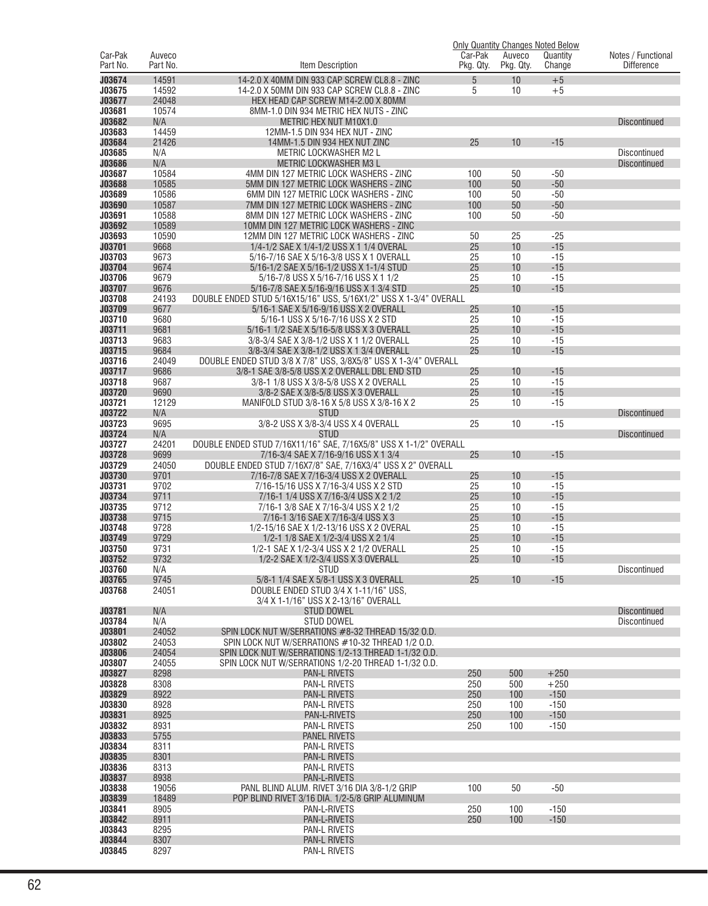|                     |                    |                                                                                |                      |                     | <b>Only Quantity Changes Noted Below</b> |                                            |
|---------------------|--------------------|--------------------------------------------------------------------------------|----------------------|---------------------|------------------------------------------|--------------------------------------------|
| Car-Pak<br>Part No. | Auveco<br>Part No. | Item Description                                                               | Car-Pak<br>Pkg. Qty. | Auveco<br>Pkg. Qty. | Quantity<br>Change                       | Notes / Functional<br><b>Difference</b>    |
|                     |                    |                                                                                |                      |                     |                                          |                                            |
| J03674              | 14591              | 14-2.0 X 40MM DIN 933 CAP SCREW CL8.8 - ZINC                                   | 5                    | 10                  | $+5$                                     |                                            |
| J03675              | 14592              | 14-2.0 X 50MM DIN 933 CAP SCREW CL8.8 - ZINC                                   | 5                    | 10                  | $+5$                                     |                                            |
| J03677              | 24048              | HEX HEAD CAP SCREW M14-2.00 X 80MM                                             |                      |                     |                                          |                                            |
| J03681              | 10574              | 8MM-1.0 DIN 934 METRIC HEX NUTS - ZINC                                         |                      |                     |                                          |                                            |
| J03682              | N/A                | METRIC HEX NUT M10X1.0                                                         |                      |                     |                                          | <b>Discontinued</b>                        |
| J03683              | 14459              | 12MM-1.5 DIN 934 HEX NUT - ZINC                                                |                      |                     |                                          |                                            |
| J03684              | 21426              | 14MM-1.5 DIN 934 HEX NUT ZINC                                                  | 25                   | 10                  | $-15$                                    |                                            |
| J03685<br>J03686    | N/A<br>N/A         | <b>METRIC LOCKWASHER M2 L</b>                                                  |                      |                     |                                          | <b>Discontinued</b><br><b>Discontinued</b> |
| J03687              | 10584              | <b>METRIC LOCKWASHER M3 L</b><br>4MM DIN 127 METRIC LOCK WASHERS - ZINC        | 100                  | 50                  | $-50$                                    |                                            |
| J03688              | 10585              | 5MM DIN 127 METRIC LOCK WASHERS - ZINC                                         | 100                  | 50                  | $-50$                                    |                                            |
| J03689              | 10586              | 6MM DIN 127 METRIC LOCK WASHERS - ZINC                                         | 100                  | 50                  | $-50$                                    |                                            |
| J03690              | 10587              | 7MM DIN 127 METRIC LOCK WASHERS - ZINC                                         | 100                  | 50                  | $-50$                                    |                                            |
| J03691              | 10588              | 8MM DIN 127 METRIC LOCK WASHERS - ZINC                                         | 100                  | 50                  | $-50$                                    |                                            |
| J03692              | 10589              | 10MM DIN 127 METRIC LOCK WASHERS - ZINC                                        |                      |                     |                                          |                                            |
| J03693              | 10590              | 12MM DIN 127 METRIC LOCK WASHERS - ZINC                                        | 50                   | 25                  | $-25$                                    |                                            |
| J03701              | 9668               | 1/4-1/2 SAE X 1/4-1/2 USS X 1 1/4 OVERAL                                       | 25                   | 10                  | $-15$                                    |                                            |
| J03703              | 9673               | 5/16-7/16 SAE X 5/16-3/8 USS X 1 OVERALL                                       | 25                   | 10                  | $-15$                                    |                                            |
| J03704              | 9674               | 5/16-1/2 SAE X 5/16-1/2 USS X 1-1/4 STUD                                       | 25                   | 10                  | $-15$                                    |                                            |
| J03706              | 9679               | 5/16-7/8 USS X 5/16-7/16 USS X 1 1/2                                           | 25                   | 10                  | $-15$                                    |                                            |
| J03707              | 9676               | 5/16-7/8 SAE X 5/16-9/16 USS X 1 3/4 STD                                       | 25                   | 10                  | $-15$                                    |                                            |
| J03708              | 24193              | DOUBLE ENDED STUD 5/16X15/16" USS, 5/16X1/2" USS X 1-3/4" OVERALL              |                      |                     |                                          |                                            |
| J03709              | 9677               | 5/16-1 SAE X 5/16-9/16 USS X 2 OVERALL                                         | 25                   | 10                  | $-15$                                    |                                            |
| J03710              | 9680               | 5/16-1 USS X 5/16-7/16 USS X 2 STD                                             | 25                   | 10                  | $-15$                                    |                                            |
| J03711              | 9681               | 5/16-1 1/2 SAE X 5/16-5/8 USS X 3 OVERALL                                      | 25                   | 10                  | $-15$                                    |                                            |
| J03713              | 9683               | 3/8-3/4 SAE X 3/8-1/2 USS X 1 1/2 OVERALL                                      | 25                   | 10                  | $-15$                                    |                                            |
| J03715              | 9684               | 3/8-3/4 SAE X 3/8-1/2 USS X 1 3/4 OVERALL                                      | 25                   | 10                  | $-15$                                    |                                            |
| J03716              | 24049              | DOUBLE ENDED STUD 3/8 X 7/8" USS, 3/8X5/8" USS X 1-3/4" OVERALL                |                      |                     |                                          |                                            |
| J03717              | 9686               | 3/8-1 SAE 3/8-5/8 USS X 2 OVERALL DBL END STD                                  | 25                   | 10                  | $-15$                                    |                                            |
| J03718<br>J03720    | 9687<br>9690       | 3/8-1 1/8 USS X 3/8-5/8 USS X 2 OVERALL<br>3/8-2 SAE X 3/8-5/8 USS X 3 OVERALL | 25<br>25             | 10<br>10            | $-15$<br>$-15$                           |                                            |
| J03721              | 12129              | MANIFOLD STUD 3/8-16 X 5/8 USS X 3/8-16 X 2                                    | 25                   | 10                  | $-15$                                    |                                            |
| J03722              | N/A                | <b>STUD</b>                                                                    |                      |                     |                                          | <b>Discontinued</b>                        |
| J03723              | 9695               | 3/8-2 USS X 3/8-3/4 USS X 4 OVERALL                                            | 25                   | 10                  | $-15$                                    |                                            |
| J03724              | N/A                | <b>STUD</b>                                                                    |                      |                     |                                          | <b>Discontinued</b>                        |
| J03727              | 24201              | DOUBLE ENDED STUD 7/16X11/16" SAE, 7/16X5/8" USS X 1-1/2" OVERALL              |                      |                     |                                          |                                            |
| J03728              | 9699               | 7/16-3/4 SAE X 7/16-9/16 USS X 1 3/4                                           | 25                   | 10                  | $-15$                                    |                                            |
| J03729              | 24050              | DOUBLE ENDED STUD 7/16X7/8" SAE, 7/16X3/4" USS X 2" OVERALL                    |                      |                     |                                          |                                            |
| J03730              | 9701               | 7/16-7/8 SAE X 7/16-3/4 USS X 2 OVERALL                                        | 25                   | 10                  | $-15$                                    |                                            |
| J03731              | 9702               | 7/16-15/16 USS X 7/16-3/4 USS X 2 STD                                          | 25                   | 10                  | $-15$                                    |                                            |
| J03734              | 9711               | 7/16-1 1/4 USS X 7/16-3/4 USS X 2 1/2                                          | 25                   | 10                  | $-15$                                    |                                            |
| J03735              | 9712               | 7/16-1 3/8 SAE X 7/16-3/4 USS X 2 1/2                                          | 25                   | 10                  | $-15$                                    |                                            |
| J03738              | 9715               | 7/16-1 3/16 SAE X 7/16-3/4 USS X 3                                             | 25                   | 10                  | $-15$                                    |                                            |
| J03748              | 9728               | 1/2-15/16 SAE X 1/2-13/16 USS X 2 OVERAL                                       | 25                   | 10                  | $-15$                                    |                                            |
| J03749              | 9729               | 1/2-1 1/8 SAE X 1/2-3/4 USS X 2 1/4                                            | 25                   | 10                  | $-15$                                    |                                            |
| J03750              | 9731               | 1/2-1 SAE X 1/2-3/4 USS X 2 1/2 OVERALL                                        | 25                   | 10                  | $-15$                                    |                                            |
| J03752              | 9732               | 1/2-2 SAE X 1/2-3/4 USS X 3 OVERALL                                            | 25                   | 10                  | $-15$                                    |                                            |
| J03760<br>J03765    | N/A<br>9745        | <b>STUD</b><br>5/8-1 1/4 SAE X 5/8-1 USS X 3 OVERALL                           | 25                   | 10                  | $-15$                                    | Discontinued                               |
| J03768              | 24051              | DOUBLE ENDED STUD 3/4 X 1-11/16" USS.                                          |                      |                     |                                          |                                            |
|                     |                    | 3/4 X 1-1/16" USS X 2-13/16" OVERALL                                           |                      |                     |                                          |                                            |
| J03781              | N/A                | <b>STUD DOWEL</b>                                                              |                      |                     |                                          | <b>Discontinued</b>                        |
| J03784              | N/A                | <b>STUD DOWEL</b>                                                              |                      |                     |                                          | Discontinued                               |
| J03801              | 24052              | SPIN LOCK NUT W/SERRATIONS #8-32 THREAD 15/32 O.D.                             |                      |                     |                                          |                                            |
| J03802              | 24053              | SPIN LOCK NUT W/SERRATIONS #10-32 THREAD 1/2 O.D.                              |                      |                     |                                          |                                            |
| <b>J03806</b>       | 24054              | SPIN LOCK NUT W/SERRATIONS 1/2-13 THREAD 1-1/32 O.D.                           |                      |                     |                                          |                                            |
| J03807              | 24055              | SPIN LOCK NUT W/SERRATIONS 1/2-20 THREAD 1-1/32 O.D.                           |                      |                     |                                          |                                            |
| J03827              | 8298               | <b>PAN-L RIVETS</b>                                                            | 250                  | 500                 | $+250$                                   |                                            |
| J03828              | 8308               | <b>PAN-L RIVETS</b>                                                            | 250                  | 500                 | $+250$                                   |                                            |
| J03829              | 8922               | <b>PAN-L RIVETS</b>                                                            | 250                  | 100                 | $-150$                                   |                                            |
| J03830              | 8928               | <b>PAN-L RIVETS</b>                                                            | 250                  | 100                 | $-150$                                   |                                            |
| J03831              | 8925               | PAN-L-RIVETS                                                                   | 250                  | 100                 | $-150$                                   |                                            |
| J03832              | 8931               | <b>PAN-L RIVETS</b>                                                            | 250                  | 100                 | $-150$                                   |                                            |
| J03833<br>J03834    | 5755               | <b>PANEL RIVETS</b>                                                            |                      |                     |                                          |                                            |
| J03835              | 8311<br>8301       | <b>PAN-L RIVETS</b><br><b>PAN-L RIVETS</b>                                     |                      |                     |                                          |                                            |
| J03836              | 8313               | PAN-L RIVETS                                                                   |                      |                     |                                          |                                            |
| J03837              | 8938               | PAN-L-RIVETS                                                                   |                      |                     |                                          |                                            |
| J03838              | 19056              | PANL BLIND ALUM. RIVET 3/16 DIA 3/8-1/2 GRIP                                   | 100                  | 50                  | $-50$                                    |                                            |
| J03839              | 18489              | POP BLIND RIVET 3/16 DIA. 1/2-5/8 GRIP ALUMINUM                                |                      |                     |                                          |                                            |
| J03841              | 8905               | PAN-L-RIVETS                                                                   | 250                  | 100                 | $-150$                                   |                                            |
| J03842              | 8911               | PAN-L-RIVETS                                                                   | 250                  | 100                 | $-150$                                   |                                            |
| J03843              | 8295               | PAN-L RIVETS                                                                   |                      |                     |                                          |                                            |
| J03844              | 8307               | <b>PAN-L RIVETS</b>                                                            |                      |                     |                                          |                                            |
| J03845              | 8297               | PAN-L RIVETS                                                                   |                      |                     |                                          |                                            |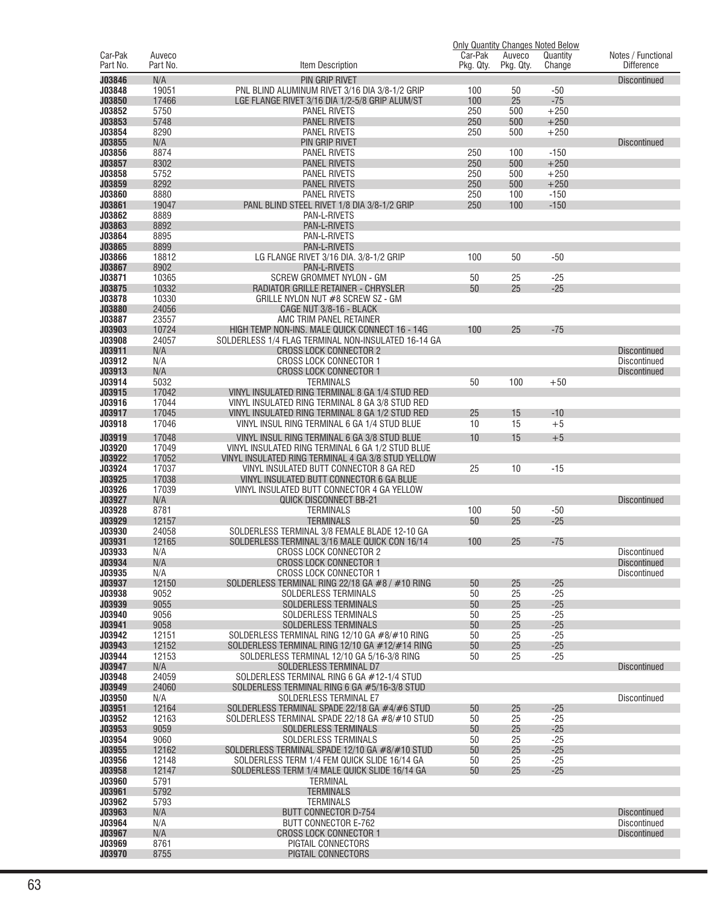|                     |                    |                                                                                                 |            |                     | <b>Only Quantity Changes Noted Below</b> |                     |
|---------------------|--------------------|-------------------------------------------------------------------------------------------------|------------|---------------------|------------------------------------------|---------------------|
| Car-Pak<br>Part No. | Auveco<br>Part No. |                                                                                                 | Car-Pak    | Auveco<br>Pkg. Qty. | Quantity                                 | Notes / Functional  |
|                     |                    | Item Description                                                                                | Pkg. Qty.  |                     | Change                                   | <b>Difference</b>   |
| J03846              | N/A                | <b>PIN GRIP RIVET</b>                                                                           |            |                     |                                          | <b>Discontinued</b> |
| J03848              | 19051              | PNL BLIND ALUMINUM RIVET 3/16 DIA 3/8-1/2 GRIP                                                  | 100        | 50                  | $-50$                                    |                     |
| J03850              | 17466              | LGE FLANGE RIVET 3/16 DIA 1/2-5/8 GRIP ALUM/ST                                                  | 100        | 25                  | $-75$                                    |                     |
| J03852              | 5750               | <b>PANEL RIVETS</b>                                                                             | 250        | 500                 | $+250$                                   |                     |
| J03853              | 5748               | <b>PANEL RIVETS</b>                                                                             | 250        | 500                 | $+250$                                   |                     |
| J03854              | 8290               | <b>PANEL RIVETS</b>                                                                             | 250        | 500                 | $+250$                                   |                     |
| J03855              | N/A                | PIN GRIP RIVET                                                                                  |            |                     |                                          | <b>Discontinued</b> |
| J03856              | 8874               | PANEL RIVETS                                                                                    | 250        | 100                 | $-150$                                   |                     |
| J03857<br>J03858    | 8302<br>5752       | <b>PANEL RIVETS</b><br>PANEL RIVETS                                                             | 250<br>250 | 500<br>500          | $+250$<br>$+250$                         |                     |
| J03859              | 8292               | <b>PANEL RIVETS</b>                                                                             | 250        | 500                 | $+250$                                   |                     |
| J03860              | 8880               | <b>PANEL RIVETS</b>                                                                             | 250        | 100                 | $-150$                                   |                     |
| J03861              | 19047              | PANL BLIND STEEL RIVET 1/8 DIA 3/8-1/2 GRIP                                                     | 250        | 100                 | $-150$                                   |                     |
| J03862              | 8889               | PAN-L-RIVETS                                                                                    |            |                     |                                          |                     |
| J03863              | 8892               | PAN-L-RIVETS                                                                                    |            |                     |                                          |                     |
| J03864              | 8895               | PAN-L-RIVETS                                                                                    |            |                     |                                          |                     |
| J03865              | 8899               | PAN-L-RIVETS                                                                                    |            |                     |                                          |                     |
| J03866              | 18812              | LG FLANGE RIVET 3/16 DIA. 3/8-1/2 GRIP                                                          | 100        | 50                  | $-50$                                    |                     |
| J03867              | 8902               | PAN-L-RIVETS                                                                                    |            |                     |                                          |                     |
| J03871              | 10365              | <b>SCREW GROMMET NYLON - GM</b>                                                                 | 50         | 25                  | $-25$                                    |                     |
| J03875              | 10332              | RADIATOR GRILLE RETAINER - CHRYSLER                                                             | 50         | 25                  | $-25$                                    |                     |
| J03878              | 10330              | GRILLE NYLON NUT #8 SCREW SZ - GM                                                               |            |                     |                                          |                     |
| J03880              | 24056              | CAGE NUT 3/8-16 - BLACK                                                                         |            |                     |                                          |                     |
| J03887              | 23557              | AMC TRIM PANEL RETAINER                                                                         |            |                     |                                          |                     |
| J03903              | 10724              | HIGH TEMP NON-INS. MALE QUICK CONNECT 16 - 14G                                                  | 100        | 25                  | $-75$                                    |                     |
| J03908              | 24057              | SOLDERLESS 1/4 FLAG TERMINAL NON-INSULATED 16-14 GA                                             |            |                     |                                          |                     |
| J03911              | N/A                | <b>CROSS LOCK CONNECTOR 2</b>                                                                   |            |                     |                                          | <b>Discontinued</b> |
| J03912              | N/A                | <b>CROSS LOCK CONNECTOR 1</b>                                                                   |            |                     |                                          | Discontinued        |
| J03913              | N/A                | <b>CROSS LOCK CONNECTOR 1</b>                                                                   |            |                     |                                          | <b>Discontinued</b> |
| J03914              | 5032               | <b>TERMINALS</b>                                                                                | 50         | 100                 | $+50$                                    |                     |
| J03915              | 17042              | VINYL INSULATED RING TERMINAL 8 GA 1/4 STUD RED                                                 |            |                     |                                          |                     |
| J03916              | 17044<br>17045     | VINYL INSULATED RING TERMINAL 8 GA 3/8 STUD RED                                                 |            |                     |                                          |                     |
| J03917<br>J03918    | 17046              | VINYL INSULATED RING TERMINAL 8 GA 1/2 STUD RED<br>VINYL INSUL RING TERMINAL 6 GA 1/4 STUD BLUE | 25<br>10   | 15<br>15            | $-10$<br>$+5$                            |                     |
|                     |                    |                                                                                                 |            |                     |                                          |                     |
| J03919              | 17048              | VINYL INSUL RING TERMINAL 6 GA 3/8 STUD BLUE                                                    | 10         | 15                  | $+5$                                     |                     |
| J03920              | 17049              | VINYL INSULATED RING TERMINAL 6 GA 1/2 STUD BLUE                                                |            |                     |                                          |                     |
| J03922              | 17052              | VINYL INSULATED RING TERMINAL 4 GA 3/8 STUD YELLOW                                              |            |                     |                                          |                     |
| J03924              | 17037              | VINYL INSULATED BUTT CONNECTOR 8 GA RED                                                         | 25         | 10                  | $-15$                                    |                     |
| J03925              | 17038              | VINYL INSULATED BUTT CONNECTOR 6 GA BLUE                                                        |            |                     |                                          |                     |
| J03926<br>J03927    | 17039<br>N/A       | VINYL INSULATED BUTT CONNECTOR 4 GA YELLOW<br><b>QUICK DISCONNECT BB-21</b>                     |            |                     |                                          |                     |
| J03928              | 8781               | <b>TERMINALS</b>                                                                                | 100        | 50                  | $-50$                                    | <b>Discontinued</b> |
| J03929              | 12157              | <b>TERMINALS</b>                                                                                | 50         | 25                  | $-25$                                    |                     |
| J03930              | 24058              | SOLDERLESS TERMINAL 3/8 FEMALE BLADE 12-10 GA                                                   |            |                     |                                          |                     |
| J03931              | 12165              | SOLDERLESS TERMINAL 3/16 MALE QUICK CON 16/14                                                   | 100        | 25                  | $-75$                                    |                     |
| J03933              | N/A                | <b>CROSS LOCK CONNECTOR 2</b>                                                                   |            |                     |                                          | Discontinued        |
| J03934              | N/A                | <b>CROSS LOCK CONNECTOR 1</b>                                                                   |            |                     |                                          | Discontinued        |
| J03935              | N/A                | CROSS LOCK CONNECTOR 1                                                                          |            |                     |                                          | Discontinued        |
| J03937              | 12150              | SOLDERLESS TERMINAL RING 22/18 GA #8 / #10 RING                                                 | 50         | 25                  | $-25$                                    |                     |
| J03938              | 9052               | SOLDERLESS TERMINALS                                                                            | 50         | 25                  | $-25$                                    |                     |
| J03939              | 9055               | SOLDERLESS TERMINALS                                                                            | 50         | 25                  | $-25$                                    |                     |
| J03940              | 9056               | SOLDERLESS TERMINALS                                                                            | 50         | 25                  | $-25$                                    |                     |
| J03941              | 9058               | <b>SOLDERLESS TERMINALS</b>                                                                     | 50         | 25                  | $-25$                                    |                     |
| J03942              | 12151              | SOLDERLESS TERMINAL RING 12/10 GA #8/#10 RING                                                   | 50         | 25                  | $-25$                                    |                     |
| J03943              | 12152              | SOLDERLESS TERMINAL RING 12/10 GA #12/#14 RING                                                  | 50         | 25                  | $-25$                                    |                     |
| J03944              | 12153              | SOLDERLESS TERMINAL 12/10 GA 5/16-3/8 RING                                                      | 50         | 25                  | $-25$                                    |                     |
| J03947              | N/A                | SOLDERLESS TERMINAL D7                                                                          |            |                     |                                          | <b>Discontinued</b> |
| J03948<br>J03949    | 24059<br>24060     | SOLDERLESS TERMINAL RING 6 GA #12-1/4 STUD<br>SOLDERLESS TERMINAL RING 6 GA #5/16-3/8 STUD      |            |                     |                                          |                     |
| J03950              | N/A                | SOLDERLESS TERMINAL E7                                                                          |            |                     |                                          | Discontinued        |
| J03951              | 12164              | SOLDERLESS TERMINAL SPADE 22/18 GA #4/#6 STUD                                                   | 50         | 25                  | $-25$                                    |                     |
| J03952              | 12163              | SOLDERLESS TERMINAL SPADE 22/18 GA #8/#10 STUD                                                  | 50         | 25                  | $-25$                                    |                     |
| J03953              | 9059               | SOLDERLESS TERMINALS                                                                            | 50         | 25                  | $-25$                                    |                     |
| J03954              | 9060               | SOLDERLESS TERMINALS                                                                            | 50         | 25                  | $-25$                                    |                     |
| J03955              | 12162              | SOLDERLESS TERMINAL SPADE 12/10 GA #8/#10 STUD                                                  | 50         | 25                  | $-25$                                    |                     |
| J03956              | 12148              | SOLDERLESS TERM 1/4 FEM QUICK SLIDE 16/14 GA                                                    | 50         | 25                  | $-25$                                    |                     |
| J03958              | 12147              | SOLDERLESS TERM 1/4 MALE QUICK SLIDE 16/14 GA                                                   | 50         | 25                  | $-25$                                    |                     |
| J03960              | 5791               | TERMINAL                                                                                        |            |                     |                                          |                     |
| J03961              | 5792               | <b>TERMINALS</b>                                                                                |            |                     |                                          |                     |
| J03962              | 5793               | <b>TERMINALS</b>                                                                                |            |                     |                                          |                     |
| J03963              | N/A                | <b>BUTT CONNECTOR D-754</b>                                                                     |            |                     |                                          | <b>Discontinued</b> |
| J03964              | N/A                | BUTT CONNECTOR E-762                                                                            |            |                     |                                          | Discontinued        |
| J03967              | N/A                | <b>CROSS LOCK CONNECTOR 1</b>                                                                   |            |                     |                                          | <b>Discontinued</b> |
| J03969              | 8761               | PIGTAIL CONNECTORS                                                                              |            |                     |                                          |                     |
| J03970              | 8755               | PIGTAIL CONNECTORS                                                                              |            |                     |                                          |                     |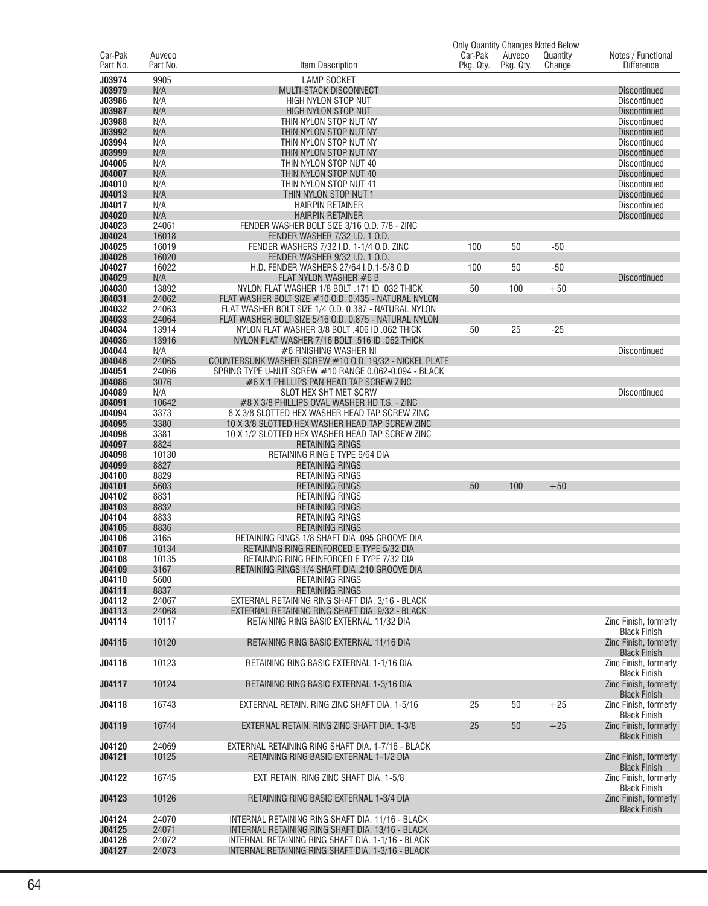|                     |                    |                                                                                                                 |                      |                     | <b>Only Quantity Changes Noted Below</b> |                                              |
|---------------------|--------------------|-----------------------------------------------------------------------------------------------------------------|----------------------|---------------------|------------------------------------------|----------------------------------------------|
| Car-Pak<br>Part No. | Auveco<br>Part No. | Item Description                                                                                                | Car-Pak<br>Pkg. Qty. | Auveco<br>Pkg. Qty. | Quantity<br>Change                       | Notes / Functional<br><b>Difference</b>      |
|                     |                    |                                                                                                                 |                      |                     |                                          |                                              |
| J03974              | 9905               | <b>LAMP SOCKET</b>                                                                                              |                      |                     |                                          |                                              |
| J03979              | N/A                | MULTI-STACK DISCONNECT                                                                                          |                      |                     |                                          | Discontinued                                 |
| J03986              | N/A                | <b>HIGH NYLON STOP NUT</b>                                                                                      |                      |                     |                                          | <b>Discontinued</b>                          |
| J03987<br>J03988    | N/A                | <b>HIGH NYLON STOP NUT</b>                                                                                      |                      |                     |                                          | <b>Discontinued</b><br>Discontinued          |
| J03992              | N/A<br>N/A         | THIN NYLON STOP NUT NY<br>THIN NYLON STOP NUT NY                                                                |                      |                     |                                          | <b>Discontinued</b>                          |
| J03994              | N/A                | THIN NYLON STOP NUT NY                                                                                          |                      |                     |                                          | <b>Discontinued</b>                          |
| J03999              | N/A                | THIN NYLON STOP NUT NY                                                                                          |                      |                     |                                          | <b>Discontinued</b>                          |
| J04005              | N/A                | THIN NYLON STOP NUT 40                                                                                          |                      |                     |                                          | <b>Discontinued</b>                          |
| J04007              | N/A                | THIN NYLON STOP NUT 40                                                                                          |                      |                     |                                          | <b>Discontinued</b>                          |
| J04010              | N/A                | THIN NYLON STOP NUT 41                                                                                          |                      |                     |                                          | <b>Discontinued</b>                          |
| J04013              | N/A                | THIN NYLON STOP NUT 1                                                                                           |                      |                     |                                          | <b>Discontinued</b>                          |
| J04017              | N/A                | <b>HAIRPIN RETAINER</b>                                                                                         |                      |                     |                                          | <b>Discontinued</b>                          |
| J04020              | N/A                | <b>HAIRPIN RETAINER</b>                                                                                         |                      |                     |                                          | <b>Discontinued</b>                          |
| J04023              | 24061              | FENDER WASHER BOLT SIZE 3/16 O.D. 7/8 - ZINC                                                                    |                      |                     |                                          |                                              |
| J04024              | 16018              | FENDER WASHER 7/32 I.D. 1 O.D.                                                                                  |                      |                     |                                          |                                              |
| J04025              | 16019              | FENDER WASHERS 7/32 I.D. 1-1/4 O.D. ZINC                                                                        | 100                  | 50                  | $-50$                                    |                                              |
| J04026              | 16020              | FENDER WASHER 9/32 I.D. 1 O.D.                                                                                  |                      |                     |                                          |                                              |
| J04027              | 16022              | H.D. FENDER WASHERS 27/64 I.D.1-5/8 O.D                                                                         | 100                  | 50                  | $-50$                                    |                                              |
| J04029              | N/A                | FLAT NYLON WASHER #6 B                                                                                          |                      |                     |                                          | <b>Discontinued</b>                          |
| J04030              | 13892              | NYLON FLAT WASHER 1/8 BOLT .171 ID .032 THICK                                                                   | 50                   | 100                 | $+50$                                    |                                              |
| J04031              | 24062              | FLAT WASHER BOLT SIZE #10 O.D. 0.435 - NATURAL NYLON                                                            |                      |                     |                                          |                                              |
| J04032              | 24063              | FLAT WASHER BOLT SIZE 1/4 O.D. 0.387 - NATURAL NYLON                                                            |                      |                     |                                          |                                              |
| J04033              | 24064              | FLAT WASHER BOLT SIZE 5/16 O.D. 0.875 - NATURAL NYLON                                                           |                      |                     |                                          |                                              |
| J04034              | 13914              | NYLON FLAT WASHER 3/8 BOLT .406 ID .062 THICK                                                                   | 50                   | 25                  | $-25$                                    |                                              |
| J04036              | 13916              | NYLON FLAT WASHER 7/16 BOLT .516 ID .062 THICK                                                                  |                      |                     |                                          |                                              |
| J04044<br>J04046    | N/A<br>24065       | #6 FINISHING WASHER NI                                                                                          |                      |                     |                                          | <b>Discontinued</b>                          |
| J04051              | 24066              | COUNTERSUNK WASHER SCREW #10 O.D. 19/32 - NICKEL PLATE<br>SPRING TYPE U-NUT SCREW #10 RANGE 0.062-0.094 - BLACK |                      |                     |                                          |                                              |
| J04086              | 3076               | #6 X 1 PHILLIPS PAN HEAD TAP SCREW ZINC                                                                         |                      |                     |                                          |                                              |
| J04089              | N/A                | SLOT HEX SHT MET SCRW                                                                                           |                      |                     |                                          | <b>Discontinued</b>                          |
| J04091              | 10642              | #8 X 3/8 PHILLIPS OVAL WASHER HD T.S. - ZINC                                                                    |                      |                     |                                          |                                              |
| J04094              | 3373               | 8 X 3/8 SLOTTED HEX WASHER HEAD TAP SCREW ZINC                                                                  |                      |                     |                                          |                                              |
| J04095              | 3380               | 10 X 3/8 SLOTTED HEX WASHER HEAD TAP SCREW ZINC                                                                 |                      |                     |                                          |                                              |
| J04096              | 3381               | 10 X 1/2 SLOTTED HEX WASHER HEAD TAP SCREW ZINC                                                                 |                      |                     |                                          |                                              |
| J04097              | 8824               | <b>RETAINING RINGS</b>                                                                                          |                      |                     |                                          |                                              |
| J04098              | 10130              | RETAINING RING E TYPE 9/64 DIA                                                                                  |                      |                     |                                          |                                              |
| J04099              | 8827               | <b>RETAINING RINGS</b>                                                                                          |                      |                     |                                          |                                              |
| J04100              | 8829               | RETAINING RINGS                                                                                                 |                      |                     |                                          |                                              |
| J04101              | 5603               | <b>RETAINING RINGS</b>                                                                                          | 50                   | 100                 | $+50$                                    |                                              |
| J04102              | 8831               | RETAINING RINGS                                                                                                 |                      |                     |                                          |                                              |
| J04103<br>J04104    | 8832<br>8833       | <b>RETAINING RINGS</b>                                                                                          |                      |                     |                                          |                                              |
| J04105              | 8836               | RETAINING RINGS<br><b>RETAINING RINGS</b>                                                                       |                      |                     |                                          |                                              |
| J04106              | 3165               | RETAINING RINGS 1/8 SHAFT DIA .095 GROOVE DIA                                                                   |                      |                     |                                          |                                              |
| J04107              | 10134              | RETAINING RING REINFORCED E TYPE 5/32 DIA                                                                       |                      |                     |                                          |                                              |
| J04108              | 10135              | RETAINING RING REINFORCED E TYPE 7/32 DIA                                                                       |                      |                     |                                          |                                              |
| J04109              | 3167               | RETAINING RINGS 1/4 SHAFT DIA .210 GROOVE DIA                                                                   |                      |                     |                                          |                                              |
| J04110              | 5600               | <b>RETAINING RINGS</b>                                                                                          |                      |                     |                                          |                                              |
| J04111              | 8837               | <b>RETAINING RINGS</b>                                                                                          |                      |                     |                                          |                                              |
| J04112              | 24067              | EXTERNAL RETAINING RING SHAFT DIA, 3/16 - BLACK                                                                 |                      |                     |                                          |                                              |
| J04113              | 24068              | EXTERNAL RETAINING RING SHAFT DIA. 9/32 - BLACK                                                                 |                      |                     |                                          |                                              |
| J04114              | 10117              | RETAINING RING BASIC EXTERNAL 11/32 DIA                                                                         |                      |                     |                                          | Zinc Finish, formerly                        |
|                     |                    |                                                                                                                 |                      |                     |                                          | <b>Black Finish</b>                          |
| J04115              | 10120              | RETAINING RING BASIC EXTERNAL 11/16 DIA                                                                         |                      |                     |                                          | Zinc Finish, formerly                        |
|                     |                    |                                                                                                                 |                      |                     |                                          | <b>Black Finish</b>                          |
| J04116              | 10123              | RETAINING RING BASIC EXTERNAL 1-1/16 DIA                                                                        |                      |                     |                                          | Zinc Finish, formerly                        |
| J04117              | 10124              | RETAINING RING BASIC EXTERNAL 1-3/16 DIA                                                                        |                      |                     |                                          | <b>Black Finish</b><br>Zinc Finish, formerly |
|                     |                    |                                                                                                                 |                      |                     |                                          | <b>Black Finish</b>                          |
| J04118              | 16743              | EXTERNAL RETAIN. RING ZINC SHAFT DIA. 1-5/16                                                                    | 25                   | 50                  | $+25$                                    | Zinc Finish, formerly                        |
|                     |                    |                                                                                                                 |                      |                     |                                          | <b>Black Finish</b>                          |
| J04119              | 16744              | EXTERNAL RETAIN. RING ZINC SHAFT DIA. 1-3/8                                                                     | 25                   | 50                  | $+25$                                    | Zinc Finish, formerly                        |
|                     |                    |                                                                                                                 |                      |                     |                                          | <b>Black Finish</b>                          |
| J04120              | 24069              | EXTERNAL RETAINING RING SHAFT DIA. 1-7/16 - BLACK                                                               |                      |                     |                                          |                                              |
| J04121              | 10125              | RETAINING RING BASIC EXTERNAL 1-1/2 DIA                                                                         |                      |                     |                                          | Zinc Finish, formerly                        |
|                     |                    |                                                                                                                 |                      |                     |                                          | <b>Black Finish</b>                          |
| J04122              | 16745              | EXT. RETAIN. RING ZINC SHAFT DIA. 1-5/8                                                                         |                      |                     |                                          | Zinc Finish, formerly                        |
|                     |                    |                                                                                                                 |                      |                     |                                          | <b>Black Finish</b>                          |
| J04123              | 10126              | RETAINING RING BASIC EXTERNAL 1-3/4 DIA                                                                         |                      |                     |                                          | Zinc Finish, formerly                        |
|                     |                    |                                                                                                                 |                      |                     |                                          | <b>Black Finish</b>                          |
| J04124              | 24070              | INTERNAL RETAINING RING SHAFT DIA. 11/16 - BLACK                                                                |                      |                     |                                          |                                              |
| J04125              | 24071              | INTERNAL RETAINING RING SHAFT DIA. 13/16 - BLACK                                                                |                      |                     |                                          |                                              |
| J04126<br>J04127    | 24072<br>24073     | INTERNAL RETAINING RING SHAFT DIA. 1-1/16 - BLACK<br>INTERNAL RETAINING RING SHAFT DIA. 1-3/16 - BLACK          |                      |                     |                                          |                                              |
|                     |                    |                                                                                                                 |                      |                     |                                          |                                              |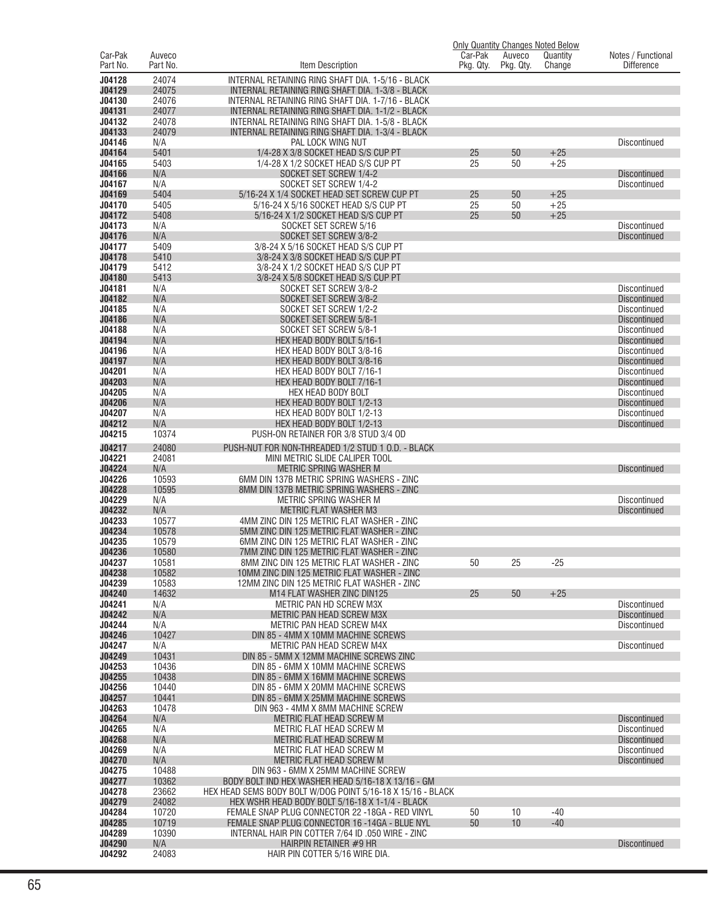|                     |                    |                                                                                                                   |                      |                     | <u>Only Quantity Changes Noted Below</u> |                                            |
|---------------------|--------------------|-------------------------------------------------------------------------------------------------------------------|----------------------|---------------------|------------------------------------------|--------------------------------------------|
| Car-Pak<br>Part No. | Auveco<br>Part No. | Item Description                                                                                                  | Car-Pak<br>Pkg. Qty. | Auveco<br>Pkg. Qty. | Quantity<br>Change                       | Notes / Functional<br><b>Difference</b>    |
|                     |                    |                                                                                                                   |                      |                     |                                          |                                            |
| J04128              | 24074              | INTERNAL RETAINING RING SHAFT DIA. 1-5/16 - BLACK                                                                 |                      |                     |                                          |                                            |
| J04129<br>J04130    | 24075<br>24076     | INTERNAL RETAINING RING SHAFT DIA. 1-3/8 - BLACK<br>INTERNAL RETAINING RING SHAFT DIA. 1-7/16 - BLACK             |                      |                     |                                          |                                            |
| J04131              | 24077              | INTERNAL RETAINING RING SHAFT DIA. 1-1/2 - BLACK                                                                  |                      |                     |                                          |                                            |
| J04132              | 24078              | INTERNAL RETAINING RING SHAFT DIA, 1-5/8 - BLACK                                                                  |                      |                     |                                          |                                            |
| J04133              | 24079              | INTERNAL RETAINING RING SHAFT DIA. 1-3/4 - BLACK                                                                  |                      |                     |                                          |                                            |
| J04146              | N/A                | PAL LOCK WING NUT                                                                                                 |                      |                     |                                          | <b>Discontinued</b>                        |
| J04164              | 5401               | 1/4-28 X 3/8 SOCKET HEAD S/S CUP PT                                                                               | 25                   | 50                  | $+25$                                    |                                            |
| J04165              | 5403               | 1/4-28 X 1/2 SOCKET HEAD S/S CUP PT                                                                               | 25                   | 50                  | $+25$                                    |                                            |
| J04166              | N/A                | SOCKET SET SCREW 1/4-2                                                                                            |                      |                     |                                          | <b>Discontinued</b>                        |
| J04167<br>J04169    | N/A<br>5404        | SOCKET SET SCREW 1/4-2<br>5/16-24 X 1/4 SOCKET HEAD SET SCREW CUP PT                                              | 25                   | 50                  | $+25$                                    | Discontinued                               |
| J04170              | 5405               | 5/16-24 X 5/16 SOCKET HEAD S/S CUP PT                                                                             | 25                   | 50                  | $+25$                                    |                                            |
| J04172              | 5408               | 5/16-24 X 1/2 SOCKET HEAD S/S CUP PT                                                                              | 25                   | 50                  | $+25$                                    |                                            |
| J04173              | N/A                | SOCKET SET SCREW 5/16                                                                                             |                      |                     |                                          | <b>Discontinued</b>                        |
| J04176              | N/A                | SOCKET SET SCREW 3/8-2                                                                                            |                      |                     |                                          | <b>Discontinued</b>                        |
| J04177              | 5409               | 3/8-24 X 5/16 SOCKET HEAD S/S CUP PT                                                                              |                      |                     |                                          |                                            |
| J04178              | 5410               | 3/8-24 X 3/8 SOCKET HEAD S/S CUP PT                                                                               |                      |                     |                                          |                                            |
| J04179              | 5412               | 3/8-24 X 1/2 SOCKET HEAD S/S CUP PT                                                                               |                      |                     |                                          |                                            |
| J04180              | 5413               | 3/8-24 X 5/8 SOCKET HEAD S/S CUP PT                                                                               |                      |                     |                                          |                                            |
| J04181<br>J04182    | N/A<br>N/A         | SOCKET SET SCREW 3/8-2<br>SOCKET SET SCREW 3/8-2                                                                  |                      |                     |                                          | <b>Discontinued</b>                        |
| J04185              | N/A                | SOCKET SET SCREW 1/2-2                                                                                            |                      |                     |                                          | <b>Discontinued</b><br>Discontinued        |
| J04186              | N/A                | SOCKET SET SCREW 5/8-1                                                                                            |                      |                     |                                          | <b>Discontinued</b>                        |
| J04188              | N/A                | SOCKET SET SCREW 5/8-1                                                                                            |                      |                     |                                          | Discontinued                               |
| J04194              | N/A                | HEX HEAD BODY BOLT 5/16-1                                                                                         |                      |                     |                                          | <b>Discontinued</b>                        |
| J04196              | N/A                | HEX HEAD BODY BOLT 3/8-16                                                                                         |                      |                     |                                          | <b>Discontinued</b>                        |
| J04197              | N/A                | HEX HEAD BODY BOLT 3/8-16                                                                                         |                      |                     |                                          | <b>Discontinued</b>                        |
| J04201              | N/A                | HEX HEAD BODY BOLT 7/16-1                                                                                         |                      |                     |                                          | Discontinued                               |
| J04203              | N/A                | HEX HEAD BODY BOLT 7/16-1                                                                                         |                      |                     |                                          | <b>Discontinued</b>                        |
| J04205<br>J04206    | N/A<br>N/A         | HEX HEAD BODY BOLT<br>HEX HEAD BODY BOLT 1/2-13                                                                   |                      |                     |                                          | <b>Discontinued</b><br><b>Discontinued</b> |
| J04207              | N/A                | HEX HEAD BODY BOLT 1/2-13                                                                                         |                      |                     |                                          | Discontinued                               |
| J04212              | N/A                | HEX HEAD BODY BOLT 1/2-13                                                                                         |                      |                     |                                          | <b>Discontinued</b>                        |
| J04215              | 10374              | PUSH-ON RETAINER FOR 3/8 STUD 3/4 OD                                                                              |                      |                     |                                          |                                            |
| J04217              | 24080              | PUSH-NUT FOR NON-THREADED 1/2 STUD 1 O.D. - BLACK                                                                 |                      |                     |                                          |                                            |
| J04221              | 24081              | MINI METRIC SLIDE CALIPER TOOL                                                                                    |                      |                     |                                          |                                            |
| J04224              | N/A                | <b>METRIC SPRING WASHER M</b>                                                                                     |                      |                     |                                          | <b>Discontinued</b>                        |
| J04226              | 10593              | 6MM DIN 137B METRIC SPRING WASHERS - ZINC                                                                         |                      |                     |                                          |                                            |
| J04228              | 10595              | 8MM DIN 137B METRIC SPRING WASHERS - ZINC                                                                         |                      |                     |                                          |                                            |
| J04229              | N/A                | METRIC SPRING WASHER M                                                                                            |                      |                     |                                          | <b>Discontinued</b>                        |
| J04232<br>J04233    | N/A<br>10577       | <b>METRIC FLAT WASHER M3</b><br>4MM ZINC DIN 125 METRIC FLAT WASHER - ZINC                                        |                      |                     |                                          | <b>Discontinued</b>                        |
| J04234              | 10578              | 5MM ZINC DIN 125 METRIC FLAT WASHER - ZINC                                                                        |                      |                     |                                          |                                            |
| J04235              | 10579              | 6MM ZINC DIN 125 METRIC FLAT WASHER - ZINC                                                                        |                      |                     |                                          |                                            |
| J04236              | 10580              | 7MM ZINC DIN 125 METRIC FLAT WASHER - ZINC                                                                        |                      |                     |                                          |                                            |
| J04237              | 10581              | 8MM ZINC DIN 125 METRIC FLAT WASHER - ZINC                                                                        | 50                   | 25                  | $-25$                                    |                                            |
| J04238              | 10582              | 10MM ZINC DIN 125 METRIC FLAT WASHER - ZINC                                                                       |                      |                     |                                          |                                            |
| J04239              | 10583              | 12MM ZINC DIN 125 METRIC FLAT WASHER - ZINC                                                                       |                      |                     |                                          |                                            |
| J04240              | 14632              | M14 FLAT WASHER ZINC DIN125                                                                                       | 25                   | 50                  | $+25$                                    |                                            |
| J04241<br>J04242    | N/A<br>N/A         | METRIC PAN HD SCREW M3X<br><b>METRIC PAN HEAD SCREW M3X</b>                                                       |                      |                     |                                          | <b>Discontinued</b><br><b>Discontinued</b> |
| J04244              | N/A                | METRIC PAN HEAD SCREW M4X                                                                                         |                      |                     |                                          | Discontinued                               |
| J04246              | 10427              | DIN 85 - 4MM X 10MM MACHINE SCREWS                                                                                |                      |                     |                                          |                                            |
| J04247              | N/A                | METRIC PAN HEAD SCREW M4X                                                                                         |                      |                     |                                          | <b>Discontinued</b>                        |
| J04249              | 10431              | DIN 85 - 5MM X 12MM MACHINE SCREWS ZINC                                                                           |                      |                     |                                          |                                            |
| J04253              | 10436              | DIN 85 - 6MM X 10MM MACHINE SCREWS                                                                                |                      |                     |                                          |                                            |
| J04255              | 10438              | DIN 85 - 6MM X 16MM MACHINE SCREWS                                                                                |                      |                     |                                          |                                            |
| J04256<br>J04257    | 10440<br>10441     | DIN 85 - 6MM X 20MM MACHINE SCREWS<br>DIN 85 - 6MM X 25MM MACHINE SCREWS                                          |                      |                     |                                          |                                            |
| J04263              | 10478              | DIN 963 - 4MM X 8MM MACHINE SCREW                                                                                 |                      |                     |                                          |                                            |
| J04264              | N/A                | METRIC FLAT HEAD SCREW M                                                                                          |                      |                     |                                          | <b>Discontinued</b>                        |
| J04265              | N/A                | METRIC FLAT HEAD SCREW M                                                                                          |                      |                     |                                          | Discontinued                               |
| J04268              | N/A                | METRIC FLAT HEAD SCREW M                                                                                          |                      |                     |                                          | <b>Discontinued</b>                        |
| J04269              | N/A                | METRIC FLAT HEAD SCREW M                                                                                          |                      |                     |                                          | Discontinued                               |
| J04270              | N/A                | METRIC FLAT HEAD SCREW M                                                                                          |                      |                     |                                          | <b>Discontinued</b>                        |
| J04275              | 10488              | DIN 963 - 6MM X 25MM MACHINE SCREW                                                                                |                      |                     |                                          |                                            |
| J04277<br>J04278    | 10362<br>23662     | BODY BOLT IND HEX WASHER HEAD 5/16-18 X 13/16 - GM<br>HEX HEAD SEMS BODY BOLT W/DOG POINT 5/16-18 X 15/16 - BLACK |                      |                     |                                          |                                            |
| J04279              | 24082              | HEX WSHR HEAD BODY BOLT 5/16-18 X 1-1/4 - BLACK                                                                   |                      |                     |                                          |                                            |
| J04284              | 10720              | FEMALE SNAP PLUG CONNECTOR 22 -18GA - RED VINYL                                                                   | 50                   | 10                  | $-40$                                    |                                            |
| J04285              | 10719              | FEMALE SNAP PLUG CONNECTOR 16 -14GA - BLUE NYL                                                                    | 50                   | 10                  | $-40$                                    |                                            |
| J04289              | 10390              | INTERNAL HAIR PIN COTTER 7/64 ID .050 WIRE - ZINC                                                                 |                      |                     |                                          |                                            |
| J04290              | N/A                | HAIRPIN RETAINER #9 HR                                                                                            |                      |                     |                                          | <b>Discontinued</b>                        |
| J04292              | 24083              | HAIR PIN COTTER 5/16 WIRE DIA.                                                                                    |                      |                     |                                          |                                            |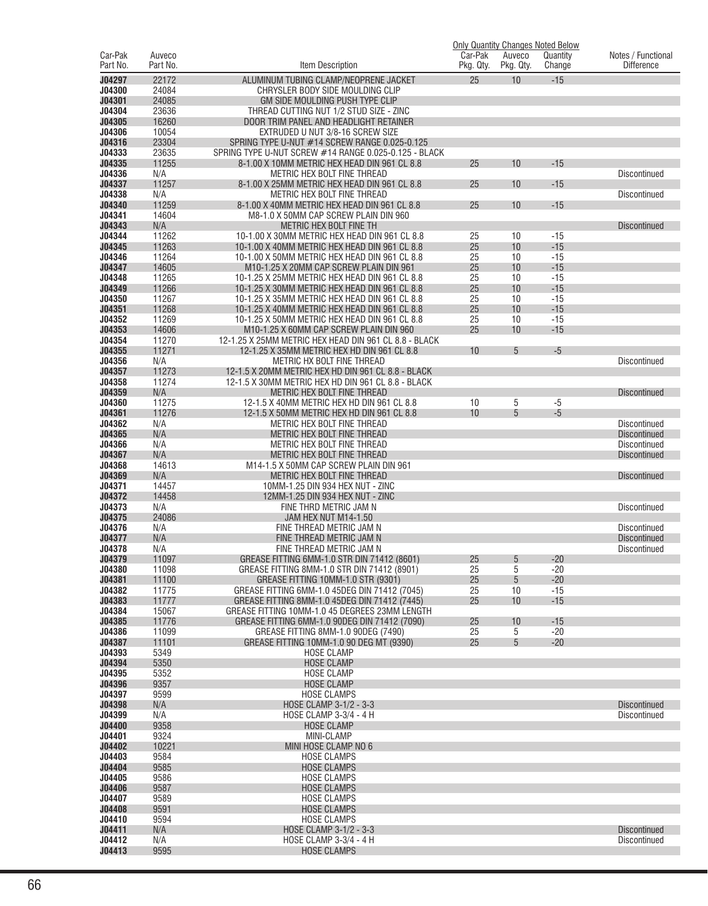|                     |                    |                                                                                                        | Car-Pak   |                     | <b>Only Quantity Changes Noted Below</b> |                                         |
|---------------------|--------------------|--------------------------------------------------------------------------------------------------------|-----------|---------------------|------------------------------------------|-----------------------------------------|
| Car-Pak<br>Part No. | Auveco<br>Part No. | Item Description                                                                                       | Pkg. Qty. | Auveco<br>Pkg. Qty. | Quantity<br>Change                       | Notes / Functional<br><b>Difference</b> |
| J04297              | 22172              | ALUMINUM TUBING CLAMP/NEOPRENE JACKET                                                                  | 25        | 10                  | $-15$                                    |                                         |
| J04300              | 24084              | CHRYSLER BODY SIDE MOULDING CLIP                                                                       |           |                     |                                          |                                         |
| J04301              | 24085              | GM SIDE MOULDING PUSH TYPE CLIP                                                                        |           |                     |                                          |                                         |
| J04304              | 23636              | THREAD CUTTING NUT 1/2 STUD SIZE - ZINC                                                                |           |                     |                                          |                                         |
| J04305              | 16260              | DOOR TRIM PANEL AND HEADLIGHT RETAINER                                                                 |           |                     |                                          |                                         |
| J04306              | 10054              | EXTRUDED U NUT 3/8-16 SCREW SIZE                                                                       |           |                     |                                          |                                         |
| J04316<br>J04333    | 23304<br>23635     | SPRING TYPE U-NUT #14 SCREW RANGE 0.025-0.125<br>SPRING TYPE U-NUT SCREW #14 RANGE 0.025-0.125 - BLACK |           |                     |                                          |                                         |
| J04335              | 11255              | 8-1.00 X 10MM METRIC HEX HEAD DIN 961 CL 8.8                                                           | 25        | 10                  | $-15$                                    |                                         |
| J04336              | N/A                | METRIC HEX BOLT FINE THREAD                                                                            |           |                     |                                          | <b>Discontinued</b>                     |
| J04337              | 11257              | 8-1.00 X 25MM METRIC HEX HEAD DIN 961 CL 8.8                                                           | 25        | 10                  | $-15$                                    |                                         |
| J04338              | N/A                | METRIC HEX BOLT FINE THREAD                                                                            |           |                     |                                          | <b>Discontinued</b>                     |
| J04340              | 11259              | 8-1.00 X 40MM METRIC HEX HEAD DIN 961 CL 8.8                                                           | 25        | 10                  | $-15$                                    |                                         |
| J04341<br>J04343    | 14604<br>N/A       | M8-1.0 X 50MM CAP SCREW PLAIN DIN 960<br>METRIC HEX BOLT FINE TH                                       |           |                     |                                          | <b>Discontinued</b>                     |
| J04344              | 11262              | 10-1.00 X 30MM METRIC HEX HEAD DIN 961 CL 8.8                                                          | 25        | 10                  | $-15$                                    |                                         |
| J04345              | 11263              | 10-1.00 X 40MM METRIC HEX HEAD DIN 961 CL 8.8                                                          | 25        | 10                  | $-15$                                    |                                         |
| J04346              | 11264              | 10-1.00 X 50MM METRIC HEX HEAD DIN 961 CL 8.8                                                          | 25        | 10                  | $-15$                                    |                                         |
| J04347              | 14605              | M10-1.25 X 20MM CAP SCREW PLAIN DIN 961                                                                | 25        | 10                  | $-15$                                    |                                         |
| J04348              | 11265              | 10-1.25 X 25MM METRIC HEX HEAD DIN 961 CL 8.8                                                          | 25        | 10                  | $-15$                                    |                                         |
| J04349<br>J04350    | 11266<br>11267     | 10-1.25 X 30MM METRIC HEX HEAD DIN 961 CL 8.8<br>10-1.25 X 35MM METRIC HEX HEAD DIN 961 CL 8.8         | 25<br>25  | 10<br>10            | $-15$<br>$-15$                           |                                         |
| J04351              | 11268              | 10-1.25 X 40MM METRIC HEX HEAD DIN 961 CL 8.8                                                          | 25        | 10                  | $-15$                                    |                                         |
| J04352              | 11269              | 10-1.25 X 50MM METRIC HEX HEAD DIN 961 CL 8.8                                                          | 25        | 10                  | $-15$                                    |                                         |
| J04353              | 14606              | M10-1.25 X 60MM CAP SCREW PLAIN DIN 960                                                                | 25        | 10                  | $-15$                                    |                                         |
| J04354              | 11270              | 12-1.25 X 25MM METRIC HEX HEAD DIN 961 CL 8.8 - BLACK                                                  |           |                     |                                          |                                         |
| J04355              | 11271              | 12-1.25 X 35MM METRIC HEX HD DIN 961 CL 8.8                                                            | 10        | 5                   | $-5$                                     |                                         |
| J04356<br>J04357    | N/A<br>11273       | METRIC HX BOLT FINE THREAD<br>12-1.5 X 20MM METRIC HEX HD DIN 961 CL 8.8 - BLACK                       |           |                     |                                          | <b>Discontinued</b>                     |
| J04358              | 11274              | 12-1.5 X 30MM METRIC HEX HD DIN 961 CL 8.8 - BLACK                                                     |           |                     |                                          |                                         |
| J04359              | N/A                | METRIC HEX BOLT FINE THREAD                                                                            |           |                     |                                          | <b>Discontinued</b>                     |
| J04360              | 11275              | 12-1.5 X 40MM METRIC HEX HD DIN 961 CL 8.8                                                             | 10        | 5                   | $-5$                                     |                                         |
| J04361              | 11276              | 12-1.5 X 50MM METRIC HEX HD DIN 961 CL 8.8                                                             | 10        | 5                   | $-5$                                     |                                         |
| J04362              | N/A                | METRIC HEX BOLT FINE THREAD                                                                            |           |                     |                                          | <b>Discontinued</b>                     |
| J04365<br>J04366    | N/A<br>N/A         | METRIC HEX BOLT FINE THREAD<br>METRIC HEX BOLT FINE THREAD                                             |           |                     |                                          | <b>Discontinued</b><br>Discontinued     |
| J04367              | N/A                | METRIC HEX BOLT FINE THREAD                                                                            |           |                     |                                          | <b>Discontinued</b>                     |
| J04368              | 14613              | M14-1.5 X 50MM CAP SCREW PLAIN DIN 961                                                                 |           |                     |                                          |                                         |
| J04369              | N/A                | METRIC HEX BOLT FINE THREAD                                                                            |           |                     |                                          | <b>Discontinued</b>                     |
| J04371              | 14457              | 10MM-1.25 DIN 934 HEX NUT - ZINC                                                                       |           |                     |                                          |                                         |
| J04372              | 14458              | 12MM-1.25 DIN 934 HEX NUT - ZINC                                                                       |           |                     |                                          |                                         |
| J04373<br>J04375    | N/A<br>24086       | FINE THRD METRIC JAM N<br>JAM HEX NUT M14-1.50                                                         |           |                     |                                          | <b>Discontinued</b>                     |
| J04376              | N/A                | FINE THREAD METRIC JAM N                                                                               |           |                     |                                          | <b>Discontinued</b>                     |
| J04377              | N/A                | FINE THREAD METRIC JAM N                                                                               |           |                     |                                          | <b>Discontinued</b>                     |
| J04378              | N/A                | FINE THREAD METRIC JAM N                                                                               |           |                     |                                          | <b>Discontinued</b>                     |
| J04379              | 11097              | GREASE FITTING 6MM-1.0 STR DIN 71412 (8601)                                                            | 25        | 5                   | $-20$                                    |                                         |
| J04380<br>J04381    | 11098              | GREASE FITTING 8MM-1.0 STR DIN 71412 (8901)<br>GREASE FITTING 10MM-1.0 STR (9301)                      | 25<br>25  | 5<br>5              | $-20$<br>$-20$                           |                                         |
| J04382              | 11100<br>11775     | GREASE FITTING 6MM-1.0 45DEG DIN 71412 (7045)                                                          | 25        | 10                  | $-15$                                    |                                         |
| J04383              | 11777              | GREASE FITTING 8MM-1.0 45DEG DIN 71412 (7445)                                                          | 25        | 10                  | $-15$                                    |                                         |
| J04384              | 15067              | GREASE FITTING 10MM-1.0 45 DEGREES 23MM LENGTH                                                         |           |                     |                                          |                                         |
| J04385              | 11776              | GREASE FITTING 6MM-1.0 90DEG DIN 71412 (7090)                                                          | 25        | 10                  | $-15$                                    |                                         |
| J04386              | 11099              | GREASE FITTING 8MM-1.0 90DEG (7490)                                                                    | 25        | 5                   | $-20$                                    |                                         |
| J04387<br>J04393    | 11101<br>5349      | GREASE FITTING 10MM-1.0 90 DEG MT (9390)<br><b>HOSE CLAMP</b>                                          | 25        | 5                   | $-20$                                    |                                         |
| J04394              | 5350               | <b>HOSE CLAMP</b>                                                                                      |           |                     |                                          |                                         |
| J04395              | 5352               | <b>HOSE CLAMP</b>                                                                                      |           |                     |                                          |                                         |
| J04396              | 9357               | <b>HOSE CLAMP</b>                                                                                      |           |                     |                                          |                                         |
| J04397              | 9599               | <b>HOSE CLAMPS</b>                                                                                     |           |                     |                                          |                                         |
| J04398              | N/A                | HOSE CLAMP 3-1/2 - 3-3                                                                                 |           |                     |                                          | <b>Discontinued</b>                     |
| J04399<br>J04400    | N/A<br>9358        | HOSE CLAMP 3-3/4 - 4 H<br><b>HOSE CLAMP</b>                                                            |           |                     |                                          | Discontinued                            |
| J04401              | 9324               | MINI-CLAMP                                                                                             |           |                     |                                          |                                         |
| J04402              | 10221              | MINI HOSE CLAMP NO 6                                                                                   |           |                     |                                          |                                         |
| J04403              | 9584               | <b>HOSE CLAMPS</b>                                                                                     |           |                     |                                          |                                         |
| J04404              | 9585               | <b>HOSE CLAMPS</b>                                                                                     |           |                     |                                          |                                         |
| J04405              | 9586               | <b>HOSE CLAMPS</b>                                                                                     |           |                     |                                          |                                         |
| J04406<br>J04407    | 9587<br>9589       | <b>HOSE CLAMPS</b><br><b>HOSE CLAMPS</b>                                                               |           |                     |                                          |                                         |
| J04408              | 9591               | <b>HOSE CLAMPS</b>                                                                                     |           |                     |                                          |                                         |
| J04410              | 9594               | <b>HOSE CLAMPS</b>                                                                                     |           |                     |                                          |                                         |
| J04411              | N/A                | HOSE CLAMP 3-1/2 - 3-3                                                                                 |           |                     |                                          | <b>Discontinued</b>                     |
| J04412              | N/A                | HOSE CLAMP 3-3/4 - 4 H                                                                                 |           |                     |                                          | <b>Discontinued</b>                     |
| J04413              | 9595               | <b>HOSE CLAMPS</b>                                                                                     |           |                     |                                          |                                         |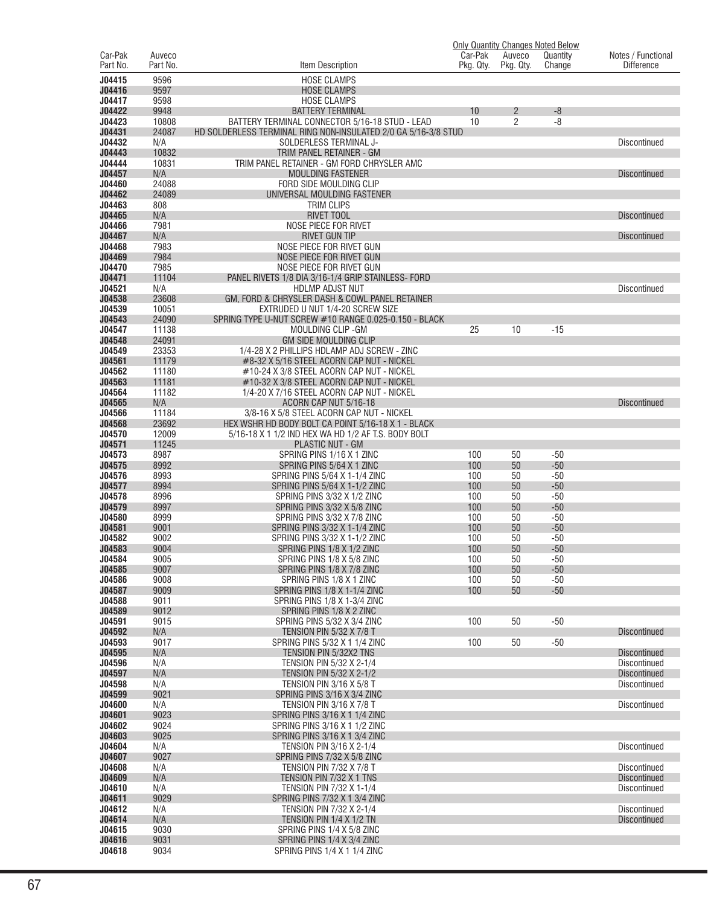|                     |                    |                                                                                                           | <b>Only Quantity Changes Noted Below</b> |                     |                    |                                            |
|---------------------|--------------------|-----------------------------------------------------------------------------------------------------------|------------------------------------------|---------------------|--------------------|--------------------------------------------|
| Car-Pak<br>Part No. | Auveco<br>Part No. | Item Description                                                                                          | Car-Pak<br>Pkg. Qty.                     | Auveco<br>Pkg. Qty. | Quantity<br>Change | Notes / Functional<br><b>Difference</b>    |
| J04415              | 9596               |                                                                                                           |                                          |                     |                    |                                            |
| J04416              | 9597               | <b>HOSE CLAMPS</b><br><b>HOSE CLAMPS</b>                                                                  |                                          |                     |                    |                                            |
| J04417              | 9598               | <b>HOSE CLAMPS</b>                                                                                        |                                          |                     |                    |                                            |
| J04422              | 9948               | <b>BATTERY TERMINAL</b>                                                                                   | 10                                       | $\overline{c}$      | $-8$               |                                            |
| J04423              | 10808              | BATTERY TERMINAL CONNECTOR 5/16-18 STUD - LEAD                                                            | 10                                       | 2                   | $-8$               |                                            |
| J04431              | 24087              | HD SOLDERLESS TERMINAL RING NON-INSULATED 2/0 GA 5/16-3/8 STUD                                            |                                          |                     |                    |                                            |
| J04432              | N/A                | SOLDERLESS TERMINAL J-                                                                                    |                                          |                     |                    | <b>Discontinued</b>                        |
| J04443<br>J04444    | 10832<br>10831     | TRIM PANEL RETAINER - GM<br>TRIM PANEL RETAINER - GM FORD CHRYSLER AMC                                    |                                          |                     |                    |                                            |
| J04457              | N/A                | <b>MOULDING FASTENER</b>                                                                                  |                                          |                     |                    | <b>Discontinued</b>                        |
| J04460              | 24088              | FORD SIDE MOULDING CLIP                                                                                   |                                          |                     |                    |                                            |
| J04462              | 24089              | UNIVERSAL MOULDING FASTENER                                                                               |                                          |                     |                    |                                            |
| J04463              | 808                | <b>TRIM CLIPS</b>                                                                                         |                                          |                     |                    |                                            |
| J04465              | N/A                | <b>RIVET TOOL</b>                                                                                         |                                          |                     |                    | <b>Discontinued</b>                        |
| J04466<br>J04467    | 7981<br>N/A        | NOSE PIECE FOR RIVET                                                                                      |                                          |                     |                    |                                            |
| J04468              | 7983               | <b>RIVET GUN TIP</b><br>NOSE PIECE FOR RIVET GUN                                                          |                                          |                     |                    | <b>Discontinued</b>                        |
| J04469              | 7984               | NOSE PIECE FOR RIVET GUN                                                                                  |                                          |                     |                    |                                            |
| J04470              | 7985               | NOSE PIECE FOR RIVET GUN                                                                                  |                                          |                     |                    |                                            |
| J04471              | 11104              | PANEL RIVETS 1/8 DIA 3/16-1/4 GRIP STAINLESS- FORD                                                        |                                          |                     |                    |                                            |
| J04521              | N/A                | <b>HDLMP ADJST NUT</b>                                                                                    |                                          |                     |                    | <b>Discontinued</b>                        |
| J04538              | 23608              | GM, FORD & CHRYSLER DASH & COWL PANEL RETAINER                                                            |                                          |                     |                    |                                            |
| J04539              | 10051              | EXTRUDED U NUT 1/4-20 SCREW SIZE                                                                          |                                          |                     |                    |                                            |
| J04543              | 24090              | SPRING TYPE U-NUT SCREW #10 RANGE 0.025-0.150 - BLACK                                                     |                                          |                     |                    |                                            |
| J04547<br>J04548    | 11138<br>24091     | MOULDING CLIP - GM<br><b>GM SIDE MOULDING CLIP</b>                                                        | 25                                       | 10                  | $-15$              |                                            |
| J04549              | 23353              | 1/4-28 X 2 PHILLIPS HDLAMP ADJ SCREW - ZINC                                                               |                                          |                     |                    |                                            |
| J04561              | 11179              | #8-32 X 5/16 STEEL ACORN CAP NUT - NICKEL                                                                 |                                          |                     |                    |                                            |
| J04562              | 11180              | #10-24 X 3/8 STEEL ACORN CAP NUT - NICKEL                                                                 |                                          |                     |                    |                                            |
| J04563              | 11181              | #10-32 X 3/8 STEEL ACORN CAP NUT - NICKEL                                                                 |                                          |                     |                    |                                            |
| J04564              | 11182              | 1/4-20 X 7/16 STEEL ACORN CAP NUT - NICKEL                                                                |                                          |                     |                    |                                            |
| J04565              | N/A                | ACORN CAP NUT 5/16-18                                                                                     |                                          |                     |                    | <b>Discontinued</b>                        |
| J04566              | 11184              | 3/8-16 X 5/8 STEEL ACORN CAP NUT - NICKEL                                                                 |                                          |                     |                    |                                            |
| J04568<br>J04570    | 23692<br>12009     | HEX WSHR HD BODY BOLT CA POINT 5/16-18 X 1 - BLACK<br>5/16-18 X 1 1/2 IND HEX WA HD 1/2 AF T.S. BODY BOLT |                                          |                     |                    |                                            |
| J04571              | 11245              | <b>PLASTIC NUT - GM</b>                                                                                   |                                          |                     |                    |                                            |
| J04573              | 8987               | SPRING PINS 1/16 X 1 ZINC                                                                                 | 100                                      | 50                  | $-50$              |                                            |
| J04575              | 8992               | SPRING PINS 5/64 X 1 ZINC                                                                                 | 100                                      | 50                  | $-50$              |                                            |
| J04576              | 8993               | SPRING PINS 5/64 X 1-1/4 ZINC                                                                             | 100                                      | 50                  | $-50$              |                                            |
| J04577              | 8994               | SPRING PINS 5/64 X 1-1/2 ZINC                                                                             | 100                                      | 50                  | $-50$              |                                            |
| J04578              | 8996               | SPRING PINS 3/32 X 1/2 ZINC                                                                               | 100                                      | 50                  | $-50$              |                                            |
| J04579<br>J04580    | 8997<br>8999       | SPRING PINS 3/32 X 5/8 ZINC<br>SPRING PINS 3/32 X 7/8 ZINC                                                | 100<br>100                               | 50<br>50            | $-50$<br>$-50$     |                                            |
| J04581              | 9001               | SPRING PINS 3/32 X 1-1/4 ZINC                                                                             | 100                                      | 50                  | $-50$              |                                            |
| J04582              | 9002               | SPRING PINS 3/32 X 1-1/2 ZINC                                                                             | 100                                      | 50                  | $-50$              |                                            |
| J04583              | 9004               | SPRING PINS 1/8 X 1/2 ZINC                                                                                | 100                                      | 50                  | $-50$              |                                            |
| J04584              | 9005               | SPRING PINS 1/8 X 5/8 ZINC                                                                                | 100                                      | 50                  | $-50$              |                                            |
| J04585              | 9007               | SPRING PINS 1/8 X 7/8 ZINC                                                                                | 100                                      | 50                  | $-50$              |                                            |
| J04586              | 9008               | SPRING PINS 1/8 X 1 ZINC                                                                                  | 100                                      | 50                  | $-50$              |                                            |
| J04587<br>J04588    | 9009<br>9011       | SPRING PINS 1/8 X 1-1/4 ZINC<br>SPRING PINS 1/8 X 1-3/4 ZINC                                              | 100                                      | 50                  | $-50$              |                                            |
| J04589              | 9012               | SPRING PINS 1/8 X 2 ZINC                                                                                  |                                          |                     |                    |                                            |
| J04591              | 9015               | SPRING PINS 5/32 X 3/4 ZINC                                                                               | 100                                      | 50                  | $-50$              |                                            |
| J04592              | N/A                | <b>TENSION PIN 5/32 X 7/8 T</b>                                                                           |                                          |                     |                    | <b>Discontinued</b>                        |
| J04593              | 9017               | SPRING PINS 5/32 X 1 1/4 ZINC                                                                             | 100                                      | 50                  | $-50$              |                                            |
| J04595              | N/A                | TENSION PIN 5/32X2 TNS                                                                                    |                                          |                     |                    | <b>Discontinued</b>                        |
| J04596              | N/A                | TENSION PIN 5/32 X 2-1/4                                                                                  |                                          |                     |                    | <b>Discontinued</b>                        |
| J04597<br>J04598    | N/A<br>N/A         | TENSION PIN 5/32 X 2-1/2<br><b>TENSION PIN 3/16 X 5/8 T</b>                                               |                                          |                     |                    | <b>Discontinued</b><br>Discontinued        |
| J04599              | 9021               | SPRING PINS 3/16 X 3/4 ZINC                                                                               |                                          |                     |                    |                                            |
| J04600              | N/A                | <b>TENSION PIN 3/16 X 7/8 T</b>                                                                           |                                          |                     |                    | <b>Discontinued</b>                        |
| J04601              | 9023               | SPRING PINS 3/16 X 1 1/4 ZINC                                                                             |                                          |                     |                    |                                            |
| J04602              | 9024               | SPRING PINS 3/16 X 1 1/2 ZINC                                                                             |                                          |                     |                    |                                            |
| J04603              | 9025               | SPRING PINS 3/16 X 1 3/4 ZINC                                                                             |                                          |                     |                    |                                            |
| J04604              | N/A                | TENSION PIN 3/16 X 2-1/4                                                                                  |                                          |                     |                    | <b>Discontinued</b>                        |
| J04607              | 9027               | SPRING PINS 7/32 X 5/8 ZINC                                                                               |                                          |                     |                    |                                            |
| J04608<br>J04609    | N/A<br>N/A         | <b>TENSION PIN 7/32 X 7/8 T</b><br>TENSION PIN 7/32 X 1 TNS                                               |                                          |                     |                    | <b>Discontinued</b><br><b>Discontinued</b> |
| J04610              | N/A                | TENSION PIN 7/32 X 1-1/4                                                                                  |                                          |                     |                    | <b>Discontinued</b>                        |
| J04611              | 9029               | SPRING PINS 7/32 X 1 3/4 ZINC                                                                             |                                          |                     |                    |                                            |
| J04612              | N/A                | TENSION PIN 7/32 X 2-1/4                                                                                  |                                          |                     |                    | <b>Discontinued</b>                        |
| J04614              | N/A                | TENSION PIN 1/4 X 1/2 TN                                                                                  |                                          |                     |                    | <b>Discontinued</b>                        |
| J04615              | 9030               | SPRING PINS 1/4 X 5/8 ZINC                                                                                |                                          |                     |                    |                                            |
| J04616              | 9031               | SPRING PINS 1/4 X 3/4 ZINC                                                                                |                                          |                     |                    |                                            |
| J04618              | 9034               | SPRING PINS 1/4 X 1 1/4 ZINC                                                                              |                                          |                     |                    |                                            |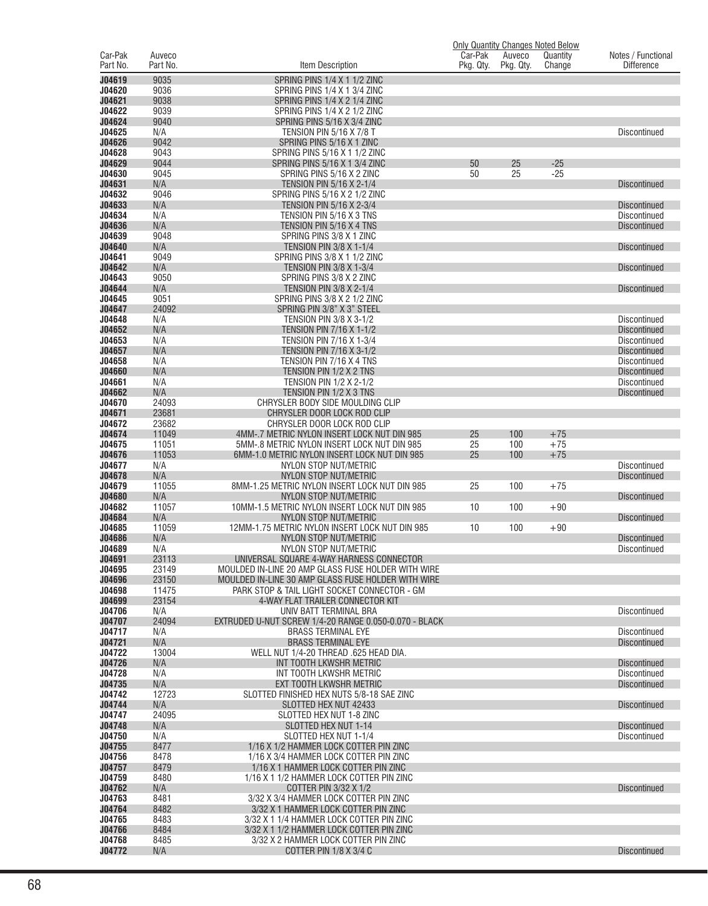|                         |                |                                                                                                |           |            | <b>Only Quantity Changes Noted Below</b> |                                            |
|-------------------------|----------------|------------------------------------------------------------------------------------------------|-----------|------------|------------------------------------------|--------------------------------------------|
| Car-Pak                 | Auveco         |                                                                                                | Car-Pak   | Auveco     | Quantity                                 | Notes / Functional                         |
| Part No.                | Part No.       | Item Description                                                                               | Pkg. Qty. | Pkg. Qty.  | Change                                   | <b>Difference</b>                          |
| J04619<br>J04620        | 9035           | SPRING PINS 1/4 X 1 1/2 ZINC                                                                   |           |            |                                          |                                            |
| J04621                  | 9036<br>9038   | SPRING PINS 1/4 X 1 3/4 ZINC<br>SPRING PINS 1/4 X 2 1/4 ZINC                                   |           |            |                                          |                                            |
| J04622                  | 9039           | SPRING PINS 1/4 X 2 1/2 ZINC                                                                   |           |            |                                          |                                            |
| J04624                  | 9040           | SPRING PINS 5/16 X 3/4 ZINC                                                                    |           |            |                                          |                                            |
| J04625                  | N/A            | <b>TENSION PIN 5/16 X 7/8 T</b>                                                                |           |            |                                          | <b>Discontinued</b>                        |
| J04626<br>J04628        | 9042<br>9043   | SPRING PINS 5/16 X 1 ZINC<br>SPRING PINS 5/16 X 1 1/2 ZINC                                     |           |            |                                          |                                            |
| J04629                  | 9044           | SPRING PINS 5/16 X 1 3/4 ZINC                                                                  | 50        | 25         | $-25$                                    |                                            |
| J04630                  | 9045           | SPRING PINS 5/16 X 2 ZINC                                                                      | 50        | 25         | $-25$                                    |                                            |
| J04631                  | N/A            | TENSION PIN 5/16 X 2-1/4                                                                       |           |            |                                          | <b>Discontinued</b>                        |
| J04632                  | 9046           | SPRING PINS 5/16 X 2 1/2 ZINC                                                                  |           |            |                                          |                                            |
| J04633<br>J04634        | N/A<br>N/A     | TENSION PIN 5/16 X 2-3/4<br>TENSION PIN 5/16 X 3 TNS                                           |           |            |                                          | <b>Discontinued</b><br><b>Discontinued</b> |
| J04636                  | N/A            | TENSION PIN 5/16 X 4 TNS                                                                       |           |            |                                          | <b>Discontinued</b>                        |
| J04639                  | 9048           | SPRING PINS 3/8 X 1 ZINC                                                                       |           |            |                                          |                                            |
| J04640                  | N/A            | TENSION PIN 3/8 X 1-1/4                                                                        |           |            |                                          | <b>Discontinued</b>                        |
| J04641                  | 9049           | SPRING PINS 3/8 X 1 1/2 ZINC                                                                   |           |            |                                          |                                            |
| J04642<br>J04643        | N/A<br>9050    | <b>TENSION PIN 3/8 X 1-3/4</b><br>SPRING PINS 3/8 X 2 ZINC                                     |           |            |                                          | <b>Discontinued</b>                        |
| J04644                  | N/A            | <b>TENSION PIN 3/8 X 2-1/4</b>                                                                 |           |            |                                          | <b>Discontinued</b>                        |
| J04645                  | 9051           | SPRING PINS 3/8 X 2 1/2 ZINC                                                                   |           |            |                                          |                                            |
| J04647                  | 24092          | SPRING PIN 3/8" X 3" STEEL                                                                     |           |            |                                          |                                            |
| J04648                  | N/A            | TENSION PIN 3/8 X 3-1/2                                                                        |           |            |                                          | <b>Discontinued</b>                        |
| J04652<br>J04653        | N/A<br>N/A     | TENSION PIN 7/16 X 1-1/2<br>TENSION PIN 7/16 X 1-3/4                                           |           |            |                                          | <b>Discontinued</b><br><b>Discontinued</b> |
| J04657                  | N/A            | <b>TENSION PIN 7/16 X 3-1/2</b>                                                                |           |            |                                          | <b>Discontinued</b>                        |
| J04658                  | N/A            | TENSION PIN 7/16 X 4 TNS                                                                       |           |            |                                          | Discontinued                               |
| J04660                  | N/A            | TENSION PIN 1/2 X 2 TNS                                                                        |           |            |                                          | <b>Discontinued</b>                        |
| J04661<br>J04662        | N/A            | <b>TENSION PIN 1/2 X 2-1/2</b>                                                                 |           |            |                                          | <b>Discontinued</b>                        |
| J04670                  | N/A<br>24093   | TENSION PIN 1/2 X 3 TNS<br>CHRYSLER BODY SIDE MOULDING CLIP                                    |           |            |                                          | <b>Discontinued</b>                        |
| J04671                  | 23681          | CHRYSLER DOOR LOCK ROD CLIP                                                                    |           |            |                                          |                                            |
| J04672                  | 23682          | CHRYSLER DOOR LOCK ROD CLIP                                                                    |           |            |                                          |                                            |
| J04674                  | 11049          | 4MM-.7 METRIC NYLON INSERT LOCK NUT DIN 985                                                    | 25        | 100        | $+75$                                    |                                            |
| J04675<br>J04676        | 11051<br>11053 | 5MM-.8 METRIC NYLON INSERT LOCK NUT DIN 985<br>6MM-1.0 METRIC NYLON INSERT LOCK NUT DIN 985    | 25<br>25  | 100<br>100 | $+75$<br>$+75$                           |                                            |
| J04677                  | N/A            | NYLON STOP NUT/METRIC                                                                          |           |            |                                          | <b>Discontinued</b>                        |
| J04678                  | N/A            | NYLON STOP NUT/METRIC                                                                          |           |            |                                          | <b>Discontinued</b>                        |
| J04679                  | 11055          | 8MM-1.25 METRIC NYLON INSERT LOCK NUT DIN 985                                                  | 25        | 100        | $+75$                                    |                                            |
| J04680<br>J04682        | N/A<br>11057   | NYLON STOP NUT/METRIC<br>10MM-1.5 METRIC NYLON INSERT LOCK NUT DIN 985                         | 10        | 100        | $+90$                                    | <b>Discontinued</b>                        |
| J04684                  | N/A            | NYLON STOP NUT/METRIC                                                                          |           |            |                                          | <b>Discontinued</b>                        |
| J04685                  | 11059          | 12MM-1.75 METRIC NYLON INSERT LOCK NUT DIN 985                                                 | 10        | 100        | $+90$                                    |                                            |
| J04686                  | N/A            | NYLON STOP NUT/METRIC                                                                          |           |            |                                          | <b>Discontinued</b>                        |
| J04689                  | N/A            | NYLON STOP NUT/METRIC                                                                          |           |            |                                          | <b>Discontinued</b>                        |
| <b>J04691</b><br>J04695 | 23113<br>23149 | UNIVERSAL SQUARE 4-WAY HARNESS CONNECTOR<br>MOULDED IN-LINE 20 AMP GLASS FUSE HOLDER WITH WIRE |           |            |                                          |                                            |
| J04696                  | 23150          | MOULDED IN-LINE 30 AMP GLASS FUSE HOLDER WITH WIRE                                             |           |            |                                          |                                            |
| J04698                  | 11475          | PARK STOP & TAIL LIGHT SOCKET CONNECTOR - GM                                                   |           |            |                                          |                                            |
| J04699                  | 23154          | 4-WAY FLAT TRAILER CONNECTOR KIT                                                               |           |            |                                          |                                            |
| J04706<br>J04707        | N/A<br>24094   | UNIV BATT TERMINAL BRA<br>EXTRUDED U-NUT SCREW 1/4-20 RANGE 0.050-0.070 - BLACK                |           |            |                                          | Discontinued                               |
| J04717                  | N/A            | <b>BRASS TERMINAL EYE</b>                                                                      |           |            |                                          | Discontinued                               |
| J04721                  | N/A            | <b>BRASS TERMINAL EYE</b>                                                                      |           |            |                                          | <b>Discontinued</b>                        |
| J04722                  | 13004          | WELL NUT 1/4-20 THREAD .625 HEAD DIA.                                                          |           |            |                                          |                                            |
| J04726<br>J04728        | N/A<br>N/A     | INT TOOTH LKWSHR METRIC<br>INT TOOTH LKWSHR METRIC                                             |           |            |                                          | <b>Discontinued</b><br>Discontinued        |
| J04735                  | N/A            | EXT TOOTH LKWSHR METRIC                                                                        |           |            |                                          | <b>Discontinued</b>                        |
| J04742                  | 12723          | SLOTTED FINISHED HEX NUTS 5/8-18 SAE ZINC                                                      |           |            |                                          |                                            |
| J04744                  | N/A            | SLOTTED HEX NUT 42433                                                                          |           |            |                                          | <b>Discontinued</b>                        |
| J04747                  | 24095          | SLOTTED HEX NUT 1-8 ZINC                                                                       |           |            |                                          |                                            |
| J04748<br>J04750        | N/A<br>N/A     | SLOTTED HEX NUT 1-14<br>SLOTTED HEX NUT 1-1/4                                                  |           |            |                                          | <b>Discontinued</b><br><b>Discontinued</b> |
| J04755                  | 8477           | 1/16 X 1/2 HAMMER LOCK COTTER PIN ZINC                                                         |           |            |                                          |                                            |
| J04756                  | 8478           | 1/16 X 3/4 HAMMER LOCK COTTER PIN ZINC                                                         |           |            |                                          |                                            |
| J04757                  | 8479           | 1/16 X 1 HAMMER LOCK COTTER PIN ZINC                                                           |           |            |                                          |                                            |
| J04759<br>J04762        | 8480           | 1/16 X 1 1/2 HAMMER LOCK COTTER PIN ZINC                                                       |           |            |                                          |                                            |
| J04763                  | N/A<br>8481    | COTTER PIN 3/32 X 1/2<br>3/32 X 3/4 HAMMER LOCK COTTER PIN ZINC                                |           |            |                                          | <b>Discontinued</b>                        |
| J04764                  | 8482           | 3/32 X 1 HAMMER LOCK COTTER PIN ZINC                                                           |           |            |                                          |                                            |
| J04765                  | 8483           | 3/32 X 1 1/4 HAMMER LOCK COTTER PIN ZINC                                                       |           |            |                                          |                                            |
| J04766                  | 8484           | 3/32 X 1 1/2 HAMMER LOCK COTTER PIN ZINC                                                       |           |            |                                          |                                            |
| J04768<br>J04772        | 8485<br>N/A    | 3/32 X 2 HAMMER LOCK COTTER PIN ZINC<br>COTTER PIN 1/8 X 3/4 C                                 |           |            |                                          | <b>Discontinued</b>                        |
|                         |                |                                                                                                |           |            |                                          |                                            |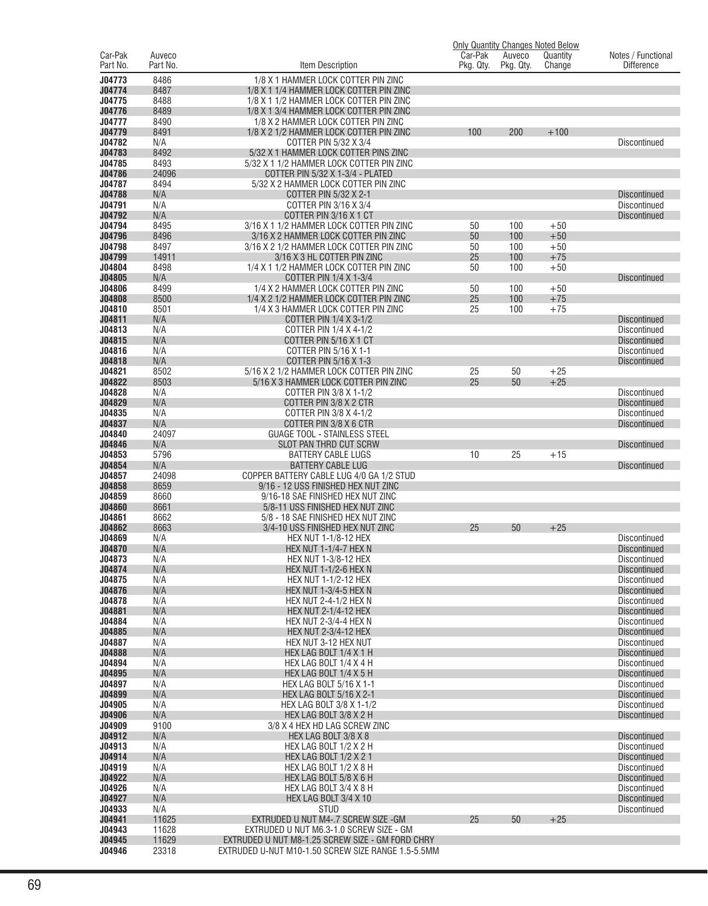|                     |                    |                                                                                             |                      |                     | Only Quantity Changes Noted Below |                                         |
|---------------------|--------------------|---------------------------------------------------------------------------------------------|----------------------|---------------------|-----------------------------------|-----------------------------------------|
| Car-Pak<br>Part No. | Auveco<br>Part No. | Item Description                                                                            | Car-Pak<br>Pkg. Qty. | Auveco<br>Pkg. Qty. | Quantity<br>Change                | Notes / Functional<br><b>Difference</b> |
| J04773              | 8486               | 1/8 X 1 HAMMER LOCK COTTER PIN ZINC                                                         |                      |                     |                                   |                                         |
| J04774              | 8487               | 1/8 X 1 1/4 HAMMER LOCK COTTER PIN ZINC                                                     |                      |                     |                                   |                                         |
| J04775              | 8488               | 1/8 X 1 1/2 HAMMER LOCK COTTER PIN ZINC                                                     |                      |                     |                                   |                                         |
| J04776              | 8489               | 1/8 X 1 3/4 HAMMER LOCK COTTER PIN ZINC                                                     |                      |                     |                                   |                                         |
| J04777              | 8490               | 1/8 X 2 HAMMER LOCK COTTER PIN ZINC                                                         |                      |                     |                                   |                                         |
| J04779              | 8491               | 1/8 X 2 1/2 HAMMER LOCK COTTER PIN ZINC                                                     | 100                  | 200                 | $+100$                            |                                         |
| J04782<br>J04783    | N/A<br>8492        | COTTER PIN 5/32 X 3/4<br>5/32 X 1 HAMMER LOCK COTTER PINS ZINC                              |                      |                     |                                   | <b>Discontinued</b>                     |
| J04785              | 8493               | 5/32 X 1 1/2 HAMMER LOCK COTTER PIN ZINC                                                    |                      |                     |                                   |                                         |
| J04786              | 24096              | COTTER PIN 5/32 X 1-3/4 - PLATED                                                            |                      |                     |                                   |                                         |
| J04787              | 8494               | 5/32 X 2 HAMMER LOCK COTTER PIN ZINC                                                        |                      |                     |                                   |                                         |
| J04788              | N/A                | <b>COTTER PIN 5/32 X 2-1</b>                                                                |                      |                     |                                   | <b>Discontinued</b>                     |
| J04791              | N/A                | COTTER PIN 3/16 X 3/4                                                                       |                      |                     |                                   | Discontinued                            |
| J04792              | N/A                | COTTER PIN 3/16 X 1 CT                                                                      |                      |                     |                                   | <b>Discontinued</b>                     |
| J04794<br>J04796    | 8495<br>8496       | 3/16 X 1 1/2 HAMMER LOCK COTTER PIN ZINC                                                    | 50<br>50             | 100<br>100          | $+50$<br>$+50$                    |                                         |
| J04798              | 8497               | 3/16 X 2 HAMMER LOCK COTTER PIN ZINC<br>3/16 X 2 1/2 HAMMER LOCK COTTER PIN ZINC            | 50                   | 100                 | $+50$                             |                                         |
| J04799              | 14911              | 3/16 X 3 HL COTTER PIN ZINC                                                                 | 25                   | 100                 | $+75$                             |                                         |
| J04804              | 8498               | 1/4 X 1 1/2 HAMMER LOCK COTTER PIN ZINC                                                     | 50                   | 100                 | $+50$                             |                                         |
| J04805              | N/A                | COTTER PIN 1/4 X 1-3/4                                                                      |                      |                     |                                   | <b>Discontinued</b>                     |
| J04806              | 8499               | 1/4 X 2 HAMMER LOCK COTTER PIN ZINC                                                         | 50                   | 100                 | $+50$                             |                                         |
| J04808              | 8500               | 1/4 X 2 1/2 HAMMER LOCK COTTER PIN ZINC                                                     | 25                   | 100                 | $+75$                             |                                         |
| J04810              | 8501               | 1/4 X 3 HAMMER LOCK COTTER PIN ZINC                                                         | 25                   | 100                 | $+75$                             |                                         |
| J04811<br>J04813    | N/A<br>N/A         | COTTER PIN 1/4 X 3-1/2<br>COTTER PIN 1/4 X 4-1/2                                            |                      |                     |                                   | <b>Discontinued</b><br>Discontinued     |
| J04815              | N/A                | COTTER PIN 5/16 X 1 CT                                                                      |                      |                     |                                   | <b>Discontinued</b>                     |
| J04816              | N/A                | COTTER PIN 5/16 X 1-1                                                                       |                      |                     |                                   | Discontinued                            |
| J04818              | N/A                | <b>COTTER PIN 5/16 X 1-3</b>                                                                |                      |                     |                                   | <b>Discontinued</b>                     |
| J04821              | 8502               | 5/16 X 2 1/2 HAMMER LOCK COTTER PIN ZINC                                                    | 25                   | 50                  | $+25$                             |                                         |
| J04822              | 8503               | 5/16 X 3 HAMMER LOCK COTTER PIN ZINC                                                        | 25                   | 50                  | $+25$                             |                                         |
| J04828              | N/A                | COTTER PIN 3/8 X 1-1/2                                                                      |                      |                     |                                   | <b>Discontinued</b>                     |
| J04829              | N/A                | COTTER PIN 3/8 X 2 CTR                                                                      |                      |                     |                                   | <b>Discontinued</b>                     |
| J04835<br>J04837    | N/A<br>N/A         | COTTER PIN 3/8 X 4-1/2<br>COTTER PIN 3/8 X 6 CTR                                            |                      |                     |                                   | Discontinued<br><b>Discontinued</b>     |
| J04840              | 24097              | <b>GUAGE TOOL - STAINLESS STEEL</b>                                                         |                      |                     |                                   |                                         |
| J04846              | N/A                | SLOT PAN THRD CUT SCRW                                                                      |                      |                     |                                   | <b>Discontinued</b>                     |
| J04853              | 5796               | <b>BATTERY CABLE LUGS</b>                                                                   | 10                   | 25                  | $+15$                             |                                         |
| J04854              | N/A                | <b>BATTERY CABLE LUG</b>                                                                    |                      |                     |                                   | <b>Discontinued</b>                     |
| J04857              | 24098              | COPPER BATTERY CABLE LUG 4/0 GA 1/2 STUD                                                    |                      |                     |                                   |                                         |
| J04858              | 8659               | 9/16 - 12 USS FINISHED HEX NUT ZINC                                                         |                      |                     |                                   |                                         |
| J04859<br>J04860    | 8660<br>8661       | 9/16-18 SAE FINISHED HEX NUT ZINC<br>5/8-11 USS FINISHED HEX NUT ZINC                       |                      |                     |                                   |                                         |
| J04861              | 8662               | 5/8 - 18 SAE FINISHED HEX NUT ZINC                                                          |                      |                     |                                   |                                         |
| J04862              | 8663               | 3/4-10 USS FINISHED HEX NUT ZINC                                                            | 25                   | 50                  | $+25$                             |                                         |
| J04869              | N/A                | <b>HEX NUT 1-1/8-12 HEX</b>                                                                 |                      |                     |                                   | <b>Discontinued</b>                     |
| J04870              | N/A                | <b>HEX NUT 1-1/4-7 HEX N</b>                                                                |                      |                     |                                   | <b>Discontinued</b>                     |
| J04873              | N/A                | <b>HEX NUT 1-3/8-12 HEX</b>                                                                 |                      |                     |                                   | <b>Discontinued</b>                     |
| J04874              | N/A                | <b>HEX NUT 1-1/2-6 HEX N</b>                                                                |                      |                     |                                   | Discontinued                            |
| J04875<br>J04876    | N/A                | <b>HEX NUT 1-1/2-12 HEX</b><br><b>HEX NUT 1-3/4-5 HEX N</b>                                 |                      |                     |                                   | Discontinued<br><b>Discontinued</b>     |
| J04878              | N/A<br>N/A         | HEX NUT 2-4-1/2 HEX N                                                                       |                      |                     |                                   | Discontinued                            |
| J04881              | N/A                | <b>HEX NUT 2-1/4-12 HEX</b>                                                                 |                      |                     |                                   | <b>Discontinued</b>                     |
| J04884              | N/A                | <b>HEX NUT 2-3/4-4 HEX N</b>                                                                |                      |                     |                                   | Discontinued                            |
| J04885              | N/A                | <b>HEX NUT 2-3/4-12 HEX</b>                                                                 |                      |                     |                                   | <b>Discontinued</b>                     |
| J04887              | N/A                | HEX NUT 3-12 HEX NUT                                                                        |                      |                     |                                   | <b>Discontinued</b>                     |
| J04888              | N/A                | HEX LAG BOLT 1/4 X 1 H                                                                      |                      |                     |                                   | <b>Discontinued</b>                     |
| J04894<br>J04895    | N/A<br>N/A         | HEX LAG BOLT 1/4 X 4 H<br>HEX LAG BOLT 1/4 X 5 H                                            |                      |                     |                                   | Discontinued<br><b>Discontinued</b>     |
| J04897              | N/A                | HEX LAG BOLT 5/16 X 1-1                                                                     |                      |                     |                                   | Discontinued                            |
| J04899              | N/A                | <b>HEX LAG BOLT 5/16 X 2-1</b>                                                              |                      |                     |                                   | <b>Discontinued</b>                     |
| J04905              | N/A                | HEX LAG BOLT 3/8 X 1-1/2                                                                    |                      |                     |                                   | Discontinued                            |
| J04906              | N/A                | HEX LAG BOLT 3/8 X 2 H                                                                      |                      |                     |                                   | <b>Discontinued</b>                     |
| J04909              | 9100               | 3/8 X 4 HEX HD LAG SCREW ZINC                                                               |                      |                     |                                   |                                         |
| J04912              | N/A                | HEX LAG BOLT 3/8 X 8                                                                        |                      |                     |                                   | <b>Discontinued</b>                     |
| J04913<br>J04914    | N/A<br>N/A         | HEX LAG BOLT 1/2 X 2 H<br><b>HEX LAG BOLT 1/2 X 2 1</b>                                     |                      |                     |                                   | Discontinued<br><b>Discontinued</b>     |
| J04919              | N/A                | HEX LAG BOLT 1/2 X 8 H                                                                      |                      |                     |                                   | Discontinued                            |
| J04922              | N/A                | HEX LAG BOLT 5/8 X 6 H                                                                      |                      |                     |                                   | <b>Discontinued</b>                     |
| J04926              | N/A                | HEX LAG BOLT 3/4 X 8 H                                                                      |                      |                     |                                   | Discontinued                            |
| J04927              | N/A                | HEX LAG BOLT 3/4 X 10                                                                       |                      |                     |                                   | <b>Discontinued</b>                     |
| J04933              | N/A                | <b>STUD</b>                                                                                 |                      |                     |                                   | Discontinued                            |
| J04941              | 11625              | EXTRUDED U NUT M4-.7 SCREW SIZE - GM                                                        | 25                   | 50                  | $+25$                             |                                         |
| J04943<br>J04945    | 11628<br>11629     | EXTRUDED U NUT M6.3-1.0 SCREW SIZE - GM<br>EXTRUDED U NUT M8-1.25 SCREW SIZE - GM FORD CHRY |                      |                     |                                   |                                         |
| J04946              | 23318              | EXTRUDED U-NUT M10-1.50 SCREW SIZE RANGE 1.5-5.5MM                                          |                      |                     |                                   |                                         |
|                     |                    |                                                                                             |                      |                     |                                   |                                         |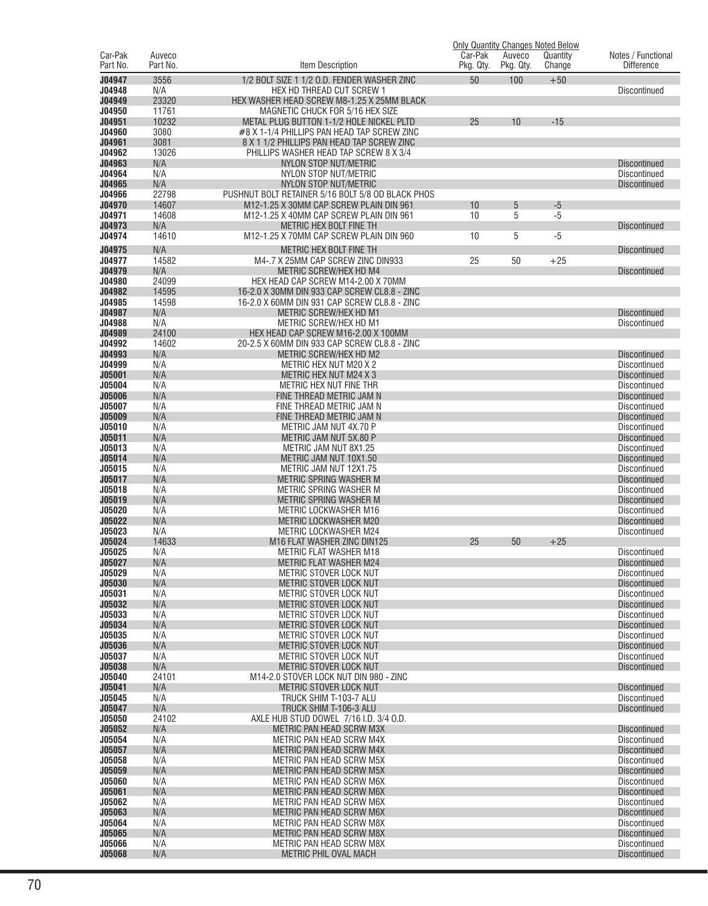|                  |            |                                                      |           |           | <b>Only Quantity Changes Noted Below</b> |                                     |
|------------------|------------|------------------------------------------------------|-----------|-----------|------------------------------------------|-------------------------------------|
| Car-Pak          | Auveco     |                                                      | Car-Pak   | Auveco    | Quantity                                 | Notes / Functional                  |
| Part No.         | Part No.   | Item Description                                     | Pkg. Qty. | Pkg. Qty. | Change                                   | <b>Difference</b>                   |
| J04947           | 3556       | 1/2 BOLT SIZE 1 1/2 O.D. FENDER WASHER ZINC          | 50        | 100       | $+50$                                    |                                     |
| J04948           | N/A        | HEX HD THREAD CUT SCREW 1                            |           |           |                                          | <b>Discontinued</b>                 |
| J04949           | 23320      | HEX WASHER HEAD SCREW M8-1.25 X 25MM BLACK           |           |           |                                          |                                     |
| J04950           | 11761      | MAGNETIC CHUCK FOR 5/16 HEX SIZE                     |           |           |                                          |                                     |
| J04951           | 10232      | METAL PLUG BUTTON 1-1/2 HOLE NICKEL PLTD             | 25        | 10        | $-15$                                    |                                     |
| J04960           | 3080       | #8 X 1-1/4 PHILLIPS PAN HEAD TAP SCREW ZINC          |           |           |                                          |                                     |
| J04961           | 3081       | 8 X 1 1/2 PHILLIPS PAN HEAD TAP SCREW ZINC           |           |           |                                          |                                     |
| J04962           | 13026      | PHILLIPS WASHER HEAD TAP SCREW 8 X 3/4               |           |           |                                          |                                     |
| J04963<br>J04964 | N/A<br>N/A | NYLON STOP NUT/METRIC<br>NYLON STOP NUT/METRIC       |           |           |                                          | <b>Discontinued</b><br>Discontinued |
| J04965           | N/A        | NYLON STOP NUT/METRIC                                |           |           |                                          | <b>Discontinued</b>                 |
| J04966           | 22798      | PUSHNUT BOLT RETAINER 5/16 BOLT 5/8 OD BLACK PHOS    |           |           |                                          |                                     |
| J04970           | 14607      | M12-1.25 X 30MM CAP SCREW PLAIN DIN 961              | 10        | 5         | $-5$                                     |                                     |
| J04971           | 14608      | M12-1.25 X 40MM CAP SCREW PLAIN DIN 961              | 10        | 5         | $-5$                                     |                                     |
| J04973           | N/A        | METRIC HEX BOLT FINE TH                              |           |           |                                          | <b>Discontinued</b>                 |
| J04974           | 14610      | M12-1.25 X 70MM CAP SCREW PLAIN DIN 960              | 10        | 5         | $-5$                                     |                                     |
| J04975           | N/A        | METRIC HEX BOLT FINE TH                              |           |           |                                          | <b>Discontinued</b>                 |
| J04977           | 14582      | M4-.7 X 25MM CAP SCREW ZINC DIN933                   | 25        | 50        | $+25$                                    |                                     |
| J04979           | N/A        | METRIC SCREW/HEX HD M4                               |           |           |                                          | <b>Discontinued</b>                 |
| J04980           | 24099      | HEX HEAD CAP SCREW M14-2.00 X 70MM                   |           |           |                                          |                                     |
| J04982           | 14595      | 16-2.0 X 30MM DIN 933 CAP SCREW CL8.8 - ZINC         |           |           |                                          |                                     |
| J04985           | 14598      | 16-2.0 X 60MM DIN 931 CAP SCREW CL8.8 - ZINC         |           |           |                                          |                                     |
| J04987           | N/A        | METRIC SCREW/HEX HD M1                               |           |           |                                          | <b>Discontinued</b>                 |
| J04988           | N/A        | METRIC SCREW/HEX HD M1                               |           |           |                                          | <b>Discontinued</b>                 |
| J04989           | 24100      | HEX HEAD CAP SCREW M16-2.00 X 100MM                  |           |           |                                          |                                     |
| J04992           | 14602      | 20-2.5 X 60MM DIN 933 CAP SCREW CL8.8 - ZINC         |           |           |                                          |                                     |
| J04993           | N/A        | METRIC SCREW/HEX HD M2                               |           |           |                                          | <b>Discontinued</b>                 |
| J04999           | N/A        | METRIC HEX NUT M20 X 2                               |           |           |                                          | Discontinued                        |
| J05001           | N/A        | <b>METRIC HEX NUT M24 X 3</b>                        |           |           |                                          | <b>Discontinued</b>                 |
| J05004           | N/A        | METRIC HEX NUT FINE THR                              |           |           |                                          | Discontinued                        |
| <b>J05006</b>    | N/A        | FINE THREAD METRIC JAM N                             |           |           |                                          | <b>Discontinued</b>                 |
| J05007           | N/A        | FINE THREAD METRIC JAM N                             |           |           |                                          | Discontinued                        |
| <b>J05009</b>    | N/A        | FINE THREAD METRIC JAM N                             |           |           |                                          | <b>Discontinued</b>                 |
| J05010           | N/A        | METRIC JAM NUT 4X.70 P                               |           |           |                                          | Discontinued                        |
| J05011           | N/A        | METRIC JAM NUT 5X.80 P                               |           |           |                                          | <b>Discontinued</b>                 |
| J05013<br>J05014 | N/A<br>N/A | METRIC JAM NUT 8X1.25                                |           |           |                                          | Discontinued                        |
| J05015           | N/A        | METRIC JAM NUT 10X1.50<br>METRIC JAM NUT 12X1.75     |           |           |                                          | <b>Discontinued</b><br>Discontinued |
| J05017           | N/A        | <b>METRIC SPRING WASHER M</b>                        |           |           |                                          | <b>Discontinued</b>                 |
| J05018           | N/A        | METRIC SPRING WASHER M                               |           |           |                                          | Discontinued                        |
| J05019           | N/A        | <b>METRIC SPRING WASHER M</b>                        |           |           |                                          | <b>Discontinued</b>                 |
| J05020           | N/A        | <b>METRIC LOCKWASHER M16</b>                         |           |           |                                          | Discontinued                        |
| J05022           | N/A        | METRIC LOCKWASHER M20                                |           |           |                                          | <b>Discontinued</b>                 |
| J05023           | N/A        | METRIC LOCKWASHER M24                                |           |           |                                          | <b>Discontinued</b>                 |
| J05024           | 14633      | M16 FLAT WASHER ZINC DIN125                          | 25        | 50        | $+25$                                    |                                     |
| J05025           | N/A        | <b>METRIC FLAT WASHER M18</b>                        |           |           |                                          | Discontinued                        |
| J05027           | N/A        | METRIC FLAT WASHER M24                               |           |           |                                          | Discontinued                        |
| J05029           | N/A        | METRIC STOVER LOCK NUT                               |           |           |                                          | <b>Discontinued</b>                 |
| <b>J05030</b>    | N/A        | METRIC STOVER LOCK NUT                               |           |           |                                          | <b>Discontinued</b>                 |
| J05031           | N/A        | METRIC STOVER LOCK NUT                               |           |           |                                          | <b>Discontinued</b>                 |
| J05032           | N/A        | METRIC STOVER LOCK NUT                               |           |           |                                          | <b>Discontinued</b>                 |
| J05033<br>J05034 | N/A<br>N/A | METRIC STOVER LOCK NUT<br>METRIC STOVER LOCK NUT     |           |           |                                          | Discontinued<br><b>Discontinued</b> |
| J05035           | N/A        | METRIC STOVER LOCK NUT                               |           |           |                                          | <b>Discontinued</b>                 |
| J05036           | N/A        | METRIC STOVER LOCK NUT                               |           |           |                                          | <b>Discontinued</b>                 |
| J05037           | N/A        | METRIC STOVER LOCK NUT                               |           |           |                                          | Discontinued                        |
| J05038           | N/A        | METRIC STOVER LOCK NUT                               |           |           |                                          | <b>Discontinued</b>                 |
| J05040           | 24101      | M14-2.0 STOVER LOCK NUT DIN 980 - ZINC               |           |           |                                          |                                     |
| J05041           | N/A        | METRIC STOVER LOCK NUT                               |           |           |                                          | <b>Discontinued</b>                 |
| J05045           | N/A        | TRUCK SHIM T-103-7 ALU                               |           |           |                                          | Discontinued                        |
| J05047           | N/A        | TRUCK SHIM T-106-3 ALU                               |           |           |                                          | <b>Discontinued</b>                 |
| J05050           | 24102      | AXLE HUB STUD DOWEL 7/16 I.D. 3/4 O.D.               |           |           |                                          |                                     |
| J05052           | N/A        | METRIC PAN HEAD SCRW M3X                             |           |           |                                          | <b>Discontinued</b>                 |
| J05054           | N/A        | METRIC PAN HEAD SCRW M4X                             |           |           |                                          | Discontinued                        |
| J05057           | N/A        | METRIC PAN HEAD SCRW M4X                             |           |           |                                          | <b>Discontinued</b>                 |
| J05058           | N/A        | METRIC PAN HEAD SCRW M5X                             |           |           |                                          | Discontinued                        |
| J05059<br>J05060 | N/A        | METRIC PAN HEAD SCRW M5X<br>METRIC PAN HEAD SCRW M6X |           |           |                                          | <b>Discontinued</b><br>Discontinued |
| J05061           | N/A<br>N/A | METRIC PAN HEAD SCRW M6X                             |           |           |                                          | <b>Discontinued</b>                 |
| J05062           | N/A        | METRIC PAN HEAD SCRW M6X                             |           |           |                                          | Discontinued                        |
| J05063           | N/A        | METRIC PAN HEAD SCRW M6X                             |           |           |                                          | <b>Discontinued</b>                 |
| J05064           | N/A        | METRIC PAN HEAD SCRW M8X                             |           |           |                                          | Discontinued                        |
| J05065           | N/A        | METRIC PAN HEAD SCRW M8X                             |           |           |                                          | <b>Discontinued</b>                 |
| J05066           | N/A        | METRIC PAN HEAD SCRW M8X                             |           |           |                                          | Discontinued                        |
| J05068           | N/A        | METRIC PHIL OVAL MACH                                |           |           |                                          | <b>Discontinued</b>                 |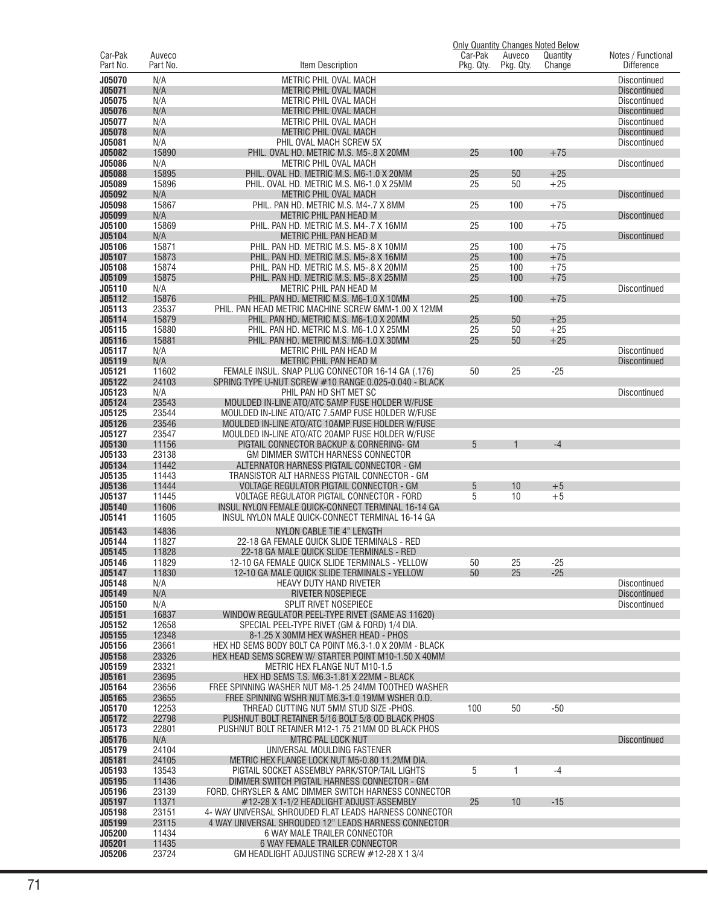|                     |                    |                                                                                                      |                      |                     | <b>Only Quantity Changes Noted Below</b> |                                            |
|---------------------|--------------------|------------------------------------------------------------------------------------------------------|----------------------|---------------------|------------------------------------------|--------------------------------------------|
| Car-Pak<br>Part No. | Auveco<br>Part No. | Item Description                                                                                     | Car-Pak<br>Pkg. Qty. | Auveco<br>Pkg. Qty. | Quantity<br>Change                       | Notes / Functional<br><b>Difference</b>    |
| J05070              | N/A                | METRIC PHIL OVAL MACH                                                                                |                      |                     |                                          | <b>Discontinued</b>                        |
| J05071              | N/A                | METRIC PHIL OVAL MACH                                                                                |                      |                     |                                          | <b>Discontinued</b>                        |
| J05075              | N/A                | METRIC PHIL OVAL MACH                                                                                |                      |                     |                                          | Discontinued                               |
| J05076<br>J05077    | N/A<br>N/A         | <b>METRIC PHIL OVAL MACH</b><br>METRIC PHIL OVAL MACH                                                |                      |                     |                                          | <b>Discontinued</b><br><b>Discontinued</b> |
| J05078              | N/A                | METRIC PHIL OVAL MACH                                                                                |                      |                     |                                          | <b>Discontinued</b>                        |
| J05081              | N/A                | PHIL OVAL MACH SCREW 5X                                                                              |                      |                     |                                          | <b>Discontinued</b>                        |
| J05082              | 15890              | PHIL. OVAL HD. METRIC M.S. M5-.8 X 20MM                                                              | 25                   | 100                 | $+75$                                    |                                            |
| J05086              | N/A                | METRIC PHIL OVAL MACH                                                                                |                      |                     |                                          | Discontinued                               |
| J05088              | 15895              | PHIL. OVAL HD. METRIC M.S. M6-1.0 X 20MM                                                             | 25                   | 50                  | $+25$                                    |                                            |
| J05089<br>J05092    | 15896<br>N/A       | PHIL, OVAL HD, METRIC M.S. M6-1.0 X 25MM<br>METRIC PHIL OVAL MACH                                    | 25                   | 50                  | $+25$                                    | <b>Discontinued</b>                        |
| J05098              | 15867              | PHIL. PAN HD. METRIC M.S. M4-.7 X 8MM                                                                | 25                   | 100                 | $+75$                                    |                                            |
| J05099              | N/A                | METRIC PHIL PAN HEAD M                                                                               |                      |                     |                                          | <b>Discontinued</b>                        |
| J05100              | 15869              | PHIL. PAN HD. METRIC M.S. M4-.7 X 16MM                                                               | 25                   | 100                 | $+75$                                    |                                            |
| J05104              | N/A                | METRIC PHIL PAN HEAD M                                                                               |                      |                     |                                          | <b>Discontinued</b>                        |
| J05106              | 15871              | PHIL. PAN HD. METRIC M.S. M5-.8 X 10MM                                                               | 25                   | 100                 | $+75$                                    |                                            |
| J05107<br>J05108    | 15873<br>15874     | PHIL. PAN HD. METRIC M.S. M5-.8 X 16MM<br>PHIL. PAN HD. METRIC M.S. M5-.8 X 20MM                     | 25<br>25             | 100<br>100          | $+75$<br>$+75$                           |                                            |
| J05109              | 15875              | PHIL. PAN HD. METRIC M.S. M5-.8 X 25MM                                                               | 25                   | 100                 | $+75$                                    |                                            |
| J05110              | N/A                | METRIC PHIL PAN HEAD M                                                                               |                      |                     |                                          | Discontinued                               |
| J05112              | 15876              | PHIL. PAN HD. METRIC M.S. M6-1.0 X 10MM                                                              | 25                   | 100                 | $+75$                                    |                                            |
| J05113              | 23537              | PHIL. PAN HEAD METRIC MACHINE SCREW 6MM-1.00 X 12MM                                                  |                      |                     |                                          |                                            |
| J05114              | 15879              | PHIL. PAN HD. METRIC M.S. M6-1.0 X 20MM                                                              | 25                   | 50                  | $+25$                                    |                                            |
| J05115<br>J05116    | 15880<br>15881     | PHIL. PAN HD. METRIC M.S. M6-1.0 X 25MM<br>PHIL. PAN HD. METRIC M.S. M6-1.0 X 30MM                   | 25<br>25             | 50<br>50            | $+25$<br>$+25$                           |                                            |
| J05117              | N/A                | METRIC PHIL PAN HEAD M                                                                               |                      |                     |                                          | Discontinued                               |
| J05119              | N/A                | <b>METRIC PHIL PAN HEAD M</b>                                                                        |                      |                     |                                          | <b>Discontinued</b>                        |
| J05121              | 11602              | FEMALE INSUL. SNAP PLUG CONNECTOR 16-14 GA (.176)                                                    | 50                   | 25                  | $-25$                                    |                                            |
| J05122              | 24103              | SPRING TYPE U-NUT SCREW #10 RANGE 0.025-0.040 - BLACK                                                |                      |                     |                                          |                                            |
| J05123              | N/A<br>23543       | PHIL PAN HD SHT MET SC                                                                               |                      |                     |                                          | Discontinued                               |
| J05124<br>J05125    | 23544              | MOULDED IN-LINE ATO/ATC 5AMP FUSE HOLDER W/FUSE<br>MOULDED IN-LINE ATO/ATC 7.5AMP FUSE HOLDER W/FUSE |                      |                     |                                          |                                            |
| J05126              | 23546              | MOULDED IN-LINE ATO/ATC 10AMP FUSE HOLDER W/FUSE                                                     |                      |                     |                                          |                                            |
| J05127              | 23547              | MOULDED IN-LINE ATO/ATC 20AMP FUSE HOLDER W/FUSE                                                     |                      |                     |                                          |                                            |
| J05130              | 11156              | PIGTAIL CONNECTOR BACKUP & CORNERING- GM                                                             | 5                    |                     | $-4$                                     |                                            |
| J05133              | 23138              | GM DIMMER SWITCH HARNESS CONNECTOR                                                                   |                      |                     |                                          |                                            |
| J05134              | 11442              | ALTERNATOR HARNESS PIGTAIL CONNECTOR - GM                                                            |                      |                     |                                          |                                            |
| J05135<br>J05136    | 11443<br>11444     | TRANSISTOR ALT HARNESS PIGTAIL CONNECTOR - GM<br>VOLTAGE REGULATOR PIGTAIL CONNECTOR - GM            | 5                    | 10                  | $+5$                                     |                                            |
| J05137              | 11445              | VOLTAGE REGULATOR PIGTAIL CONNECTOR - FORD                                                           | 5                    | 10                  | $+5$                                     |                                            |
| J05140              | 11606              | INSUL NYLON FEMALE QUICK-CONNECT TERMINAL 16-14 GA                                                   |                      |                     |                                          |                                            |
| J05141              | 11605              | INSUL NYLON MALE QUICK-CONNECT TERMINAL 16-14 GA                                                     |                      |                     |                                          |                                            |
| J05143              | 14836              | <b>NYLON CABLE TIE 4" LENGTH</b>                                                                     |                      |                     |                                          |                                            |
| J05144              | 11827              | 22-18 GA FEMALE QUICK SLIDE TERMINALS - RED                                                          |                      |                     |                                          |                                            |
| J05145              | 11828              | 22-18 GA MALE QUICK SLIDE TERMINALS - RED<br>12-10 GA FEMALE QUICK SLIDE TERMINALS - YELLOW          |                      |                     |                                          |                                            |
| J05146<br>J05147    | 11829<br>11830     | 12-10 GA MALE QUICK SLIDE TERMINALS - YELLOW                                                         | 50<br>50             | 25<br>25            | $-25$<br>$-25$                           |                                            |
| J05148              | N/A                | HEAVY DUTY HAND RIVETER                                                                              |                      |                     |                                          | Discontinued                               |
| J05149              | N/A                | <b>RIVETER NOSEPIECE</b>                                                                             |                      |                     |                                          | <b>Discontinued</b>                        |
| J05150              | N/A                | <b>SPLIT RIVET NOSEPIECE</b>                                                                         |                      |                     |                                          | <b>Discontinued</b>                        |
| J05151              | 16837              | WINDOW REGULATOR PEEL-TYPE RIVET (SAME AS 11620)                                                     |                      |                     |                                          |                                            |
| J05152<br>J05155    | 12658<br>12348     | SPECIAL PEEL-TYPE RIVET (GM & FORD) 1/4 DIA.<br>8-1.25 X 30MM HEX WASHER HEAD - PHOS                 |                      |                     |                                          |                                            |
| J05156              | 23661              | HEX HD SEMS BODY BOLT CA POINT M6.3-1.0 X 20MM - BLACK                                               |                      |                     |                                          |                                            |
| J05158              | 23326              | HEX HEAD SEMS SCREW W/ STARTER POINT M10-1.50 X 40MM                                                 |                      |                     |                                          |                                            |
| J05159              | 23321              | <b>METRIC HEX FLANGE NUT M10-1.5</b>                                                                 |                      |                     |                                          |                                            |
| J05161              | 23695              | HEX HD SEMS T.S. M6.3-1.81 X 22MM - BLACK                                                            |                      |                     |                                          |                                            |
| J05164              | 23656              | FREE SPINNING WASHER NUT M8-1.25 24MM TOOTHED WASHER                                                 |                      |                     |                                          |                                            |
| J05165<br>J05170    | 23655<br>12253     | FREE SPINNING WSHR NUT M6.3-1.0 19MM WSHER O.D.<br>THREAD CUTTING NUT 5MM STUD SIZE -PHOS.           | 100                  | 50                  | $-50$                                    |                                            |
| J05172              | 22798              | PUSHNUT BOLT RETAINER 5/16 BOLT 5/8 OD BLACK PHOS                                                    |                      |                     |                                          |                                            |
| J05173              | 22801              | PUSHNUT BOLT RETAINER M12-1.75 21MM OD BLACK PHOS                                                    |                      |                     |                                          |                                            |
| J05176              | N/A                | MTRC PAL LOCK NUT                                                                                    |                      |                     |                                          | <b>Discontinued</b>                        |
| J05179              | 24104              | UNIVERSAL MOULDING FASTENER                                                                          |                      |                     |                                          |                                            |
| J05181              | 24105              | METRIC HEX FLANGE LOCK NUT M5-0.80 11.2MM DIA.                                                       |                      |                     |                                          |                                            |
| J05193<br>J05195    | 13543<br>11436     | PIGTAIL SOCKET ASSEMBLY PARK/STOP/TAIL LIGHTS<br>DIMMER SWITCH PIGTAIL HARNESS CONNECTOR - GM        | 5                    | 1                   | $-4$                                     |                                            |
| J05196              | 23139              | FORD, CHRYSLER & AMC DIMMER SWITCH HARNESS CONNECTOR                                                 |                      |                     |                                          |                                            |
| J05197              | 11371              | #12-28 X 1-1/2 HEADLIGHT ADJUST ASSEMBLY                                                             | 25                   | 10                  | $-15$                                    |                                            |
| J05198              | 23151              | 4- WAY UNIVERSAL SHROUDED FLAT LEADS HARNESS CONNECTOR                                               |                      |                     |                                          |                                            |
| J05199              | 23115              | 4 WAY UNIVERSAL SHROUDED 12" LEADS HARNESS CONNECTOR                                                 |                      |                     |                                          |                                            |
| J05200<br>J05201    | 11434<br>11435     | 6 WAY MALE TRAILER CONNECTOR<br>6 WAY FEMALE TRAILER CONNECTOR                                       |                      |                     |                                          |                                            |
| J05206              | 23724              | GM HEADLIGHT ADJUSTING SCREW $#12-28$ X 1 3/4                                                        |                      |                     |                                          |                                            |
|                     |                    |                                                                                                      |                      |                     |                                          |                                            |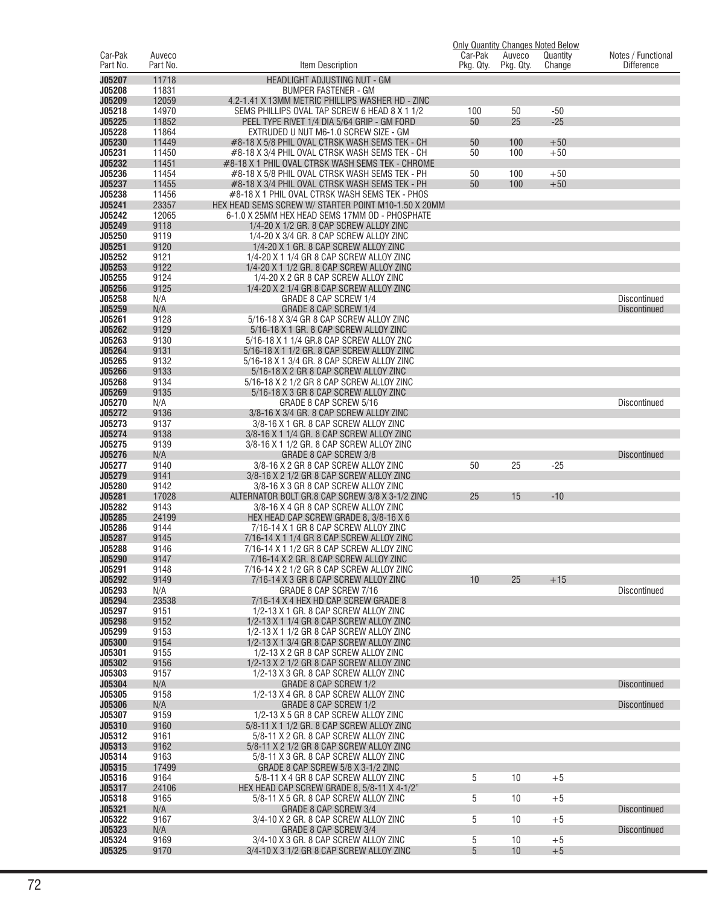|                     |                    |                                                                                                    |                      |                     | <b>Only Quantity Changes Noted Below</b> |                                         |
|---------------------|--------------------|----------------------------------------------------------------------------------------------------|----------------------|---------------------|------------------------------------------|-----------------------------------------|
| Car-Pak<br>Part No. | Auveco<br>Part No. | Item Description                                                                                   | Car-Pak<br>Pkg. Qty. | Auveco<br>Pkg. Qty. | Quantity<br>Change                       | Notes / Functional<br><b>Difference</b> |
|                     |                    |                                                                                                    |                      |                     |                                          |                                         |
| J05207<br>J05208    | 11718<br>11831     | HEADLIGHT ADJUSTING NUT - GM<br><b>BUMPER FASTENER - GM</b>                                        |                      |                     |                                          |                                         |
| J05209              | 12059              | 4.2-1.41 X 13MM METRIC PHILLIPS WASHER HD - ZINC                                                   |                      |                     |                                          |                                         |
| J05218              | 14970              | SEMS PHILLIPS OVAL TAP SCREW 6 HEAD 8 X 1 1/2                                                      | 100                  | 50                  | $-50$                                    |                                         |
| J05225              | 11852              | PEEL TYPE RIVET 1/4 DIA 5/64 GRIP - GM FORD                                                        | 50                   | 25                  | $-25$                                    |                                         |
| J05228              | 11864              | EXTRUDED U NUT M6-1.0 SCREW SIZE - GM                                                              |                      |                     |                                          |                                         |
| J05230              | 11449              | #8-18 X 5/8 PHIL OVAL CTRSK WASH SEMS TEK - CH                                                     | 50                   | 100                 | $+50$                                    |                                         |
| J05231<br>J05232    | 11450<br>11451     | #8-18 X 3/4 PHIL OVAL CTRSK WASH SEMS TEK - CH<br>#8-18 X 1 PHIL OVAL CTRSK WASH SEMS TEK - CHROME | 50                   | 100                 | $+50$                                    |                                         |
| J05236              | 11454              | #8-18 X 5/8 PHIL OVAL CTRSK WASH SEMS TEK - PH                                                     | 50                   | 100                 | $+50$                                    |                                         |
| J05237              | 11455              | #8-18 X 3/4 PHIL OVAL CTRSK WASH SEMS TEK - PH                                                     | 50                   | 100                 | $+50$                                    |                                         |
| J05238              | 11456              | #8-18 X 1 PHIL OVAL CTRSK WASH SEMS TEK - PHOS                                                     |                      |                     |                                          |                                         |
| J05241              | 23357              | HEX HEAD SEMS SCREW W/ STARTER POINT M10-1.50 X 20MM                                               |                      |                     |                                          |                                         |
| J05242              | 12065              | 6-1.0 X 25MM HEX HEAD SEMS 17MM OD - PHOSPHATE                                                     |                      |                     |                                          |                                         |
| J05249              | 9118               | 1/4-20 X 1/2 GR. 8 CAP SCREW ALLOY ZINC                                                            |                      |                     |                                          |                                         |
| J05250<br>J05251    | 9119<br>9120       | 1/4-20 X 3/4 GR. 8 CAP SCREW ALLOY ZINC<br>1/4-20 X 1 GR. 8 CAP SCREW ALLOY ZINC                   |                      |                     |                                          |                                         |
| J05252              | 9121               | 1/4-20 X 1 1/4 GR 8 CAP SCREW ALLOY ZINC                                                           |                      |                     |                                          |                                         |
| J05253              | 9122               | 1/4-20 X 1 1/2 GR, 8 CAP SCREW ALLOY ZINC                                                          |                      |                     |                                          |                                         |
| J05255              | 9124               | 1/4-20 X 2 GR 8 CAP SCREW ALLOY ZINC                                                               |                      |                     |                                          |                                         |
| J05256              | 9125               | 1/4-20 X 2 1/4 GR 8 CAP SCREW ALLOY ZINC                                                           |                      |                     |                                          |                                         |
| J05258              | N/A                | GRADE 8 CAP SCREW 1/4                                                                              |                      |                     |                                          | <b>Discontinued</b>                     |
| J05259              | N/A                | <b>GRADE 8 CAP SCREW 1/4</b>                                                                       |                      |                     |                                          | <b>Discontinued</b>                     |
| J05261              | 9128               | 5/16-18 X 3/4 GR 8 CAP SCREW ALLOY ZINC                                                            |                      |                     |                                          |                                         |
| J05262<br>J05263    | 9129<br>9130       | 5/16-18 X 1 GR. 8 CAP SCREW ALLOY ZINC                                                             |                      |                     |                                          |                                         |
| J05264              | 9131               | 5/16-18 X 1 1/4 GR.8 CAP SCREW ALLOY ZNC<br>5/16-18 X 1 1/2 GR. 8 CAP SCREW ALLOY ZINC             |                      |                     |                                          |                                         |
| J05265              | 9132               | 5/16-18 X 1 3/4 GR. 8 CAP SCREW ALLOY ZINC                                                         |                      |                     |                                          |                                         |
| J05266              | 9133               | 5/16-18 X 2 GR 8 CAP SCREW ALLOY ZINC                                                              |                      |                     |                                          |                                         |
| J05268              | 9134               | 5/16-18 X 2 1/2 GR 8 CAP SCREW ALLOY ZINC                                                          |                      |                     |                                          |                                         |
| J05269              | 9135               | 5/16-18 X 3 GR 8 CAP SCREW ALLOY ZINC                                                              |                      |                     |                                          |                                         |
| J05270              | N/A                | GRADE 8 CAP SCREW 5/16                                                                             |                      |                     |                                          | <b>Discontinued</b>                     |
| J05272              | 9136               | 3/8-16 X 3/4 GR. 8 CAP SCREW ALLOY ZINC                                                            |                      |                     |                                          |                                         |
| J05273<br>J05274    | 9137<br>9138       | 3/8-16 X 1 GR. 8 CAP SCREW ALLOY ZINC                                                              |                      |                     |                                          |                                         |
| J05275              | 9139               | 3/8-16 X 1 1/4 GR. 8 CAP SCREW ALLOY ZINC<br>3/8-16 X 1 1/2 GR. 8 CAP SCREW ALLOY ZINC             |                      |                     |                                          |                                         |
| J05276              | N/A                | GRADE 8 CAP SCREW 3/8                                                                              |                      |                     |                                          | <b>Discontinued</b>                     |
| J05277              | 9140               | 3/8-16 X 2 GR 8 CAP SCREW ALLOY ZINC                                                               | 50                   | 25                  | $-25$                                    |                                         |
| J05279              | 9141               | 3/8-16 X 2 1/2 GR 8 CAP SCREW ALLOY ZINC                                                           |                      |                     |                                          |                                         |
| J05280              | 9142               | 3/8-16 X 3 GR 8 CAP SCREW ALLOY ZINC                                                               |                      |                     |                                          |                                         |
| J05281              | 17028              | ALTERNATOR BOLT GR.8 CAP SCREW 3/8 X 3-1/2 ZINC                                                    | 25                   | 15                  | $-10$                                    |                                         |
| J05282              | 9143               | 3/8-16 X 4 GR 8 CAP SCREW ALLOY ZINC                                                               |                      |                     |                                          |                                         |
| J05285<br>J05286    | 24199<br>9144      | HEX HEAD CAP SCREW GRADE 8, 3/8-16 X 6<br>7/16-14 X 1 GR 8 CAP SCREW ALLOY ZINC                    |                      |                     |                                          |                                         |
| J05287              | 9145               | 7/16-14 X 1 1/4 GR 8 CAP SCREW ALLOY ZINC                                                          |                      |                     |                                          |                                         |
| J05288              | 9146               | 7/16-14 X 1 1/2 GR 8 CAP SCREW ALLOY ZINC                                                          |                      |                     |                                          |                                         |
| J05290              | 9147               | 7/16-14 X 2 GR, 8 CAP SCREW ALLOY ZINC                                                             |                      |                     |                                          |                                         |
| J05291              | 9148               | 7/16-14 X 2 1/2 GR 8 CAP SCREW ALLOY ZINC                                                          |                      |                     |                                          |                                         |
| J05292              | 9149               | 7/16-14 X 3 GR 8 CAP SCREW ALLOY ZINC                                                              | 10                   | 25                  | $+15$                                    |                                         |
| J05293              | N/A                | GRADE 8 CAP SCREW 7/16                                                                             |                      |                     |                                          | Discontinued                            |
| J05294<br>J05297    | 23538<br>9151      | 7/16-14 X 4 HEX HD CAP SCREW GRADE 8<br>1/2-13 X 1 GR. 8 CAP SCREW ALLOY ZINC                      |                      |                     |                                          |                                         |
| J05298              | 9152               | 1/2-13 X 1 1/4 GR 8 CAP SCREW ALLOY ZINC                                                           |                      |                     |                                          |                                         |
| J05299              | 9153               | 1/2-13 X 1 1/2 GR 8 CAP SCREW ALLOY ZINC                                                           |                      |                     |                                          |                                         |
| J05300              | 9154               | 1/2-13 X 1 3/4 GR 8 CAP SCREW ALLOY ZINC                                                           |                      |                     |                                          |                                         |
| J05301              | 9155               | 1/2-13 X 2 GR 8 CAP SCREW ALLOY ZINC                                                               |                      |                     |                                          |                                         |
| J05302              | 9156               | 1/2-13 X 2 1/2 GR 8 CAP SCREW ALLOY ZINC                                                           |                      |                     |                                          |                                         |
| J05303              | 9157               | 1/2-13 X 3 GR. 8 CAP SCREW ALLOY ZINC                                                              |                      |                     |                                          |                                         |
| J05304              | N/A                | GRADE 8 CAP SCREW 1/2                                                                              |                      |                     |                                          | <b>Discontinued</b>                     |
| J05305<br>J05306    | 9158<br>N/A        | 1/2-13 X 4 GR. 8 CAP SCREW ALLOY ZINC<br><b>GRADE 8 CAP SCREW 1/2</b>                              |                      |                     |                                          | <b>Discontinued</b>                     |
| J05307              | 9159               | 1/2-13 X 5 GR 8 CAP SCREW ALLOY ZINC                                                               |                      |                     |                                          |                                         |
| J05310              | 9160               | 5/8-11 X 1 1/2 GR. 8 CAP SCREW ALLOY ZINC                                                          |                      |                     |                                          |                                         |
| J05312              | 9161               | 5/8-11 X 2 GR. 8 CAP SCREW ALLOY ZINC                                                              |                      |                     |                                          |                                         |
| J05313              | 9162               | 5/8-11 X 2 1/2 GR 8 CAP SCREW ALLOY ZINC                                                           |                      |                     |                                          |                                         |
| J05314              | 9163               | 5/8-11 X 3 GR. 8 CAP SCREW ALLOY ZINC                                                              |                      |                     |                                          |                                         |
| J05315              | 17499              | GRADE 8 CAP SCREW 5/8 X 3-1/2 ZINC                                                                 |                      |                     |                                          |                                         |
| J05316              | 9164               | 5/8-11 X 4 GR 8 CAP SCREW ALLOY ZINC                                                               | 5                    | 10                  | $+5$                                     |                                         |
| J05317<br>J05318    | 24106<br>9165      | HEX HEAD CAP SCREW GRADE 8, 5/8-11 X 4-1/2"                                                        | 5                    |                     |                                          |                                         |
| J05321              | N/A                | 5/8-11 X 5 GR. 8 CAP SCREW ALLOY ZINC<br>GRADE 8 CAP SCREW 3/4                                     |                      | 10                  | $+5$                                     | <b>Discontinued</b>                     |
| J05322              | 9167               | 3/4-10 X 2 GR. 8 CAP SCREW ALLOY ZINC                                                              | 5                    | 10                  | $+5$                                     |                                         |
| J05323              | N/A                | GRADE 8 CAP SCREW 3/4                                                                              |                      |                     |                                          | <b>Discontinued</b>                     |
| J05324              | 9169               | 3/4-10 X 3 GR. 8 CAP SCREW ALLOY ZINC                                                              | 5                    | 10                  | $+5$                                     |                                         |
| J05325              | 9170               | 3/4-10 X 3 1/2 GR 8 CAP SCREW ALLOY ZINC                                                           | $\overline{5}$       | 10                  | $+5$                                     |                                         |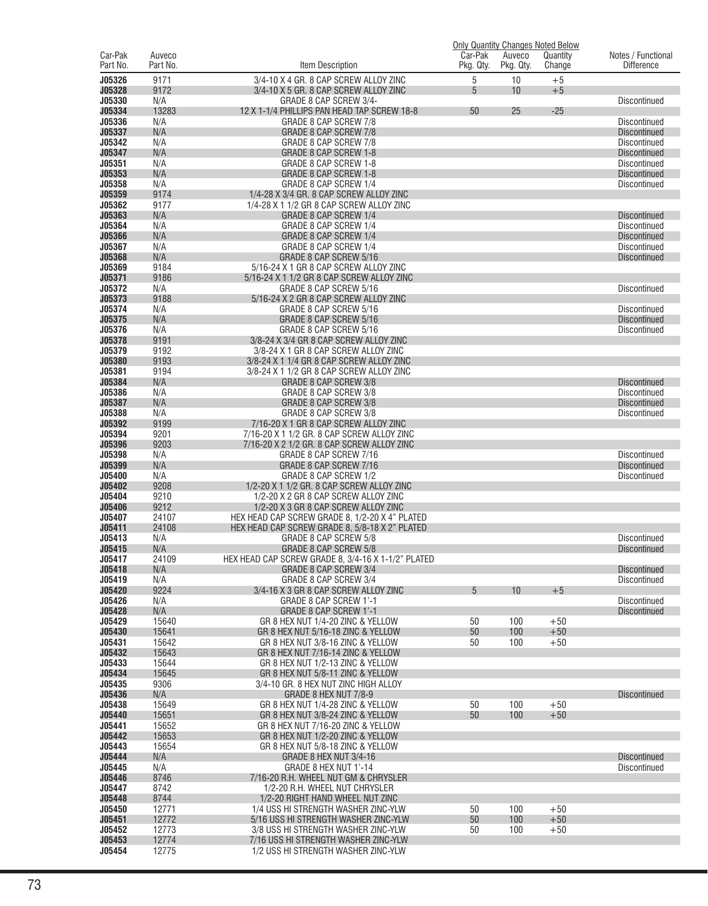|          |          |                                                    |           |           | <b>Only Quantity Changes Noted Below</b> |                     |
|----------|----------|----------------------------------------------------|-----------|-----------|------------------------------------------|---------------------|
| Car-Pak  | Auveco   |                                                    | Car-Pak   | Auveco    | Quantity                                 | Notes / Functional  |
| Part No. | Part No. | Item Description                                   | Pkg. Qty. | Pkg. Qty. | Change                                   | <b>Difference</b>   |
| J05326   | 9171     | 3/4-10 X 4 GR. 8 CAP SCREW ALLOY ZINC              | 5         | 10        | $+5$                                     |                     |
| J05328   | 9172     | 3/4-10 X 5 GR. 8 CAP SCREW ALLOY ZINC              | 5         | 10        | $+5$                                     |                     |
| J05330   | N/A      | GRADE 8 CAP SCREW 3/4-                             |           |           |                                          | Discontinued        |
| J05334   | 13283    | 12 X 1-1/4 PHILLIPS PAN HEAD TAP SCREW 18-8        | 50        | 25        | $-25$                                    |                     |
| J05336   | N/A      | GRADE 8 CAP SCREW 7/8                              |           |           |                                          | <b>Discontinued</b> |
| J05337   | N/A      | <b>GRADE 8 CAP SCREW 7/8</b>                       |           |           |                                          | <b>Discontinued</b> |
| J05342   | N/A      | GRADE 8 CAP SCREW 7/8                              |           |           |                                          | Discontinued        |
| J05347   | N/A      | GRADE 8 CAP SCREW 1-8                              |           |           |                                          | <b>Discontinued</b> |
| J05351   | N/A      | GRADE 8 CAP SCREW 1-8                              |           |           |                                          | Discontinued        |
| J05353   | N/A      | <b>GRADE 8 CAP SCREW 1-8</b>                       |           |           |                                          | <b>Discontinued</b> |
| J05358   | N/A      | GRADE 8 CAP SCREW 1/4                              |           |           |                                          | Discontinued        |
| J05359   | 9174     | 1/4-28 X 3/4 GR, 8 CAP SCREW ALLOY ZINC            |           |           |                                          |                     |
| J05362   | 9177     | 1/4-28 X 1 1/2 GR 8 CAP SCREW ALLOY ZINC           |           |           |                                          |                     |
| J05363   | N/A      | GRADE 8 CAP SCREW 1/4                              |           |           |                                          | Discontinued        |
| J05364   | N/A      | GRADE 8 CAP SCREW 1/4                              |           |           |                                          | Discontinued        |
| J05366   | N/A      | GRADE 8 CAP SCREW 1/4                              |           |           |                                          | <b>Discontinued</b> |
| J05367   | N/A      | GRADE 8 CAP SCREW 1/4                              |           |           |                                          | Discontinued        |
| J05368   | N/A      | GRADE 8 CAP SCREW 5/16                             |           |           |                                          | <b>Discontinued</b> |
| J05369   | 9184     | 5/16-24 X 1 GR 8 CAP SCREW ALLOY ZINC              |           |           |                                          |                     |
| J05371   | 9186     | 5/16-24 X 1 1/2 GR 8 CAP SCREW ALLOY ZINC          |           |           |                                          |                     |
| J05372   | N/A      | GRADE 8 CAP SCREW 5/16                             |           |           |                                          | Discontinued        |
| J05373   | 9188     | 5/16-24 X 2 GR 8 CAP SCREW ALLOY ZINC              |           |           |                                          |                     |
| J05374   | N/A      | GRADE 8 CAP SCREW 5/16                             |           |           |                                          | Discontinued        |
| J05375   | N/A      | GRADE 8 CAP SCREW 5/16                             |           |           |                                          | <b>Discontinued</b> |
| J05376   | N/A      | GRADE 8 CAP SCREW 5/16                             |           |           |                                          | Discontinued        |
| J05378   | 9191     | 3/8-24 X 3/4 GR 8 CAP SCREW ALLOY ZINC             |           |           |                                          |                     |
| J05379   | 9192     | 3/8-24 X 1 GR 8 CAP SCREW ALLOY ZINC               |           |           |                                          |                     |
| J05380   | 9193     | 3/8-24 X 1 1/4 GR 8 CAP SCREW ALLOY ZINC           |           |           |                                          |                     |
| J05381   | 9194     | 3/8-24 X 1 1/2 GR 8 CAP SCREW ALLOY ZINC           |           |           |                                          |                     |
| J05384   | N/A      | <b>GRADE 8 CAP SCREW 3/8</b>                       |           |           |                                          | <b>Discontinued</b> |
| J05386   | N/A      | GRADE 8 CAP SCREW 3/8                              |           |           |                                          | Discontinued        |
| J05387   | N/A      | <b>GRADE 8 CAP SCREW 3/8</b>                       |           |           |                                          | <b>Discontinued</b> |
| J05388   | N/A      | GRADE 8 CAP SCREW 3/8                              |           |           |                                          | Discontinued        |
| J05392   | 9199     | 7/16-20 X 1 GR 8 CAP SCREW ALLOY ZINC              |           |           |                                          |                     |
| J05394   | 9201     | 7/16-20 X 1 1/2 GR. 8 CAP SCREW ALLOY ZINC         |           |           |                                          |                     |
| J05396   | 9203     | 7/16-20 X 2 1/2 GR. 8 CAP SCREW ALLOY ZINC         |           |           |                                          |                     |
| J05398   | N/A      | GRADE 8 CAP SCREW 7/16                             |           |           |                                          | Discontinued        |
| J05399   | N/A      | GRADE 8 CAP SCREW 7/16                             |           |           |                                          | <b>Discontinued</b> |
| J05400   | N/A      | GRADE 8 CAP SCREW 1/2                              |           |           |                                          |                     |
| J05402   | 9208     | 1/2-20 X 1 1/2 GR. 8 CAP SCREW ALLOY ZINC          |           |           |                                          | Discontinued        |
|          |          |                                                    |           |           |                                          |                     |
| J05404   | 9210     | 1/2-20 X 2 GR 8 CAP SCREW ALLOY ZINC               |           |           |                                          |                     |
| J05406   | 9212     | 1/2-20 X 3 GR 8 CAP SCREW ALLOY ZINC               |           |           |                                          |                     |
| J05407   | 24107    | HEX HEAD CAP SCREW GRADE 8, 1/2-20 X 4" PLATED     |           |           |                                          |                     |
| J05411   | 24108    | HEX HEAD CAP SCREW GRADE 8, 5/8-18 X 2" PLATED     |           |           |                                          |                     |
| J05413   | N/A      | GRADE 8 CAP SCREW 5/8                              |           |           |                                          | Discontinued        |
| J05415   | N/A      | GRADE 8 CAP SCREW 5/8                              |           |           |                                          | <b>Discontinued</b> |
| J05417   | 24109    | HEX HEAD CAP SCREW GRADE 8. 3/4-16 X 1-1/2" PLATED |           |           |                                          |                     |
| J05418   | N/A      | GRADE 8 CAP SCREW 3/4                              |           |           |                                          | <b>Discontinued</b> |
| J05419   | N/A      | GRADE 8 CAP SCREW 3/4                              |           |           |                                          | Discontinued        |
| J05420   | 9224     | 3/4-16 X 3 GR 8 CAP SCREW ALLOY ZINC               | 5         | 10        | $+5$                                     |                     |
| J05426   | N/A      | GRADE 8 CAP SCREW 1'-1                             |           |           |                                          | <b>Discontinued</b> |
| J05428   | N/A      | <b>GRADE 8 CAP SCREW 1'-1</b>                      |           |           |                                          | <b>Discontinued</b> |
| J05429   | 15640    | GR 8 HEX NUT 1/4-20 ZINC & YELLOW                  | 50        | 100       | $+50$                                    |                     |
| J05430   | 15641    | GR 8 HEX NUT 5/16-18 ZINC & YELLOW                 | 50        | 100       | $+50$                                    |                     |
| J05431   | 15642    | GR 8 HEX NUT 3/8-16 ZINC & YELLOW                  | 50        | 100       | $+50$                                    |                     |
| J05432   | 15643    | GR 8 HEX NUT 7/16-14 ZINC & YELLOW                 |           |           |                                          |                     |
| J05433   | 15644    | GR 8 HEX NUT 1/2-13 ZINC & YELLOW                  |           |           |                                          |                     |
| J05434   | 15645    | GR 8 HEX NUT 5/8-11 ZINC & YELLOW                  |           |           |                                          |                     |
| J05435   | 9306     | 3/4-10 GR. 8 HEX NUT ZINC HIGH ALLOY               |           |           |                                          |                     |
| J05436   | N/A      | GRADE 8 HEX NUT 7/8-9                              |           |           |                                          | <b>Discontinued</b> |
| J05438   | 15649    | GR 8 HEX NUT 1/4-28 ZINC & YELLOW                  | 50        | 100       | $+50$                                    |                     |
| J05440   | 15651    | GR 8 HEX NUT 3/8-24 ZINC & YELLOW                  | 50        | 100       | $+50$                                    |                     |
| J05441   | 15652    | GR 8 HEX NUT 7/16-20 ZINC & YELLOW                 |           |           |                                          |                     |
| J05442   | 15653    | GR 8 HEX NUT 1/2-20 ZINC & YELLOW                  |           |           |                                          |                     |
| J05443   | 15654    | GR 8 HEX NUT 5/8-18 ZINC & YELLOW                  |           |           |                                          |                     |
| J05444   | N/A      | GRADE 8 HEX NUT 3/4-16                             |           |           |                                          | <b>Discontinued</b> |
| J05445   | N/A      | GRADE 8 HEX NUT 1'-14                              |           |           |                                          | Discontinued        |
| J05446   | 8746     | 7/16-20 R.H. WHEEL NUT GM & CHRYSLER               |           |           |                                          |                     |
| J05447   | 8742     | 1/2-20 R.H. WHEEL NUT CHRYSLER                     |           |           |                                          |                     |
| J05448   | 8744     | 1/2-20 RIGHT HAND WHEEL NUT ZINC                   |           |           |                                          |                     |
| J05450   | 12771    | 1/4 USS HI STRENGTH WASHER ZINC-YLW                | 50        | 100       | $+50$                                    |                     |
| J05451   | 12772    | 5/16 USS HI STRENGTH WASHER ZINC-YLW               | 50        | 100       | $+50$                                    |                     |
| J05452   | 12773    | 3/8 USS HI STRENGTH WASHER ZINC-YLW                | 50        | 100       | $+50$                                    |                     |
| J05453   | 12774    | 7/16 USS HI STRENGTH WASHER ZINC-YLW               |           |           |                                          |                     |
| J05454   | 12775    | 1/2 USS HI STRENGTH WASHER ZINC-YLW                |           |           |                                          |                     |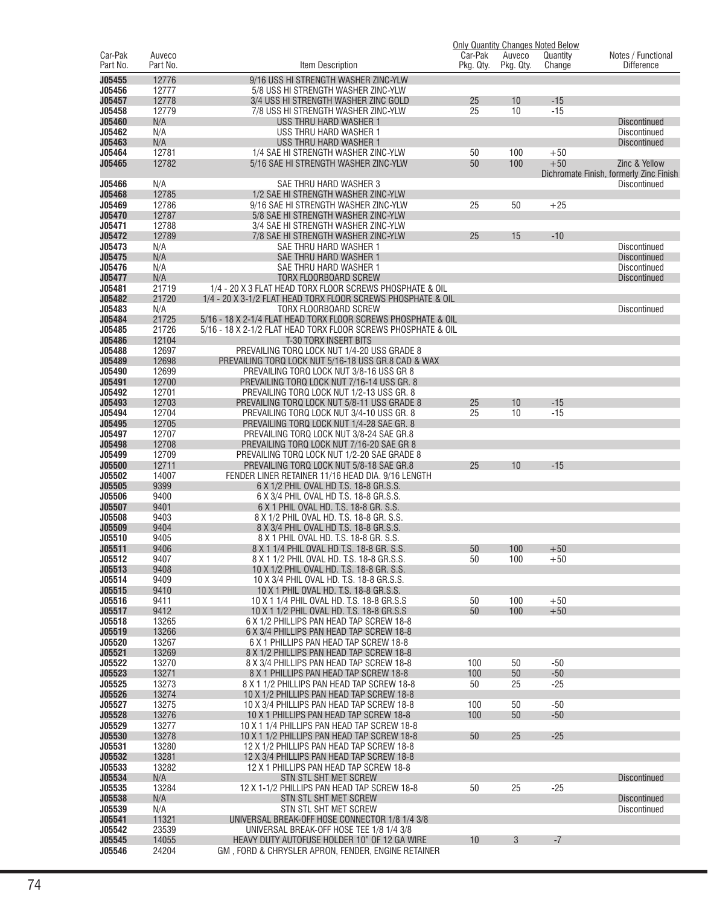|                         |                    |                                                                                                                                |                      |                     | <b>Only Quantity Changes Noted Below</b> |                                            |
|-------------------------|--------------------|--------------------------------------------------------------------------------------------------------------------------------|----------------------|---------------------|------------------------------------------|--------------------------------------------|
| Car-Pak<br>Part No.     | Auveco<br>Part No. | Item Description                                                                                                               | Car-Pak<br>Pkg. Qty. | Auveco<br>Pkg. Qty. | Quantity<br>Change                       | Notes / Functional<br><b>Difference</b>    |
| J05455                  | 12776              | 9/16 USS HI STRENGTH WASHER ZINC-YLW                                                                                           |                      |                     |                                          |                                            |
| J05456                  | 12777              | 5/8 USS HI STRENGTH WASHER ZINC-YLW                                                                                            |                      |                     |                                          |                                            |
| J05457                  | 12778              | 3/4 USS HI STRENGTH WASHER ZINC GOLD                                                                                           | 25                   | 10                  | $-15$                                    |                                            |
| J05458                  | 12779              | 7/8 USS HI STRENGTH WASHER ZINC-YLW                                                                                            | 25                   | 10                  | $-15$                                    |                                            |
| J05460<br>J05462        | N/A<br>N/A         | USS THRU HARD WASHER 1<br>USS THRU HARD WASHER 1                                                                               |                      |                     |                                          | <b>Discontinued</b><br><b>Discontinued</b> |
| J05463                  | N/A                | USS THRU HARD WASHER 1                                                                                                         |                      |                     |                                          | <b>Discontinued</b>                        |
| J05464                  | 12781              | 1/4 SAE HI STRENGTH WASHER ZINC-YLW                                                                                            | 50                   | 100                 | $+50$                                    |                                            |
| J05465                  | 12782              | 5/16 SAE HI STRENGTH WASHER ZINC-YLW                                                                                           | 50                   | 100                 | $+50$                                    | Zinc & Yellow                              |
|                         |                    |                                                                                                                                |                      |                     |                                          | Dichromate Finish, formerly Zinc Finish    |
| J05466<br>J05468        | N/A<br>12785       | SAE THRU HARD WASHER 3<br>1/2 SAE HI STRENGTH WASHER ZINC-YLW                                                                  |                      |                     |                                          | <b>Discontinued</b>                        |
| J05469                  | 12786              | 9/16 SAE HI STRENGTH WASHER ZINC-YLW                                                                                           | 25                   | 50                  | $+25$                                    |                                            |
| J05470                  | 12787              | 5/8 SAE HI STRENGTH WASHER ZINC-YLW                                                                                            |                      |                     |                                          |                                            |
| J05471                  | 12788              | 3/4 SAE HI STRENGTH WASHER ZINC-YLW                                                                                            |                      |                     |                                          |                                            |
| J05472                  | 12789              | 7/8 SAE HI STRENGTH WASHER ZINC-YLW                                                                                            | 25                   | 15                  | $-10$                                    |                                            |
| J05473                  | N/A                | SAE THRU HARD WASHER 1                                                                                                         |                      |                     |                                          | <b>Discontinued</b>                        |
| J05475<br>J05476        | N/A<br>N/A         | SAE THRU HARD WASHER 1<br>SAE THRU HARD WASHER 1                                                                               |                      |                     |                                          | <b>Discontinued</b><br>Discontinued        |
| J05477                  | N/A                | TORX FLOORBOARD SCREW                                                                                                          |                      |                     |                                          | <b>Discontinued</b>                        |
| J05481                  | 21719              | 1/4 - 20 X 3 FLAT HEAD TORX FLOOR SCREWS PHOSPHATE & OIL                                                                       |                      |                     |                                          |                                            |
| J05482                  | 21720              | 1/4 - 20 X 3-1/2 FLAT HEAD TORX FLOOR SCREWS PHOSPHATE & OIL                                                                   |                      |                     |                                          |                                            |
| J05483                  | N/A                | TORX FLOORBOARD SCREW                                                                                                          |                      |                     |                                          | Discontinued                               |
| J05484<br>J05485        | 21725<br>21726     | 5/16 - 18 X 2-1/4 FLAT HEAD TORX FLOOR SCREWS PHOSPHATE & OIL<br>5/16 - 18 X 2-1/2 FLAT HEAD TORX FLOOR SCREWS PHOSPHATE & OIL |                      |                     |                                          |                                            |
| J05486                  | 12104              | <b>T-30 TORX INSERT BITS</b>                                                                                                   |                      |                     |                                          |                                            |
| J05488                  | 12697              | PREVAILING TORQ LOCK NUT 1/4-20 USS GRADE 8                                                                                    |                      |                     |                                          |                                            |
| J05489                  | 12698              | PREVAILING TORQ LOCK NUT 5/16-18 USS GR.8 CAD & WAX                                                                            |                      |                     |                                          |                                            |
| J05490                  | 12699              | PREVAILING TORQ LOCK NUT 3/8-16 USS GR 8                                                                                       |                      |                     |                                          |                                            |
| J05491<br>J05492        | 12700<br>12701     | PREVAILING TORQ LOCK NUT 7/16-14 USS GR. 8<br>PREVAILING TORQ LOCK NUT 1/2-13 USS GR. 8                                        |                      |                     |                                          |                                            |
| J05493                  | 12703              | PREVAILING TORQ LOCK NUT 5/8-11 USS GRADE 8                                                                                    | 25                   | 10                  | $-15$                                    |                                            |
| J05494                  | 12704              | PREVAILING TORQ LOCK NUT 3/4-10 USS GR. 8                                                                                      | 25                   | 10                  | $-15$                                    |                                            |
| J05495                  | 12705              | PREVAILING TORQ LOCK NUT 1/4-28 SAE GR. 8                                                                                      |                      |                     |                                          |                                            |
| J05497                  | 12707              | PREVAILING TORQ LOCK NUT 3/8-24 SAE GR.8                                                                                       |                      |                     |                                          |                                            |
| J05498<br>J05499        | 12708<br>12709     | PREVAILING TORQ LOCK NUT 7/16-20 SAE GR 8<br>PREVAILING TORQ LOCK NUT 1/2-20 SAE GRADE 8                                       |                      |                     |                                          |                                            |
| <b>J05500</b>           | 12711              | PREVAILING TORQ LOCK NUT 5/8-18 SAE GR.8                                                                                       | 25                   | 10                  | $-15$                                    |                                            |
| J05502                  | 14007              | FENDER LINER RETAINER 11/16 HEAD DIA. 9/16 LENGTH                                                                              |                      |                     |                                          |                                            |
| J05505                  | 9399               | 6 X 1/2 PHIL OVAL HD T.S. 18-8 GR.S.S.                                                                                         |                      |                     |                                          |                                            |
| J05506                  | 9400               | 6 X 3/4 PHIL OVAL HD T.S. 18-8 GR.S.S.                                                                                         |                      |                     |                                          |                                            |
| J05507<br>J05508        | 9401<br>9403       | 6 X 1 PHIL OVAL HD. T.S. 18-8 GR. S.S.<br>8 X 1/2 PHIL OVAL HD. T.S. 18-8 GR. S.S.                                             |                      |                     |                                          |                                            |
| J05509                  | 9404               | 8 X 3/4 PHIL OVAL HD T.S. 18-8 GR.S.S.                                                                                         |                      |                     |                                          |                                            |
| J05510                  | 9405               | 8 X 1 PHIL OVAL HD. T.S. 18-8 GR. S.S.                                                                                         |                      |                     |                                          |                                            |
| J05511                  | 9406               | 8 X 1 1/4 PHIL OVAL HD T.S. 18-8 GR. S.S                                                                                       | 50                   | 100                 | $+50$                                    |                                            |
| <b>J05512</b><br>J05513 | 9407<br>9408       | 8 X 1 1/2 PHIL OVAL HD. 1.S. 18-8 GR.S.S.<br>10 X 1/2 PHIL OVAL HD. T.S. 18-8 GR. S.S.                                         | 50                   | 100                 | $+50$                                    |                                            |
| J05514                  | 9409               | 10 X 3/4 PHIL OVAL HD. T.S. 18-8 GR.S.S.                                                                                       |                      |                     |                                          |                                            |
| J05515                  | 9410               | 10 X 1 PHIL OVAL HD. T.S. 18-8 GR.S.S.                                                                                         |                      |                     |                                          |                                            |
| J05516                  | 9411               | 10 X 1 1/4 PHIL OVAL HD. T.S. 18-8 GR.S.S                                                                                      | 50                   | 100                 | $+50$                                    |                                            |
| J05517                  | 9412               | 10 X 1 1/2 PHIL OVAL HD. T.S. 18-8 GR.S.S                                                                                      | 50                   | 100                 | $+50$                                    |                                            |
| J05518<br>J05519        | 13265<br>13266     | 6 X 1/2 PHILLIPS PAN HEAD TAP SCREW 18-8<br>6 X 3/4 PHILLIPS PAN HEAD TAP SCREW 18-8                                           |                      |                     |                                          |                                            |
| J05520                  | 13267              | 6 X 1 PHILLIPS PAN HEAD TAP SCREW 18-8                                                                                         |                      |                     |                                          |                                            |
| J05521                  | 13269              | 8 X 1/2 PHILLIPS PAN HEAD TAP SCREW 18-8                                                                                       |                      |                     |                                          |                                            |
| J05522                  | 13270              | 8 X 3/4 PHILLIPS PAN HEAD TAP SCREW 18-8                                                                                       | 100                  | 50                  | $-50$                                    |                                            |
| J05523                  | 13271              | 8 X 1 PHILLIPS PAN HEAD TAP SCREW 18-8                                                                                         | 100                  | 50                  | $-50$                                    |                                            |
| J05525<br>J05526        | 13273<br>13274     | 8 X 1 1/2 PHILLIPS PAN HEAD TAP SCREW 18-8<br>10 X 1/2 PHILLIPS PAN HEAD TAP SCREW 18-8                                        | 50                   | 25                  | $-25$                                    |                                            |
| J05527                  | 13275              | 10 X 3/4 PHILLIPS PAN HEAD TAP SCREW 18-8                                                                                      | 100                  | 50                  | $-50$                                    |                                            |
| J05528                  | 13276              | 10 X 1 PHILLIPS PAN HEAD TAP SCREW 18-8                                                                                        | 100                  | 50                  | $-50$                                    |                                            |
| J05529                  | 13277              | 10 X 1 1/4 PHILLIPS PAN HEAD TAP SCREW 18-8                                                                                    |                      |                     |                                          |                                            |
| J05530                  | 13278              | 10 X 1 1/2 PHILLIPS PAN HEAD TAP SCREW 18-8                                                                                    | 50                   | 25                  | $-25$                                    |                                            |
| J05531<br>J05532        | 13280<br>13281     | 12 X 1/2 PHILLIPS PAN HEAD TAP SCREW 18-8<br>12 X 3/4 PHILLIPS PAN HEAD TAP SCREW 18-8                                         |                      |                     |                                          |                                            |
| J05533                  | 13282              | 12 X 1 PHILLIPS PAN HEAD TAP SCREW 18-8                                                                                        |                      |                     |                                          |                                            |
| J05534                  | N/A                | STN STL SHT MET SCREW                                                                                                          |                      |                     |                                          | <b>Discontinued</b>                        |
| J05535                  | 13284              | 12 X 1-1/2 PHILLIPS PAN HEAD TAP SCREW 18-8                                                                                    | 50                   | 25                  | $-25$                                    |                                            |
| J05538                  | N/A                | STN STL SHT MET SCREW                                                                                                          |                      |                     |                                          | <b>Discontinued</b>                        |
| J05539<br>J05541        | N/A<br>11321       | STN STL SHT MET SCREW<br>UNIVERSAL BREAK-OFF HOSE CONNECTOR 1/8 1/4 3/8                                                        |                      |                     |                                          | Discontinued                               |
| J05542                  | 23539              | UNIVERSAL BREAK-OFF HOSE TEE 1/8 1/4 3/8                                                                                       |                      |                     |                                          |                                            |
| J05545                  | 14055              | HEAVY DUTY AUTOFUSE HOLDER 10" OF 12 GA WIRE                                                                                   | 10                   | 3                   | $-7$                                     |                                            |
| J05546                  | 24204              | GM, FORD & CHRYSLER APRON, FENDER, ENGINE RETAINER                                                                             |                      |                     |                                          |                                            |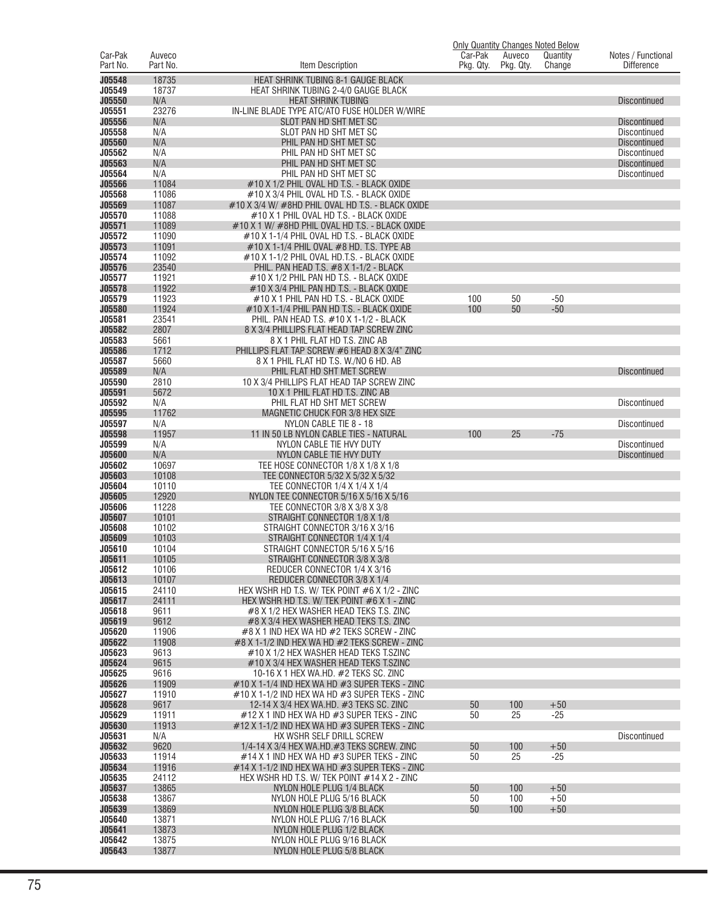|                     |                    |                                                                                                |                      |                     | <b>Only Quantity Changes Noted Below</b> |                                         |
|---------------------|--------------------|------------------------------------------------------------------------------------------------|----------------------|---------------------|------------------------------------------|-----------------------------------------|
| Car-Pak<br>Part No. | Auveco<br>Part No. | Item Description                                                                               | Car-Pak<br>Pkg. Qty. | Auveco<br>Pkg. Qty. | Quantity<br>Change                       | Notes / Functional<br><b>Difference</b> |
|                     |                    |                                                                                                |                      |                     |                                          |                                         |
| J05548<br>J05549    | 18735<br>18737     | HEAT SHRINK TUBING 8-1 GAUGE BLACK<br>HEAT SHRINK TUBING 2-4/0 GAUGE BLACK                     |                      |                     |                                          |                                         |
| J05550              | N/A                | <b>HEAT SHRINK TUBING</b>                                                                      |                      |                     |                                          | <b>Discontinued</b>                     |
| J05551              | 23276              | IN-LINE BLADE TYPE ATC/ATO FUSE HOLDER W/WIRE                                                  |                      |                     |                                          |                                         |
| J05556              | N/A                | SLOT PAN HD SHT MET SC                                                                         |                      |                     |                                          | Discontinued                            |
| J05558              | N/A                | SLOT PAN HD SHT MET SC                                                                         |                      |                     |                                          | <b>Discontinued</b>                     |
| J05560              | N/A                | PHIL PAN HD SHT MET SC                                                                         |                      |                     |                                          | <b>Discontinued</b>                     |
| J05562              | N/A                | PHIL PAN HD SHT MET SC                                                                         |                      |                     |                                          | <b>Discontinued</b>                     |
| J05563              | N/A                | PHIL PAN HD SHT MET SC                                                                         |                      |                     |                                          | <b>Discontinued</b>                     |
| J05564              | N/A                | PHIL PAN HD SHT MET SC                                                                         |                      |                     |                                          | <b>Discontinued</b>                     |
| J05566              | 11084              | #10 X 1/2 PHIL OVAL HD T.S. - BLACK OXIDE                                                      |                      |                     |                                          |                                         |
| J05568<br>J05569    | 11086<br>11087     | #10 X 3/4 PHIL OVAL HD T.S. - BLACK OXIDE<br>#10 X 3/4 W/ #8HD PHIL OVAL HD T.S. - BLACK OXIDE |                      |                     |                                          |                                         |
| J05570              | 11088              | #10 X 1 PHIL OVAL HD T.S. - BLACK OXIDE                                                        |                      |                     |                                          |                                         |
| J05571              | 11089              | #10 X 1 W/ #8HD PHIL OVAL HD T.S. - BLACK OXIDE                                                |                      |                     |                                          |                                         |
| J05572              | 11090              | #10 X 1-1/4 PHIL OVAL HD T.S. - BLACK OXIDE                                                    |                      |                     |                                          |                                         |
| J05573              | 11091              | $\#10$ X 1-1/4 PHIL OVAL $\#8$ HD. T.S. TYPE AB                                                |                      |                     |                                          |                                         |
| J05574              | 11092              | #10 X 1-1/2 PHIL OVAL HD.T.S. - BLACK OXIDE                                                    |                      |                     |                                          |                                         |
| J05576              | 23540              | PHIL. PAN HEAD T.S. #8 X 1-1/2 - BLACK                                                         |                      |                     |                                          |                                         |
| J05577              | 11921              | #10 X 1/2 PHIL PAN HD T.S. - BLACK OXIDE                                                       |                      |                     |                                          |                                         |
| J05578<br>J05579    | 11922              | #10 X 3/4 PHIL PAN HD T.S. - BLACK OXIDE                                                       |                      |                     |                                          |                                         |
| J05580              | 11923<br>11924     | #10 X 1 PHIL PAN HD T.S. - BLACK OXIDE<br>#10 X 1-1/4 PHIL PAN HD T.S. - BLACK OXIDE           | 100<br>100           | 50<br>50            | $-50$<br>$-50$                           |                                         |
| J05581              | 23541              | PHIL. PAN HEAD T.S. #10 X 1-1/2 - BLACK                                                        |                      |                     |                                          |                                         |
| J05582              | 2807               | 8 X 3/4 PHILLIPS FLAT HEAD TAP SCREW ZINC                                                      |                      |                     |                                          |                                         |
| J05583              | 5661               | 8 X 1 PHIL FLAT HD T.S. ZINC AB                                                                |                      |                     |                                          |                                         |
| J05586              | 1712               | PHILLIPS FLAT TAP SCREW #6 HEAD 8 X 3/4" ZINC                                                  |                      |                     |                                          |                                         |
| J05587              | 5660               | 8 X 1 PHIL FLAT HD T.S. W./NO 6 HD. AB                                                         |                      |                     |                                          |                                         |
| J05589              | N/A                | PHIL FLAT HD SHT MET SCREW                                                                     |                      |                     |                                          | <b>Discontinued</b>                     |
| J05590              | 2810               | 10 X 3/4 PHILLIPS FLAT HEAD TAP SCREW ZINC                                                     |                      |                     |                                          |                                         |
| J05591              | 5672               | 10 X 1 PHIL FLAT HD T.S. ZINC AB                                                               |                      |                     |                                          |                                         |
| J05592<br>J05595    | N/A<br>11762       | PHIL FLAT HD SHT MET SCREW<br>MAGNETIC CHUCK FOR 3/8 HEX SIZE                                  |                      |                     |                                          | <b>Discontinued</b>                     |
| J05597              | N/A                | NYLON CABLE TIE 8 - 18                                                                         |                      |                     |                                          | <b>Discontinued</b>                     |
| J05598              | 11957              | 11 IN 50 LB NYLON CABLE TIES - NATURAL                                                         | 100                  | 25                  | $-75$                                    |                                         |
| J05599              | N/A                | NYLON CABLE TIE HVY DUTY                                                                       |                      |                     |                                          | <b>Discontinued</b>                     |
| J05600              | N/A                | NYLON CABLE TIE HVY DUTY                                                                       |                      |                     |                                          | <b>Discontinued</b>                     |
| J05602              | 10697              | TEE HOSE CONNECTOR 1/8 X 1/8 X 1/8                                                             |                      |                     |                                          |                                         |
| J05603              | 10108              | TEE CONNECTOR 5/32 X 5/32 X 5/32                                                               |                      |                     |                                          |                                         |
| J05604<br>J05605    | 10110<br>12920     | TEE CONNECTOR 1/4 X 1/4 X 1/4<br>NYLON TEE CONNECTOR 5/16 X 5/16 X 5/16                        |                      |                     |                                          |                                         |
| J05606              | 11228              | TEE CONNECTOR 3/8 X 3/8 X 3/8                                                                  |                      |                     |                                          |                                         |
| J05607              | 10101              | STRAIGHT CONNECTOR 1/8 X 1/8                                                                   |                      |                     |                                          |                                         |
| J05608              | 10102              | STRAIGHT CONNECTOR 3/16 X 3/16                                                                 |                      |                     |                                          |                                         |
| J05609              | 10103              | STRAIGHT CONNECTOR 1/4 X 1/4                                                                   |                      |                     |                                          |                                         |
| J05610              | 10104              | STRAIGHT CONNECTOR 5/16 X 5/16                                                                 |                      |                     |                                          |                                         |
| J05611              | 10105              | STRAIGHT CONNECTOR 3/8 X 3/8                                                                   |                      |                     |                                          |                                         |
| J05612              | 10106              | REDUCER CONNECTOR 1/4 X 3/16                                                                   |                      |                     |                                          |                                         |
| J05613<br>J05615    | 10107<br>24110     | REDUCER CONNECTOR 3/8 X 1/4<br>HEX WSHR HD T.S. W/ TEK POINT #6 X 1/2 - ZINC                   |                      |                     |                                          |                                         |
| J05617              | 24111              | HEX WSHR HD T.S. W/ TEK POINT #6 X 1 - ZINC                                                    |                      |                     |                                          |                                         |
| J05618              | 9611               | #8 X 1/2 HEX WASHER HEAD TEKS T.S. ZINC                                                        |                      |                     |                                          |                                         |
| J05619              | 9612               | #8 X 3/4 HEX WASHER HEAD TEKS T.S. ZINC                                                        |                      |                     |                                          |                                         |
| J05620              | 11906              | #8 X 1 IND HEX WA HD #2 TEKS SCREW - ZINC                                                      |                      |                     |                                          |                                         |
| J05622              | 11908              | #8 X 1-1/2 IND HEX WA HD #2 TEKS SCREW - ZINC                                                  |                      |                     |                                          |                                         |
| J05623              | 9613               | #10 X 1/2 HEX WASHER HEAD TEKS T.SZINC                                                         |                      |                     |                                          |                                         |
| J05624<br>J05625    | 9615<br>9616       | #10 X 3/4 HEX WASHER HEAD TEKS T.SZINC<br>10-16 X 1 HEX WA.HD. #2 TEKS SC. ZINC                |                      |                     |                                          |                                         |
| J05626              | 11909              | #10 X 1-1/4 IND HEX WA HD #3 SUPER TEKS - ZINC                                                 |                      |                     |                                          |                                         |
| J05627              | 11910              | #10 X 1-1/2 IND HEX WA HD #3 SUPER TEKS - ZINC                                                 |                      |                     |                                          |                                         |
| J05628              | 9617               | 12-14 X 3/4 HEX WA.HD. #3 TEKS SC. ZINC                                                        | 50                   | 100                 | $+50$                                    |                                         |
| J05629              | 11911              | $#12$ X 1 IND HEX WA HD $#3$ SUPER TEKS - ZINC                                                 | 50                   | 25                  | $-25$                                    |                                         |
| J05630              | 11913              | #12 X 1-1/2 IND HEX WA HD #3 SUPER TEKS - ZINC                                                 |                      |                     |                                          |                                         |
| J05631              | N/A                | HX WSHR SELF DRILL SCREW                                                                       |                      |                     |                                          | <b>Discontinued</b>                     |
| J05632              | 9620               | 1/4-14 X 3/4 HEX WA.HD.#3 TEKS SCREW. ZINC                                                     | 50                   | 100                 | $+50$                                    |                                         |
| J05633<br>J05634    | 11914<br>11916     | #14 X 1 IND HEX WA HD #3 SUPER TEKS - ZINC<br>#14 X 1-1/2 IND HEX WA HD #3 SUPER TEKS - ZINC   | 50                   | 25                  | $-25$                                    |                                         |
| J05635              | 24112              | HEX WSHR HD T.S. W/ TEK POINT #14 X 2 - ZINC                                                   |                      |                     |                                          |                                         |
| J05637              | 13865              | NYLON HOLE PLUG 1/4 BLACK                                                                      | 50                   | 100                 | $+50$                                    |                                         |
| J05638              | 13867              | NYLON HOLE PLUG 5/16 BLACK                                                                     | 50                   | 100                 | $+50$                                    |                                         |
| J05639              | 13869              | NYLON HOLE PLUG 3/8 BLACK                                                                      | 50                   | 100                 | $+50$                                    |                                         |
| J05640              | 13871              | NYLON HOLE PLUG 7/16 BLACK                                                                     |                      |                     |                                          |                                         |
| J05641              | 13873              | NYLON HOLE PLUG 1/2 BLACK                                                                      |                      |                     |                                          |                                         |
| J05642              | 13875              | NYLON HOLE PLUG 9/16 BLACK                                                                     |                      |                     |                                          |                                         |
| J05643              | 13877              | NYLON HOLE PLUG 5/8 BLACK                                                                      |                      |                     |                                          |                                         |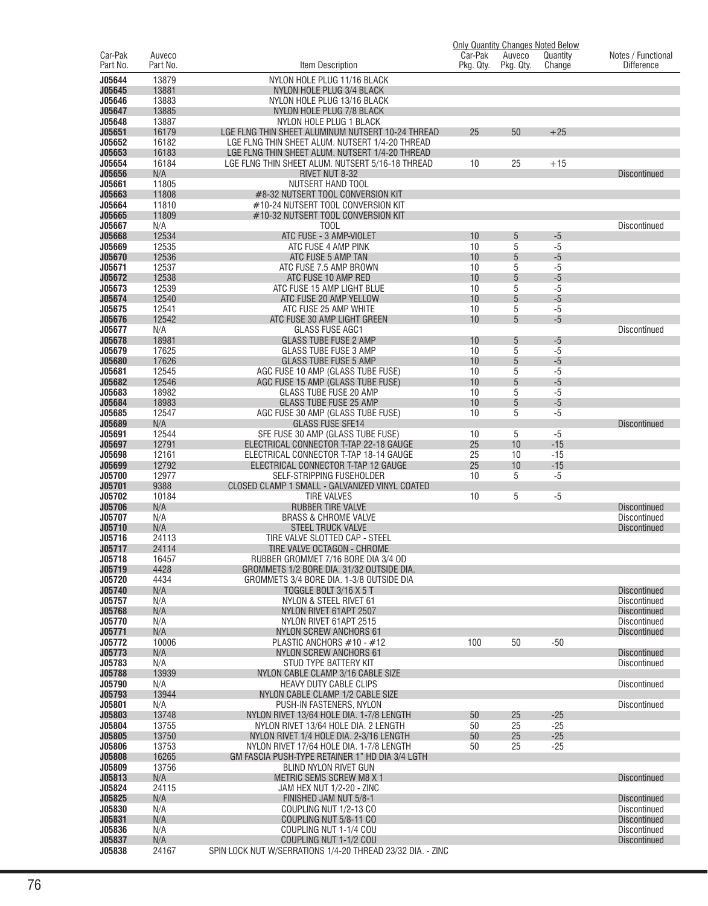|                         |                    |                                                                                      |                      |                     | <b>Only Quantity Changes Noted Below</b> |                                            |
|-------------------------|--------------------|--------------------------------------------------------------------------------------|----------------------|---------------------|------------------------------------------|--------------------------------------------|
| Car-Pak<br>Part No.     | Auveco<br>Part No. | Item Description                                                                     | Car-Pak<br>Pkg. Qty. | Auveco<br>Pkg. Qty. | Quantity<br>Change                       | Notes / Functional<br><b>Difference</b>    |
| J05644                  | 13879              | NYLON HOLE PLUG 11/16 BLACK                                                          |                      |                     |                                          |                                            |
| J05645                  | 13881              | NYLON HOLE PLUG 3/4 BLACK                                                            |                      |                     |                                          |                                            |
| J05646                  | 13883              | NYLON HOLE PLUG 13/16 BLACK                                                          |                      |                     |                                          |                                            |
| J05647                  | 13885              | NYLON HOLE PLUG 7/8 BLACK                                                            |                      |                     |                                          |                                            |
| J05648<br>J05651        | 13887<br>16179     | NYLON HOLE PLUG 1 BLACK<br>LGE FLNG THIN SHEET ALUMINUM NUTSERT 10-24 THREAD         | 25                   | 50                  | $+25$                                    |                                            |
| J05652                  | 16182              | LGE FLNG THIN SHEET ALUM. NUTSERT 1/4-20 THREAD                                      |                      |                     |                                          |                                            |
| J05653                  | 16183              | LGE FLNG THIN SHEET ALUM. NUTSERT 1/4-20 THREAD                                      |                      |                     |                                          |                                            |
| J05654                  | 16184              | LGE FLNG THIN SHEET ALUM. NUTSERT 5/16-18 THREAD                                     | 10                   | 25                  | $+15$                                    |                                            |
| J05656                  | N/A                | <b>RIVET NUT 8-32</b>                                                                |                      |                     |                                          | <b>Discontinued</b>                        |
| J05661<br>J05663        | 11805<br>11808     | NUTSERT HAND TOOL<br>#8-32 NUTSERT TOOL CONVERSION KIT                               |                      |                     |                                          |                                            |
| J05664                  | 11810              | #10-24 NUTSERT TOOL CONVERSION KIT                                                   |                      |                     |                                          |                                            |
| J05665                  | 11809              | #10-32 NUTSERT TOOL CONVERSION KIT                                                   |                      |                     |                                          |                                            |
| J05667                  | N/A                | T <sub>0</sub> 0L                                                                    |                      |                     |                                          | <b>Discontinued</b>                        |
| J05668<br>J05669        | 12534<br>12535     | ATC FUSE - 3 AMP-VIOLET<br>ATC FUSE 4 AMP PINK                                       | 10<br>10             | 5<br>5              | $-5$<br>$-5$                             |                                            |
| J05670                  | 12536              | ATC FUSE 5 AMP TAN                                                                   | 10                   | 5                   | $-5$                                     |                                            |
| J05671                  | 12537              | ATC FUSE 7.5 AMP BROWN                                                               | 10                   | 5                   | $-5$                                     |                                            |
| J05672                  | 12538              | ATC FUSE 10 AMP RED                                                                  | 10                   | 5                   | $-5$                                     |                                            |
| J05673<br>J05674        | 12539<br>12540     | ATC FUSE 15 AMP LIGHT BLUE<br>ATC FUSE 20 AMP YELLOW                                 | 10<br>10             | 5<br>5              | $-5$<br>$-5$                             |                                            |
| J05675                  | 12541              | ATC FUSE 25 AMP WHITE                                                                | 10                   | 5                   | $-5$                                     |                                            |
| J05676                  | 12542              | ATC FUSE 30 AMP LIGHT GREEN                                                          | 10                   | 5                   | $-5$                                     |                                            |
| J05677                  | N/A                | <b>GLASS FUSE AGC1</b>                                                               |                      |                     |                                          | <b>Discontinued</b>                        |
| J05678                  | 18981              | <b>GLASS TUBE FUSE 2 AMP</b>                                                         | 10                   | 5                   | $-5$                                     |                                            |
| J05679<br>J05680        | 17625<br>17626     | <b>GLASS TUBE FUSE 3 AMP</b><br><b>GLASS TUBE FUSE 5 AMP</b>                         | 10<br>10             | 5<br>5              | $-5$<br>$-5$                             |                                            |
| J05681                  | 12545              | AGC FUSE 10 AMP (GLASS TUBE FUSE)                                                    | 10                   | 5                   | $-5$                                     |                                            |
| J05682                  | 12546              | AGC FUSE 15 AMP (GLASS TUBE FUSE)                                                    | 10                   | 5                   | $-5$                                     |                                            |
| J05683                  | 18982              | <b>GLASS TUBE FUSE 20 AMP</b>                                                        | 10                   | 5                   | $-5$                                     |                                            |
| J05684<br>J05685        | 18983<br>12547     | <b>GLASS TUBE FUSE 25 AMP</b><br>AGC FUSE 30 AMP (GLASS TUBE FUSE)                   | 10<br>10             | 5<br>5              | $-5$<br>$-5$                             |                                            |
| J05689                  | N/A                | <b>GLASS FUSE SFE14</b>                                                              |                      |                     |                                          | <b>Discontinued</b>                        |
| J05691                  | 12544              | SFE FUSE 30 AMP (GLASS TUBE FUSE)                                                    | 10                   | 5                   | $-5$                                     |                                            |
| J05697                  | 12791              | ELECTRICAL CONNECTOR T-TAP 22-18 GAUGE                                               | 25                   | 10                  | $-15$                                    |                                            |
| J05698<br>J05699        | 12161<br>12792     | ELECTRICAL CONNECTOR T-TAP 18-14 GAUGE<br>ELECTRICAL CONNECTOR T-TAP 12 GAUGE        | 25<br>25             | 10<br>10            | $-15$<br>$-15$                           |                                            |
| J05700                  | 12977              | SELF-STRIPPING FUSEHOLDER                                                            | 10                   | 5                   | $-5$                                     |                                            |
| J05701                  | 9388               | CLOSED CLAMP 1 SMALL - GALVANIZED VINYL COATED                                       |                      |                     |                                          |                                            |
| J05702                  | 10184              | <b>TIRE VALVES</b>                                                                   | 10                   | 5                   | $-5$                                     |                                            |
| J05706<br>J05707        | N/A<br>N/A         | <b>RUBBER TIRE VALVE</b><br><b>BRASS &amp; CHROME VALVE</b>                          |                      |                     |                                          | <b>Discontinued</b><br><b>Discontinued</b> |
| J05710                  | N/A                | <b>STEEL TRUCK VALVE</b>                                                             |                      |                     |                                          | <b>Discontinued</b>                        |
| J05716                  | 24113              | TIRE VALVE SLOTTED CAP - STEEL                                                       |                      |                     |                                          |                                            |
| J05717                  | 24114              | TIRE VALVE OCTAGON - CHROME                                                          |                      |                     |                                          |                                            |
| <b>J05718</b><br>J05719 | 16457<br>4428      | RUBBER GROMMET 7/16 BORE DIA 3/4 OD<br>GROMMETS 1/2 BORE DIA, 31/32 OUTSIDE DIA.     |                      |                     |                                          |                                            |
| J05720                  | 4434               | GROMMETS 3/4 BORE DIA, 1-3/8 OUTSIDE DIA                                             |                      |                     |                                          |                                            |
| J05740                  | N/A                | TOGGLE BOLT 3/16 X 5 T                                                               |                      |                     |                                          | <b>Discontinued</b>                        |
| J05757                  | N/A                | NYLON & STEEL RIVET 61                                                               |                      |                     |                                          | <b>Discontinued</b>                        |
| J05768                  | N/A                | NYLON RIVET 61APT 2507                                                               |                      |                     |                                          | <b>Discontinued</b>                        |
| J05770<br>J05771        | N/A<br>N/A         | NYLON RIVET 61APT 2515<br><b>NYLON SCREW ANCHORS 61</b>                              |                      |                     |                                          | <b>Discontinued</b><br><b>Discontinued</b> |
| J05772                  | 10006              | PLASTIC ANCHORS #10 - #12                                                            | 100                  | 50                  | $-50$                                    |                                            |
| J05773                  | N/A                | <b>NYLON SCREW ANCHORS 61</b>                                                        |                      |                     |                                          | <b>Discontinued</b>                        |
| J05783                  | N/A                | STUD TYPE BATTERY KIT                                                                |                      |                     |                                          | Discontinued                               |
| J05788<br>J05790        | 13939<br>N/A       | NYLON CABLE CLAMP 3/16 CABLE SIZE<br>HEAVY DUTY CABLE CLIPS                          |                      |                     |                                          | <b>Discontinued</b>                        |
| J05793                  | 13944              | NYLON CABLE CLAMP 1/2 CABLE SIZE                                                     |                      |                     |                                          |                                            |
| J05801                  | N/A                | PUSH-IN FASTENERS. NYLON                                                             |                      |                     |                                          | Discontinued                               |
| J05803                  | 13748              | NYLON RIVET 13/64 HOLE DIA. 1-7/8 LENGTH                                             | 50                   | 25                  | $-25$                                    |                                            |
| J05804<br>J05805        | 13755<br>13750     | NYLON RIVET 13/64 HOLE DIA. 2 LENGTH<br>NYLON RIVET 1/4 HOLE DIA. 2-3/16 LENGTH      | 50<br>50             | 25<br>25            | $-25$<br>$-25$                           |                                            |
| J05806                  | 13753              | NYLON RIVET 17/64 HOLE DIA. 1-7/8 LENGTH                                             | 50                   | 25                  | $-25$                                    |                                            |
| J05808                  | 16265              | GM FASCIA PUSH-TYPE RETAINER 1" HD DIA 3/4 LGTH                                      |                      |                     |                                          |                                            |
| J05809                  | 13756              | BLIND NYLON RIVET GUN                                                                |                      |                     |                                          |                                            |
| J05813                  | N/A                | METRIC SEMS SCREW M8 X 1                                                             |                      |                     |                                          | <b>Discontinued</b>                        |
| J05824<br>J05825        | 24115<br>N/A       | JAM HEX NUT 1/2-20 - ZINC<br>FINISHED JAM NUT 5/8-1                                  |                      |                     |                                          | <b>Discontinued</b>                        |
| J05830                  | N/A                | COUPLING NUT 1/2-13 CO                                                               |                      |                     |                                          | <b>Discontinued</b>                        |
| J05831                  | N/A                | COUPLING NUT 5/8-11 CO                                                               |                      |                     |                                          | <b>Discontinued</b>                        |
| J05836                  | N/A                | COUPLING NUT 1-1/4 COU                                                               |                      |                     |                                          | <b>Discontinued</b>                        |
| J05837<br>J05838        | N/A<br>24167       | COUPLING NUT 1-1/2 COU<br>SPIN LOCK NUT W/SERRATIONS 1/4-20 THREAD 23/32 DIA. - ZINC |                      |                     |                                          | <b>Discontinued</b>                        |
|                         |                    |                                                                                      |                      |                     |                                          |                                            |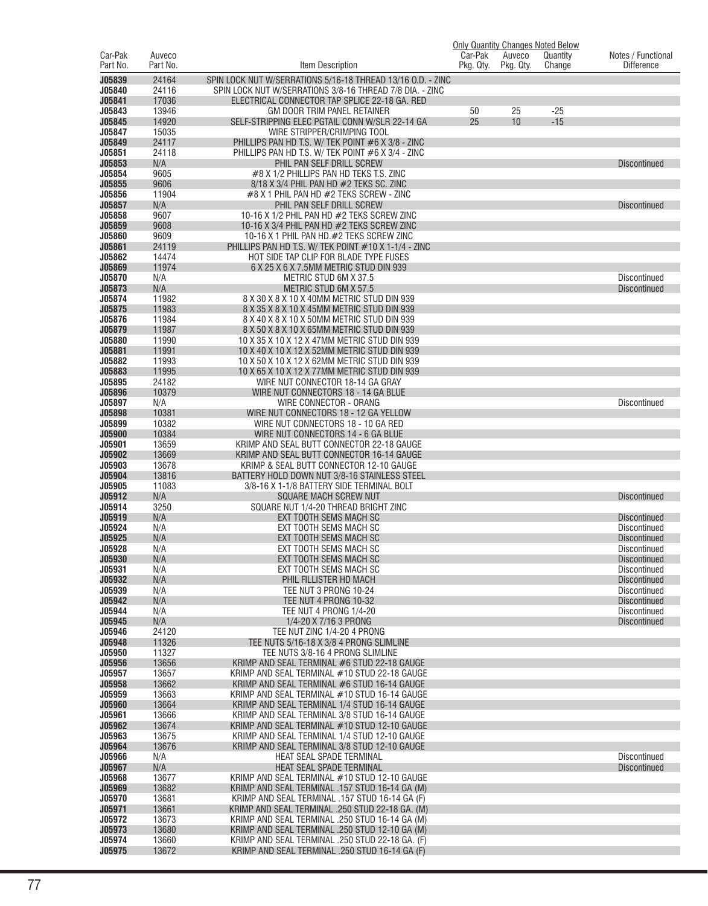|                                |                    |                                                                                                   | Only Quantity Changes Noted Below |                     |                    |                                            |
|--------------------------------|--------------------|---------------------------------------------------------------------------------------------------|-----------------------------------|---------------------|--------------------|--------------------------------------------|
| Car-Pak<br>Part No.            | Auveco<br>Part No. | Item Description                                                                                  | Car-Pak<br>Pkg. Qty.              | Auveco<br>Pkg. Qty. | Quantity<br>Change | Notes / Functional<br><b>Difference</b>    |
| J05839                         | 24164              | SPIN LOCK NUT W/SERRATIONS 5/16-18 THREAD 13/16 O.D. - ZINC                                       |                                   |                     |                    |                                            |
| J05840                         | 24116              | SPIN LOCK NUT W/SERRATIONS 3/8-16 THREAD 7/8 DIA. - ZINC                                          |                                   |                     |                    |                                            |
| J05841<br>J05843               | 17036<br>13946     | ELECTRICAL CONNECTOR TAP SPLICE 22-18 GA. RED<br>GM DOOR TRIM PANEL RETAINER                      | 50                                | 25                  | $-25$              |                                            |
| J05845                         | 14920              | SELF-STRIPPING ELEC PGTAIL CONN W/SLR 22-14 GA                                                    | 25                                | 10                  | $-15$              |                                            |
| J05847<br>J05849               | 15035<br>24117     | WIRE STRIPPER/CRIMPING TOOL<br>PHILLIPS PAN HD T.S. W/ TEK POINT #6 X 3/8 - ZINC                  |                                   |                     |                    |                                            |
| J05851                         | 24118              | PHILLIPS PAN HD T.S. W/ TEK POINT #6 X 3/4 - ZINC                                                 |                                   |                     |                    |                                            |
| J05853<br>J05854               | N/A<br>9605        | PHIL PAN SELF DRILL SCREW<br>#8 X 1/2 PHILLIPS PAN HD TEKS T.S. ZINC                              |                                   |                     |                    | <b>Discontinued</b>                        |
| J05855                         | 9606               | 8/18 X 3/4 PHIL PAN HD #2 TEKS SC. ZINC                                                           |                                   |                     |                    |                                            |
| J05856                         | 11904              | #8 X 1 PHIL PAN HD #2 TEKS SCREW - ZINC                                                           |                                   |                     |                    |                                            |
| J05857<br>J05858               | N/A<br>9607        | PHIL PAN SELF DRILL SCREW<br>10-16 X 1/2 PHIL PAN HD $#2$ TEKS SCREW ZINC                         |                                   |                     |                    | <b>Discontinued</b>                        |
| J05859                         | 9608               | 10-16 X 3/4 PHIL PAN HD $#2$ TEKS SCREW ZINC                                                      |                                   |                     |                    |                                            |
| <b>J05860</b><br>J05861        | 9609<br>24119      | 10-16 X 1 PHIL PAN HD.#2 TEKS SCREW ZINC<br>PHILLIPS PAN HD T.S. W/ TEK POINT #10 X 1-1/4 - ZINC  |                                   |                     |                    |                                            |
| J05862                         | 14474              | HOT SIDE TAP CLIP FOR BLADE TYPE FUSES                                                            |                                   |                     |                    |                                            |
| J05869<br>J05870               | 11974<br>N/A       | 6 X 25 X 6 X 7.5MM METRIC STUD DIN 939                                                            |                                   |                     |                    |                                            |
| J05873                         | N/A                | METRIC STUD 6M X 37.5<br>METRIC STUD 6M X 57.5                                                    |                                   |                     |                    | <b>Discontinued</b><br><b>Discontinued</b> |
| J05874                         | 11982              | 8 X 30 X 8 X 10 X 40MM METRIC STUD DIN 939                                                        |                                   |                     |                    |                                            |
| J05875<br>J05876               | 11983<br>11984     | 8 X 35 X 8 X 10 X 45MM METRIC STUD DIN 939<br>8 X 40 X 8 X 10 X 50MM METRIC STUD DIN 939          |                                   |                     |                    |                                            |
| J05879                         | 11987              | 8 X 50 X 8 X 10 X 65MM METRIC STUD DIN 939                                                        |                                   |                     |                    |                                            |
| J05880<br>J05881               | 11990<br>11991     | 10 X 35 X 10 X 12 X 47MM METRIC STUD DIN 939<br>10 X 40 X 10 X 12 X 52MM METRIC STUD DIN 939      |                                   |                     |                    |                                            |
| J05882                         | 11993              | 10 X 50 X 10 X 12 X 62MM METRIC STUD DIN 939                                                      |                                   |                     |                    |                                            |
| J05883                         | 11995              | 10 X 65 X 10 X 12 X 77MM METRIC STUD DIN 939                                                      |                                   |                     |                    |                                            |
| J05895<br>J05896               | 24182<br>10379     | WIRE NUT CONNECTOR 18-14 GA GRAY<br>WIRE NUT CONNECTORS 18 - 14 GA BLUE                           |                                   |                     |                    |                                            |
| J05897                         | N/A                | WIRE CONNECTOR - ORANG                                                                            |                                   |                     |                    | <b>Discontinued</b>                        |
| J05898<br>J05899               | 10381<br>10382     | WIRE NUT CONNECTORS 18 - 12 GA YELLOW<br>WIRE NUT CONNECTORS 18 - 10 GA RED                       |                                   |                     |                    |                                            |
| J05900                         | 10384              | WIRE NUT CONNECTORS 14 - 6 GA BLUE                                                                |                                   |                     |                    |                                            |
| J05901                         | 13659              | KRIMP AND SEAL BUTT CONNECTOR 22-18 GAUGE                                                         |                                   |                     |                    |                                            |
| J05902<br><b>J05903</b>        | 13669<br>13678     | KRIMP AND SEAL BUTT CONNECTOR 16-14 GAUGE<br>KRIMP & SEAL BUTT CONNECTOR 12-10 GAUGE              |                                   |                     |                    |                                            |
| J05904                         | 13816              | BATTERY HOLD DOWN NUT 3/8-16 STAINLESS STEEL                                                      |                                   |                     |                    |                                            |
| J05905<br>J05912               | 11083<br>N/A       | 3/8-16 X 1-1/8 BATTERY SIDE TERMINAL BOLT<br>SQUARE MACH SCREW NUT                                |                                   |                     |                    | <b>Discontinued</b>                        |
| J05914                         | 3250               | SQUARE NUT 1/4-20 THREAD BRIGHT ZINC                                                              |                                   |                     |                    |                                            |
| J05919<br>J05924               | N/A                | EXT TOOTH SEMS MACH SC                                                                            |                                   |                     |                    | <b>Discontinued</b>                        |
| J05925                         | N/A<br>N/A         | EXT TOOTH SEMS MACH SC<br>EXT TOOTH SEMS MACH SC                                                  |                                   |                     |                    | <b>Discontinued</b><br><b>Discontinued</b> |
| J05928                         | N/A                | EXT TOOTH SEMS MACH SC                                                                            |                                   |                     |                    | <b>Discontinued</b>                        |
| <b>J05930</b><br><b>J05931</b> | N/A<br>N/A         | EXT TOOTH SEMS MACH SC<br>EXT TOOTH SEMS MACH SC                                                  |                                   |                     |                    | <b>Discontinued</b><br><b>Discontinued</b> |
| J05932                         | N/A                | PHIL FILLISTER HD MACH                                                                            |                                   |                     |                    | <b>Discontinued</b>                        |
| J05939<br>J05942               | N/A<br>N/A         | TEE NUT 3 PRONG 10-24<br>TEE NUT 4 PRONG 10-32                                                    |                                   |                     |                    | Discontinued<br><b>Discontinued</b>        |
| J05944                         | N/A                | TEE NUT 4 PRONG 1/4-20                                                                            |                                   |                     |                    | Discontinued                               |
| J05945                         | N/A                | 1/4-20 X 7/16 3 PRONG                                                                             |                                   |                     |                    | <b>Discontinued</b>                        |
| J05946<br>J05948               | 24120<br>11326     | TEE NUT ZINC 1/4-20 4 PRONG<br>TEE NUTS 5/16-18 X 3/8 4 PRONG SLIMLINE                            |                                   |                     |                    |                                            |
| J05950                         | 11327              | TEE NUTS 3/8-16 4 PRONG SLIMLINE                                                                  |                                   |                     |                    |                                            |
| J05956<br>J05957               | 13656<br>13657     | KRIMP AND SEAL TERMINAL #6 STUD 22-18 GAUGE<br>KRIMP AND SEAL TERMINAL #10 STUD 22-18 GAUGE       |                                   |                     |                    |                                            |
| J05958                         | 13662              | KRIMP AND SEAL TERMINAL #6 STUD 16-14 GAUGE                                                       |                                   |                     |                    |                                            |
| J05959<br>J05960               | 13663<br>13664     | KRIMP AND SEAL TERMINAL #10 STUD 16-14 GAUGE                                                      |                                   |                     |                    |                                            |
| J05961                         | 13666              | KRIMP AND SEAL TERMINAL 1/4 STUD 16-14 GAUGE<br>KRIMP AND SEAL TERMINAL 3/8 STUD 16-14 GAUGE      |                                   |                     |                    |                                            |
| J05962                         | 13674              | KRIMP AND SEAL TERMINAL #10 STUD 12-10 GAUGE                                                      |                                   |                     |                    |                                            |
| J05963<br>J05964               | 13675<br>13676     | KRIMP AND SEAL TERMINAL 1/4 STUD 12-10 GAUGE<br>KRIMP AND SEAL TERMINAL 3/8 STUD 12-10 GAUGE      |                                   |                     |                    |                                            |
| J05966                         | N/A                | HEAT SEAL SPADE TERMINAL                                                                          |                                   |                     |                    | <b>Discontinued</b>                        |
| J05967<br>J05968               | N/A<br>13677       | HEAT SEAL SPADE TERMINAL<br>KRIMP AND SEAL TERMINAL #10 STUD 12-10 GAUGE                          |                                   |                     |                    | <b>Discontinued</b>                        |
| J05969                         | 13682              | KRIMP AND SEAL TERMINAL .157 STUD 16-14 GA (M)                                                    |                                   |                     |                    |                                            |
| J05970                         | 13681              | KRIMP AND SEAL TERMINAL .157 STUD 16-14 GA (F)                                                    |                                   |                     |                    |                                            |
| J05971<br>J05972               | 13661<br>13673     | KRIMP AND SEAL TERMINAL .250 STUD 22-18 GA. (M)<br>KRIMP AND SEAL TERMINAL .250 STUD 16-14 GA (M) |                                   |                     |                    |                                            |
| J05973                         | 13680              | KRIMP AND SEAL TERMINAL .250 STUD 12-10 GA (M)                                                    |                                   |                     |                    |                                            |
| J05974<br>J05975               | 13660<br>13672     | KRIMP AND SEAL TERMINAL .250 STUD 22-18 GA. (F)<br>KRIMP AND SEAL TERMINAL .250 STUD 16-14 GA (F) |                                   |                     |                    |                                            |
|                                |                    |                                                                                                   |                                   |                     |                    |                                            |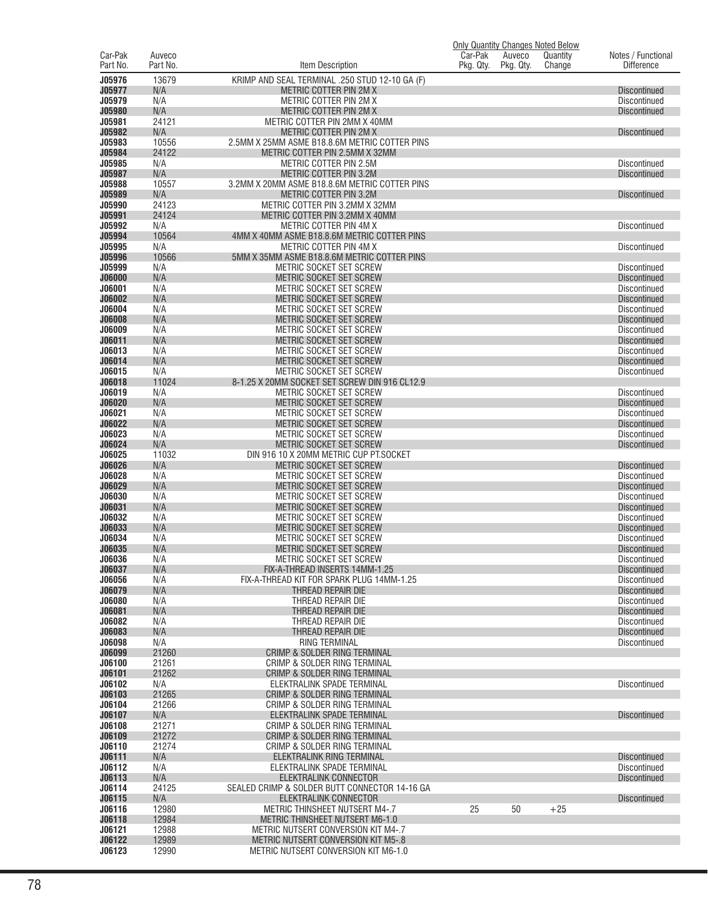|                         |                    |                                                                          | <b>Only Quantity Changes Noted Below</b> |           |          |                                            |
|-------------------------|--------------------|--------------------------------------------------------------------------|------------------------------------------|-----------|----------|--------------------------------------------|
| Car-Pak<br>Part No.     | Auveco<br>Part No. |                                                                          | Car-Pak<br>Pkg. Qty.                     | Auveco    | Quantity | Notes / Functional<br><b>Difference</b>    |
|                         |                    | Item Description                                                         |                                          | Pkg. Qty. | Change   |                                            |
| J05976<br>J05977        | 13679<br>N/A       | KRIMP AND SEAL TERMINAL .250 STUD 12-10 GA (F)<br>METRIC COTTER PIN 2M X |                                          |           |          | <b>Discontinued</b>                        |
| J05979                  | N/A                | METRIC COTTER PIN 2M X                                                   |                                          |           |          | Discontinued                               |
| J05980                  | N/A                | METRIC COTTER PIN 2M X                                                   |                                          |           |          | <b>Discontinued</b>                        |
| J05981                  | 24121              | METRIC COTTER PIN 2MM X 40MM                                             |                                          |           |          |                                            |
| J05982<br>J05983        | N/A<br>10556       | METRIC COTTER PIN 2M X<br>2.5MM X 25MM ASME B18.8.6M METRIC COTTER PINS  |                                          |           |          | <b>Discontinued</b>                        |
| J05984                  | 24122              | METRIC COTTER PIN 2.5MM X 32MM                                           |                                          |           |          |                                            |
| J05985                  | N/A                | <b>METRIC COTTER PIN 2.5M</b>                                            |                                          |           |          | Discontinued                               |
| J05987                  | N/A                | METRIC COTTER PIN 3.2M                                                   |                                          |           |          | <b>Discontinued</b>                        |
| J05988<br>J05989        | 10557<br>N/A       | 3.2MM X 20MM ASME B18.8.6M METRIC COTTER PINS<br>METRIC COTTER PIN 3.2M  |                                          |           |          | <b>Discontinued</b>                        |
| J05990                  | 24123              | METRIC COTTER PIN 3.2MM X 32MM                                           |                                          |           |          |                                            |
| J05991                  | 24124              | METRIC COTTER PIN 3.2MM X 40MM                                           |                                          |           |          |                                            |
| J05992                  | N/A                | METRIC COTTER PIN 4M X                                                   |                                          |           |          | <b>Discontinued</b>                        |
| J05994                  | 10564              | 4MM X 40MM ASME B18.8.6M METRIC COTTER PINS                              |                                          |           |          |                                            |
| J05995<br>J05996        | N/A<br>10566       | METRIC COTTER PIN 4M X<br>5MM X 35MM ASME B18.8.6M METRIC COTTER PINS    |                                          |           |          | <b>Discontinued</b>                        |
| J05999                  | N/A                | METRIC SOCKET SET SCREW                                                  |                                          |           |          | <b>Discontinued</b>                        |
| <b>J06000</b>           | N/A                | <b>METRIC SOCKET SET SCREW</b>                                           |                                          |           |          | <b>Discontinued</b>                        |
| J06001                  | N/A                | METRIC SOCKET SET SCREW                                                  |                                          |           |          | <b>Discontinued</b>                        |
| J06002<br>J06004        | N/A<br>N/A         | METRIC SOCKET SET SCREW<br>METRIC SOCKET SET SCREW                       |                                          |           |          | <b>Discontinued</b><br>Discontinued        |
| <b>J06008</b>           | N/A                | METRIC SOCKET SET SCREW                                                  |                                          |           |          | <b>Discontinued</b>                        |
| J06009                  | N/A                | METRIC SOCKET SET SCREW                                                  |                                          |           |          | <b>Discontinued</b>                        |
| J06011                  | N/A                | METRIC SOCKET SET SCREW                                                  |                                          |           |          | <b>Discontinued</b>                        |
| J06013                  | N/A                | METRIC SOCKET SET SCREW                                                  |                                          |           |          | Discontinued                               |
| J06014<br>J06015        | N/A<br>N/A         | METRIC SOCKET SET SCREW<br>METRIC SOCKET SET SCREW                       |                                          |           |          | Discontinued<br><b>Discontinued</b>        |
| J06018                  | 11024              | 8-1.25 X 20MM SOCKET SET SCREW DIN 916 CL12.9                            |                                          |           |          |                                            |
| J06019                  | N/A                | METRIC SOCKET SET SCREW                                                  |                                          |           |          | <b>Discontinued</b>                        |
| J06020                  | N/A                | METRIC SOCKET SET SCREW                                                  |                                          |           |          | <b>Discontinued</b>                        |
| J06021                  | N/A                | METRIC SOCKET SET SCREW                                                  |                                          |           |          | <b>Discontinued</b>                        |
| J06022<br>J06023        | N/A<br>N/A         | METRIC SOCKET SET SCREW<br>METRIC SOCKET SET SCREW                       |                                          |           |          | <b>Discontinued</b><br><b>Discontinued</b> |
| J06024                  | N/A                | METRIC SOCKET SET SCREW                                                  |                                          |           |          | <b>Discontinued</b>                        |
| J06025                  | 11032              | DIN 916 10 X 20MM METRIC CUP PT.SOCKET                                   |                                          |           |          |                                            |
| J06026                  | N/A                | METRIC SOCKET SET SCREW                                                  |                                          |           |          | <b>Discontinued</b>                        |
| J06028<br>J06029        | N/A<br>N/A         | METRIC SOCKET SET SCREW<br>METRIC SOCKET SET SCREW                       |                                          |           |          | Discontinued<br><b>Discontinued</b>        |
| J06030                  | N/A                | METRIC SOCKET SET SCREW                                                  |                                          |           |          | <b>Discontinued</b>                        |
| J06031                  | N/A                | METRIC SOCKET SET SCREW                                                  |                                          |           |          | <b>Discontinued</b>                        |
| J06032                  | N/A                | METRIC SOCKET SET SCREW                                                  |                                          |           |          | <b>Discontinued</b>                        |
| J06033<br>J06034        | N/A<br>N/A         | <b>METRIC SOCKET SET SCREW</b><br>METRIC SOCKET SET SCREW                |                                          |           |          | <b>Discontinued</b><br><b>Discontinued</b> |
| <b>J06035</b>           | N/A                | METRIC SOCKET SET SCREW                                                  |                                          |           |          | <b>Discontinued</b>                        |
| <b>J06036</b>           | N/A                | METRIC SOCKET SET SCREW                                                  |                                          |           |          | Discontinued                               |
| J06037                  | N/A                | FIX-A-THREAD INSERTS 14MM-1.25                                           |                                          |           |          | <b>Discontinued</b>                        |
| J06056<br>J06079        | N/A                | FIX-A-THREAD KIT FOR SPARK PLUG 14MM-1.25                                |                                          |           |          | Discontinued                               |
| J06080                  | N/A<br>N/A         | THREAD REPAIR DIE<br>THREAD REPAIR DIE                                   |                                          |           |          | <b>Discontinued</b><br><b>Discontinued</b> |
| J06081                  | N/A                | THREAD REPAIR DIE                                                        |                                          |           |          | <b>Discontinued</b>                        |
| J06082                  | N/A                | THREAD REPAIR DIE                                                        |                                          |           |          | <b>Discontinued</b>                        |
| J06083                  | N/A                | THREAD REPAIR DIE                                                        |                                          |           |          | <b>Discontinued</b>                        |
| J06098<br><b>J06099</b> | N/A<br>21260       | RING TERMINAL<br><b>CRIMP &amp; SOLDER RING TERMINAL</b>                 |                                          |           |          | Discontinued                               |
| J06100                  | 21261              | CRIMP & SOLDER RING TERMINAL                                             |                                          |           |          |                                            |
| J06101                  | 21262              | CRIMP & SOLDER RING TERMINAL                                             |                                          |           |          |                                            |
| J06102                  | N/A                | ELEKTRALINK SPADE TERMINAL                                               |                                          |           |          | <b>Discontinued</b>                        |
| J06103<br>J06104        | 21265<br>21266     | CRIMP & SOLDER RING TERMINAL<br>CRIMP & SOLDER RING TERMINAL             |                                          |           |          |                                            |
| J06107                  | N/A                | ELEKTRALINK SPADE TERMINAL                                               |                                          |           |          | <b>Discontinued</b>                        |
| J06108                  | 21271              | CRIMP & SOLDER RING TERMINAL                                             |                                          |           |          |                                            |
| J06109                  | 21272              | CRIMP & SOLDER RING TERMINAL                                             |                                          |           |          |                                            |
| J06110                  | 21274              | CRIMP & SOLDER RING TERMINAL                                             |                                          |           |          |                                            |
| J06111<br>J06112        | N/A<br>N/A         | ELEKTRALINK RING TERMINAL<br>ELEKTRALINK SPADE TERMINAL                  |                                          |           |          | <b>Discontinued</b><br><b>Discontinued</b> |
| J06113                  | N/A                | ELEKTRALINK CONNECTOR                                                    |                                          |           |          | <b>Discontinued</b>                        |
| J06114                  | 24125              | SEALED CRIMP & SOLDER BUTT CONNECTOR 14-16 GA                            |                                          |           |          |                                            |
| J06115                  | N/A                | <b>ELEKTRALINK CONNECTOR</b>                                             |                                          |           |          | <b>Discontinued</b>                        |
| J06116<br>J06118        | 12980<br>12984     | METRIC THINSHEET NUTSERT M4-.7<br><b>METRIC THINSHEET NUTSERT M6-1.0</b> | 25                                       | 50        | $+25$    |                                            |
| J06121                  | 12988              | METRIC NUTSERT CONVERSION KIT M4-.7                                      |                                          |           |          |                                            |
| J06122                  | 12989              | METRIC NUTSERT CONVERSION KIT M5-.8                                      |                                          |           |          |                                            |
| J06123                  | 12990              | METRIC NUTSERT CONVERSION KIT M6-1.0                                     |                                          |           |          |                                            |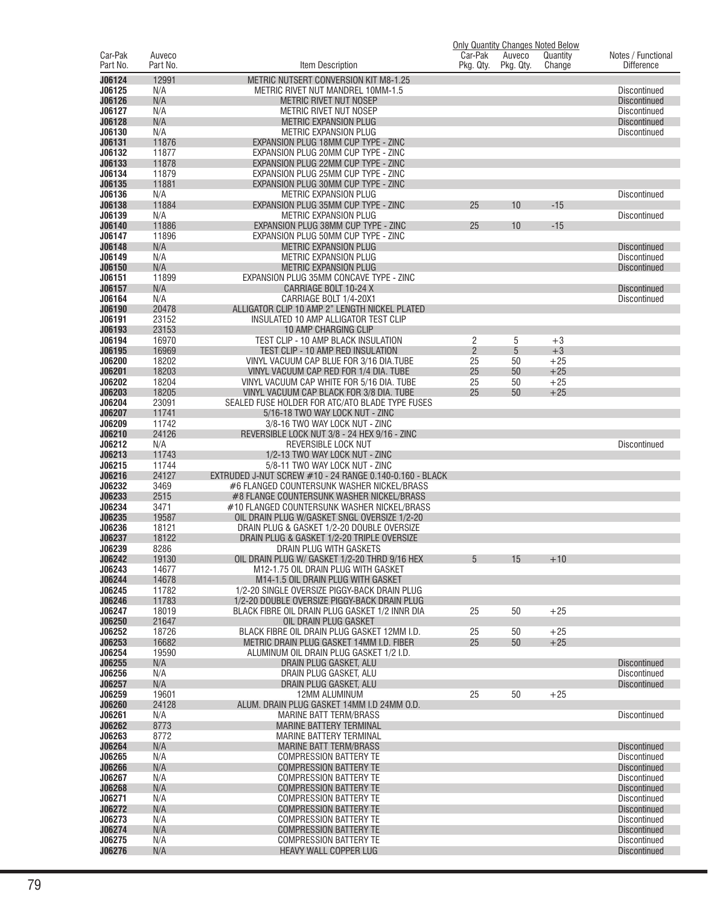|                  |                |                                                                         |                |           | Only Quantity Changes Noted Below |                                     |
|------------------|----------------|-------------------------------------------------------------------------|----------------|-----------|-----------------------------------|-------------------------------------|
| Car-Pak          | Auveco         |                                                                         | Car-Pak        | Auveco    | Quantity                          | Notes / Functional                  |
| Part No.         | Part No.       | Item Description                                                        | Pkg. Qty.      | Pkg. Qty. | Change                            | <b>Difference</b>                   |
| J06124           | 12991          | METRIC NUTSERT CONVERSION KIT M8-1.25                                   |                |           |                                   |                                     |
| J06125           | N/A            | METRIC RIVET NUT MANDREL 10MM-1.5                                       |                |           |                                   | <b>Discontinued</b>                 |
| J06126           | N/A            | METRIC RIVET NUT NOSEP                                                  |                |           |                                   | <b>Discontinued</b>                 |
| J06127           | N/A            | METRIC RIVET NUT NOSEP                                                  |                |           |                                   | <b>Discontinued</b>                 |
| J06128           | N/A            | METRIC EXPANSION PLUG                                                   |                |           |                                   | <b>Discontinued</b>                 |
| J06130           | N/A            | <b>METRIC EXPANSION PLUG</b>                                            |                |           |                                   | Discontinued                        |
| J06131           | 11876          | EXPANSION PLUG 18MM CUP TYPE - ZINC                                     |                |           |                                   |                                     |
| J06132           | 11877          | EXPANSION PLUG 20MM CUP TYPE - ZINC                                     |                |           |                                   |                                     |
| J06133           | 11878          | EXPANSION PLUG 22MM CUP TYPE - ZINC                                     |                |           |                                   |                                     |
| J06134           | 11879          | EXPANSION PLUG 25MM CUP TYPE - ZINC                                     |                |           |                                   |                                     |
| J06135           | 11881          | EXPANSION PLUG 30MM CUP TYPE - ZINC                                     |                |           |                                   |                                     |
| J06136<br>J06138 | N/A<br>11884   | <b>METRIC EXPANSION PLUG</b><br>EXPANSION PLUG 35MM CUP TYPE - ZINC     |                | 10        | $-15$                             | <b>Discontinued</b>                 |
| J06139           | N/A            | METRIC EXPANSION PLUG                                                   | 25             |           |                                   | Discontinued                        |
| J06140           | 11886          | EXPANSION PLUG 38MM CUP TYPE - ZINC                                     | 25             | 10        | $-15$                             |                                     |
| J06147           | 11896          | EXPANSION PLUG 50MM CUP TYPE - ZINC                                     |                |           |                                   |                                     |
| J06148           | N/A            | METRIC EXPANSION PLUG                                                   |                |           |                                   | <b>Discontinued</b>                 |
| J06149           | N/A            | METRIC EXPANSION PLUG                                                   |                |           |                                   | Discontinued                        |
| J06150           | N/A            | METRIC EXPANSION PLUG                                                   |                |           |                                   | <b>Discontinued</b>                 |
| J06151           | 11899          | EXPANSION PLUG 35MM CONCAVE TYPE - ZINC                                 |                |           |                                   |                                     |
| J06157           | N/A            | CARRIAGE BOLT 10-24 X                                                   |                |           |                                   | <b>Discontinued</b>                 |
| J06164           | N/A            | CARRIAGE BOLT 1/4-20X1                                                  |                |           |                                   | Discontinued                        |
| J06190           | 20478          | ALLIGATOR CLIP 10 AMP 2" LENGTH NICKEL PLATED                           |                |           |                                   |                                     |
| J06191           | 23152          | INSULATED 10 AMP ALLIGATOR TEST CLIP                                    |                |           |                                   |                                     |
| J06193           | 23153          | 10 AMP CHARGING CLIP                                                    |                |           |                                   |                                     |
| J06194           | 16970          | TEST CLIP - 10 AMP BLACK INSULATION                                     | 2              | 5         | $+3$                              |                                     |
| J06195           | 16969          | TEST CLIP - 10 AMP RED INSULATION                                       | $\overline{2}$ | 5         | $+3$                              |                                     |
| J06200           | 18202          | VINYL VACUUM CAP BLUE FOR 3/16 DIA.TUBE                                 | 25             | 50        | $+25$                             |                                     |
| J06201           | 18203          | VINYL VACUUM CAP RED FOR 1/4 DIA. TUBE                                  | 25             | 50        | $+25$                             |                                     |
| J06202           | 18204          | VINYL VACUUM CAP WHITE FOR 5/16 DIA. TUBE                               | 25             | 50        | $+25$                             |                                     |
| J06203           | 18205          | VINYL VACUUM CAP BLACK FOR 3/8 DIA. TUBE                                | 25             | 50        | $+25$                             |                                     |
| J06204           | 23091          | SEALED FUSE HOLDER FOR ATC/ATO BLADE TYPE FUSES                         |                |           |                                   |                                     |
| J06207           | 11741          | 5/16-18 TWO WAY LOCK NUT - ZINC                                         |                |           |                                   |                                     |
| J06209<br>J06210 | 11742<br>24126 | 3/8-16 TWO WAY LOCK NUT - ZINC                                          |                |           |                                   |                                     |
| J06212           | N/A            | REVERSIBLE LOCK NUT 3/8 - 24 HEX 9/16 - ZINC<br>REVERSIBLE LOCK NUT     |                |           |                                   | Discontinued                        |
| J06213           | 11743          | 1/2-13 TWO WAY LOCK NUT - ZINC                                          |                |           |                                   |                                     |
| J06215           | 11744          | 5/8-11 TWO WAY LOCK NUT - ZINC                                          |                |           |                                   |                                     |
| J06216           | 24127          | EXTRUDED J-NUT SCREW #10 - 24 RANGE 0.140-0.160 - BLACK                 |                |           |                                   |                                     |
| J06232           | 3469           | #6 FLANGED COUNTERSUNK WASHER NICKEL/BRASS                              |                |           |                                   |                                     |
| J06233           | 2515           | #8 FLANGE COUNTERSUNK WASHER NICKEL/BRASS                               |                |           |                                   |                                     |
| J06234           | 3471           | #10 FLANGED COUNTERSUNK WASHER NICKEL/BRASS                             |                |           |                                   |                                     |
| J06235           | 19587          | OIL DRAIN PLUG W/GASKET SNGL OVERSIZE 1/2-20                            |                |           |                                   |                                     |
| J06236           | 18121          | DRAIN PLUG & GASKET 1/2-20 DOUBLE OVERSIZE                              |                |           |                                   |                                     |
| J06237           | 18122          | DRAIN PLUG & GASKET 1/2-20 TRIPLE OVERSIZE                              |                |           |                                   |                                     |
| J06239           | 8286           | DRAIN PLUG WITH GASKETS                                                 |                |           |                                   |                                     |
| J06242           | 19130          | OIL DRAIN PLUG W/ GASKET 1/2-20 THRD 9/16 HEX                           | 5              | 15        | $+10$                             |                                     |
| J06243           | 14677          | M12-1.75 OIL DRAIN PLUG WITH GASKET                                     |                |           |                                   |                                     |
| J06244           | 14678          | M14-1.5 OIL DRAIN PLUG WITH GASKET                                      |                |           |                                   |                                     |
| J06245           | 11782          | 1/2-20 SINGLE OVERSIZE PIGGY-BACK DRAIN PLUG                            |                |           |                                   |                                     |
| J06246           | 11783          | 1/2-20 DOUBLE OVERSIZE PIGGY-BACK DRAIN PLUG                            |                |           |                                   |                                     |
| J06247<br>J06250 | 18019<br>21647 | BLACK FIBRE OIL DRAIN PLUG GASKET 1/2 INNR DIA<br>OIL DRAIN PLUG GASKET | 25             | 50        | $+25$                             |                                     |
| J06252           | 18726          | BLACK FIBRE OIL DRAIN PLUG GASKET 12MM I.D.                             | 25             | 50        | $+25$                             |                                     |
| J06253           | 16682          | METRIC DRAIN PLUG GASKET 14MM I.D. FIBER                                | 25             | 50        | $+25$                             |                                     |
| J06254           | 19590          | ALUMINUM OIL DRAIN PLUG GASKET 1/2 I.D.                                 |                |           |                                   |                                     |
| J06255           | N/A            | DRAIN PLUG GASKET, ALU                                                  |                |           |                                   | <b>Discontinued</b>                 |
| J06256           | N/A            | DRAIN PLUG GASKET, ALU                                                  |                |           |                                   | Discontinued                        |
| J06257           | N/A            | DRAIN PLUG GASKET, ALU                                                  |                |           |                                   | <b>Discontinued</b>                 |
| J06259           | 19601          | <b>12MM ALUMINUM</b>                                                    | 25             | 50        | $+25$                             |                                     |
| J06260           | 24128          | ALUM. DRAIN PLUG GASKET 14MM I.D 24MM O.D.                              |                |           |                                   |                                     |
| J06261           | N/A            | <b>MARINE BATT TERM/BRASS</b>                                           |                |           |                                   | Discontinued                        |
| J06262           | 8773           | <b>MARINE BATTERY TERMINAL</b>                                          |                |           |                                   |                                     |
| J06263           | 8772           | <b>MARINE BATTERY TERMINAL</b>                                          |                |           |                                   |                                     |
| J06264           | N/A            | <b>MARINE BATT TERM/BRASS</b>                                           |                |           |                                   | <b>Discontinued</b>                 |
| J06265           | N/A            | <b>COMPRESSION BATTERY TE</b>                                           |                |           |                                   | Discontinued                        |
| J06266           | N/A            | <b>COMPRESSION BATTERY TE</b>                                           |                |           |                                   | <b>Discontinued</b>                 |
| J06267           | N/A            | <b>COMPRESSION BATTERY TE</b>                                           |                |           |                                   | Discontinued                        |
| J06268           | N/A            | <b>COMPRESSION BATTERY TE</b>                                           |                |           |                                   | <b>Discontinued</b>                 |
| J06271           | N/A            | <b>COMPRESSION BATTERY TE</b>                                           |                |           |                                   | Discontinued                        |
| J06272           | N/A            | <b>COMPRESSION BATTERY TE</b>                                           |                |           |                                   | <b>Discontinued</b>                 |
| J06273           | N/A            | <b>COMPRESSION BATTERY TE</b>                                           |                |           |                                   | Discontinued                        |
| J06274<br>J06275 | N/A<br>N/A     | <b>COMPRESSION BATTERY TE</b>                                           |                |           |                                   | <b>Discontinued</b><br>Discontinued |
| J06276           | N/A            | <b>COMPRESSION BATTERY TE</b><br>HEAVY WALL COPPER LUG                  |                |           |                                   | <b>Discontinued</b>                 |
|                  |                |                                                                         |                |           |                                   |                                     |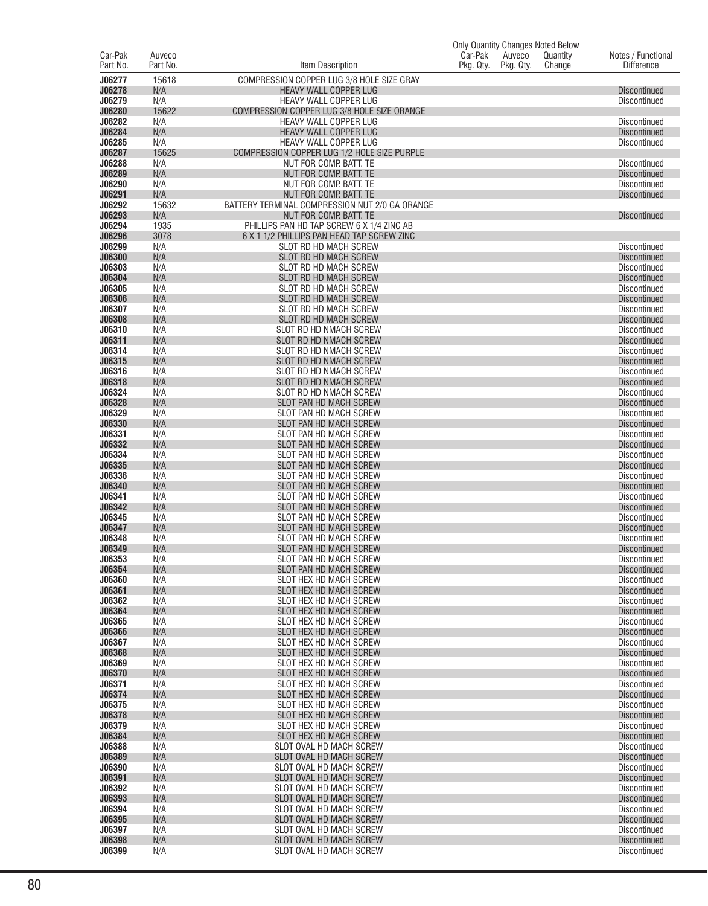| Car-Pak          | Auveco       |                                                                          | Only Quantity Changes Noted Below<br>Car-Pak<br>Auveco<br>Quantity | Notes / Functional                         |
|------------------|--------------|--------------------------------------------------------------------------|--------------------------------------------------------------------|--------------------------------------------|
| Part No.         | Part No.     | Item Description                                                         | Pkg. Qty.<br>Pkg. Qty.<br>Change                                   | <b>Difference</b>                          |
| J06277           | 15618        | COMPRESSION COPPER LUG 3/8 HOLE SIZE GRAY                                |                                                                    |                                            |
| J06278           | N/A          | <b>HEAVY WALL COPPER LUG</b>                                             |                                                                    | <b>Discontinued</b>                        |
| J06279<br>J06280 | N/A<br>15622 | HEAVY WALL COPPER LUG<br>COMPRESSION COPPER LUG 3/8 HOLE SIZE ORANGE     |                                                                    | <b>Discontinued</b>                        |
| J06282           | N/A          | HEAVY WALL COPPER LUG                                                    |                                                                    | <b>Discontinued</b>                        |
| J06284           | N/A          | HEAVY WALL COPPER LUG                                                    |                                                                    | <b>Discontinued</b>                        |
| J06285<br>J06287 | N/A<br>15625 | HEAVY WALL COPPER LUG<br>COMPRESSION COPPER LUG 1/2 HOLE SIZE PURPLE     |                                                                    | Discontinued                               |
| J06288           | N/A          | NUT FOR COMP. BATT. TE                                                   |                                                                    | <b>Discontinued</b>                        |
| J06289           | N/A          | NUT FOR COMP. BATT. TE                                                   |                                                                    | <b>Discontinued</b>                        |
| J06290           | N/A          | NUT FOR COMP. BATT. TE                                                   |                                                                    | <b>Discontinued</b>                        |
| J06291<br>J06292 | N/A<br>15632 | NUT FOR COMP. BATT. TE<br>BATTERY TERMINAL COMPRESSION NUT 2/0 GA ORANGE |                                                                    | <b>Discontinued</b>                        |
| J06293           | N/A          | NUT FOR COMP. BATT. TE                                                   |                                                                    | <b>Discontinued</b>                        |
| J06294           | 1935         | PHILLIPS PAN HD TAP SCREW 6 X 1/4 ZINC AB                                |                                                                    |                                            |
| J06296           | 3078         | 6 X 1 1/2 PHILLIPS PAN HEAD TAP SCREW ZINC                               |                                                                    |                                            |
| J06299<br>J06300 | N/A<br>N/A   | SLOT RD HD MACH SCREW<br>SLOT RD HD MACH SCREW                           |                                                                    | Discontinued<br><b>Discontinued</b>        |
| J06303           | N/A          | SLOT RD HD MACH SCREW                                                    |                                                                    | <b>Discontinued</b>                        |
| J06304           | N/A          | <b>SLOT RD HD MACH SCREW</b>                                             |                                                                    | <b>Discontinued</b>                        |
| J06305<br>J06306 | N/A<br>N/A   | <b>SLOT RD HD MACH SCREW</b><br><b>SLOT RD HD MACH SCREW</b>             |                                                                    | Discontinued<br><b>Discontinued</b>        |
| J06307           | N/A          | SLOT RD HD MACH SCREW                                                    |                                                                    | Discontinued                               |
| J06308           | N/A          | <b>SLOT RD HD MACH SCREW</b>                                             |                                                                    | <b>Discontinued</b>                        |
| J06310           | N/A          | SLOT RD HD NMACH SCREW                                                   |                                                                    | <b>Discontinued</b>                        |
| J06311<br>J06314 | N/A<br>N/A   | SLOT RD HD NMACH SCREW<br>SLOT RD HD NMACH SCREW                         |                                                                    | <b>Discontinued</b><br>Discontinued        |
| J06315           | N/A          | SLOT RD HD NMACH SCREW                                                   |                                                                    | <b>Discontinued</b>                        |
| J06316           | N/A          | SLOT RD HD NMACH SCREW                                                   |                                                                    | Discontinued                               |
| J06318           | N/A          | SLOT RD HD NMACH SCREW                                                   |                                                                    | <b>Discontinued</b>                        |
| J06324<br>J06328 | N/A<br>N/A   | SLOT RD HD NMACH SCREW<br><b>SLOT PAN HD MACH SCREW</b>                  |                                                                    | Discontinued<br><b>Discontinued</b>        |
| J06329           | N/A          | SLOT PAN HD MACH SCREW                                                   |                                                                    | <b>Discontinued</b>                        |
| J06330           | N/A          | <b>SLOT PAN HD MACH SCREW</b>                                            |                                                                    | <b>Discontinued</b>                        |
| J06331           | N/A          | SLOT PAN HD MACH SCREW                                                   |                                                                    | Discontinued                               |
| J06332<br>J06334 | N/A<br>N/A   | <b>SLOT PAN HD MACH SCREW</b><br>SLOT PAN HD MACH SCREW                  |                                                                    | <b>Discontinued</b><br>Discontinued        |
| J06335           | N/A          | SLOT PAN HD MACH SCREW                                                   |                                                                    | <b>Discontinued</b>                        |
| J06336           | N/A          | SLOT PAN HD MACH SCREW                                                   |                                                                    | <b>Discontinued</b>                        |
| J06340<br>J06341 | N/A<br>N/A   | <b>SLOT PAN HD MACH SCREW</b><br>SLOT PAN HD MACH SCREW                  |                                                                    | <b>Discontinued</b><br><b>Discontinued</b> |
| J06342           | N/A          | <b>SLOT PAN HD MACH SCREW</b>                                            |                                                                    | <b>Discontinued</b>                        |
| J06345           | N/A          | SLOT PAN HD MACH SCREW                                                   |                                                                    | Discontinued                               |
| J06347           | N/A          | <b>SLOT PAN HD MACH SCREW</b>                                            |                                                                    | <b>Discontinued</b>                        |
| J06348<br>J06349 | N/A<br>N/A   | SLOT PAN HD MACH SCREW<br><b>SLOT PAN HD MACH SCREW</b>                  |                                                                    | <b>Discontinued</b><br><b>Discontinued</b> |
| J06353           | N/A          | SLOT PAN HD MACH SCREW                                                   |                                                                    | Discontinued                               |
| J06354           | N/A          | <b>SLOT PAN HD MACH SCREW</b>                                            |                                                                    | Discontinued                               |
| J06360<br>J06361 | N/A<br>N/A   | SLOT HEX HD MACH SCREW<br>SLOT HEX HD MACH SCREW                         |                                                                    | <b>Discontinued</b><br><b>Discontinued</b> |
| J06362           | N/A          | SLOT HEX HD MACH SCREW                                                   |                                                                    | <b>Discontinued</b>                        |
| J06364           | N/A          | SLOT HEX HD MACH SCREW                                                   |                                                                    | <b>Discontinued</b>                        |
| J06365           | N/A          | SLOT HEX HD MACH SCREW                                                   |                                                                    | <b>Discontinued</b>                        |
| J06366<br>J06367 | N/A<br>N/A   | SLOT HEX HD MACH SCREW<br>SLOT HEX HD MACH SCREW                         |                                                                    | <b>Discontinued</b><br><b>Discontinued</b> |
| J06368           | N/A          | SLOT HEX HD MACH SCREW                                                   |                                                                    | <b>Discontinued</b>                        |
| J06369           | N/A          | SLOT HEX HD MACH SCREW                                                   |                                                                    | <b>Discontinued</b>                        |
| J06370           | N/A          | SLOT HEX HD MACH SCREW                                                   |                                                                    | <b>Discontinued</b>                        |
| J06371<br>J06374 | N/A<br>N/A   | <b>SLOT HEX HD MACH SCREW</b><br>SLOT HEX HD MACH SCREW                  |                                                                    | <b>Discontinued</b><br><b>Discontinued</b> |
| J06375           | N/A          | SLOT HEX HD MACH SCREW                                                   |                                                                    | <b>Discontinued</b>                        |
| J06378           | N/A          | SLOT HEX HD MACH SCREW                                                   |                                                                    | <b>Discontinued</b>                        |
| J06379<br>J06384 | N/A<br>N/A   | SLOT HEX HD MACH SCREW<br>SLOT HEX HD MACH SCREW                         |                                                                    | <b>Discontinued</b><br><b>Discontinued</b> |
| J06388           | N/A          | SLOT OVAL HD MACH SCREW                                                  |                                                                    | <b>Discontinued</b>                        |
| J06389           | N/A          | SLOT OVAL HD MACH SCREW                                                  |                                                                    | <b>Discontinued</b>                        |
| J06390           | N/A          | SLOT OVAL HD MACH SCREW                                                  |                                                                    | <b>Discontinued</b>                        |
| J06391<br>J06392 | N/A<br>N/A   | SLOT OVAL HD MACH SCREW<br>SLOT OVAL HD MACH SCREW                       |                                                                    | <b>Discontinued</b><br><b>Discontinued</b> |
| J06393           | N/A          | SLOT OVAL HD MACH SCREW                                                  |                                                                    | <b>Discontinued</b>                        |
| J06394           | N/A          | SLOT OVAL HD MACH SCREW                                                  |                                                                    | <b>Discontinued</b>                        |
| J06395           | N/A          | SLOT OVAL HD MACH SCREW                                                  |                                                                    | <b>Discontinued</b>                        |
| J06397<br>J06398 | N/A<br>N/A   | SLOT OVAL HD MACH SCREW<br>SLOT OVAL HD MACH SCREW                       |                                                                    | <b>Discontinued</b><br><b>Discontinued</b> |
| J06399           | N/A          | SLOT OVAL HD MACH SCREW                                                  |                                                                    | Discontinued                               |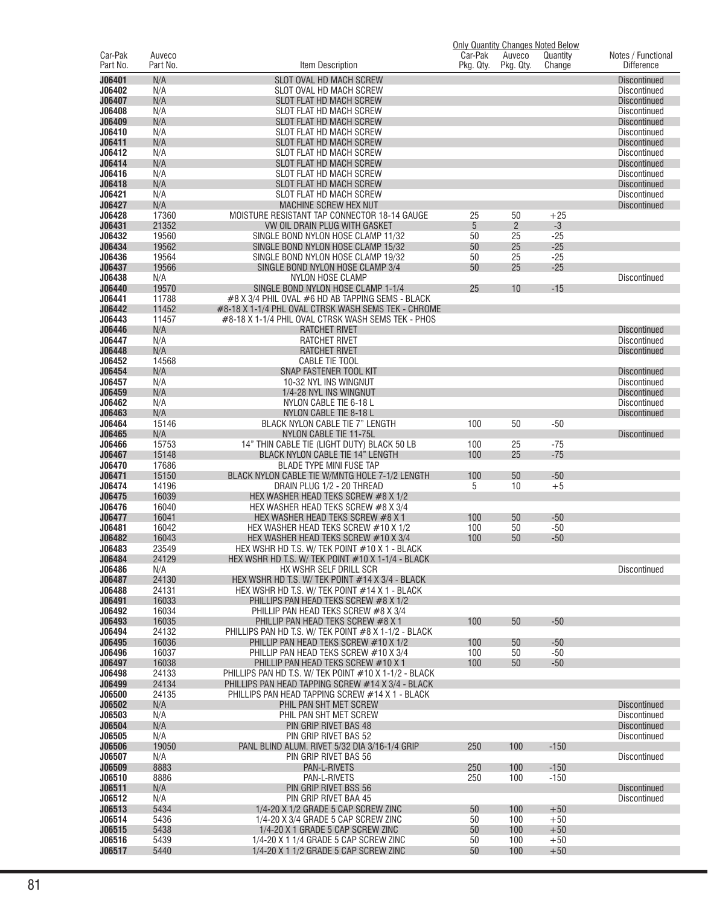|                     |                    |                                                                                                            |                      |                     | <b>Only Quantity Changes Noted Below</b> |                                            |
|---------------------|--------------------|------------------------------------------------------------------------------------------------------------|----------------------|---------------------|------------------------------------------|--------------------------------------------|
| Car-Pak<br>Part No. | Auveco<br>Part No. | Item Description                                                                                           | Car-Pak<br>Pkg. Qty. | Auveco<br>Pkg. Qty. | Quantity<br>Change                       | Notes / Functional<br><b>Difference</b>    |
|                     |                    |                                                                                                            |                      |                     |                                          |                                            |
| J06401              | N/A                | SLOT OVAL HD MACH SCREW                                                                                    |                      |                     |                                          | <b>Discontinued</b>                        |
| J06402<br>J06407    | N/A<br>N/A         | SLOT OVAL HD MACH SCREW<br>SLOT FLAT HD MACH SCREW                                                         |                      |                     |                                          | <b>Discontinued</b><br><b>Discontinued</b> |
| J06408              | N/A                | SLOT FLAT HD MACH SCREW                                                                                    |                      |                     |                                          | <b>Discontinued</b>                        |
| J06409              | N/A                | <b>SLOT FLAT HD MACH SCREW</b>                                                                             |                      |                     |                                          | <b>Discontinued</b>                        |
| J06410              | N/A                | SLOT FLAT HD MACH SCREW                                                                                    |                      |                     |                                          | Discontinued                               |
| J06411              | N/A                | SLOT FLAT HD MACH SCREW                                                                                    |                      |                     |                                          | <b>Discontinued</b>                        |
| J06412              | N/A                | SLOT FLAT HD MACH SCREW                                                                                    |                      |                     |                                          | Discontinued                               |
| J06414              | N/A                | SLOT FLAT HD MACH SCREW                                                                                    |                      |                     |                                          | <b>Discontinued</b>                        |
| J06416              | N/A                | SLOT FLAT HD MACH SCREW                                                                                    |                      |                     |                                          | Discontinued                               |
| J06418              | N/A                | SLOT FLAT HD MACH SCREW                                                                                    |                      |                     |                                          | <b>Discontinued</b>                        |
| J06421<br>J06427    | N/A<br>N/A         | SLOT FLAT HD MACH SCREW<br><b>MACHINE SCREW HEX NUT</b>                                                    |                      |                     |                                          | <b>Discontinued</b><br><b>Discontinued</b> |
| J06428              | 17360              | MOISTURE RESISTANT TAP CONNECTOR 18-14 GAUGE                                                               | 25                   | 50                  | $+25$                                    |                                            |
| J06431              | 21352              | VW OIL DRAIN PLUG WITH GASKET                                                                              | 5                    | $\overline{2}$      | $-3$                                     |                                            |
| J06432              | 19560              | SINGLE BOND NYLON HOSE CLAMP 11/32                                                                         | 50                   | 25                  | $-25$                                    |                                            |
| J06434              | 19562              | SINGLE BOND NYLON HOSE CLAMP 15/32                                                                         | 50                   | 25                  | $-25$                                    |                                            |
| J06436              | 19564              | SINGLE BOND NYLON HOSE CLAMP 19/32                                                                         | 50                   | 25                  | $-25$                                    |                                            |
| J06437              | 19566              | SINGLE BOND NYLON HOSE CLAMP 3/4                                                                           | 50                   | 25                  | $-25$                                    |                                            |
| J06438              | N/A                | <b>NYLON HOSE CLAMP</b>                                                                                    |                      |                     |                                          | Discontinued                               |
| J06440              | 19570              | SINGLE BOND NYLON HOSE CLAMP 1-1/4                                                                         | 25                   | 10                  | $-15$                                    |                                            |
| J06441<br>J06442    | 11788<br>11452     | #8 X 3/4 PHIL OVAL #6 HD AB TAPPING SEMS - BLACK<br>#8-18 X 1-1/4 PHL OVAL CTRSK WASH SEMS TEK - CHROME    |                      |                     |                                          |                                            |
| J06443              | 11457              | #8-18 X 1-1/4 PHIL OVAL CTRSK WASH SEMS TEK - PHOS                                                         |                      |                     |                                          |                                            |
| J06446              | N/A                | <b>RATCHET RIVET</b>                                                                                       |                      |                     |                                          | <b>Discontinued</b>                        |
| J06447              | N/A                | <b>RATCHET RIVET</b>                                                                                       |                      |                     |                                          | Discontinued                               |
| J06448              | N/A                | <b>RATCHET RIVET</b>                                                                                       |                      |                     |                                          | <b>Discontinued</b>                        |
| J06452              | 14568              | CABLE TIE TOOL                                                                                             |                      |                     |                                          |                                            |
| J06454              | N/A                | SNAP FASTENER TOOL KIT                                                                                     |                      |                     |                                          | <b>Discontinued</b>                        |
| J06457              | N/A                | 10-32 NYL INS WINGNUT                                                                                      |                      |                     |                                          | Discontinued                               |
| J06459              | N/A                | 1/4-28 NYL INS WINGNUT                                                                                     |                      |                     |                                          | <b>Discontinued</b>                        |
| J06462<br>J06463    | N/A<br>N/A         | NYLON CABLE TIE 6-18 L<br>NYLON CABLE TIE 8-18 L                                                           |                      |                     |                                          | <b>Discontinued</b><br><b>Discontinued</b> |
| J06464              | 15146              | BLACK NYLON CABLE TIE 7" LENGTH                                                                            | 100                  | 50                  | $-50$                                    |                                            |
| J06465              | N/A                | NYLON CABLE TIE 11-75L                                                                                     |                      |                     |                                          | <b>Discontinued</b>                        |
| J06466              | 15753              | 14" THIN CABLE TIE (LIGHT DUTY) BLACK 50 LB                                                                | 100                  | 25                  | $-75$                                    |                                            |
| J06467              | 15148              | <b>BLACK NYLON CABLE TIE 14" LENGTH</b>                                                                    | 100                  | 25                  | $-75$                                    |                                            |
| J06470              | 17686              | <b>BLADE TYPE MINI FUSE TAP</b>                                                                            |                      |                     |                                          |                                            |
| J06471              | 15150              | BLACK NYLON CABLE TIE W/MNTG HOLE 7-1/2 LENGTH                                                             | 100                  | 50                  | $-50$                                    |                                            |
| J06474              | 14196              | DRAIN PLUG 1/2 - 20 THREAD                                                                                 | 5                    | 10                  | $+5$                                     |                                            |
| J06475<br>J06476    | 16039<br>16040     | HEX WASHER HEAD TEKS SCREW #8 X 1/2<br>HEX WASHER HEAD TEKS SCREW #8 X 3/4                                 |                      |                     |                                          |                                            |
| J06477              | 16041              | HEX WASHER HEAD TEKS SCREW #8 X 1                                                                          | 100                  | 50                  | $-50$                                    |                                            |
| J06481              | 16042              | HEX WASHER HEAD TEKS SCREW #10 X 1/2                                                                       | 100                  | 50                  | $-50$                                    |                                            |
| J06482              | 16043              | HEX WASHER HEAD TEKS SCREW #10 X 3/4                                                                       | 100                  | 50                  | $-50$                                    |                                            |
| J06483              | 23549              | HEX WSHR HD T.S. W/ TEK POINT #10 X 1 - BLACK                                                              |                      |                     |                                          |                                            |
| J06484              | 24129              | HEX WSHR HD T.S. W/ TEK POINT #10 X 1-1/4 - BLACK                                                          |                      |                     |                                          |                                            |
| J06486              | N/A                | HX WSHR SELF DRILL SCR                                                                                     |                      |                     |                                          | Discontinued                               |
| J06487              | 24130              | HEX WSHR HD T.S. W/ TEK POINT #14 X 3/4 - BLACK<br>HEX WSHR HD T.S. W/ TEK POINT #14 X 1 - BLACK           |                      |                     |                                          |                                            |
| J06488<br>J06491    | 24131<br>16033     | PHILLIPS PAN HEAD TEKS SCREW #8 X 1/2                                                                      |                      |                     |                                          |                                            |
| J06492              | 16034              | PHILLIP PAN HEAD TEKS SCREW #8 X 3/4                                                                       |                      |                     |                                          |                                            |
| J06493              | 16035              | PHILLIP PAN HEAD TEKS SCREW #8 X 1                                                                         | 100                  | 50                  | $-50$                                    |                                            |
| J06494              | 24132              | PHILLIPS PAN HD T.S. W/ TEK POINT #8 X 1-1/2 - BLACK                                                       |                      |                     |                                          |                                            |
| J06495              | 16036              | PHILLIP PAN HEAD TEKS SCREW #10 X 1/2                                                                      | 100                  | 50                  | $-50$                                    |                                            |
| J06496              | 16037              | PHILLIP PAN HEAD TEKS SCREW #10 X 3/4                                                                      | 100                  | 50                  | $-50$                                    |                                            |
| J06497              | 16038              | PHILLIP PAN HEAD TEKS SCREW #10 X 1                                                                        | 100                  | 50                  | $-50$                                    |                                            |
| J06498<br>J06499    | 24133<br>24134     | PHILLIPS PAN HD T.S. W/ TEK POINT #10 X 1-1/2 - BLACK<br>PHILLIPS PAN HEAD TAPPING SCREW #14 X 3/4 - BLACK |                      |                     |                                          |                                            |
| J06500              | 24135              | PHILLIPS PAN HEAD TAPPING SCREW #14 X 1 - BLACK                                                            |                      |                     |                                          |                                            |
| J06502              | N/A                | PHIL PAN SHT MET SCREW                                                                                     |                      |                     |                                          | <b>Discontinued</b>                        |
| J06503              | N/A                | PHIL PAN SHT MET SCREW                                                                                     |                      |                     |                                          | Discontinued                               |
| J06504              | N/A                | PIN GRIP RIVET BAS 48                                                                                      |                      |                     |                                          | <b>Discontinued</b>                        |
| J06505              | N/A                | PIN GRIP RIVET BAS 52                                                                                      |                      |                     |                                          | Discontinued                               |
| J06506              | 19050              | PANL BLIND ALUM. RIVET 5/32 DIA 3/16-1/4 GRIP                                                              | 250                  | 100                 | $-150$                                   |                                            |
| J06507              | N/A                | PIN GRIP RIVET BAS 56                                                                                      |                      |                     |                                          | <b>Discontinued</b>                        |
| J06509<br>J06510    | 8883<br>8886       | PAN-L-RIVETS<br>PAN-L-RIVETS                                                                               | 250<br>250           | 100<br>100          | $-150$<br>$-150$                         |                                            |
| J06511              | N/A                | PIN GRIP RIVET BSS 56                                                                                      |                      |                     |                                          | <b>Discontinued</b>                        |
| J06512              | N/A                | PIN GRIP RIVET BAA 45                                                                                      |                      |                     |                                          | Discontinued                               |
| J06513              | 5434               | 1/4-20 X 1/2 GRADE 5 CAP SCREW ZINC                                                                        | 50                   | 100                 | $+50$                                    |                                            |
| J06514              | 5436               | 1/4-20 X 3/4 GRADE 5 CAP SCREW ZINC                                                                        | 50                   | 100                 | $+50$                                    |                                            |
| J06515              | 5438               | 1/4-20 X 1 GRADE 5 CAP SCREW ZINC                                                                          | 50                   | 100                 | $+50$                                    |                                            |
| J06516              | 5439               | 1/4-20 X 1 1/4 GRADE 5 CAP SCREW ZINC                                                                      | 50                   | 100                 | $+50$                                    |                                            |
| J06517              | 5440               | 1/4-20 X 1 1/2 GRADE 5 CAP SCREW ZINC                                                                      | 50                   | 100                 | $+50$                                    |                                            |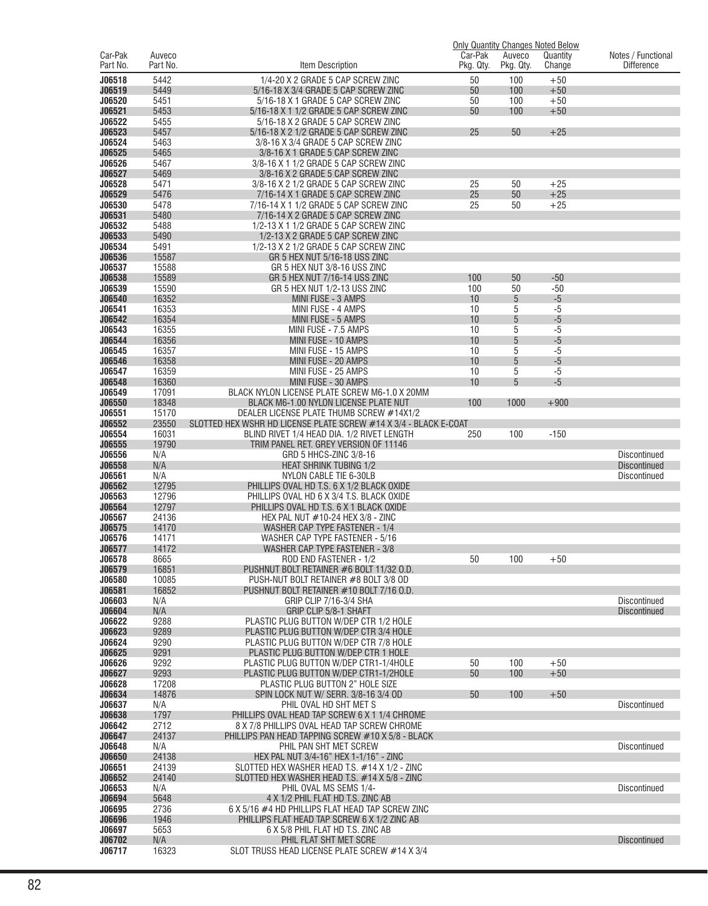|                     |                    |                                                                                                |                      |                     | <b>Only Quantity Changes Noted Below</b> |                                            |
|---------------------|--------------------|------------------------------------------------------------------------------------------------|----------------------|---------------------|------------------------------------------|--------------------------------------------|
| Car-Pak<br>Part No. | Auveco<br>Part No. | Item Description                                                                               | Car-Pak<br>Pkg. Qty. | Auveco<br>Pkg. Qty. | Quantity<br>Change                       | Notes / Functional<br><b>Difference</b>    |
|                     | 5442               |                                                                                                |                      |                     |                                          |                                            |
| J06518<br>J06519    | 5449               | 1/4-20 X 2 GRADE 5 CAP SCREW ZINC<br>5/16-18 X 3/4 GRADE 5 CAP SCREW ZINC                      | 50<br>50             | 100<br>100          | $+50$<br>$+50$                           |                                            |
| J06520              | 5451               | 5/16-18 X 1 GRADE 5 CAP SCREW ZINC                                                             | 50                   | 100                 | $+50$                                    |                                            |
| J06521              | 5453               | 5/16-18 X 1 1/2 GRADE 5 CAP SCREW ZINC                                                         | 50                   | 100                 | $+50$                                    |                                            |
| J06522              | 5455               | 5/16-18 X 2 GRADE 5 CAP SCREW ZINC                                                             |                      |                     |                                          |                                            |
| J06523              | 5457               | 5/16-18 X 2 1/2 GRADE 5 CAP SCREW ZINC                                                         | 25                   | 50                  | $+25$                                    |                                            |
| J06524              | 5463               | 3/8-16 X 3/4 GRADE 5 CAP SCREW ZINC                                                            |                      |                     |                                          |                                            |
| J06525              | 5465               | 3/8-16 X 1 GRADE 5 CAP SCREW ZINC                                                              |                      |                     |                                          |                                            |
| J06526              | 5467               | 3/8-16 X 1 1/2 GRADE 5 CAP SCREW ZINC                                                          |                      |                     |                                          |                                            |
| J06527<br>J06528    | 5469               | 3/8-16 X 2 GRADE 5 CAP SCREW ZINC                                                              |                      |                     |                                          |                                            |
| J06529              | 5471<br>5476       | 3/8-16 X 2 1/2 GRADE 5 CAP SCREW ZINC<br>7/16-14 X 1 GRADE 5 CAP SCREW ZINC                    | 25<br>25             | 50<br>50            | $+25$<br>$+25$                           |                                            |
| J06530              | 5478               | 7/16-14 X 1 1/2 GRADE 5 CAP SCREW ZINC                                                         | 25                   | 50                  | $+25$                                    |                                            |
| J06531              | 5480               | 7/16-14 X 2 GRADE 5 CAP SCREW ZINC                                                             |                      |                     |                                          |                                            |
| J06532              | 5488               | 1/2-13 X 1 1/2 GRADE 5 CAP SCREW ZINC                                                          |                      |                     |                                          |                                            |
| J06533              | 5490               | 1/2-13 X 2 GRADE 5 CAP SCREW ZINC                                                              |                      |                     |                                          |                                            |
| J06534              | 5491               | 1/2-13 X 2 1/2 GRADE 5 CAP SCREW ZINC                                                          |                      |                     |                                          |                                            |
| J06536              | 15587              | GR 5 HEX NUT 5/16-18 USS ZINC                                                                  |                      |                     |                                          |                                            |
| J06537<br>J06538    | 15588<br>15589     | GR 5 HEX NUT 3/8-16 USS ZINC<br>GR 5 HEX NUT 7/16-14 USS ZINC                                  | 100                  | 50                  | $-50$                                    |                                            |
| J06539              | 15590              | GR 5 HEX NUT 1/2-13 USS ZINC                                                                   | 100                  | 50                  | $-50$                                    |                                            |
| J06540              | 16352              | MINI FUSE - 3 AMPS                                                                             | 10                   | 5                   | $-5$                                     |                                            |
| J06541              | 16353              | MINI FUSE - 4 AMPS                                                                             | 10                   | 5                   | $-5$                                     |                                            |
| J06542              | 16354              | MINI FUSE - 5 AMPS                                                                             | 10                   | 5                   | $-5$                                     |                                            |
| J06543              | 16355              | MINI FUSE - 7.5 AMPS                                                                           | 10                   | 5                   | $-5$                                     |                                            |
| J06544              | 16356              | MINI FUSE - 10 AMPS                                                                            | 10                   | 5                   | $-5$                                     |                                            |
| J06545<br>J06546    | 16357              | MINI FUSE - 15 AMPS                                                                            | 10                   | 5                   | $-5$                                     |                                            |
| J06547              | 16358<br>16359     | MINI FUSE - 20 AMPS<br>MINI FUSE - 25 AMPS                                                     | 10<br>10             | 5<br>5              | $-5$<br>$-5$                             |                                            |
| J06548              | 16360              | MINI FUSE - 30 AMPS                                                                            | 10                   | 5                   | $-5$                                     |                                            |
| J06549              | 17091              | BLACK NYLON LICENSE PLATE SCREW M6-1.0 X 20MM                                                  |                      |                     |                                          |                                            |
| J06550              | 18348              | <b>BLACK M6-1.00 NYLON LICENSE PLATE NUT</b>                                                   | 100                  | 1000                | $+900$                                   |                                            |
| J06551              | 15170              | DEALER LICENSE PLATE THUMB SCREW #14X1/2                                                       |                      |                     |                                          |                                            |
| J06552              | 23550              | SLOTTED HEX WSHR HD LICENSE PLATE SCREW #14 X 3/4 - BLACK E-COAT                               |                      |                     |                                          |                                            |
| J06554              | 16031              | BLIND RIVET 1/4 HEAD DIA. 1/2 RIVET LENGTH                                                     | 250                  | 100                 | $-150$                                   |                                            |
| J06555<br>J06556    | 19790<br>N/A       | TRIM PANEL RET. GREY VERSION OF 11146<br>GRD 5 HHCS-ZINC 3/8-16                                |                      |                     |                                          | <b>Discontinued</b>                        |
| J06558              | N/A                | <b>HEAT SHRINK TUBING 1/2</b>                                                                  |                      |                     |                                          | <b>Discontinued</b>                        |
| J06561              | N/A                | NYLON CABLE TIE 6-30LB                                                                         |                      |                     |                                          | <b>Discontinued</b>                        |
| J06562              | 12795              | PHILLIPS OVAL HD T.S. 6 X 1/2 BLACK OXIDE                                                      |                      |                     |                                          |                                            |
| J06563              | 12796              | PHILLIPS OVAL HD 6 X 3/4 T.S. BLACK OXIDE                                                      |                      |                     |                                          |                                            |
| J06564              | 12797              | PHILLIPS OVAL HD T.S. 6 X 1 BLACK OXIDE                                                        |                      |                     |                                          |                                            |
| J06567<br>J06575    | 24136<br>14170     | HEX PAL NUT #10-24 HEX 3/8 - ZINC<br>WASHER CAP TYPE FASTENER - 1/4                            |                      |                     |                                          |                                            |
| J06576              | 14171              | WASHER CAP TYPE FASTENER - 5/16                                                                |                      |                     |                                          |                                            |
| J06577              | 14172              | WASHER CAP TYPE FASTENER - 3/8                                                                 |                      |                     |                                          |                                            |
| J06578              | 8665               | ROD END FASTENER - 1/2                                                                         | 50                   | 100                 | $+50$                                    |                                            |
| J06579              | 16851              | PUSHNUT BOLT RETAINER #6 BOLT 11/32 O.D.                                                       |                      |                     |                                          |                                            |
| J06580              | 10085              | PUSH-NUT BOLT RETAINER #8 BOLT 3/8 OD                                                          |                      |                     |                                          |                                            |
| J06581              | 16852              | PUSHNUT BOLT RETAINER #10 BOLT 7/16 O.D.                                                       |                      |                     |                                          |                                            |
| J06603<br>J06604    | N/A<br>N/A         | GRIP CLIP 7/16-3/4 SHA<br>GRIP CLIP 5/8-1 SHAFT                                                |                      |                     |                                          | <b>Discontinued</b><br><b>Discontinued</b> |
| J06622              | 9288               | PLASTIC PLUG BUTTON W/DEP CTR 1/2 HOLE                                                         |                      |                     |                                          |                                            |
| J06623              | 9289               | PLASTIC PLUG BUTTON W/DEP CTR 3/4 HOLE                                                         |                      |                     |                                          |                                            |
| J06624              | 9290               | PLASTIC PLUG BUTTON W/DEP CTR 7/8 HOLE                                                         |                      |                     |                                          |                                            |
| J06625              | 9291               | PLASTIC PLUG BUTTON W/DEP CTR 1 HOLE                                                           |                      |                     |                                          |                                            |
| J06626              | 9292               | PLASTIC PLUG BUTTON W/DEP CTR1-1/4HOLE                                                         | 50                   | 100                 | $+50$                                    |                                            |
| J06627              | 9293               | PLASTIC PLUG BUTTON W/DEP CTR1-1/2HOLE                                                         | 50                   | 100                 | $+50$                                    |                                            |
| J06628<br>J06634    | 17208<br>14876     | PLASTIC PLUG BUTTON 2" HOLE SIZE<br>SPIN LOCK NUT W/ SERR. 3/8-16 3/4 OD                       | 50                   | 100                 | $+50$                                    |                                            |
| J06637              | N/A                | PHIL OVAL HD SHT MET S                                                                         |                      |                     |                                          | <b>Discontinued</b>                        |
| J06638              | 1797               | PHILLIPS OVAL HEAD TAP SCREW 6 X 1 1/4 CHROME                                                  |                      |                     |                                          |                                            |
| J06642              | 2712               | 8 X 7/8 PHILLIPS OVAL HEAD TAP SCREW CHROME                                                    |                      |                     |                                          |                                            |
| J06647              | 24137              | PHILLIPS PAN HEAD TAPPING SCREW #10 X 5/8 - BLACK                                              |                      |                     |                                          |                                            |
| J06648              | N/A                | PHIL PAN SHT MET SCREW                                                                         |                      |                     |                                          | <b>Discontinued</b>                        |
| J06650              | 24138              | HEX PAL NUT 3/4-16" HEX 1-1/16" - ZINC                                                         |                      |                     |                                          |                                            |
| J06651<br>J06652    | 24139<br>24140     | SLOTTED HEX WASHER HEAD T.S. #14 X 1/2 - ZINC<br>SLOTTED HEX WASHER HEAD T.S. #14 X 5/8 - ZINC |                      |                     |                                          |                                            |
| J06653              | N/A                | PHIL OVAL MS SEMS 1/4-                                                                         |                      |                     |                                          | <b>Discontinued</b>                        |
| J06694              | 5648               | 4 X 1/2 PHIL FLAT HD T.S. ZINC AB                                                              |                      |                     |                                          |                                            |
| J06695              | 2736               | 6 X 5/16 #4 HD PHILLIPS FLAT HEAD TAP SCREW ZINC                                               |                      |                     |                                          |                                            |
| <b>J06696</b>       | 1946               | PHILLIPS FLAT HEAD TAP SCREW 6 X 1/2 ZINC AB                                                   |                      |                     |                                          |                                            |
| J06697              | 5653               | 6 X 5/8 PHIL FLAT HD T.S. ZINC AB                                                              |                      |                     |                                          |                                            |
| J06702              | N/A                | PHIL FLAT SHT MET SCRE                                                                         |                      |                     |                                          | <b>Discontinued</b>                        |
| J06717              | 16323              | SLOT TRUSS HEAD LICENSE PLATE SCREW #14 X 3/4                                                  |                      |                     |                                          |                                            |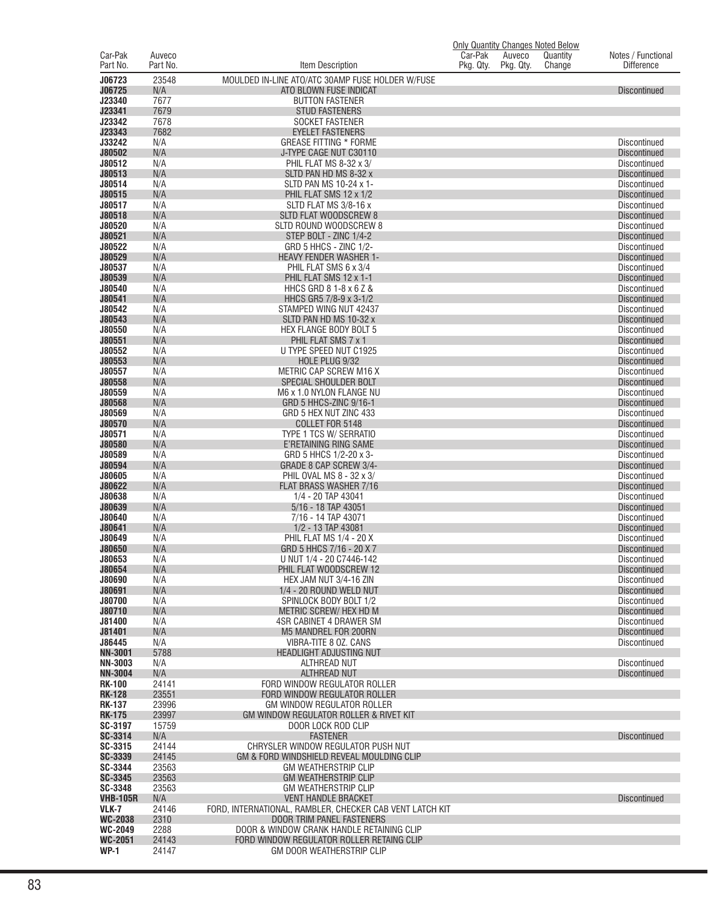|                                  |                |                                                            | <b>Only Quantity Changes Noted Below</b> |           |          |                                            |
|----------------------------------|----------------|------------------------------------------------------------|------------------------------------------|-----------|----------|--------------------------------------------|
| Car-Pak                          | Auveco         |                                                            | Car-Pak                                  | Auveco    | Quantity | Notes / Functional                         |
| Part No.                         | Part No.       | Item Description                                           | Pkg. Qty.                                | Pkg. Qty. | Change   | <b>Difference</b>                          |
| J06723                           | 23548          | MOULDED IN-LINE ATO/ATC 30AMP FUSE HOLDER W/FUSE           |                                          |           |          |                                            |
| J06725                           | N/A            | ATO BLOWN FUSE INDICAT                                     |                                          |           |          | <b>Discontinued</b>                        |
| J23340                           | 7677           | <b>BUTTON FASTENER</b>                                     |                                          |           |          |                                            |
| J23341                           | 7679           | <b>STUD FASTENERS</b>                                      |                                          |           |          |                                            |
| J23342<br>J23343                 | 7678<br>7682   | <b>SOCKET FASTENER</b><br><b>EYELET FASTENERS</b>          |                                          |           |          |                                            |
| J33242                           | N/A            | <b>GREASE FITTING * FORME</b>                              |                                          |           |          | <b>Discontinued</b>                        |
| J80502                           | N/A            | J-TYPE CAGE NUT C30110                                     |                                          |           |          | <b>Discontinued</b>                        |
| J80512                           | N/A            | PHIL FLAT MS 8-32 x 3/                                     |                                          |           |          | <b>Discontinued</b>                        |
| J80513                           | N/A            | SLTD PAN HD MS 8-32 x                                      |                                          |           |          | <b>Discontinued</b>                        |
| J80514                           | N/A            | SLTD PAN MS 10-24 x 1-                                     |                                          |           |          | <b>Discontinued</b>                        |
| J80515                           | N/A            | PHIL FLAT SMS 12 x 1/2                                     |                                          |           |          | <b>Discontinued</b>                        |
| J80517                           | N/A            | SLTD FLAT MS 3/8-16 x                                      |                                          |           |          | <b>Discontinued</b>                        |
| J80518                           | N/A            | <b>SLTD FLAT WOODSCREW 8</b>                               |                                          |           |          | <b>Discontinued</b>                        |
| J80520                           | N/A            | SLTD ROUND WOODSCREW 8                                     |                                          |           |          | <b>Discontinued</b>                        |
| J80521                           | N/A            | STEP BOLT - ZINC 1/4-2                                     |                                          |           |          | <b>Discontinued</b>                        |
| J80522<br>J80529                 | N/A<br>N/A     | GRD 5 HHCS - ZINC 1/2-<br><b>HEAVY FENDER WASHER 1-</b>    |                                          |           |          | <b>Discontinued</b><br><b>Discontinued</b> |
| J80537                           | N/A            | PHIL FLAT SMS 6 x 3/4                                      |                                          |           |          | <b>Discontinued</b>                        |
| J80539                           | N/A            | PHIL FLAT SMS 12 x 1-1                                     |                                          |           |          | <b>Discontinued</b>                        |
| J80540                           | N/A            | HHCS GRD 8 1-8 x 6 Z &                                     |                                          |           |          | <b>Discontinued</b>                        |
| J80541                           | N/A            | HHCS GR5 7/8-9 x 3-1/2                                     |                                          |           |          | <b>Discontinued</b>                        |
| J80542                           | N/A            | STAMPED WING NUT 42437                                     |                                          |           |          | <b>Discontinued</b>                        |
| J80543                           | N/A            | SLTD PAN HD MS 10-32 x                                     |                                          |           |          | <b>Discontinued</b>                        |
| J80550                           | N/A            | <b>HEX FLANGE BODY BOLT 5</b>                              |                                          |           |          | <b>Discontinued</b>                        |
| J80551                           | N/A            | PHIL FLAT SMS 7 x 1                                        |                                          |           |          | <b>Discontinued</b>                        |
| J80552                           | N/A            | U TYPE SPEED NUT C1925                                     |                                          |           |          | <b>Discontinued</b>                        |
| J80553<br>J80557                 | N/A<br>N/A     | HOLE PLUG 9/32<br>METRIC CAP SCREW M16 X                   |                                          |           |          | <b>Discontinued</b><br><b>Discontinued</b> |
| J80558                           | N/A            | SPECIAL SHOULDER BOLT                                      |                                          |           |          | <b>Discontinued</b>                        |
| J80559                           | N/A            | M6 x 1.0 NYLON FLANGE NU                                   |                                          |           |          | <b>Discontinued</b>                        |
| J80568                           | N/A            | GRD 5 HHCS-ZINC 9/16-1                                     |                                          |           |          | <b>Discontinued</b>                        |
| J80569                           | N/A            | GRD 5 HEX NUT ZINC 433                                     |                                          |           |          | <b>Discontinued</b>                        |
| J80570                           | N/A            | COLLET FOR 5148                                            |                                          |           |          | <b>Discontinued</b>                        |
| J80571                           | N/A            | TYPE 1 TCS W/ SERRATIO                                     |                                          |           |          | <b>Discontinued</b>                        |
| J80580                           | N/A            | E'RETAINING RING SAME                                      |                                          |           |          | <b>Discontinued</b>                        |
| J80589                           | N/A            | GRD 5 HHCS 1/2-20 x 3-                                     |                                          |           |          | <b>Discontinued</b>                        |
| J80594<br>J80605                 | N/A<br>N/A     | GRADE 8 CAP SCREW 3/4-<br>PHIL OVAL MS 8 - 32 x 3/         |                                          |           |          | <b>Discontinued</b><br><b>Discontinued</b> |
| J80622                           | N/A            | FLAT BRASS WASHER 7/16                                     |                                          |           |          | <b>Discontinued</b>                        |
| J80638                           | N/A            | 1/4 - 20 TAP 43041                                         |                                          |           |          | <b>Discontinued</b>                        |
| J80639                           | N/A            | 5/16 - 18 TAP 43051                                        |                                          |           |          | <b>Discontinued</b>                        |
| J80640                           | N/A            | 7/16 - 14 TAP 43071                                        |                                          |           |          | <b>Discontinued</b>                        |
| J80641                           | N/A            | 1/2 - 13 TAP 43081                                         |                                          |           |          | <b>Discontinued</b>                        |
| J80649                           | N/A            | PHIL FLAT MS 1/4 - 20 X                                    |                                          |           |          | <b>Discontinued</b>                        |
| <b>J80650</b>                    | N/A            | GRD 5 HHCS 7/16 - 20 X 7                                   |                                          |           |          | <b>Discontinued</b>                        |
| J80653                           | N/A            | U NUT 1/4 - 20 C7446-142                                   |                                          |           |          | Discontinued                               |
| J80654<br>J80690                 | N/A<br>N/A     | PHIL FLAT WOODSCREW 12<br>HEX JAM NUT 3/4-16 ZIN           |                                          |           |          | <b>Discontinued</b><br><b>Discontinued</b> |
| J80691                           | N/A            | 1/4 - 20 ROUND WELD NUT                                    |                                          |           |          | <b>Discontinued</b>                        |
| J80700                           | N/A            | SPINLOCK BODY BOLT 1/2                                     |                                          |           |          | <b>Discontinued</b>                        |
| J80710                           | N/A            | METRIC SCREW/ HEX HD M                                     |                                          |           |          | <b>Discontinued</b>                        |
| J81400                           | N/A            | 4SR CABINET 4 DRAWER SM                                    |                                          |           |          | <b>Discontinued</b>                        |
| J81401                           | N/A            | M5 MANDREL FOR 200RN                                       |                                          |           |          | <b>Discontinued</b>                        |
| J86445                           | N/A            | VIBRA-TITE 8 OZ. CANS                                      |                                          |           |          | <b>Discontinued</b>                        |
| <b>NN-3001</b>                   | 5788           | HEADLIGHT ADJUSTING NUT                                    |                                          |           |          |                                            |
| <b>NN-3003</b><br><b>NN-3004</b> | N/A<br>N/A     | ALTHREAD NUT<br><b>ALTHREAD NUT</b>                        |                                          |           |          | <b>Discontinued</b><br><b>Discontinued</b> |
| <b>RK-100</b>                    | 24141          | FORD WINDOW REGULATOR ROLLER                               |                                          |           |          |                                            |
| <b>RK-128</b>                    | 23551          | FORD WINDOW REGULATOR ROLLER                               |                                          |           |          |                                            |
| <b>RK-137</b>                    | 23996          | <b>GM WINDOW REGULATOR ROLLER</b>                          |                                          |           |          |                                            |
| <b>RK-175</b>                    | 23997          | GM WINDOW REGULATOR ROLLER & RIVET KIT                     |                                          |           |          |                                            |
| SC-3197                          | 15759          | DOOR LOCK ROD CLIP                                         |                                          |           |          |                                            |
| SC-3314                          | N/A            | <b>FASTENER</b>                                            |                                          |           |          | <b>Discontinued</b>                        |
| SC-3315                          | 24144          | CHRYSLER WINDOW REGULATOR PUSH NUT                         |                                          |           |          |                                            |
| SC-3339                          | 24145          | GM & FORD WINDSHIELD REVEAL MOULDING CLIP                  |                                          |           |          |                                            |
| SC-3344<br>SC-3345               | 23563<br>23563 | <b>GM WEATHERSTRIP CLIP</b><br><b>GM WEATHERSTRIP CLIP</b> |                                          |           |          |                                            |
| SC-3348                          | 23563          | <b>GM WEATHERSTRIP CLIP</b>                                |                                          |           |          |                                            |
| <b>VHB-105R</b>                  | N/A            | <b>VENT HANDLE BRACKET</b>                                 |                                          |           |          | <b>Discontinued</b>                        |
| VLK-7                            | 24146          | FORD, INTERNATIONAL, RAMBLER, CHECKER CAB VENT LATCH KIT   |                                          |           |          |                                            |
| <b>WC-2038</b>                   | 2310           | DOOR TRIM PANEL FASTENERS                                  |                                          |           |          |                                            |
| WC-2049                          | 2288           | DOOR & WINDOW CRANK HANDLE RETAINING CLIP                  |                                          |           |          |                                            |
| <b>WC-2051</b>                   | 24143          | FORD WINDOW REGULATOR ROLLER RETAING CLIP                  |                                          |           |          |                                            |
| <b>WP-1</b>                      | 24147          | GM DOOR WEATHERSTRIP CLIP                                  |                                          |           |          |                                            |